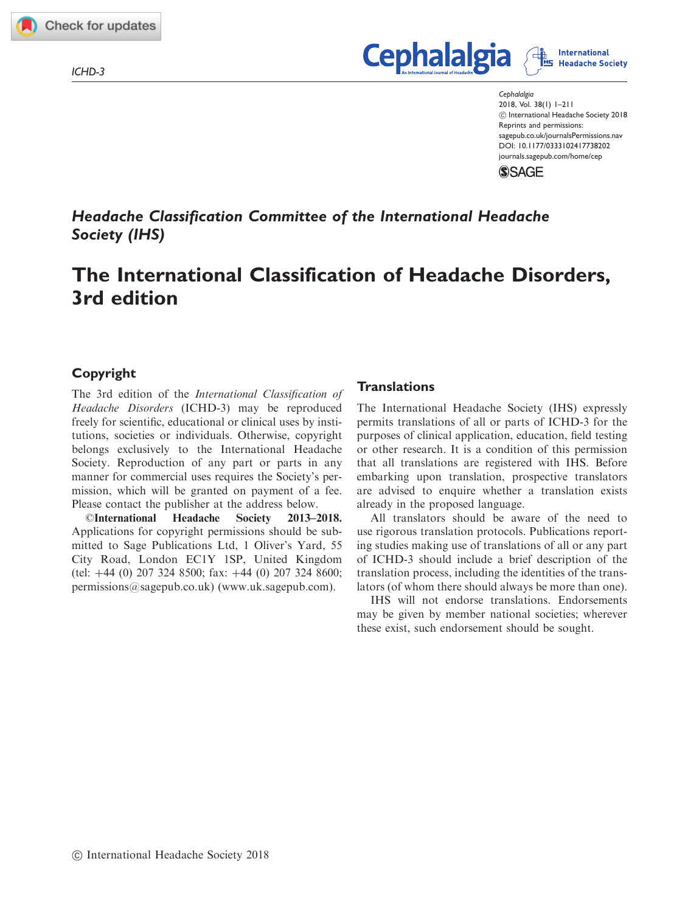ICHD-3

## **Cephalalgia** ŘĘ



**Cebhalalgia** 2018, Vol. 38(1) 1–211  $\copyright$  International Headache Society 2018 Reprints and permissions: [sagepub.co.uk/journalsPermissions.nav](https://uk.sagepub.com/en-gb/journals-permissions) DOI: [10.1177/0333102417738202](https://doi.org/10.1177/0333102417738202) <journals.sagepub.com/home/cep>

(\$)SAGE

## Headache Classification Committee of the International Headache Society (IHS)

# The International Classification of Headache Disorders, 3rd edition

### Copyright

The 3rd edition of the International Classification of Headache Disorders (ICHD-3) may be reproduced freely for scientific, educational or clinical uses by institutions, societies or individuals. Otherwise, copyright belongs exclusively to the International Headache Society. Reproduction of any part or parts in any manner for commercial uses requires the Society's permission, which will be granted on payment of a fee. Please contact the publisher at the address below.

-International Headache Society 2013–2018. Applications for copyright permissions should be submitted to Sage Publications Ltd, 1 Oliver's Yard, 55 City Road, London EC1Y 1SP, United Kingdom (tel:  $+44$  (0) 207 324 8500; fax:  $+44$  (0) 207 324 8600; permissions@sagepub.co.uk) (www.uk.sagepub.com).

### **Translations**

The International Headache Society (IHS) expressly permits translations of all or parts of ICHD-3 for the purposes of clinical application, education, field testing or other research. It is a condition of this permission that all translations are registered with IHS. Before embarking upon translation, prospective translators are advised to enquire whether a translation exists already in the proposed language.

All translators should be aware of the need to use rigorous translation protocols. Publications reporting studies making use of translations of all or any part of ICHD-3 should include a brief description of the translation process, including the identities of the translators (of whom there should always be more than one).

IHS will not endorse translations. Endorsements may be given by member national societies; wherever these exist, such endorsement should be sought.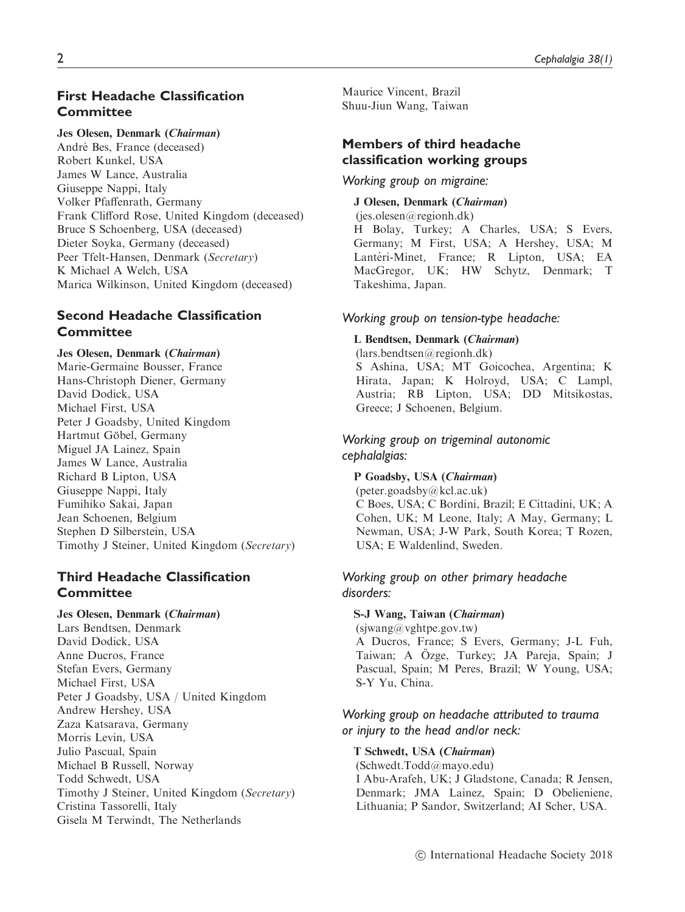## First Headache Classification **Committee**

### Jes Olesen, Denmark (Chairman)

André Bes, France (deceased) Robert Kunkel, USA James W Lance, Australia Giuseppe Nappi, Italy Volker Pfaffenrath, Germany Frank Clifford Rose, United Kingdom (deceased) Bruce S Schoenberg, USA (deceased) Dieter Soyka, Germany (deceased) Peer Tfelt-Hansen, Denmark (Secretary) K Michael A Welch, USA Marica Wilkinson, United Kingdom (deceased)

## Second Headache Classification **Committee**

### Jes Olesen, Denmark (Chairman)

Marie-Germaine Bousser, France Hans-Christoph Diener, Germany David Dodick, USA Michael First, USA Peter J Goadsby, United Kingdom Hartmut Göbel, Germany Miguel JA Lainez, Spain James W Lance, Australia Richard B Lipton, USA Giuseppe Nappi, Italy Fumihiko Sakai, Japan Jean Schoenen, Belgium Stephen D Silberstein, USA Timothy J Steiner, United Kingdom (Secretary)

## Third Headache Classification **Committee**

Jes Olesen, Denmark (Chairman) Lars Bendtsen, Denmark David Dodick, USA Anne Ducros, France Stefan Evers, Germany Michael First, USA Peter J Goadsby, USA / United Kingdom Andrew Hershey, USA Zaza Katsarava, Germany Morris Levin, USA Julio Pascual, Spain Michael B Russell, Norway Todd Schwedt, USA Timothy J Steiner, United Kingdom (Secretary) Cristina Tassorelli, Italy Gisela M Terwindt, The Netherlands

Maurice Vincent, Brazil Shuu-Jiun Wang, Taiwan

## Members of third headache classification working groups

Working group on migraine:

### J Olesen, Denmark (Chairman)

 $($ jes.olesen $@$ regionh.dk) H Bolay, Turkey; A Charles, USA; S Evers, Germany; M First, USA; A Hershey, USA; M Lantéri-Minet, France; R Lipton, USA; EA MacGregor, UK; HW Schytz, Denmark; T Takeshima, Japan.

### Working group on tension-type headache:

## L Bendtsen, Denmark (Chairman)

(lars.bendtsen@regionh.dk) S Ashina, USA; MT Goicochea, Argentina; K Hirata, Japan; K Holroyd, USA; C Lampl, Austria; RB Lipton, USA; DD Mitsikostas, Greece; J Schoenen, Belgium.

### Working group on trigeminal autonomic cephalalgias:

### P Goadsby, USA (Chairman)

(peter.goadsby@kcl.ac.uk) C Boes, USA; C Bordini, Brazil; E Cittadini, UK; A Cohen, UK; M Leone, Italy; A May, Germany; L Newman, USA; J-W Park, South Korea; T Rozen, USA; E Waldenlind, Sweden.

### Working group on other primary headache disorders:

### S-J Wang, Taiwan (Chairman) (sjwang@vghtpe.gov.tw) A Ducros, France; S Evers, Germany; J-L Fuh, Taiwan; A Özge, Turkey; JA Pareja, Spain; J Pascual, Spain; M Peres, Brazil; W Young, USA; S-Y Yu, China.

### Working group on headache attributed to trauma or injury to the head and/or neck:

T Schwedt, USA (Chairman) (Schwedt.Todd@mayo.edu) I Abu-Arafeh, UK; J Gladstone, Canada; R Jensen, Denmark; JMA Lainez, Spain; D Obelieniene, Lithuania; P Sandor, Switzerland; AI Scher, USA.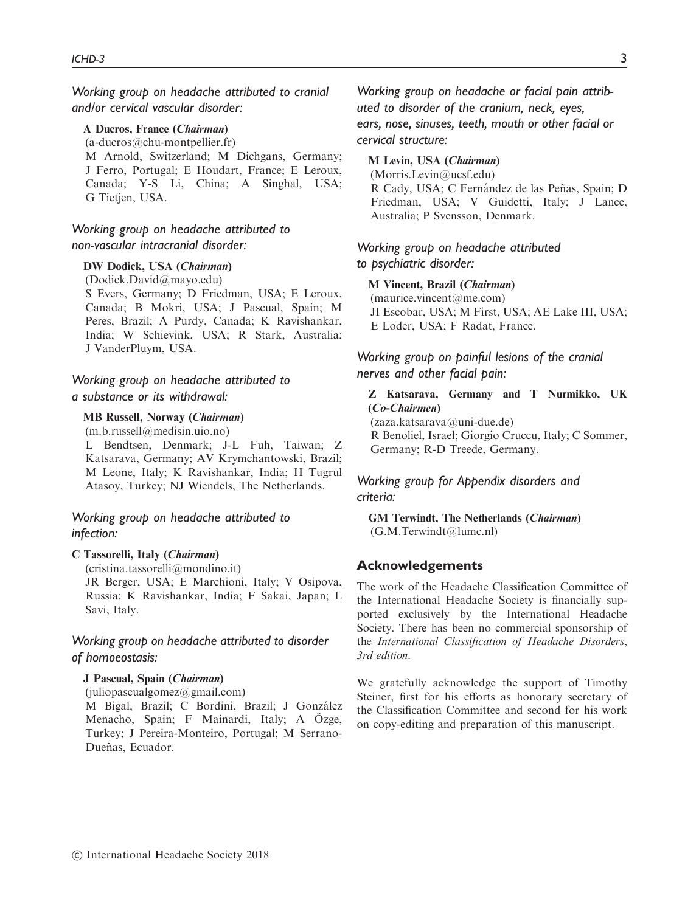Working group on headache attributed to cranial and/or cervical vascular disorder:

### A Ducros, France (Chairman)

 $(a$ -ducros $@$ chu-montpellier.fr) M Arnold, Switzerland; M Dichgans, Germany; J Ferro, Portugal; E Houdart, France; E Leroux, Canada; Y-S Li, China; A Singhal, USA; G Tietjen, USA.

### Working group on headache attributed to non-vascular intracranial disorder:

### DW Dodick, USA (Chairman)

(Dodick.David@mayo.edu) S Evers, Germany; D Friedman, USA; E Leroux, Canada; B Mokri, USA; J Pascual, Spain; M Peres, Brazil; A Purdy, Canada; K Ravishankar, India; W Schievink, USA; R Stark, Australia; J VanderPluym, USA.

### Working group on headache attributed to a substance or its withdrawal:

### MB Russell, Norway (Chairman)

(m.b.russell@medisin.uio.no)

L Bendtsen, Denmark; J-L Fuh, Taiwan; Z Katsarava, Germany; AV Krymchantowski, Brazil; M Leone, Italy; K Ravishankar, India; H Tugrul Atasoy, Turkey; NJ Wiendels, The Netherlands.

### Working group on headache attributed to infection:

### C Tassorelli, Italy (Chairman)

(cristina.tassorelli@mondino.it)

JR Berger, USA; E Marchioni, Italy; V Osipova, Russia; K Ravishankar, India; F Sakai, Japan; L Savi, Italy.

### Working group on headache attributed to disorder of homoeostasis:

### J Pascual, Spain (Chairman)

Dueñas, Ecuador.

 $(iuliopascualgamez@gmail.com)$ M Bigal, Brazil; C Bordini, Brazil; J González Menacho, Spain; F Mainardi, Italy; A Özge, Turkey; J Pereira-Monteiro, Portugal; M Serrano-

Working group on headache or facial pain attributed to disorder of the cranium, neck, eyes, ears, nose, sinuses, teeth, mouth or other facial or cervical structure:

#### M Levin, USA (Chairman)

(Morris.Levin@ucsf.edu) R Cady, USA; C Fernández de las Peñas, Spain; D Friedman, USA; V Guidetti, Italy; J Lance, Australia; P Svensson, Denmark.

### Working group on headache attributed to psychiatric disorder:

M Vincent, Brazil (Chairman)  $(maurice.vincent@me.com)$ JI Escobar, USA; M First, USA; AE Lake III, USA; E Loder, USA; F Radat, France.

Working group on painful lesions of the cranial nerves and other facial pain:

Z Katsarava, Germany and T Nurmikko, UK (Co-Chairmen) (zaza.katsarava@uni-due.de)

R Benoliel, Israel; Giorgio Cruccu, Italy; C Sommer, Germany; R-D Treede, Germany.

### Working group for Appendix disorders and criteria:

GM Terwindt, The Netherlands (Chairman) (G.M.Terwindt@lumc.nl)

### Acknowledgements

The work of the Headache Classification Committee of the International Headache Society is financially supported exclusively by the International Headache Society. There has been no commercial sponsorship of the International Classification of Headache Disorders, 3rd edition.

We gratefully acknowledge the support of Timothy Steiner, first for his efforts as honorary secretary of the Classification Committee and second for his work on copy-editing and preparation of this manuscript.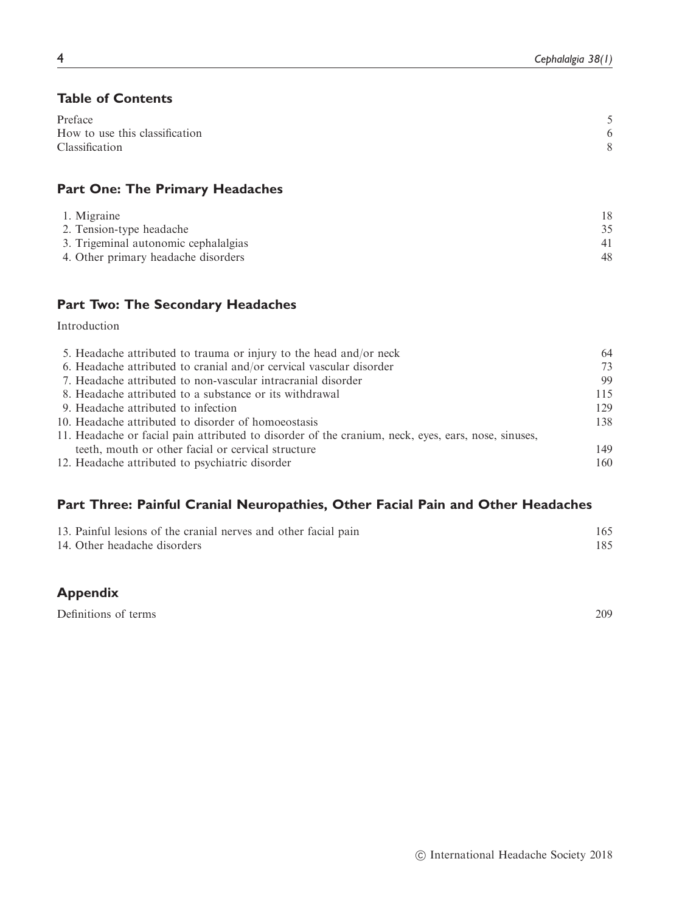## Table of Contents

| Preface                        |  |
|--------------------------------|--|
| How to use this classification |  |
| Classification                 |  |

## Part One: The Primary Headaches

| 1. Migraine                          |    |
|--------------------------------------|----|
| 2. Tension-type headache             |    |
| 3. Trigeminal autonomic cephalalgias | 41 |
| 4. Other primary headache disorders  | 48 |

## Part Two: The Secondary Headaches

Introduction

| 5. Headache attributed to trauma or injury to the head and/or neck                                  | 64  |
|-----------------------------------------------------------------------------------------------------|-----|
| 6. Headache attributed to cranial and/or cervical vascular disorder                                 | 73  |
| 7. Headache attributed to non-vascular intracranial disorder                                        | 99  |
| 8. Headache attributed to a substance or its withdrawal                                             | 115 |
| 9. Headache attributed to infection                                                                 | 129 |
| 10. Headache attributed to disorder of homoeostasis                                                 | 138 |
| 11. Headache or facial pain attributed to disorder of the cranium, neck, eyes, ears, nose, sinuses, |     |
| teeth, mouth or other facial or cervical structure                                                  | 149 |
| 12. Headache attributed to psychiatric disorder                                                     | 160 |

## Part Three: Painful Cranial Neuropathies, Other Facial Pain and Other Headaches

| 13. Painful lesions of the cranial nerves and other facial pain |     |
|-----------------------------------------------------------------|-----|
| 14. Other headache disorders                                    | 185 |

## Appendix

Definitions of terms 209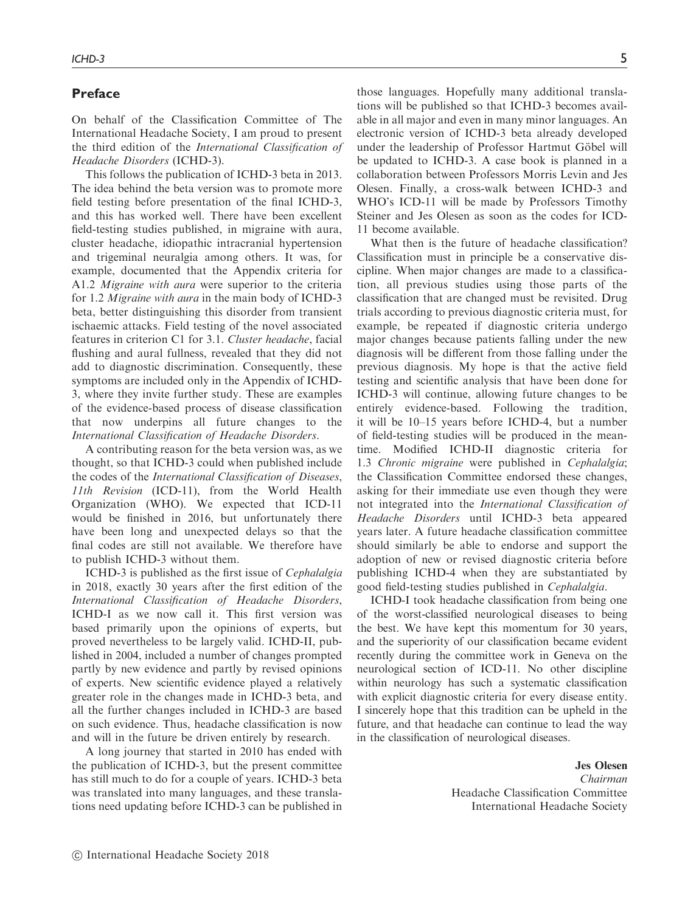### Preface

On behalf of the Classification Committee of The International Headache Society, I am proud to present the third edition of the International Classification of Headache Disorders (ICHD-3).

This follows the publication of ICHD-3 beta in 2013. The idea behind the beta version was to promote more field testing before presentation of the final ICHD-3, and this has worked well. There have been excellent field-testing studies published, in migraine with aura, cluster headache, idiopathic intracranial hypertension and trigeminal neuralgia among others. It was, for example, documented that the Appendix criteria for A1.2 Migraine with aura were superior to the criteria for 1.2 Migraine with aura in the main body of ICHD-3 beta, better distinguishing this disorder from transient ischaemic attacks. Field testing of the novel associated features in criterion C1 for 3.1. Cluster headache, facial flushing and aural fullness, revealed that they did not add to diagnostic discrimination. Consequently, these symptoms are included only in the Appendix of ICHD-3, where they invite further study. These are examples of the evidence-based process of disease classification that now underpins all future changes to the International Classification of Headache Disorders.

A contributing reason for the beta version was, as we thought, so that ICHD-3 could when published include the codes of the International Classification of Diseases, 11th Revision (ICD-11), from the World Health Organization (WHO). We expected that ICD-11 would be finished in 2016, but unfortunately there have been long and unexpected delays so that the final codes are still not available. We therefore have to publish ICHD-3 without them.

ICHD-3 is published as the first issue of Cephalalgia in 2018, exactly 30 years after the first edition of the International Classification of Headache Disorders, ICHD-I as we now call it. This first version was based primarily upon the opinions of experts, but proved nevertheless to be largely valid. ICHD-II, published in 2004, included a number of changes prompted partly by new evidence and partly by revised opinions of experts. New scientific evidence played a relatively greater role in the changes made in ICHD-3 beta, and all the further changes included in ICHD-3 are based on such evidence. Thus, headache classification is now and will in the future be driven entirely by research.

A long journey that started in 2010 has ended with the publication of ICHD-3, but the present committee has still much to do for a couple of years. ICHD-3 beta was translated into many languages, and these translations need updating before ICHD-3 can be published in those languages. Hopefully many additional translations will be published so that ICHD-3 becomes available in all major and even in many minor languages. An electronic version of ICHD-3 beta already developed under the leadership of Professor Hartmut Göbel will be updated to ICHD-3. A case book is planned in a collaboration between Professors Morris Levin and Jes Olesen. Finally, a cross-walk between ICHD-3 and WHO's ICD-11 will be made by Professors Timothy Steiner and Jes Olesen as soon as the codes for ICD-11 become available.

What then is the future of headache classification? Classification must in principle be a conservative discipline. When major changes are made to a classification, all previous studies using those parts of the classification that are changed must be revisited. Drug trials according to previous diagnostic criteria must, for example, be repeated if diagnostic criteria undergo major changes because patients falling under the new diagnosis will be different from those falling under the previous diagnosis. My hope is that the active field testing and scientific analysis that have been done for ICHD-3 will continue, allowing future changes to be entirely evidence-based. Following the tradition, it will be 10–15 years before ICHD-4, but a number of field-testing studies will be produced in the meantime. Modified ICHD-II diagnostic criteria for 1.3 Chronic migraine were published in Cephalalgia; the Classification Committee endorsed these changes, asking for their immediate use even though they were not integrated into the International Classification of Headache Disorders until ICHD-3 beta appeared years later. A future headache classification committee should similarly be able to endorse and support the adoption of new or revised diagnostic criteria before publishing ICHD-4 when they are substantiated by good field-testing studies published in Cephalalgia.

ICHD-I took headache classification from being one of the worst-classified neurological diseases to being the best. We have kept this momentum for 30 years, and the superiority of our classification became evident recently during the committee work in Geneva on the neurological section of ICD-11. No other discipline within neurology has such a systematic classification with explicit diagnostic criteria for every disease entity. I sincerely hope that this tradition can be upheld in the future, and that headache can continue to lead the way in the classification of neurological diseases.

### Jes Olesen

Chairman Headache Classification Committee International Headache Society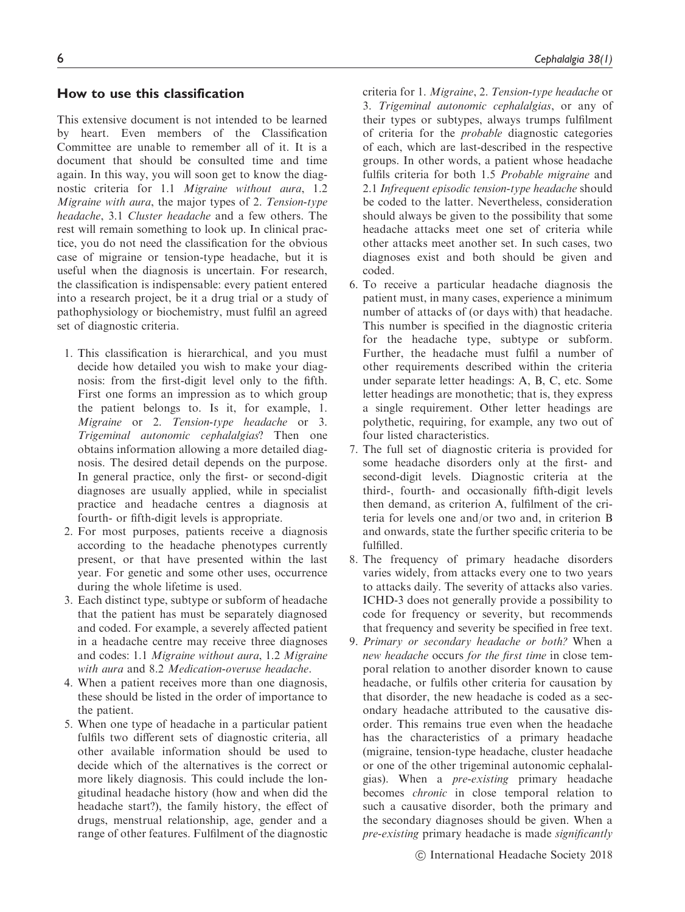### How to use this classification

This extensive document is not intended to be learned by heart. Even members of the Classification Committee are unable to remember all of it. It is a document that should be consulted time and time again. In this way, you will soon get to know the diagnostic criteria for 1.1 Migraine without aura, 1.2 Migraine with aura, the major types of 2. Tension-type headache, 3.1 Cluster headache and a few others. The rest will remain something to look up. In clinical practice, you do not need the classification for the obvious case of migraine or tension-type headache, but it is useful when the diagnosis is uncertain. For research, the classification is indispensable: every patient entered into a research project, be it a drug trial or a study of pathophysiology or biochemistry, must fulfil an agreed set of diagnostic criteria.

- 1. This classification is hierarchical, and you must decide how detailed you wish to make your diagnosis: from the first-digit level only to the fifth. First one forms an impression as to which group the patient belongs to. Is it, for example, 1. Migraine or 2. Tension-type headache or 3. Trigeminal autonomic cephalalgias? Then one obtains information allowing a more detailed diagnosis. The desired detail depends on the purpose. In general practice, only the first- or second-digit diagnoses are usually applied, while in specialist practice and headache centres a diagnosis at fourth- or fifth-digit levels is appropriate.
- 2. For most purposes, patients receive a diagnosis according to the headache phenotypes currently present, or that have presented within the last year. For genetic and some other uses, occurrence during the whole lifetime is used.
- 3. Each distinct type, subtype or subform of headache that the patient has must be separately diagnosed and coded. For example, a severely affected patient in a headache centre may receive three diagnoses and codes: 1.1 Migraine without aura, 1.2 Migraine with aura and 8.2 Medication-overuse headache.
- 4. When a patient receives more than one diagnosis, these should be listed in the order of importance to the patient.
- 5. When one type of headache in a particular patient fulfils two different sets of diagnostic criteria, all other available information should be used to decide which of the alternatives is the correct or more likely diagnosis. This could include the longitudinal headache history (how and when did the headache start?), the family history, the effect of drugs, menstrual relationship, age, gender and a range of other features. Fulfilment of the diagnostic

criteria for 1. Migraine, 2. Tension-type headache or 3. Trigeminal autonomic cephalalgias, or any of their types or subtypes, always trumps fulfilment of criteria for the probable diagnostic categories of each, which are last-described in the respective groups. In other words, a patient whose headache fulfils criteria for both 1.5 Probable migraine and 2.1 Infrequent episodic tension-type headache should be coded to the latter. Nevertheless, consideration should always be given to the possibility that some headache attacks meet one set of criteria while other attacks meet another set. In such cases, two diagnoses exist and both should be given and coded.

- 6. To receive a particular headache diagnosis the patient must, in many cases, experience a minimum number of attacks of (or days with) that headache. This number is specified in the diagnostic criteria for the headache type, subtype or subform. Further, the headache must fulfil a number of other requirements described within the criteria under separate letter headings: A, B, C, etc. Some letter headings are monothetic; that is, they express a single requirement. Other letter headings are polythetic, requiring, for example, any two out of four listed characteristics.
- 7. The full set of diagnostic criteria is provided for some headache disorders only at the first- and second-digit levels. Diagnostic criteria at the third-, fourth- and occasionally fifth-digit levels then demand, as criterion A, fulfilment of the criteria for levels one and/or two and, in criterion B and onwards, state the further specific criteria to be fulfilled.
- 8. The frequency of primary headache disorders varies widely, from attacks every one to two years to attacks daily. The severity of attacks also varies. ICHD-3 does not generally provide a possibility to code for frequency or severity, but recommends that frequency and severity be specified in free text.
- 9. Primary or secondary headache or both? When a new headache occurs for the first time in close temporal relation to another disorder known to cause headache, or fulfils other criteria for causation by that disorder, the new headache is coded as a secondary headache attributed to the causative disorder. This remains true even when the headache has the characteristics of a primary headache (migraine, tension-type headache, cluster headache or one of the other trigeminal autonomic cephalalgias). When a pre-existing primary headache becomes chronic in close temporal relation to such a causative disorder, both the primary and the secondary diagnoses should be given. When a pre-existing primary headache is made significantly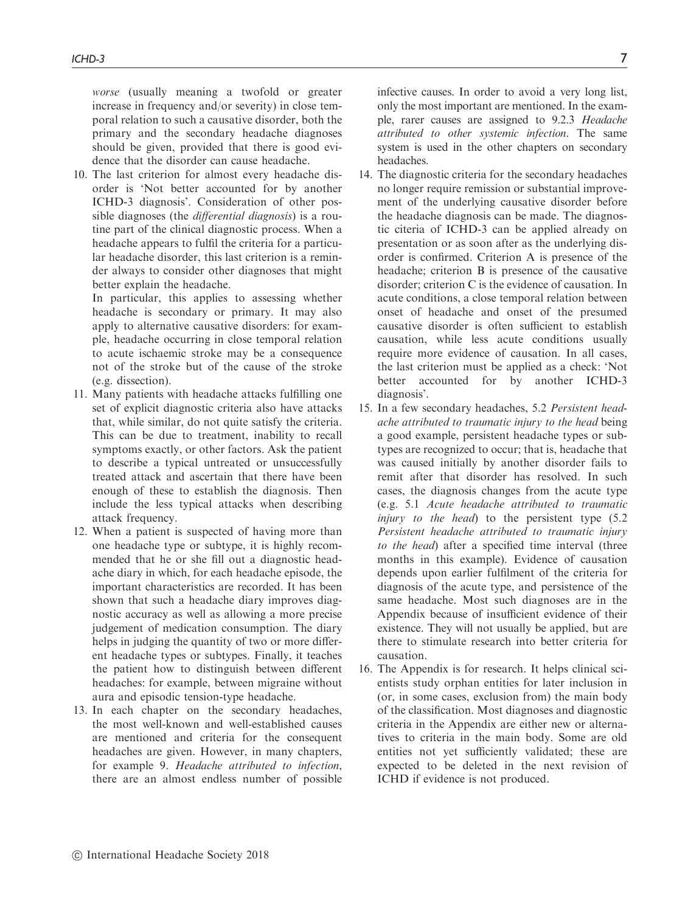worse (usually meaning a twofold or greater increase in frequency and/or severity) in close temporal relation to such a causative disorder, both the primary and the secondary headache diagnoses should be given, provided that there is good evidence that the disorder can cause headache.

10. The last criterion for almost every headache disorder is 'Not better accounted for by another ICHD-3 diagnosis'. Consideration of other possible diagnoses (the differential diagnosis) is a routine part of the clinical diagnostic process. When a headache appears to fulfil the criteria for a particular headache disorder, this last criterion is a reminder always to consider other diagnoses that might better explain the headache.

In particular, this applies to assessing whether headache is secondary or primary. It may also apply to alternative causative disorders: for example, headache occurring in close temporal relation to acute ischaemic stroke may be a consequence not of the stroke but of the cause of the stroke (e.g. dissection).

- 11. Many patients with headache attacks fulfilling one set of explicit diagnostic criteria also have attacks that, while similar, do not quite satisfy the criteria. This can be due to treatment, inability to recall symptoms exactly, or other factors. Ask the patient to describe a typical untreated or unsuccessfully treated attack and ascertain that there have been enough of these to establish the diagnosis. Then include the less typical attacks when describing attack frequency.
- 12. When a patient is suspected of having more than one headache type or subtype, it is highly recommended that he or she fill out a diagnostic headache diary in which, for each headache episode, the important characteristics are recorded. It has been shown that such a headache diary improves diagnostic accuracy as well as allowing a more precise judgement of medication consumption. The diary helps in judging the quantity of two or more different headache types or subtypes. Finally, it teaches the patient how to distinguish between different headaches: for example, between migraine without aura and episodic tension-type headache.
- 13. In each chapter on the secondary headaches, the most well-known and well-established causes are mentioned and criteria for the consequent headaches are given. However, in many chapters, for example 9. Headache attributed to infection, there are an almost endless number of possible

infective causes. In order to avoid a very long list, only the most important are mentioned. In the example, rarer causes are assigned to 9.2.3 Headache attributed to other systemic infection. The same system is used in the other chapters on secondary headaches.

- 14. The diagnostic criteria for the secondary headaches no longer require remission or substantial improvement of the underlying causative disorder before the headache diagnosis can be made. The diagnostic citeria of ICHD-3 can be applied already on presentation or as soon after as the underlying disorder is confirmed. Criterion A is presence of the headache; criterion B is presence of the causative disorder; criterion C is the evidence of causation. In acute conditions, a close temporal relation between onset of headache and onset of the presumed causative disorder is often sufficient to establish causation, while less acute conditions usually require more evidence of causation. In all cases, the last criterion must be applied as a check: 'Not better accounted for by another ICHD-3 diagnosis'.
- 15. In a few secondary headaches, 5.2 Persistent headache attributed to traumatic injury to the head being a good example, persistent headache types or subtypes are recognized to occur; that is, headache that was caused initially by another disorder fails to remit after that disorder has resolved. In such cases, the diagnosis changes from the acute type (e.g. 5.1 Acute headache attributed to traumatic injury to the head) to the persistent type  $(5.2)$ Persistent headache attributed to traumatic injury to the head) after a specified time interval (three months in this example). Evidence of causation depends upon earlier fulfilment of the criteria for diagnosis of the acute type, and persistence of the same headache. Most such diagnoses are in the Appendix because of insufficient evidence of their existence. They will not usually be applied, but are there to stimulate research into better criteria for causation.
- 16. The Appendix is for research. It helps clinical scientists study orphan entities for later inclusion in (or, in some cases, exclusion from) the main body of the classification. Most diagnoses and diagnostic criteria in the Appendix are either new or alternatives to criteria in the main body. Some are old entities not yet sufficiently validated; these are expected to be deleted in the next revision of ICHD if evidence is not produced.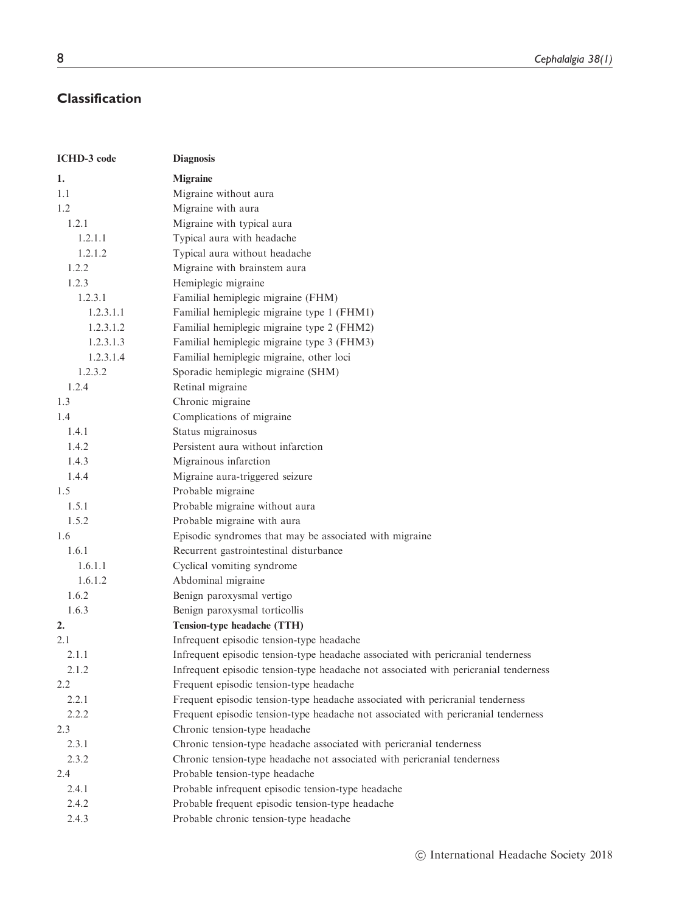## Classification

| ICHD-3 code | <b>Diagnosis</b>                                                                     |
|-------------|--------------------------------------------------------------------------------------|
| 1.          | <b>Migraine</b>                                                                      |
| 1.1         | Migraine without aura                                                                |
| 1.2         | Migraine with aura                                                                   |
| 1.2.1       | Migraine with typical aura                                                           |
| 1.2.1.1     | Typical aura with headache                                                           |
| 1.2.1.2     | Typical aura without headache                                                        |
| 1.2.2       | Migraine with brainstem aura                                                         |
| 1.2.3       | Hemiplegic migraine                                                                  |
| 1.2.3.1     | Familial hemiplegic migraine (FHM)                                                   |
| 1.2.3.1.1   | Familial hemiplegic migraine type 1 (FHM1)                                           |
| 1.2.3.1.2   | Familial hemiplegic migraine type 2 (FHM2)                                           |
| 1.2.3.1.3   | Familial hemiplegic migraine type 3 (FHM3)                                           |
| 1.2.3.1.4   | Familial hemiplegic migraine, other loci                                             |
| 1.2.3.2     | Sporadic hemiplegic migraine (SHM)                                                   |
| 1.2.4       | Retinal migraine                                                                     |
| 1.3         | Chronic migraine                                                                     |
| 1.4         | Complications of migraine                                                            |
| 1.4.1       | Status migrainosus                                                                   |
| 1.4.2       | Persistent aura without infarction                                                   |
| 1.4.3       | Migrainous infarction                                                                |
| 1.4.4       | Migraine aura-triggered seizure                                                      |
| 1.5         | Probable migraine                                                                    |
| 1.5.1       | Probable migraine without aura                                                       |
| 1.5.2       | Probable migraine with aura                                                          |
| 1.6         | Episodic syndromes that may be associated with migraine                              |
| 1.6.1       | Recurrent gastrointestinal disturbance                                               |
| 1.6.1.1     | Cyclical vomiting syndrome                                                           |
| 1.6.1.2     | Abdominal migraine                                                                   |
| 1.6.2       | Benign paroxysmal vertigo                                                            |
| 1.6.3       | Benign paroxysmal torticollis                                                        |
| 2.          | Tension-type headache (TTH)                                                          |
| 2.1         | Infrequent episodic tension-type headache                                            |
| 2.1.1       | Infrequent episodic tension-type headache associated with pericranial tenderness     |
| 2.1.2       | Infrequent episodic tension-type headache not associated with pericranial tenderness |
| 2.2         | Frequent episodic tension-type headache                                              |
| 2.2.1       | Frequent episodic tension-type headache associated with pericranial tenderness       |
| 2.2.2       | Frequent episodic tension-type headache not associated with pericranial tenderness   |
| 2.3         | Chronic tension-type headache                                                        |
| 2.3.1       | Chronic tension-type headache associated with pericranial tenderness                 |
| 2.3.2       | Chronic tension-type headache not associated with pericranial tenderness             |
| 2.4         | Probable tension-type headache                                                       |
| 2.4.1       | Probable infrequent episodic tension-type headache                                   |
| 2.4.2       | Probable frequent episodic tension-type headache                                     |
| 2.4.3       | Probable chronic tension-type headache                                               |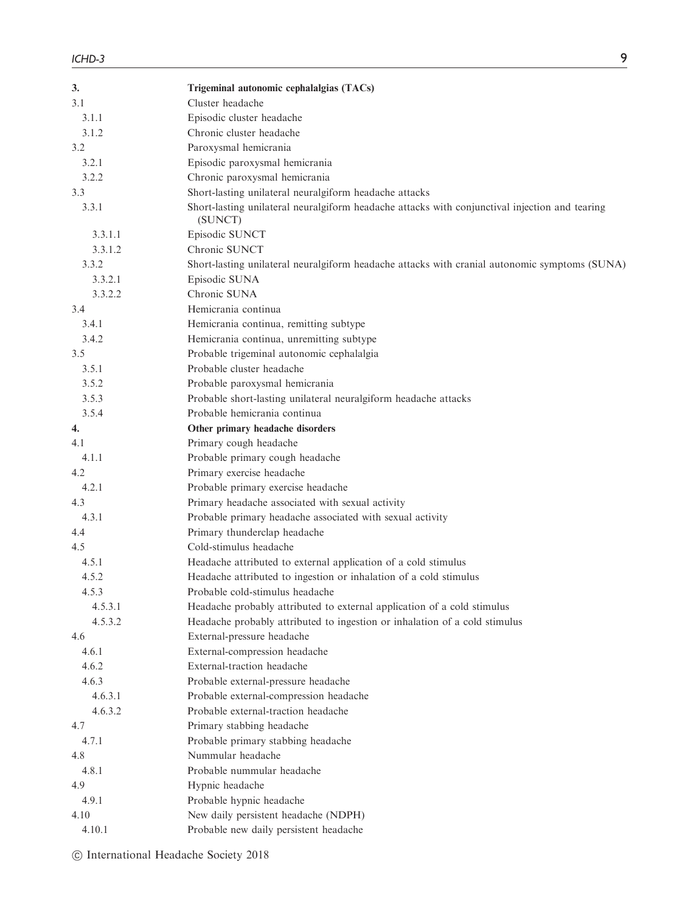| 3.      | Trigeminal autonomic cephalalgias (TACs)                                                                  |
|---------|-----------------------------------------------------------------------------------------------------------|
| 3.1     | Cluster headache                                                                                          |
| 3.1.1   | Episodic cluster headache                                                                                 |
| 3.1.2   | Chronic cluster headache                                                                                  |
| 3.2     | Paroxysmal hemicrania                                                                                     |
| 3.2.1   | Episodic paroxysmal hemicrania                                                                            |
| 3.2.2   | Chronic paroxysmal hemicrania                                                                             |
| 3.3     | Short-lasting unilateral neuralgiform headache attacks                                                    |
| 3.3.1   | Short-lasting unilateral neuralgiform headache attacks with conjunctival injection and tearing<br>(SUNCT) |
| 3.3.1.1 | Episodic SUNCT                                                                                            |
| 3.3.1.2 | Chronic SUNCT                                                                                             |
| 3.3.2   | Short-lasting unilateral neuralgiform headache attacks with cranial autonomic symptoms (SUNA)             |
| 3.3.2.1 | Episodic SUNA                                                                                             |
| 3.3.2.2 | Chronic SUNA                                                                                              |
| 3.4     | Hemicrania continua                                                                                       |
| 3.4.1   | Hemicrania continua, remitting subtype                                                                    |
| 3.4.2   | Hemicrania continua, unremitting subtype                                                                  |
| 3.5     | Probable trigeminal autonomic cephalalgia                                                                 |
| 3.5.1   | Probable cluster headache                                                                                 |
| 3.5.2   | Probable paroxysmal hemicrania                                                                            |
| 3.5.3   | Probable short-lasting unilateral neuralgiform headache attacks                                           |
| 3.5.4   | Probable hemicrania continua                                                                              |
| 4.      | Other primary headache disorders                                                                          |
| 4.1     | Primary cough headache                                                                                    |
| 4.1.1   | Probable primary cough headache                                                                           |
| 4.2     | Primary exercise headache                                                                                 |
| 4.2.1   | Probable primary exercise headache                                                                        |
| 4.3     | Primary headache associated with sexual activity                                                          |
| 4.3.1   |                                                                                                           |
|         | Probable primary headache associated with sexual activity                                                 |
| 4.4     | Primary thunderclap headache<br>Cold-stimulus headache                                                    |
| 4.5     |                                                                                                           |
| 4.5.1   | Headache attributed to external application of a cold stimulus                                            |
| 4.5.2   | Headache attributed to ingestion or inhalation of a cold stimulus                                         |
| 4.5.3   | Probable cold-stimulus headache                                                                           |
| 4.5.3.1 | Headache probably attributed to external application of a cold stimulus                                   |
| 4.5.3.2 | Headache probably attributed to ingestion or inhalation of a cold stimulus                                |
| 4.6     | External-pressure headache                                                                                |
| 4.6.1   | External-compression headache                                                                             |
| 4.6.2   | External-traction headache                                                                                |
| 4.6.3   | Probable external-pressure headache                                                                       |
| 4.6.3.1 | Probable external-compression headache                                                                    |
| 4.6.3.2 | Probable external-traction headache                                                                       |
| 4.7     | Primary stabbing headache                                                                                 |
| 4.7.1   | Probable primary stabbing headache                                                                        |
| 4.8     | Nummular headache                                                                                         |
| 4.8.1   | Probable nummular headache                                                                                |
| 4.9     | Hypnic headache                                                                                           |
| 4.9.1   | Probable hypnic headache                                                                                  |
| 4.10    | New daily persistent headache (NDPH)                                                                      |
| 4.10.1  | Probable new daily persistent headache                                                                    |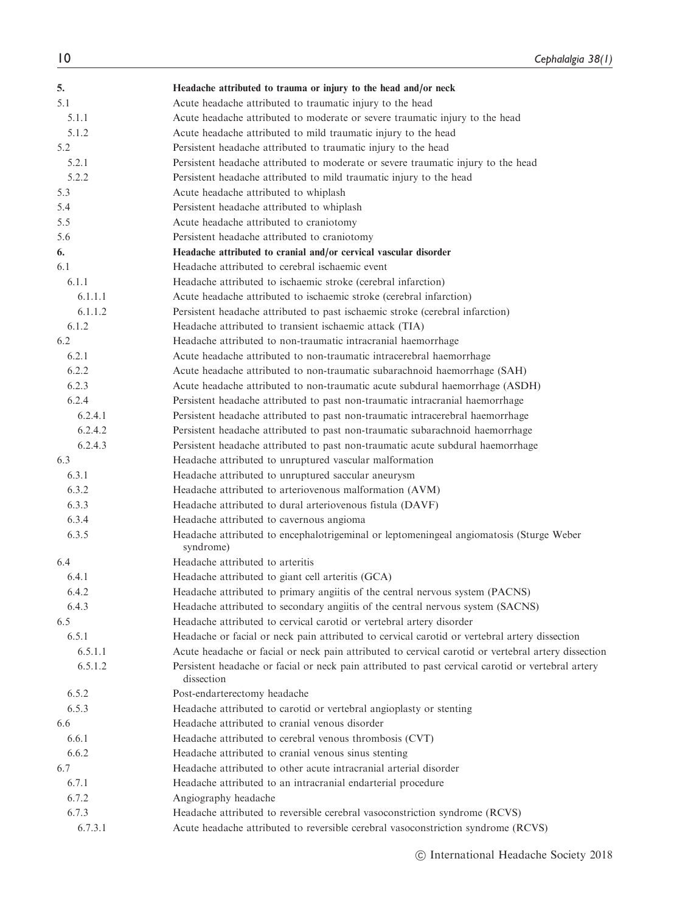| 5.      | Headache attributed to trauma or injury to the head and/or neck                                                  |
|---------|------------------------------------------------------------------------------------------------------------------|
| 5.1     | Acute headache attributed to traumatic injury to the head                                                        |
| 5.1.1   | Acute headache attributed to moderate or severe traumatic injury to the head                                     |
| 5.1.2   | Acute headache attributed to mild traumatic injury to the head                                                   |
| 5.2     | Persistent headache attributed to traumatic injury to the head                                                   |
| 5.2.1   | Persistent headache attributed to moderate or severe traumatic injury to the head                                |
| 5.2.2   | Persistent headache attributed to mild traumatic injury to the head                                              |
| 5.3     | Acute headache attributed to whiplash                                                                            |
| 5.4     | Persistent headache attributed to whiplash                                                                       |
| 5.5     | Acute headache attributed to craniotomy                                                                          |
| 5.6     | Persistent headache attributed to craniotomy                                                                     |
| 6.      | Headache attributed to cranial and/or cervical vascular disorder                                                 |
| 6.1     | Headache attributed to cerebral ischaemic event                                                                  |
| 6.1.1   | Headache attributed to ischaemic stroke (cerebral infarction)                                                    |
| 6.1.1.1 | Acute headache attributed to ischaemic stroke (cerebral infarction)                                              |
| 6.1.1.2 | Persistent headache attributed to past ischaemic stroke (cerebral infarction)                                    |
| 6.1.2   | Headache attributed to transient ischaemic attack (TIA)                                                          |
| 6.2     | Headache attributed to non-traumatic intracranial haemorrhage                                                    |
| 6.2.1   | Acute headache attributed to non-traumatic intracerebral haemorrhage                                             |
| 6.2.2   | Acute headache attributed to non-traumatic subarachnoid haemorrhage (SAH)                                        |
| 6.2.3   | Acute headache attributed to non-traumatic acute subdural haemorrhage (ASDH)                                     |
| 6.2.4   | Persistent headache attributed to past non-traumatic intracranial haemorrhage                                    |
| 6.2.4.1 | Persistent headache attributed to past non-traumatic intracerebral haemorrhage                                   |
| 6.2.4.2 | Persistent headache attributed to past non-traumatic subarachnoid haemorrhage                                    |
| 6.2.4.3 | Persistent headache attributed to past non-traumatic acute subdural haemorrhage                                  |
| 6.3     | Headache attributed to unruptured vascular malformation                                                          |
| 6.3.1   | Headache attributed to unruptured saccular aneurysm                                                              |
| 6.3.2   | Headache attributed to arteriovenous malformation (AVM)                                                          |
| 6.3.3   | Headache attributed to dural arteriovenous fistula (DAVF)                                                        |
| 6.3.4   | Headache attributed to cavernous angioma                                                                         |
| 6.3.5   | Headache attributed to encephalotrigeminal or leptomeningeal angiomatosis (Sturge Weber<br>syndrome)             |
| 6.4     | Headache attributed to arteritis                                                                                 |
| 6.4.1   | Headache attributed to giant cell arteritis (GCA)                                                                |
| 6.4.2   | Headache attributed to primary angiitis of the central nervous system (PACNS)                                    |
| 6.4.3   | Headache attributed to secondary angiitis of the central nervous system (SACNS)                                  |
| 6.5     | Headache attributed to cervical carotid or vertebral artery disorder                                             |
| 6.5.1   | Headache or facial or neck pain attributed to cervical carotid or vertebral artery dissection                    |
| 6.5.1.1 | Acute headache or facial or neck pain attributed to cervical carotid or vertebral artery dissection              |
| 6.5.1.2 | Persistent headache or facial or neck pain attributed to past cervical carotid or vertebral artery<br>dissection |
| 6.5.2   | Post-endarterectomy headache                                                                                     |
| 6.5.3   | Headache attributed to carotid or vertebral angioplasty or stenting                                              |
| 6.6     | Headache attributed to cranial venous disorder                                                                   |
| 6.6.1   | Headache attributed to cerebral venous thrombosis (CVT)                                                          |
| 6.6.2   | Headache attributed to cranial venous sinus stenting                                                             |
| 6.7     | Headache attributed to other acute intracranial arterial disorder                                                |
| 6.7.1   | Headache attributed to an intracranial endarterial procedure                                                     |
| 6.7.2   | Angiography headache                                                                                             |
| 6.7.3   | Headache attributed to reversible cerebral vasoconstriction syndrome (RCVS)                                      |
| 6.7.3.1 | Acute headache attributed to reversible cerebral vasoconstriction syndrome (RCVS)                                |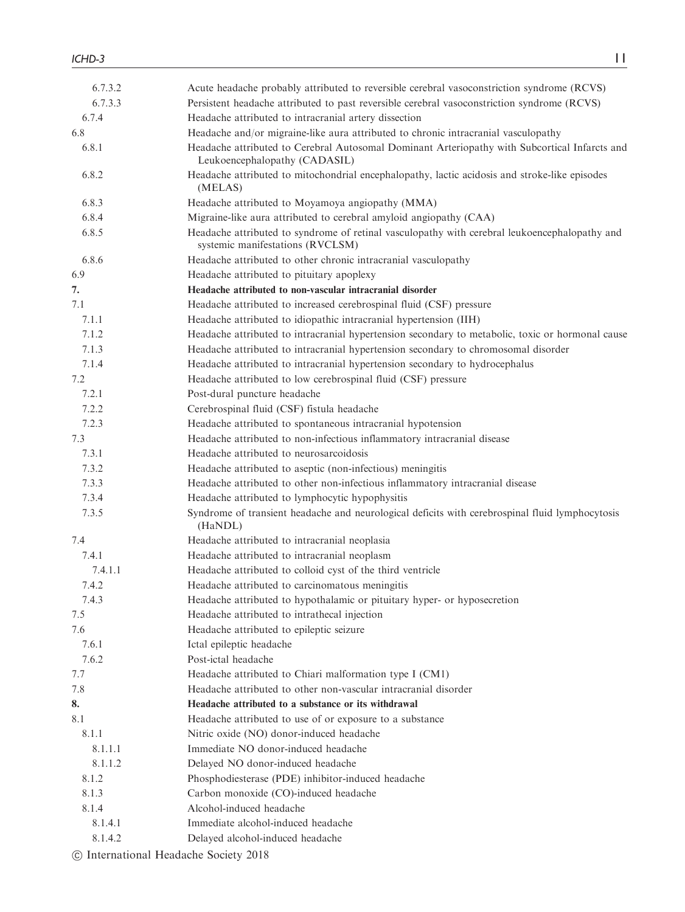| 6.7.3.2 | Acute headache probably attributed to reversible cerebral vasoconstriction syndrome (RCVS)                                        |
|---------|-----------------------------------------------------------------------------------------------------------------------------------|
| 6.7.3.3 | Persistent headache attributed to past reversible cerebral vasoconstriction syndrome (RCVS)                                       |
| 6.7.4   | Headache attributed to intracranial artery dissection                                                                             |
| 6.8     | Headache and/or migraine-like aura attributed to chronic intracranial vasculopathy                                                |
| 6.8.1   | Headache attributed to Cerebral Autosomal Dominant Arteriopathy with Subcortical Infarcts and<br>Leukoencephalopathy (CADASIL)    |
| 6.8.2   | Headache attributed to mitochondrial encephalopathy, lactic acidosis and stroke-like episodes<br>(MELAS)                          |
| 6.8.3   | Headache attributed to Moyamoya angiopathy (MMA)                                                                                  |
| 6.8.4   | Migraine-like aura attributed to cerebral amyloid angiopathy (CAA)                                                                |
| 6.8.5   | Headache attributed to syndrome of retinal vasculopathy with cerebral leukoencephalopathy and<br>systemic manifestations (RVCLSM) |
| 6.8.6   | Headache attributed to other chronic intracranial vasculopathy                                                                    |
| 6.9     | Headache attributed to pituitary apoplexy                                                                                         |
| 7.      | Headache attributed to non-vascular intracranial disorder                                                                         |
| 7.1     | Headache attributed to increased cerebrospinal fluid (CSF) pressure                                                               |
| 7.1.1   | Headache attributed to idiopathic intracranial hypertension (IIH)                                                                 |
| 7.1.2   | Headache attributed to intracranial hypertension secondary to metabolic, toxic or hormonal cause                                  |
| 7.1.3   | Headache attributed to intracranial hypertension secondary to chromosomal disorder                                                |
| 7.1.4   | Headache attributed to intracranial hypertension secondary to hydrocephalus                                                       |
| 7.2     | Headache attributed to low cerebrospinal fluid (CSF) pressure                                                                     |
| 7.2.1   | Post-dural puncture headache                                                                                                      |
| 7.2.2   | Cerebrospinal fluid (CSF) fistula headache                                                                                        |
| 7.2.3   | Headache attributed to spontaneous intracranial hypotension                                                                       |
| 7.3     | Headache attributed to non-infectious inflammatory intracranial disease                                                           |
| 7.3.1   | Headache attributed to neurosarcoidosis                                                                                           |
| 7.3.2   | Headache attributed to aseptic (non-infectious) meningitis                                                                        |
| 7.3.3   | Headache attributed to other non-infectious inflammatory intracranial disease                                                     |
| 7.3.4   | Headache attributed to lymphocytic hypophysitis                                                                                   |
| 7.3.5   | Syndrome of transient headache and neurological deficits with cerebrospinal fluid lymphocytosis<br>(HaNDL)                        |
| 7.4     | Headache attributed to intracranial neoplasia                                                                                     |
| 7.4.1   | Headache attributed to intracranial neoplasm                                                                                      |
| 7.4.1.1 | Headache attributed to colloid cyst of the third ventricle                                                                        |
| 7.4.2   | Headache attributed to carcinomatous meningitis                                                                                   |
| 7.4.3   | Headache attributed to hypothalamic or pituitary hyper- or hyposecretion                                                          |
| 7.5     | Headache attributed to intrathecal injection                                                                                      |
| 7.6     | Headache attributed to epileptic seizure                                                                                          |
| 7.6.1   | Ictal epileptic headache                                                                                                          |
| 7.6.2   | Post-ictal headache                                                                                                               |
| 7.7     | Headache attributed to Chiari malformation type I (CM1)                                                                           |
| 7.8     | Headache attributed to other non-vascular intracranial disorder                                                                   |
| 8.      | Headache attributed to a substance or its withdrawal                                                                              |
| 8.1     | Headache attributed to use of or exposure to a substance                                                                          |
| 8.1.1   | Nitric oxide (NO) donor-induced headache                                                                                          |
| 8.1.1.1 | Immediate NO donor-induced headache                                                                                               |
| 8.1.1.2 | Delayed NO donor-induced headache                                                                                                 |
| 8.1.2   | Phosphodiesterase (PDE) inhibitor-induced headache                                                                                |
| 8.1.3   | Carbon monoxide (CO)-induced headache                                                                                             |
| 8.1.4   | Alcohol-induced headache                                                                                                          |
| 8.1.4.1 | Immediate alcohol-induced headache                                                                                                |
| 8.1.4.2 | Delayed alcohol-induced headache                                                                                                  |
|         |                                                                                                                                   |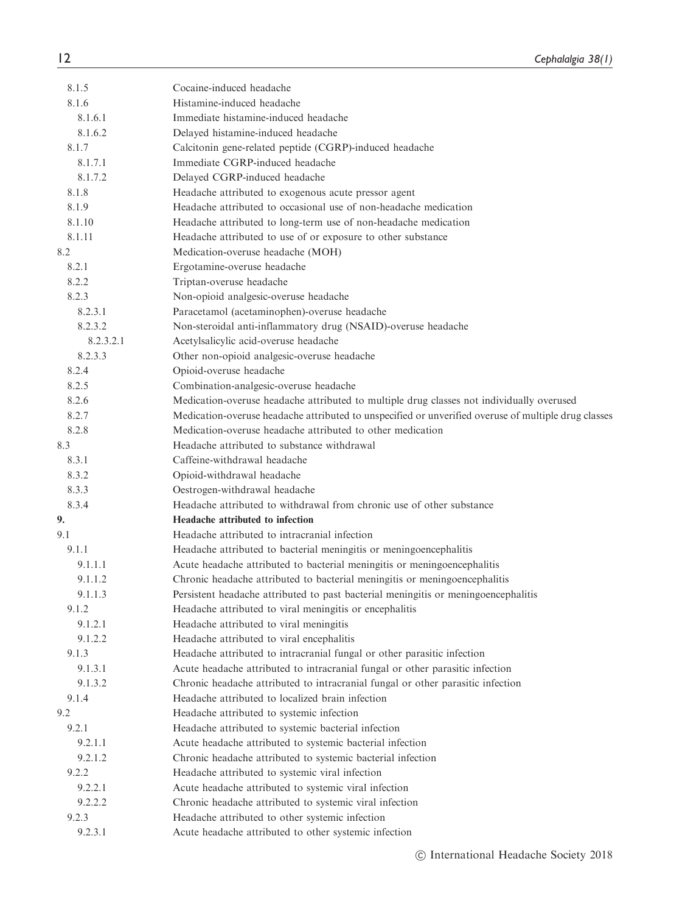| 8.1.5     | Cocaine-induced headache                                                                             |
|-----------|------------------------------------------------------------------------------------------------------|
| 8.1.6     | Histamine-induced headache                                                                           |
| 8.1.6.1   | Immediate histamine-induced headache                                                                 |
| 8.1.6.2   | Delayed histamine-induced headache                                                                   |
| 8.1.7     | Calcitonin gene-related peptide (CGRP)-induced headache                                              |
| 8.1.7.1   | Immediate CGRP-induced headache                                                                      |
| 8.1.7.2   | Delayed CGRP-induced headache                                                                        |
| 8.1.8     | Headache attributed to exogenous acute pressor agent                                                 |
| 8.1.9     | Headache attributed to occasional use of non-headache medication                                     |
| 8.1.10    | Headache attributed to long-term use of non-headache medication                                      |
| 8.1.11    | Headache attributed to use of or exposure to other substance                                         |
| 8.2       | Medication-overuse headache (MOH)                                                                    |
| 8.2.1     | Ergotamine-overuse headache                                                                          |
| 8.2.2     | Triptan-overuse headache                                                                             |
| 8.2.3     | Non-opioid analgesic-overuse headache                                                                |
| 8.2.3.1   | Paracetamol (acetaminophen)-overuse headache                                                         |
| 8.2.3.2   | Non-steroidal anti-inflammatory drug (NSAID)-overuse headache                                        |
| 8.2.3.2.1 | Acetylsalicylic acid-overuse headache                                                                |
| 8.2.3.3   | Other non-opioid analgesic-overuse headache                                                          |
| 8.2.4     | Opioid-overuse headache                                                                              |
| 8.2.5     | Combination-analgesic-overuse headache                                                               |
| 8.2.6     | Medication-overuse headache attributed to multiple drug classes not individually overused            |
| 8.2.7     | Medication-overuse headache attributed to unspecified or unverified overuse of multiple drug classes |
| 8.2.8     | Medication-overuse headache attributed to other medication                                           |
| 8.3       | Headache attributed to substance withdrawal                                                          |
| 8.3.1     | Caffeine-withdrawal headache                                                                         |
| 8.3.2     | Opioid-withdrawal headache                                                                           |
| 8.3.3     | Oestrogen-withdrawal headache                                                                        |
| 8.3.4     | Headache attributed to withdrawal from chronic use of other substance                                |
| 9.        | Headache attributed to infection                                                                     |
| 9.1       | Headache attributed to intracranial infection                                                        |
| 9.1.1     | Headache attributed to bacterial meningitis or meningoencephalitis                                   |
| 9.1.1.1   | Acute headache attributed to bacterial meningitis or meningoencephalitis                             |
| 9.1.1.2   | Chronic headache attributed to bacterial meningitis or meningoencephalitis                           |
| 9.1.1.3   | Persistent headache attributed to past bacterial meningitis or meningoencephalitis                   |
| 9.1.2     | Headache attributed to viral meningitis or encephalitis                                              |
| 9.1.2.1   | Headache attributed to viral meningitis                                                              |
| 9.1.2.2   | Headache attributed to viral encephalitis                                                            |
| 9.1.3     | Headache attributed to intracranial fungal or other parasitic infection                              |
| 9.1.3.1   | Acute headache attributed to intracranial fungal or other parasitic infection                        |
| 9.1.3.2   | Chronic headache attributed to intracranial fungal or other parasitic infection                      |
| 9.1.4     | Headache attributed to localized brain infection                                                     |
| 9.2       | Headache attributed to systemic infection                                                            |
| 9.2.1     | Headache attributed to systemic bacterial infection                                                  |
| 9.2.1.1   | Acute headache attributed to systemic bacterial infection                                            |
| 9.2.1.2   | Chronic headache attributed to systemic bacterial infection                                          |
| 9.2.2     | Headache attributed to systemic viral infection                                                      |
| 9.2.2.1   | Acute headache attributed to systemic viral infection                                                |
| 9.2.2.2   | Chronic headache attributed to systemic viral infection                                              |
| 9.2.3     | Headache attributed to other systemic infection                                                      |
| 9.2.3.1   | Acute headache attributed to other systemic infection                                                |
|           | © International Headache Society 2018                                                                |
|           |                                                                                                      |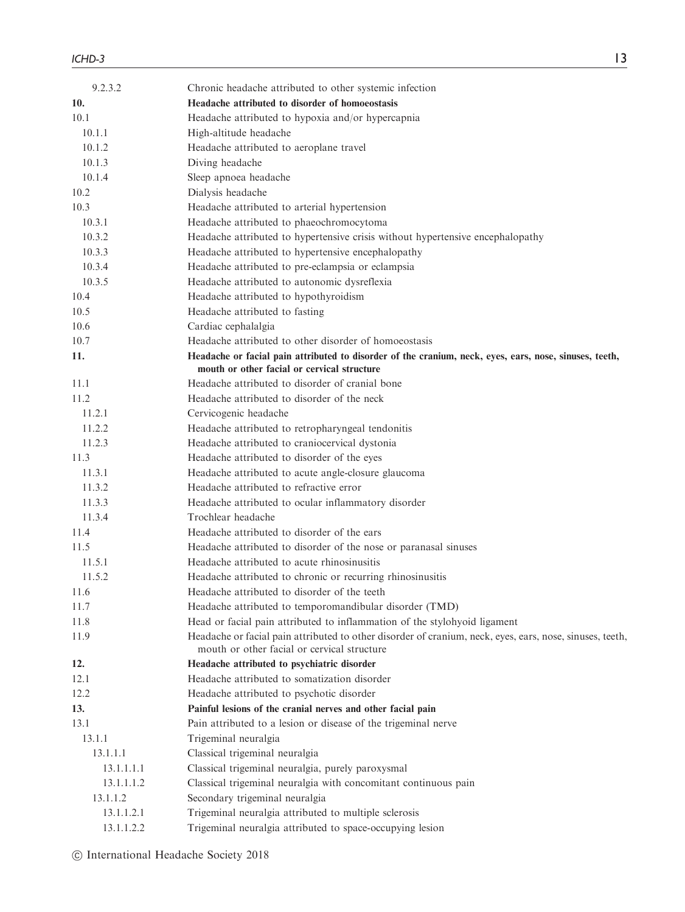| 9.2.3.2          | Chronic headache attributed to other systemic infection                                                                                               |
|------------------|-------------------------------------------------------------------------------------------------------------------------------------------------------|
| 10.              | Headache attributed to disorder of homoeostasis                                                                                                       |
| 10.1             | Headache attributed to hypoxia and/or hypercapnia                                                                                                     |
| 10.1.1           | High-altitude headache                                                                                                                                |
| 10.1.2           | Headache attributed to aeroplane travel                                                                                                               |
| 10.1.3           | Diving headache                                                                                                                                       |
| 10.1.4           | Sleep apnoea headache                                                                                                                                 |
| 10.2             | Dialysis headache                                                                                                                                     |
| 10.3             | Headache attributed to arterial hypertension                                                                                                          |
| 10.3.1           | Headache attributed to phaeochromocytoma                                                                                                              |
| 10.3.2           | Headache attributed to hypertensive crisis without hypertensive encephalopathy                                                                        |
| 10.3.3           | Headache attributed to hypertensive encephalopathy                                                                                                    |
| 10.3.4           | Headache attributed to pre-eclampsia or eclampsia                                                                                                     |
| 10.3.5           | Headache attributed to autonomic dysreflexia                                                                                                          |
| 10.4             | Headache attributed to hypothyroidism                                                                                                                 |
| 10.5             | Headache attributed to fasting                                                                                                                        |
| 10.6             | Cardiac cephalalgia                                                                                                                                   |
| 10.7             | Headache attributed to other disorder of homoeostasis                                                                                                 |
| 11.              | Headache or facial pain attributed to disorder of the cranium, neck, eyes, ears, nose, sinuses, teeth,<br>mouth or other facial or cervical structure |
|                  |                                                                                                                                                       |
| 11.1             | Headache attributed to disorder of cranial bone                                                                                                       |
| 11.2<br>11.2.1   | Headache attributed to disorder of the neck                                                                                                           |
|                  | Cervicogenic headache                                                                                                                                 |
| 11.2.2<br>11.2.3 | Headache attributed to retropharyngeal tendonitis                                                                                                     |
| 11.3             | Headache attributed to craniocervical dystonia<br>Headache attributed to disorder of the eyes                                                         |
| 11.3.1           | Headache attributed to acute angle-closure glaucoma                                                                                                   |
| 11.3.2           | Headache attributed to refractive error                                                                                                               |
| 11.3.3           | Headache attributed to ocular inflammatory disorder                                                                                                   |
| 11.3.4           | Trochlear headache                                                                                                                                    |
| 11.4             | Headache attributed to disorder of the ears                                                                                                           |
| 11.5             | Headache attributed to disorder of the nose or paranasal sinuses                                                                                      |
| 11.5.1           | Headache attributed to acute rhinosinusitis                                                                                                           |
| 11.5.2           | Headache attributed to chronic or recurring rhinosinusitis                                                                                            |
| 11.6             | Headache attributed to disorder of the teeth                                                                                                          |
| 11.7             | Headache attributed to temporomandibular disorder (TMD)                                                                                               |
| 11.8             | Head or facial pain attributed to inflammation of the stylohyoid ligament                                                                             |
| 11.9             | Headache or facial pain attributed to other disorder of cranium, neck, eyes, ears, nose, sinuses, teeth,                                              |
|                  | mouth or other facial or cervical structure                                                                                                           |
| 12.              | Headache attributed to psychiatric disorder                                                                                                           |
| 12.1             | Headache attributed to somatization disorder                                                                                                          |
| 12.2             | Headache attributed to psychotic disorder                                                                                                             |
| 13.              | Painful lesions of the cranial nerves and other facial pain                                                                                           |
| 13.1             | Pain attributed to a lesion or disease of the trigeminal nerve                                                                                        |
| 13.1.1           | Trigeminal neuralgia                                                                                                                                  |
| 13.1.1.1         | Classical trigeminal neuralgia                                                                                                                        |
| 13.1.1.1.1       | Classical trigeminal neuralgia, purely paroxysmal                                                                                                     |
| 13.1.1.1.2       | Classical trigeminal neuralgia with concomitant continuous pain                                                                                       |
| 13.1.1.2         | Secondary trigeminal neuralgia                                                                                                                        |
| 13.1.1.2.1       | Trigeminal neuralgia attributed to multiple sclerosis                                                                                                 |
| 13.1.1.2.2       | Trigeminal neuralgia attributed to space-occupying lesion                                                                                             |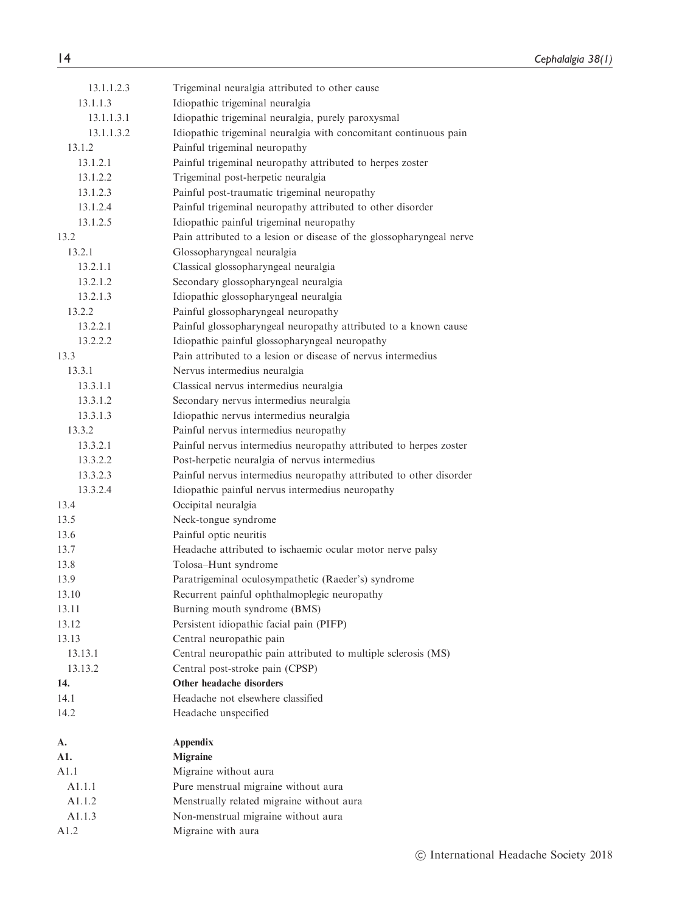| 13.1.1.2.3 | Trigeminal neuralgia attributed to other cause                       |
|------------|----------------------------------------------------------------------|
| 13.1.1.3   | Idiopathic trigeminal neuralgia                                      |
| 13.1.1.3.1 | Idiopathic trigeminal neuralgia, purely paroxysmal                   |
| 13.1.1.3.2 | Idiopathic trigeminal neuralgia with concomitant continuous pain     |
| 13.1.2     | Painful trigeminal neuropathy                                        |
| 13.1.2.1   | Painful trigeminal neuropathy attributed to herpes zoster            |
| 13.1.2.2   | Trigeminal post-herpetic neuralgia                                   |
| 13.1.2.3   | Painful post-traumatic trigeminal neuropathy                         |
| 13.1.2.4   | Painful trigeminal neuropathy attributed to other disorder           |
| 13.1.2.5   | Idiopathic painful trigeminal neuropathy                             |
| 13.2       | Pain attributed to a lesion or disease of the glossopharyngeal nerve |
| 13.2.1     | Glossopharyngeal neuralgia                                           |
| 13.2.1.1   | Classical glossopharyngeal neuralgia                                 |
| 13.2.1.2   | Secondary glossopharyngeal neuralgia                                 |
| 13.2.1.3   | Idiopathic glossopharyngeal neuralgia                                |
| 13.2.2     | Painful glossopharyngeal neuropathy                                  |
| 13.2.2.1   | Painful glossopharyngeal neuropathy attributed to a known cause      |
| 13.2.2.2   | Idiopathic painful glossopharyngeal neuropathy                       |
| 13.3       | Pain attributed to a lesion or disease of nervus intermedius         |
| 13.3.1     | Nervus intermedius neuralgia                                         |
| 13.3.1.1   | Classical nervus intermedius neuralgia                               |
| 13.3.1.2   | Secondary nervus intermedius neuralgia                               |
| 13.3.1.3   | Idiopathic nervus intermedius neuralgia                              |
| 13.3.2     | Painful nervus intermedius neuropathy                                |
| 13.3.2.1   | Painful nervus intermedius neuropathy attributed to herpes zoster    |
| 13.3.2.2   | Post-herpetic neuralgia of nervus intermedius                        |
| 13.3.2.3   | Painful nervus intermedius neuropathy attributed to other disorder   |
| 13.3.2.4   | Idiopathic painful nervus intermedius neuropathy                     |
| 13.4       | Occipital neuralgia                                                  |
| 13.5       | Neck-tongue syndrome                                                 |
| 13.6       | Painful optic neuritis                                               |
| 13.7       | Headache attributed to ischaemic ocular motor nerve palsy            |
| 13.8       | Tolosa-Hunt syndrome                                                 |
| 13.9       | Paratrigeminal oculosympathetic (Raeder's) syndrome                  |
| 13.10      | Recurrent painful ophthalmoplegic neuropathy                         |
| 13.11      | Burning mouth syndrome (BMS)                                         |
| 13.12      | Persistent idiopathic facial pain (PIFP)                             |
| 13.13      | Central neuropathic pain                                             |
| 13.13.1    | Central neuropathic pain attributed to multiple sclerosis (MS)       |
| 13.13.2    | Central post-stroke pain (CPSP)                                      |
| 14.        | Other headache disorders                                             |
| 14.1       | Headache not elsewhere classified                                    |
| 14.2       | Headache unspecified                                                 |
| А.         | <b>Appendix</b>                                                      |
| A1.        | <b>Migraine</b>                                                      |
| A1.1       | Migraine without aura                                                |
| A1.1.1     | Pure menstrual migraine without aura                                 |
| A1.1.2     | Menstrually related migraine without aura                            |
| A1.1.3     | Non-menstrual migraine without aura                                  |

A1.2 Migraine with aura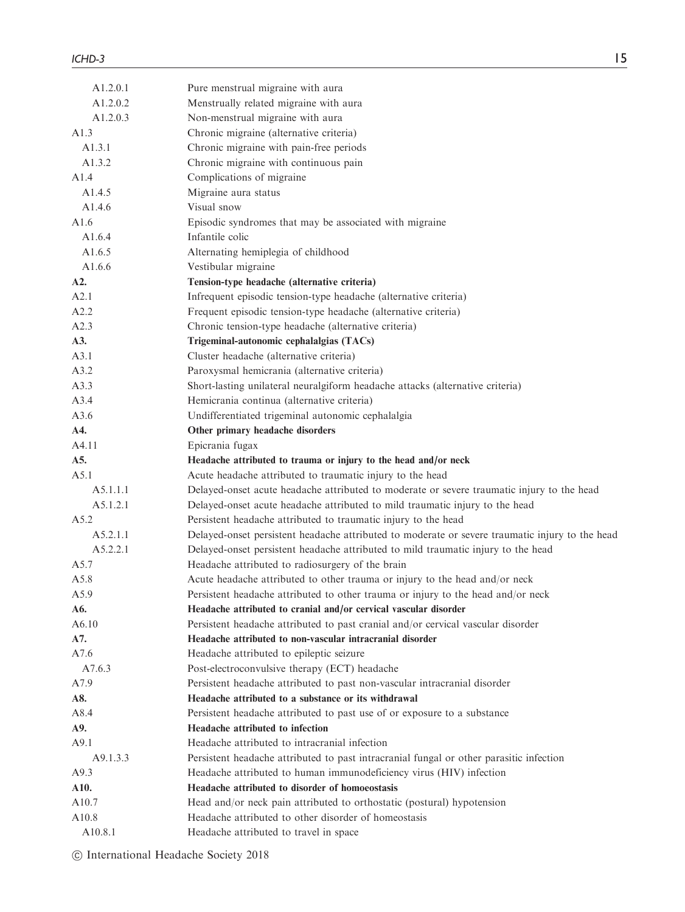| A1.2.0.1 | Pure menstrual migraine with aura                                                                                                                    |
|----------|------------------------------------------------------------------------------------------------------------------------------------------------------|
| A1.2.0.2 | Menstrually related migraine with aura                                                                                                               |
| A1.2.0.3 | Non-menstrual migraine with aura                                                                                                                     |
| A1.3     | Chronic migraine (alternative criteria)                                                                                                              |
| A1.3.1   | Chronic migraine with pain-free periods                                                                                                              |
| A1.3.2   | Chronic migraine with continuous pain                                                                                                                |
| A1.4     | Complications of migraine                                                                                                                            |
| A1.4.5   | Migraine aura status                                                                                                                                 |
| A1.4.6   | Visual snow                                                                                                                                          |
| A1.6     | Episodic syndromes that may be associated with migraine                                                                                              |
| A1.6.4   | Infantile colic                                                                                                                                      |
| A1.6.5   | Alternating hemiplegia of childhood                                                                                                                  |
| A1.6.6   | Vestibular migraine                                                                                                                                  |
| A2.      | Tension-type headache (alternative criteria)                                                                                                         |
| A2.1     | Infrequent episodic tension-type headache (alternative criteria)                                                                                     |
| A2.2     | Frequent episodic tension-type headache (alternative criteria)                                                                                       |
| A2.3     | Chronic tension-type headache (alternative criteria)                                                                                                 |
| A3.      | Trigeminal-autonomic cephalalgias (TACs)                                                                                                             |
| A3.1     | Cluster headache (alternative criteria)                                                                                                              |
| A3.2     | Paroxysmal hemicrania (alternative criteria)                                                                                                         |
| A3.3     | Short-lasting unilateral neuralgiform headache attacks (alternative criteria)                                                                        |
| A3.4     | Hemicrania continua (alternative criteria)                                                                                                           |
| A3.6     | Undifferentiated trigeminal autonomic cephalalgia                                                                                                    |
| A4.      | Other primary headache disorders                                                                                                                     |
| A4.11    | Epicrania fugax                                                                                                                                      |
| A5.      | Headache attributed to trauma or injury to the head and/or neck                                                                                      |
| A5.1     | Acute headache attributed to traumatic injury to the head                                                                                            |
| A5.1.1.1 | Delayed-onset acute headache attributed to moderate or severe traumatic injury to the head                                                           |
| A5.1.2.1 | Delayed-onset acute headache attributed to mild traumatic injury to the head                                                                         |
| A5.2     | Persistent headache attributed to traumatic injury to the head                                                                                       |
| A5.2.1.1 | Delayed-onset persistent headache attributed to moderate or severe traumatic injury to the head                                                      |
| A5.2.2.1 | Delayed-onset persistent headache attributed to mild traumatic injury to the head                                                                    |
| A5.7     | Headache attributed to radiosurgery of the brain                                                                                                     |
| A5.8     | Acute headache attributed to other trauma or injury to the head and/or neck                                                                          |
| A5.9     |                                                                                                                                                      |
| A6.      | Persistent headache attributed to other trauma or injury to the head and/or neck<br>Headache attributed to cranial and/or cervical vascular disorder |
| A6.10    | Persistent headache attributed to past cranial and/or cervical vascular disorder                                                                     |
| A7.      | Headache attributed to non-vascular intracranial disorder                                                                                            |
| A7.6     |                                                                                                                                                      |
|          | Headache attributed to epileptic seizure                                                                                                             |
| A7.6.3   | Post-electroconvulsive therapy (ECT) headache                                                                                                        |
| A7.9     | Persistent headache attributed to past non-vascular intracranial disorder                                                                            |
| A8.      | Headache attributed to a substance or its withdrawal                                                                                                 |
| A8.4     | Persistent headache attributed to past use of or exposure to a substance                                                                             |
| A9.      | Headache attributed to infection                                                                                                                     |
| A9.1     | Headache attributed to intracranial infection                                                                                                        |
| A9.1.3.3 | Persistent headache attributed to past intracranial fungal or other parasitic infection                                                              |
| A9.3     | Headache attributed to human immunodeficiency virus (HIV) infection                                                                                  |
| A10.     | Headache attributed to disorder of homoeostasis                                                                                                      |
| A10.7    | Head and/or neck pain attributed to orthostatic (postural) hypotension                                                                               |
| A10.8    | Headache attributed to other disorder of homeostasis                                                                                                 |
| A10.8.1  | Headache attributed to travel in space                                                                                                               |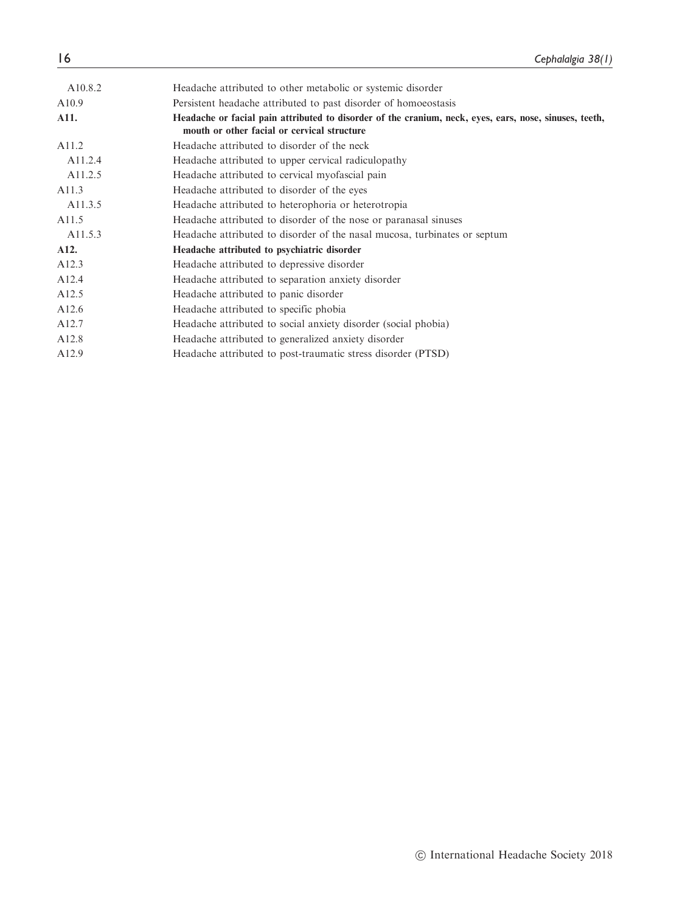| A <sub>10.8.2</sub> | Headache attributed to other metabolic or systemic disorder                                                                                           |  |  |  |
|---------------------|-------------------------------------------------------------------------------------------------------------------------------------------------------|--|--|--|
| A10.9               | Persistent headache attributed to past disorder of homoeostasis                                                                                       |  |  |  |
| A11.                | Headache or facial pain attributed to disorder of the cranium, neck, eyes, ears, nose, sinuses, teeth,<br>mouth or other facial or cervical structure |  |  |  |
| A11.2               | Headache attributed to disorder of the neck                                                                                                           |  |  |  |
| A11.2.4             | Headache attributed to upper cervical radiculopathy                                                                                                   |  |  |  |
| A11.2.5             | Headache attributed to cervical myofascial pain                                                                                                       |  |  |  |
| A11.3               | Headache attributed to disorder of the eyes                                                                                                           |  |  |  |
| A <sub>11.3.5</sub> | Headache attributed to heterophoria or heterotropia                                                                                                   |  |  |  |
| A11.5               | Headache attributed to disorder of the nose or paranasal sinuses                                                                                      |  |  |  |
| A <sub>11.5.3</sub> | Headache attributed to disorder of the nasal mucosa, turbinates or septum                                                                             |  |  |  |
| A12.                | Headache attributed to psychiatric disorder                                                                                                           |  |  |  |
| A12.3               | Headache attributed to depressive disorder                                                                                                            |  |  |  |
| A12.4               | Headache attributed to separation anxiety disorder                                                                                                    |  |  |  |
| A12.5               | Headache attributed to panic disorder                                                                                                                 |  |  |  |
| A12.6               | Headache attributed to specific phobia                                                                                                                |  |  |  |
| A12.7               | Headache attributed to social anxiety disorder (social phobia)                                                                                        |  |  |  |
| A12.8               | Headache attributed to generalized anxiety disorder                                                                                                   |  |  |  |
| A12.9               | Headache attributed to post-traumatic stress disorder (PTSD)                                                                                          |  |  |  |
|                     |                                                                                                                                                       |  |  |  |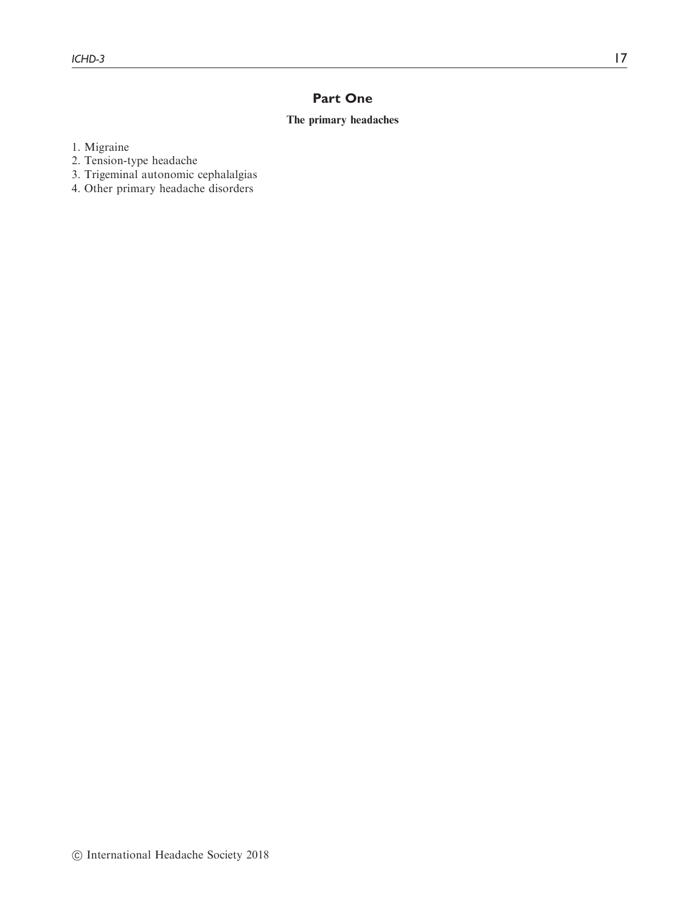## Part One

### The primary headaches

1. Migraine

- 2. Tension-type headache
- 3. Trigeminal autonomic cephalalgias
- 4. Other primary headache disorders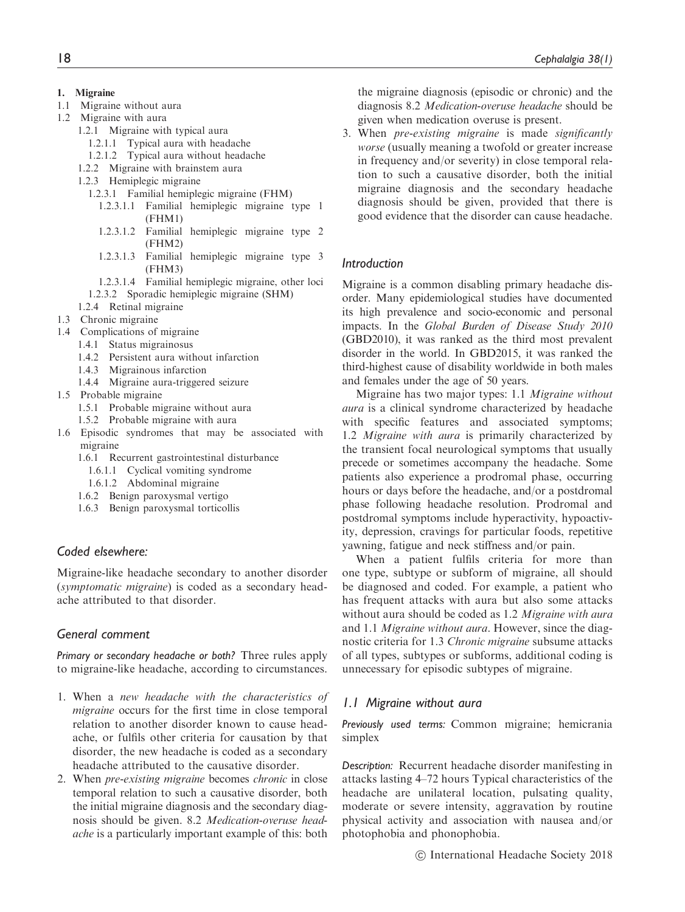### 1. Migraine

- 1.1 Migraine without aura
- 1.2 Migraine with aura
	- 1.2.1 Migraine with typical aura
		- 1.2.1.1 Typical aura with headache
		- 1.2.1.2 Typical aura without headache
	- 1.2.2 Migraine with brainstem aura
	- 1.2.3 Hemiplegic migraine
		- 1.2.3.1 Familial hemiplegic migraine (FHM)
			- 1.2.3.1.1 Familial hemiplegic migraine type 1 (FHM1)
			- 1.2.3.1.2 Familial hemiplegic migraine type 2 (FHM2)
			- 1.2.3.1.3 Familial hemiplegic migraine type 3 (FHM3)
		- 1.2.3.1.4 Familial hemiplegic migraine, other loci
		- 1.2.3.2 Sporadic hemiplegic migraine (SHM)
	- 1.2.4 Retinal migraine
- 1.3 Chronic migraine
- 1.4 Complications of migraine
	- 1.4.1 Status migrainosus
	- 1.4.2 Persistent aura without infarction
	- 1.4.3 Migrainous infarction
	- 1.4.4 Migraine aura-triggered seizure
- 1.5 Probable migraine
	- 1.5.1 Probable migraine without aura
	- 1.5.2 Probable migraine with aura
- 1.6 Episodic syndromes that may be associated with migraine
	- 1.6.1 Recurrent gastrointestinal disturbance
		- 1.6.1.1 Cyclical vomiting syndrome
		- 1.6.1.2 Abdominal migraine
	- 1.6.2 Benign paroxysmal vertigo
	- 1.6.3 Benign paroxysmal torticollis

### Coded elsewhere:

Migraine-like headache secondary to another disorder (symptomatic migraine) is coded as a secondary headache attributed to that disorder.

### General comment

Primary or secondary headache or both? Three rules apply to migraine-like headache, according to circumstances.

- 1. When a new headache with the characteristics of migraine occurs for the first time in close temporal relation to another disorder known to cause headache, or fulfils other criteria for causation by that disorder, the new headache is coded as a secondary headache attributed to the causative disorder.
- 2. When pre-existing migraine becomes chronic in close temporal relation to such a causative disorder, both the initial migraine diagnosis and the secondary diagnosis should be given. 8.2 Medication-overuse headache is a particularly important example of this: both

the migraine diagnosis (episodic or chronic) and the diagnosis 8.2 Medication-overuse headache should be given when medication overuse is present.

3. When pre-existing migraine is made significantly worse (usually meaning a twofold or greater increase in frequency and/or severity) in close temporal relation to such a causative disorder, both the initial migraine diagnosis and the secondary headache diagnosis should be given, provided that there is good evidence that the disorder can cause headache.

### Introduction

Migraine is a common disabling primary headache disorder. Many epidemiological studies have documented its high prevalence and socio-economic and personal impacts. In the Global Burden of Disease Study 2010 (GBD2010), it was ranked as the third most prevalent disorder in the world. In GBD2015, it was ranked the third-highest cause of disability worldwide in both males and females under the age of 50 years.

Migraine has two major types: 1.1 Migraine without aura is a clinical syndrome characterized by headache with specific features and associated symptoms; 1.2 *Migraine with aura* is primarily characterized by the transient focal neurological symptoms that usually precede or sometimes accompany the headache. Some patients also experience a prodromal phase, occurring hours or days before the headache, and/or a postdromal phase following headache resolution. Prodromal and postdromal symptoms include hyperactivity, hypoactivity, depression, cravings for particular foods, repetitive yawning, fatigue and neck stiffness and/or pain.

When a patient fulfils criteria for more than one type, subtype or subform of migraine, all should be diagnosed and coded. For example, a patient who has frequent attacks with aura but also some attacks without aura should be coded as 1.2 Migraine with aura and 1.1 Migraine without aura. However, since the diagnostic criteria for 1.3 Chronic migraine subsume attacks of all types, subtypes or subforms, additional coding is unnecessary for episodic subtypes of migraine.

### 1.1 Migraine without aura

Previously used terms: Common migraine; hemicrania simplex

Description: Recurrent headache disorder manifesting in attacks lasting 4–72 hours Typical characteristics of the headache are unilateral location, pulsating quality, moderate or severe intensity, aggravation by routine physical activity and association with nausea and/or photophobia and phonophobia.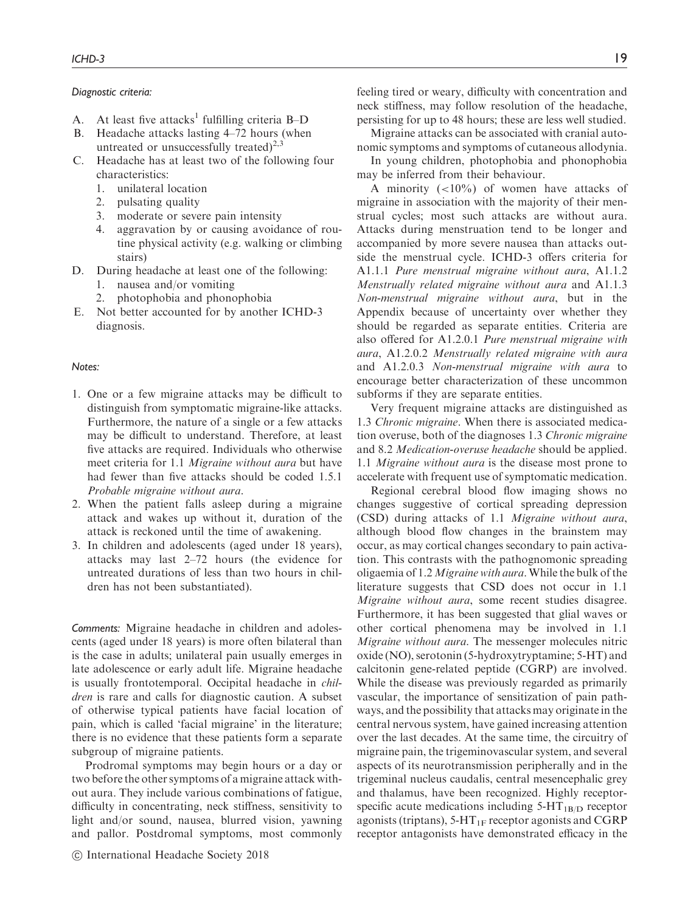#### Diagnostic criteria:

- A. At least five attacks<sup>1</sup> fulfilling criteria B–D
- B. Headache attacks lasting 4–72 hours (when untreated or unsuccessfully treated) $^{2,3}$
- C. Headache has at least two of the following four characteristics:
	- 1. unilateral location
	- 2. pulsating quality
	- 3. moderate or severe pain intensity
	- 4. aggravation by or causing avoidance of routine physical activity (e.g. walking or climbing stairs)
- D. During headache at least one of the following:
	- 1. nausea and/or vomiting
	- 2. photophobia and phonophobia
- E. Not better accounted for by another ICHD-3 diagnosis.

### Notes:

- 1. One or a few migraine attacks may be difficult to distinguish from symptomatic migraine-like attacks. Furthermore, the nature of a single or a few attacks may be difficult to understand. Therefore, at least five attacks are required. Individuals who otherwise meet criteria for 1.1 Migraine without aura but have had fewer than five attacks should be coded 1.5.1 Probable migraine without aura.
- 2. When the patient falls asleep during a migraine attack and wakes up without it, duration of the attack is reckoned until the time of awakening.
- 3. In children and adolescents (aged under 18 years), attacks may last 2–72 hours (the evidence for untreated durations of less than two hours in children has not been substantiated).

Comments: Migraine headache in children and adolescents (aged under 18 years) is more often bilateral than is the case in adults; unilateral pain usually emerges in late adolescence or early adult life. Migraine headache is usually frontotemporal. Occipital headache in children is rare and calls for diagnostic caution. A subset of otherwise typical patients have facial location of pain, which is called 'facial migraine' in the literature; there is no evidence that these patients form a separate subgroup of migraine patients.

Prodromal symptoms may begin hours or a day or two before the other symptoms of a migraine attack without aura. They include various combinations of fatigue, difficulty in concentrating, neck stiffness, sensitivity to light and/or sound, nausea, blurred vision, yawning and pallor. Postdromal symptoms, most commonly feeling tired or weary, difficulty with concentration and neck stiffness, may follow resolution of the headache, persisting for up to 48 hours; these are less well studied.

Migraine attacks can be associated with cranial autonomic symptoms and symptoms of cutaneous allodynia.

In young children, photophobia and phonophobia may be inferred from their behaviour.

A minority  $(<10\%)$  of women have attacks of migraine in association with the majority of their menstrual cycles; most such attacks are without aura. Attacks during menstruation tend to be longer and accompanied by more severe nausea than attacks outside the menstrual cycle. ICHD-3 offers criteria for A1.1.1 Pure menstrual migraine without aura, A1.1.2 Menstrually related migraine without aura and A1.1.3 Non-menstrual migraine without aura, but in the Appendix because of uncertainty over whether they should be regarded as separate entities. Criteria are also offered for A1.2.0.1 Pure menstrual migraine with aura, A1.2.0.2 Menstrually related migraine with aura and A1.2.0.3 Non-menstrual migraine with aura to encourage better characterization of these uncommon subforms if they are separate entities.

Very frequent migraine attacks are distinguished as 1.3 Chronic migraine. When there is associated medication overuse, both of the diagnoses 1.3 Chronic migraine and 8.2 Medication-overuse headache should be applied. 1.1 Migraine without aura is the disease most prone to accelerate with frequent use of symptomatic medication.

Regional cerebral blood flow imaging shows no changes suggestive of cortical spreading depression (CSD) during attacks of 1.1 Migraine without aura, although blood flow changes in the brainstem may occur, as may cortical changes secondary to pain activation. This contrasts with the pathognomonic spreading oligaemia of 1.2Migraine with aura.While the bulk of the literature suggests that CSD does not occur in 1.1 Migraine without aura, some recent studies disagree. Furthermore, it has been suggested that glial waves or other cortical phenomena may be involved in 1.1 Migraine without aura. The messenger molecules nitric oxide (NO), serotonin (5-hydroxytryptamine; 5-HT) and calcitonin gene-related peptide (CGRP) are involved. While the disease was previously regarded as primarily vascular, the importance of sensitization of pain pathways, and the possibility that attacks may originate in the central nervous system, have gained increasing attention over the last decades. At the same time, the circuitry of migraine pain, the trigeminovascular system, and several aspects of its neurotransmission peripherally and in the trigeminal nucleus caudalis, central mesencephalic grey and thalamus, have been recognized. Highly receptorspecific acute medications including  $5-HT_{1B/D}$  receptor agonists (triptans),  $5-HT_{1F}$  receptor agonists and CGRP receptor antagonists have demonstrated efficacy in the

<sup>!</sup> International Headache Society 2018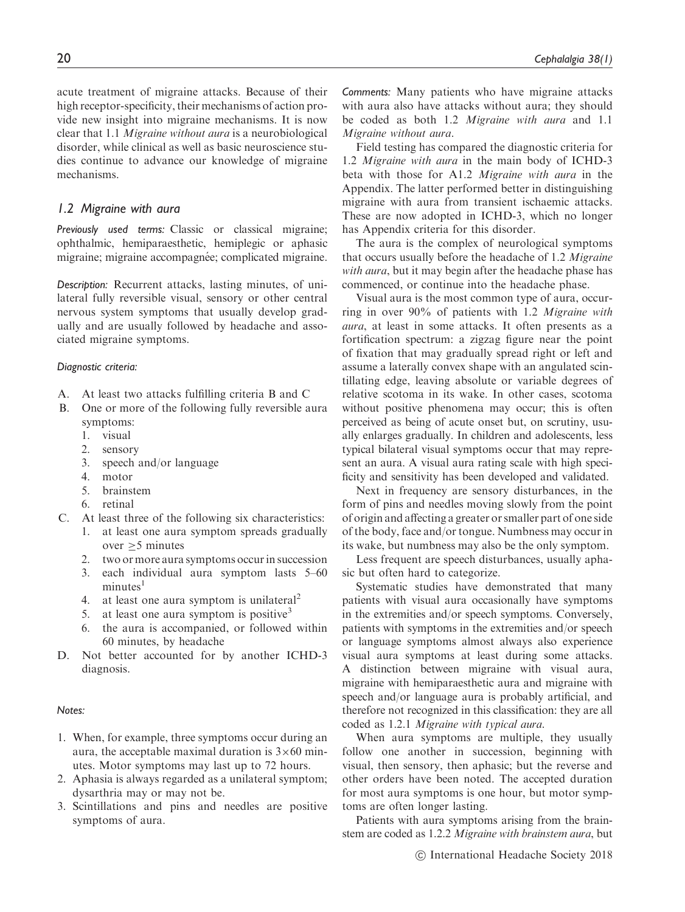acute treatment of migraine attacks. Because of their high receptor-specificity, their mechanisms of action provide new insight into migraine mechanisms. It is now clear that 1.1 Migraine without aura is a neurobiological disorder, while clinical as well as basic neuroscience studies continue to advance our knowledge of migraine mechanisms.

### 1.2 Migraine with aura

Previously used terms: Classic or classical migraine; ophthalmic, hemiparaesthetic, hemiplegic or aphasic migraine; migraine accompagnée; complicated migraine.

Description: Recurrent attacks, lasting minutes, of unilateral fully reversible visual, sensory or other central nervous system symptoms that usually develop gradually and are usually followed by headache and associated migraine symptoms.

### Diagnostic criteria:

- A. At least two attacks fulfilling criteria B and C
- B. One or more of the following fully reversible aura symptoms:
	- 1. visual
	- 2. sensory
	- 3. speech and/or language
	- 4. motor
	- 5. brainstem
	- 6. retinal
- C. At least three of the following six characteristics:
	- 1. at least one aura symptom spreads gradually over  $\geq$ 5 minutes
	- 2. two or more aura symptoms occur in succession
	- 3. each individual aura symptom lasts 5–60  $minutes<sup>1</sup>$
	- 4. at least one aura symptom is unilateral<sup>2</sup>
	- 5. at least one aura symptom is positive<sup>3</sup>
	- 6. the aura is accompanied, or followed within 60 minutes, by headache
- D. Not better accounted for by another ICHD-3 diagnosis.

#### Notes:

- 1. When, for example, three symptoms occur during an aura, the acceptable maximal duration is  $3\times60$  minutes. Motor symptoms may last up to 72 hours.
- 2. Aphasia is always regarded as a unilateral symptom; dysarthria may or may not be.
- 3. Scintillations and pins and needles are positive symptoms of aura.

Comments: Many patients who have migraine attacks with aura also have attacks without aura; they should be coded as both 1.2 Migraine with aura and 1.1 Migraine without aura.

Field testing has compared the diagnostic criteria for 1.2 Migraine with aura in the main body of ICHD-3 beta with those for A1.2 Migraine with aura in the Appendix. The latter performed better in distinguishing migraine with aura from transient ischaemic attacks. These are now adopted in ICHD-3, which no longer has Appendix criteria for this disorder.

The aura is the complex of neurological symptoms that occurs usually before the headache of 1.2 Migraine with aura, but it may begin after the headache phase has commenced, or continue into the headache phase.

Visual aura is the most common type of aura, occurring in over 90% of patients with 1.2 Migraine with aura, at least in some attacks. It often presents as a fortification spectrum: a zigzag figure near the point of fixation that may gradually spread right or left and assume a laterally convex shape with an angulated scintillating edge, leaving absolute or variable degrees of relative scotoma in its wake. In other cases, scotoma without positive phenomena may occur; this is often perceived as being of acute onset but, on scrutiny, usually enlarges gradually. In children and adolescents, less typical bilateral visual symptoms occur that may represent an aura. A visual aura rating scale with high specificity and sensitivity has been developed and validated.

Next in frequency are sensory disturbances, in the form of pins and needles moving slowly from the point of origin and affecting a greater or smaller part of one side of the body, face and/or tongue. Numbness may occur in its wake, but numbness may also be the only symptom.

Less frequent are speech disturbances, usually aphasic but often hard to categorize.

Systematic studies have demonstrated that many patients with visual aura occasionally have symptoms in the extremities and/or speech symptoms. Conversely, patients with symptoms in the extremities and/or speech or language symptoms almost always also experience visual aura symptoms at least during some attacks. A distinction between migraine with visual aura, migraine with hemiparaesthetic aura and migraine with speech and/or language aura is probably artificial, and therefore not recognized in this classification: they are all coded as 1.2.1 Migraine with typical aura.

When aura symptoms are multiple, they usually follow one another in succession, beginning with visual, then sensory, then aphasic; but the reverse and other orders have been noted. The accepted duration for most aura symptoms is one hour, but motor symptoms are often longer lasting.

Patients with aura symptoms arising from the brainstem are coded as 1.2.2 Migraine with brainstem aura, but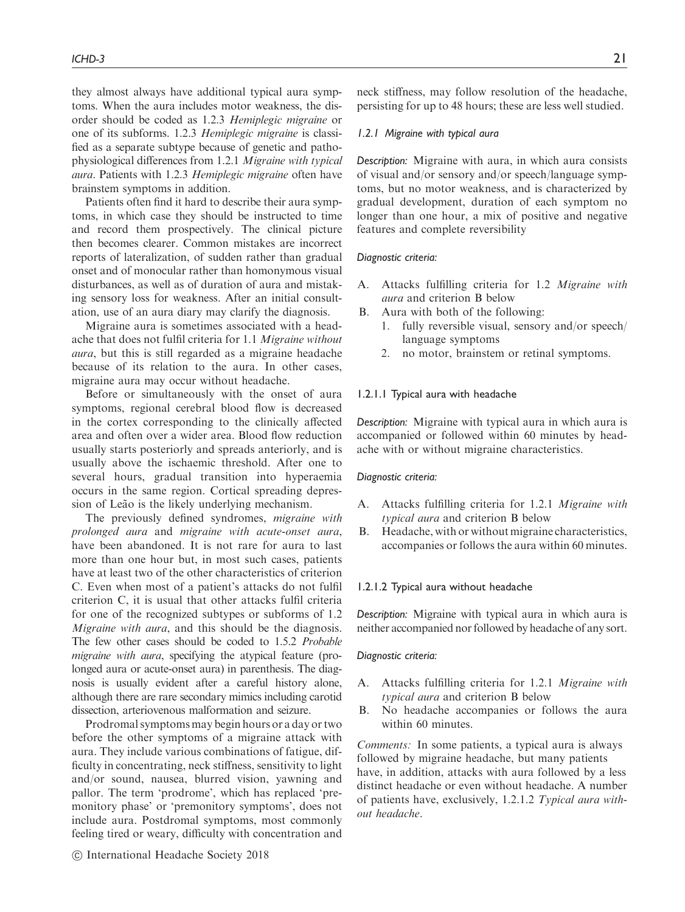they almost always have additional typical aura symptoms. When the aura includes motor weakness, the disorder should be coded as 1.2.3 Hemiplegic migraine or one of its subforms. 1.2.3 Hemiplegic migraine is classified as a separate subtype because of genetic and pathophysiological differences from 1.2.1 Migraine with typical aura. Patients with 1.2.3 Hemiplegic migraine often have brainstem symptoms in addition.

Patients often find it hard to describe their aura symptoms, in which case they should be instructed to time and record them prospectively. The clinical picture then becomes clearer. Common mistakes are incorrect reports of lateralization, of sudden rather than gradual onset and of monocular rather than homonymous visual disturbances, as well as of duration of aura and mistaking sensory loss for weakness. After an initial consultation, use of an aura diary may clarify the diagnosis.

Migraine aura is sometimes associated with a headache that does not fulfil criteria for 1.1 Migraine without aura, but this is still regarded as a migraine headache because of its relation to the aura. In other cases, migraine aura may occur without headache.

Before or simultaneously with the onset of aura symptoms, regional cerebral blood flow is decreased in the cortex corresponding to the clinically affected area and often over a wider area. Blood flow reduction usually starts posteriorly and spreads anteriorly, and is usually above the ischaemic threshold. After one to several hours, gradual transition into hyperaemia occurs in the same region. Cortical spreading depression of Leão is the likely underlying mechanism.

The previously defined syndromes, migraine with prolonged aura and migraine with acute-onset aura, have been abandoned. It is not rare for aura to last more than one hour but, in most such cases, patients have at least two of the other characteristics of criterion C. Even when most of a patient's attacks do not fulfil criterion C, it is usual that other attacks fulfil criteria for one of the recognized subtypes or subforms of 1.2 Migraine with aura, and this should be the diagnosis. The few other cases should be coded to 1.5.2 Probable migraine with aura, specifying the atypical feature (prolonged aura or acute-onset aura) in parenthesis. The diagnosis is usually evident after a careful history alone, although there are rare secondary mimics including carotid dissection, arteriovenous malformation and seizure.

Prodromal symptoms may begin hours or a day or two before the other symptoms of a migraine attack with aura. They include various combinations of fatigue, difficulty in concentrating, neck stiffness, sensitivity to light and/or sound, nausea, blurred vision, yawning and pallor. The term 'prodrome', which has replaced 'premonitory phase' or 'premonitory symptoms', does not include aura. Postdromal symptoms, most commonly feeling tired or weary, difficulty with concentration and neck stiffness, may follow resolution of the headache, persisting for up to 48 hours; these are less well studied.

#### 1.2.1 Migraine with typical aura

Description: Migraine with aura, in which aura consists of visual and/or sensory and/or speech/language symptoms, but no motor weakness, and is characterized by gradual development, duration of each symptom no longer than one hour, a mix of positive and negative features and complete reversibility

### Diagnostic criteria:

- A. Attacks fulfilling criteria for 1.2 Migraine with aura and criterion B below
- B. Aura with both of the following:
	- 1. fully reversible visual, sensory and/or speech/ language symptoms
	- 2. no motor, brainstem or retinal symptoms.

### 1.2.1.1 Typical aura with headache

Description: Migraine with typical aura in which aura is accompanied or followed within 60 minutes by headache with or without migraine characteristics.

#### Diagnostic criteria:

- A. Attacks fulfilling criteria for 1.2.1 Migraine with typical aura and criterion B below
- B. Headache, with or without migraine characteristics, accompanies or follows the aura within 60 minutes.

#### 1.2.1.2 Typical aura without headache

Description: Migraine with typical aura in which aura is neither accompanied nor followed by headache of any sort.

### Diagnostic criteria:

- A. Attacks fulfilling criteria for 1.2.1 Migraine with typical aura and criterion B below
- B. No headache accompanies or follows the aura within 60 minutes.

Comments: In some patients, a typical aura is always followed by migraine headache, but many patients have, in addition, attacks with aura followed by a less distinct headache or even without headache. A number of patients have, exclusively, 1.2.1.2 Typical aura without headache.

<sup>!</sup> International Headache Society 2018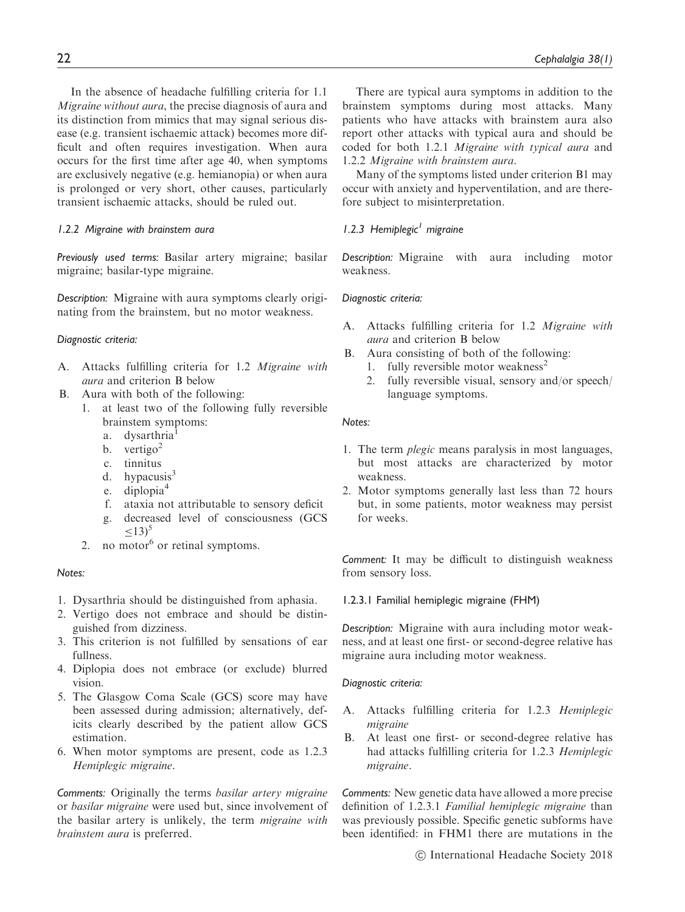In the absence of headache fulfilling criteria for 1.1 Migraine without aura, the precise diagnosis of aura and its distinction from mimics that may signal serious disease (e.g. transient ischaemic attack) becomes more difficult and often requires investigation. When aura occurs for the first time after age 40, when symptoms are exclusively negative (e.g. hemianopia) or when aura is prolonged or very short, other causes, particularly transient ischaemic attacks, should be ruled out.

### 1.2.2 Migraine with brainstem aura

Previously used terms: Basilar artery migraine; basilar migraine; basilar-type migraine.

Description: Migraine with aura symptoms clearly originating from the brainstem, but no motor weakness.

#### Diagnostic criteria:

- A. Attacks fulfilling criteria for 1.2 Migraine with aura and criterion B below
- B. Aura with both of the following:
	- 1. at least two of the following fully reversible brainstem symptoms:
		- a. dysarthria<sup>1</sup>
		- b. vertigo $^2$
		- c. tinnitus
		- d. hypacusis $3$
		- e. diplopia<sup>4</sup>
		- f. ataxia not attributable to sensory deficit
		- g. decreased level of consciousness (GCS  $\leq$ 13)<sup>5</sup>
	- 2. no motor<sup>6</sup> or retinal symptoms.

#### Notes:

- 1. Dysarthria should be distinguished from aphasia.
- 2. Vertigo does not embrace and should be distinguished from dizziness.
- 3. This criterion is not fulfilled by sensations of ear fullness.
- 4. Diplopia does not embrace (or exclude) blurred vision.
- 5. The Glasgow Coma Scale (GCS) score may have been assessed during admission; alternatively, deficits clearly described by the patient allow GCS estimation.
- 6. When motor symptoms are present, code as 1.2.3 Hemiplegic migraine.

Comments: Originally the terms basilar artery migraine or basilar migraine were used but, since involvement of the basilar artery is unlikely, the term migraine with brainstem aura is preferred.

There are typical aura symptoms in addition to the brainstem symptoms during most attacks. Many patients who have attacks with brainstem aura also report other attacks with typical aura and should be coded for both 1.2.1 Migraine with typical aura and 1.2.2 Migraine with brainstem aura.

Many of the symptoms listed under criterion B1 may occur with anxiety and hyperventilation, and are therefore subject to misinterpretation.

### $1.2.3$  Hemiplegic<sup>1</sup> migraine

Description: Migraine with aura including motor weakness.

#### Diagnostic criteria:

- A. Attacks fulfilling criteria for 1.2 Migraine with aura and criterion B below
- B. Aura consisting of both of the following:
	- 1. fully reversible motor weakness<sup>2</sup>
	- 2. fully reversible visual, sensory and/or speech/ language symptoms.

#### Notes:

- 1. The term plegic means paralysis in most languages, but most attacks are characterized by motor weakness.
- 2. Motor symptoms generally last less than 72 hours but, in some patients, motor weakness may persist for weeks.

Comment: It may be difficult to distinguish weakness from sensory loss.

#### 1.2.3.1 Familial hemiplegic migraine (FHM)

Description: Migraine with aura including motor weakness, and at least one first- or second-degree relative has migraine aura including motor weakness.

#### Diagnostic criteria:

- A. Attacks fulfilling criteria for 1.2.3 Hemiplegic migraine
- B. At least one first- or second-degree relative has had attacks fulfilling criteria for 1.2.3 Hemiplegic migraine.

Comments: New genetic data have allowed a more precise definition of 1.2.3.1 Familial hemiplegic migraine than was previously possible. Specific genetic subforms have been identified: in FHM1 there are mutations in the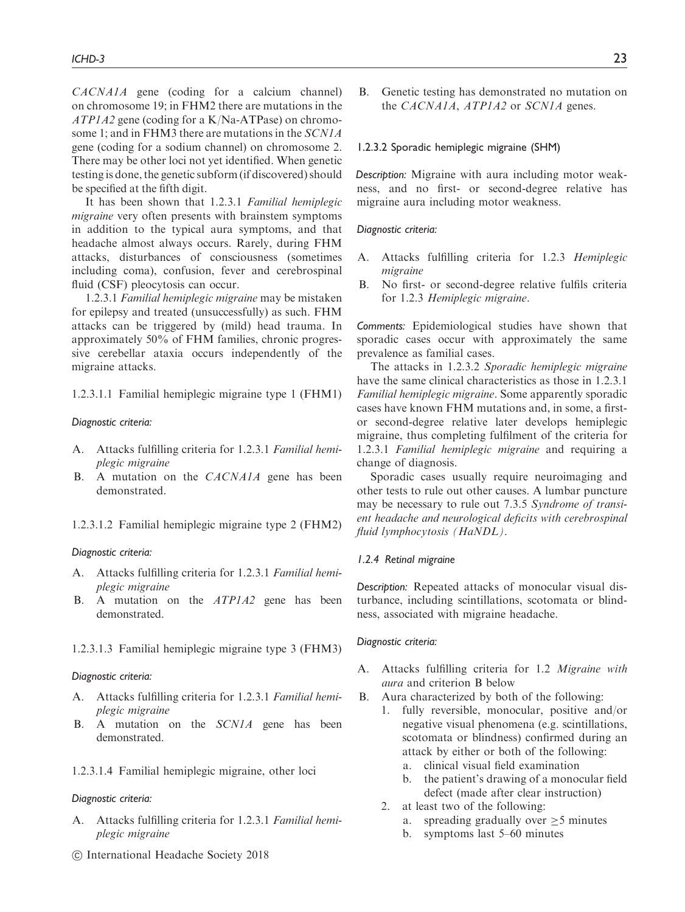CACNA1A gene (coding for a calcium channel) on chromosome 19; in FHM2 there are mutations in the ATP1A2 gene (coding for a K/Na-ATPase) on chromosome 1; and in FHM3 there are mutations in the SCN1A gene (coding for a sodium channel) on chromosome 2. There may be other loci not yet identified. When genetic testing is done, the genetic subform (if discovered) should be specified at the fifth digit.

It has been shown that 1.2.3.1 Familial hemiplegic migraine very often presents with brainstem symptoms in addition to the typical aura symptoms, and that headache almost always occurs. Rarely, during FHM attacks, disturbances of consciousness (sometimes including coma), confusion, fever and cerebrospinal fluid (CSF) pleocytosis can occur.

1.2.3.1 Familial hemiplegic migraine may be mistaken for epilepsy and treated (unsuccessfully) as such. FHM attacks can be triggered by (mild) head trauma. In approximately 50% of FHM families, chronic progressive cerebellar ataxia occurs independently of the migraine attacks.

1.2.3.1.1 Familial hemiplegic migraine type 1 (FHM1)

#### Diagnostic criteria:

- A. Attacks fulfilling criteria for 1.2.3.1 Familial hemiplegic migraine
- B. A mutation on the CACNA1A gene has been demonstrated.

1.2.3.1.2 Familial hemiplegic migraine type 2 (FHM2)

#### Diagnostic criteria:

- A. Attacks fulfilling criteria for 1.2.3.1 Familial hemiplegic migraine
- B. A mutation on the *ATP1A2* gene has been demonstrated.

1.2.3.1.3 Familial hemiplegic migraine type 3 (FHM3)

#### Diagnostic criteria:

- A. Attacks fulfilling criteria for 1.2.3.1 Familial hemiplegic migraine
- B. A mutation on the SCN1A gene has been demonstrated.

### 1.2.3.1.4 Familial hemiplegic migraine, other loci

#### Diagnostic criteria:

- A. Attacks fulfilling criteria for 1.2.3.1 Familial hemiplegic migraine
- ! International Headache Society 2018

B. Genetic testing has demonstrated no mutation on the CACNA1A, ATP1A2 or SCN1A genes.

#### 1.2.3.2 Sporadic hemiplegic migraine (SHM)

Description: Migraine with aura including motor weakness, and no first- or second-degree relative has migraine aura including motor weakness.

#### Diagnostic criteria:

- A. Attacks fulfilling criteria for 1.2.3 Hemiplegic migraine
- B. No first- or second-degree relative fulfils criteria for 1.2.3 Hemiplegic migraine.

Comments: Epidemiological studies have shown that sporadic cases occur with approximately the same prevalence as familial cases.

The attacks in 1.2.3.2 Sporadic hemiplegic migraine have the same clinical characteristics as those in 1.2.3.1 Familial hemiplegic migraine. Some apparently sporadic cases have known FHM mutations and, in some, a firstor second-degree relative later develops hemiplegic migraine, thus completing fulfilment of the criteria for 1.2.3.1 Familial hemiplegic migraine and requiring a change of diagnosis.

Sporadic cases usually require neuroimaging and other tests to rule out other causes. A lumbar puncture may be necessary to rule out 7.3.5 Syndrome of transient headache and neurological deficits with cerebrospinal fluid lymphocytosis (HaNDL).

#### 1.2.4 Retinal migraine

Description: Repeated attacks of monocular visual disturbance, including scintillations, scotomata or blindness, associated with migraine headache.

### Diagnostic criteria:

- A. Attacks fulfilling criteria for 1.2 Migraine with aura and criterion B below
- B. Aura characterized by both of the following:
	- fully reversible, monocular, positive and/or negative visual phenomena (e.g. scintillations, scotomata or blindness) confirmed during an attack by either or both of the following:
		- a. clinical visual field examination
		- b. the patient's drawing of a monocular field defect (made after clear instruction)
	- 2. at least two of the following:
		- a. spreading gradually over  $\geq$ 5 minutes
		- b. symptoms last 5–60 minutes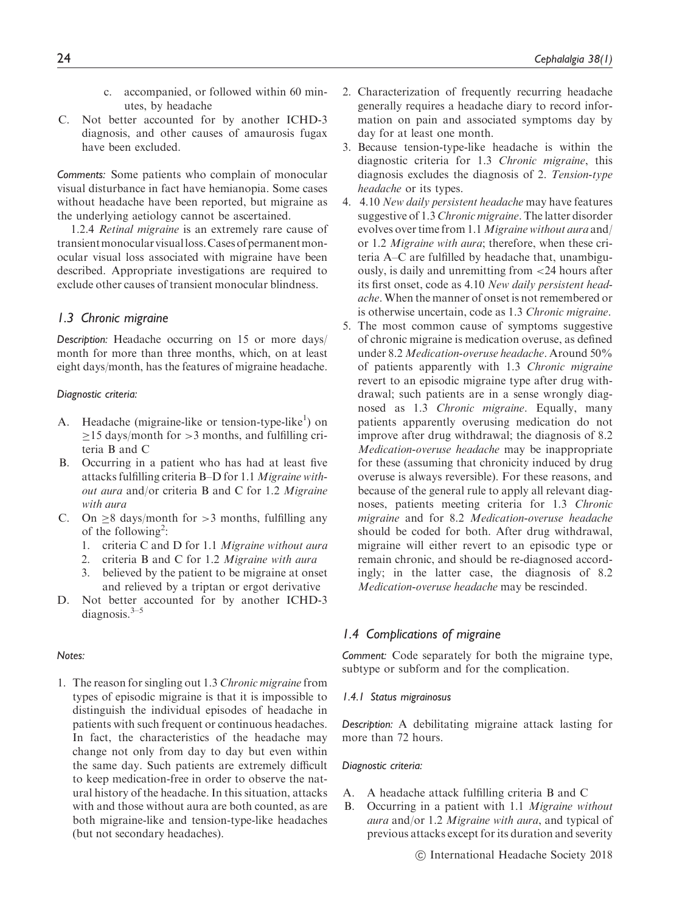- c. accompanied, or followed within 60 minutes, by headache
- C. Not better accounted for by another ICHD-3 diagnosis, and other causes of amaurosis fugax have been excluded.

Comments: Some patients who complain of monocular visual disturbance in fact have hemianopia. Some cases without headache have been reported, but migraine as the underlying aetiology cannot be ascertained.

1.2.4 Retinal migraine is an extremely rare cause of transient monocular visual loss. Cases of permanent monocular visual loss associated with migraine have been described. Appropriate investigations are required to exclude other causes of transient monocular blindness.

### 1.3 Chronic migraine

Description: Headache occurring on 15 or more days/ month for more than three months, which, on at least eight days/month, has the features of migraine headache.

#### Diagnostic criteria:

- A. Headache (migraine-like or tension-type-like<sup>1</sup>) on  $\geq$ 15 days/month for >3 months, and fulfilling criteria B and C
- B. Occurring in a patient who has had at least five attacks fulfilling criteria B–D for 1.1 Migraine without aura and/or criteria B and C for 1.2 Migraine with aura
- C. On  $\geq 8$  days/month for  $> 3$  months, fulfilling any of the following<sup>2</sup>:
	- 1. criteria C and D for 1.1 Migraine without aura
	- 2. criteria B and C for 1.2 Migraine with aura
	- 3. believed by the patient to be migraine at onset and relieved by a triptan or ergot derivative
- D. Not better accounted for by another ICHD-3 diagnosis. $3-5$

#### Notes:

1. The reason for singling out 1.3 Chronic migraine from types of episodic migraine is that it is impossible to distinguish the individual episodes of headache in patients with such frequent or continuous headaches. In fact, the characteristics of the headache may change not only from day to day but even within the same day. Such patients are extremely difficult to keep medication-free in order to observe the natural history of the headache. In this situation, attacks with and those without aura are both counted, as are both migraine-like and tension-type-like headaches (but not secondary headaches).

- 2. Characterization of frequently recurring headache generally requires a headache diary to record information on pain and associated symptoms day by day for at least one month.
- 3. Because tension-type-like headache is within the diagnostic criteria for 1.3 Chronic migraine, this diagnosis excludes the diagnosis of 2. Tension-type headache or its types.
- 4. 4.10 New daily persistent headache may have features suggestive of 1.3 Chronic migraine. The latter disorder evolves over time from 1.1 Migraine without aura and/ or 1.2 Migraine with aura; therefore, when these criteria A–C are fulfilled by headache that, unambiguously, is daily and unremitting from <24 hours after its first onset, code as 4.10 New daily persistent headache. When the manner of onset is not remembered or is otherwise uncertain, code as 1.3 Chronic migraine.
- 5. The most common cause of symptoms suggestive of chronic migraine is medication overuse, as defined under 8.2 Medication-overuse headache. Around 50% of patients apparently with 1.3 Chronic migraine revert to an episodic migraine type after drug withdrawal; such patients are in a sense wrongly diagnosed as 1.3 Chronic migraine. Equally, many patients apparently overusing medication do not improve after drug withdrawal; the diagnosis of 8.2 Medication-overuse headache may be inappropriate for these (assuming that chronicity induced by drug overuse is always reversible). For these reasons, and because of the general rule to apply all relevant diagnoses, patients meeting criteria for 1.3 Chronic migraine and for 8.2 Medication-overuse headache should be coded for both. After drug withdrawal, migraine will either revert to an episodic type or remain chronic, and should be re-diagnosed accordingly; in the latter case, the diagnosis of 8.2 Medication-overuse headache may be rescinded.

### 1.4 Complications of migraine

Comment: Code separately for both the migraine type, subtype or subform and for the complication.

#### 1.4.1 Status migrainosus

Description: A debilitating migraine attack lasting for more than 72 hours.

#### Diagnostic criteria:

- A. A headache attack fulfilling criteria B and C
- B. Occurring in a patient with 1.1 Migraine without aura and/or 1.2 Migraine with aura, and typical of previous attacks except for its duration and severity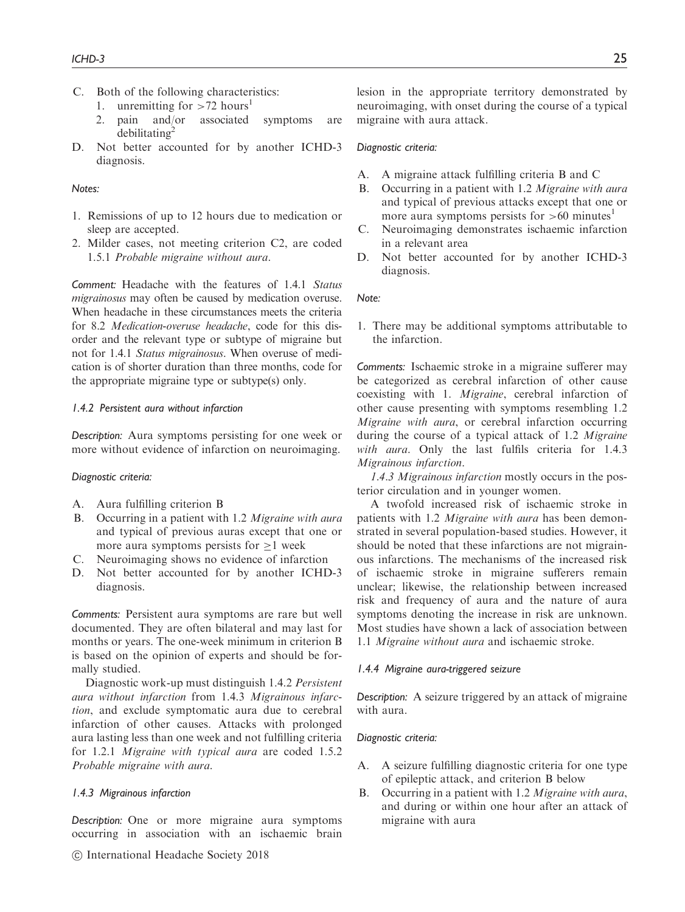- C. Both of the following characteristics:
	- 1. unremitting for  $>72$  hours<sup>1</sup>
	- 2. pain and/or associated symptoms are  $debilitating<sup>2</sup>$
- D. Not better accounted for by another ICHD-3 diagnosis.

### Notes:

- 1. Remissions of up to 12 hours due to medication or sleep are accepted.
- 2. Milder cases, not meeting criterion C2, are coded 1.5.1 Probable migraine without aura.

Comment: Headache with the features of 1.4.1 Status migrainosus may often be caused by medication overuse. When headache in these circumstances meets the criteria for 8.2 Medication-overuse headache, code for this disorder and the relevant type or subtype of migraine but not for 1.4.1 Status migrainosus. When overuse of medication is of shorter duration than three months, code for the appropriate migraine type or subtype(s) only.

### 1.4.2 Persistent aura without infarction

Description: Aura symptoms persisting for one week or more without evidence of infarction on neuroimaging.

### Diagnostic criteria:

- A. Aura fulfilling criterion B
- B. Occurring in a patient with 1.2 Migraine with aura and typical of previous auras except that one or more aura symptoms persists for  $\geq 1$  week
- C. Neuroimaging shows no evidence of infarction
- D. Not better accounted for by another ICHD-3 diagnosis.

Comments: Persistent aura symptoms are rare but well documented. They are often bilateral and may last for months or years. The one-week minimum in criterion B is based on the opinion of experts and should be formally studied.

Diagnostic work-up must distinguish 1.4.2 Persistent aura without infarction from 1.4.3 Migrainous infarction, and exclude symptomatic aura due to cerebral infarction of other causes. Attacks with prolonged aura lasting less than one week and not fulfilling criteria for 1.2.1 Migraine with typical aura are coded 1.5.2 Probable migraine with aura.

#### 1.4.3 Migrainous infarction

Description: One or more migraine aura symptoms occurring in association with an ischaemic brain

! International Headache Society 2018

lesion in the appropriate territory demonstrated by neuroimaging, with onset during the course of a typical migraine with aura attack.

#### Diagnostic criteria:

- A. A migraine attack fulfilling criteria B and C
- B. Occurring in a patient with 1.2 Migraine with aura and typical of previous attacks except that one or more aura symptoms persists for  $>60$  minutes<sup>1</sup>
- C. Neuroimaging demonstrates ischaemic infarction in a relevant area
- D. Not better accounted for by another ICHD-3 diagnosis.

### Note:

1. There may be additional symptoms attributable to the infarction.

Comments: Ischaemic stroke in a migraine sufferer may be categorized as cerebral infarction of other cause coexisting with 1. Migraine, cerebral infarction of other cause presenting with symptoms resembling 1.2 Migraine with aura, or cerebral infarction occurring during the course of a typical attack of 1.2 Migraine with aura. Only the last fulfils criteria for 1.4.3 Migrainous infarction.

1.4.3 Migrainous infarction mostly occurs in the posterior circulation and in younger women.

A twofold increased risk of ischaemic stroke in patients with 1.2 Migraine with aura has been demonstrated in several population-based studies. However, it should be noted that these infarctions are not migrainous infarctions. The mechanisms of the increased risk of ischaemic stroke in migraine sufferers remain unclear; likewise, the relationship between increased risk and frequency of aura and the nature of aura symptoms denoting the increase in risk are unknown. Most studies have shown a lack of association between 1.1 Migraine without aura and ischaemic stroke.

#### 1.4.4 Migraine aura-triggered seizure

Description: A seizure triggered by an attack of migraine with aura.

#### Diagnostic criteria:

- A. A seizure fulfilling diagnostic criteria for one type of epileptic attack, and criterion B below
- B. Occurring in a patient with 1.2 Migraine with aura, and during or within one hour after an attack of migraine with aura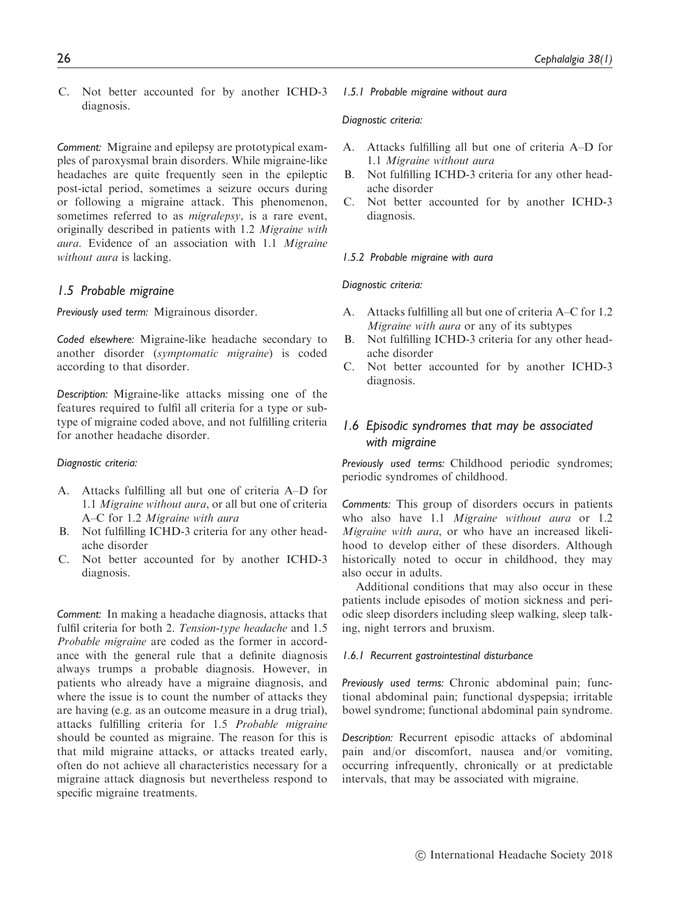C. Not better accounted for by another ICHD-3 diagnosis.

Comment: Migraine and epilepsy are prototypical examples of paroxysmal brain disorders. While migraine-like headaches are quite frequently seen in the epileptic post-ictal period, sometimes a seizure occurs during or following a migraine attack. This phenomenon, sometimes referred to as *migralepsy*, is a rare event, originally described in patients with 1.2 Migraine with aura. Evidence of an association with 1.1 Migraine without aura is lacking.

### 1.5 Probable migraine

Previously used term: Migrainous disorder.

Coded elsewhere: Migraine-like headache secondary to another disorder (symptomatic migraine) is coded according to that disorder.

Description: Migraine-like attacks missing one of the features required to fulfil all criteria for a type or subtype of migraine coded above, and not fulfilling criteria for another headache disorder.

#### Diagnostic criteria:

- A. Attacks fulfilling all but one of criteria A–D for 1.1 Migraine without aura, or all but one of criteria A–C for 1.2 Migraine with aura
- B. Not fulfilling ICHD-3 criteria for any other headache disorder
- C. Not better accounted for by another ICHD-3 diagnosis.

Comment: In making a headache diagnosis, attacks that fulfil criteria for both 2. Tension-type headache and 1.5 Probable migraine are coded as the former in accordance with the general rule that a definite diagnosis always trumps a probable diagnosis. However, in patients who already have a migraine diagnosis, and where the issue is to count the number of attacks they are having (e.g. as an outcome measure in a drug trial), attacks fulfilling criteria for 1.5 Probable migraine should be counted as migraine. The reason for this is that mild migraine attacks, or attacks treated early, often do not achieve all characteristics necessary for a migraine attack diagnosis but nevertheless respond to specific migraine treatments.

### 1.5.1 Probable migraine without aura

#### Diagnostic criteria:

- A. Attacks fulfilling all but one of criteria A–D for 1.1 Migraine without aura
- B. Not fulfilling ICHD-3 criteria for any other headache disorder
- C. Not better accounted for by another ICHD-3 diagnosis.

#### 1.5.2 Probable migraine with aura

#### Diagnostic criteria:

- A. Attacks fulfilling all but one of criteria A–C for 1.2 Migraine with aura or any of its subtypes
- B. Not fulfilling ICHD-3 criteria for any other headache disorder
- C. Not better accounted for by another ICHD-3 diagnosis.

### 1.6 Episodic syndromes that may be associated with migraine

Previously used terms: Childhood periodic syndromes; periodic syndromes of childhood.

Comments: This group of disorders occurs in patients who also have 1.1 Migraine without aura or 1.2 Migraine with aura, or who have an increased likelihood to develop either of these disorders. Although historically noted to occur in childhood, they may also occur in adults.

Additional conditions that may also occur in these patients include episodes of motion sickness and periodic sleep disorders including sleep walking, sleep talking, night terrors and bruxism.

#### 1.6.1 Recurrent gastrointestinal disturbance

Previously used terms: Chronic abdominal pain; functional abdominal pain; functional dyspepsia; irritable bowel syndrome; functional abdominal pain syndrome.

Description: Recurrent episodic attacks of abdominal pain and/or discomfort, nausea and/or vomiting, occurring infrequently, chronically or at predictable intervals, that may be associated with migraine.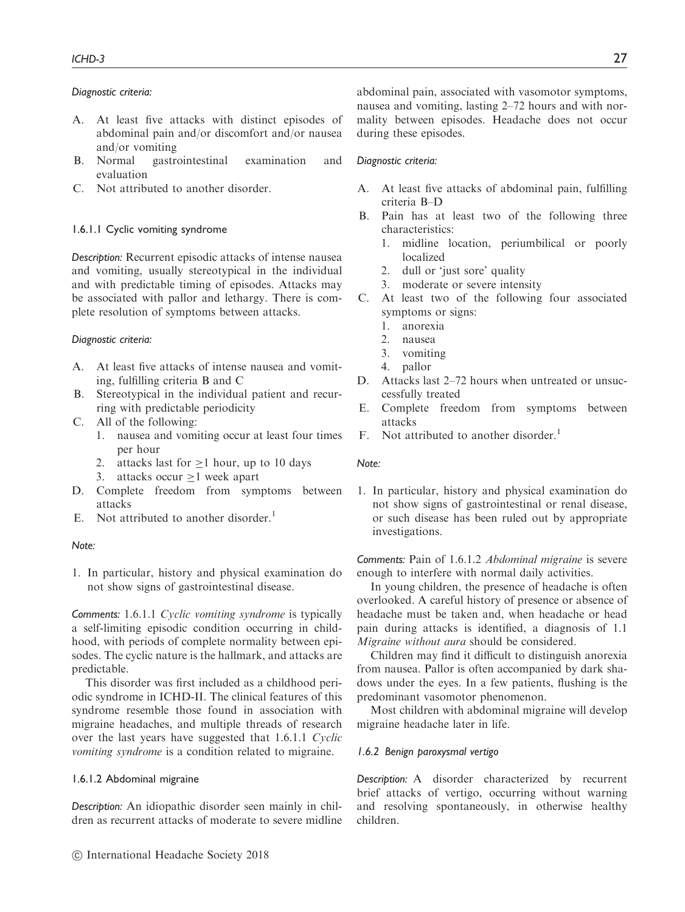### Diagnostic criteria:

- A. At least five attacks with distinct episodes of abdominal pain and/or discomfort and/or nausea and/or vomiting
- B. Normal gastrointestinal examination and evaluation
- C. Not attributed to another disorder.

### 1.6.1.1 Cyclic vomiting syndrome

Description: Recurrent episodic attacks of intense nausea and vomiting, usually stereotypical in the individual and with predictable timing of episodes. Attacks may be associated with pallor and lethargy. There is complete resolution of symptoms between attacks.

### Diagnostic criteria:

- A. At least five attacks of intense nausea and vomiting, fulfilling criteria B and C
- B. Stereotypical in the individual patient and recurring with predictable periodicity
- C. All of the following:
	- 1. nausea and vomiting occur at least four times per hour
	- 2. attacks last for  $\geq 1$  hour, up to 10 days
	- 3. attacks occur  $\geq$ 1 week apart
- D. Complete freedom from symptoms between attacks
- E. Not attributed to another disorder.<sup>1</sup>

### Note:

1. In particular, history and physical examination do not show signs of gastrointestinal disease.

Comments: 1.6.1.1 Cyclic vomiting syndrome is typically a self-limiting episodic condition occurring in childhood, with periods of complete normality between episodes. The cyclic nature is the hallmark, and attacks are predictable.

This disorder was first included as a childhood periodic syndrome in ICHD-II. The clinical features of this syndrome resemble those found in association with migraine headaches, and multiple threads of research over the last years have suggested that 1.6.1.1 Cyclic vomiting syndrome is a condition related to migraine.

### 1.6.1.2 Abdominal migraine

Description: An idiopathic disorder seen mainly in children as recurrent attacks of moderate to severe midline

### Diagnostic criteria:

- A. At least five attacks of abdominal pain, fulfilling criteria B–D
- B. Pain has at least two of the following three characteristics:
	- 1. midline location, periumbilical or poorly localized
	- 2. dull or 'just sore' quality
	- 3. moderate or severe intensity
- C. At least two of the following four associated symptoms or signs:
	- 1. anorexia
	- 2. nausea
	- 3. vomiting
	- 4. pallor
- D. Attacks last 2–72 hours when untreated or unsuccessfully treated
- E. Complete freedom from symptoms between attacks
- F. Not attributed to another disorder.<sup>1</sup>

### Note:

1. In particular, history and physical examination do not show signs of gastrointestinal or renal disease, or such disease has been ruled out by appropriate investigations.

Comments: Pain of 1.6.1.2 Abdominal migraine is severe enough to interfere with normal daily activities.

In young children, the presence of headache is often overlooked. A careful history of presence or absence of headache must be taken and, when headache or head pain during attacks is identified, a diagnosis of 1.1 Migraine without aura should be considered.

Children may find it difficult to distinguish anorexia from nausea. Pallor is often accompanied by dark shadows under the eyes. In a few patients, flushing is the predominant vasomotor phenomenon.

Most children with abdominal migraine will develop migraine headache later in life.

### 1.6.2 Benign paroxysmal vertigo

Description: A disorder characterized by recurrent brief attacks of vertigo, occurring without warning and resolving spontaneously, in otherwise healthy children.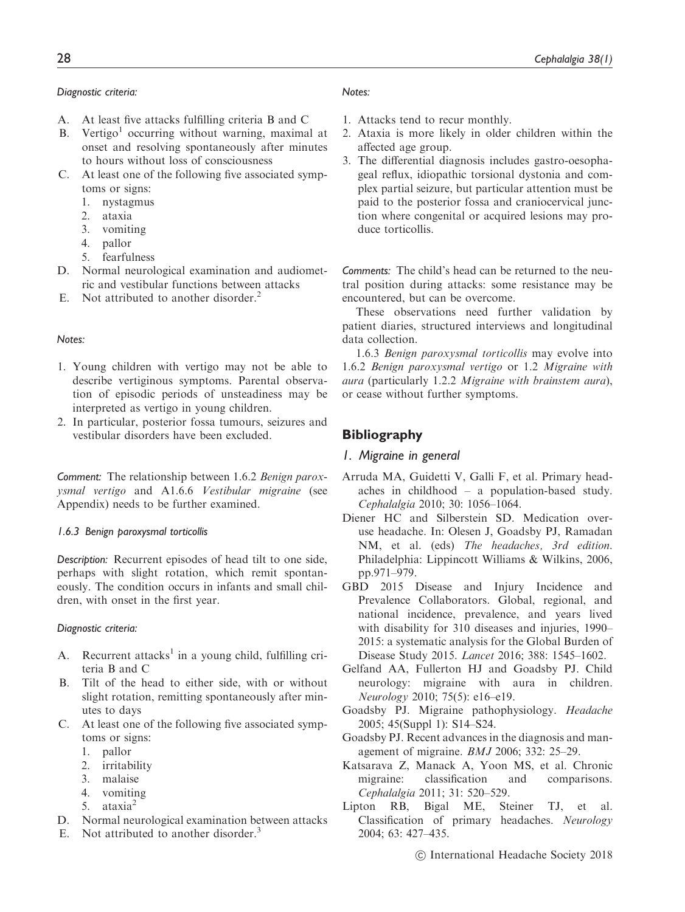### Diagnostic criteria:

- A. At least five attacks fulfilling criteria B and C
- B. Vertigo<sup>1</sup> occurring without warning, maximal at onset and resolving spontaneously after minutes to hours without loss of consciousness
- C. At least one of the following five associated symptoms or signs:
	- 1. nystagmus
	- 2. ataxia
	- 3. vomiting
	- 4. pallor
	- 5. fearfulness
- D. Normal neurological examination and audiometric and vestibular functions between attacks
- E. Not attributed to another disorder.<sup>2</sup>

### Notes:

- 1. Young children with vertigo may not be able to describe vertiginous symptoms. Parental observation of episodic periods of unsteadiness may be interpreted as vertigo in young children.
- 2. In particular, posterior fossa tumours, seizures and vestibular disorders have been excluded.

Comment: The relationship between 1.6.2 Benign paroxysmal vertigo and A1.6.6 Vestibular migraine (see Appendix) needs to be further examined.

### 1.6.3 Benign paroxysmal torticollis

Description: Recurrent episodes of head tilt to one side, perhaps with slight rotation, which remit spontaneously. The condition occurs in infants and small children, with onset in the first year.

### Diagnostic criteria:

- A. Recurrent attacks<sup>1</sup> in a young child, fulfilling criteria B and C
- B. Tilt of the head to either side, with or without slight rotation, remitting spontaneously after minutes to days
- C. At least one of the following five associated symptoms or signs:
	- 1. pallor
	- 2. irritability
	- 3. malaise
	- 4. vomiting
	- 5. ataxia<sup>2</sup>
- D. Normal neurological examination between attacks
- E. Not attributed to another disorder.<sup>3</sup>

### Notes:

- 1. Attacks tend to recur monthly.
- 2. Ataxia is more likely in older children within the affected age group.
- 3. The differential diagnosis includes gastro-oesophageal reflux, idiopathic torsional dystonia and complex partial seizure, but particular attention must be paid to the posterior fossa and craniocervical junction where congenital or acquired lesions may produce torticollis.

Comments: The child's head can be returned to the neutral position during attacks: some resistance may be encountered, but can be overcome.

These observations need further validation by patient diaries, structured interviews and longitudinal data collection.

1.6.3 Benign paroxysmal torticollis may evolve into 1.6.2 Benign paroxysmal vertigo or 1.2 Migraine with aura (particularly 1.2.2 Migraine with brainstem aura), or cease without further symptoms.

## **Bibliography**

### 1. Migraine in general

- Arruda MA, Guidetti V, Galli F, et al. Primary headaches in childhood – a population-based study. Cephalalgia 2010; 30: 1056–1064.
- Diener HC and Silberstein SD. Medication overuse headache. In: Olesen J, Goadsby PJ, Ramadan NM, et al. (eds) The headaches, 3rd edition. Philadelphia: Lippincott Williams & Wilkins, 2006, pp.971–979.
- GBD 2015 Disease and Injury Incidence and Prevalence Collaborators. Global, regional, and national incidence, prevalence, and years lived with disability for 310 diseases and injuries, 1990– 2015: a systematic analysis for the Global Burden of Disease Study 2015. Lancet 2016; 388: 1545–1602.
- Gelfand AA, Fullerton HJ and Goadsby PJ. Child neurology: migraine with aura in children. Neurology 2010; 75(5): e16–e19.
- Goadsby PJ. Migraine pathophysiology. Headache 2005; 45(Suppl 1): S14–S24.
- Goadsby PJ. Recent advances in the diagnosis and management of migraine. BMJ 2006; 332: 25–29.
- Katsarava Z, Manack A, Yoon MS, et al. Chronic migraine: classification and comparisons. Cephalalgia 2011; 31: 520–529.
- Lipton RB, Bigal ME, Steiner TJ, et al. Classification of primary headaches. Neurology 2004; 63: 427–435.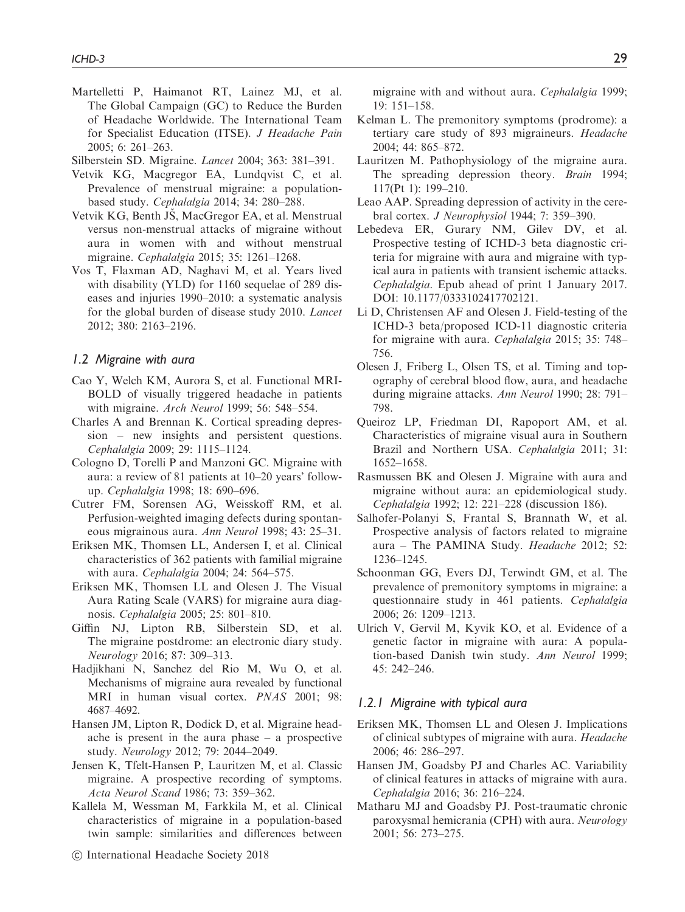Martelletti P, Haimanot RT, Lainez MJ, et al. The Global Campaign (GC) to Reduce the Burden of Headache Worldwide. The International Team for Specialist Education (ITSE). J Headache Pain 2005; 6: 261–263.

Silberstein SD. Migraine. Lancet 2004; 363: 381–391.

- Vetvik KG, Macgregor EA, Lundqvist C, et al. Prevalence of menstrual migraine: a populationbased study. Cephalalgia 2014; 34: 280–288.
- Vetvik KG, Benth JŠ, MacGregor EA, et al. Menstrual versus non-menstrual attacks of migraine without aura in women with and without menstrual migraine. Cephalalgia 2015; 35: 1261–1268.
- Vos T, Flaxman AD, Naghavi M, et al. Years lived with disability (YLD) for 1160 sequelae of 289 diseases and injuries 1990–2010: a systematic analysis for the global burden of disease study 2010. Lancet 2012; 380: 2163–2196.

### 1.2 Migraine with aura

- Cao Y, Welch KM, Aurora S, et al. Functional MRI-BOLD of visually triggered headache in patients with migraine. Arch Neurol 1999; 56: 548–554.
- Charles A and Brennan K. Cortical spreading depression – new insights and persistent questions. Cephalalgia 2009; 29: 1115–1124.
- Cologno D, Torelli P and Manzoni GC. Migraine with aura: a review of 81 patients at 10–20 years' followup. Cephalalgia 1998; 18: 690–696.
- Cutrer FM, Sorensen AG, Weisskoff RM, et al. Perfusion-weighted imaging defects during spontaneous migrainous aura. Ann Neurol 1998; 43: 25–31.
- Eriksen MK, Thomsen LL, Andersen I, et al. Clinical characteristics of 362 patients with familial migraine with aura. Cephalalgia 2004; 24: 564–575.
- Eriksen MK, Thomsen LL and Olesen J. The Visual Aura Rating Scale (VARS) for migraine aura diagnosis. Cephalalgia 2005; 25: 801–810.
- Giffin NJ, Lipton RB, Silberstein SD, et al. The migraine postdrome: an electronic diary study. Neurology 2016; 87: 309–313.
- Hadjikhani N, Sanchez del Rio M, Wu O, et al. Mechanisms of migraine aura revealed by functional MRI in human visual cortex. PNAS 2001; 98: 4687–4692.
- Hansen JM, Lipton R, Dodick D, et al. Migraine headache is present in the aura phase – a prospective study. Neurology 2012; 79: 2044–2049.
- Jensen K, Tfelt-Hansen P, Lauritzen M, et al. Classic migraine. A prospective recording of symptoms. Acta Neurol Scand 1986; 73: 359–362.
- Kallela M, Wessman M, Farkkila M, et al. Clinical characteristics of migraine in a population-based twin sample: similarities and differences between

! International Headache Society 2018

migraine with and without aura. Cephalalgia 1999; 19: 151–158.

- Kelman L. The premonitory symptoms (prodrome): a tertiary care study of 893 migraineurs. Headache 2004; 44: 865–872.
- Lauritzen M. Pathophysiology of the migraine aura. The spreading depression theory. Brain 1994; 117(Pt 1): 199–210.
- Leao AAP. Spreading depression of activity in the cerebral cortex. J Neurophysiol 1944; 7: 359–390.
- Lebedeva ER, Gurary NM, Gilev DV, et al. Prospective testing of ICHD-3 beta diagnostic criteria for migraine with aura and migraine with typical aura in patients with transient ischemic attacks. Cephalalgia. Epub ahead of print 1 January 2017. DOI: 10.1177/0333102417702121.
- Li D, Christensen AF and Olesen J. Field-testing of the ICHD-3 beta/proposed ICD-11 diagnostic criteria for migraine with aura. Cephalalgia 2015; 35: 748– 756.
- Olesen J, Friberg L, Olsen TS, et al. Timing and topography of cerebral blood flow, aura, and headache during migraine attacks. Ann Neurol 1990; 28: 791– 798.
- Queiroz LP, Friedman DI, Rapoport AM, et al. Characteristics of migraine visual aura in Southern Brazil and Northern USA. Cephalalgia 2011; 31: 1652–1658.
- Rasmussen BK and Olesen J. Migraine with aura and migraine without aura: an epidemiological study. Cephalalgia 1992; 12: 221–228 (discussion 186).
- Salhofer-Polanyi S, Frantal S, Brannath W, et al. Prospective analysis of factors related to migraine aura – The PAMINA Study. Headache 2012; 52: 1236–1245.
- Schoonman GG, Evers DJ, Terwindt GM, et al. The prevalence of premonitory symptoms in migraine: a questionnaire study in 461 patients. Cephalalgia 2006; 26: 1209–1213.
- Ulrich V, Gervil M, Kyvik KO, et al. Evidence of a genetic factor in migraine with aura: A population-based Danish twin study. Ann Neurol 1999; 45: 242–246.

#### 1.2.1 Migraine with typical aura

- Eriksen MK, Thomsen LL and Olesen J. Implications of clinical subtypes of migraine with aura. Headache 2006; 46: 286–297.
- Hansen JM, Goadsby PJ and Charles AC. Variability of clinical features in attacks of migraine with aura. Cephalalgia 2016; 36: 216–224.
- Matharu MJ and Goadsby PJ. Post-traumatic chronic paroxysmal hemicrania (CPH) with aura. Neurology 2001; 56: 273–275.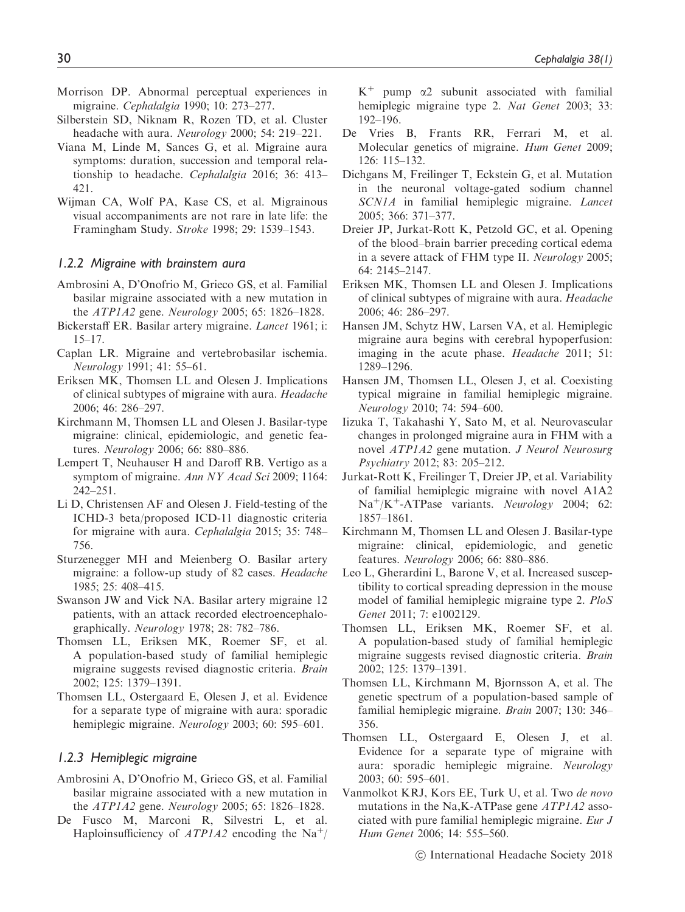- Morrison DP. Abnormal perceptual experiences in migraine. Cephalalgia 1990; 10: 273–277.
- Silberstein SD, Niknam R, Rozen TD, et al. Cluster headache with aura. Neurology 2000; 54: 219–221.
- Viana M, Linde M, Sances G, et al. Migraine aura symptoms: duration, succession and temporal relationship to headache. Cephalalgia 2016; 36: 413– 421.
- Wijman CA, Wolf PA, Kase CS, et al. Migrainous visual accompaniments are not rare in late life: the Framingham Study. Stroke 1998; 29: 1539–1543.

#### 1.2.2 Migraine with brainstem aura

- Ambrosini A, D'Onofrio M, Grieco GS, et al. Familial basilar migraine associated with a new mutation in the ATP1A2 gene. Neurology 2005; 65: 1826–1828.
- Bickerstaff ER. Basilar artery migraine. Lancet 1961; i: 15–17.
- Caplan LR. Migraine and vertebrobasilar ischemia. Neurology 1991; 41: 55–61.
- Eriksen MK, Thomsen LL and Olesen J. Implications of clinical subtypes of migraine with aura. Headache 2006; 46: 286–297.
- Kirchmann M, Thomsen LL and Olesen J. Basilar-type migraine: clinical, epidemiologic, and genetic features. Neurology 2006; 66: 880–886.
- Lempert T, Neuhauser H and Daroff RB. Vertigo as a symptom of migraine. Ann NY Acad Sci 2009; 1164: 242–251.
- Li D, Christensen AF and Olesen J. Field-testing of the ICHD-3 beta/proposed ICD-11 diagnostic criteria for migraine with aura. Cephalalgia 2015; 35: 748– 756.
- Sturzenegger MH and Meienberg O. Basilar artery migraine: a follow-up study of 82 cases. Headache 1985; 25: 408–415.
- Swanson JW and Vick NA. Basilar artery migraine 12 patients, with an attack recorded electroencephalographically. Neurology 1978; 28: 782–786.
- Thomsen LL, Eriksen MK, Roemer SF, et al. A population-based study of familial hemiplegic migraine suggests revised diagnostic criteria. Brain 2002; 125: 1379–1391.
- Thomsen LL, Ostergaard E, Olesen J, et al. Evidence for a separate type of migraine with aura: sporadic hemiplegic migraine. Neurology 2003; 60: 595–601.

### 1.2.3 Hemiplegic migraine

- Ambrosini A, D'Onofrio M, Grieco GS, et al. Familial basilar migraine associated with a new mutation in the ATP1A2 gene. Neurology 2005; 65: 1826–1828.
- De Fusco M, Marconi R, Silvestri L, et al. Haploinsufficiency of  $ATPIA2$  encoding the Na<sup>+</sup>/

 $K^+$  pump  $\alpha$ 2 subunit associated with familial hemiplegic migraine type 2. Nat Genet 2003; 33: 192–196.

- De Vries B, Frants RR, Ferrari M, et al. Molecular genetics of migraine. Hum Genet 2009; 126: 115–132.
- Dichgans M, Freilinger T, Eckstein G, et al. Mutation in the neuronal voltage-gated sodium channel SCN1A in familial hemiplegic migraine. Lancet 2005; 366: 371–377.
- Dreier JP, Jurkat-Rott K, Petzold GC, et al. Opening of the blood–brain barrier preceding cortical edema in a severe attack of FHM type II. Neurology 2005; 64: 2145–2147.
- Eriksen MK, Thomsen LL and Olesen J. Implications of clinical subtypes of migraine with aura. Headache 2006; 46: 286–297.
- Hansen JM, Schytz HW, Larsen VA, et al. Hemiplegic migraine aura begins with cerebral hypoperfusion: imaging in the acute phase. Headache 2011; 51: 1289–1296.
- Hansen JM, Thomsen LL, Olesen J, et al. Coexisting typical migraine in familial hemiplegic migraine. Neurology 2010; 74: 594–600.
- Iizuka T, Takahashi Y, Sato M, et al. Neurovascular changes in prolonged migraine aura in FHM with a novel *ATP1A2* gene mutation. *J Neurol Neurosurg* Psychiatry 2012; 83: 205–212.
- Jurkat-Rott K, Freilinger T, Dreier JP, et al. Variability of familial hemiplegic migraine with novel A1A2  $Na^{+}/K^{+}$ -ATPase variants. Neurology 2004; 62: 1857–1861.
- Kirchmann M, Thomsen LL and Olesen J. Basilar-type migraine: clinical, epidemiologic, and genetic features. Neurology 2006; 66: 880–886.
- Leo L, Gherardini L, Barone V, et al. Increased susceptibility to cortical spreading depression in the mouse model of familial hemiplegic migraine type 2. PloS Genet 2011; 7: e1002129.
- Thomsen LL, Eriksen MK, Roemer SF, et al. A population-based study of familial hemiplegic migraine suggests revised diagnostic criteria. Brain 2002; 125: 1379–1391.
- Thomsen LL, Kirchmann M, Bjornsson A, et al. The genetic spectrum of a population-based sample of familial hemiplegic migraine. Brain 2007; 130: 346– 356.
- Thomsen LL, Ostergaard E, Olesen J, et al. Evidence for a separate type of migraine with aura: sporadic hemiplegic migraine. Neurology 2003; 60: 595–601.
- Vanmolkot KRJ, Kors EE, Turk U, et al. Two de novo mutations in the Na,K-ATPase gene ATP1A2 associated with pure familial hemiplegic migraine. Eur J Hum Genet 2006; 14: 555–560.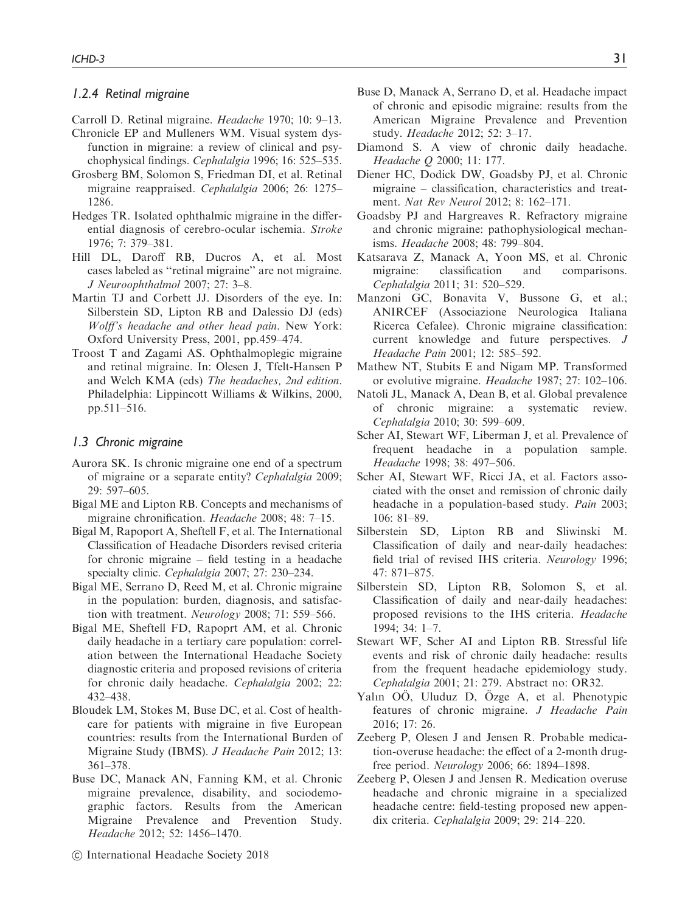### 1.2.4 Retinal migraine

- Carroll D. Retinal migraine. Headache 1970; 10: 9–13.
- Chronicle EP and Mulleners WM. Visual system dysfunction in migraine: a review of clinical and psychophysical findings. Cephalalgia 1996; 16: 525–535.
- Grosberg BM, Solomon S, Friedman DI, et al. Retinal migraine reappraised. Cephalalgia 2006; 26: 1275– 1286.
- Hedges TR. Isolated ophthalmic migraine in the differential diagnosis of cerebro-ocular ischemia. Stroke 1976; 7: 379–381.
- Hill DL, Daroff RB, Ducros A, et al. Most cases labeled as ''retinal migraine'' are not migraine. J Neuroophthalmol 2007; 27: 3–8.
- Martin TJ and Corbett JJ. Disorders of the eye. In: Silberstein SD, Lipton RB and Dalessio DJ (eds) Wolff's headache and other head pain. New York: Oxford University Press, 2001, pp.459–474.
- Troost T and Zagami AS. Ophthalmoplegic migraine and retinal migraine. In: Olesen J, Tfelt-Hansen P and Welch KMA (eds) The headaches, 2nd edition. Philadelphia: Lippincott Williams & Wilkins, 2000, pp.511–516.

### 1.3 Chronic migraine

- Aurora SK. Is chronic migraine one end of a spectrum of migraine or a separate entity? Cephalalgia 2009; 29: 597–605.
- Bigal ME and Lipton RB. Concepts and mechanisms of migraine chronification. Headache 2008; 48: 7–15.
- Bigal M, Rapoport A, Sheftell F, et al. The International Classification of Headache Disorders revised criteria for chronic migraine – field testing in a headache specialty clinic. Cephalalgia 2007; 27: 230–234.
- Bigal ME, Serrano D, Reed M, et al. Chronic migraine in the population: burden, diagnosis, and satisfaction with treatment. Neurology 2008; 71: 559–566.
- Bigal ME, Sheftell FD, Rapoprt AM, et al. Chronic daily headache in a tertiary care population: correlation between the International Headache Society diagnostic criteria and proposed revisions of criteria for chronic daily headache. Cephalalgia 2002; 22: 432–438.
- Bloudek LM, Stokes M, Buse DC, et al. Cost of healthcare for patients with migraine in five European countries: results from the International Burden of Migraine Study (IBMS). J Headache Pain 2012; 13: 361–378.
- Buse DC, Manack AN, Fanning KM, et al. Chronic migraine prevalence, disability, and sociodemographic factors. Results from the American Migraine Prevalence and Prevention Study. Headache 2012; 52: 1456–1470.
- Buse D, Manack A, Serrano D, et al. Headache impact of chronic and episodic migraine: results from the American Migraine Prevalence and Prevention study. Headache 2012; 52: 3–17.
- Diamond S. A view of chronic daily headache. Headache Q 2000; 11: 177.
- Diener HC, Dodick DW, Goadsby PJ, et al. Chronic migraine – classification, characteristics and treatment. Nat Rev Neurol 2012; 8: 162–171.
- Goadsby PJ and Hargreaves R. Refractory migraine and chronic migraine: pathophysiological mechanisms. Headache 2008; 48: 799–804.
- Katsarava Z, Manack A, Yoon MS, et al. Chronic migraine: classification and comparisons. Cephalalgia 2011; 31: 520–529.
- Manzoni GC, Bonavita V, Bussone G, et al.; ANIRCEF (Associazione Neurologica Italiana Ricerca Cefalee). Chronic migraine classification: current knowledge and future perspectives. J Headache Pain 2001; 12: 585–592.
- Mathew NT, Stubits E and Nigam MP. Transformed or evolutive migraine. Headache 1987; 27: 102–106.
- Natoli JL, Manack A, Dean B, et al. Global prevalence of chronic migraine: a systematic review. Cephalalgia 2010; 30: 599–609.
- Scher AI, Stewart WF, Liberman J, et al. Prevalence of frequent headache in a population sample. Headache 1998; 38: 497–506.
- Scher AI, Stewart WF, Ricci JA, et al. Factors associated with the onset and remission of chronic daily headache in a population-based study. Pain 2003; 106: 81–89.
- Silberstein SD, Lipton RB and Sliwinski M. Classification of daily and near-daily headaches: field trial of revised IHS criteria. Neurology 1996; 47: 871–875.
- Silberstein SD, Lipton RB, Solomon S, et al. Classification of daily and near-daily headaches: proposed revisions to the IHS criteria. Headache 1994; 34: 1–7.
- Stewart WF, Scher AI and Lipton RB. Stressful life events and risk of chronic daily headache: results from the frequent headache epidemiology study. Cephalalgia 2001; 21: 279. Abstract no: OR32.
- Yalın OÖ, Uluduz D, Özge A, et al. Phenotypic features of chronic migraine. J Headache Pain 2016; 17: 26.
- Zeeberg P, Olesen J and Jensen R. Probable medication-overuse headache: the effect of a 2-month drugfree period. Neurology 2006; 66: 1894–1898.
- Zeeberg P, Olesen J and Jensen R. Medication overuse headache and chronic migraine in a specialized headache centre: field-testing proposed new appendix criteria. Cephalalgia 2009; 29: 214–220.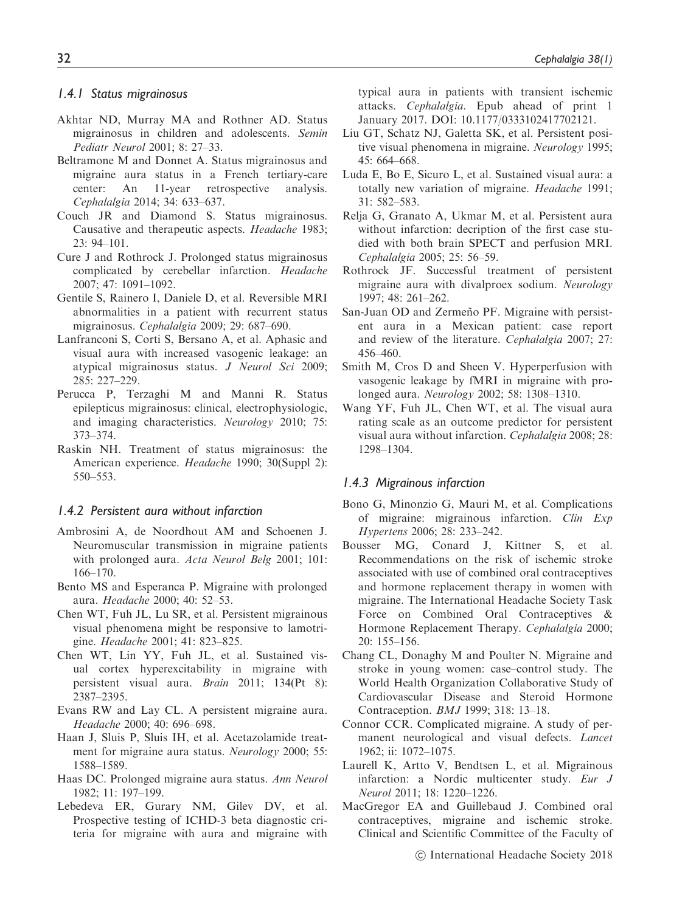### 1.4.1 Status migrainosus

- Akhtar ND, Murray MA and Rothner AD. Status migrainosus in children and adolescents. Semin Pediatr Neurol 2001; 8: 27–33.
- Beltramone M and Donnet A. Status migrainosus and migraine aura status in a French tertiary-care center: An 11-year retrospective analysis. Cephalalgia 2014; 34: 633–637.
- Couch JR and Diamond S. Status migrainosus. Causative and therapeutic aspects. Headache 1983; 23: 94–101.
- Cure J and Rothrock J. Prolonged status migrainosus complicated by cerebellar infarction. Headache 2007; 47: 1091–1092.
- Gentile S, Rainero I, Daniele D, et al. Reversible MRI abnormalities in a patient with recurrent status migrainosus. Cephalalgia 2009; 29: 687–690.
- Lanfranconi S, Corti S, Bersano A, et al. Aphasic and visual aura with increased vasogenic leakage: an atypical migrainosus status. J Neurol Sci 2009; 285: 227–229.
- Perucca P, Terzaghi M and Manni R. Status epilepticus migrainosus: clinical, electrophysiologic, and imaging characteristics. Neurology 2010; 75: 373–374.
- Raskin NH. Treatment of status migrainosus: the American experience. Headache 1990; 30(Suppl 2): 550–553.

### 1.4.2 Persistent aura without infarction

- Ambrosini A, de Noordhout AM and Schoenen J. Neuromuscular transmission in migraine patients with prolonged aura. Acta Neurol Belg 2001; 101: 166–170.
- Bento MS and Esperanca P. Migraine with prolonged aura. Headache 2000; 40: 52–53.
- Chen WT, Fuh JL, Lu SR, et al. Persistent migrainous visual phenomena might be responsive to lamotrigine. Headache 2001; 41: 823–825.
- Chen WT, Lin YY, Fuh JL, et al. Sustained visual cortex hyperexcitability in migraine with persistent visual aura. Brain 2011; 134(Pt 8): 2387–2395.
- Evans RW and Lay CL. A persistent migraine aura. Headache 2000; 40: 696–698.
- Haan J, Sluis P, Sluis IH, et al. Acetazolamide treatment for migraine aura status. Neurology 2000; 55: 1588–1589.
- Haas DC. Prolonged migraine aura status. Ann Neurol 1982; 11: 197–199.
- Lebedeva ER, Gurary NM, Gilev DV, et al. Prospective testing of ICHD-3 beta diagnostic criteria for migraine with aura and migraine with

typical aura in patients with transient ischemic attacks. Cephalalgia. Epub ahead of print 1 January 2017. DOI: 10.1177/0333102417702121.

- Liu GT, Schatz NJ, Galetta SK, et al. Persistent positive visual phenomena in migraine. Neurology 1995; 45: 664–668.
- Luda E, Bo E, Sicuro L, et al. Sustained visual aura: a totally new variation of migraine. Headache 1991; 31: 582–583.
- Relja G, Granato A, Ukmar M, et al. Persistent aura without infarction: decription of the first case studied with both brain SPECT and perfusion MRI. Cephalalgia 2005; 25: 56–59.
- Rothrock JF. Successful treatment of persistent migraine aura with divalproex sodium. Neurology 1997; 48: 261–262.
- San-Juan OD and Zermeño PF. Migraine with persistent aura in a Mexican patient: case report and review of the literature. Cephalalgia 2007; 27: 456–460.
- Smith M, Cros D and Sheen V. Hyperperfusion with vasogenic leakage by fMRI in migraine with prolonged aura. Neurology 2002; 58: 1308–1310.
- Wang YF, Fuh JL, Chen WT, et al. The visual aura rating scale as an outcome predictor for persistent visual aura without infarction. Cephalalgia 2008; 28: 1298–1304.

### 1.4.3 Migrainous infarction

- Bono G, Minonzio G, Mauri M, et al. Complications of migraine: migrainous infarction. Clin Exp Hypertens 2006; 28: 233–242.
- Bousser MG, Conard J, Kittner S, et al. Recommendations on the risk of ischemic stroke associated with use of combined oral contraceptives and hormone replacement therapy in women with migraine. The International Headache Society Task Force on Combined Oral Contraceptives & Hormone Replacement Therapy. Cephalalgia 2000; 20: 155–156.
- Chang CL, Donaghy M and Poulter N. Migraine and stroke in young women: case–control study. The World Health Organization Collaborative Study of Cardiovascular Disease and Steroid Hormone Contraception. BMJ 1999; 318: 13–18.
- Connor CCR. Complicated migraine. A study of permanent neurological and visual defects. Lancet 1962; ii: 1072–1075.
- Laurell K, Artto V, Bendtsen L, et al. Migrainous infarction: a Nordic multicenter study. Eur J Neurol 2011; 18: 1220–1226.
- MacGregor EA and Guillebaud J. Combined oral contraceptives, migraine and ischemic stroke. Clinical and Scientific Committee of the Faculty of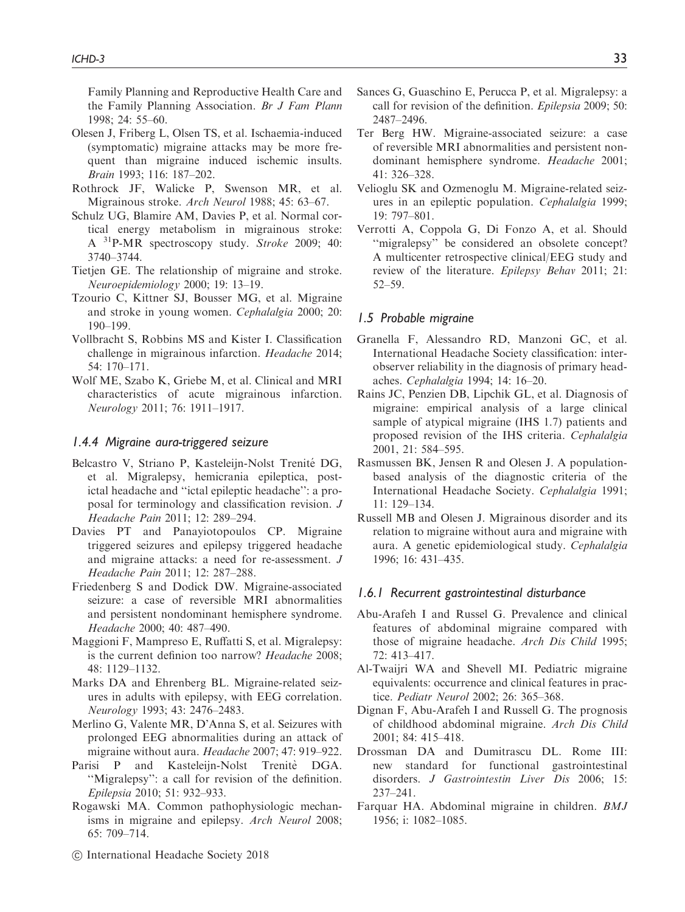Family Planning and Reproductive Health Care and the Family Planning Association. Br J Fam Plann 1998; 24: 55–60.

- Olesen J, Friberg L, Olsen TS, et al. Ischaemia-induced (symptomatic) migraine attacks may be more frequent than migraine induced ischemic insults. Brain 1993; 116: 187–202.
- Rothrock JF, Walicke P, Swenson MR, et al. Migrainous stroke. Arch Neurol 1988; 45: 63–67.
- Schulz UG, Blamire AM, Davies P, et al. Normal cortical energy metabolism in migrainous stroke: A 31P-MR spectroscopy study. Stroke 2009; 40: 3740–3744.
- Tietjen GE. The relationship of migraine and stroke. Neuroepidemiology 2000; 19: 13–19.
- Tzourio C, Kittner SJ, Bousser MG, et al. Migraine and stroke in young women. Cephalalgia 2000; 20: 190–199.
- Vollbracht S, Robbins MS and Kister I. Classification challenge in migrainous infarction. Headache 2014; 54: 170–171.
- Wolf ME, Szabo K, Griebe M, et al. Clinical and MRI characteristics of acute migrainous infarction. Neurology 2011; 76: 1911–1917.

### 1.4.4 Migraine aura-triggered seizure

- Belcastro V, Striano P, Kasteleijn-Nolst Trenité DG, et al. Migralepsy, hemicrania epileptica, postictal headache and ''ictal epileptic headache'': a proposal for terminology and classification revision. J Headache Pain 2011; 12: 289–294.
- Davies PT and Panayiotopoulos CP. Migraine triggered seizures and epilepsy triggered headache and migraine attacks: a need for re-assessment. J Headache Pain 2011; 12: 287–288.
- Friedenberg S and Dodick DW. Migraine-associated seizure: a case of reversible MRI abnormalities and persistent nondominant hemisphere syndrome. Headache 2000; 40: 487–490.
- Maggioni F, Mampreso E, Ruffatti S, et al. Migralepsy: is the current definion too narrow? Headache 2008; 48: 1129–1132.
- Marks DA and Ehrenberg BL. Migraine-related seizures in adults with epilepsy, with EEG correlation. Neurology 1993; 43: 2476–2483.
- Merlino G, Valente MR, D'Anna S, et al. Seizures with prolonged EEG abnormalities during an attack of migraine without aura. Headache 2007; 47: 919–922.
- Parisi P and Kasteleijn-Nolst Trenite DGA. ''Migralepsy'': a call for revision of the definition. Epilepsia 2010; 51: 932–933.
- Rogawski MA. Common pathophysiologic mechanisms in migraine and epilepsy. Arch Neurol 2008; 65: 709–714.
- ! International Headache Society 2018
- Sances G, Guaschino E, Perucca P, et al. Migralepsy: a call for revision of the definition. Epilepsia 2009; 50: 2487–2496.
- Ter Berg HW. Migraine-associated seizure: a case of reversible MRI abnormalities and persistent nondominant hemisphere syndrome. Headache 2001; 41: 326–328.
- Velioglu SK and Ozmenoglu M. Migraine-related seizures in an epileptic population. Cephalalgia 1999; 19: 797–801.
- Verrotti A, Coppola G, Di Fonzo A, et al. Should ''migralepsy'' be considered an obsolete concept? A multicenter retrospective clinical/EEG study and review of the literature. Epilepsy Behav 2011; 21: 52–59.

### 1.5 Probable migraine

- Granella F, Alessandro RD, Manzoni GC, et al. International Headache Society classification: interobserver reliability in the diagnosis of primary headaches. Cephalalgia 1994; 14: 16–20.
- Rains JC, Penzien DB, Lipchik GL, et al. Diagnosis of migraine: empirical analysis of a large clinical sample of atypical migraine (IHS 1.7) patients and proposed revision of the IHS criteria. Cephalalgia 2001, 21: 584–595.
- Rasmussen BK, Jensen R and Olesen J. A populationbased analysis of the diagnostic criteria of the International Headache Society. Cephalalgia 1991; 11: 129–134.
- Russell MB and Olesen J. Migrainous disorder and its relation to migraine without aura and migraine with aura. A genetic epidemiological study. Cephalalgia 1996; 16: 431–435.

### 1.6.1 Recurrent gastrointestinal disturbance

- Abu-Arafeh I and Russel G. Prevalence and clinical features of abdominal migraine compared with those of migraine headache. Arch Dis Child 1995; 72: 413–417.
- Al-Twaijri WA and Shevell MI. Pediatric migraine equivalents: occurrence and clinical features in practice. Pediatr Neurol 2002; 26: 365–368.
- Dignan F, Abu-Arafeh I and Russell G. The prognosis of childhood abdominal migraine. Arch Dis Child 2001; 84: 415–418.
- Drossman DA and Dumitrascu DL. Rome III: new standard for functional gastrointestinal disorders. J Gastrointestin Liver Dis 2006; 15: 237–241.
- Farquar HA. Abdominal migraine in children. BMJ 1956; i: 1082–1085.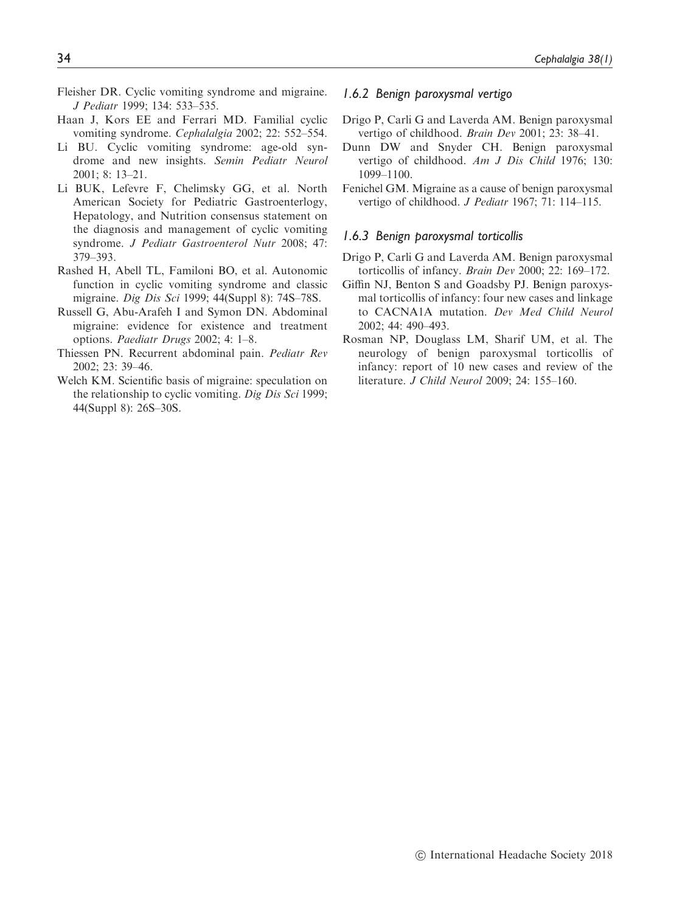- Fleisher DR. Cyclic vomiting syndrome and migraine. J Pediatr 1999; 134: 533–535.
- Haan J, Kors EE and Ferrari MD. Familial cyclic vomiting syndrome. Cephalalgia 2002; 22: 552–554.
- Li BU. Cyclic vomiting syndrome: age-old syndrome and new insights. Semin Pediatr Neurol 2001; 8: 13–21.
- Li BUK, Lefevre F, Chelimsky GG, et al. North American Society for Pediatric Gastroenterlogy, Hepatology, and Nutrition consensus statement on the diagnosis and management of cyclic vomiting syndrome. J Pediatr Gastroenterol Nutr 2008; 47: 379–393.
- Rashed H, Abell TL, Familoni BO, et al. Autonomic function in cyclic vomiting syndrome and classic migraine. Dig Dis Sci 1999; 44(Suppl 8): 74S–78S.
- Russell G, Abu-Arafeh I and Symon DN. Abdominal migraine: evidence for existence and treatment options. Paediatr Drugs 2002; 4: 1–8.
- Thiessen PN. Recurrent abdominal pain. Pediatr Rev 2002; 23: 39–46.
- Welch KM. Scientific basis of migraine: speculation on the relationship to cyclic vomiting. Dig Dis Sci 1999; 44(Suppl 8): 26S–30S.

### 1.6.2 Benign paroxysmal vertigo

- Drigo P, Carli G and Laverda AM. Benign paroxysmal vertigo of childhood. Brain Dev 2001; 23: 38–41.
- Dunn DW and Snyder CH. Benign paroxysmal vertigo of childhood. Am J Dis Child 1976; 130: 1099–1100.
- Fenichel GM. Migraine as a cause of benign paroxysmal vertigo of childhood. J Pediatr 1967; 71: 114–115.

#### 1.6.3 Benign paroxysmal torticollis

- Drigo P, Carli G and Laverda AM. Benign paroxysmal torticollis of infancy. Brain Dev 2000; 22: 169–172.
- Giffin NJ, Benton S and Goadsby PJ. Benign paroxysmal torticollis of infancy: four new cases and linkage to CACNA1A mutation. Dev Med Child Neurol 2002; 44: 490–493.
- Rosman NP, Douglass LM, Sharif UM, et al. The neurology of benign paroxysmal torticollis of infancy: report of 10 new cases and review of the literature. J Child Neurol 2009; 24: 155–160.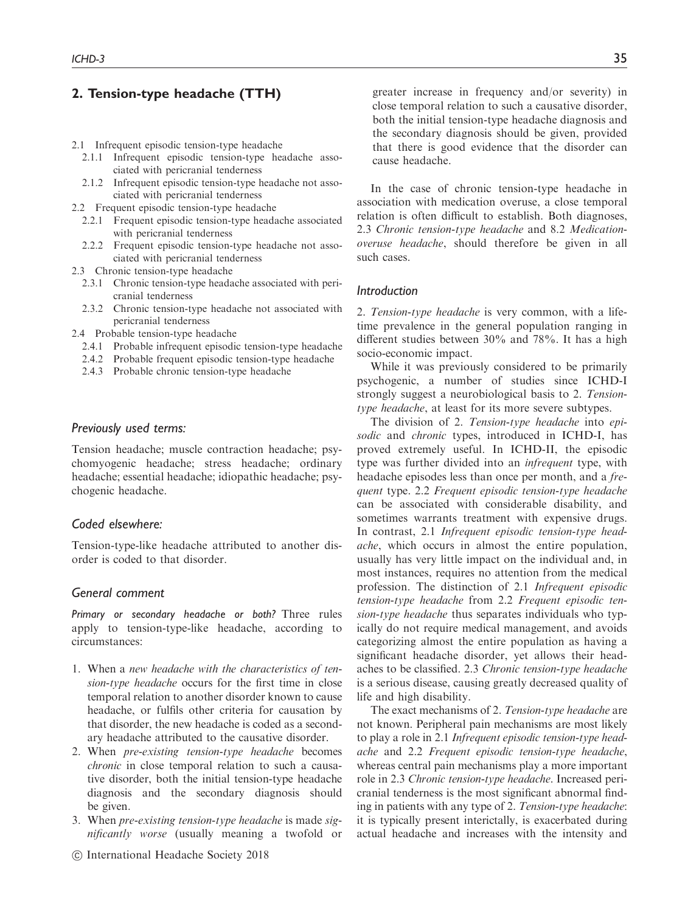## 2. Tension-type headache (TTH)

- 2.1 Infrequent episodic tension-type headache
	- 2.1.1 Infrequent episodic tension-type headache associated with pericranial tenderness
	- 2.1.2 Infrequent episodic tension-type headache not associated with pericranial tenderness
- 2.2 Frequent episodic tension-type headache
	- 2.2.1 Frequent episodic tension-type headache associated with pericranial tenderness
	- 2.2.2 Frequent episodic tension-type headache not associated with pericranial tenderness
- 2.3 Chronic tension-type headache
	- 2.3.1 Chronic tension-type headache associated with pericranial tenderness
	- 2.3.2 Chronic tension-type headache not associated with pericranial tenderness
- 2.4 Probable tension-type headache
	- 2.4.1 Probable infrequent episodic tension-type headache
	- 2.4.2 Probable frequent episodic tension-type headache
	- 2.4.3 Probable chronic tension-type headache

### Previously used terms:

Tension headache; muscle contraction headache; psychomyogenic headache; stress headache; ordinary headache; essential headache; idiopathic headache; psychogenic headache.

### Coded elsewhere:

Tension-type-like headache attributed to another disorder is coded to that disorder.

#### General comment

Primary or secondary headache or both? Three rules apply to tension-type-like headache, according to circumstances:

- 1. When a new headache with the characteristics of tension-type headache occurs for the first time in close temporal relation to another disorder known to cause headache, or fulfils other criteria for causation by that disorder, the new headache is coded as a secondary headache attributed to the causative disorder.
- 2. When pre-existing tension-type headache becomes chronic in close temporal relation to such a causative disorder, both the initial tension-type headache diagnosis and the secondary diagnosis should be given.
- 3. When pre-existing tension-type headache is made significantly worse (usually meaning a twofold or
- ! International Headache Society 2018

greater increase in frequency and/or severity) in close temporal relation to such a causative disorder, both the initial tension-type headache diagnosis and the secondary diagnosis should be given, provided that there is good evidence that the disorder can cause headache.

In the case of chronic tension-type headache in association with medication overuse, a close temporal relation is often difficult to establish. Both diagnoses, 2.3 Chronic tension-type headache and 8.2 Medicationoveruse headache, should therefore be given in all such cases.

### Introduction

2. Tension-type headache is very common, with a lifetime prevalence in the general population ranging in different studies between 30% and 78%. It has a high socio-economic impact.

While it was previously considered to be primarily psychogenic, a number of studies since ICHD-I strongly suggest a neurobiological basis to 2. Tensiontype headache, at least for its more severe subtypes.

The division of 2. Tension-type headache into episodic and *chronic* types, introduced in ICHD-I, has proved extremely useful. In ICHD-II, the episodic type was further divided into an infrequent type, with headache episodes less than once per month, and a frequent type. 2.2 Frequent episodic tension-type headache can be associated with considerable disability, and sometimes warrants treatment with expensive drugs. In contrast, 2.1 Infrequent episodic tension-type headache, which occurs in almost the entire population, usually has very little impact on the individual and, in most instances, requires no attention from the medical profession. The distinction of 2.1 Infrequent episodic tension-type headache from 2.2 Frequent episodic tension-type headache thus separates individuals who typically do not require medical management, and avoids categorizing almost the entire population as having a significant headache disorder, yet allows their headaches to be classified. 2.3 Chronic tension-type headache is a serious disease, causing greatly decreased quality of life and high disability.

The exact mechanisms of 2. Tension-type headache are not known. Peripheral pain mechanisms are most likely to play a role in 2.1 Infrequent episodic tension-type headache and 2.2 Frequent episodic tension-type headache, whereas central pain mechanisms play a more important role in 2.3 Chronic tension-type headache. Increased pericranial tenderness is the most significant abnormal finding in patients with any type of 2. Tension-type headache: it is typically present interictally, is exacerbated during actual headache and increases with the intensity and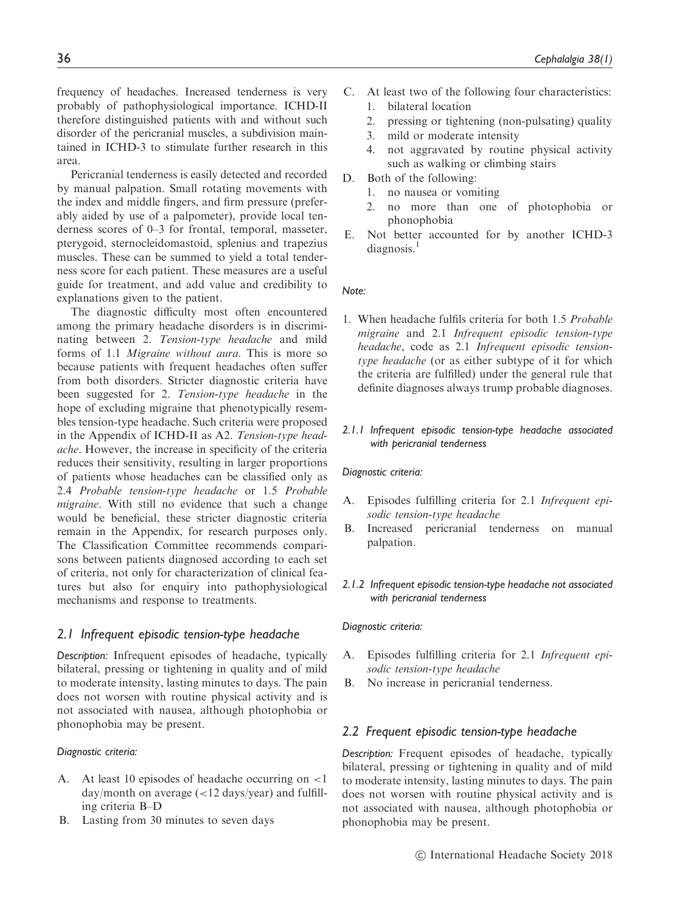frequency of headaches. Increased tenderness is very probably of pathophysiological importance. ICHD-II therefore distinguished patients with and without such disorder of the pericranial muscles, a subdivision maintained in ICHD-3 to stimulate further research in this area.

Pericranial tenderness is easily detected and recorded by manual palpation. Small rotating movements with the index and middle fingers, and firm pressure (preferably aided by use of a palpometer), provide local tenderness scores of 0–3 for frontal, temporal, masseter, pterygoid, sternocleidomastoid, splenius and trapezius muscles. These can be summed to yield a total tenderness score for each patient. These measures are a useful guide for treatment, and add value and credibility to explanations given to the patient.

The diagnostic difficulty most often encountered among the primary headache disorders is in discriminating between 2. Tension-type headache and mild forms of 1.1 Migraine without aura. This is more so because patients with frequent headaches often suffer from both disorders. Stricter diagnostic criteria have been suggested for 2. Tension-type headache in the hope of excluding migraine that phenotypically resembles tension-type headache. Such criteria were proposed in the Appendix of ICHD-II as A2. Tension-type headache. However, the increase in specificity of the criteria reduces their sensitivity, resulting in larger proportions of patients whose headaches can be classified only as 2.4 Probable tension-type headache or 1.5 Probable migraine. With still no evidence that such a change would be beneficial, these stricter diagnostic criteria remain in the Appendix, for research purposes only. The Classification Committee recommends comparisons between patients diagnosed according to each set of criteria, not only for characterization of clinical features but also for enquiry into pathophysiological mechanisms and response to treatments.

### 2.1 Infrequent episodic tension-type headache

Description: Infrequent episodes of headache, typically bilateral, pressing or tightening in quality and of mild to moderate intensity, lasting minutes to days. The pain does not worsen with routine physical activity and is not associated with nausea, although photophobia or phonophobia may be present.

### Diagnostic criteria:

- A. At least 10 episodes of headache occurring on <1 day/month on average (<12 days/year) and fulfilling criteria B–D
- B. Lasting from 30 minutes to seven days
- C. At least two of the following four characteristics: 1. bilateral location
	- 2. pressing or tightening (non-pulsating) quality
	- 3. mild or moderate intensity
	- 4. not aggravated by routine physical activity such as walking or climbing stairs
- D. Both of the following:
	- 1. no nausea or vomiting
	- 2. no more than one of photophobia or phonophobia
- E. Not better accounted for by another ICHD-3 diagnosis. $<sup>1</sup>$ </sup>

#### Note:

1. When headache fulfils criteria for both 1.5 Probable migraine and 2.1 Infrequent episodic tension-type headache, code as 2.1 Infrequent episodic tensiontype headache (or as either subtype of it for which the criteria are fulfilled) under the general rule that definite diagnoses always trump probable diagnoses.

### 2.1.1 Infrequent episodic tension-type headache associated with pericranial tenderness

### Diagnostic criteria:

- A. Episodes fulfilling criteria for 2.1 Infrequent episodic tension-type headache
- B. Increased pericranial tenderness on manual palpation.
- 2.1.2 Infrequent episodic tension-type headache not associated with pericranial tenderness

### Diagnostic criteria:

- A. Episodes fulfilling criteria for 2.1 Infrequent episodic tension-type headache
- B. No increase in pericranial tenderness.

### 2.2 Frequent episodic tension-type headache

Description: Frequent episodes of headache, typically bilateral, pressing or tightening in quality and of mild to moderate intensity, lasting minutes to days. The pain does not worsen with routine physical activity and is not associated with nausea, although photophobia or phonophobia may be present.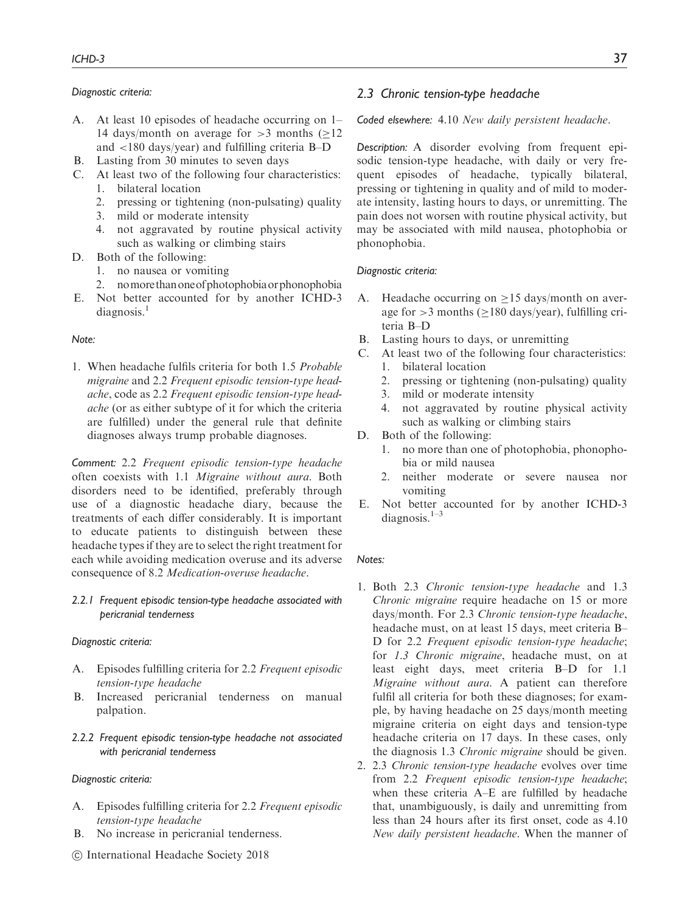## Diagnostic criteria:

- A. At least 10 episodes of headache occurring on 1– 14 days/month on average for  $>3$  months ( $\geq$ 12 and <180 days/year) and fulfilling criteria B–D
- B. Lasting from 30 minutes to seven days
- C. At least two of the following four characteristics:
	- 1. bilateral location
	- 2. pressing or tightening (non-pulsating) quality
	- 3. mild or moderate intensity
	- 4. not aggravated by routine physical activity such as walking or climbing stairs
- D. Both of the following:
	- 1. no nausea or vomiting
	- 2. nomorethanoneofphotophobiaorphonophobia
- E. Not better accounted for by another ICHD-3 diagnosis.<sup>1</sup>

#### Note:

1. When headache fulfils criteria for both 1.5 Probable migraine and 2.2 Frequent episodic tension-type headache, code as 2.2 Frequent episodic tension-type headache (or as either subtype of it for which the criteria are fulfilled) under the general rule that definite diagnoses always trump probable diagnoses.

Comment: 2.2 Frequent episodic tension-type headache often coexists with 1.1 Migraine without aura. Both disorders need to be identified, preferably through use of a diagnostic headache diary, because the treatments of each differ considerably. It is important to educate patients to distinguish between these headache types if they are to select the right treatment for each while avoiding medication overuse and its adverse consequence of 8.2 Medication-overuse headache.

## 2.2.1 Frequent episodic tension-type headache associated with pericranial tenderness

#### Diagnostic criteria:

- A. Episodes fulfilling criteria for 2.2 Frequent episodic tension-type headache
- B. Increased pericranial tenderness on manual palpation.
- 2.2.2 Frequent episodic tension-type headache not associated with pericranial tenderness

#### Diagnostic criteria:

- A. Episodes fulfilling criteria for 2.2 Frequent episodic tension-type headache
- B. No increase in pericranial tenderness.
- ! International Headache Society 2018

## 2.3 Chronic tension-type headache

## Coded elsewhere: 4.10 New daily persistent headache.

Description: A disorder evolving from frequent episodic tension-type headache, with daily or very frequent episodes of headache, typically bilateral, pressing or tightening in quality and of mild to moderate intensity, lasting hours to days, or unremitting. The pain does not worsen with routine physical activity, but may be associated with mild nausea, photophobia or phonophobia.

#### Diagnostic criteria:

- A. Headache occurring on  $\geq 15$  days/month on average for  $>3$  months ( $\geq$ 180 days/year), fulfilling criteria B–D
- B. Lasting hours to days, or unremitting
- C. At least two of the following four characteristics: 1. bilateral location
	-
	- 2. pressing or tightening (non-pulsating) quality
	- 3. mild or moderate intensity
	- 4. not aggravated by routine physical activity such as walking or climbing stairs
- D. Both of the following:
	- 1. no more than one of photophobia, phonophobia or mild nausea
	- 2. neither moderate or severe nausea nor vomiting
- E. Not better accounted for by another ICHD-3 diagnosis. $1-3$

#### Notes:

- 1. Both 2.3 Chronic tension-type headache and 1.3 Chronic migraine require headache on 15 or more days/month. For 2.3 Chronic tension-type headache, headache must, on at least 15 days, meet criteria B– D for 2.2 Frequent episodic tension-type headache; for 1.3 Chronic migraine, headache must, on at least eight days, meet criteria B–D for 1.1 Migraine without aura. A patient can therefore fulfil all criteria for both these diagnoses; for example, by having headache on 25 days/month meeting migraine criteria on eight days and tension-type headache criteria on 17 days. In these cases, only the diagnosis 1.3 Chronic migraine should be given.
- 2. 2.3 Chronic tension-type headache evolves over time from 2.2 Frequent episodic tension-type headache; when these criteria A–E are fulfilled by headache that, unambiguously, is daily and unremitting from less than 24 hours after its first onset, code as 4.10 New daily persistent headache. When the manner of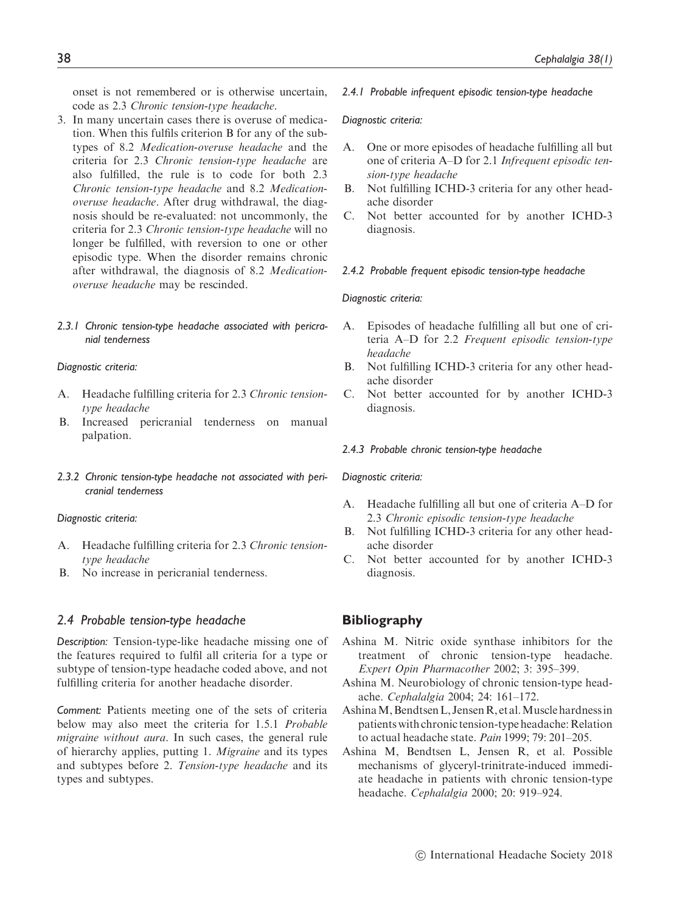onset is not remembered or is otherwise uncertain, code as 2.3 Chronic tension-type headache.

- 3. In many uncertain cases there is overuse of medication. When this fulfils criterion B for any of the subtypes of 8.2 Medication-overuse headache and the criteria for 2.3 Chronic tension-type headache are also fulfilled, the rule is to code for both 2.3 Chronic tension-type headache and 8.2 Medicationoveruse headache. After drug withdrawal, the diagnosis should be re-evaluated: not uncommonly, the criteria for 2.3 Chronic tension-type headache will no longer be fulfilled, with reversion to one or other episodic type. When the disorder remains chronic after withdrawal, the diagnosis of 8.2 Medicationoveruse headache may be rescinded.
- 2.3.1 Chronic tension-type headache associated with pericranial tenderness

## Diagnostic criteria:

- A. Headache fulfilling criteria for 2.3 Chronic tensiontype headache
- B. Increased pericranial tenderness on manual palpation.
- 2.3.2 Chronic tension-type headache not associated with pericranial tenderness

#### Diagnostic criteria:

- A. Headache fulfilling criteria for 2.3 Chronic tensiontype headache
- B. No increase in pericranial tenderness.

## 2.4 Probable tension-type headache

Description: Tension-type-like headache missing one of the features required to fulfil all criteria for a type or subtype of tension-type headache coded above, and not fulfilling criteria for another headache disorder.

Comment: Patients meeting one of the sets of criteria below may also meet the criteria for 1.5.1 Probable migraine without aura. In such cases, the general rule of hierarchy applies, putting 1. Migraine and its types and subtypes before 2. Tension-type headache and its types and subtypes.

#### 2.4.1 Probable infrequent episodic tension-type headache

#### Diagnostic criteria:

- A. One or more episodes of headache fulfilling all but one of criteria A–D for 2.1 Infrequent episodic tension-type headache
- B. Not fulfilling ICHD-3 criteria for any other headache disorder
- C. Not better accounted for by another ICHD-3 diagnosis.

## 2.4.2 Probable frequent episodic tension-type headache

#### Diagnostic criteria:

- A. Episodes of headache fulfilling all but one of criteria A–D for 2.2 Frequent episodic tension-type headache
- B. Not fulfilling ICHD-3 criteria for any other headache disorder
- C. Not better accounted for by another ICHD-3 diagnosis.

#### 2.4.3 Probable chronic tension-type headache

## Diagnostic criteria:

- A. Headache fulfilling all but one of criteria A–D for 2.3 Chronic episodic tension-type headache
- B. Not fulfilling ICHD-3 criteria for any other headache disorder
- C. Not better accounted for by another ICHD-3 diagnosis.

# **Bibliography**

- Ashina M. Nitric oxide synthase inhibitors for the treatment of chronic tension-type headache. Expert Opin Pharmacother 2002; 3: 395–399.
- Ashina M. Neurobiology of chronic tension-type headache. Cephalalgia 2004; 24: 161–172.
- Ashina M, Bendtsen L, Jensen R, et al. Muscle hardness in patients with chronic tension-type headache: Relation to actual headache state. Pain 1999; 79: 201–205.
- Ashina M, Bendtsen L, Jensen R, et al. Possible mechanisms of glyceryl-trinitrate-induced immediate headache in patients with chronic tension-type headache. Cephalalgia 2000; 20: 919–924.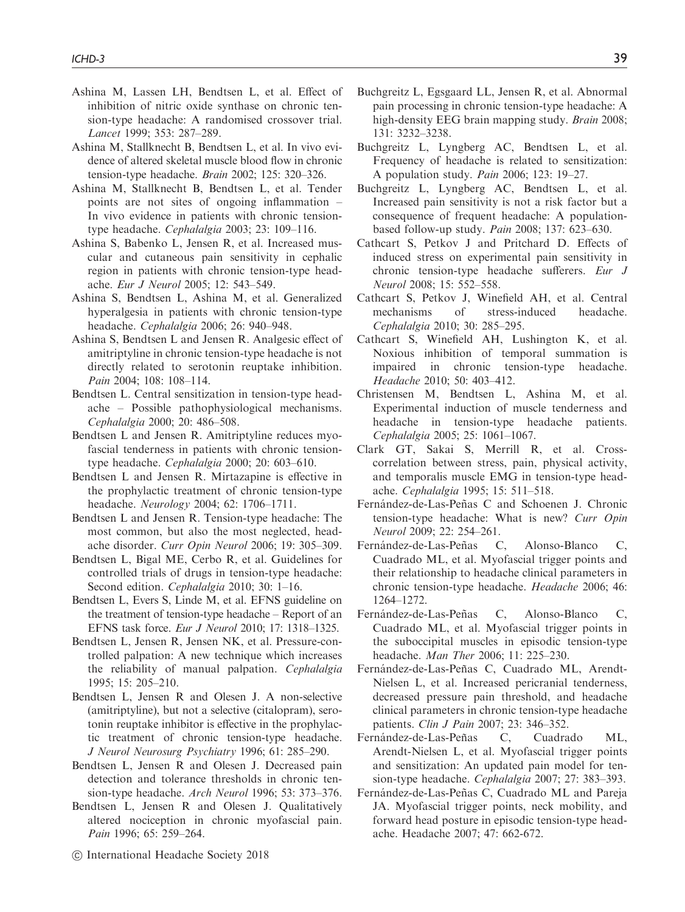- Ashina M, Lassen LH, Bendtsen L, et al. Effect of inhibition of nitric oxide synthase on chronic tension-type headache: A randomised crossover trial. Lancet 1999; 353: 287–289.
- Ashina M, Stallknecht B, Bendtsen L, et al. In vivo evidence of altered skeletal muscle blood flow in chronic tension-type headache. Brain 2002; 125: 320–326.
- Ashina M, Stallknecht B, Bendtsen L, et al. Tender points are not sites of ongoing inflammation – In vivo evidence in patients with chronic tensiontype headache. Cephalalgia 2003; 23: 109–116.
- Ashina S, Babenko L, Jensen R, et al. Increased muscular and cutaneous pain sensitivity in cephalic region in patients with chronic tension-type headache. Eur J Neurol 2005; 12: 543–549.
- Ashina S, Bendtsen L, Ashina M, et al. Generalized hyperalgesia in patients with chronic tension-type headache. Cephalalgia 2006; 26: 940–948.
- Ashina S, Bendtsen L and Jensen R. Analgesic effect of amitriptyline in chronic tension-type headache is not directly related to serotonin reuptake inhibition. Pain 2004; 108: 108-114.
- Bendtsen L. Central sensitization in tension-type headache – Possible pathophysiological mechanisms. Cephalalgia 2000; 20: 486–508.
- Bendtsen L and Jensen R. Amitriptyline reduces myofascial tenderness in patients with chronic tensiontype headache. Cephalalgia 2000; 20: 603–610.
- Bendtsen L and Jensen R. Mirtazapine is effective in the prophylactic treatment of chronic tension-type headache. Neurology 2004; 62: 1706–1711.
- Bendtsen L and Jensen R. Tension-type headache: The most common, but also the most neglected, headache disorder. Curr Opin Neurol 2006; 19: 305–309.
- Bendtsen L, Bigal ME, Cerbo R, et al. Guidelines for controlled trials of drugs in tension-type headache: Second edition. Cephalalgia 2010; 30: 1-16.
- Bendtsen L, Evers S, Linde M, et al. EFNS guideline on the treatment of tension-type headache – Report of an EFNS task force. Eur J Neurol 2010; 17: 1318–1325.
- Bendtsen L, Jensen R, Jensen NK, et al. Pressure-controlled palpation: A new technique which increases the reliability of manual palpation. Cephalalgia 1995; 15: 205–210.
- Bendtsen L, Jensen R and Olesen J. A non-selective (amitriptyline), but not a selective (citalopram), serotonin reuptake inhibitor is effective in the prophylactic treatment of chronic tension-type headache. J Neurol Neurosurg Psychiatry 1996; 61: 285–290.
- Bendtsen L, Jensen R and Olesen J. Decreased pain detection and tolerance thresholds in chronic tension-type headache. Arch Neurol 1996; 53: 373–376.
- Bendtsen L, Jensen R and Olesen J. Qualitatively altered nociception in chronic myofascial pain. Pain 1996; 65: 259-264.
- ! International Headache Society 2018
- Buchgreitz L, Egsgaard LL, Jensen R, et al. Abnormal pain processing in chronic tension-type headache: A high-density EEG brain mapping study. Brain 2008; 131: 3232–3238.
- Buchgreitz L, Lyngberg AC, Bendtsen L, et al. Frequency of headache is related to sensitization: A population study. Pain 2006; 123: 19–27.
- Buchgreitz L, Lyngberg AC, Bendtsen L, et al. Increased pain sensitivity is not a risk factor but a consequence of frequent headache: A populationbased follow-up study. Pain 2008; 137: 623–630.
- Cathcart S, Petkov J and Pritchard D. Effects of induced stress on experimental pain sensitivity in chronic tension-type headache sufferers. Eur J Neurol 2008; 15: 552–558.
- Cathcart S, Petkov J, Winefield AH, et al. Central mechanisms of stress-induced headache. Cephalalgia 2010; 30: 285–295.
- Cathcart S, Winefield AH, Lushington K, et al. Noxious inhibition of temporal summation is impaired in chronic tension-type headache. Headache 2010; 50: 403–412.
- Christensen M, Bendtsen L, Ashina M, et al. Experimental induction of muscle tenderness and headache in tension-type headache patients. Cephalalgia 2005; 25: 1061–1067.
- Clark GT, Sakai S, Merrill R, et al. Crosscorrelation between stress, pain, physical activity, and temporalis muscle EMG in tension-type headache. Cephalalgia 1995; 15: 511–518.
- Fernández-de-Las-Peñas C and Schoenen J. Chronic tension-type headache: What is new? Curr Opin Neurol 2009; 22: 254–261.
- Fernández-de-Las-Peñas C, Alonso-Blanco C, Cuadrado ML, et al. Myofascial trigger points and their relationship to headache clinical parameters in chronic tension-type headache. Headache 2006; 46: 1264–1272.
- Fernández-de-Las-Peñas C, Alonso-Blanco C, Cuadrado ML, et al. Myofascial trigger points in the suboccipital muscles in episodic tension-type headache. Man Ther 2006; 11: 225–230.
- Fernández-de-Las-Peñas C, Cuadrado ML, Arendt-Nielsen L, et al. Increased pericranial tenderness, decreased pressure pain threshold, and headache clinical parameters in chronic tension-type headache patients. Clin J Pain 2007; 23: 346–352.
- Fernández-de-Las-Peñas C, Cuadrado ML, Arendt-Nielsen L, et al. Myofascial trigger points and sensitization: An updated pain model for tension-type headache. Cephalalgia 2007; 27: 383–393.
- Fernández-de-Las-Peñas C, Cuadrado ML and Pareja JA. Myofascial trigger points, neck mobility, and forward head posture in episodic tension-type headache. Headache 2007; 47: 662-672.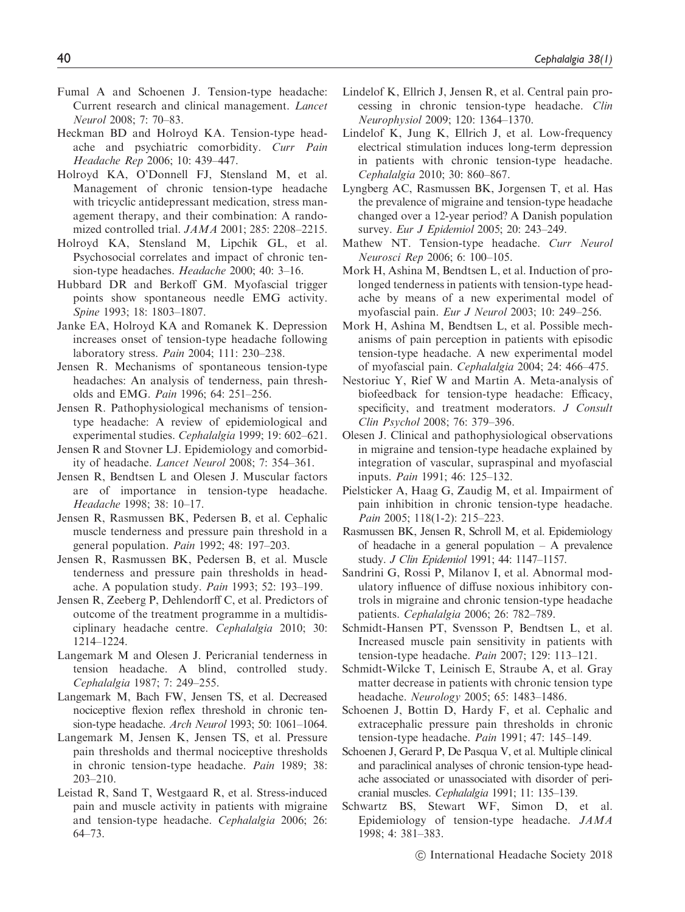- Fumal A and Schoenen J. Tension-type headache: Current research and clinical management. Lancet Neurol 2008; 7: 70–83.
- Heckman BD and Holroyd KA. Tension-type headache and psychiatric comorbidity. Curr Pain Headache Rep 2006; 10: 439–447.
- Holroyd KA, O'Donnell FJ, Stensland M, et al. Management of chronic tension-type headache with tricyclic antidepressant medication, stress management therapy, and their combination: A randomized controlled trial. JAMA 2001; 285: 2208–2215.
- Holroyd KA, Stensland M, Lipchik GL, et al. Psychosocial correlates and impact of chronic tension-type headaches. Headache 2000; 40: 3–16.
- Hubbard DR and Berkoff GM. Myofascial trigger points show spontaneous needle EMG activity. Spine 1993; 18: 1803–1807.
- Janke EA, Holroyd KA and Romanek K. Depression increases onset of tension-type headache following laboratory stress. Pain 2004; 111: 230–238.
- Jensen R. Mechanisms of spontaneous tension-type headaches: An analysis of tenderness, pain thresholds and EMG. Pain 1996; 64: 251–256.
- Jensen R. Pathophysiological mechanisms of tensiontype headache: A review of epidemiological and experimental studies. Cephalalgia 1999; 19: 602–621.
- Jensen R and Stovner LJ. Epidemiology and comorbidity of headache. Lancet Neurol 2008; 7: 354–361.
- Jensen R, Bendtsen L and Olesen J. Muscular factors are of importance in tension-type headache. Headache 1998; 38: 10–17.
- Jensen R, Rasmussen BK, Pedersen B, et al. Cephalic muscle tenderness and pressure pain threshold in a general population. Pain 1992; 48: 197–203.
- Jensen R, Rasmussen BK, Pedersen B, et al. Muscle tenderness and pressure pain thresholds in headache. A population study. Pain 1993; 52: 193–199.
- Jensen R, Zeeberg P, Dehlendorff C, et al. Predictors of outcome of the treatment programme in a multidisciplinary headache centre. Cephalalgia 2010; 30: 1214–1224.
- Langemark M and Olesen J. Pericranial tenderness in tension headache. A blind, controlled study. Cephalalgia 1987; 7: 249–255.
- Langemark M, Bach FW, Jensen TS, et al. Decreased nociceptive flexion reflex threshold in chronic tension-type headache. Arch Neurol 1993; 50: 1061–1064.
- Langemark M, Jensen K, Jensen TS, et al. Pressure pain thresholds and thermal nociceptive thresholds in chronic tension-type headache. Pain 1989; 38: 203–210.
- Leistad R, Sand T, Westgaard R, et al. Stress-induced pain and muscle activity in patients with migraine and tension-type headache. Cephalalgia 2006; 26: 64–73.
- Lindelof K, Ellrich J, Jensen R, et al. Central pain processing in chronic tension-type headache. Clin Neurophysiol 2009; 120: 1364–1370.
- Lindelof K, Jung K, Ellrich J, et al. Low-frequency electrical stimulation induces long-term depression in patients with chronic tension-type headache. Cephalalgia 2010; 30: 860–867.
- Lyngberg AC, Rasmussen BK, Jorgensen T, et al. Has the prevalence of migraine and tension-type headache changed over a 12-year period? A Danish population survey. Eur J Epidemiol 2005; 20: 243-249.
- Mathew NT. Tension-type headache. Curr Neurol Neurosci Rep 2006; 6: 100–105.
- Mork H, Ashina M, Bendtsen L, et al. Induction of prolonged tenderness in patients with tension-type headache by means of a new experimental model of myofascial pain. Eur J Neurol 2003; 10: 249–256.
- Mork H, Ashina M, Bendtsen L, et al. Possible mechanisms of pain perception in patients with episodic tension-type headache. A new experimental model of myofascial pain. Cephalalgia 2004; 24: 466–475.
- Nestoriuc Y, Rief W and Martin A. Meta-analysis of biofeedback for tension-type headache: Efficacy, specificity, and treatment moderators. J Consult Clin Psychol 2008; 76: 379–396.
- Olesen J. Clinical and pathophysiological observations in migraine and tension-type headache explained by integration of vascular, supraspinal and myofascial inputs. Pain 1991; 46: 125–132.
- Pielsticker A, Haag G, Zaudig M, et al. Impairment of pain inhibition in chronic tension-type headache. Pain 2005; 118(1-2): 215-223.
- Rasmussen BK, Jensen R, Schroll M, et al. Epidemiology of headache in a general population – A prevalence study. J Clin Epidemiol 1991; 44: 1147–1157.
- Sandrini G, Rossi P, Milanov I, et al. Abnormal modulatory influence of diffuse noxious inhibitory controls in migraine and chronic tension-type headache patients. Cephalalgia 2006; 26: 782–789.
- Schmidt-Hansen PT, Svensson P, Bendtsen L, et al. Increased muscle pain sensitivity in patients with tension-type headache. Pain 2007; 129: 113–121.
- Schmidt-Wilcke T, Leinisch E, Straube A, et al. Gray matter decrease in patients with chronic tension type headache. Neurology 2005; 65: 1483–1486.
- Schoenen J, Bottin D, Hardy F, et al. Cephalic and extracephalic pressure pain thresholds in chronic tension-type headache. Pain 1991; 47: 145–149.
- Schoenen J, Gerard P, De Pasqua V, et al. Multiple clinical and paraclinical analyses of chronic tension-type headache associated or unassociated with disorder of pericranial muscles. Cephalalgia 1991; 11: 135–139.
- Schwartz BS, Stewart WF, Simon D, et al. Epidemiology of tension-type headache. JAMA 1998; 4: 381–383.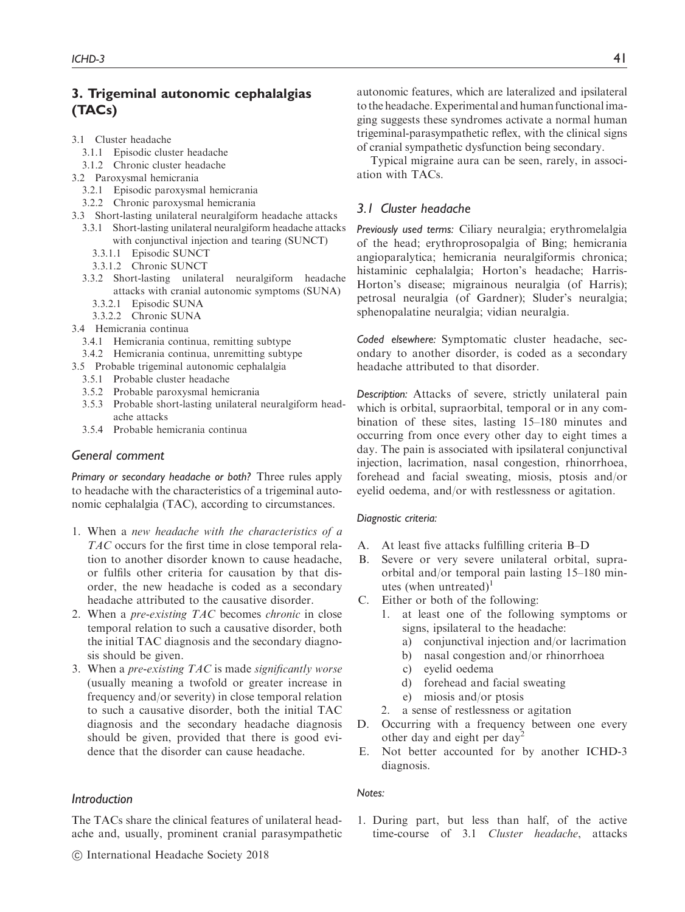# 3. Trigeminal autonomic cephalalgias (TACs)

- 3.1 Cluster headache
	- 3.1.1 Episodic cluster headache
	- 3.1.2 Chronic cluster headache
- 3.2 Paroxysmal hemicrania
	- 3.2.1 Episodic paroxysmal hemicrania
	- 3.2.2 Chronic paroxysmal hemicrania
- 3.3 Short-lasting unilateral neuralgiform headache attacks 3.3.1 Short-lasting unilateral neuralgiform headache attacks with conjunctival injection and tearing (SUNCT)
	-
	- 3.3.1.1 Episodic SUNCT
	- 3.3.1.2 Chronic SUNCT
	- 3.3.2 Short-lasting unilateral neuralgiform headache attacks with cranial autonomic symptoms (SUNA)
		- 3.3.2.1 Episodic SUNA
	- 3.3.2.2 Chronic SUNA
- 3.4 Hemicrania continua
	- 3.4.1 Hemicrania continua, remitting subtype
	- 3.4.2 Hemicrania continua, unremitting subtype
- 3.5 Probable trigeminal autonomic cephalalgia
	- 3.5.1 Probable cluster headache
	- 3.5.2 Probable paroxysmal hemicrania
	- 3.5.3 Probable short-lasting unilateral neuralgiform headache attacks
	- 3.5.4 Probable hemicrania continua

## General comment

Primary or secondary headache or both? Three rules apply to headache with the characteristics of a trigeminal autonomic cephalalgia (TAC), according to circumstances.

- 1. When a new headache with the characteristics of a TAC occurs for the first time in close temporal relation to another disorder known to cause headache, or fulfils other criteria for causation by that disorder, the new headache is coded as a secondary headache attributed to the causative disorder.
- 2. When a pre-existing TAC becomes chronic in close temporal relation to such a causative disorder, both the initial TAC diagnosis and the secondary diagnosis should be given.
- 3. When a pre-existing TAC is made significantly worse (usually meaning a twofold or greater increase in frequency and/or severity) in close temporal relation to such a causative disorder, both the initial TAC diagnosis and the secondary headache diagnosis should be given, provided that there is good evidence that the disorder can cause headache.

# Introduction

The TACs share the clinical features of unilateral headache and, usually, prominent cranial parasympathetic autonomic features, which are lateralized and ipsilateral to the headache.Experimental and human functional imaging suggests these syndromes activate a normal human trigeminal-parasympathetic reflex, with the clinical signs of cranial sympathetic dysfunction being secondary.

Typical migraine aura can be seen, rarely, in association with TACs.

# 3.1 Cluster headache

Previously used terms: Ciliary neuralgia; erythromelalgia of the head; erythroprosopalgia of Bing; hemicrania angioparalytica; hemicrania neuralgiformis chronica; histaminic cephalalgia; Horton's headache; Harris-Horton's disease; migrainous neuralgia (of Harris); petrosal neuralgia (of Gardner); Sluder's neuralgia; sphenopalatine neuralgia; vidian neuralgia.

Coded elsewhere: Symptomatic cluster headache, secondary to another disorder, is coded as a secondary headache attributed to that disorder.

Description: Attacks of severe, strictly unilateral pain which is orbital, supraorbital, temporal or in any combination of these sites, lasting 15–180 minutes and occurring from once every other day to eight times a day. The pain is associated with ipsilateral conjunctival injection, lacrimation, nasal congestion, rhinorrhoea, forehead and facial sweating, miosis, ptosis and/or eyelid oedema, and/or with restlessness or agitation.

#### Diagnostic criteria:

- A. At least five attacks fulfilling criteria B–D
- B. Severe or very severe unilateral orbital, supraorbital and/or temporal pain lasting 15–180 minutes (when untreated) $<sup>1</sup>$ </sup>
- C. Either or both of the following:
	- 1. at least one of the following symptoms or signs, ipsilateral to the headache:
		- a) conjunctival injection and/or lacrimation
		- b) nasal congestion and/or rhinorrhoea
		- c) eyelid oedema
		- d) forehead and facial sweating
		- e) miosis and/or ptosis
	- 2. a sense of restlessness or agitation
- D. Occurring with a frequency between one every other day and eight per day<sup>2</sup>
- E. Not better accounted for by another ICHD-3 diagnosis.

#### Notes:

1. During part, but less than half, of the active time-course of 3.1 Cluster headache, attacks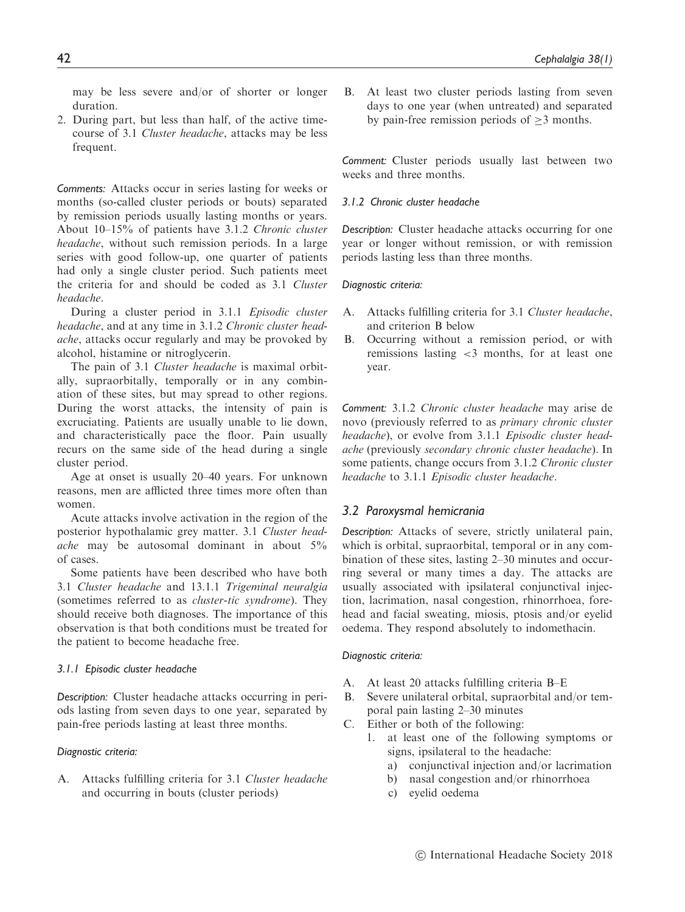may be less severe and/or of shorter or longer duration.

2. During part, but less than half, of the active timecourse of 3.1 Cluster headache, attacks may be less frequent.

Comments: Attacks occur in series lasting for weeks or months (so-called cluster periods or bouts) separated by remission periods usually lasting months or years. About 10–15% of patients have 3.1.2 Chronic cluster headache, without such remission periods. In a large series with good follow-up, one quarter of patients had only a single cluster period. Such patients meet the criteria for and should be coded as 3.1 Cluster headache.

During a cluster period in 3.1.1 Episodic cluster headache, and at any time in 3.1.2 Chronic cluster headache, attacks occur regularly and may be provoked by alcohol, histamine or nitroglycerin.

The pain of 3.1 Cluster headache is maximal orbitally, supraorbitally, temporally or in any combination of these sites, but may spread to other regions. During the worst attacks, the intensity of pain is excruciating. Patients are usually unable to lie down, and characteristically pace the floor. Pain usually recurs on the same side of the head during a single cluster period.

Age at onset is usually 20–40 years. For unknown reasons, men are afflicted three times more often than women.

Acute attacks involve activation in the region of the posterior hypothalamic grey matter. 3.1 Cluster headache may be autosomal dominant in about 5% of cases.

Some patients have been described who have both 3.1 Cluster headache and 13.1.1 Trigeminal neuralgia (sometimes referred to as cluster-tic syndrome). They should receive both diagnoses. The importance of this observation is that both conditions must be treated for the patient to become headache free.

## 3.1.1 Episodic cluster headache

Description: Cluster headache attacks occurring in periods lasting from seven days to one year, separated by pain-free periods lasting at least three months.

#### Diagnostic criteria:

A. Attacks fulfilling criteria for 3.1 Cluster headache and occurring in bouts (cluster periods)

B. At least two cluster periods lasting from seven days to one year (when untreated) and separated by pain-free remission periods of  $\geq$ 3 months.

Comment: Cluster periods usually last between two weeks and three months.

#### 3.1.2 Chronic cluster headache

Description: Cluster headache attacks occurring for one year or longer without remission, or with remission periods lasting less than three months.

#### Diagnostic criteria:

- A. Attacks fulfilling criteria for 3.1 Cluster headache, and criterion B below
- B. Occurring without a remission period, or with remissions lasting <3 months, for at least one year.

Comment: 3.1.2 Chronic cluster headache may arise de novo (previously referred to as primary chronic cluster headache), or evolve from 3.1.1 Episodic cluster headache (previously secondary chronic cluster headache). In some patients, change occurs from 3.1.2 Chronic cluster headache to 3.1.1 Episodic cluster headache.

## 3.2 Paroxysmal hemicrania

Description: Attacks of severe, strictly unilateral pain, which is orbital, supraorbital, temporal or in any combination of these sites, lasting 2–30 minutes and occurring several or many times a day. The attacks are usually associated with ipsilateral conjunctival injection, lacrimation, nasal congestion, rhinorrhoea, forehead and facial sweating, miosis, ptosis and/or eyelid oedema. They respond absolutely to indomethacin.

#### Diagnostic criteria:

- A. At least 20 attacks fulfilling criteria B–E
- B. Severe unilateral orbital, supraorbital and/or temporal pain lasting 2–30 minutes
- C. Either or both of the following:
	- 1. at least one of the following symptoms or signs, ipsilateral to the headache:
		- a) conjunctival injection and/or lacrimation
		- b) nasal congestion and/or rhinorrhoea
		- c) eyelid oedema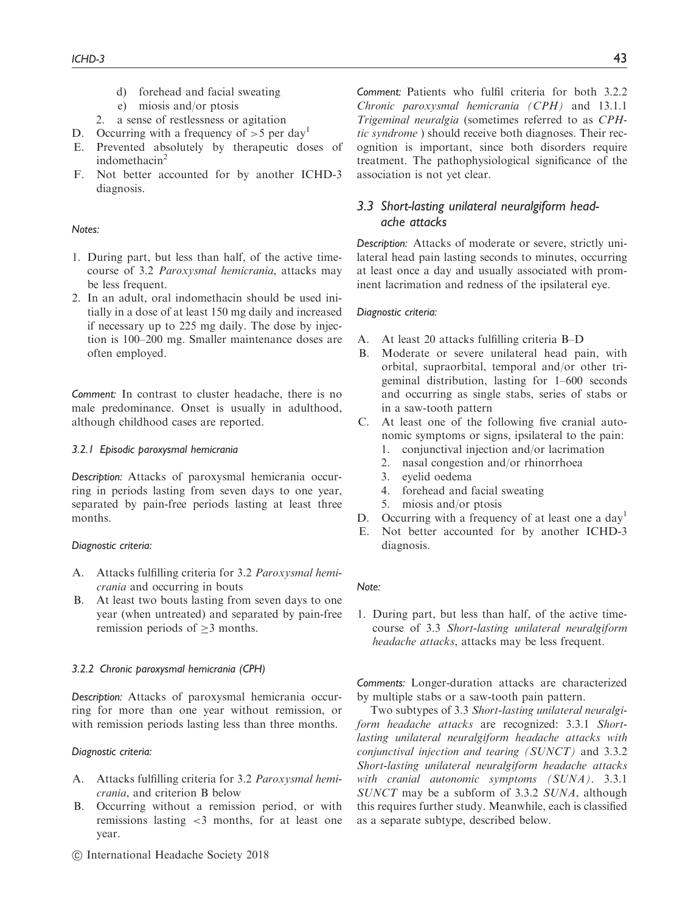- d) forehead and facial sweating
- e) miosis and/or ptosis
- 2. a sense of restlessness or agitation
- D. Occurring with a frequency of  $>5$  per day<sup>1</sup>
- E. Prevented absolutely by therapeutic doses of indomethacin<sup>2</sup>
- F. Not better accounted for by another ICHD-3 diagnosis.

#### Notes:

- 1. During part, but less than half, of the active timecourse of 3.2 Paroxysmal hemicrania, attacks may be less frequent.
- 2. In an adult, oral indomethacin should be used initially in a dose of at least 150 mg daily and increased if necessary up to 225 mg daily. The dose by injection is 100–200 mg. Smaller maintenance doses are often employed.

Comment: In contrast to cluster headache, there is no male predominance. Onset is usually in adulthood, although childhood cases are reported.

#### 3.2.1 Episodic paroxysmal hemicrania

Description: Attacks of paroxysmal hemicrania occurring in periods lasting from seven days to one year, separated by pain-free periods lasting at least three months.

### Diagnostic criteria:

- A. Attacks fulfilling criteria for 3.2 Paroxysmal hemicrania and occurring in bouts
- B. At least two bouts lasting from seven days to one year (when untreated) and separated by pain-free remission periods of  $\geq$ 3 months.

## 3.2.2 Chronic paroxysmal hemicrania (CPH)

Description: Attacks of paroxysmal hemicrania occurring for more than one year without remission, or with remission periods lasting less than three months.

#### Diagnostic criteria:

- A. Attacks fulfilling criteria for 3.2 Paroxysmal hemicrania, and criterion B below
- B. Occurring without a remission period, or with remissions lasting <3 months, for at least one year.
- ! International Headache Society 2018

Comment: Patients who fulfil criteria for both 3.2.2 Chronic paroxysmal hemicrania (CPH) and 13.1.1 Trigeminal neuralgia (sometimes referred to as CPHtic syndrome ) should receive both diagnoses. Their recognition is important, since both disorders require treatment. The pathophysiological significance of the association is not yet clear.

# 3.3 Short-lasting unilateral neuralgiform headache attacks

Description: Attacks of moderate or severe, strictly unilateral head pain lasting seconds to minutes, occurring at least once a day and usually associated with prominent lacrimation and redness of the ipsilateral eye.

#### Diagnostic criteria:

- A. At least 20 attacks fulfilling criteria B–D
- B. Moderate or severe unilateral head pain, with orbital, supraorbital, temporal and/or other trigeminal distribution, lasting for 1–600 seconds and occurring as single stabs, series of stabs or in a saw-tooth pattern
- C. At least one of the following five cranial autonomic symptoms or signs, ipsilateral to the pain:
	- 1. conjunctival injection and/or lacrimation
	- 2. nasal congestion and/or rhinorrhoea
	- 3. eyelid oedema
	- 4. forehead and facial sweating
	- 5. miosis and/or ptosis
- D. Occurring with a frequency of at least one a day<sup>1</sup>
- E. Not better accounted for by another ICHD-3 diagnosis.

### Note:

1. During part, but less than half, of the active timecourse of 3.3 Short-lasting unilateral neuralgiform headache attacks, attacks may be less frequent.

Comments: Longer-duration attacks are characterized by multiple stabs or a saw-tooth pain pattern.

Two subtypes of 3.3 Short-lasting unilateral neuralgiform headache attacks are recognized: 3.3.1 Shortlasting unilateral neuralgiform headache attacks with conjunctival injection and tearing (SUNCT) and 3.3.2 Short-lasting unilateral neuralgiform headache attacks with cranial autonomic symptoms (SUNA). 3.3.1 SUNCT may be a subform of 3.3.2 SUNA, although this requires further study. Meanwhile, each is classified as a separate subtype, described below.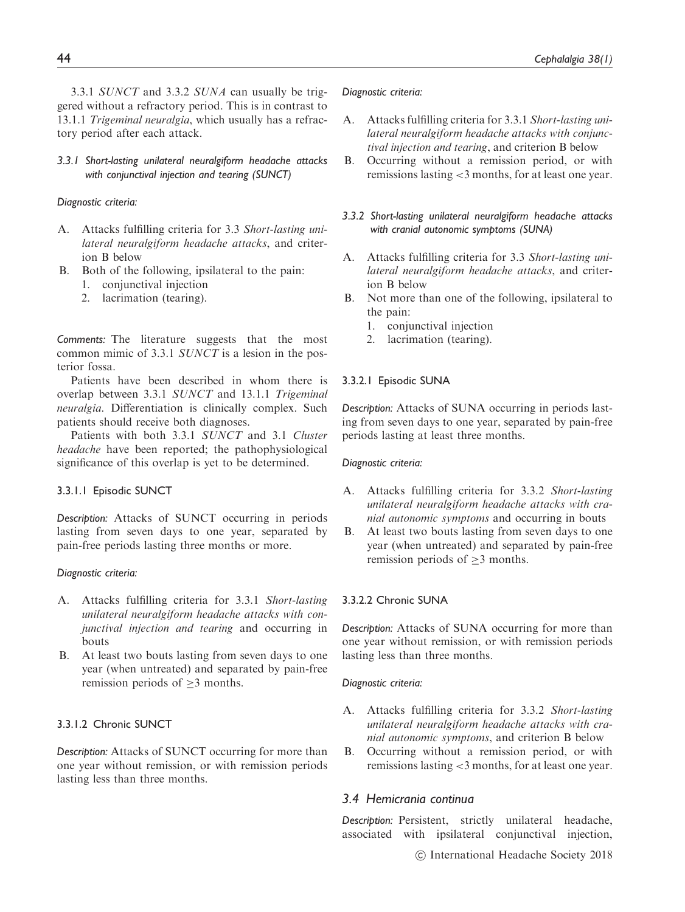3.3.1 SUNCT and 3.3.2 SUNA can usually be triggered without a refractory period. This is in contrast to 13.1.1 Trigeminal neuralgia, which usually has a refractory period after each attack.

3.3.1 Short-lasting unilateral neuralgiform headache attacks with conjunctival injection and tearing (SUNCT)

### Diagnostic criteria:

- A. Attacks fulfilling criteria for 3.3 Short-lasting unilateral neuralgiform headache attacks, and criterion B below
- B. Both of the following, ipsilateral to the pain:
	- 1. conjunctival injection
	- 2. lacrimation (tearing).

Comments: The literature suggests that the most common mimic of 3.3.1 SUNCT is a lesion in the posterior fossa.

Patients have been described in whom there is overlap between 3.3.1 SUNCT and 13.1.1 Trigeminal neuralgia. Differentiation is clinically complex. Such patients should receive both diagnoses.

Patients with both 3.3.1 SUNCT and 3.1 Cluster headache have been reported; the pathophysiological significance of this overlap is yet to be determined.

## 3.3.1.1 Episodic SUNCT

Description: Attacks of SUNCT occurring in periods lasting from seven days to one year, separated by pain-free periods lasting three months or more.

### Diagnostic criteria:

- A. Attacks fulfilling criteria for 3.3.1 Short-lasting unilateral neuralgiform headache attacks with conjunctival injection and tearing and occurring in bouts
- B. At least two bouts lasting from seven days to one year (when untreated) and separated by pain-free remission periods of  $\geq$ 3 months.

## 3.3.1.2 Chronic SUNCT

Description: Attacks of SUNCT occurring for more than one year without remission, or with remission periods lasting less than three months.

#### Diagnostic criteria:

- A. Attacks fulfilling criteria for 3.3.1 Short-lasting unilateral neuralgiform headache attacks with conjunctival injection and tearing, and criterion B below
- B. Occurring without a remission period, or with remissions lasting <3 months, for at least one year.

## 3.3.2 Short-lasting unilateral neuralgiform headache attacks with cranial autonomic symptoms (SUNA)

- A. Attacks fulfilling criteria for 3.3 Short-lasting unilateral neuralgiform headache attacks, and criterion B below
- B. Not more than one of the following, ipsilateral to the pain:
	- 1. conjunctival injection
	- 2. lacrimation (tearing).

## 3.3.2.1 Episodic SUNA

Description: Attacks of SUNA occurring in periods lasting from seven days to one year, separated by pain-free periods lasting at least three months.

#### Diagnostic criteria:

- A. Attacks fulfilling criteria for 3.3.2 Short-lasting unilateral neuralgiform headache attacks with cranial autonomic symptoms and occurring in bouts
- B. At least two bouts lasting from seven days to one year (when untreated) and separated by pain-free remission periods of  $\geq$ 3 months.

### 3.3.2.2 Chronic SUNA

Description: Attacks of SUNA occurring for more than one year without remission, or with remission periods lasting less than three months.

#### Diagnostic criteria:

- A. Attacks fulfilling criteria for 3.3.2 Short-lasting unilateral neuralgiform headache attacks with cranial autonomic symptoms, and criterion B below
- B. Occurring without a remission period, or with remissions lasting <3 months, for at least one year.

## 3.4 Hemicrania continua

Description: Persistent, strictly unilateral headache, associated with ipsilateral conjunctival injection,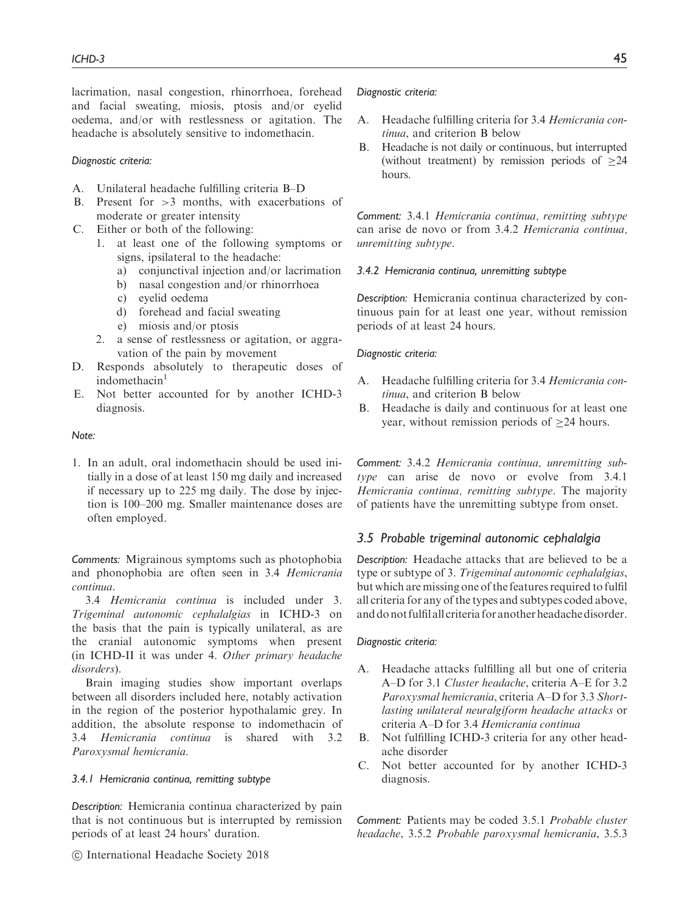lacrimation, nasal congestion, rhinorrhoea, forehead and facial sweating, miosis, ptosis and/or eyelid oedema, and/or with restlessness or agitation. The headache is absolutely sensitive to indomethacin.

## Diagnostic criteria:

- A. Unilateral headache fulfilling criteria B–D
- B. Present for  $>3$  months, with exacerbations of moderate or greater intensity
- C. Either or both of the following:
	- 1. at least one of the following symptoms or signs, ipsilateral to the headache:
		- a) conjunctival injection and/or lacrimation
		- b) nasal congestion and/or rhinorrhoea
		- c) eyelid oedema
		- d) forehead and facial sweating
		- e) miosis and/or ptosis
	- 2. a sense of restlessness or agitation, or aggravation of the pain by movement
- D. Responds absolutely to therapeutic doses of indomethacin<sup>1</sup>
- E. Not better accounted for by another ICHD-3 diagnosis.

### Note:

1. In an adult, oral indomethacin should be used initially in a dose of at least 150 mg daily and increased if necessary up to 225 mg daily. The dose by injection is 100–200 mg. Smaller maintenance doses are often employed.

Comments: Migrainous symptoms such as photophobia and phonophobia are often seen in 3.4 Hemicrania continua.

3.4 Hemicrania continua is included under 3. Trigeminal autonomic cephalalgias in ICHD-3 on the basis that the pain is typically unilateral, as are the cranial autonomic symptoms when present (in ICHD-II it was under 4. Other primary headache disorders).

Brain imaging studies show important overlaps between all disorders included here, notably activation in the region of the posterior hypothalamic grey. In addition, the absolute response to indomethacin of 3.4 Hemicrania continua is shared with 3.2 Paroxysmal hemicrania.

#### 3.4.1 Hemicrania continua, remitting subtype

Description: Hemicrania continua characterized by pain that is not continuous but is interrupted by remission periods of at least 24 hours' duration.

! International Headache Society 2018

## Diagnostic criteria:

- A. Headache fulfilling criteria for 3.4 Hemicrania continua, and criterion B below
- B. Headache is not daily or continuous, but interrupted (without treatment) by remission periods of  $\geq 24$ hours.

Comment: 3.4.1 Hemicrania continua, remitting subtype can arise de novo or from 3.4.2 Hemicrania continua, unremitting subtype.

#### 3.4.2 Hemicrania continua, unremitting subtype

Description: Hemicrania continua characterized by continuous pain for at least one year, without remission periods of at least 24 hours.

### Diagnostic criteria:

- A. Headache fulfilling criteria for 3.4 Hemicrania continua, and criterion B below
- B. Headache is daily and continuous for at least one year, without remission periods of  $\geq$ 24 hours.

Comment: 3.4.2 Hemicrania continua, unremitting subtype can arise de novo or evolve from 3.4.1 Hemicrania continua, remitting subtype. The majority of patients have the unremitting subtype from onset.

## 3.5 Probable trigeminal autonomic cephalalgia

Description: Headache attacks that are believed to be a type or subtype of 3. Trigeminal autonomic cephalalgias, but which are missing one of the features required to fulfil all criteria for any of the types and subtypes coded above, and do not fulfil all criteria for another headache disorder.

## Diagnostic criteria:

- A. Headache attacks fulfilling all but one of criteria A–D for 3.1 Cluster headache, criteria A–E for 3.2 Paroxysmal hemicrania, criteria A–D for 3.3 Shortlasting unilateral neuralgiform headache attacks or criteria A–D for 3.4 Hemicrania continua
- B. Not fulfilling ICHD-3 criteria for any other headache disorder
- C. Not better accounted for by another ICHD-3 diagnosis.

Comment: Patients may be coded 3.5.1 Probable cluster headache, 3.5.2 Probable paroxysmal hemicrania, 3.5.3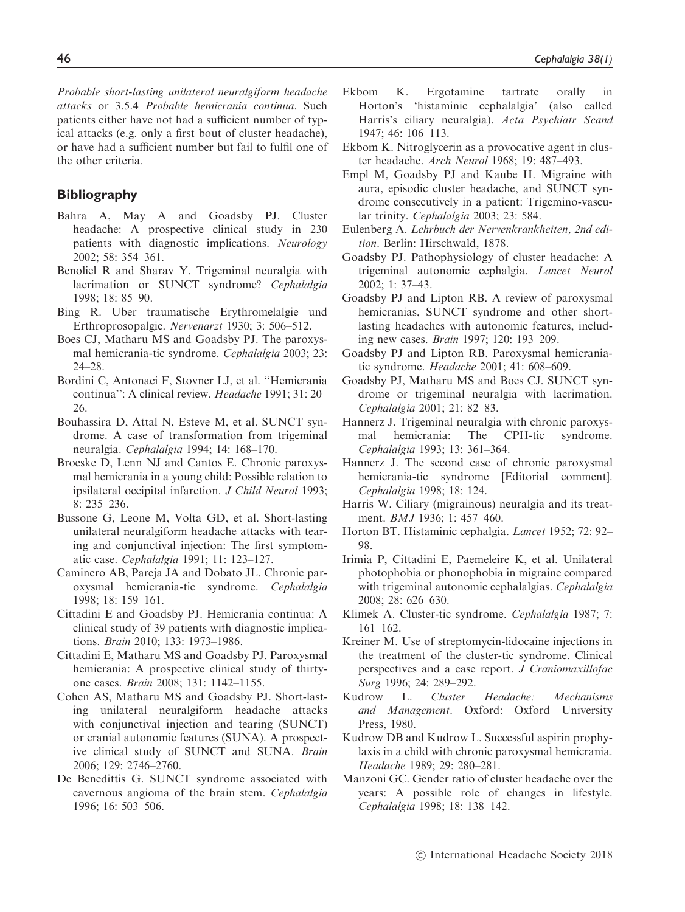Probable short-lasting unilateral neuralgiform headache attacks or 3.5.4 Probable hemicrania continua. Such patients either have not had a sufficient number of typical attacks (e.g. only a first bout of cluster headache), or have had a sufficient number but fail to fulfil one of the other criteria.

# **Bibliography**

- Bahra A, May A and Goadsby PJ. Cluster headache: A prospective clinical study in 230 patients with diagnostic implications. Neurology 2002; 58: 354–361.
- Benoliel R and Sharav Y. Trigeminal neuralgia with lacrimation or SUNCT syndrome? Cephalalgia 1998; 18: 85–90.
- Bing R. Uber traumatische Erythromelalgie und Erthroprosopalgie. Nervenarzt 1930; 3: 506–512.
- Boes CJ, Matharu MS and Goadsby PJ. The paroxysmal hemicrania-tic syndrome. Cephalalgia 2003; 23: 24–28.
- Bordini C, Antonaci F, Stovner LJ, et al. ''Hemicrania continua'': A clinical review. Headache 1991; 31: 20– 26.
- Bouhassira D, Attal N, Esteve M, et al. SUNCT syndrome. A case of transformation from trigeminal neuralgia. Cephalalgia 1994; 14: 168–170.
- Broeske D, Lenn NJ and Cantos E. Chronic paroxysmal hemicrania in a young child: Possible relation to ipsilateral occipital infarction. J Child Neurol 1993; 8: 235–236.
- Bussone G, Leone M, Volta GD, et al. Short-lasting unilateral neuralgiform headache attacks with tearing and conjunctival injection: The first symptomatic case. Cephalalgia 1991; 11: 123–127.
- Caminero AB, Pareja JA and Dobato JL. Chronic paroxysmal hemicrania-tic syndrome. Cephalalgia 1998; 18: 159–161.
- Cittadini E and Goadsby PJ. Hemicrania continua: A clinical study of 39 patients with diagnostic implications. Brain 2010; 133: 1973–1986.
- Cittadini E, Matharu MS and Goadsby PJ. Paroxysmal hemicrania: A prospective clinical study of thirtyone cases. Brain 2008; 131: 1142–1155.
- Cohen AS, Matharu MS and Goadsby PJ. Short-lasting unilateral neuralgiform headache attacks with conjunctival injection and tearing (SUNCT) or cranial autonomic features (SUNA). A prospective clinical study of SUNCT and SUNA. Brain 2006; 129: 2746–2760.
- De Benedittis G. SUNCT syndrome associated with cavernous angioma of the brain stem. Cephalalgia 1996; 16: 503–506.
- Ekbom K. Ergotamine tartrate orally in Horton's 'histaminic cephalalgia' (also called Harris's ciliary neuralgia). Acta Psychiatr Scand 1947; 46: 106–113.
- Ekbom K. Nitroglycerin as a provocative agent in cluster headache. Arch Neurol 1968; 19: 487–493.
- Empl M, Goadsby PJ and Kaube H. Migraine with aura, episodic cluster headache, and SUNCT syndrome consecutively in a patient: Trigemino-vascular trinity. Cephalalgia 2003; 23: 584.
- Eulenberg A. Lehrbuch der Nervenkrankheiten, 2nd edition. Berlin: Hirschwald, 1878.
- Goadsby PJ. Pathophysiology of cluster headache: A trigeminal autonomic cephalgia. Lancet Neurol 2002; 1: 37–43.
- Goadsby PJ and Lipton RB. A review of paroxysmal hemicranias, SUNCT syndrome and other shortlasting headaches with autonomic features, including new cases. Brain 1997; 120: 193–209.
- Goadsby PJ and Lipton RB. Paroxysmal hemicraniatic syndrome. Headache 2001; 41: 608–609.
- Goadsby PJ, Matharu MS and Boes CJ. SUNCT syndrome or trigeminal neuralgia with lacrimation. Cephalalgia 2001; 21: 82–83.
- Hannerz J. Trigeminal neuralgia with chronic paroxysmal hemicrania: The CPH-tic syndrome. Cephalalgia 1993; 13: 361–364.
- Hannerz J. The second case of chronic paroxysmal hemicrania-tic syndrome [Editorial comment]. Cephalalgia 1998; 18: 124.
- Harris W. Ciliary (migrainous) neuralgia and its treatment. BMJ 1936; 1: 457–460.
- Horton BT. Histaminic cephalgia. Lancet 1952; 72: 92– 98.
- Irimia P, Cittadini E, Paemeleire K, et al. Unilateral photophobia or phonophobia in migraine compared with trigeminal autonomic cephalalgias. Cephalalgia 2008; 28: 626–630.
- Klimek A. Cluster-tic syndrome. Cephalalgia 1987; 7: 161–162.
- Kreiner M. Use of streptomycin-lidocaine injections in the treatment of the cluster-tic syndrome. Clinical perspectives and a case report. J Craniomaxillofac Surg 1996; 24: 289–292.
- Kudrow L. Cluster Headache: Mechanisms and Management. Oxford: Oxford University Press, 1980.
- Kudrow DB and Kudrow L. Successful aspirin prophylaxis in a child with chronic paroxysmal hemicrania. Headache 1989; 29: 280–281.
- Manzoni GC. Gender ratio of cluster headache over the years: A possible role of changes in lifestyle. Cephalalgia 1998; 18: 138–142.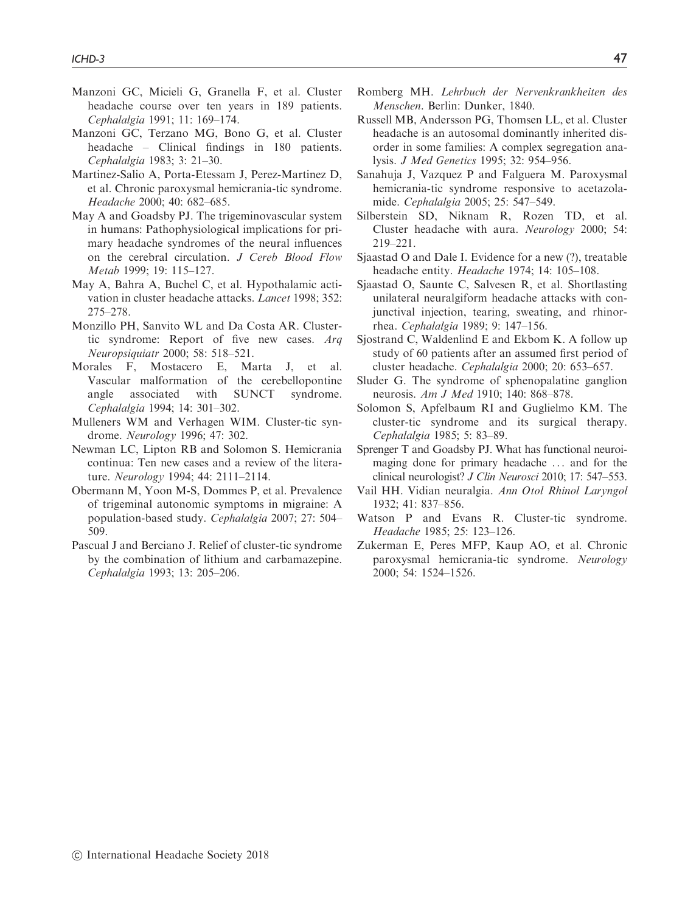- Manzoni GC, Micieli G, Granella F, et al. Cluster headache course over ten years in 189 patients. Cephalalgia 1991; 11: 169–174.
- Manzoni GC, Terzano MG, Bono G, et al. Cluster headache – Clinical findings in 180 patients. Cephalalgia 1983; 3: 21–30.
- Martinez-Salio A, Porta-Etessam J, Perez-Martinez D, et al. Chronic paroxysmal hemicrania-tic syndrome. Headache 2000; 40: 682–685.
- May A and Goadsby PJ. The trigeminovascular system in humans: Pathophysiological implications for primary headache syndromes of the neural influences on the cerebral circulation. J Cereb Blood Flow Metab 1999; 19: 115–127.
- May A, Bahra A, Buchel C, et al. Hypothalamic activation in cluster headache attacks. Lancet 1998; 352: 275–278.
- Monzillo PH, Sanvito WL and Da Costa AR. Clustertic syndrome: Report of five new cases. Arq Neuropsiquiatr 2000; 58: 518–521.
- Morales F, Mostacero E, Marta J, et al. Vascular malformation of the cerebellopontine angle associated with SUNCT syndrome. Cephalalgia 1994; 14: 301–302.
- Mulleners WM and Verhagen WIM. Cluster-tic syndrome. Neurology 1996; 47: 302.
- Newman LC, Lipton RB and Solomon S. Hemicrania continua: Ten new cases and a review of the literature. Neurology 1994; 44: 2111–2114.
- Obermann M, Yoon M-S, Dommes P, et al. Prevalence of trigeminal autonomic symptoms in migraine: A population-based study. Cephalalgia 2007; 27: 504– 509.
- Pascual J and Berciano J. Relief of cluster-tic syndrome by the combination of lithium and carbamazepine. Cephalalgia 1993; 13: 205–206.
- Romberg MH. Lehrbuch der Nervenkrankheiten des Menschen. Berlin: Dunker, 1840.
- Russell MB, Andersson PG, Thomsen LL, et al. Cluster headache is an autosomal dominantly inherited disorder in some families: A complex segregation analysis. J Med Genetics 1995; 32: 954–956.
- Sanahuja J, Vazquez P and Falguera M. Paroxysmal hemicrania-tic syndrome responsive to acetazolamide. Cephalalgia 2005; 25: 547–549.
- Silberstein SD, Niknam R, Rozen TD, et al. Cluster headache with aura. Neurology 2000; 54: 219–221.
- Sjaastad O and Dale I. Evidence for a new (?), treatable headache entity. Headache 1974; 14: 105–108.
- Sjaastad O, Saunte C, Salvesen R, et al. Shortlasting unilateral neuralgiform headache attacks with conjunctival injection, tearing, sweating, and rhinorrhea. Cephalalgia 1989; 9: 147–156.
- Sjostrand C, Waldenlind E and Ekbom K. A follow up study of 60 patients after an assumed first period of cluster headache. Cephalalgia 2000; 20: 653–657.
- Sluder G. The syndrome of sphenopalatine ganglion neurosis. Am J Med 1910; 140: 868–878.
- Solomon S, Apfelbaum RI and Guglielmo KM. The cluster-tic syndrome and its surgical therapy. Cephalalgia 1985; 5: 83–89.
- Sprenger T and Goadsby PJ. What has functional neuroimaging done for primary headache ... and for the clinical neurologist? J Clin Neurosci 2010; 17: 547–553.
- Vail HH. Vidian neuralgia. Ann Otol Rhinol Laryngol 1932; 41: 837–856.
- Watson P and Evans R. Cluster-tic syndrome. Headache 1985; 25: 123–126.
- Zukerman E, Peres MFP, Kaup AO, et al. Chronic paroxysmal hemicrania-tic syndrome. Neurology 2000; 54: 1524–1526.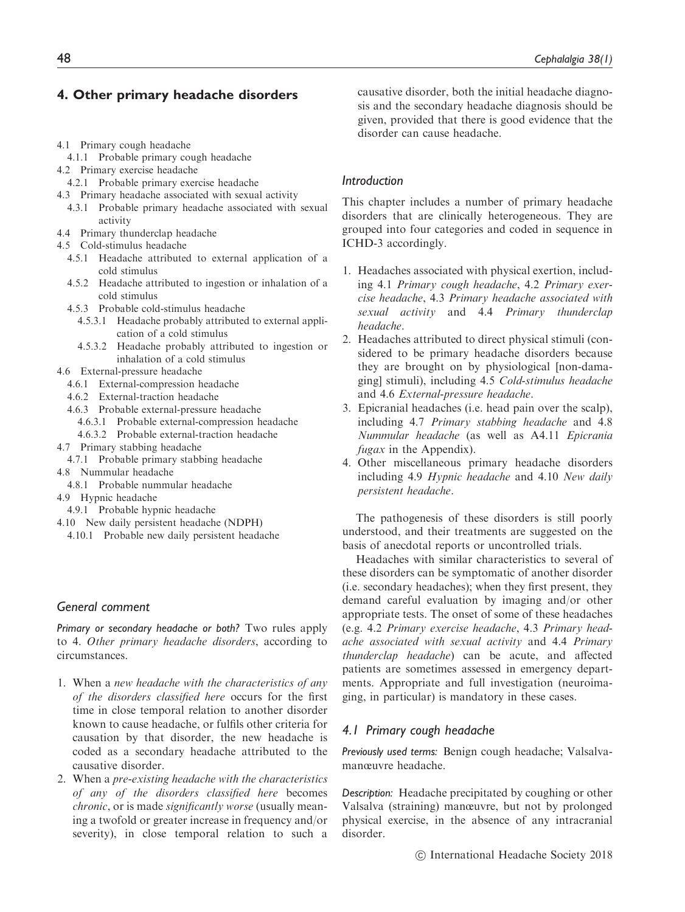# 4. Other primary headache disorders

- 4.1 Primary cough headache
	- 4.1.1 Probable primary cough headache
- 4.2 Primary exercise headache
- 4.2.1 Probable primary exercise headache
- 4.3 Primary headache associated with sexual activity
	- 4.3.1 Probable primary headache associated with sexual activity
- 4.4 Primary thunderclap headache
- 4.5 Cold-stimulus headache
	- 4.5.1 Headache attributed to external application of a cold stimulus
	- 4.5.2 Headache attributed to ingestion or inhalation of a cold stimulus
	- 4.5.3 Probable cold-stimulus headache
		- 4.5.3.1 Headache probably attributed to external application of a cold stimulus
		- 4.5.3.2 Headache probably attributed to ingestion or inhalation of a cold stimulus
- 4.6 External-pressure headache
	- 4.6.1 External-compression headache
	- 4.6.2 External-traction headache
	- 4.6.3 Probable external-pressure headache
		- 4.6.3.1 Probable external-compression headache
	- 4.6.3.2 Probable external-traction headache
- 4.7 Primary stabbing headache
- 4.7.1 Probable primary stabbing headache
- 4.8 Nummular headache
- 4.8.1 Probable nummular headache
- 4.9 Hypnic headache
- 4.9.1 Probable hypnic headache
- 4.10 New daily persistent headache (NDPH)
	- 4.10.1 Probable new daily persistent headache

## General comment

Primary or secondary headache or both? Two rules apply to 4. Other primary headache disorders, according to circumstances.

- 1. When a new headache with the characteristics of any of the disorders classified here occurs for the first time in close temporal relation to another disorder known to cause headache, or fulfils other criteria for causation by that disorder, the new headache is coded as a secondary headache attributed to the causative disorder.
- 2. When a pre-existing headache with the characteristics of any of the disorders classified here becomes chronic, or is made significantly worse (usually meaning a twofold or greater increase in frequency and/or severity), in close temporal relation to such a

causative disorder, both the initial headache diagnosis and the secondary headache diagnosis should be given, provided that there is good evidence that the disorder can cause headache.

# Introduction

This chapter includes a number of primary headache disorders that are clinically heterogeneous. They are grouped into four categories and coded in sequence in ICHD-3 accordingly.

- 1. Headaches associated with physical exertion, including 4.1 Primary cough headache, 4.2 Primary exercise headache, 4.3 Primary headache associated with sexual activity and 4.4 Primary thunderclap headache.
- 2. Headaches attributed to direct physical stimuli (considered to be primary headache disorders because they are brought on by physiological [non-damaging] stimuli), including 4.5 Cold-stimulus headache and 4.6 External-pressure headache.
- 3. Epicranial headaches (i.e. head pain over the scalp), including 4.7 Primary stabbing headache and 4.8 Nummular headache (as well as A4.11 Epicrania fugax in the Appendix).
- 4. Other miscellaneous primary headache disorders including 4.9 Hypnic headache and 4.10 New daily persistent headache.

The pathogenesis of these disorders is still poorly understood, and their treatments are suggested on the basis of anecdotal reports or uncontrolled trials.

Headaches with similar characteristics to several of these disorders can be symptomatic of another disorder (i.e. secondary headaches); when they first present, they demand careful evaluation by imaging and/or other appropriate tests. The onset of some of these headaches (e.g. 4.2 Primary exercise headache, 4.3 Primary headache associated with sexual activity and 4.4 Primary thunderclap headache) can be acute, and affected patients are sometimes assessed in emergency departments. Appropriate and full investigation (neuroimaging, in particular) is mandatory in these cases.

# 4.1 Primary cough headache

Previously used terms: Benign cough headache; Valsalvamanœuvre headache.

Description: Headache precipitated by coughing or other Valsalva (straining) manœuvre, but not by prolonged physical exercise, in the absence of any intracranial disorder.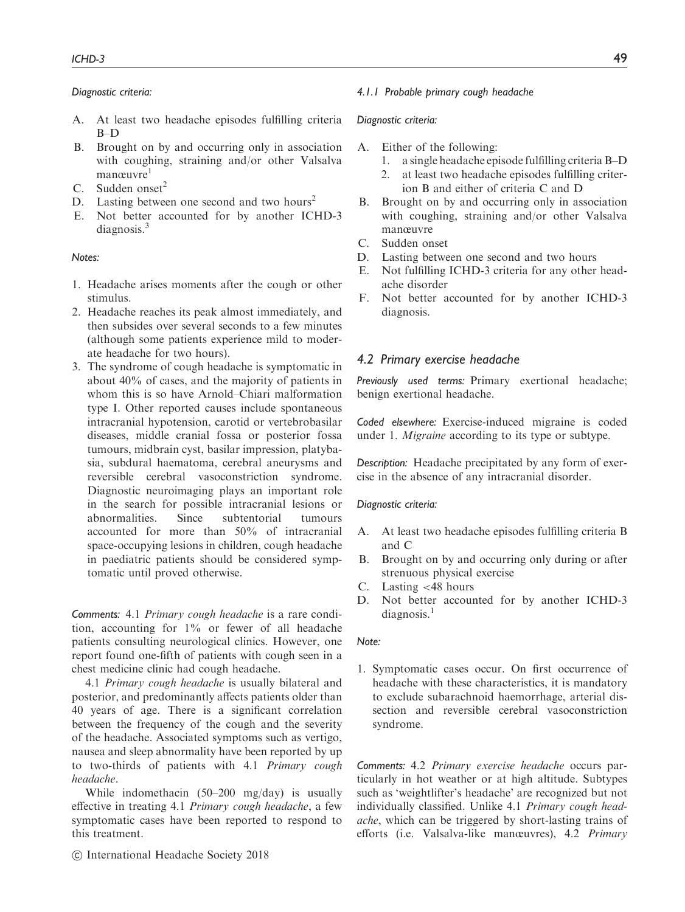Diagnostic criteria:

- A. At least two headache episodes fulfilling criteria  $R$ – $D$
- B. Brought on by and occurring only in association with coughing, straining and/or other Valsalva  $m$ anœuvre $<sup>1</sup>$ </sup>
- $C.$  Sudden onset<sup>2</sup>
- D. Lasting between one second and two hours<sup>2</sup>
- E. Not better accounted for by another ICHD-3 diagnosis.<sup>3</sup>

## Notes:

- 1. Headache arises moments after the cough or other stimulus.
- 2. Headache reaches its peak almost immediately, and then subsides over several seconds to a few minutes (although some patients experience mild to moderate headache for two hours).
- 3. The syndrome of cough headache is symptomatic in about 40% of cases, and the majority of patients in whom this is so have Arnold–Chiari malformation type I. Other reported causes include spontaneous intracranial hypotension, carotid or vertebrobasilar diseases, middle cranial fossa or posterior fossa tumours, midbrain cyst, basilar impression, platybasia, subdural haematoma, cerebral aneurysms and reversible cerebral vasoconstriction syndrome. Diagnostic neuroimaging plays an important role in the search for possible intracranial lesions or abnormalities. Since subtentorial tumours accounted for more than 50% of intracranial space-occupying lesions in children, cough headache in paediatric patients should be considered symptomatic until proved otherwise.

Comments: 4.1 Primary cough headache is a rare condition, accounting for 1% or fewer of all headache patients consulting neurological clinics. However, one report found one-fifth of patients with cough seen in a chest medicine clinic had cough headache.

4.1 Primary cough headache is usually bilateral and posterior, and predominantly affects patients older than 40 years of age. There is a significant correlation between the frequency of the cough and the severity of the headache. Associated symptoms such as vertigo, nausea and sleep abnormality have been reported by up to two-thirds of patients with 4.1 Primary cough headache.

While indomethacin (50–200 mg/day) is usually effective in treating 4.1 Primary cough headache, a few symptomatic cases have been reported to respond to this treatment.

## 4.1.1 Probable primary cough headache

#### Diagnostic criteria:

- A. Either of the following:
	- 1. a single headache episode fulfilling criteria B–D
	- 2. at least two headache episodes fulfilling criterion B and either of criteria C and D
- B. Brought on by and occurring only in association with coughing, straining and/or other Valsalva manœuvre
- C. Sudden onset
- D. Lasting between one second and two hours
- E. Not fulfilling ICHD-3 criteria for any other headache disorder
- F. Not better accounted for by another ICHD-3 diagnosis.

## 4.2 Primary exercise headache

Previously used terms: Primary exertional headache; benign exertional headache.

Coded elsewhere: Exercise-induced migraine is coded under 1. Migraine according to its type or subtype.

Description: Headache precipitated by any form of exercise in the absence of any intracranial disorder.

## Diagnostic criteria:

- A. At least two headache episodes fulfilling criteria B and C
- B. Brought on by and occurring only during or after strenuous physical exercise
- C. Lasting <48 hours
- D. Not better accounted for by another ICHD-3 diagnosis.<sup>1</sup>

## Note:

1. Symptomatic cases occur. On first occurrence of headache with these characteristics, it is mandatory to exclude subarachnoid haemorrhage, arterial dissection and reversible cerebral vasoconstriction syndrome.

Comments: 4.2 Primary exercise headache occurs particularly in hot weather or at high altitude. Subtypes such as 'weightlifter's headache' are recognized but not individually classified. Unlike 4.1 Primary cough headache, which can be triggered by short-lasting trains of efforts (i.e. Valsalva-like manœuvres), 4.2 Primary

<sup>!</sup> International Headache Society 2018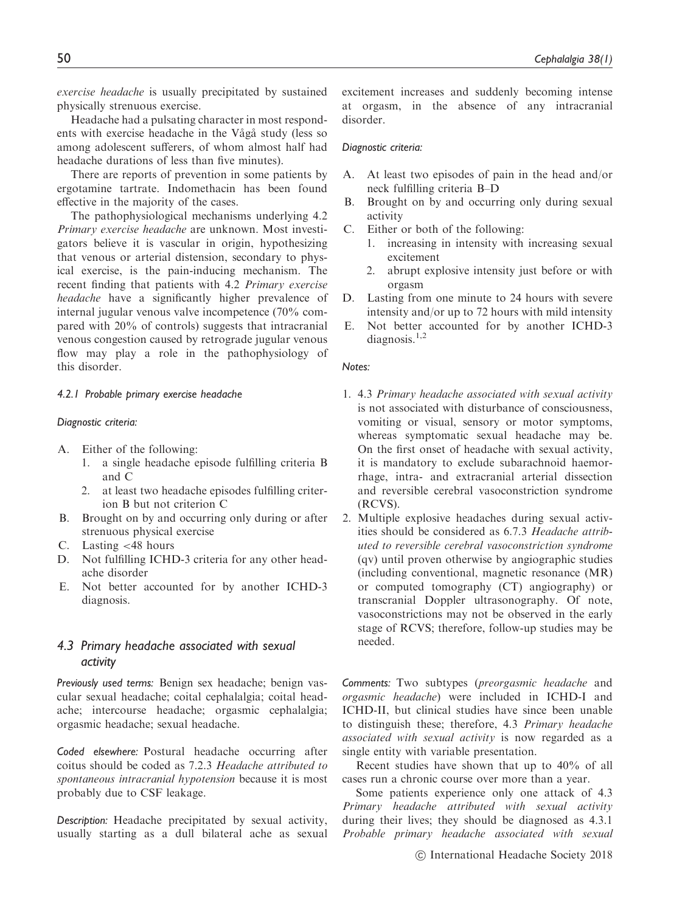exercise headache is usually precipitated by sustained physically strenuous exercise.

Headache had a pulsating character in most respondents with exercise headache in the Vågå study (less so among adolescent sufferers, of whom almost half had headache durations of less than five minutes).

There are reports of prevention in some patients by ergotamine tartrate. Indomethacin has been found effective in the majority of the cases.

The pathophysiological mechanisms underlying 4.2 Primary exercise headache are unknown. Most investigators believe it is vascular in origin, hypothesizing that venous or arterial distension, secondary to physical exercise, is the pain-inducing mechanism. The recent finding that patients with 4.2 Primary exercise headache have a significantly higher prevalence of internal jugular venous valve incompetence (70% compared with 20% of controls) suggests that intracranial venous congestion caused by retrograde jugular venous flow may play a role in the pathophysiology of this disorder.

#### 4.2.1 Probable primary exercise headache

#### Diagnostic criteria:

- A. Either of the following:
	- 1. a single headache episode fulfilling criteria B and C
	- 2. at least two headache episodes fulfilling criterion B but not criterion C
- B. Brought on by and occurring only during or after strenuous physical exercise
- C. Lasting <48 hours
- D. Not fulfilling ICHD-3 criteria for any other headache disorder
- E. Not better accounted for by another ICHD-3 diagnosis.

# 4.3 Primary headache associated with sexual activity

Previously used terms: Benign sex headache; benign vascular sexual headache; coital cephalalgia; coital headache; intercourse headache; orgasmic cephalalgia; orgasmic headache; sexual headache.

Coded elsewhere: Postural headache occurring after coitus should be coded as 7.2.3 Headache attributed to spontaneous intracranial hypotension because it is most probably due to CSF leakage.

Description: Headache precipitated by sexual activity, usually starting as a dull bilateral ache as sexual excitement increases and suddenly becoming intense at orgasm, in the absence of any intracranial disorder.

#### Diagnostic criteria:

- A. At least two episodes of pain in the head and/or neck fulfilling criteria B–D
- B. Brought on by and occurring only during sexual activity
- C. Either or both of the following:
	- 1. increasing in intensity with increasing sexual excitement
	- 2. abrupt explosive intensity just before or with orgasm
- D. Lasting from one minute to 24 hours with severe intensity and/or up to 72 hours with mild intensity
- E. Not better accounted for by another ICHD-3 diagnosis. $1,2$

#### Notes:

- 1. 4.3 Primary headache associated with sexual activity is not associated with disturbance of consciousness, vomiting or visual, sensory or motor symptoms, whereas symptomatic sexual headache may be. On the first onset of headache with sexual activity, it is mandatory to exclude subarachnoid haemorrhage, intra- and extracranial arterial dissection and reversible cerebral vasoconstriction syndrome (RCVS).
- 2. Multiple explosive headaches during sexual activities should be considered as 6.7.3 Headache attributed to reversible cerebral vasoconstriction syndrome (qv) until proven otherwise by angiographic studies (including conventional, magnetic resonance (MR) or computed tomography (CT) angiography) or transcranial Doppler ultrasonography. Of note, vasoconstrictions may not be observed in the early stage of RCVS; therefore, follow-up studies may be needed.

Comments: Two subtypes (preorgasmic headache and orgasmic headache) were included in ICHD-I and ICHD-II, but clinical studies have since been unable to distinguish these; therefore, 4.3 Primary headache associated with sexual activity is now regarded as a single entity with variable presentation.

Recent studies have shown that up to 40% of all cases run a chronic course over more than a year.

Some patients experience only one attack of 4.3 Primary headache attributed with sexual activity during their lives; they should be diagnosed as 4.3.1 Probable primary headache associated with sexual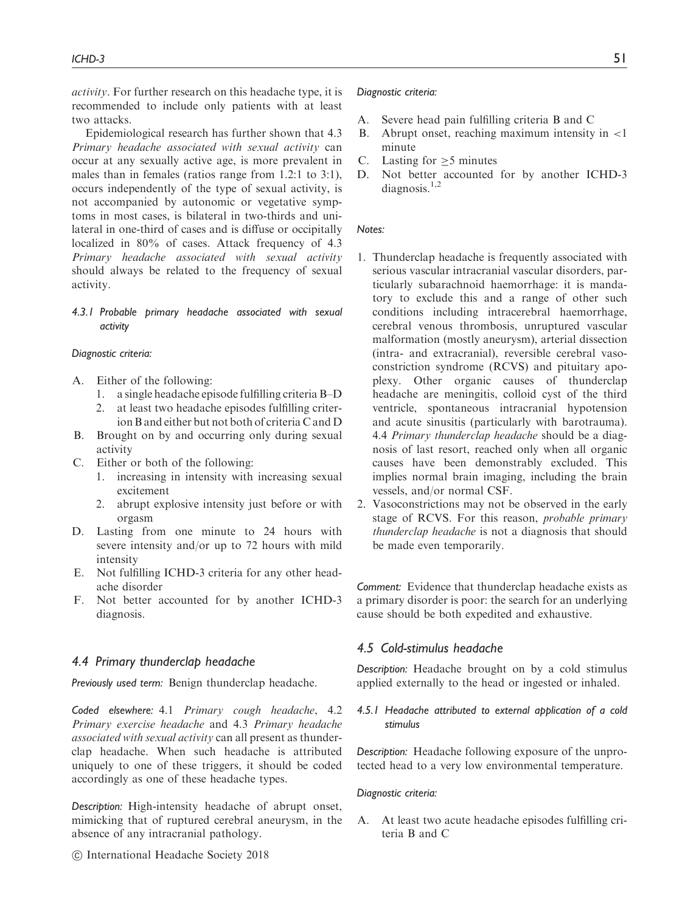activity. For further research on this headache type, it is recommended to include only patients with at least two attacks.

Epidemiological research has further shown that 4.3 Primary headache associated with sexual activity can occur at any sexually active age, is more prevalent in males than in females (ratios range from 1.2:1 to 3:1), occurs independently of the type of sexual activity, is not accompanied by autonomic or vegetative symptoms in most cases, is bilateral in two-thirds and unilateral in one-third of cases and is diffuse or occipitally localized in 80% of cases. Attack frequency of 4.3 Primary headache associated with sexual activity should always be related to the frequency of sexual activity.

## 4.3.1 Probable primary headache associated with sexual activity

## Diagnostic criteria:

- A. Either of the following:
	- 1. a single headache episode fulfilling criteria B–D
	- 2. at least two headache episodes fulfilling criterion B and either but not both of criteria C and D
- B. Brought on by and occurring only during sexual activity
- C. Either or both of the following:
	- 1. increasing in intensity with increasing sexual excitement
	- 2. abrupt explosive intensity just before or with orgasm
- D. Lasting from one minute to 24 hours with severe intensity and/or up to 72 hours with mild intensity
- E. Not fulfilling ICHD-3 criteria for any other headache disorder
- F. Not better accounted for by another ICHD-3 diagnosis.

## 4.4 Primary thunderclap headache

Previously used term: Benign thunderclap headache.

Coded elsewhere: 4.1 Primary cough headache, 4.2 Primary exercise headache and 4.3 Primary headache associated with sexual activity can all present as thunderclap headache. When such headache is attributed uniquely to one of these triggers, it should be coded accordingly as one of these headache types.

Description: High-intensity headache of abrupt onset, mimicking that of ruptured cerebral aneurysm, in the absence of any intracranial pathology.

## ! International Headache Society 2018

#### Diagnostic criteria:

- A. Severe head pain fulfilling criteria B and C
- B. Abrupt onset, reaching maximum intensity in  $\lt 1$ minute
- C. Lasting for  $\geq 5$  minutes
- D. Not better accounted for by another ICHD-3 diagnosis.<sup>1,2</sup>

#### Notes:

- 1. Thunderclap headache is frequently associated with serious vascular intracranial vascular disorders, particularly subarachnoid haemorrhage: it is mandatory to exclude this and a range of other such conditions including intracerebral haemorrhage, cerebral venous thrombosis, unruptured vascular malformation (mostly aneurysm), arterial dissection (intra- and extracranial), reversible cerebral vasoconstriction syndrome (RCVS) and pituitary apoplexy. Other organic causes of thunderclap headache are meningitis, colloid cyst of the third ventricle, spontaneous intracranial hypotension and acute sinusitis (particularly with barotrauma). 4.4 Primary thunderclap headache should be a diagnosis of last resort, reached only when all organic causes have been demonstrably excluded. This implies normal brain imaging, including the brain vessels, and/or normal CSF.
- 2. Vasoconstrictions may not be observed in the early stage of RCVS. For this reason, probable primary thunderclap headache is not a diagnosis that should be made even temporarily.

Comment: Evidence that thunderclap headache exists as a primary disorder is poor: the search for an underlying cause should be both expedited and exhaustive.

# 4.5 Cold-stimulus headache

Description: Headache brought on by a cold stimulus applied externally to the head or ingested or inhaled.

## 4.5.1 Headache attributed to external application of a cold stimulus

Description: Headache following exposure of the unprotected head to a very low environmental temperature.

#### Diagnostic criteria:

A. At least two acute headache episodes fulfilling criteria B and C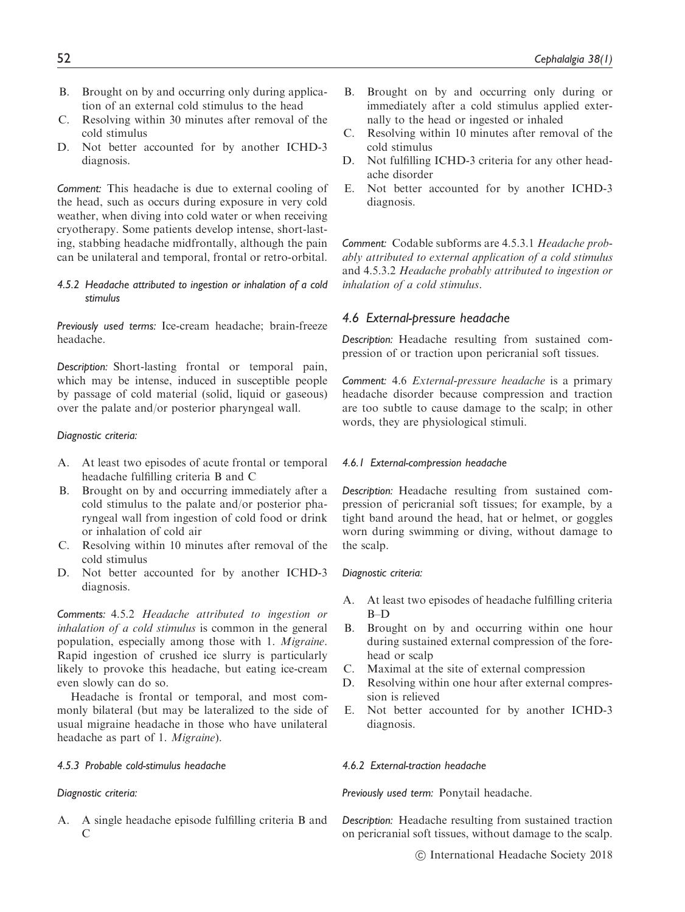- B. Brought on by and occurring only during application of an external cold stimulus to the head
- C. Resolving within 30 minutes after removal of the cold stimulus
- D. Not better accounted for by another ICHD-3 diagnosis.

Comment: This headache is due to external cooling of the head, such as occurs during exposure in very cold weather, when diving into cold water or when receiving cryotherapy. Some patients develop intense, short-lasting, stabbing headache midfrontally, although the pain can be unilateral and temporal, frontal or retro-orbital.

## 4.5.2 Headache attributed to ingestion or inhalation of a cold stimulus

Previously used terms: Ice-cream headache; brain-freeze headache.

Description: Short-lasting frontal or temporal pain, which may be intense, induced in susceptible people by passage of cold material (solid, liquid or gaseous) over the palate and/or posterior pharyngeal wall.

## Diagnostic criteria:

- A. At least two episodes of acute frontal or temporal headache fulfilling criteria B and C
- B. Brought on by and occurring immediately after a cold stimulus to the palate and/or posterior pharyngeal wall from ingestion of cold food or drink or inhalation of cold air
- C. Resolving within 10 minutes after removal of the cold stimulus
- D. Not better accounted for by another ICHD-3 diagnosis.

Comments: 4.5.2 Headache attributed to ingestion or inhalation of a cold stimulus is common in the general population, especially among those with 1. Migraine. Rapid ingestion of crushed ice slurry is particularly likely to provoke this headache, but eating ice-cream even slowly can do so.

Headache is frontal or temporal, and most commonly bilateral (but may be lateralized to the side of usual migraine headache in those who have unilateral headache as part of 1. Migraine).

#### 4.5.3 Probable cold-stimulus headache

#### Diagnostic criteria:

A. A single headache episode fulfilling criteria B and C

- B. Brought on by and occurring only during or immediately after a cold stimulus applied externally to the head or ingested or inhaled
- C. Resolving within 10 minutes after removal of the cold stimulus
- D. Not fulfilling ICHD-3 criteria for any other headache disorder
- E. Not better accounted for by another ICHD-3 diagnosis.

Comment: Codable subforms are 4.5.3.1 Headache probably attributed to external application of a cold stimulus and 4.5.3.2 Headache probably attributed to ingestion or inhalation of a cold stimulus.

## 4.6 External-pressure headache

Description: Headache resulting from sustained compression of or traction upon pericranial soft tissues.

Comment: 4.6 External-pressure headache is a primary headache disorder because compression and traction are too subtle to cause damage to the scalp; in other words, they are physiological stimuli.

#### 4.6.1 External-compression headache

Description: Headache resulting from sustained compression of pericranial soft tissues; for example, by a tight band around the head, hat or helmet, or goggles worn during swimming or diving, without damage to the scalp.

### Diagnostic criteria:

- A. At least two episodes of headache fulfilling criteria B–D
- B. Brought on by and occurring within one hour during sustained external compression of the forehead or scalp
- C. Maximal at the site of external compression
- D. Resolving within one hour after external compression is relieved
- E. Not better accounted for by another ICHD-3 diagnosis.

#### 4.6.2 External-traction headache

Previously used term: Ponytail headache.

Description: Headache resulting from sustained traction on pericranial soft tissues, without damage to the scalp.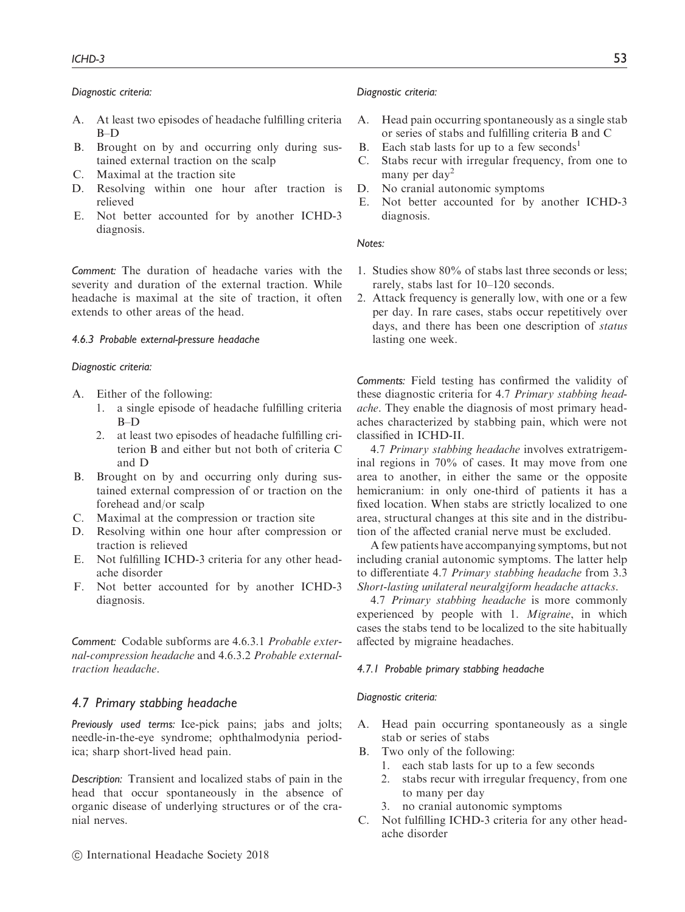## Diagnostic criteria:

- A. At least two episodes of headache fulfilling criteria B–D
- B. Brought on by and occurring only during sustained external traction on the scalp
- C. Maximal at the traction site
- D. Resolving within one hour after traction is relieved
- E. Not better accounted for by another ICHD-3 diagnosis.

Comment: The duration of headache varies with the severity and duration of the external traction. While headache is maximal at the site of traction, it often extends to other areas of the head.

## 4.6.3 Probable external-pressure headache

## Diagnostic criteria:

- A. Either of the following:
	- 1. a single episode of headache fulfilling criteria B–D
	- 2. at least two episodes of headache fulfilling criterion B and either but not both of criteria C and D
- B. Brought on by and occurring only during sustained external compression of or traction on the forehead and/or scalp
- C. Maximal at the compression or traction site
- D. Resolving within one hour after compression or traction is relieved
- E. Not fulfilling ICHD-3 criteria for any other headache disorder
- F. Not better accounted for by another ICHD-3 diagnosis.

Comment: Codable subforms are 4.6.3.1 Probable external-compression headache and 4.6.3.2 Probable externaltraction headache.

# 4.7 Primary stabbing headache

Previously used terms: Ice-pick pains; jabs and jolts; needle-in-the-eye syndrome; ophthalmodynia periodica; sharp short-lived head pain.

Description: Transient and localized stabs of pain in the head that occur spontaneously in the absence of organic disease of underlying structures or of the cranial nerves.

#### ! International Headache Society 2018

## Diagnostic criteria:

- A. Head pain occurring spontaneously as a single stab or series of stabs and fulfilling criteria B and C
- B. Each stab lasts for up to a few seconds<sup>1</sup>
- C. Stabs recur with irregular frequency, from one to many per day<sup>2</sup>
- D. No cranial autonomic symptoms
- E. Not better accounted for by another ICHD-3 diagnosis.

## Notes:

- 1. Studies show 80% of stabs last three seconds or less; rarely, stabs last for 10–120 seconds.
- 2. Attack frequency is generally low, with one or a few per day. In rare cases, stabs occur repetitively over days, and there has been one description of status lasting one week.

Comments: Field testing has confirmed the validity of these diagnostic criteria for 4.7 Primary stabbing headache. They enable the diagnosis of most primary headaches characterized by stabbing pain, which were not classified in ICHD-II.

4.7 Primary stabbing headache involves extratrigeminal regions in 70% of cases. It may move from one area to another, in either the same or the opposite hemicranium: in only one-third of patients it has a fixed location. When stabs are strictly localized to one area, structural changes at this site and in the distribution of the affected cranial nerve must be excluded.

A few patients have accompanying symptoms, but not including cranial autonomic symptoms. The latter help to differentiate 4.7 Primary stabbing headache from 3.3 Short-lasting unilateral neuralgiform headache attacks.

4.7 Primary stabbing headache is more commonly experienced by people with 1. Migraine, in which cases the stabs tend to be localized to the site habitually affected by migraine headaches.

#### 4.7.1 Probable primary stabbing headache

#### Diagnostic criteria:

- A. Head pain occurring spontaneously as a single stab or series of stabs
- B. Two only of the following:
	- 1. each stab lasts for up to a few seconds
	- 2. stabs recur with irregular frequency, from one to many per day
	- 3. no cranial autonomic symptoms
- C. Not fulfilling ICHD-3 criteria for any other headache disorder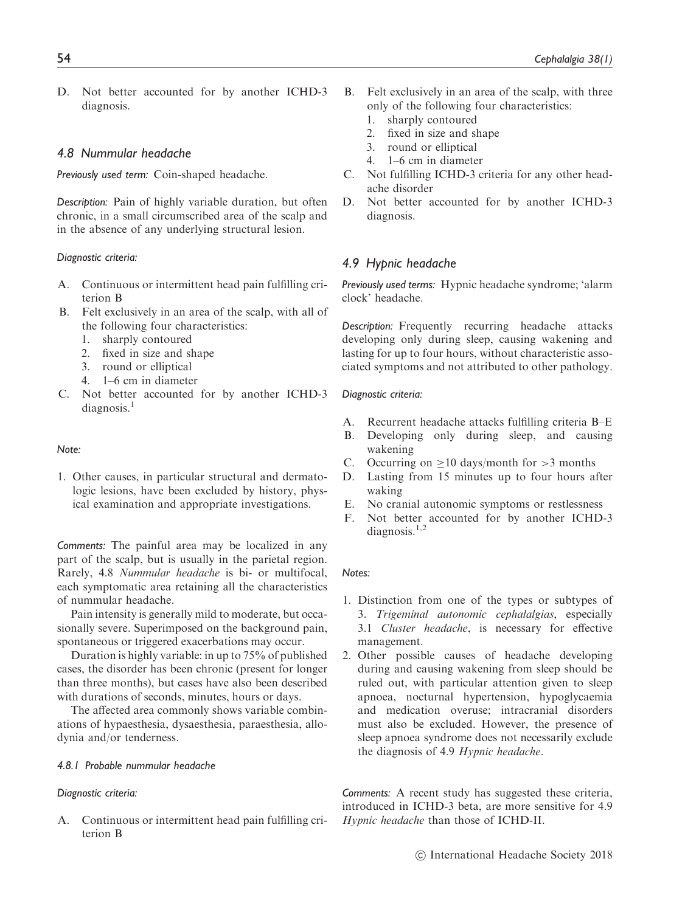D. Not better accounted for by another ICHD-3 diagnosis.

## 4.8 Nummular headache

Previously used term: Coin-shaped headache.

Description: Pain of highly variable duration, but often chronic, in a small circumscribed area of the scalp and in the absence of any underlying structural lesion.

#### Diagnostic criteria:

- A. Continuous or intermittent head pain fulfilling criterion B
- B. Felt exclusively in an area of the scalp, with all of the following four characteristics:
	- 1. sharply contoured
	- 2. fixed in size and shape
	- 3. round or elliptical
	- 4. 1–6 cm in diameter
- C. Not better accounted for by another ICHD-3 diagnosis.<sup>1</sup>

#### Note:

1. Other causes, in particular structural and dermatologic lesions, have been excluded by history, physical examination and appropriate investigations.

Comments: The painful area may be localized in any part of the scalp, but is usually in the parietal region. Rarely, 4.8 Nummular headache is bi- or multifocal, each symptomatic area retaining all the characteristics of nummular headache.

Pain intensity is generally mild to moderate, but occasionally severe. Superimposed on the background pain, spontaneous or triggered exacerbations may occur.

Duration is highly variable: in up to 75% of published cases, the disorder has been chronic (present for longer than three months), but cases have also been described with durations of seconds, minutes, hours or days.

The affected area commonly shows variable combinations of hypaesthesia, dysaesthesia, paraesthesia, allodynia and/or tenderness.

## 4.8.1 Probable nummular headache

#### Diagnostic criteria:

A. Continuous or intermittent head pain fulfilling criterion B

- B. Felt exclusively in an area of the scalp, with three only of the following four characteristics:
	- 1. sharply contoured
	- 2. fixed in size and shape
	- 3. round or elliptical
	- 4. 1–6 cm in diameter
- C. Not fulfilling ICHD-3 criteria for any other headache disorder
- D. Not better accounted for by another ICHD-3 diagnosis.

## 4.9 Hypnic headache

Previously used terms: Hypnic headache syndrome; 'alarm clock' headache.

Description: Frequently recurring headache attacks developing only during sleep, causing wakening and lasting for up to four hours, without characteristic associated symptoms and not attributed to other pathology.

## Diagnostic criteria:

- A. Recurrent headache attacks fulfilling criteria B–E
- B. Developing only during sleep, and causing wakening
- C. Occurring on  $\geq 10$  days/month for  $>3$  months
- D. Lasting from 15 minutes up to four hours after waking
- E. No cranial autonomic symptoms or restlessness
- F. Not better accounted for by another ICHD-3 diagnosis. $1,2$

#### Notes:

- 1. Distinction from one of the types or subtypes of 3. Trigeminal autonomic cephalalgias, especially 3.1 Cluster headache, is necessary for effective management.
- 2. Other possible causes of headache developing during and causing wakening from sleep should be ruled out, with particular attention given to sleep apnoea, nocturnal hypertension, hypoglycaemia and medication overuse; intracranial disorders must also be excluded. However, the presence of sleep apnoea syndrome does not necessarily exclude the diagnosis of 4.9 Hypnic headache.

Comments: A recent study has suggested these criteria, introduced in ICHD-3 beta, are more sensitive for 4.9 Hypnic headache than those of ICHD-II.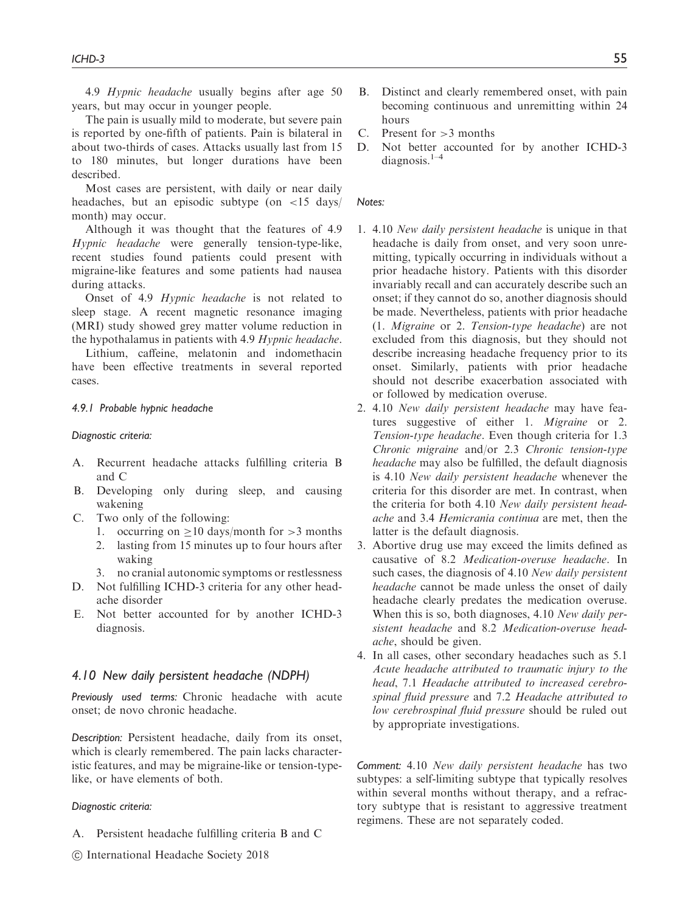4.9 Hypnic headache usually begins after age 50 years, but may occur in younger people.

The pain is usually mild to moderate, but severe pain is reported by one-fifth of patients. Pain is bilateral in about two-thirds of cases. Attacks usually last from 15 to 180 minutes, but longer durations have been described.

Most cases are persistent, with daily or near daily headaches, but an episodic subtype (on  $\lt 15$  days/ month) may occur.

Although it was thought that the features of 4.9 Hypnic headache were generally tension-type-like, recent studies found patients could present with migraine-like features and some patients had nausea during attacks.

Onset of 4.9 Hypnic headache is not related to sleep stage. A recent magnetic resonance imaging (MRI) study showed grey matter volume reduction in the hypothalamus in patients with 4.9 Hypnic headache.

Lithium, caffeine, melatonin and indomethacin have been effective treatments in several reported cases.

#### 4.9.1 Probable hypnic headache

#### Diagnostic criteria:

- A. Recurrent headache attacks fulfilling criteria B and C
- B. Developing only during sleep, and causing wakening
- C. Two only of the following:
	- 1. occurring on  $\geq 10$  days/month for  $>3$  months
	- 2. lasting from 15 minutes up to four hours after waking
	- 3. no cranial autonomic symptoms or restlessness
- D. Not fulfilling ICHD-3 criteria for any other headache disorder
- E. Not better accounted for by another ICHD-3 diagnosis.

## 4.10 New daily persistent headache (NDPH)

Previously used terms: Chronic headache with acute onset; de novo chronic headache.

Description: Persistent headache, daily from its onset, which is clearly remembered. The pain lacks characteristic features, and may be migraine-like or tension-typelike, or have elements of both.

### Diagnostic criteria:

- A. Persistent headache fulfilling criteria B and C
- ! International Headache Society 2018
- B. Distinct and clearly remembered onset, with pain becoming continuous and unremitting within 24 hours
- C. Present for  $>3$  months
- D. Not better accounted for by another ICHD-3 diagnosis.<sup>1-4</sup>

## Notes:

- 1. 4.10 New daily persistent headache is unique in that headache is daily from onset, and very soon unremitting, typically occurring in individuals without a prior headache history. Patients with this disorder invariably recall and can accurately describe such an onset; if they cannot do so, another diagnosis should be made. Nevertheless, patients with prior headache (1. Migraine or 2. Tension-type headache) are not excluded from this diagnosis, but they should not describe increasing headache frequency prior to its onset. Similarly, patients with prior headache should not describe exacerbation associated with or followed by medication overuse.
- 2. 4.10 New daily persistent headache may have features suggestive of either 1. Migraine or 2. Tension-type headache. Even though criteria for 1.3 Chronic migraine and/or 2.3 Chronic tension-type headache may also be fulfilled, the default diagnosis is 4.10 New daily persistent headache whenever the criteria for this disorder are met. In contrast, when the criteria for both 4.10 New daily persistent headache and 3.4 Hemicrania continua are met, then the latter is the default diagnosis.
- 3. Abortive drug use may exceed the limits defined as causative of 8.2 Medication-overuse headache. In such cases, the diagnosis of 4.10 New daily persistent headache cannot be made unless the onset of daily headache clearly predates the medication overuse. When this is so, both diagnoses, 4.10 New daily persistent headache and 8.2 Medication-overuse headache, should be given.
- 4. In all cases, other secondary headaches such as 5.1 Acute headache attributed to traumatic injury to the head, 7.1 Headache attributed to increased cerebrospinal fluid pressure and 7.2 Headache attributed to low cerebrospinal fluid pressure should be ruled out by appropriate investigations.

Comment: 4.10 New daily persistent headache has two subtypes: a self-limiting subtype that typically resolves within several months without therapy, and a refractory subtype that is resistant to aggressive treatment regimens. These are not separately coded.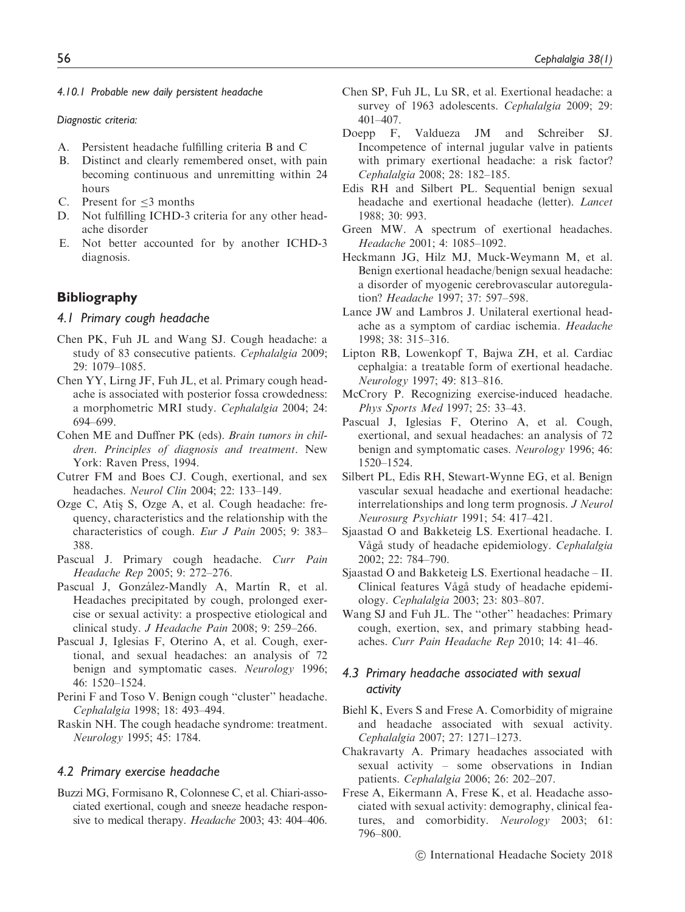4.10.1 Probable new daily persistent headache

#### Diagnostic criteria:

- A. Persistent headache fulfilling criteria B and C
- B. Distinct and clearly remembered onset, with pain becoming continuous and unremitting within 24 hours
- C. Present for  $\leq$ 3 months
- D. Not fulfilling ICHD-3 criteria for any other headache disorder
- E. Not better accounted for by another ICHD-3 diagnosis.

# **Bibliography**

## 4.1 Primary cough headache

- Chen PK, Fuh JL and Wang SJ. Cough headache: a study of 83 consecutive patients. Cephalalgia 2009; 29: 1079–1085.
- Chen YY, Lirng JF, Fuh JL, et al. Primary cough headache is associated with posterior fossa crowdedness: a morphometric MRI study. Cephalalgia 2004; 24: 694–699.
- Cohen ME and Duffner PK (eds). Brain tumors in children. Principles of diagnosis and treatment. New York: Raven Press, 1994.
- Cutrer FM and Boes CJ. Cough, exertional, and sex headaches. Neurol Clin 2004; 22: 133–149.
- Ozge C, Atiş S, Ozge A, et al. Cough headache: frequency, characteristics and the relationship with the characteristics of cough. Eur J Pain 2005; 9: 383– 388.
- Pascual J. Primary cough headache. Curr Pain Headache Rep 2005; 9: 272–276.
- Pascual J, González-Mandly A, Martín R, et al. Headaches precipitated by cough, prolonged exercise or sexual activity: a prospective etiological and clinical study. J Headache Pain 2008; 9: 259–266.
- Pascual J, Iglesias F, Oterino A, et al. Cough, exertional, and sexual headaches: an analysis of 72 benign and symptomatic cases. Neurology 1996; 46: 1520–1524.
- Perini F and Toso V. Benign cough ''cluster'' headache. Cephalalgia 1998; 18: 493–494.
- Raskin NH. The cough headache syndrome: treatment. Neurology 1995; 45: 1784.

#### 4.2 Primary exercise headache

Buzzi MG, Formisano R, Colonnese C, et al. Chiari-associated exertional, cough and sneeze headache responsive to medical therapy. Headache 2003; 43: 404–406.

- Chen SP, Fuh JL, Lu SR, et al. Exertional headache: a survey of 1963 adolescents. Cephalalgia 2009; 29: 401–407.
- Doepp F, Valdueza JM and Schreiber SJ. Incompetence of internal jugular valve in patients with primary exertional headache: a risk factor? Cephalalgia 2008; 28: 182–185.
- Edis RH and Silbert PL. Sequential benign sexual headache and exertional headache (letter). Lancet 1988; 30: 993.
- Green MW. A spectrum of exertional headaches. Headache 2001; 4: 1085–1092.
- Heckmann JG, Hilz MJ, Muck-Weymann M, et al. Benign exertional headache/benign sexual headache: a disorder of myogenic cerebrovascular autoregulation? Headache 1997; 37: 597–598.
- Lance JW and Lambros J. Unilateral exertional headache as a symptom of cardiac ischemia. Headache 1998; 38: 315–316.
- Lipton RB, Lowenkopf T, Bajwa ZH, et al. Cardiac cephalgia: a treatable form of exertional headache. Neurology 1997; 49: 813–816.
- McCrory P. Recognizing exercise-induced headache. Phys Sports Med 1997; 25: 33–43.
- Pascual J, Iglesias F, Oterino A, et al. Cough, exertional, and sexual headaches: an analysis of 72 benign and symptomatic cases. Neurology 1996; 46: 1520–1524.
- Silbert PL, Edis RH, Stewart-Wynne EG, et al. Benign vascular sexual headache and exertional headache: interrelationships and long term prognosis. J Neurol Neurosurg Psychiatr 1991; 54: 417–421.
- Sjaastad O and Bakketeig LS. Exertional headache. I. Vågå study of headache epidemiology. Cephalalgia 2002; 22: 784–790.
- Sjaastad O and Bakketeig LS. Exertional headache II. Clinical features Vågå study of headache epidemiology. Cephalalgia 2003; 23: 803–807.
- Wang SJ and Fuh JL. The ''other'' headaches: Primary cough, exertion, sex, and primary stabbing headaches. Curr Pain Headache Rep 2010; 14: 41–46.

# 4.3 Primary headache associated with sexual activity

- Biehl K, Evers S and Frese A. Comorbidity of migraine and headache associated with sexual activity. Cephalalgia 2007; 27: 1271–1273.
- Chakravarty A. Primary headaches associated with sexual activity – some observations in Indian patients. Cephalalgia 2006; 26: 202–207.
- Frese A, Eikermann A, Frese K, et al. Headache associated with sexual activity: demography, clinical features, and comorbidity. Neurology 2003; 61: 796–800.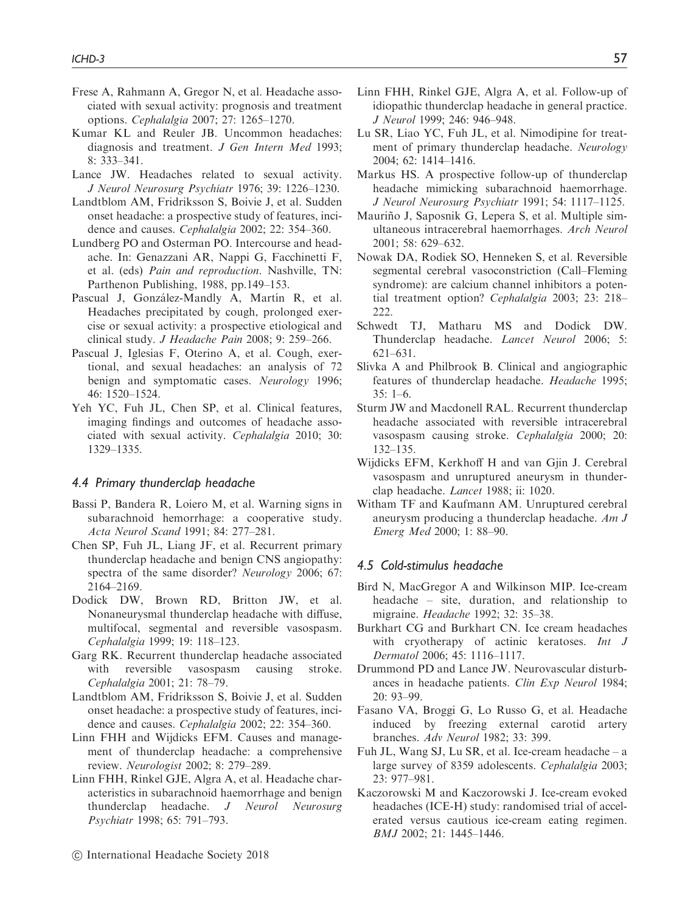- Frese A, Rahmann A, Gregor N, et al. Headache associated with sexual activity: prognosis and treatment options. Cephalalgia 2007; 27: 1265–1270.
- Kumar KL and Reuler JB. Uncommon headaches: diagnosis and treatment. J Gen Intern Med 1993; 8: 333–341.
- Lance JW. Headaches related to sexual activity. J Neurol Neurosurg Psychiatr 1976; 39: 1226–1230.
- Landtblom AM, Fridriksson S, Boivie J, et al. Sudden onset headache: a prospective study of features, incidence and causes. Cephalalgia 2002; 22: 354–360.
- Lundberg PO and Osterman PO. Intercourse and headache. In: Genazzani AR, Nappi G, Facchinetti F, et al. (eds) Pain and reproduction. Nashville, TN: Parthenon Publishing, 1988, pp.149–153.
- Pascual J, González-Mandly A, Martín R, et al. Headaches precipitated by cough, prolonged exercise or sexual activity: a prospective etiological and clinical study. J Headache Pain 2008; 9: 259–266.
- Pascual J, Iglesias F, Oterino A, et al. Cough, exertional, and sexual headaches: an analysis of 72 benign and symptomatic cases. Neurology 1996; 46: 1520–1524.
- Yeh YC, Fuh JL, Chen SP, et al. Clinical features, imaging findings and outcomes of headache associated with sexual activity. Cephalalgia 2010; 30: 1329–1335.

## 4.4 Primary thunderclap headache

- Bassi P, Bandera R, Loiero M, et al. Warning signs in subarachnoid hemorrhage: a cooperative study. Acta Neurol Scand 1991; 84: 277–281.
- Chen SP, Fuh JL, Liang JF, et al. Recurrent primary thunderclap headache and benign CNS angiopathy: spectra of the same disorder? Neurology 2006; 67: 2164–2169.
- Dodick DW, Brown RD, Britton JW, et al. Nonaneurysmal thunderclap headache with diffuse, multifocal, segmental and reversible vasospasm. Cephalalgia 1999; 19: 118–123.
- Garg RK. Recurrent thunderclap headache associated with reversible vasospasm causing stroke. Cephalalgia 2001; 21: 78–79.
- Landtblom AM, Fridriksson S, Boivie J, et al. Sudden onset headache: a prospective study of features, incidence and causes. Cephalalgia 2002; 22: 354–360.
- Linn FHH and Wijdicks EFM. Causes and management of thunderclap headache: a comprehensive review. Neurologist 2002; 8: 279–289.
- Linn FHH, Rinkel GJE, Algra A, et al. Headache characteristics in subarachnoid haemorrhage and benign thunderclap headache. J Neurol Neurosurg Psychiatr 1998; 65: 791–793.
- Linn FHH, Rinkel GJE, Algra A, et al. Follow-up of idiopathic thunderclap headache in general practice. J Neurol 1999; 246: 946–948.
- Lu SR, Liao YC, Fuh JL, et al. Nimodipine for treatment of primary thunderclap headache. Neurology 2004; 62: 1414–1416.
- Markus HS. A prospective follow-up of thunderclap headache mimicking subarachnoid haemorrhage. J Neurol Neurosurg Psychiatr 1991; 54: 1117–1125.
- Mauriño J, Saposnik G, Lepera S, et al. Multiple simultaneous intracerebral haemorrhages. Arch Neurol 2001; 58: 629–632.
- Nowak DA, Rodiek SO, Henneken S, et al. Reversible segmental cerebral vasoconstriction (Call–Fleming syndrome): are calcium channel inhibitors a potential treatment option? Cephalalgia 2003; 23: 218– 222.
- Schwedt TJ, Matharu MS and Dodick DW. Thunderclap headache. Lancet Neurol 2006; 5: 621–631.
- Slivka A and Philbrook B. Clinical and angiographic features of thunderclap headache. Headache 1995; 35: 1–6.
- Sturm JW and Macdonell RAL. Recurrent thunderclap headache associated with reversible intracerebral vasospasm causing stroke. Cephalalgia 2000; 20: 132–135.
- Wijdicks EFM, Kerkhoff H and van Gjin J. Cerebral vasospasm and unruptured aneurysm in thunderclap headache. Lancet 1988; ii: 1020.
- Witham TF and Kaufmann AM. Unruptured cerebral aneurysm producing a thunderclap headache. Am J Emerg Med 2000; 1: 88–90.

## 4.5 Cold-stimulus headache

- Bird N, MacGregor A and Wilkinson MIP. Ice-cream headache – site, duration, and relationship to migraine. Headache 1992; 32: 35–38.
- Burkhart CG and Burkhart CN. Ice cream headaches with cryotherapy of actinic keratoses. Int J Dermatol 2006; 45: 1116–1117.
- Drummond PD and Lance JW. Neurovascular disturbances in headache patients. Clin Exp Neurol 1984; 20: 93–99.
- Fasano VA, Broggi G, Lo Russo G, et al. Headache induced by freezing external carotid artery branches. Adv Neurol 1982; 33: 399.
- Fuh JL, Wang SJ, Lu SR, et al. Ice-cream headache a large survey of 8359 adolescents. Cephalalgia 2003; 23: 977–981.
- Kaczorowski M and Kaczorowski J. Ice-cream evoked headaches (ICE-H) study: randomised trial of accelerated versus cautious ice-cream eating regimen. BMJ 2002; 21: 1445–1446.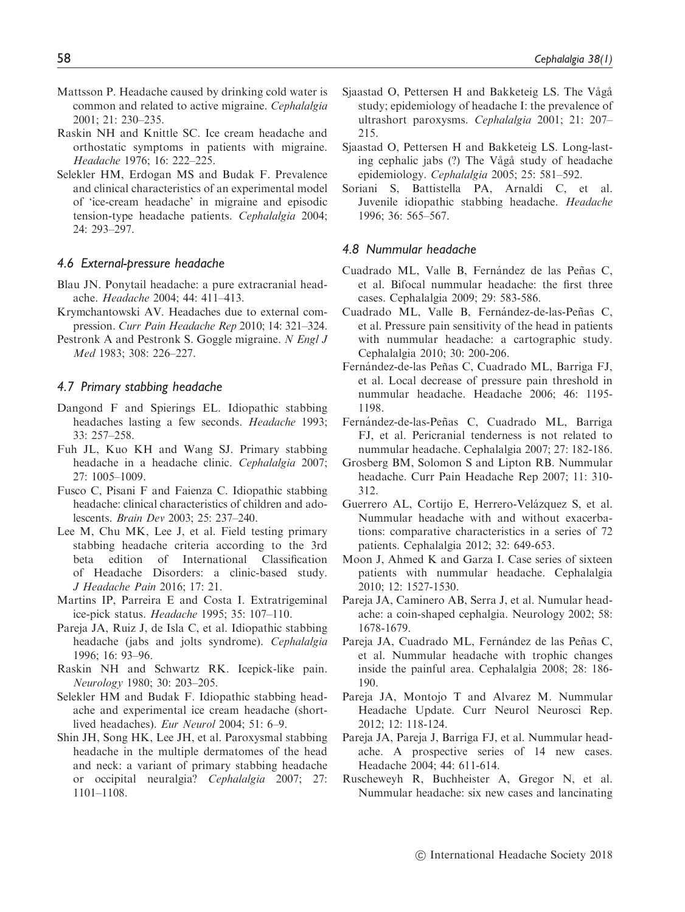- Mattsson P. Headache caused by drinking cold water is common and related to active migraine. Cephalalgia 2001; 21: 230–235.
- Raskin NH and Knittle SC. Ice cream headache and orthostatic symptoms in patients with migraine. Headache 1976; 16: 222–225.
- Selekler HM, Erdogan MS and Budak F. Prevalence and clinical characteristics of an experimental model of 'ice-cream headache' in migraine and episodic tension-type headache patients. Cephalalgia 2004; 24: 293–297.

## 4.6 External-pressure headache

- Blau JN. Ponytail headache: a pure extracranial headache. Headache 2004; 44: 411–413.
- Krymchantowski AV. Headaches due to external compression. Curr Pain Headache Rep 2010; 14: 321–324.
- Pestronk A and Pestronk S. Goggle migraine. N Engl J Med 1983; 308: 226–227.

## 4.7 Primary stabbing headache

- Dangond F and Spierings EL. Idiopathic stabbing headaches lasting a few seconds. Headache 1993; 33: 257–258.
- Fuh JL, Kuo KH and Wang SJ. Primary stabbing headache in a headache clinic. Cephalalgia 2007; 27: 1005–1009.
- Fusco C, Pisani F and Faienza C. Idiopathic stabbing headache: clinical characteristics of children and adolescents. Brain Dev 2003; 25: 237–240.
- Lee M, Chu MK, Lee J, et al. Field testing primary stabbing headache criteria according to the 3rd beta edition of International Classification of Headache Disorders: a clinic-based study. J Headache Pain 2016; 17: 21.
- Martins IP, Parreira E and Costa I. Extratrigeminal ice-pick status. Headache 1995; 35: 107–110.
- Pareja JA, Ruiz J, de Isla C, et al. Idiopathic stabbing headache (jabs and jolts syndrome). Cephalalgia 1996; 16: 93–96.
- Raskin NH and Schwartz RK. Icepick-like pain. Neurology 1980; 30: 203–205.
- Selekler HM and Budak F. Idiopathic stabbing headache and experimental ice cream headache (shortlived headaches). Eur Neurol 2004; 51: 6-9.
- Shin JH, Song HK, Lee JH, et al. Paroxysmal stabbing headache in the multiple dermatomes of the head and neck: a variant of primary stabbing headache or occipital neuralgia? Cephalalgia 2007; 27: 1101–1108.
- Sjaastad O, Pettersen H and Bakketeig LS. The Vågå study; epidemiology of headache I: the prevalence of ultrashort paroxysms. Cephalalgia 2001; 21: 207– 215.
- Sjaastad O, Pettersen H and Bakketeig LS. Long-lasting cephalic jabs (?) The Vågå study of headache epidemiology. Cephalalgia 2005; 25: 581–592.
- Soriani S, Battistella PA, Arnaldi C, et al. Juvenile idiopathic stabbing headache. Headache 1996; 36: 565–567.

## 4.8 Nummular headache

- Cuadrado ML, Valle B, Fernández de las Peñas C, et al. Bifocal nummular headache: the first three cases. Cephalalgia 2009; 29: 583-586.
- Cuadrado ML, Valle B, Fernández-de-las-Peñas C, et al. Pressure pain sensitivity of the head in patients with nummular headache: a cartographic study. Cephalalgia 2010; 30: 200-206.
- Fernández-de-las Peñas C, Cuadrado ML, Barriga FJ, et al. Local decrease of pressure pain threshold in nummular headache. Headache 2006; 46: 1195- 1198.
- Fernández-de-las-Peñas C, Cuadrado ML, Barriga FJ, et al. Pericranial tenderness is not related to nummular headache. Cephalalgia 2007; 27: 182-186.
- Grosberg BM, Solomon S and Lipton RB. Nummular headache. Curr Pain Headache Rep 2007; 11: 310- 312.
- Guerrero AL, Cortijo E, Herrero-Velázquez S, et al. Nummular headache with and without exacerbations: comparative characteristics in a series of 72 patients. Cephalalgia 2012; 32: 649-653.
- Moon J, Ahmed K and Garza I. Case series of sixteen patients with nummular headache. Cephalalgia 2010; 12: 1527-1530.
- Pareja JA, Caminero AB, Serra J, et al. Numular headache: a coin-shaped cephalgia. Neurology 2002; 58: 1678-1679.
- Pareja JA, Cuadrado ML, Fernández de las Peñas C, et al. Nummular headache with trophic changes inside the painful area. Cephalalgia 2008; 28: 186- 190.
- Pareja JA, Montojo T and Alvarez M. Nummular Headache Update. Curr Neurol Neurosci Rep. 2012; 12: 118-124.
- Pareja JA, Pareja J, Barriga FJ, et al. Nummular headache. A prospective series of 14 new cases. Headache 2004; 44: 611-614.
- Ruscheweyh R, Buchheister A, Gregor N, et al. Nummular headache: six new cases and lancinating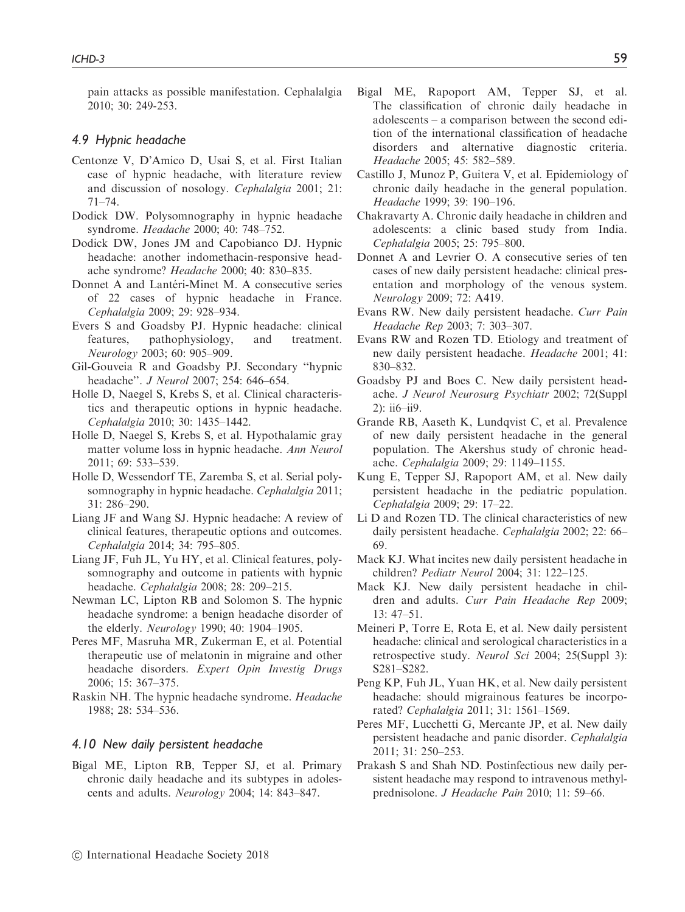pain attacks as possible manifestation. Cephalalgia 2010; 30: 249-253.

## 4.9 Hypnic headache

- Centonze V, D'Amico D, Usai S, et al. First Italian case of hypnic headache, with literature review and discussion of nosology. Cephalalgia 2001; 21: 71–74.
- Dodick DW. Polysomnography in hypnic headache syndrome. Headache 2000; 40: 748–752.
- Dodick DW, Jones JM and Capobianco DJ. Hypnic headache: another indomethacin-responsive headache syndrome? Headache 2000; 40: 830–835.
- Donnet A and Lantéri-Minet M. A consecutive series of 22 cases of hypnic headache in France. Cephalalgia 2009; 29: 928–934.
- Evers S and Goadsby PJ. Hypnic headache: clinical features, pathophysiology, and treatment. Neurology 2003; 60: 905–909.
- Gil-Gouveia R and Goadsby PJ. Secondary ''hypnic headache''. J Neurol 2007; 254: 646–654.
- Holle D, Naegel S, Krebs S, et al. Clinical characteristics and therapeutic options in hypnic headache. Cephalalgia 2010; 30: 1435–1442.
- Holle D, Naegel S, Krebs S, et al. Hypothalamic gray matter volume loss in hypnic headache. Ann Neurol 2011; 69: 533–539.
- Holle D, Wessendorf TE, Zaremba S, et al. Serial polysomnography in hypnic headache. Cephalalgia 2011; 31: 286–290.
- Liang JF and Wang SJ. Hypnic headache: A review of clinical features, therapeutic options and outcomes. Cephalalgia 2014; 34: 795–805.
- Liang JF, Fuh JL, Yu HY, et al. Clinical features, polysomnography and outcome in patients with hypnic headache. Cephalalgia 2008; 28: 209–215.
- Newman LC, Lipton RB and Solomon S. The hypnic headache syndrome: a benign headache disorder of the elderly. Neurology 1990; 40: 1904–1905.
- Peres MF, Masruha MR, Zukerman E, et al. Potential therapeutic use of melatonin in migraine and other headache disorders. Expert Opin Investig Drugs 2006; 15: 367–375.
- Raskin NH. The hypnic headache syndrome. Headache 1988; 28: 534–536.

## 4.10 New daily persistent headache

Bigal ME, Lipton RB, Tepper SJ, et al. Primary chronic daily headache and its subtypes in adolescents and adults. Neurology 2004; 14: 843–847.

- Bigal ME, Rapoport AM, Tepper SJ, et al. The classification of chronic daily headache in adolescents – a comparison between the second edition of the international classification of headache disorders and alternative diagnostic criteria. Headache 2005; 45: 582–589.
- Castillo J, Munoz P, Guitera V, et al. Epidemiology of chronic daily headache in the general population. Headache 1999; 39: 190–196.
- Chakravarty A. Chronic daily headache in children and adolescents: a clinic based study from India. Cephalalgia 2005; 25: 795–800.
- Donnet A and Levrier O. A consecutive series of ten cases of new daily persistent headache: clinical presentation and morphology of the venous system. Neurology 2009; 72: A419.
- Evans RW. New daily persistent headache. Curr Pain Headache Rep 2003; 7: 303–307.
- Evans RW and Rozen TD. Etiology and treatment of new daily persistent headache. Headache 2001; 41: 830–832.
- Goadsby PJ and Boes C. New daily persistent headache. J Neurol Neurosurg Psychiatr 2002; 72(Suppl 2): ii6–ii9.
- Grande RB, Aaseth K, Lundqvist C, et al. Prevalence of new daily persistent headache in the general population. The Akershus study of chronic headache. Cephalalgia 2009; 29: 1149–1155.
- Kung E, Tepper SJ, Rapoport AM, et al. New daily persistent headache in the pediatric population. Cephalalgia 2009; 29: 17–22.
- Li D and Rozen TD. The clinical characteristics of new daily persistent headache. Cephalalgia 2002; 22: 66– 69.
- Mack KJ. What incites new daily persistent headache in children? Pediatr Neurol 2004; 31: 122–125.
- Mack KJ. New daily persistent headache in children and adults. Curr Pain Headache Rep 2009; 13: 47–51.
- Meineri P, Torre E, Rota E, et al. New daily persistent headache: clinical and serological characteristics in a retrospective study. Neurol Sci 2004; 25(Suppl 3): S281–S282.
- Peng KP, Fuh JL, Yuan HK, et al. New daily persistent headache: should migrainous features be incorporated? Cephalalgia 2011; 31: 1561–1569.
- Peres MF, Lucchetti G, Mercante JP, et al. New daily persistent headache and panic disorder. Cephalalgia 2011; 31: 250–253.
- Prakash S and Shah ND. Postinfectious new daily persistent headache may respond to intravenous methylprednisolone. J Headache Pain 2010; 11: 59–66.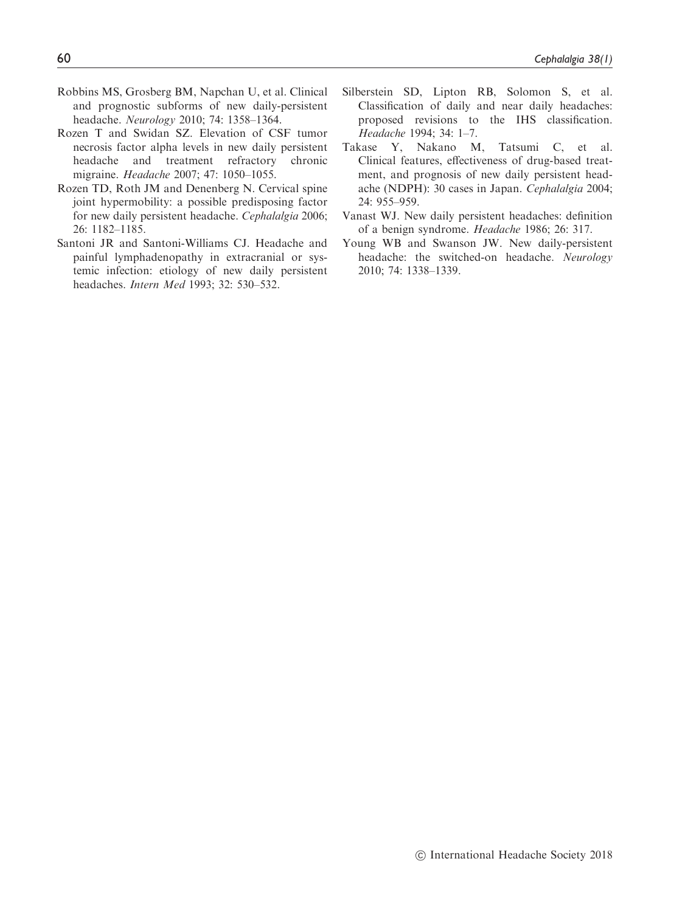- Robbins MS, Grosberg BM, Napchan U, et al. Clinical and prognostic subforms of new daily-persistent headache. Neurology 2010; 74: 1358–1364.
- Rozen T and Swidan SZ. Elevation of CSF tumor necrosis factor alpha levels in new daily persistent headache and treatment refractory chronic migraine. Headache 2007; 47: 1050–1055.
- Rozen TD, Roth JM and Denenberg N. Cervical spine joint hypermobility: a possible predisposing factor for new daily persistent headache. Cephalalgia 2006; 26: 1182–1185.
- Santoni JR and Santoni-Williams CJ. Headache and painful lymphadenopathy in extracranial or systemic infection: etiology of new daily persistent headaches. Intern Med 1993; 32: 530–532.
- Silberstein SD, Lipton RB, Solomon S, et al. Classification of daily and near daily headaches: proposed revisions to the IHS classification. Headache 1994; 34: 1–7.
- Takase Y, Nakano M, Tatsumi C, et al. Clinical features, effectiveness of drug-based treatment, and prognosis of new daily persistent headache (NDPH): 30 cases in Japan. Cephalalgia 2004; 24: 955–959.
- Vanast WJ. New daily persistent headaches: definition of a benign syndrome. Headache 1986; 26: 317.
- Young WB and Swanson JW. New daily-persistent headache: the switched-on headache. Neurology 2010; 74: 1338–1339.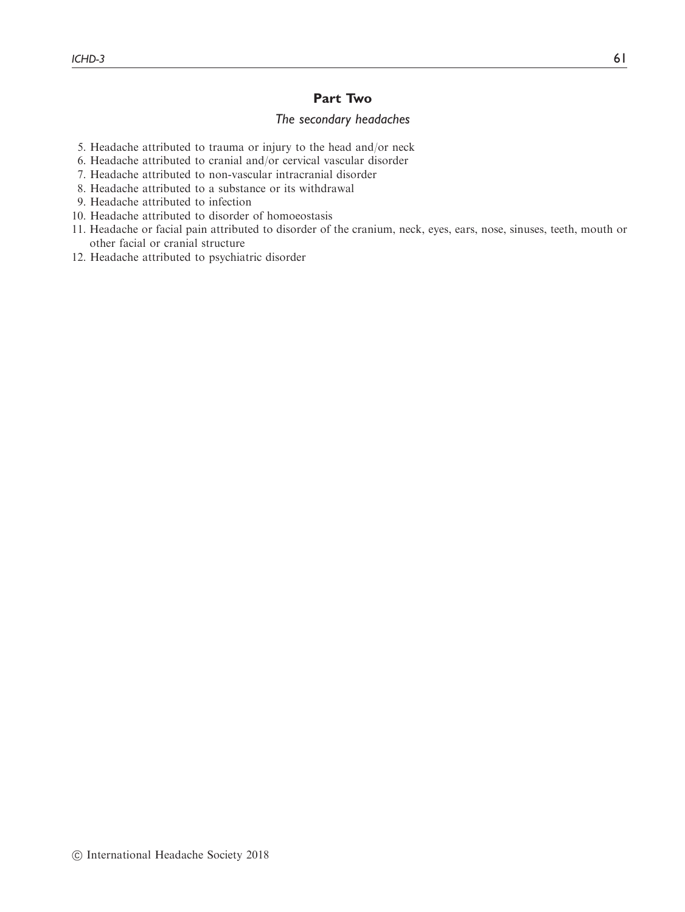# Part Two

# The secondary headaches

- 5. Headache attributed to trauma or injury to the head and/or neck
- 6. Headache attributed to cranial and/or cervical vascular disorder
- 7. Headache attributed to non-vascular intracranial disorder
- 8. Headache attributed to a substance or its withdrawal
- 9. Headache attributed to infection
- 10. Headache attributed to disorder of homoeostasis
- 11. Headache or facial pain attributed to disorder of the cranium, neck, eyes, ears, nose, sinuses, teeth, mouth or other facial or cranial structure
- 12. Headache attributed to psychiatric disorder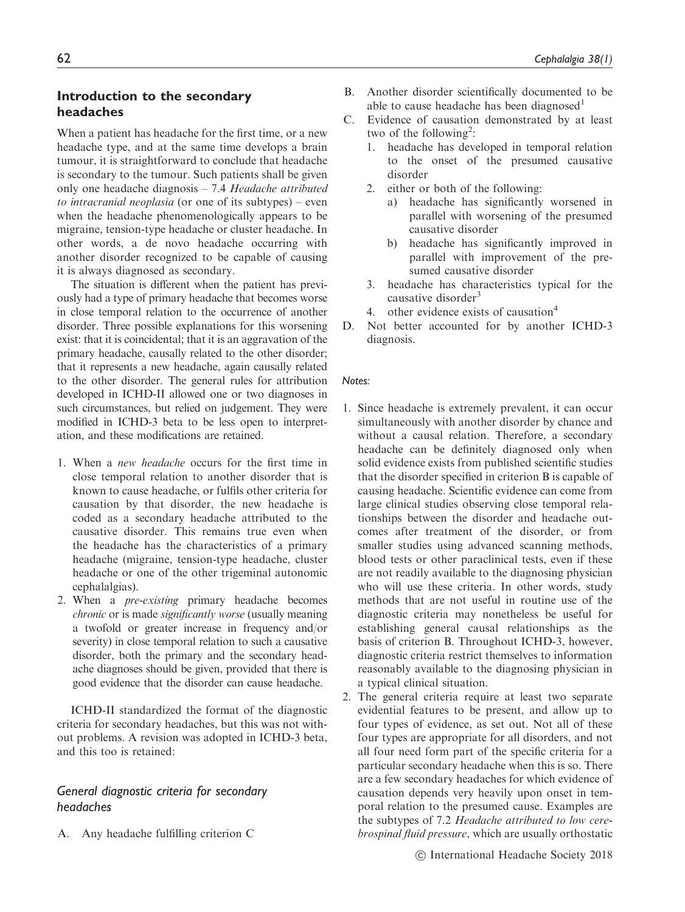# Introduction to the secondary headaches

When a patient has headache for the first time, or a new headache type, and at the same time develops a brain tumour, it is straightforward to conclude that headache is secondary to the tumour. Such patients shall be given only one headache diagnosis – 7.4 Headache attributed to intracranial neoplasia (or one of its subtypes) – even when the headache phenomenologically appears to be migraine, tension-type headache or cluster headache. In other words, a de novo headache occurring with another disorder recognized to be capable of causing it is always diagnosed as secondary.

The situation is different when the patient has previously had a type of primary headache that becomes worse in close temporal relation to the occurrence of another disorder. Three possible explanations for this worsening exist: that it is coincidental; that it is an aggravation of the primary headache, causally related to the other disorder; that it represents a new headache, again causally related to the other disorder. The general rules for attribution developed in ICHD-II allowed one or two diagnoses in such circumstances, but relied on judgement. They were modified in ICHD-3 beta to be less open to interpretation, and these modifications are retained.

- 1. When a new headache occurs for the first time in close temporal relation to another disorder that is known to cause headache, or fulfils other criteria for causation by that disorder, the new headache is coded as a secondary headache attributed to the causative disorder. This remains true even when the headache has the characteristics of a primary headache (migraine, tension-type headache, cluster headache or one of the other trigeminal autonomic cephalalgias).
- 2. When a pre-existing primary headache becomes chronic or is made significantly worse (usually meaning a twofold or greater increase in frequency and/or severity) in close temporal relation to such a causative disorder, both the primary and the secondary headache diagnoses should be given, provided that there is good evidence that the disorder can cause headache.

ICHD-II standardized the format of the diagnostic criteria for secondary headaches, but this was not without problems. A revision was adopted in ICHD-3 beta, and this too is retained:

# General diagnostic criteria for secondary headaches

A. Any headache fulfilling criterion C

- B. Another disorder scientifically documented to be able to cause headache has been diagnosed<sup>1</sup>
- C. Evidence of causation demonstrated by at least two of the following<sup>2</sup>:
	- 1. headache has developed in temporal relation to the onset of the presumed causative disorder
	- 2. either or both of the following:
		- a) headache has significantly worsened in parallel with worsening of the presumed causative disorder
		- b) headache has significantly improved in parallel with improvement of the presumed causative disorder
	- 3. headache has characteristics typical for the causative disorder<sup>3</sup>
	- 4. other evidence exists of causation<sup>4</sup>
- D. Not better accounted for by another ICHD-3 diagnosis.

## Notes:

- 1. Since headache is extremely prevalent, it can occur simultaneously with another disorder by chance and without a causal relation. Therefore, a secondary headache can be definitely diagnosed only when solid evidence exists from published scientific studies that the disorder specified in criterion B is capable of causing headache. Scientific evidence can come from large clinical studies observing close temporal relationships between the disorder and headache outcomes after treatment of the disorder, or from smaller studies using advanced scanning methods, blood tests or other paraclinical tests, even if these are not readily available to the diagnosing physician who will use these criteria. In other words, study methods that are not useful in routine use of the diagnostic criteria may nonetheless be useful for establishing general causal relationships as the basis of criterion B. Throughout ICHD-3, however, diagnostic criteria restrict themselves to information reasonably available to the diagnosing physician in a typical clinical situation.
- 2. The general criteria require at least two separate evidential features to be present, and allow up to four types of evidence, as set out. Not all of these four types are appropriate for all disorders, and not all four need form part of the specific criteria for a particular secondary headache when this is so. There are a few secondary headaches for which evidence of causation depends very heavily upon onset in temporal relation to the presumed cause. Examples are the subtypes of 7.2 Headache attributed to low cerebrospinal fluid pressure, which are usually orthostatic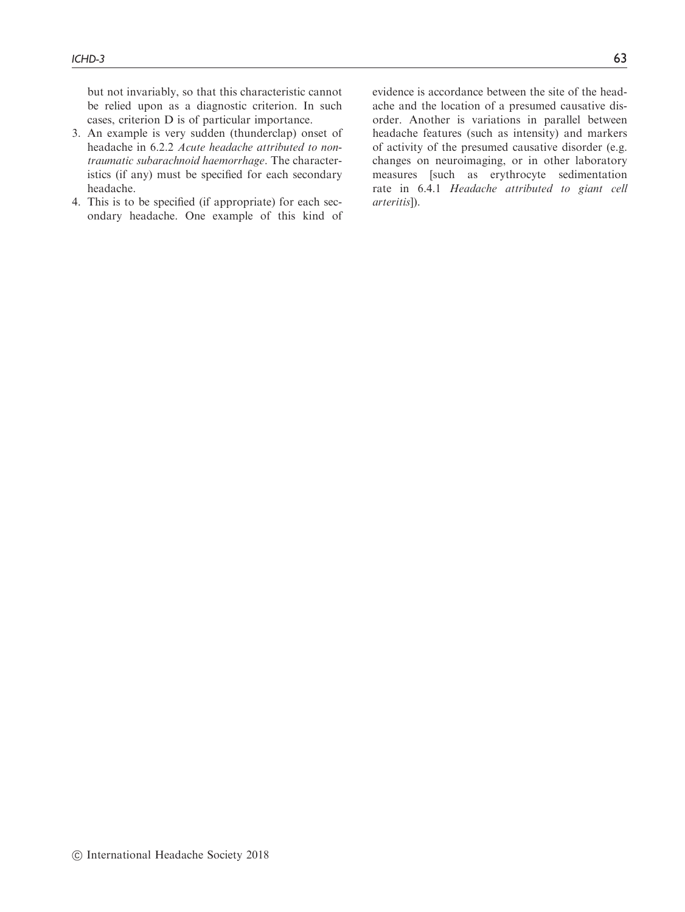but not invariably, so that this characteristic cannot be relied upon as a diagnostic criterion. In such cases, criterion D is of particular importance.

- 3. An example is very sudden (thunderclap) onset of headache in 6.2.2 Acute headache attributed to nontraumatic subarachnoid haemorrhage. The characteristics (if any) must be specified for each secondary headache.
- 4. This is to be specified (if appropriate) for each secondary headache. One example of this kind of

evidence is accordance between the site of the headache and the location of a presumed causative disorder. Another is variations in parallel between headache features (such as intensity) and markers of activity of the presumed causative disorder (e.g. changes on neuroimaging, or in other laboratory measures [such as erythrocyte sedimentation rate in 6.4.1 Headache attributed to giant cell arteritis]).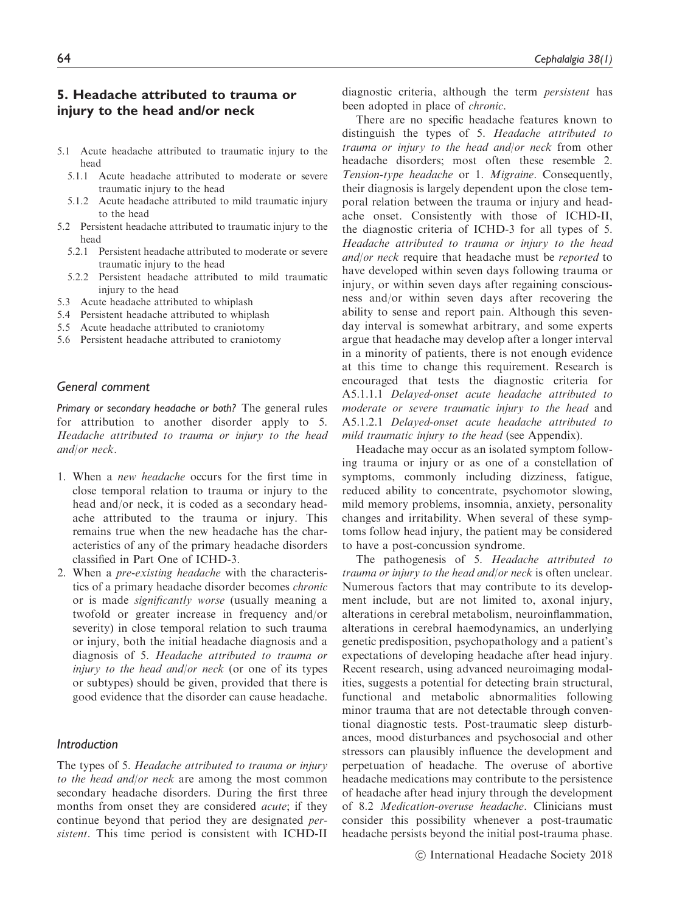# 5. Headache attributed to trauma or injury to the head and/or neck

- 5.1 Acute headache attributed to traumatic injury to the head
	- 5.1.1 Acute headache attributed to moderate or severe traumatic injury to the head
	- 5.1.2 Acute headache attributed to mild traumatic injury to the head
- 5.2 Persistent headache attributed to traumatic injury to the head
	- 5.2.1 Persistent headache attributed to moderate or severe traumatic injury to the head
	- 5.2.2 Persistent headache attributed to mild traumatic injury to the head
- 5.3 Acute headache attributed to whiplash
- 5.4 Persistent headache attributed to whiplash
- 5.5 Acute headache attributed to craniotomy
- 5.6 Persistent headache attributed to craniotomy

## General comment

Primary or secondary headache or both? The general rules for attribution to another disorder apply to 5. Headache attributed to trauma or injury to the head and/or neck.

- 1. When a new headache occurs for the first time in close temporal relation to trauma or injury to the head and/or neck, it is coded as a secondary headache attributed to the trauma or injury. This remains true when the new headache has the characteristics of any of the primary headache disorders classified in Part One of ICHD-3.
- 2. When a pre-existing headache with the characteristics of a primary headache disorder becomes chronic or is made significantly worse (usually meaning a twofold or greater increase in frequency and/or severity) in close temporal relation to such trauma or injury, both the initial headache diagnosis and a diagnosis of 5. Headache attributed to trauma or injury to the head and/or neck (or one of its types or subtypes) should be given, provided that there is good evidence that the disorder can cause headache.

### Introduction

The types of 5. Headache attributed to trauma or injury to the head and/or neck are among the most common secondary headache disorders. During the first three months from onset they are considered *acute*; if they continue beyond that period they are designated persistent. This time period is consistent with ICHD-II diagnostic criteria, although the term persistent has been adopted in place of chronic.

There are no specific headache features known to distinguish the types of 5. Headache attributed to trauma or injury to the head and/or neck from other headache disorders; most often these resemble 2. Tension-type headache or 1. Migraine. Consequently, their diagnosis is largely dependent upon the close temporal relation between the trauma or injury and headache onset. Consistently with those of ICHD-II, the diagnostic criteria of ICHD-3 for all types of 5. Headache attributed to trauma or injury to the head and/or neck require that headache must be reported to have developed within seven days following trauma or injury, or within seven days after regaining consciousness and/or within seven days after recovering the ability to sense and report pain. Although this sevenday interval is somewhat arbitrary, and some experts argue that headache may develop after a longer interval in a minority of patients, there is not enough evidence at this time to change this requirement. Research is encouraged that tests the diagnostic criteria for A5.1.1.1 Delayed-onset acute headache attributed to moderate or severe traumatic injury to the head and A5.1.2.1 Delayed-onset acute headache attributed to mild traumatic injury to the head (see Appendix).

Headache may occur as an isolated symptom following trauma or injury or as one of a constellation of symptoms, commonly including dizziness, fatigue, reduced ability to concentrate, psychomotor slowing, mild memory problems, insomnia, anxiety, personality changes and irritability. When several of these symptoms follow head injury, the patient may be considered to have a post-concussion syndrome.

The pathogenesis of 5. Headache attributed to trauma or injury to the head and/or neck is often unclear. Numerous factors that may contribute to its development include, but are not limited to, axonal injury, alterations in cerebral metabolism, neuroinflammation, alterations in cerebral haemodynamics, an underlying genetic predisposition, psychopathology and a patient's expectations of developing headache after head injury. Recent research, using advanced neuroimaging modalities, suggests a potential for detecting brain structural, functional and metabolic abnormalities following minor trauma that are not detectable through conventional diagnostic tests. Post-traumatic sleep disturbances, mood disturbances and psychosocial and other stressors can plausibly influence the development and perpetuation of headache. The overuse of abortive headache medications may contribute to the persistence of headache after head injury through the development of 8.2 Medication-overuse headache. Clinicians must consider this possibility whenever a post-traumatic headache persists beyond the initial post-trauma phase.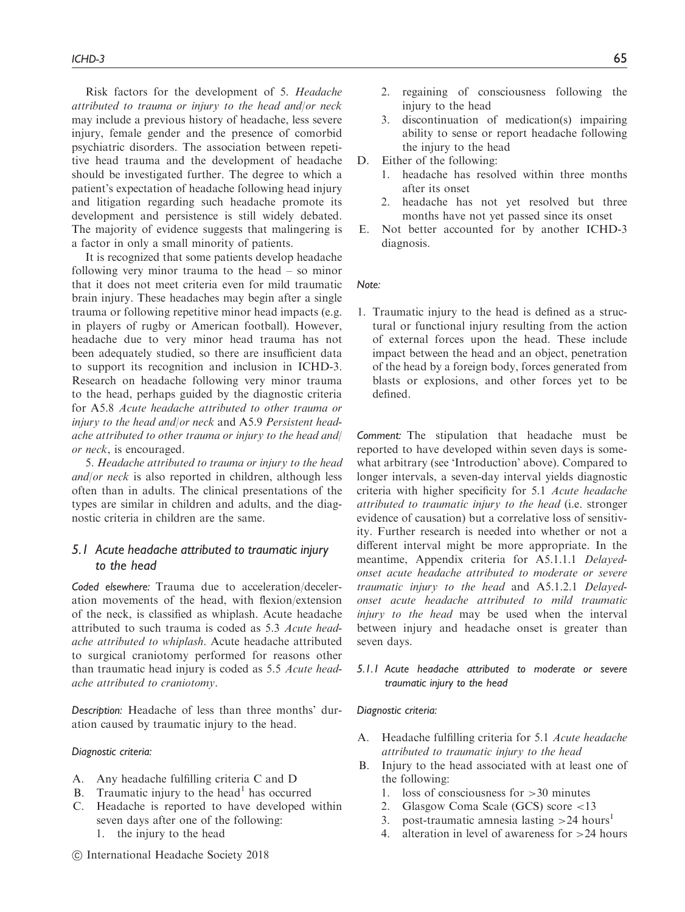Risk factors for the development of 5. Headache attributed to trauma or injury to the head and/or neck may include a previous history of headache, less severe injury, female gender and the presence of comorbid psychiatric disorders. The association between repetitive head trauma and the development of headache should be investigated further. The degree to which a patient's expectation of headache following head injury and litigation regarding such headache promote its development and persistence is still widely debated. The majority of evidence suggests that malingering is a factor in only a small minority of patients.

It is recognized that some patients develop headache following very minor trauma to the head – so minor that it does not meet criteria even for mild traumatic brain injury. These headaches may begin after a single trauma or following repetitive minor head impacts (e.g. in players of rugby or American football). However, headache due to very minor head trauma has not been adequately studied, so there are insufficient data to support its recognition and inclusion in ICHD-3. Research on headache following very minor trauma to the head, perhaps guided by the diagnostic criteria for A5.8 Acute headache attributed to other trauma or injury to the head and/or neck and A5.9 Persistent headache attributed to other trauma or injury to the head and/ or neck, is encouraged.

5. Headache attributed to trauma or injury to the head and/or neck is also reported in children, although less often than in adults. The clinical presentations of the types are similar in children and adults, and the diagnostic criteria in children are the same.

# 5.1 Acute headache attributed to traumatic injury to the head

Coded elsewhere: Trauma due to acceleration/deceleration movements of the head, with flexion/extension of the neck, is classified as whiplash. Acute headache attributed to such trauma is coded as 5.3 Acute headache attributed to whiplash. Acute headache attributed to surgical craniotomy performed for reasons other than traumatic head injury is coded as 5.5 Acute headache attributed to craniotomy.

Description: Headache of less than three months' duration caused by traumatic injury to the head.

## Diagnostic criteria:

- A. Any headache fulfilling criteria C and D
- B. Traumatic injury to the head<sup>1</sup> has occurred
- C. Headache is reported to have developed within seven days after one of the following: 1. the injury to the head
- ! International Headache Society 2018
- 2. regaining of consciousness following the injury to the head
- 3. discontinuation of medication(s) impairing ability to sense or report headache following the injury to the head
- D. Either of the following:
	- 1. headache has resolved within three months after its onset
	- 2. headache has not yet resolved but three months have not yet passed since its onset
- E. Not better accounted for by another ICHD-3 diagnosis.

#### Note:

1. Traumatic injury to the head is defined as a structural or functional injury resulting from the action of external forces upon the head. These include impact between the head and an object, penetration of the head by a foreign body, forces generated from blasts or explosions, and other forces yet to be defined.

Comment: The stipulation that headache must be reported to have developed within seven days is somewhat arbitrary (see 'Introduction' above). Compared to longer intervals, a seven-day interval yields diagnostic criteria with higher specificity for 5.1 Acute headache attributed to traumatic injury to the head (i.e. stronger evidence of causation) but a correlative loss of sensitivity. Further research is needed into whether or not a different interval might be more appropriate. In the meantime, Appendix criteria for A5.1.1.1 Delayedonset acute headache attributed to moderate or severe traumatic injury to the head and A5.1.2.1 Delayedonset acute headache attributed to mild traumatic injury to the head may be used when the interval between injury and headache onset is greater than seven days.

## 5.1.1 Acute headache attributed to moderate or severe traumatic injury to the head

#### Diagnostic criteria:

- A. Headache fulfilling criteria for 5.1 Acute headache attributed to traumatic injury to the head
- B. Injury to the head associated with at least one of the following:
	- 1. loss of consciousness for >30 minutes
	- 2. Glasgow Coma Scale (GCS) score <13
	- 3. post-traumatic amnesia lasting  $>24$  hours<sup>1</sup>
	- 4. alteration in level of awareness for >24 hours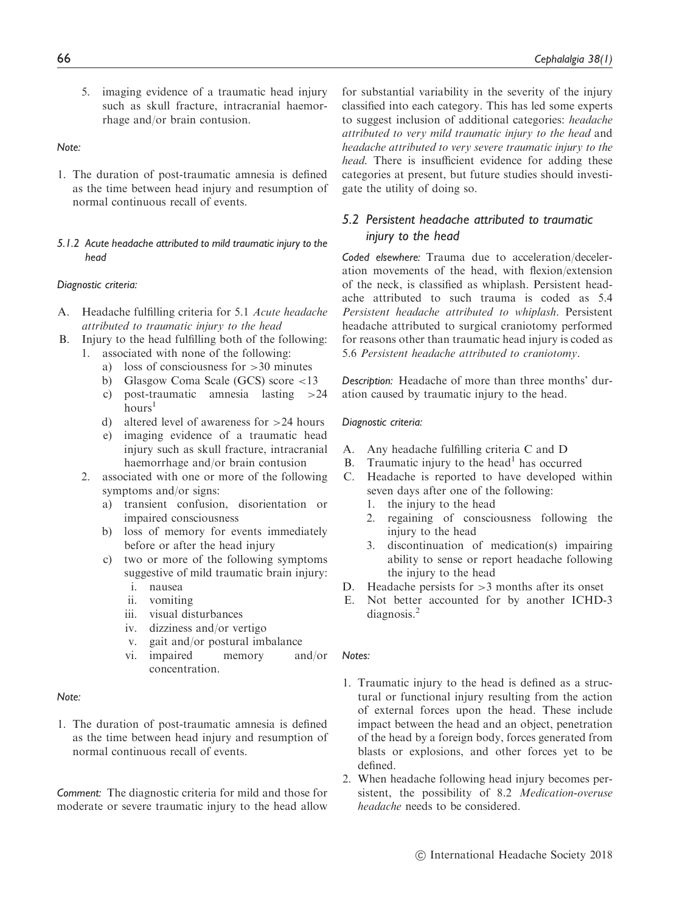- 5. imaging evidence of a traumatic head injury such as skull fracture, intracranial haemorrhage and/or brain contusion.
- Note:
- 1. The duration of post-traumatic amnesia is defined as the time between head injury and resumption of normal continuous recall of events.
- 5.1.2 Acute headache attributed to mild traumatic injury to the head

## Diagnostic criteria:

- A. Headache fulfilling criteria for 5.1 Acute headache attributed to traumatic injury to the head
- B. Injury to the head fulfilling both of the following: 1. associated with none of the following:
	- a) loss of consciousness for  $>30$  minutes
	- b) Glasgow Coma Scale (GCS) score <13
	- c) post-traumatic amnesia lasting >24  $hours<sup>1</sup>$
	- d) altered level of awareness for >24 hours
	- e) imaging evidence of a traumatic head injury such as skull fracture, intracranial haemorrhage and/or brain contusion
	- 2. associated with one or more of the following symptoms and/or signs:
		- a) transient confusion, disorientation or impaired consciousness
		- b) loss of memory for events immediately before or after the head injury
		- c) two or more of the following symptoms suggestive of mild traumatic brain injury:
			- i. nausea
			- ii. vomiting
			- iii. visual disturbances
			- iv. dizziness and/or vertigo
			- v. gait and/or postural imbalance
			- vi. impaired memory and/or concentration.

#### Note:

1. The duration of post-traumatic amnesia is defined as the time between head injury and resumption of normal continuous recall of events.

Comment: The diagnostic criteria for mild and those for moderate or severe traumatic injury to the head allow

for substantial variability in the severity of the injury classified into each category. This has led some experts to suggest inclusion of additional categories: headache attributed to very mild traumatic injury to the head and headache attributed to very severe traumatic injury to the head. There is insufficient evidence for adding these categories at present, but future studies should investigate the utility of doing so.

# 5.2 Persistent headache attributed to traumatic injury to the head

Coded elsewhere: Trauma due to acceleration/deceleration movements of the head, with flexion/extension of the neck, is classified as whiplash. Persistent headache attributed to such trauma is coded as 5.4 Persistent headache attributed to whiplash. Persistent headache attributed to surgical craniotomy performed for reasons other than traumatic head injury is coded as 5.6 Persistent headache attributed to craniotomy.

Description: Headache of more than three months' duration caused by traumatic injury to the head.

## Diagnostic criteria:

- A. Any headache fulfilling criteria C and D
- B. Traumatic injury to the head<sup>1</sup> has occurred
- C. Headache is reported to have developed within seven days after one of the following:
	- 1. the injury to the head
	- 2. regaining of consciousness following the injury to the head
	- 3. discontinuation of medication(s) impairing ability to sense or report headache following the injury to the head
- D. Headache persists for  $>3$  months after its onset
- E. Not better accounted for by another ICHD-3 diagnosis.<sup>2</sup>

#### Notes:

- 1. Traumatic injury to the head is defined as a structural or functional injury resulting from the action of external forces upon the head. These include impact between the head and an object, penetration of the head by a foreign body, forces generated from blasts or explosions, and other forces yet to be defined.
- 2. When headache following head injury becomes persistent, the possibility of 8.2 Medication-overuse headache needs to be considered.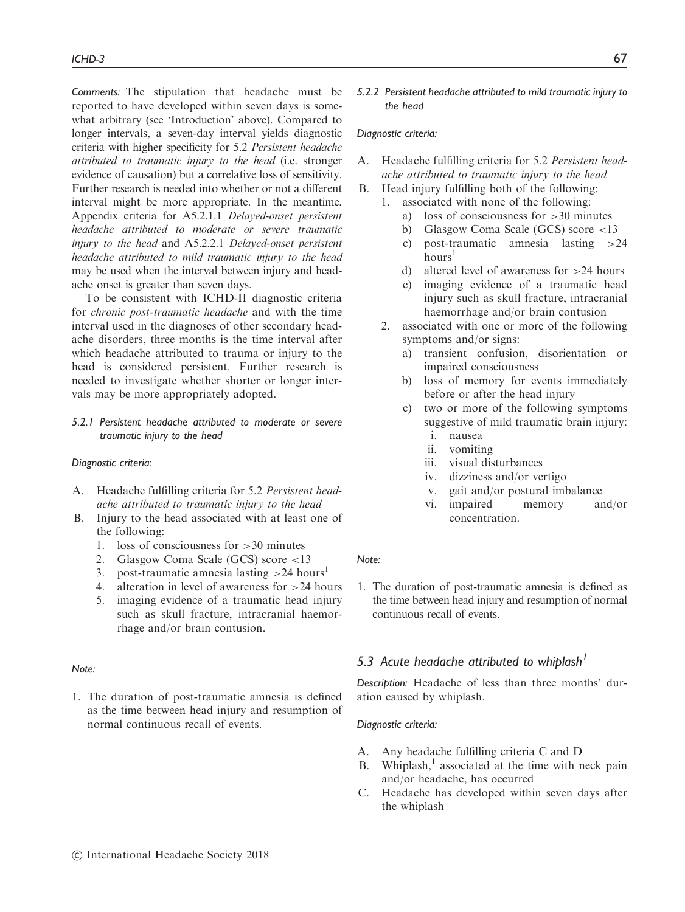Comments: The stipulation that headache must be reported to have developed within seven days is somewhat arbitrary (see 'Introduction' above). Compared to longer intervals, a seven-day interval yields diagnostic criteria with higher specificity for 5.2 Persistent headache attributed to traumatic injury to the head (i.e. stronger evidence of causation) but a correlative loss of sensitivity. Further research is needed into whether or not a different interval might be more appropriate. In the meantime, Appendix criteria for A5.2.1.1 Delayed-onset persistent headache attributed to moderate or severe traumatic injury to the head and A5.2.2.1 Delayed-onset persistent headache attributed to mild traumatic injury to the head may be used when the interval between injury and headache onset is greater than seven days.

To be consistent with ICHD-II diagnostic criteria for chronic post-traumatic headache and with the time interval used in the diagnoses of other secondary headache disorders, three months is the time interval after which headache attributed to trauma or injury to the head is considered persistent. Further research is needed to investigate whether shorter or longer intervals may be more appropriately adopted.

## 5.2.1 Persistent headache attributed to moderate or severe traumatic injury to the head

#### Diagnostic criteria:

- A. Headache fulfilling criteria for 5.2 Persistent headache attributed to traumatic injury to the head
- B. Injury to the head associated with at least one of the following:
	- 1. loss of consciousness for >30 minutes
	- 2. Glasgow Coma Scale (GCS) score <13
	- 3. post-traumatic amnesia lasting  $>24$  hours<sup>1</sup>
	- 4. alteration in level of awareness for >24 hours
	- 5. imaging evidence of a traumatic head injury such as skull fracture, intracranial haemorrhage and/or brain contusion.

#### Note:

1. The duration of post-traumatic amnesia is defined as the time between head injury and resumption of normal continuous recall of events.

## 5.2.2 Persistent headache attributed to mild traumatic injury to the head

#### Diagnostic criteria:

- A. Headache fulfilling criteria for 5.2 Persistent headache attributed to traumatic injury to the head
- B. Head injury fulfilling both of the following:
	- 1. associated with none of the following:
		- a) loss of consciousness for  $>30$  minutes
		- b) Glasgow Coma Scale (GCS) score <13
		- c) post-traumatic amnesia lasting >24  $h$ ours<sup>1</sup>
		- d) altered level of awareness for >24 hours
		- e) imaging evidence of a traumatic head injury such as skull fracture, intracranial haemorrhage and/or brain contusion
	- 2. associated with one or more of the following symptoms and/or signs:
		- a) transient confusion, disorientation or impaired consciousness
		- b) loss of memory for events immediately before or after the head injury
		- c) two or more of the following symptoms suggestive of mild traumatic brain injury: i. nausea
			-
			- ii. vomiting
			- iii. visual disturbances iv. dizziness and/or vertigo
			- v. gait and/or postural imbalance
			- vi. impaired memory and/or concentration.

#### Note:

1. The duration of post-traumatic amnesia is defined as the time between head injury and resumption of normal continuous recall of events.

# 5.3 Acute headache attributed to whiplash<sup>1</sup>

Description: Headache of less than three months' duration caused by whiplash.

## Diagnostic criteria:

- A. Any headache fulfilling criteria C and D
- B. Whiplash, $\frac{1}{2}$  associated at the time with neck pain and/or headache, has occurred
- C. Headache has developed within seven days after the whiplash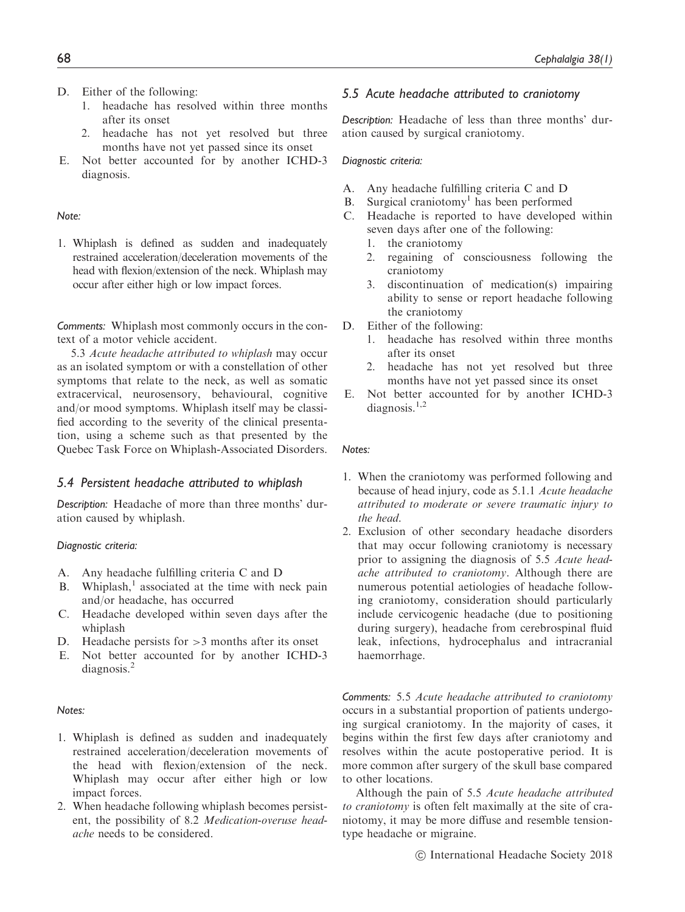- D. Either of the following:
	- 1. headache has resolved within three months after its onset
	- 2. headache has not yet resolved but three months have not yet passed since its onset
- E. Not better accounted for by another ICHD-3 diagnosis.

## Note:

1. Whiplash is defined as sudden and inadequately restrained acceleration/deceleration movements of the head with flexion/extension of the neck. Whiplash may occur after either high or low impact forces.

Comments: Whiplash most commonly occurs in the context of a motor vehicle accident.

5.3 Acute headache attributed to whiplash may occur as an isolated symptom or with a constellation of other symptoms that relate to the neck, as well as somatic extracervical, neurosensory, behavioural, cognitive and/or mood symptoms. Whiplash itself may be classified according to the severity of the clinical presentation, using a scheme such as that presented by the Quebec Task Force on Whiplash-Associated Disorders.

# 5.4 Persistent headache attributed to whiplash

Description: Headache of more than three months' duration caused by whiplash.

## Diagnostic criteria:

- A. Any headache fulfilling criteria C and D
- B. Whiplash, $<sup>1</sup>$  associated at the time with neck pain</sup> and/or headache, has occurred
- C. Headache developed within seven days after the whiplash
- D. Headache persists for  $>3$  months after its onset
- E. Not better accounted for by another ICHD-3 diagnosis.<sup>2</sup>

#### Notes:

- 1. Whiplash is defined as sudden and inadequately restrained acceleration/deceleration movements of the head with flexion/extension of the neck. Whiplash may occur after either high or low impact forces.
- 2. When headache following whiplash becomes persistent, the possibility of 8.2 Medication-overuse headache needs to be considered.

## 5.5 Acute headache attributed to craniotomy

Description: Headache of less than three months' duration caused by surgical craniotomy.

## Diagnostic criteria:

- A. Any headache fulfilling criteria C and D
- B. Surgical craniotomy<sup>1</sup> has been performed
- C. Headache is reported to have developed within seven days after one of the following:
	- 1. the craniotomy
	- 2. regaining of consciousness following the craniotomy
	- 3. discontinuation of medication(s) impairing ability to sense or report headache following the craniotomy
- D. Either of the following:
	- 1. headache has resolved within three months after its onset
	- 2. headache has not yet resolved but three months have not yet passed since its onset
- E. Not better accounted for by another ICHD-3 diagnosis.<sup>1,2</sup>

#### Notes:

- 1. When the craniotomy was performed following and because of head injury, code as 5.1.1 Acute headache attributed to moderate or severe traumatic injury to the head.
- 2. Exclusion of other secondary headache disorders that may occur following craniotomy is necessary prior to assigning the diagnosis of 5.5 Acute headache attributed to craniotomy. Although there are numerous potential aetiologies of headache following craniotomy, consideration should particularly include cervicogenic headache (due to positioning during surgery), headache from cerebrospinal fluid leak, infections, hydrocephalus and intracranial haemorrhage.

Comments: 5.5 Acute headache attributed to craniotomy occurs in a substantial proportion of patients undergoing surgical craniotomy. In the majority of cases, it begins within the first few days after craniotomy and resolves within the acute postoperative period. It is more common after surgery of the skull base compared to other locations.

Although the pain of 5.5 Acute headache attributed to craniotomy is often felt maximally at the site of craniotomy, it may be more diffuse and resemble tensiontype headache or migraine.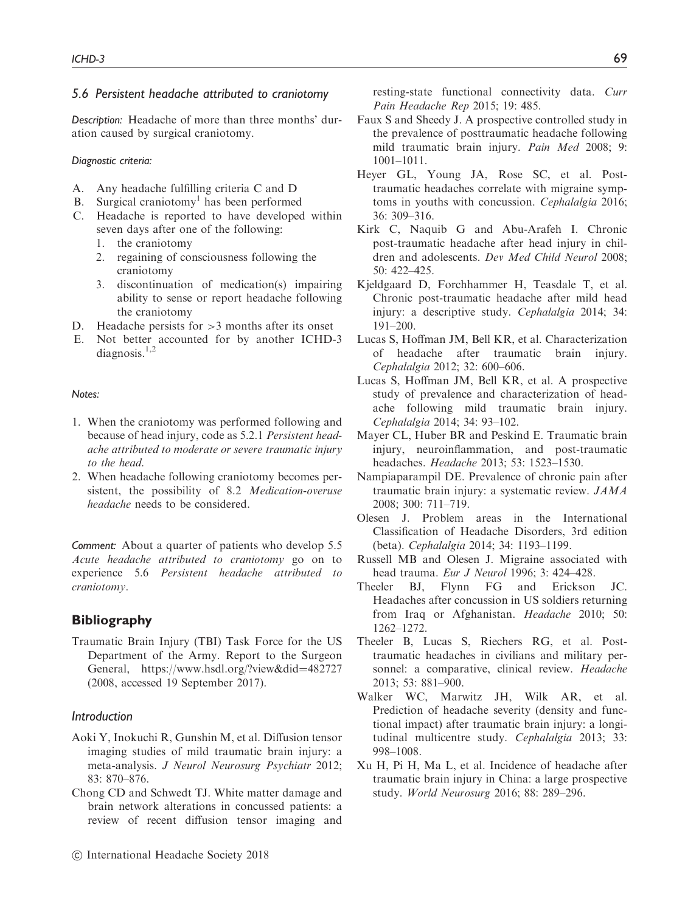# 5.6 Persistent headache attributed to craniotomy

Description: Headache of more than three months' duration caused by surgical craniotomy.

Diagnostic criteria:

- A. Any headache fulfilling criteria C and D
- B. Surgical craniotomy<sup>1</sup> has been performed
- C. Headache is reported to have developed within seven days after one of the following:
	- 1. the craniotomy
	- 2. regaining of consciousness following the craniotomy
	- 3. discontinuation of medication(s) impairing ability to sense or report headache following the craniotomy
- D. Headache persists for  $>3$  months after its onset
- E. Not better accounted for by another ICHD-3 diagnosis. $1,2$

#### Notes:

- 1. When the craniotomy was performed following and because of head injury, code as 5.2.1 Persistent headache attributed to moderate or severe traumatic injury to the head.
- 2. When headache following craniotomy becomes persistent, the possibility of 8.2 Medication-overuse headache needs to be considered.

Comment: About a quarter of patients who develop 5.5 Acute headache attributed to craniotomy go on to experience 5.6 Persistent headache attributed to craniotomy.

# **Bibliography**

Traumatic Brain Injury (TBI) Task Force for the US Department of the Army. Report to the Surgeon General, https://www.hsdl.org/?view&did=482727 (2008, accessed 19 September 2017).

## Introduction

- Aoki Y, Inokuchi R, Gunshin M, et al. Diffusion tensor imaging studies of mild traumatic brain injury: a meta-analysis. J Neurol Neurosurg Psychiatr 2012; 83: 870–876.
- Chong CD and Schwedt TJ. White matter damage and brain network alterations in concussed patients: a review of recent diffusion tensor imaging and
- the prevalence of posttraumatic headache following mild traumatic brain injury. Pain Med 2008; 9: 1001–1011.
- Heyer GL, Young JA, Rose SC, et al. Posttraumatic headaches correlate with migraine symptoms in youths with concussion. Cephalalgia 2016; 36: 309–316.
- Kirk C, Naquib G and Abu-Arafeh I. Chronic post-traumatic headache after head injury in children and adolescents. Dev Med Child Neurol 2008; 50: 422–425.
- Kjeldgaard D, Forchhammer H, Teasdale T, et al. Chronic post-traumatic headache after mild head injury: a descriptive study. Cephalalgia 2014; 34: 191–200.
- Lucas S, Hoffman JM, Bell KR, et al. Characterization of headache after traumatic brain injury. Cephalalgia 2012; 32: 600–606.
- Lucas S, Hoffman JM, Bell KR, et al. A prospective study of prevalence and characterization of headache following mild traumatic brain injury. Cephalalgia 2014; 34: 93–102.
- Mayer CL, Huber BR and Peskind E. Traumatic brain injury, neuroinflammation, and post-traumatic headaches. Headache 2013; 53: 1523–1530.
- Nampiaparampil DE. Prevalence of chronic pain after traumatic brain injury: a systematic review. JAMA 2008; 300: 711–719.
- Olesen J. Problem areas in the International Classification of Headache Disorders, 3rd edition (beta). Cephalalgia 2014; 34: 1193–1199.
- Russell MB and Olesen J. Migraine associated with head trauma. Eur J Neurol 1996; 3: 424–428.
- Theeler BJ, Flynn FG and Erickson JC. Headaches after concussion in US soldiers returning from Iraq or Afghanistan. Headache 2010; 50: 1262–1272.
- Theeler B, Lucas S, Riechers RG, et al. Posttraumatic headaches in civilians and military personnel: a comparative, clinical review. Headache 2013; 53: 881–900.
- Walker WC, Marwitz JH, Wilk AR, et al. Prediction of headache severity (density and functional impact) after traumatic brain injury: a longitudinal multicentre study. Cephalalgia 2013; 33: 998–1008.
- Xu H, Pi H, Ma L, et al. Incidence of headache after traumatic brain injury in China: a large prospective study. World Neurosurg 2016; 88: 289–296.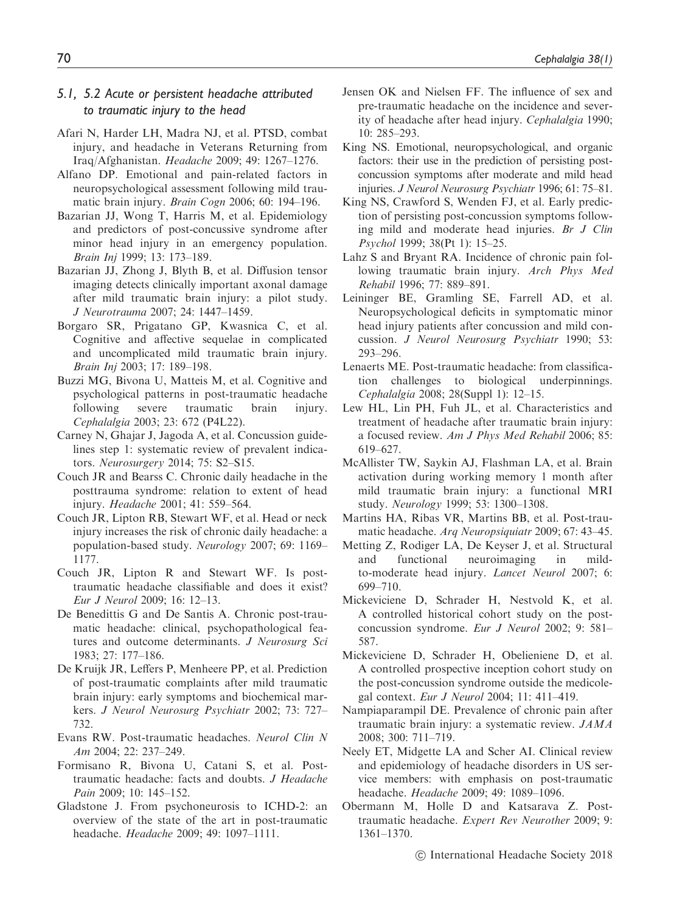# 5.1, 5.2 Acute or persistent headache attributed to traumatic injury to the head

- Afari N, Harder LH, Madra NJ, et al. PTSD, combat injury, and headache in Veterans Returning from Iraq/Afghanistan. Headache 2009; 49: 1267–1276.
- Alfano DP. Emotional and pain-related factors in neuropsychological assessment following mild traumatic brain injury. Brain Cogn 2006; 60: 194–196.
- Bazarian JJ, Wong T, Harris M, et al. Epidemiology and predictors of post-concussive syndrome after minor head injury in an emergency population. Brain Inj 1999; 13: 173–189.
- Bazarian JJ, Zhong J, Blyth B, et al. Diffusion tensor imaging detects clinically important axonal damage after mild traumatic brain injury: a pilot study. J Neurotrauma 2007; 24: 1447–1459.
- Borgaro SR, Prigatano GP, Kwasnica C, et al. Cognitive and affective sequelae in complicated and uncomplicated mild traumatic brain injury. Brain Inj 2003; 17: 189–198.
- Buzzi MG, Bivona U, Matteis M, et al. Cognitive and psychological patterns in post-traumatic headache following severe traumatic brain injury. Cephalalgia 2003; 23: 672 (P4L22).
- Carney N, Ghajar J, Jagoda A, et al. Concussion guidelines step 1: systematic review of prevalent indicators. Neurosurgery 2014; 75: S2–S15.
- Couch JR and Bearss C. Chronic daily headache in the posttrauma syndrome: relation to extent of head injury. Headache 2001; 41: 559–564.
- Couch JR, Lipton RB, Stewart WF, et al. Head or neck injury increases the risk of chronic daily headache: a population-based study. Neurology 2007; 69: 1169– 1177.
- Couch JR, Lipton R and Stewart WF. Is posttraumatic headache classifiable and does it exist? Eur J Neurol 2009; 16: 12–13.
- De Benedittis G and De Santis A. Chronic post-traumatic headache: clinical, psychopathological features and outcome determinants. J Neurosurg Sci 1983; 27: 177–186.
- De Kruijk JR, Leffers P, Menheere PP, et al. Prediction of post-traumatic complaints after mild traumatic brain injury: early symptoms and biochemical markers. J Neurol Neurosurg Psychiatr 2002; 73: 727– 732.
- Evans RW. Post-traumatic headaches. Neurol Clin N Am 2004; 22: 237–249.
- Formisano R, Bivona U, Catani S, et al. Posttraumatic headache: facts and doubts. J Headache Pain 2009; 10: 145-152.
- Gladstone J. From psychoneurosis to ICHD-2: an overview of the state of the art in post-traumatic headache. Headache 2009; 49: 1097–1111.
- Jensen OK and Nielsen FF. The influence of sex and pre-traumatic headache on the incidence and severity of headache after head injury. Cephalalgia 1990; 10: 285–293.
- King NS. Emotional, neuropsychological, and organic factors: their use in the prediction of persisting postconcussion symptoms after moderate and mild head injuries. J Neurol Neurosurg Psychiatr 1996; 61: 75–81.
- King NS, Crawford S, Wenden FJ, et al. Early prediction of persisting post-concussion symptoms following mild and moderate head injuries. Br J Clin Psychol 1999; 38(Pt 1): 15–25.
- Lahz S and Bryant RA. Incidence of chronic pain following traumatic brain injury. Arch Phys Med Rehabil 1996; 77: 889–891.
- Leininger BE, Gramling SE, Farrell AD, et al. Neuropsychological deficits in symptomatic minor head injury patients after concussion and mild concussion. J Neurol Neurosurg Psychiatr 1990; 53: 293–296.
- Lenaerts ME. Post-traumatic headache: from classification challenges to biological underpinnings. Cephalalgia 2008; 28(Suppl 1): 12–15.
- Lew HL, Lin PH, Fuh JL, et al. Characteristics and treatment of headache after traumatic brain injury: a focused review. Am J Phys Med Rehabil 2006; 85: 619–627.
- McAllister TW, Saykin AJ, Flashman LA, et al. Brain activation during working memory 1 month after mild traumatic brain injury: a functional MRI study. Neurology 1999; 53: 1300–1308.
- Martins HA, Ribas VR, Martins BB, et al. Post-traumatic headache. Arq Neuropsiquiatr 2009; 67: 43–45.
- Metting Z, Rodiger LA, De Keyser J, et al. Structural and functional neuroimaging in mildto-moderate head injury. Lancet Neurol 2007; 6: 699–710.
- Mickeviciene D, Schrader H, Nestvold K, et al. A controlled historical cohort study on the postconcussion syndrome. Eur J Neurol 2002; 9: 581– 587.
- Mickeviciene D, Schrader H, Obelieniene D, et al. A controlled prospective inception cohort study on the post-concussion syndrome outside the medicolegal context. Eur J Neurol 2004; 11: 411–419.
- Nampiaparampil DE. Prevalence of chronic pain after traumatic brain injury: a systematic review. JAMA 2008; 300: 711–719.
- Neely ET, Midgette LA and Scher AI. Clinical review and epidemiology of headache disorders in US service members: with emphasis on post-traumatic headache. Headache 2009; 49: 1089–1096.
- Obermann M, Holle D and Katsarava Z. Posttraumatic headache. Expert Rev Neurother 2009; 9: 1361–1370.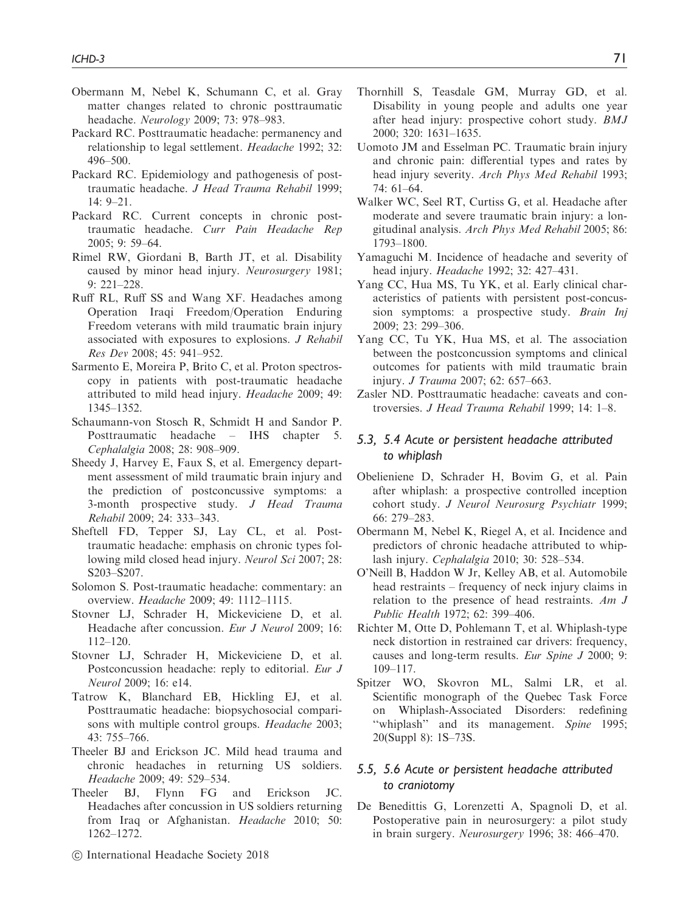- Obermann M, Nebel K, Schumann C, et al. Gray matter changes related to chronic posttraumatic headache. Neurology 2009; 73: 978–983.
- Packard RC. Posttraumatic headache: permanency and relationship to legal settlement. Headache 1992; 32: 496–500.
- Packard RC. Epidemiology and pathogenesis of posttraumatic headache. J Head Trauma Rehabil 1999; 14: 9–21.
- Packard RC. Current concepts in chronic posttraumatic headache. Curr Pain Headache Rep 2005; 9: 59–64.
- Rimel RW, Giordani B, Barth JT, et al. Disability caused by minor head injury. Neurosurgery 1981; 9: 221–228.
- Ruff RL, Ruff SS and Wang XF. Headaches among Operation Iraqi Freedom/Operation Enduring Freedom veterans with mild traumatic brain injury associated with exposures to explosions. J Rehabil Res Dev 2008; 45: 941–952.
- Sarmento E, Moreira P, Brito C, et al. Proton spectroscopy in patients with post-traumatic headache attributed to mild head injury. Headache 2009; 49: 1345–1352.
- Schaumann-von Stosch R, Schmidt H and Sandor P. Posttraumatic headache – IHS chapter 5. Cephalalgia 2008; 28: 908–909.
- Sheedy J, Harvey E, Faux S, et al. Emergency department assessment of mild traumatic brain injury and the prediction of postconcussive symptoms: a 3-month prospective study. J Head Trauma Rehabil 2009; 24: 333–343.
- Sheftell FD, Tepper SJ, Lay CL, et al. Posttraumatic headache: emphasis on chronic types following mild closed head injury. Neurol Sci 2007; 28: S203–S207.
- Solomon S. Post-traumatic headache: commentary: an overview. Headache 2009; 49: 1112–1115.
- Stovner LJ, Schrader H, Mickeviciene D, et al. Headache after concussion. Eur J Neurol 2009; 16: 112–120.
- Stovner LJ, Schrader H, Mickeviciene D, et al. Postconcussion headache: reply to editorial. Eur J Neurol 2009; 16: e14.
- Tatrow K, Blanchard EB, Hickling EJ, et al. Posttraumatic headache: biopsychosocial comparisons with multiple control groups. Headache 2003; 43: 755–766.
- Theeler BJ and Erickson JC. Mild head trauma and chronic headaches in returning US soldiers. Headache 2009; 49: 529–534.
- Theeler BJ, Flynn FG and Erickson JC. Headaches after concussion in US soldiers returning from Iraq or Afghanistan. Headache 2010; 50: 1262–1272.
- ! International Headache Society 2018
- Thornhill S, Teasdale GM, Murray GD, et al. Disability in young people and adults one year after head injury: prospective cohort study. BMJ 2000; 320: 1631–1635.
- Uomoto JM and Esselman PC. Traumatic brain injury and chronic pain: differential types and rates by head injury severity. Arch Phys Med Rehabil 1993; 74: 61–64.
- Walker WC, Seel RT, Curtiss G, et al. Headache after moderate and severe traumatic brain injury: a longitudinal analysis. Arch Phys Med Rehabil 2005; 86: 1793–1800.
- Yamaguchi M. Incidence of headache and severity of head injury. Headache 1992; 32: 427–431.
- Yang CC, Hua MS, Tu YK, et al. Early clinical characteristics of patients with persistent post-concussion symptoms: a prospective study. Brain Inj 2009; 23: 299–306.
- Yang CC, Tu YK, Hua MS, et al. The association between the postconcussion symptoms and clinical outcomes for patients with mild traumatic brain injury. J Trauma 2007; 62: 657–663.
- Zasler ND. Posttraumatic headache: caveats and controversies. J Head Trauma Rehabil 1999; 14: 1–8.

# 5.3, 5.4 Acute or persistent headache attributed to whiplash

- Obelieniene D, Schrader H, Bovim G, et al. Pain after whiplash: a prospective controlled inception cohort study. J Neurol Neurosurg Psychiatr 1999; 66: 279–283.
- Obermann M, Nebel K, Riegel A, et al. Incidence and predictors of chronic headache attributed to whiplash injury. Cephalalgia 2010; 30: 528–534.
- O'Neill B, Haddon W Jr, Kelley AB, et al. Automobile head restraints – frequency of neck injury claims in relation to the presence of head restraints. Am J Public Health 1972; 62: 399–406.
- Richter M, Otte D, Pohlemann T, et al. Whiplash-type neck distortion in restrained car drivers: frequency, causes and long-term results. Eur Spine J 2000; 9: 109–117.
- Spitzer WO, Skovron ML, Salmi LR, et al. Scientific monograph of the Quebec Task Force on Whiplash-Associated Disorders: redefining "whiplash" and its management. Spine 1995; 20(Suppl 8): 1S–73S.

# 5.5, 5.6 Acute or persistent headache attributed to craniotomy

De Benedittis G, Lorenzetti A, Spagnoli D, et al. Postoperative pain in neurosurgery: a pilot study in brain surgery. Neurosurgery 1996; 38: 466–470.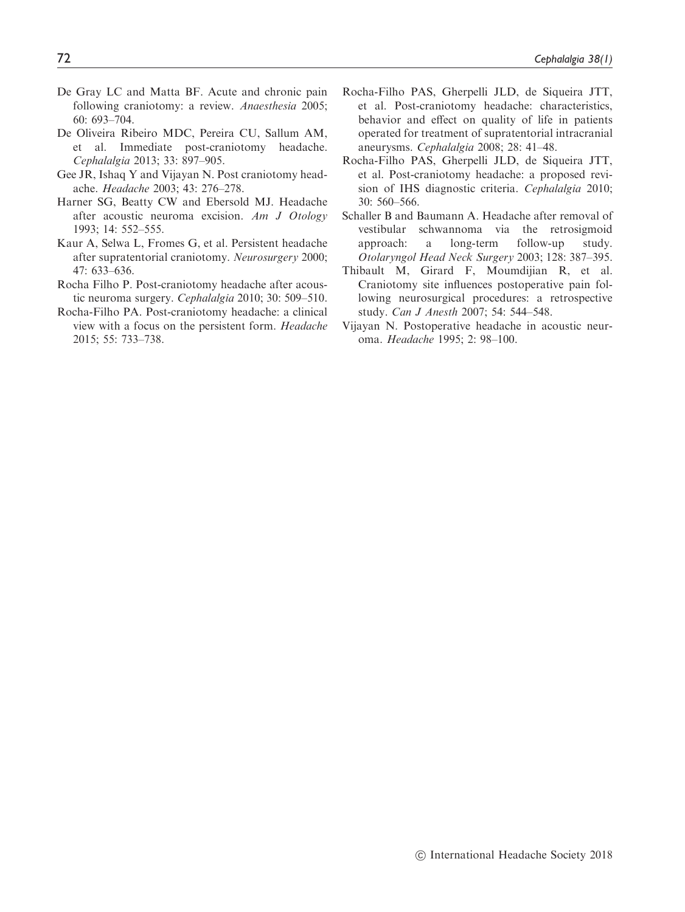- De Gray LC and Matta BF. Acute and chronic pain following craniotomy: a review. Anaesthesia 2005;  $60.693 - 704$
- De Oliveira Ribeiro MDC, Pereira CU, Sallum AM, et al. Immediate post-craniotomy headache. Cephalalgia 2013; 33: 897–905.
- Gee JR, Ishaq Y and Vijayan N. Post craniotomy headache. Headache 2003; 43: 276–278.
- Harner SG, Beatty CW and Ebersold MJ. Headache after acoustic neuroma excision. Am J Otology 1993; 14: 552–555.
- Kaur A, Selwa L, Fromes G, et al. Persistent headache after supratentorial craniotomy. Neurosurgery 2000; 47: 633–636.
- Rocha Filho P. Post-craniotomy headache after acoustic neuroma surgery. Cephalalgia 2010; 30: 509–510.
- Rocha-Filho PA. Post-craniotomy headache: a clinical view with a focus on the persistent form. Headache 2015; 55: 733–738.
- Rocha-Filho PAS, Gherpelli JLD, de Siqueira JTT, et al. Post-craniotomy headache: characteristics, behavior and effect on quality of life in patients operated for treatment of supratentorial intracranial aneurysms. Cephalalgia 2008; 28: 41–48.
- Rocha-Filho PAS, Gherpelli JLD, de Siqueira JTT, et al. Post-craniotomy headache: a proposed revision of IHS diagnostic criteria. Cephalalgia 2010; 30: 560–566.
- Schaller B and Baumann A. Headache after removal of vestibular schwannoma via the retrosigmoid approach: a long-term follow-up study. Otolaryngol Head Neck Surgery 2003; 128: 387–395.
- Thibault M, Girard F, Moumdijian R, et al. Craniotomy site influences postoperative pain following neurosurgical procedures: a retrospective study. Can J Anesth 2007; 54: 544–548.
- Vijayan N. Postoperative headache in acoustic neuroma. Headache 1995; 2: 98–100.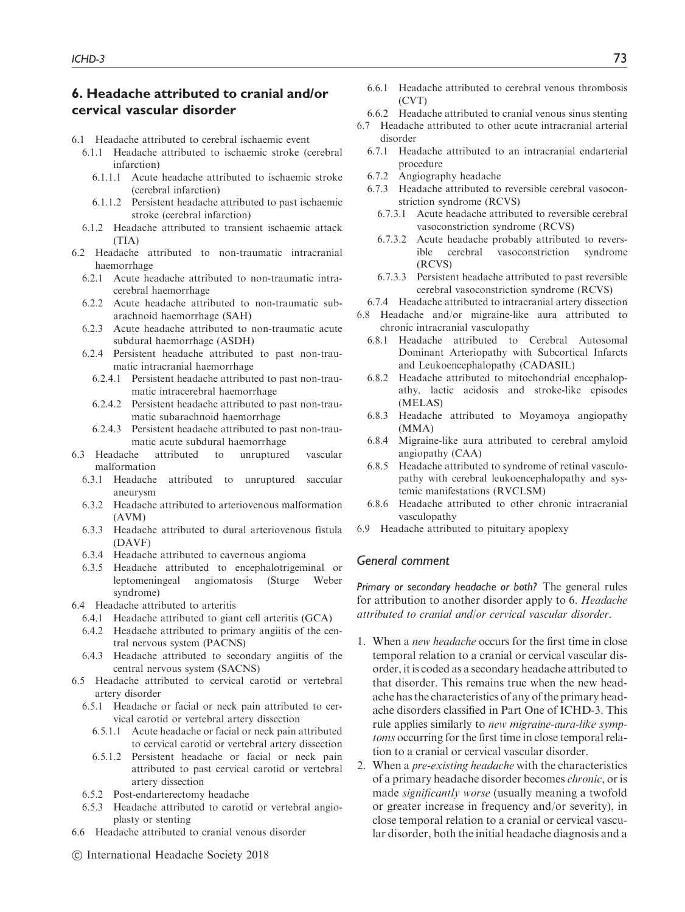# 6. Headache attributed to cranial and/or cervical vascular disorder

- 6.1 Headache attributed to cerebral ischaemic event
	- 6.1.1 Headache attributed to ischaemic stroke (cerebral infarction)
		- 6.1.1.1 Acute headache attributed to ischaemic stroke (cerebral infarction)
		- 6.1.1.2 Persistent headache attributed to past ischaemic stroke (cerebral infarction)
	- 6.1.2 Headache attributed to transient ischaemic attack  $(TIA)$
- 6.2 Headache attributed to non-traumatic intracranial haemorrhage
	- 6.2.1 Acute headache attributed to non-traumatic intracerebral haemorrhage
	- 6.2.2 Acute headache attributed to non-traumatic subarachnoid haemorrhage (SAH)
	- 6.2.3 Acute headache attributed to non-traumatic acute subdural haemorrhage (ASDH)
	- 6.2.4 Persistent headache attributed to past non-traumatic intracranial haemorrhage
		- 6.2.4.1 Persistent headache attributed to past non-traumatic intracerebral haemorrhage
		- 6.2.4.2 Persistent headache attributed to past non-traumatic subarachnoid haemorrhage
		- 6.2.4.3 Persistent headache attributed to past non-traumatic acute subdural haemorrhage
- 6.3 Headache attributed to unruptured vascular malformation
	- 6.3.1 Headache attributed to unruptured saccular aneurysm
	- 6.3.2 Headache attributed to arteriovenous malformation (AVM)
	- 6.3.3 Headache attributed to dural arteriovenous fistula (DAVF)
	- 6.3.4 Headache attributed to cavernous angioma
	- 6.3.5 Headache attributed to encephalotrigeminal or leptomeningeal angiomatosis (Sturge Weber syndrome)
- 6.4 Headache attributed to arteritis
	- 6.4.1 Headache attributed to giant cell arteritis (GCA)
	- 6.4.2 Headache attributed to primary angiitis of the central nervous system (PACNS)
	- 6.4.3 Headache attributed to secondary angiitis of the central nervous system (SACNS)
- 6.5 Headache attributed to cervical carotid or vertebral artery disorder
	- 6.5.1 Headache or facial or neck pain attributed to cervical carotid or vertebral artery dissection
		- 6.5.1.1 Acute headache or facial or neck pain attributed to cervical carotid or vertebral artery dissection
		- 6.5.1.2 Persistent headache or facial or neck pain attributed to past cervical carotid or vertebral artery dissection
	- 6.5.2 Post-endarterectomy headache
	- 6.5.3 Headache attributed to carotid or vertebral angioplasty or stenting
- 6.6 Headache attributed to cranial venous disorder
- ! International Headache Society 2018
- 6.6.1 Headache attributed to cerebral venous thrombosis (CVT)
- 6.6.2 Headache attributed to cranial venous sinus stenting
- 6.7 Headache attributed to other acute intracranial arterial disorder
	- 6.7.1 Headache attributed to an intracranial endarterial procedure
	- 6.7.2 Angiography headache
	- 6.7.3 Headache attributed to reversible cerebral vasoconstriction syndrome (RCVS)
		- 6.7.3.1 Acute headache attributed to reversible cerebral vasoconstriction syndrome (RCVS)
		- 6.7.3.2 Acute headache probably attributed to reversible cerebral vasoconstriction syndrome (RCVS)
		- 6.7.3.3 Persistent headache attributed to past reversible cerebral vasoconstriction syndrome (RCVS)
- 6.7.4 Headache attributed to intracranial artery dissection
- 6.8 Headache and/or migraine-like aura attributed to chronic intracranial vasculopathy
	- 6.8.1 Headache attributed to Cerebral Autosomal Dominant Arteriopathy with Subcortical Infarcts and Leukoencephalopathy (CADASIL)
	- 6.8.2 Headache attributed to mitochondrial encephalopathy, lactic acidosis and stroke-like episodes (MELAS)
	- 6.8.3 Headache attributed to Moyamoya angiopathy (MMA)
	- 6.8.4 Migraine-like aura attributed to cerebral amyloid angiopathy (CAA)
	- 6.8.5 Headache attributed to syndrome of retinal vasculopathy with cerebral leukoencephalopathy and systemic manifestations (RVCLSM)
	- 6.8.6 Headache attributed to other chronic intracranial vasculopathy
- 6.9 Headache attributed to pituitary apoplexy

## General comment

Primary or secondary headache or both? The general rules for attribution to another disorder apply to 6. Headache attributed to cranial and/or cervical vascular disorder.

- 1. When a new headache occurs for the first time in close temporal relation to a cranial or cervical vascular disorder, it is coded as a secondary headache attributed to that disorder. This remains true when the new headache has the characteristics of any of the primary headache disorders classified in Part One of ICHD-3. This rule applies similarly to new migraine-aura-like symptoms occurring for the first time in close temporal relation to a cranial or cervical vascular disorder.
- 2. When a pre-existing headache with the characteristics of a primary headache disorder becomes chronic, or is made *significantly worse* (usually meaning a twofold or greater increase in frequency and/or severity), in close temporal relation to a cranial or cervical vascular disorder, both the initial headache diagnosis and a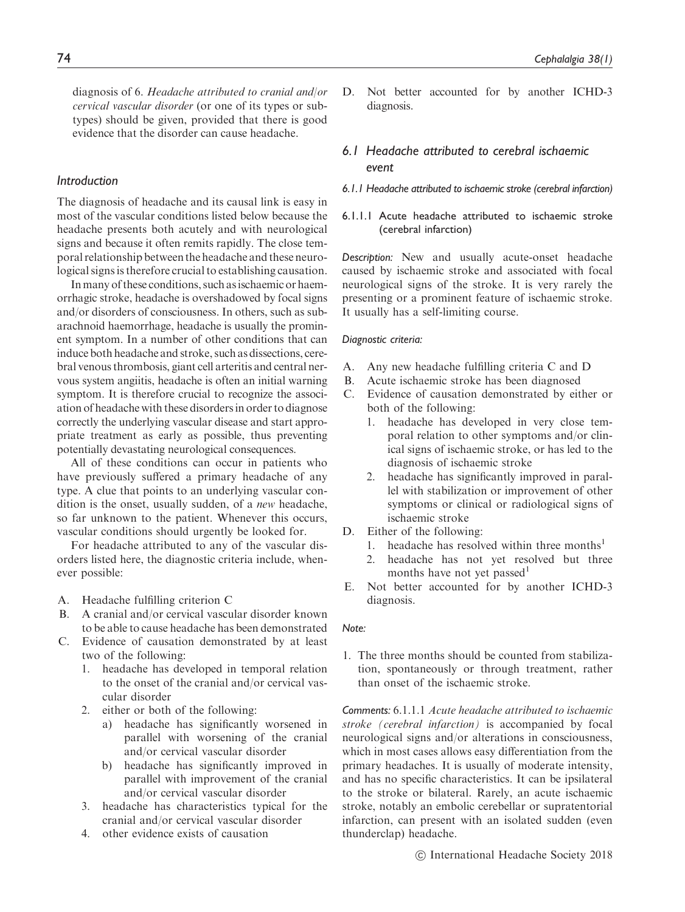diagnosis of 6. Headache attributed to cranial and/or cervical vascular disorder (or one of its types or subtypes) should be given, provided that there is good evidence that the disorder can cause headache.

# Introduction

The diagnosis of headache and its causal link is easy in most of the vascular conditions listed below because the headache presents both acutely and with neurological signs and because it often remits rapidly. The close temporal relationship between the headache and these neurological signs is therefore crucial to establishing causation.

In many of these conditions, such asischaemic or haemorrhagic stroke, headache is overshadowed by focal signs and/or disorders of consciousness. In others, such as subarachnoid haemorrhage, headache is usually the prominent symptom. In a number of other conditions that can induce both headache and stroke, such as dissections, cerebral venous thrombosis, giant cell arteritis and central nervous system angiitis, headache is often an initial warning symptom. It is therefore crucial to recognize the association of headache with these disorders in order to diagnose correctly the underlying vascular disease and start appropriate treatment as early as possible, thus preventing potentially devastating neurological consequences.

All of these conditions can occur in patients who have previously suffered a primary headache of any type. A clue that points to an underlying vascular condition is the onset, usually sudden, of a new headache, so far unknown to the patient. Whenever this occurs, vascular conditions should urgently be looked for.

For headache attributed to any of the vascular disorders listed here, the diagnostic criteria include, whenever possible:

- A. Headache fulfilling criterion C
- B. A cranial and/or cervical vascular disorder known to be able to cause headache has been demonstrated
- C. Evidence of causation demonstrated by at least two of the following:
	- 1. headache has developed in temporal relation to the onset of the cranial and/or cervical vascular disorder
	- 2. either or both of the following:
		- a) headache has significantly worsened in parallel with worsening of the cranial and/or cervical vascular disorder
		- b) headache has significantly improved in parallel with improvement of the cranial and/or cervical vascular disorder
	- 3. headache has characteristics typical for the cranial and/or cervical vascular disorder
	- 4. other evidence exists of causation

D. Not better accounted for by another ICHD-3 diagnosis.

# 6.1 Headache attributed to cerebral ischaemic event

6.1.1 Headache attributed to ischaemic stroke (cerebral infarction)

## 6.1.1.1 Acute headache attributed to ischaemic stroke (cerebral infarction)

Description: New and usually acute-onset headache caused by ischaemic stroke and associated with focal neurological signs of the stroke. It is very rarely the presenting or a prominent feature of ischaemic stroke. It usually has a self-limiting course.

#### Diagnostic criteria:

- A. Any new headache fulfilling criteria C and D
- B. Acute ischaemic stroke has been diagnosed
- C. Evidence of causation demonstrated by either or both of the following:
	- 1. headache has developed in very close temporal relation to other symptoms and/or clinical signs of ischaemic stroke, or has led to the diagnosis of ischaemic stroke
	- 2. headache has significantly improved in parallel with stabilization or improvement of other symptoms or clinical or radiological signs of ischaemic stroke
- D. Either of the following:
	- 1. headache has resolved within three months<sup>1</sup>
	- 2. headache has not yet resolved but three months have not yet passed<sup>1</sup>
- E. Not better accounted for by another ICHD-3 diagnosis.

### Note:

1. The three months should be counted from stabilization, spontaneously or through treatment, rather than onset of the ischaemic stroke.

Comments: 6.1.1.1 Acute headache attributed to ischaemic stroke (cerebral infarction) is accompanied by focal neurological signs and/or alterations in consciousness, which in most cases allows easy differentiation from the primary headaches. It is usually of moderate intensity, and has no specific characteristics. It can be ipsilateral to the stroke or bilateral. Rarely, an acute ischaemic stroke, notably an embolic cerebellar or supratentorial infarction, can present with an isolated sudden (even thunderclap) headache.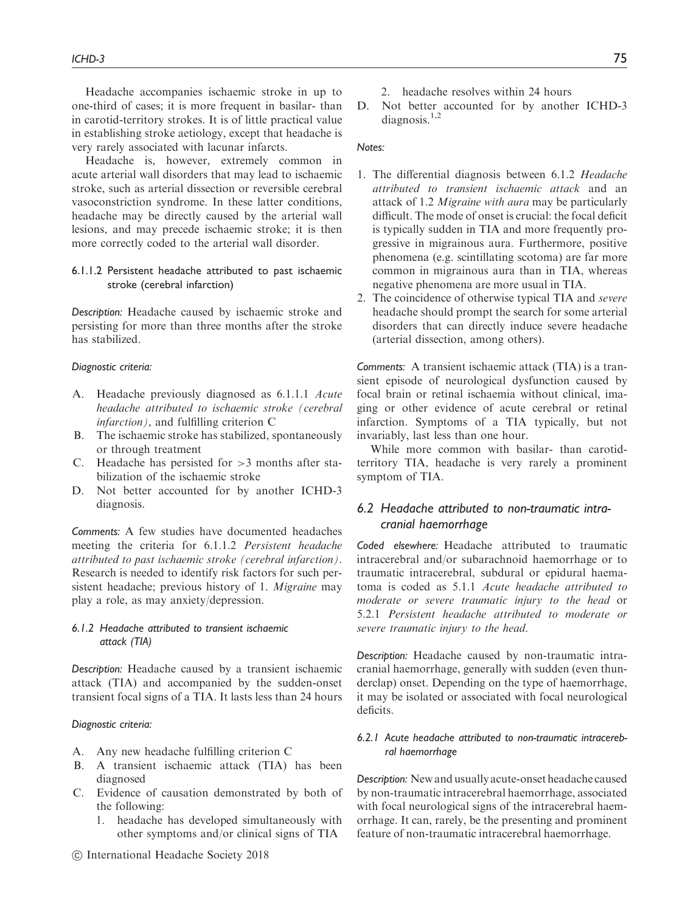Headache accompanies ischaemic stroke in up to one-third of cases; it is more frequent in basilar- than in carotid-territory strokes. It is of little practical value in establishing stroke aetiology, except that headache is very rarely associated with lacunar infarcts.

Headache is, however, extremely common in acute arterial wall disorders that may lead to ischaemic stroke, such as arterial dissection or reversible cerebral vasoconstriction syndrome. In these latter conditions, headache may be directly caused by the arterial wall lesions, and may precede ischaemic stroke; it is then more correctly coded to the arterial wall disorder.

## 6.1.1.2 Persistent headache attributed to past ischaemic stroke (cerebral infarction)

Description: Headache caused by ischaemic stroke and persisting for more than three months after the stroke has stabilized.

### Diagnostic criteria:

- A. Headache previously diagnosed as 6.1.1.1 Acute headache attributed to ischaemic stroke (cerebral infarction), and fulfilling criterion C
- B. The ischaemic stroke has stabilized, spontaneously or through treatment
- C. Headache has persisted for  $>3$  months after stabilization of the ischaemic stroke
- D. Not better accounted for by another ICHD-3 diagnosis.

Comments: A few studies have documented headaches meeting the criteria for 6.1.1.2 Persistent headache attributed to past ischaemic stroke (cerebral infarction). Research is needed to identify risk factors for such persistent headache; previous history of 1. Migraine may play a role, as may anxiety/depression.

### 6.1.2 Headache attributed to transient ischaemic attack (TIA)

Description: Headache caused by a transient ischaemic attack (TIA) and accompanied by the sudden-onset transient focal signs of a TIA. It lasts less than 24 hours

#### Diagnostic criteria:

- A. Any new headache fulfilling criterion C
- B. A transient ischaemic attack (TIA) has been diagnosed
- C. Evidence of causation demonstrated by both of the following:
	- 1. headache has developed simultaneously with other symptoms and/or clinical signs of TIA
- ! International Headache Society 2018
- 2. headache resolves within 24 hours
- D. Not better accounted for by another ICHD-3  $diapnosis.$ <sup>1,2</sup>

### Notes:

- 1. The differential diagnosis between 6.1.2 Headache attributed to transient ischaemic attack and an attack of 1.2 Migraine with aura may be particularly difficult. The mode of onset is crucial: the focal deficit is typically sudden in TIA and more frequently progressive in migrainous aura. Furthermore, positive phenomena (e.g. scintillating scotoma) are far more common in migrainous aura than in TIA, whereas negative phenomena are more usual in TIA.
- 2. The coincidence of otherwise typical TIA and severe headache should prompt the search for some arterial disorders that can directly induce severe headache (arterial dissection, among others).

Comments: A transient ischaemic attack (TIA) is a transient episode of neurological dysfunction caused by focal brain or retinal ischaemia without clinical, imaging or other evidence of acute cerebral or retinal infarction. Symptoms of a TIA typically, but not invariably, last less than one hour.

While more common with basilar- than carotidterritory TIA, headache is very rarely a prominent symptom of TIA.

# 6.2 Headache attributed to non-traumatic intracranial haemorrhage

Coded elsewhere: Headache attributed to traumatic intracerebral and/or subarachnoid haemorrhage or to traumatic intracerebral, subdural or epidural haematoma is coded as 5.1.1 Acute headache attributed to moderate or severe traumatic injury to the head or 5.2.1 Persistent headache attributed to moderate or severe traumatic injury to the head.

Description: Headache caused by non-traumatic intracranial haemorrhage, generally with sudden (even thunderclap) onset. Depending on the type of haemorrhage, it may be isolated or associated with focal neurological deficits.

## 6.2.1 Acute headache attributed to non-traumatic intracerebral haemorrhage

Description: New and usually acute-onset headache caused by non-traumatic intracerebral haemorrhage, associated with focal neurological signs of the intracerebral haemorrhage. It can, rarely, be the presenting and prominent feature of non-traumatic intracerebral haemorrhage.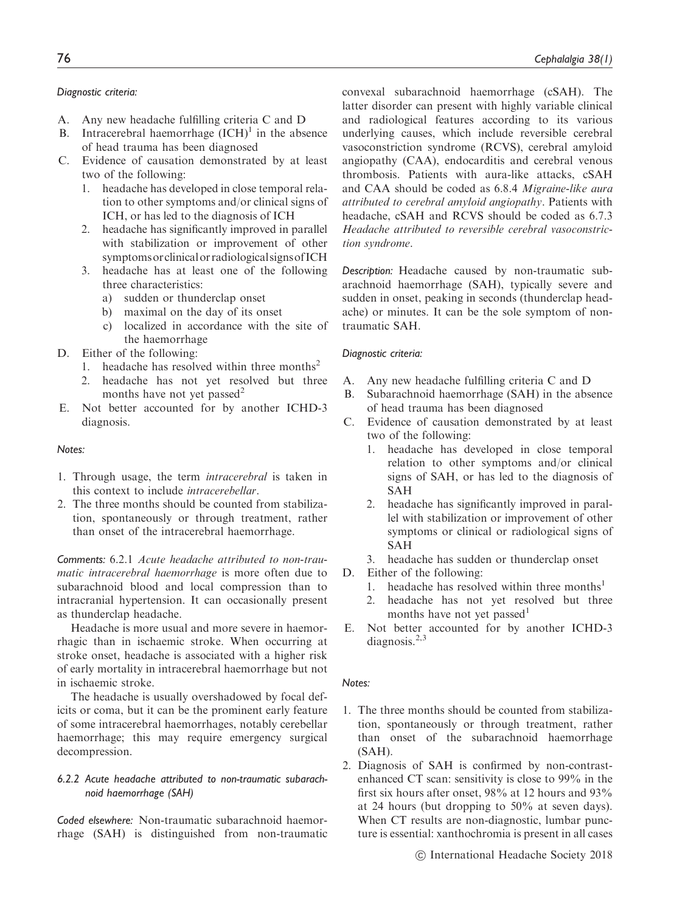- A. Any new headache fulfilling criteria C and D
- B. Intracerebral haemorrhage  $(ICH)^1$  in the absence of head trauma has been diagnosed
- C. Evidence of causation demonstrated by at least two of the following:
	- 1. headache has developed in close temporal relation to other symptoms and/or clinical signs of ICH, or has led to the diagnosis of ICH
	- 2. headache has significantly improved in parallel with stabilization or improvement of other symptomsorclinicalor radiologicalsignsofICH
	- 3. headache has at least one of the following three characteristics:
		- a) sudden or thunderclap onset
		- b) maximal on the day of its onset
		- c) localized in accordance with the site of the haemorrhage
- D. Either of the following:
	- 1. headache has resolved within three months<sup>2</sup>
	- 2. headache has not yet resolved but three months have not yet passed<sup>2</sup>
- E. Not better accounted for by another ICHD-3 diagnosis.

#### Notes:

- 1. Through usage, the term intracerebral is taken in this context to include *intracerebellar*
- 2. The three months should be counted from stabilization, spontaneously or through treatment, rather than onset of the intracerebral haemorrhage.

Comments: 6.2.1 Acute headache attributed to non-traumatic intracerebral haemorrhage is more often due to subarachnoid blood and local compression than to intracranial hypertension. It can occasionally present as thunderclap headache.

Headache is more usual and more severe in haemorrhagic than in ischaemic stroke. When occurring at stroke onset, headache is associated with a higher risk of early mortality in intracerebral haemorrhage but not in ischaemic stroke.

The headache is usually overshadowed by focal deficits or coma, but it can be the prominent early feature of some intracerebral haemorrhages, notably cerebellar haemorrhage; this may require emergency surgical decompression.

### 6.2.2 Acute headache attributed to non-traumatic subarachnoid haemorrhage (SAH)

Coded elsewhere: Non-traumatic subarachnoid haemorrhage (SAH) is distinguished from non-traumatic convexal subarachnoid haemorrhage (cSAH). The latter disorder can present with highly variable clinical and radiological features according to its various underlying causes, which include reversible cerebral vasoconstriction syndrome (RCVS), cerebral amyloid angiopathy (CAA), endocarditis and cerebral venous thrombosis. Patients with aura-like attacks, cSAH and CAA should be coded as 6.8.4 Migraine-like aura attributed to cerebral amyloid angiopathy. Patients with headache, cSAH and RCVS should be coded as 6.7.3 Headache attributed to reversible cerebral vasoconstriction syndrome.

Description: Headache caused by non-traumatic subarachnoid haemorrhage (SAH), typically severe and sudden in onset, peaking in seconds (thunderclap headache) or minutes. It can be the sole symptom of nontraumatic SAH.

### Diagnostic criteria:

- A. Any new headache fulfilling criteria C and D
- B. Subarachnoid haemorrhage (SAH) in the absence of head trauma has been diagnosed
- C. Evidence of causation demonstrated by at least two of the following:
	- 1. headache has developed in close temporal relation to other symptoms and/or clinical signs of SAH, or has led to the diagnosis of SAH
	- 2. headache has significantly improved in parallel with stabilization or improvement of other symptoms or clinical or radiological signs of SAH
	- 3. headache has sudden or thunderclap onset
- D. Either of the following:
	- 1. headache has resolved within three months<sup>1</sup>
	- 2. headache has not yet resolved but three months have not yet passed<sup>1</sup>
- E. Not better accounted for by another ICHD-3 diagnosis. $2,3$

#### Notes:

- 1. The three months should be counted from stabilization, spontaneously or through treatment, rather than onset of the subarachnoid haemorrhage (SAH).
- 2. Diagnosis of SAH is confirmed by non-contrastenhanced CT scan: sensitivity is close to 99% in the first six hours after onset, 98% at 12 hours and 93% at 24 hours (but dropping to 50% at seven days). When CT results are non-diagnostic, lumbar puncture is essential: xanthochromia is present in all cases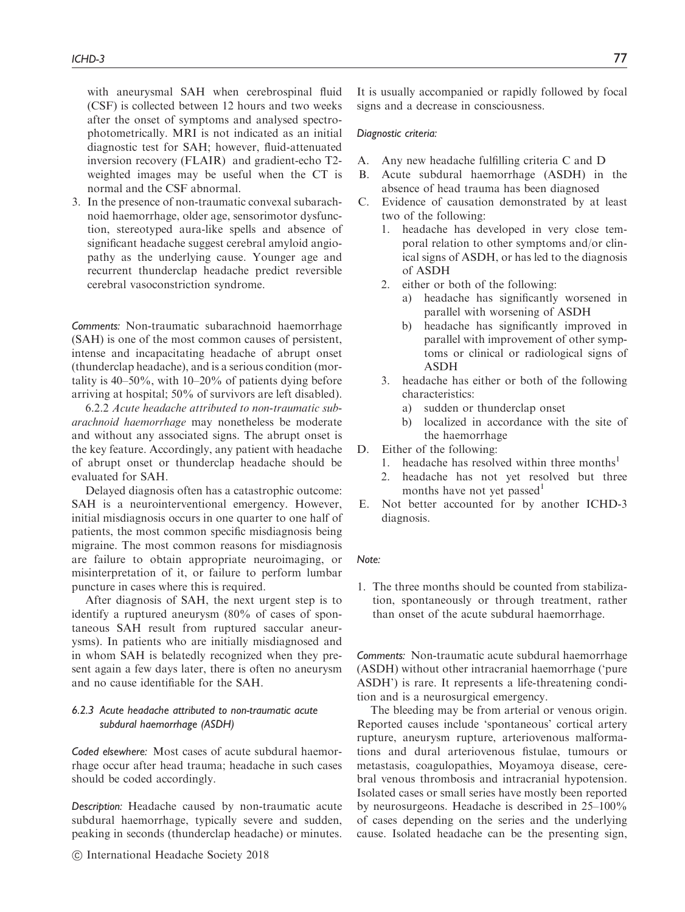with aneurysmal SAH when cerebrospinal fluid (CSF) is collected between 12 hours and two weeks after the onset of symptoms and analysed spectrophotometrically. MRI is not indicated as an initial diagnostic test for SAH; however, fluid-attenuated inversion recovery (FLAIR) and gradient-echo T2 weighted images may be useful when the CT is normal and the CSF abnormal.

3. In the presence of non-traumatic convexal subarachnoid haemorrhage, older age, sensorimotor dysfunction, stereotyped aura-like spells and absence of significant headache suggest cerebral amyloid angiopathy as the underlying cause. Younger age and recurrent thunderclap headache predict reversible cerebral vasoconstriction syndrome.

Comments: Non-traumatic subarachnoid haemorrhage (SAH) is one of the most common causes of persistent, intense and incapacitating headache of abrupt onset (thunderclap headache), and is a serious condition (mortality is 40–50%, with 10–20% of patients dying before arriving at hospital; 50% of survivors are left disabled).

6.2.2 Acute headache attributed to non-traumatic subarachnoid haemorrhage may nonetheless be moderate and without any associated signs. The abrupt onset is the key feature. Accordingly, any patient with headache of abrupt onset or thunderclap headache should be evaluated for SAH.

Delayed diagnosis often has a catastrophic outcome: SAH is a neurointerventional emergency. However, initial misdiagnosis occurs in one quarter to one half of patients, the most common specific misdiagnosis being migraine. The most common reasons for misdiagnosis are failure to obtain appropriate neuroimaging, or misinterpretation of it, or failure to perform lumbar puncture in cases where this is required.

After diagnosis of SAH, the next urgent step is to identify a ruptured aneurysm (80% of cases of spontaneous SAH result from ruptured saccular aneurysms). In patients who are initially misdiagnosed and in whom SAH is belatedly recognized when they present again a few days later, there is often no aneurysm and no cause identifiable for the SAH.

## 6.2.3 Acute headache attributed to non-traumatic acute subdural haemorrhage (ASDH)

Coded elsewhere: Most cases of acute subdural haemorrhage occur after head trauma; headache in such cases should be coded accordingly.

Description: Headache caused by non-traumatic acute subdural haemorrhage, typically severe and sudden, peaking in seconds (thunderclap headache) or minutes. It is usually accompanied or rapidly followed by focal signs and a decrease in consciousness.

#### Diagnostic criteria:

- A. Any new headache fulfilling criteria C and D
- B. Acute subdural haemorrhage (ASDH) in the absence of head trauma has been diagnosed
- C. Evidence of causation demonstrated by at least two of the following:
	- 1. headache has developed in very close temporal relation to other symptoms and/or clinical signs of ASDH, or has led to the diagnosis of ASDH
	- 2. either or both of the following:
		- a) headache has significantly worsened in parallel with worsening of ASDH
		- b) headache has significantly improved in parallel with improvement of other symptoms or clinical or radiological signs of ASDH
	- 3. headache has either or both of the following characteristics:
		- a) sudden or thunderclap onset
		- b) localized in accordance with the site of the haemorrhage
- D. Either of the following:
	- 1. headache has resolved within three months<sup>1</sup>
	- 2. headache has not yet resolved but three months have not yet passed<sup>1</sup>
- E. Not better accounted for by another ICHD-3 diagnosis.

### Note:

1. The three months should be counted from stabilization, spontaneously or through treatment, rather than onset of the acute subdural haemorrhage.

Comments: Non-traumatic acute subdural haemorrhage (ASDH) without other intracranial haemorrhage ('pure ASDH') is rare. It represents a life-threatening condition and is a neurosurgical emergency.

The bleeding may be from arterial or venous origin. Reported causes include 'spontaneous' cortical artery rupture, aneurysm rupture, arteriovenous malformations and dural arteriovenous fistulae, tumours or metastasis, coagulopathies, Moyamoya disease, cerebral venous thrombosis and intracranial hypotension. Isolated cases or small series have mostly been reported by neurosurgeons. Headache is described in 25–100% of cases depending on the series and the underlying cause. Isolated headache can be the presenting sign,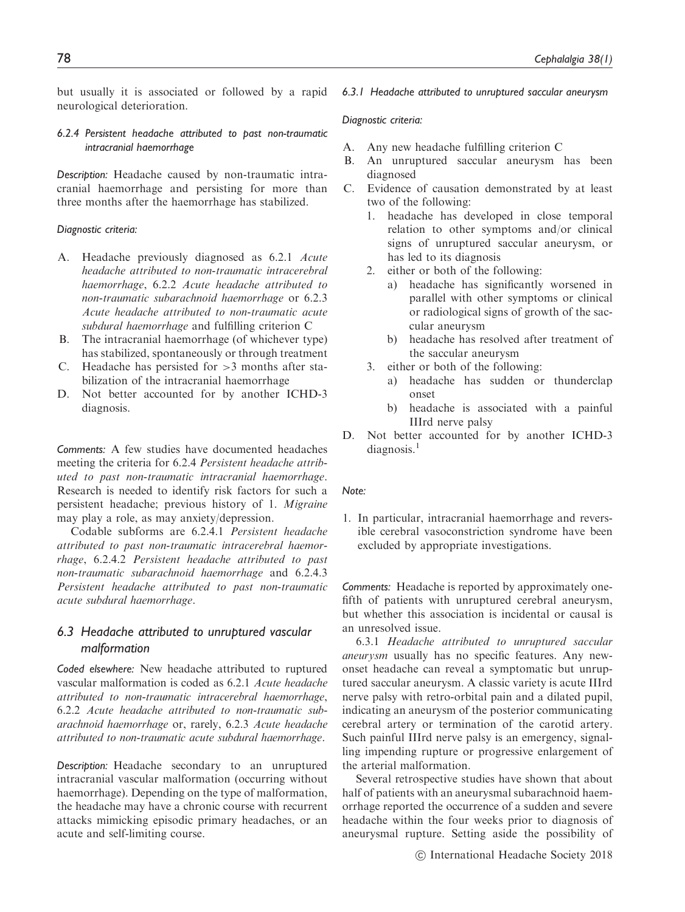but usually it is associated or followed by a rapid neurological deterioration.

### 6.2.4 Persistent headache attributed to past non-traumatic intracranial haemorrhage

Description: Headache caused by non-traumatic intracranial haemorrhage and persisting for more than three months after the haemorrhage has stabilized.

#### Diagnostic criteria:

- A. Headache previously diagnosed as 6.2.1 Acute headache attributed to non-traumatic intracerebral haemorrhage, 6.2.2 Acute headache attributed to non-traumatic subarachnoid haemorrhage or 6.2.3 Acute headache attributed to non-traumatic acute subdural haemorrhage and fulfilling criterion C
- B. The intracranial haemorrhage (of whichever type) has stabilized, spontaneously or through treatment
- C. Headache has persisted for >3 months after stabilization of the intracranial haemorrhage
- D. Not better accounted for by another ICHD-3 diagnosis.

Comments: A few studies have documented headaches meeting the criteria for 6.2.4 Persistent headache attributed to past non-traumatic intracranial haemorrhage. Research is needed to identify risk factors for such a persistent headache; previous history of 1. Migraine may play a role, as may anxiety/depression.

Codable subforms are 6.2.4.1 Persistent headache attributed to past non-traumatic intracerebral haemorrhage, 6.2.4.2 Persistent headache attributed to past non-traumatic subarachnoid haemorrhage and 6.2.4.3 Persistent headache attributed to past non-traumatic acute subdural haemorrhage.

# 6.3 Headache attributed to unruptured vascular malformation

Coded elsewhere: New headache attributed to ruptured vascular malformation is coded as 6.2.1 Acute headache attributed to non-traumatic intracerebral haemorrhage, 6.2.2 Acute headache attributed to non-traumatic subarachnoid haemorrhage or, rarely, 6.2.3 Acute headache attributed to non-traumatic acute subdural haemorrhage.

Description: Headache secondary to an unruptured intracranial vascular malformation (occurring without haemorrhage). Depending on the type of malformation, the headache may have a chronic course with recurrent attacks mimicking episodic primary headaches, or an acute and self-limiting course.

### 6.3.1 Headache attributed to unruptured saccular aneurysm

#### Diagnostic criteria:

- A. Any new headache fulfilling criterion C
- B. An unruptured saccular aneurysm has been diagnosed
- C. Evidence of causation demonstrated by at least two of the following:
	- 1. headache has developed in close temporal relation to other symptoms and/or clinical signs of unruptured saccular aneurysm, or has led to its diagnosis
	- 2. either or both of the following:
		- a) headache has significantly worsened in parallel with other symptoms or clinical or radiological signs of growth of the saccular aneurysm
		- b) headache has resolved after treatment of the saccular aneurysm
	- 3. either or both of the following:
		- a) headache has sudden or thunderclap onset
		- b) headache is associated with a painful IIIrd nerve palsy
- D. Not better accounted for by another ICHD-3  $diagonosis.<sup>1</sup>$

#### Note:

1. In particular, intracranial haemorrhage and reversible cerebral vasoconstriction syndrome have been excluded by appropriate investigations.

Comments: Headache is reported by approximately onefifth of patients with unruptured cerebral aneurysm, but whether this association is incidental or causal is an unresolved issue.

6.3.1 Headache attributed to unruptured saccular aneurysm usually has no specific features. Any newonset headache can reveal a symptomatic but unruptured saccular aneurysm. A classic variety is acute IIIrd nerve palsy with retro-orbital pain and a dilated pupil, indicating an aneurysm of the posterior communicating cerebral artery or termination of the carotid artery. Such painful IIIrd nerve palsy is an emergency, signalling impending rupture or progressive enlargement of the arterial malformation.

Several retrospective studies have shown that about half of patients with an aneurysmal subarachnoid haemorrhage reported the occurrence of a sudden and severe headache within the four weeks prior to diagnosis of aneurysmal rupture. Setting aside the possibility of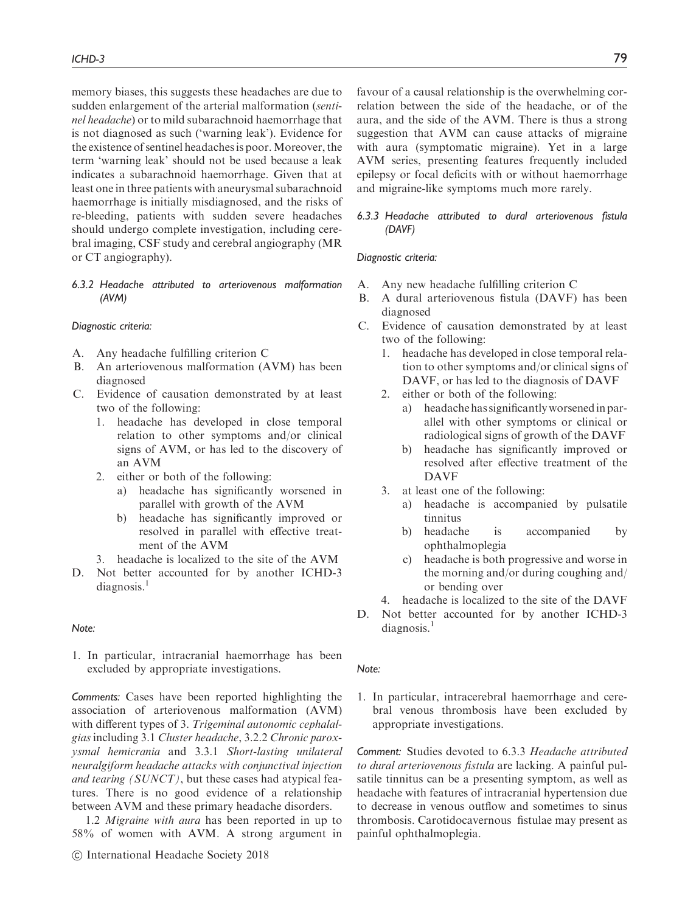memory biases, this suggests these headaches are due to sudden enlargement of the arterial malformation (sentinel headache) or to mild subarachnoid haemorrhage that is not diagnosed as such ('warning leak'). Evidence for the existence of sentinel headaches is poor.Moreover, the term 'warning leak' should not be used because a leak indicates a subarachnoid haemorrhage. Given that at least one in three patients with aneurysmal subarachnoid haemorrhage is initially misdiagnosed, and the risks of re-bleeding, patients with sudden severe headaches should undergo complete investigation, including cerebral imaging, CSF study and cerebral angiography (MR or CT angiography).

6.3.2 Headache attributed to arteriovenous malformation (AVM)

### Diagnostic criteria:

- A. Any headache fulfilling criterion C
- B. An arteriovenous malformation (AVM) has been diagnosed
- C. Evidence of causation demonstrated by at least two of the following:
	- 1. headache has developed in close temporal relation to other symptoms and/or clinical signs of AVM, or has led to the discovery of an AVM
	- 2. either or both of the following:
		- a) headache has significantly worsened in parallel with growth of the AVM
		- b) headache has significantly improved or resolved in parallel with effective treatment of the AVM
	- 3. headache is localized to the site of the AVM
- D. Not better accounted for by another ICHD-3 diagnosis.<sup>1</sup>

#### Note:

1. In particular, intracranial haemorrhage has been excluded by appropriate investigations.

Comments: Cases have been reported highlighting the association of arteriovenous malformation (AVM) with different types of 3. Trigeminal autonomic cephalalgias including 3.1 Cluster headache, 3.2.2 Chronic paroxysmal hemicrania and 3.3.1 Short-lasting unilateral neuralgiform headache attacks with conjunctival injection and tearing (SUNCT), but these cases had atypical features. There is no good evidence of a relationship between AVM and these primary headache disorders.

1.2 Migraine with aura has been reported in up to 58% of women with AVM. A strong argument in favour of a causal relationship is the overwhelming correlation between the side of the headache, or of the aura, and the side of the AVM. There is thus a strong suggestion that AVM can cause attacks of migraine with aura (symptomatic migraine). Yet in a large AVM series, presenting features frequently included epilepsy or focal deficits with or without haemorrhage and migraine-like symptoms much more rarely.

## 6.3.3 Headache attributed to dural arteriovenous fistula (DAVF)

#### Diagnostic criteria:

- A. Any new headache fulfilling criterion C
- B. A dural arteriovenous fistula (DAVF) has been diagnosed
- C. Evidence of causation demonstrated by at least two of the following:
	- 1. headache has developed in close temporal relation to other symptoms and/or clinical signs of DAVF, or has led to the diagnosis of DAVF
	- 2. either or both of the following:
		- a) headache has significantly worsenedin parallel with other symptoms or clinical or radiological signs of growth of the DAVF
		- b) headache has significantly improved or resolved after effective treatment of the DAVF
	- 3. at least one of the following:
		- a) headache is accompanied by pulsatile tinnitus
		- b) headache is accompanied by ophthalmoplegia
		- c) headache is both progressive and worse in the morning and/or during coughing and/ or bending over
	- 4. headache is localized to the site of the DAVF
- D. Not better accounted for by another ICHD-3 diagnosis.

#### Note:

1. In particular, intracerebral haemorrhage and cerebral venous thrombosis have been excluded by appropriate investigations.

Comment: Studies devoted to 6.3.3 Headache attributed to dural arteriovenous fistula are lacking. A painful pulsatile tinnitus can be a presenting symptom, as well as headache with features of intracranial hypertension due to decrease in venous outflow and sometimes to sinus thrombosis. Carotidocavernous fistulae may present as painful ophthalmoplegia.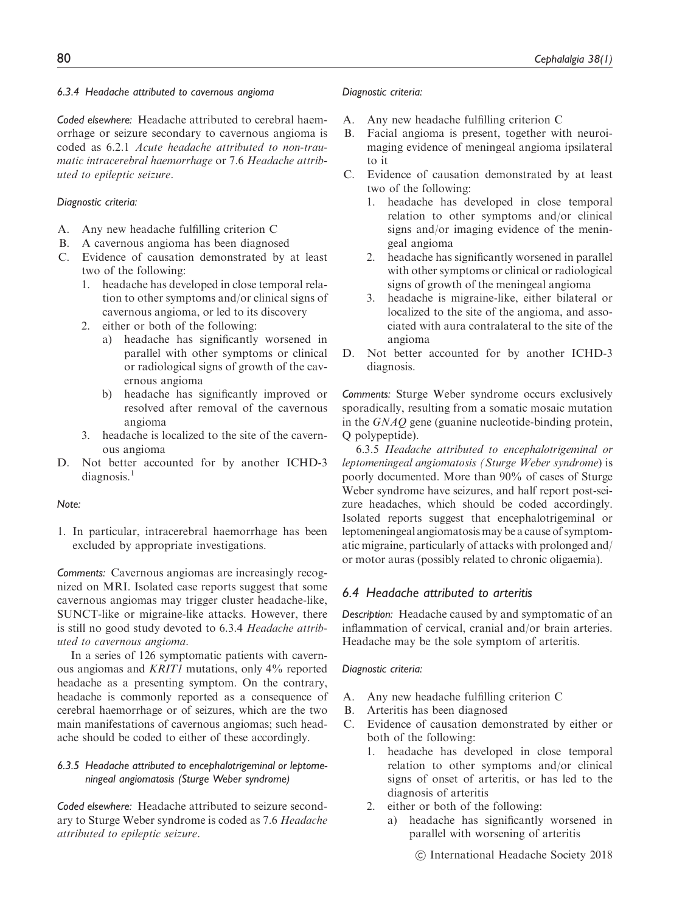### 6.3.4 Headache attributed to cavernous angioma

Coded elsewhere: Headache attributed to cerebral haemorrhage or seizure secondary to cavernous angioma is coded as 6.2.1 Acute headache attributed to non-traumatic intracerebral haemorrhage or 7.6 Headache attributed to epileptic seizure.

### Diagnostic criteria:

- A. Any new headache fulfilling criterion C
- B. A cavernous angioma has been diagnosed
- C. Evidence of causation demonstrated by at least two of the following:
	- 1. headache has developed in close temporal relation to other symptoms and/or clinical signs of cavernous angioma, or led to its discovery
	- 2. either or both of the following:
		- a) headache has significantly worsened in parallel with other symptoms or clinical or radiological signs of growth of the cavernous angioma
		- b) headache has significantly improved or resolved after removal of the cavernous angioma
	- 3. headache is localized to the site of the cavernous angioma
- D. Not better accounted for by another ICHD-3  $diagonosis.<sup>1</sup>$

#### Note:

1. In particular, intracerebral haemorrhage has been excluded by appropriate investigations.

Comments: Cavernous angiomas are increasingly recognized on MRI. Isolated case reports suggest that some cavernous angiomas may trigger cluster headache-like, SUNCT-like or migraine-like attacks. However, there is still no good study devoted to 6.3.4 Headache attributed to cavernous angioma.

In a series of 126 symptomatic patients with cavernous angiomas and KRIT1 mutations, only 4% reported headache as a presenting symptom. On the contrary, headache is commonly reported as a consequence of cerebral haemorrhage or of seizures, which are the two main manifestations of cavernous angiomas; such headache should be coded to either of these accordingly.

## 6.3.5 Headache attributed to encephalotrigeminal or leptomeningeal angiomatosis (Sturge Weber syndrome)

Coded elsewhere: Headache attributed to seizure secondary to Sturge Weber syndrome is coded as 7.6 Headache attributed to epileptic seizure.

#### Diagnostic criteria:

- A. Any new headache fulfilling criterion C
- B. Facial angioma is present, together with neuroimaging evidence of meningeal angioma ipsilateral to it
- C. Evidence of causation demonstrated by at least two of the following:
	- 1. headache has developed in close temporal relation to other symptoms and/or clinical signs and/or imaging evidence of the meningeal angioma
	- 2. headache has significantly worsened in parallel with other symptoms or clinical or radiological signs of growth of the meningeal angioma
	- 3. headache is migraine-like, either bilateral or localized to the site of the angioma, and associated with aura contralateral to the site of the angioma
- D. Not better accounted for by another ICHD-3 diagnosis.

Comments: Sturge Weber syndrome occurs exclusively sporadically, resulting from a somatic mosaic mutation in the GNAQ gene (guanine nucleotide-binding protein, Q polypeptide).

6.3.5 Headache attributed to encephalotrigeminal or leptomeningeal angiomatosis (Sturge Weber syndrome) is poorly documented. More than 90% of cases of Sturge Weber syndrome have seizures, and half report post-seizure headaches, which should be coded accordingly. Isolated reports suggest that encephalotrigeminal or leptomeningeal angiomatosis may be a cause of symptomatic migraine, particularly of attacks with prolonged and/ or motor auras (possibly related to chronic oligaemia).

### 6.4 Headache attributed to arteritis

Description: Headache caused by and symptomatic of an inflammation of cervical, cranial and/or brain arteries. Headache may be the sole symptom of arteritis.

### Diagnostic criteria:

- A. Any new headache fulfilling criterion C
- B. Arteritis has been diagnosed
- C. Evidence of causation demonstrated by either or both of the following:
	- 1. headache has developed in close temporal relation to other symptoms and/or clinical signs of onset of arteritis, or has led to the diagnosis of arteritis
	- 2. either or both of the following:
		- a) headache has significantly worsened in parallel with worsening of arteritis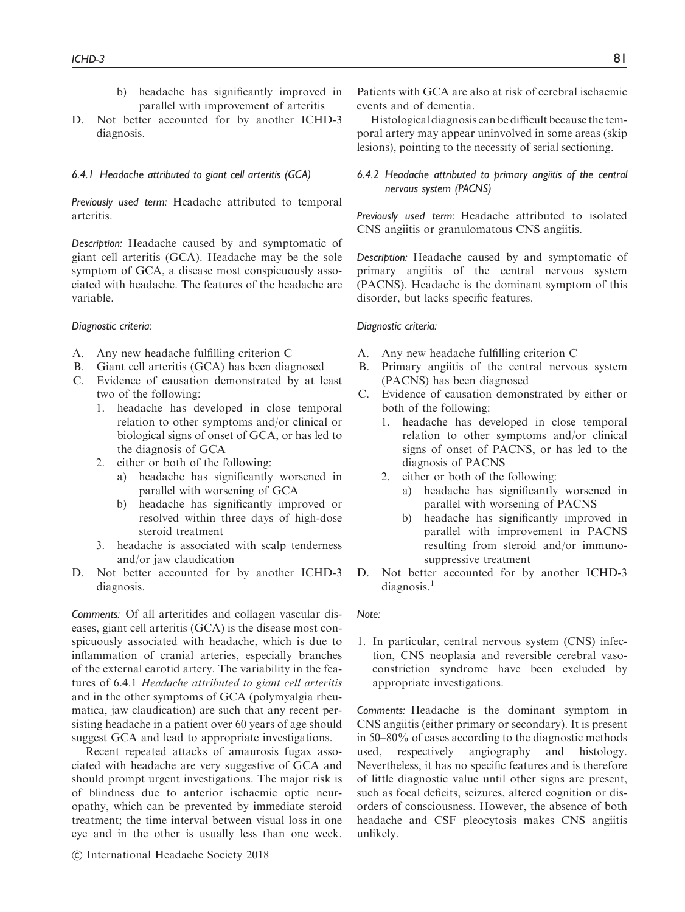- b) headache has significantly improved in parallel with improvement of arteritis
- D. Not better accounted for by another ICHD-3 diagnosis.

#### 6.4.1 Headache attributed to giant cell arteritis (GCA)

Previously used term: Headache attributed to temporal arteritis.

Description: Headache caused by and symptomatic of giant cell arteritis (GCA). Headache may be the sole symptom of GCA, a disease most conspicuously associated with headache. The features of the headache are variable.

### Diagnostic criteria:

- A. Any new headache fulfilling criterion C
- B. Giant cell arteritis (GCA) has been diagnosed
- C. Evidence of causation demonstrated by at least two of the following:
	- 1. headache has developed in close temporal relation to other symptoms and/or clinical or biological signs of onset of GCA, or has led to the diagnosis of GCA
	- 2. either or both of the following:
		- a) headache has significantly worsened in parallel with worsening of GCA
		- b) headache has significantly improved or resolved within three days of high-dose steroid treatment
	- 3. headache is associated with scalp tenderness and/or jaw claudication
- D. Not better accounted for by another ICHD-3 diagnosis.

Comments: Of all arteritides and collagen vascular diseases, giant cell arteritis (GCA) is the disease most conspicuously associated with headache, which is due to inflammation of cranial arteries, especially branches of the external carotid artery. The variability in the features of 6.4.1 Headache attributed to giant cell arteritis and in the other symptoms of GCA (polymyalgia rheumatica, jaw claudication) are such that any recent persisting headache in a patient over 60 years of age should suggest GCA and lead to appropriate investigations.

Recent repeated attacks of amaurosis fugax associated with headache are very suggestive of GCA and should prompt urgent investigations. The major risk is of blindness due to anterior ischaemic optic neuropathy, which can be prevented by immediate steroid treatment; the time interval between visual loss in one eye and in the other is usually less than one week. Patients with GCA are also at risk of cerebral ischaemic events and of dementia.

Histological diagnosis can be difficult because the temporal artery may appear uninvolved in some areas (skip lesions), pointing to the necessity of serial sectioning.

## 6.4.2 Headache attributed to primary angiitis of the central nervous system (PACNS)

Previously used term: Headache attributed to isolated CNS angiitis or granulomatous CNS angiitis.

Description: Headache caused by and symptomatic of primary angiitis of the central nervous system (PACNS). Headache is the dominant symptom of this disorder, but lacks specific features.

### Diagnostic criteria:

- A. Any new headache fulfilling criterion C
- B. Primary angiitis of the central nervous system (PACNS) has been diagnosed
- C. Evidence of causation demonstrated by either or both of the following:
	- 1. headache has developed in close temporal relation to other symptoms and/or clinical signs of onset of PACNS, or has led to the diagnosis of PACNS
	- 2. either or both of the following:
		- a) headache has significantly worsened in parallel with worsening of PACNS
		- b) headache has significantly improved in parallel with improvement in PACNS resulting from steroid and/or immunosuppressive treatment
- D. Not better accounted for by another ICHD-3  $diagonosis.<sup>1</sup>$

#### Note:

1. In particular, central nervous system (CNS) infection, CNS neoplasia and reversible cerebral vasoconstriction syndrome have been excluded by appropriate investigations.

Comments: Headache is the dominant symptom in CNS angiitis (either primary or secondary). It is present in 50–80% of cases according to the diagnostic methods used, respectively angiography and histology. Nevertheless, it has no specific features and is therefore of little diagnostic value until other signs are present, such as focal deficits, seizures, altered cognition or disorders of consciousness. However, the absence of both headache and CSF pleocytosis makes CNS angiitis unlikely.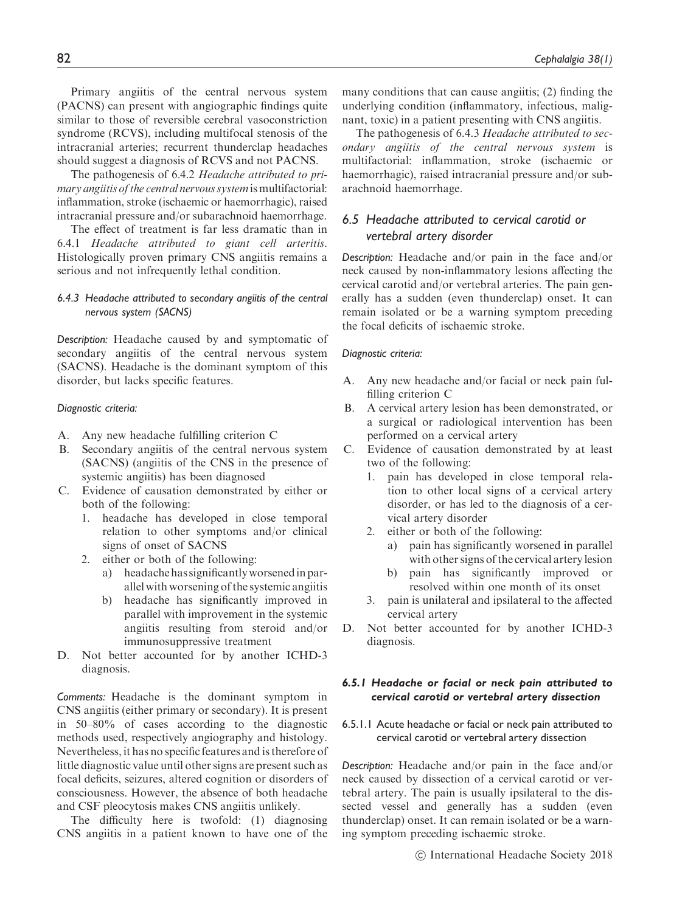Primary angiitis of the central nervous system (PACNS) can present with angiographic findings quite similar to those of reversible cerebral vasoconstriction syndrome (RCVS), including multifocal stenosis of the intracranial arteries; recurrent thunderclap headaches should suggest a diagnosis of RCVS and not PACNS.

The pathogenesis of 6.4.2 Headache attributed to primary angiitis of the central nervous systemis multifactorial: inflammation, stroke (ischaemic or haemorrhagic), raised intracranial pressure and/or subarachnoid haemorrhage.

The effect of treatment is far less dramatic than in 6.4.1 Headache attributed to giant cell arteritis. Histologically proven primary CNS angiitis remains a serious and not infrequently lethal condition.

## 6.4.3 Headache attributed to secondary angiitis of the central nervous system (SACNS)

Description: Headache caused by and symptomatic of secondary angiitis of the central nervous system (SACNS). Headache is the dominant symptom of this disorder, but lacks specific features.

### Diagnostic criteria:

- A. Any new headache fulfilling criterion C
- B. Secondary angiitis of the central nervous system (SACNS) (angiitis of the CNS in the presence of systemic angiitis) has been diagnosed
- C. Evidence of causation demonstrated by either or both of the following:
	- 1. headache has developed in close temporal relation to other symptoms and/or clinical signs of onset of SACNS
	- 2. either or both of the following:
		- a) headache has significantly worsenedin parallel with worsening of the systemic angiitis
		- b) headache has significantly improved in parallel with improvement in the systemic angiitis resulting from steroid and/or immunosuppressive treatment
- D. Not better accounted for by another ICHD-3 diagnosis.

Comments: Headache is the dominant symptom in CNS angiitis (either primary or secondary). It is present in 50–80% of cases according to the diagnostic methods used, respectively angiography and histology. Nevertheless, it has no specific features and is therefore of little diagnostic value until other signs are present such as focal deficits, seizures, altered cognition or disorders of consciousness. However, the absence of both headache and CSF pleocytosis makes CNS angiitis unlikely.

The difficulty here is twofold: (1) diagnosing CNS angiitis in a patient known to have one of the

many conditions that can cause angiitis; (2) finding the underlying condition (inflammatory, infectious, malignant, toxic) in a patient presenting with CNS angiitis.

The pathogenesis of 6.4.3 Headache attributed to secondary angiitis of the central nervous system is multifactorial: inflammation, stroke (ischaemic or haemorrhagic), raised intracranial pressure and/or subarachnoid haemorrhage.

# 6.5 Headache attributed to cervical carotid or vertebral artery disorder

Description: Headache and/or pain in the face and/or neck caused by non-inflammatory lesions affecting the cervical carotid and/or vertebral arteries. The pain generally has a sudden (even thunderclap) onset. It can remain isolated or be a warning symptom preceding the focal deficits of ischaemic stroke.

### Diagnostic criteria:

- A. Any new headache and/or facial or neck pain fulfilling criterion C
- B. A cervical artery lesion has been demonstrated, or a surgical or radiological intervention has been performed on a cervical artery
- C. Evidence of causation demonstrated by at least two of the following:
	- 1. pain has developed in close temporal relation to other local signs of a cervical artery disorder, or has led to the diagnosis of a cervical artery disorder
	- 2. either or both of the following:
		- a) pain has significantly worsened in parallel with other signs of the cervical artery lesion
		- b) pain has significantly improved or resolved within one month of its onset
	- 3. pain is unilateral and ipsilateral to the affected cervical artery
- D. Not better accounted for by another ICHD-3 diagnosis.

### 6.5.1 Headache or facial or neck pain attributed to cervical carotid or vertebral artery dissection

6.5.1.1 Acute headache or facial or neck pain attributed to cervical carotid or vertebral artery dissection

Description: Headache and/or pain in the face and/or neck caused by dissection of a cervical carotid or vertebral artery. The pain is usually ipsilateral to the dissected vessel and generally has a sudden (even thunderclap) onset. It can remain isolated or be a warning symptom preceding ischaemic stroke.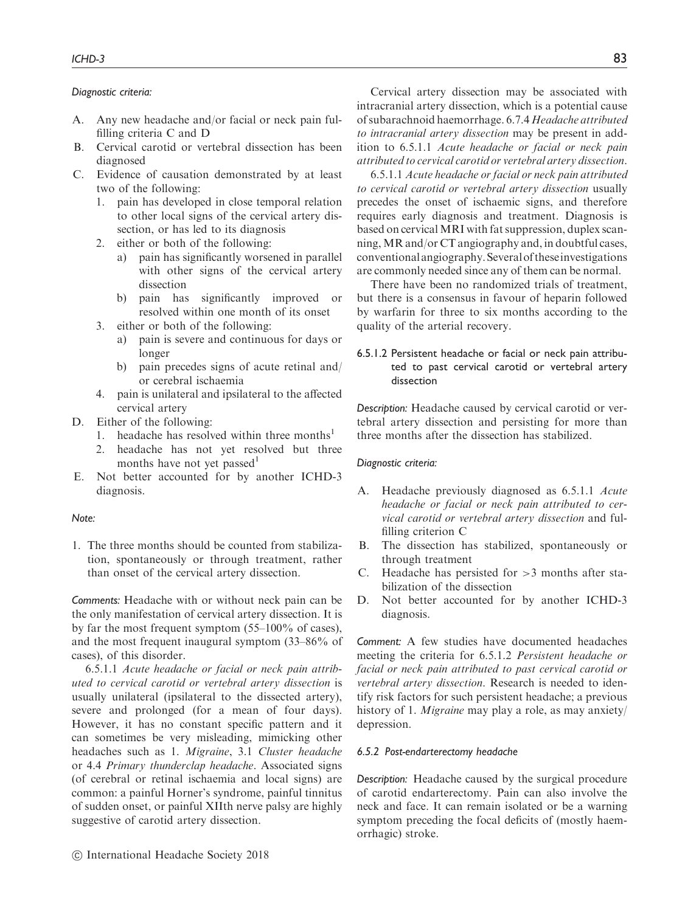- A. Any new headache and/or facial or neck pain fulfilling criteria C and D
- B. Cervical carotid or vertebral dissection has been diagnosed
- C. Evidence of causation demonstrated by at least two of the following:
	- 1. pain has developed in close temporal relation to other local signs of the cervical artery dissection, or has led to its diagnosis
	- 2. either or both of the following:
		- a) pain has significantly worsened in parallel with other signs of the cervical artery dissection
		- b) pain has significantly improved or resolved within one month of its onset
	- 3. either or both of the following:
		- a) pain is severe and continuous for days or longer
		- b) pain precedes signs of acute retinal and/ or cerebral ischaemia
	- 4. pain is unilateral and ipsilateral to the affected cervical artery
- D. Either of the following:
	- 1. headache has resolved within three months<sup>1</sup>
	- 2. headache has not yet resolved but three months have not yet passed<sup>1</sup>
- E. Not better accounted for by another ICHD-3 diagnosis.

## Note:

1. The three months should be counted from stabilization, spontaneously or through treatment, rather than onset of the cervical artery dissection.

Comments: Headache with or without neck pain can be the only manifestation of cervical artery dissection. It is by far the most frequent symptom (55–100% of cases), and the most frequent inaugural symptom (33–86% of cases), of this disorder.

6.5.1.1 Acute headache or facial or neck pain attributed to cervical carotid or vertebral artery dissection is usually unilateral (ipsilateral to the dissected artery), severe and prolonged (for a mean of four days). However, it has no constant specific pattern and it can sometimes be very misleading, mimicking other headaches such as 1. Migraine, 3.1 Cluster headache or 4.4 Primary thunderclap headache. Associated signs (of cerebral or retinal ischaemia and local signs) are common: a painful Horner's syndrome, painful tinnitus of sudden onset, or painful XIIth nerve palsy are highly suggestive of carotid artery dissection.

Cervical artery dissection may be associated with intracranial artery dissection, which is a potential cause of subarachnoid haemorrhage. 6.7.4 Headache attributed to intracranial artery dissection may be present in addition to 6.5.1.1 Acute headache or facial or neck pain attributed to cervical carotid or vertebral artery dissection.

6.5.1.1 Acute headache or facial or neck pain attributed to cervical carotid or vertebral artery dissection usually precedes the onset of ischaemic signs, and therefore requires early diagnosis and treatment. Diagnosis is based on cervical MRI with fat suppression, duplex scanning,MR and/or CT angiography and, in doubtful cases, conventional angiography.Severalof theseinvestigations are commonly needed since any of them can be normal.

There have been no randomized trials of treatment, but there is a consensus in favour of heparin followed by warfarin for three to six months according to the quality of the arterial recovery.

## 6.5.1.2 Persistent headache or facial or neck pain attributed to past cervical carotid or vertebral artery dissection

Description: Headache caused by cervical carotid or vertebral artery dissection and persisting for more than three months after the dissection has stabilized.

#### Diagnostic criteria:

- A. Headache previously diagnosed as 6.5.1.1 Acute headache or facial or neck pain attributed to cervical carotid or vertebral artery dissection and fulfilling criterion C
- B. The dissection has stabilized, spontaneously or through treatment
- C. Headache has persisted for >3 months after stabilization of the dissection
- D. Not better accounted for by another ICHD-3 diagnosis.

Comment: A few studies have documented headaches meeting the criteria for 6.5.1.2 Persistent headache or facial or neck pain attributed to past cervical carotid or vertebral artery dissection. Research is needed to identify risk factors for such persistent headache; a previous history of 1. *Migraine* may play a role, as may anxiety/ depression.

#### 6.5.2 Post-endarterectomy headache

Description: Headache caused by the surgical procedure of carotid endarterectomy. Pain can also involve the neck and face. It can remain isolated or be a warning symptom preceding the focal deficits of (mostly haemorrhagic) stroke.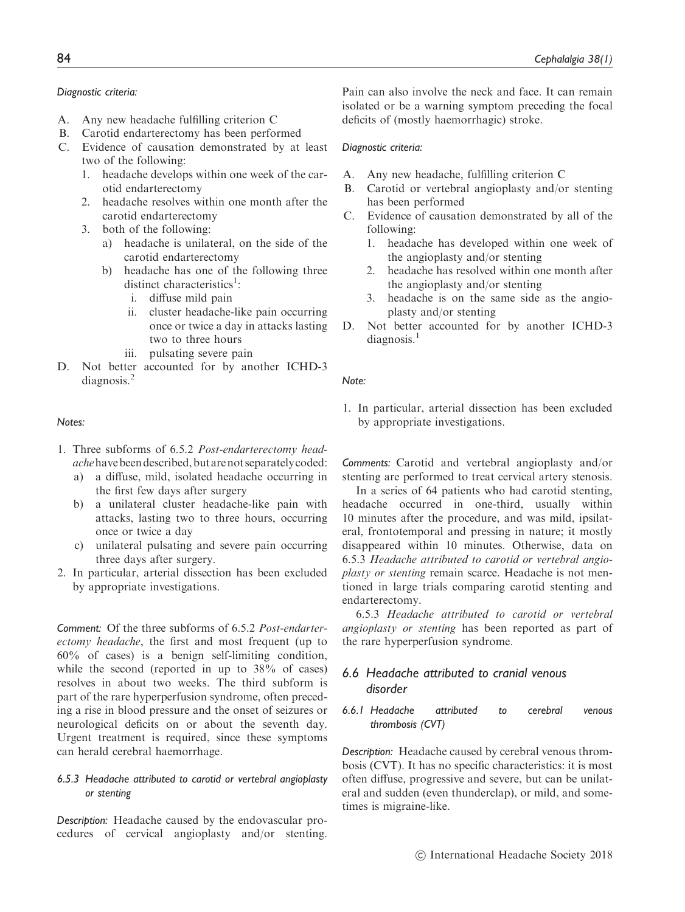- A. Any new headache fulfilling criterion C
- B. Carotid endarterectomy has been performed
- C. Evidence of causation demonstrated by at least two of the following:
	- 1. headache develops within one week of the carotid endarterectomy
	- 2. headache resolves within one month after the carotid endarterectomy
	- 3. both of the following:
		- a) headache is unilateral, on the side of the carotid endarterectomy
		- b) headache has one of the following three distinct characteristics<sup>1</sup>:
			- i. diffuse mild pain
			- ii. cluster headache-like pain occurring once or twice a day in attacks lasting two to three hours
			- iii. pulsating severe pain
- D. Not better accounted for by another ICHD-3 diagnosis.<sup>2</sup>

# Notes:

- 1. Three subforms of 6.5.2 Post-endarterectomy headachehavebeendescribed, butarenot separatelycoded:
	- a) a diffuse, mild, isolated headache occurring in the first few days after surgery
	- b) a unilateral cluster headache-like pain with attacks, lasting two to three hours, occurring once or twice a day
	- c) unilateral pulsating and severe pain occurring three days after surgery.
- 2. In particular, arterial dissection has been excluded by appropriate investigations.

Comment: Of the three subforms of 6.5.2 Post-endarterectomy headache, the first and most frequent (up to 60% of cases) is a benign self-limiting condition, while the second (reported in up to 38% of cases) resolves in about two weeks. The third subform is part of the rare hyperperfusion syndrome, often preceding a rise in blood pressure and the onset of seizures or neurological deficits on or about the seventh day. Urgent treatment is required, since these symptoms can herald cerebral haemorrhage.

# 6.5.3 Headache attributed to carotid or vertebral angioplasty or stenting

Description: Headache caused by the endovascular procedures of cervical angioplasty and/or stenting. Pain can also involve the neck and face. It can remain isolated or be a warning symptom preceding the focal deficits of (mostly haemorrhagic) stroke.

# Diagnostic criteria:

- A. Any new headache, fulfilling criterion C
- B. Carotid or vertebral angioplasty and/or stenting has been performed
- C. Evidence of causation demonstrated by all of the following:
	- 1. headache has developed within one week of the angioplasty and/or stenting
	- 2. headache has resolved within one month after the angioplasty and/or stenting
	- 3. headache is on the same side as the angioplasty and/or stenting
- D. Not better accounted for by another ICHD-3 diagnosis.<sup>1</sup>

## Note:

1. In particular, arterial dissection has been excluded by appropriate investigations.

Comments: Carotid and vertebral angioplasty and/or stenting are performed to treat cervical artery stenosis.

In a series of 64 patients who had carotid stenting, headache occurred in one-third, usually within 10 minutes after the procedure, and was mild, ipsilateral, frontotemporal and pressing in nature; it mostly disappeared within 10 minutes. Otherwise, data on 6.5.3 Headache attributed to carotid or vertebral angioplasty or stenting remain scarce. Headache is not mentioned in large trials comparing carotid stenting and endarterectomy.

6.5.3 Headache attributed to carotid or vertebral angioplasty or stenting has been reported as part of the rare hyperperfusion syndrome.

# 6.6 Headache attributed to cranial venous disorder

6.6.1 Headache attributed to cerebral venous thrombosis (CVT)

Description: Headache caused by cerebral venous thrombosis (CVT). It has no specific characteristics: it is most often diffuse, progressive and severe, but can be unilateral and sudden (even thunderclap), or mild, and sometimes is migraine-like.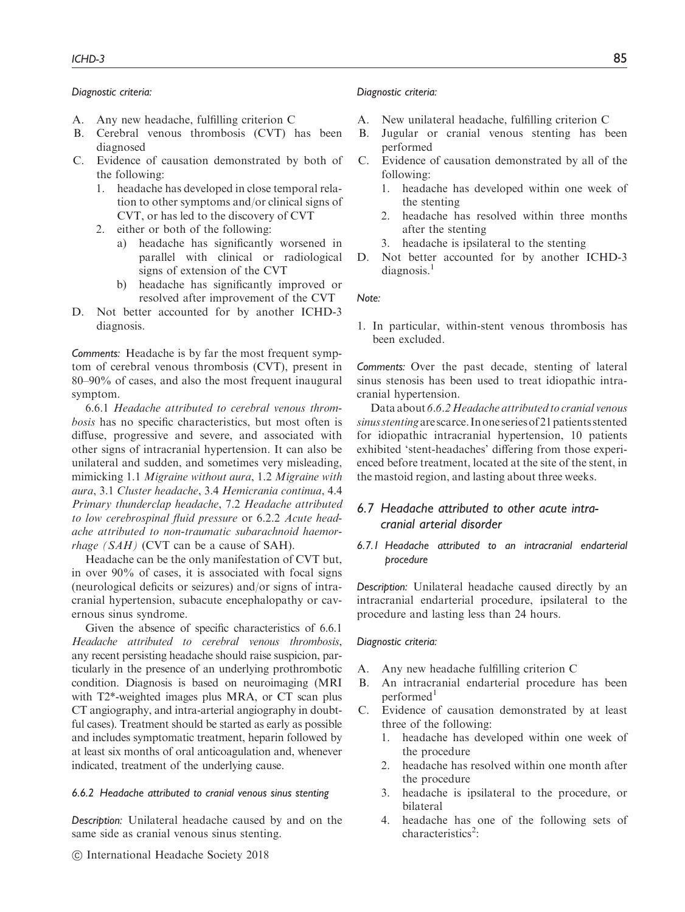- A. Any new headache, fulfilling criterion C
- B. Cerebral venous thrombosis (CVT) has been diagnosed
- C. Evidence of causation demonstrated by both of the following:
	- 1. headache has developed in close temporal relation to other symptoms and/or clinical signs of CVT, or has led to the discovery of CVT
	- 2. either or both of the following:
		- a) headache has significantly worsened in parallel with clinical or radiological signs of extension of the CVT
		- b) headache has significantly improved or resolved after improvement of the CVT
- D. Not better accounted for by another ICHD-3 diagnosis.

Comments: Headache is by far the most frequent symptom of cerebral venous thrombosis (CVT), present in 80–90% of cases, and also the most frequent inaugural symptom.

6.6.1 Headache attributed to cerebral venous thrombosis has no specific characteristics, but most often is diffuse, progressive and severe, and associated with other signs of intracranial hypertension. It can also be unilateral and sudden, and sometimes very misleading, mimicking 1.1 Migraine without aura, 1.2 Migraine with aura, 3.1 Cluster headache, 3.4 Hemicrania continua, 4.4 Primary thunderclap headache, 7.2 Headache attributed to low cerebrospinal fluid pressure or 6.2.2 Acute headache attributed to non-traumatic subarachnoid haemorrhage (SAH) (CVT can be a cause of SAH).

Headache can be the only manifestation of CVT but, in over 90% of cases, it is associated with focal signs (neurological deficits or seizures) and/or signs of intracranial hypertension, subacute encephalopathy or cavernous sinus syndrome.

Given the absence of specific characteristics of 6.6.1 Headache attributed to cerebral venous thrombosis, any recent persisting headache should raise suspicion, particularly in the presence of an underlying prothrombotic condition. Diagnosis is based on neuroimaging (MRI with T2\*-weighted images plus MRA, or CT scan plus CT angiography, and intra-arterial angiography in doubtful cases). Treatment should be started as early as possible and includes symptomatic treatment, heparin followed by at least six months of oral anticoagulation and, whenever indicated, treatment of the underlying cause.

#### 6.6.2 Headache attributed to cranial venous sinus stenting

Description: Unilateral headache caused by and on the same side as cranial venous sinus stenting.

! International Headache Society 2018

#### Diagnostic criteria:

- A. New unilateral headache, fulfilling criterion C
- B. Jugular or cranial venous stenting has been performed
- C. Evidence of causation demonstrated by all of the following:
	- 1. headache has developed within one week of the stenting
	- 2. headache has resolved within three months after the stenting
	- 3. headache is ipsilateral to the stenting
- D. Not better accounted for by another ICHD-3  $diagonosis.<sup>1</sup>$

Note:

1. In particular, within-stent venous thrombosis has been excluded.

Comments: Over the past decade, stenting of lateral sinus stenosis has been used to treat idiopathic intracranial hypertension.

Data about 6.6.2 Headache attributed to cranial venous sinus stenting are scarce. In one series of 21 patients stented for idiopathic intracranial hypertension, 10 patients exhibited 'stent-headaches' differing from those experienced before treatment, located at the site of the stent, in the mastoid region, and lasting about three weeks.

# 6.7 Headache attributed to other acute intracranial arterial disorder

## 6.7.1 Headache attributed to an intracranial endarterial procedure

Description: Unilateral headache caused directly by an intracranial endarterial procedure, ipsilateral to the procedure and lasting less than 24 hours.

- A. Any new headache fulfilling criterion C
- B. An intracranial endarterial procedure has been  $performed<sup>1</sup>$
- C. Evidence of causation demonstrated by at least three of the following:
	- 1. headache has developed within one week of the procedure
	- 2. headache has resolved within one month after the procedure
	- 3. headache is ipsilateral to the procedure, or bilateral
	- 4. headache has one of the following sets of characteristics<sup>2</sup>: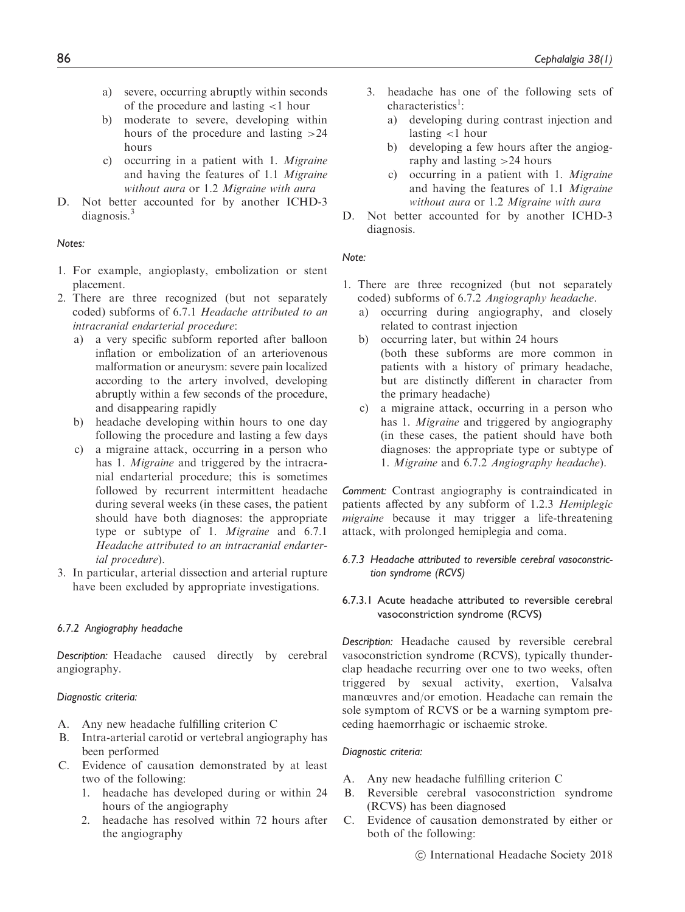- a) severe, occurring abruptly within seconds of the procedure and lasting <1 hour
- b) moderate to severe, developing within hours of the procedure and lasting  $>24$ hours
- c) occurring in a patient with 1. Migraine and having the features of 1.1 Migraine without aura or 1.2 Migraine with aura
- D. Not better accounted for by another ICHD-3 diagnosis.<sup>3</sup>

### Notes:

- 1. For example, angioplasty, embolization or stent placement.
- 2. There are three recognized (but not separately coded) subforms of 6.7.1 Headache attributed to an intracranial endarterial procedure:
	- a) a very specific subform reported after balloon inflation or embolization of an arteriovenous malformation or aneurysm: severe pain localized according to the artery involved, developing abruptly within a few seconds of the procedure, and disappearing rapidly
	- b) headache developing within hours to one day following the procedure and lasting a few days
	- c) a migraine attack, occurring in a person who has 1. *Migraine* and triggered by the intracranial endarterial procedure; this is sometimes followed by recurrent intermittent headache during several weeks (in these cases, the patient should have both diagnoses: the appropriate type or subtype of 1. Migraine and 6.7.1 Headache attributed to an intracranial endarterial procedure).
- 3. In particular, arterial dissection and arterial rupture have been excluded by appropriate investigations.

# 6.7.2 Angiography headache

Description: Headache caused directly by cerebral angiography.

### Diagnostic criteria:

- A. Any new headache fulfilling criterion C
- B. Intra-arterial carotid or vertebral angiography has been performed
- C. Evidence of causation demonstrated by at least two of the following:
	- 1. headache has developed during or within 24 hours of the angiography
	- 2. headache has resolved within 72 hours after the angiography
- 3. headache has one of the following sets of characteristics<sup>1</sup>:
	- a) developing during contrast injection and lasting <1 hour
	- b) developing a few hours after the angiography and lasting >24 hours
	- c) occurring in a patient with 1. Migraine and having the features of 1.1 Migraine without aura or 1.2 Migraine with aura
- D. Not better accounted for by another ICHD-3 diagnosis.

### Note:

- 1. There are three recognized (but not separately coded) subforms of 6.7.2 Angiography headache.
	- a) occurring during angiography, and closely related to contrast injection
	- b) occurring later, but within 24 hours (both these subforms are more common in patients with a history of primary headache, but are distinctly different in character from the primary headache)
	- c) a migraine attack, occurring in a person who has 1. *Migraine* and triggered by angiography (in these cases, the patient should have both diagnoses: the appropriate type or subtype of 1. Migraine and 6.7.2 Angiography headache).

Comment: Contrast angiography is contraindicated in patients affected by any subform of 1.2.3 Hemiplegic migraine because it may trigger a life-threatening attack, with prolonged hemiplegia and coma.

6.7.3 Headache attributed to reversible cerebral vasoconstriction syndrome (RCVS)

## 6.7.3.1 Acute headache attributed to reversible cerebral vasoconstriction syndrome (RCVS)

Description: Headache caused by reversible cerebral vasoconstriction syndrome (RCVS), typically thunderclap headache recurring over one to two weeks, often triggered by sexual activity, exertion, Valsalva manœuvres and/or emotion. Headache can remain the sole symptom of RCVS or be a warning symptom preceding haemorrhagic or ischaemic stroke.

- A. Any new headache fulfilling criterion C
- B. Reversible cerebral vasoconstriction syndrome (RCVS) has been diagnosed
- C. Evidence of causation demonstrated by either or both of the following: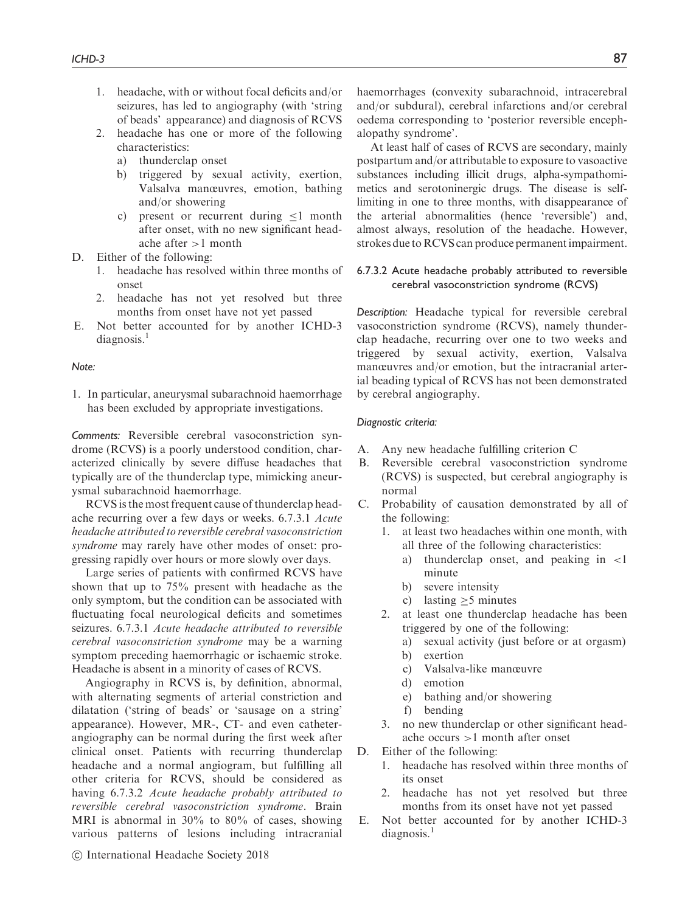- 1. headache, with or without focal deficits and/or seizures, has led to angiography (with 'string of beads' appearance) and diagnosis of RCVS
- 2. headache has one or more of the following characteristics:
	- a) thunderclap onset
	- b) triggered by sexual activity, exertion, Valsalva manœuvres, emotion, bathing and/or showering
	- c) present or recurrent during  $\leq 1$  month after onset, with no new significant headache after  $>1$  month
- D. Either of the following:
	- 1. headache has resolved within three months of onset
	- 2. headache has not yet resolved but three months from onset have not yet passed
- E. Not better accounted for by another ICHD-3 diagnosis.<sup>1</sup>

### Note:

1. In particular, aneurysmal subarachnoid haemorrhage has been excluded by appropriate investigations.

Comments: Reversible cerebral vasoconstriction syndrome (RCVS) is a poorly understood condition, characterized clinically by severe diffuse headaches that typically are of the thunderclap type, mimicking aneurysmal subarachnoid haemorrhage.

RCVS is the most frequent cause of thunderclap headache recurring over a few days or weeks. 6.7.3.1 Acute headache attributed to reversible cerebral vasoconstriction syndrome may rarely have other modes of onset: progressing rapidly over hours or more slowly over days.

Large series of patients with confirmed RCVS have shown that up to 75% present with headache as the only symptom, but the condition can be associated with fluctuating focal neurological deficits and sometimes seizures. 6.7.3.1 Acute headache attributed to reversible cerebral vasoconstriction syndrome may be a warning symptom preceding haemorrhagic or ischaemic stroke. Headache is absent in a minority of cases of RCVS.

Angiography in RCVS is, by definition, abnormal, with alternating segments of arterial constriction and dilatation ('string of beads' or 'sausage on a string' appearance). However, MR-, CT- and even catheterangiography can be normal during the first week after clinical onset. Patients with recurring thunderclap headache and a normal angiogram, but fulfilling all other criteria for RCVS, should be considered as having 6.7.3.2 Acute headache probably attributed to reversible cerebral vasoconstriction syndrome. Brain MRI is abnormal in 30% to 80% of cases, showing various patterns of lesions including intracranial

! International Headache Society 2018

haemorrhages (convexity subarachnoid, intracerebral and/or subdural), cerebral infarctions and/or cerebral oedema corresponding to 'posterior reversible encephalopathy syndrome'.

At least half of cases of RCVS are secondary, mainly postpartum and/or attributable to exposure to vasoactive substances including illicit drugs, alpha-sympathomimetics and serotoninergic drugs. The disease is selflimiting in one to three months, with disappearance of the arterial abnormalities (hence 'reversible') and, almost always, resolution of the headache. However, strokes due to RCVS can produce permanent impairment.

### 6.7.3.2 Acute headache probably attributed to reversible cerebral vasoconstriction syndrome (RCVS)

Description: Headache typical for reversible cerebral vasoconstriction syndrome (RCVS), namely thunderclap headache, recurring over one to two weeks and triggered by sexual activity, exertion, Valsalva manœuvres and/or emotion, but the intracranial arterial beading typical of RCVS has not been demonstrated by cerebral angiography.

- A. Any new headache fulfilling criterion C
- B. Reversible cerebral vasoconstriction syndrome (RCVS) is suspected, but cerebral angiography is normal
- C. Probability of causation demonstrated by all of the following:
	- 1. at least two headaches within one month, with all three of the following characteristics:
		- a) thunderclap onset, and peaking in  $\lt 1$ minute
		- b) severe intensity
		- c) lasting  $\geq$ 5 minutes
	- 2. at least one thunderclap headache has been triggered by one of the following:
		- a) sexual activity (just before or at orgasm)
		- b) exertion
		- c) Valsalva-like manœuvre<br>d) emotion
		- emotion
		- e) bathing and/or showering
		- f) bending
	- 3. no new thunderclap or other significant headache occurs >1 month after onset
- D. Either of the following:
	- 1. headache has resolved within three months of its onset
	- 2. headache has not yet resolved but three months from its onset have not yet passed
- E. Not better accounted for by another ICHD-3 diagnosis.<sup>1</sup>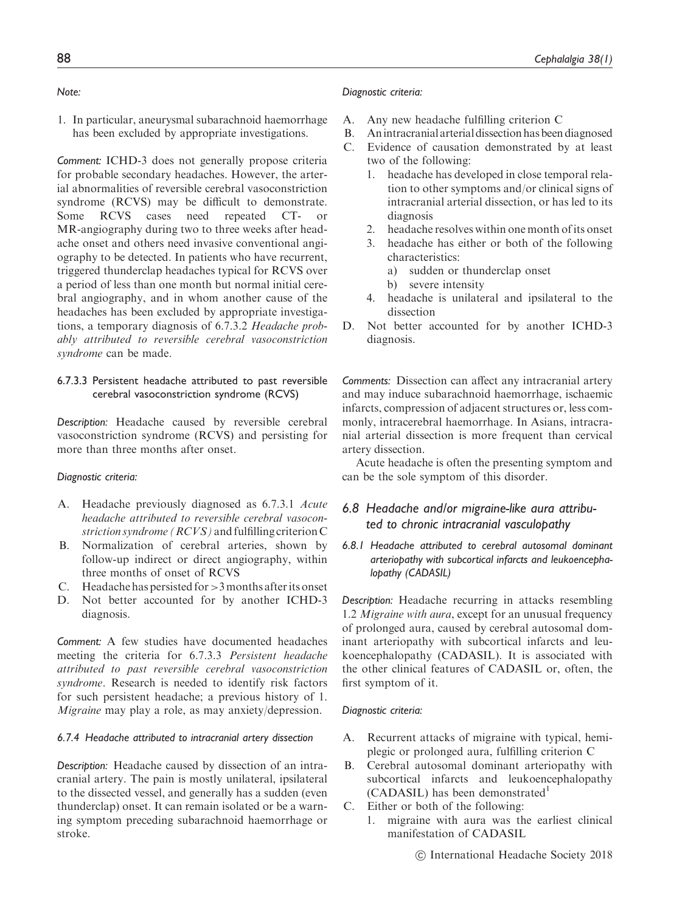### Note:

1. In particular, aneurysmal subarachnoid haemorrhage has been excluded by appropriate investigations.

Comment: ICHD-3 does not generally propose criteria for probable secondary headaches. However, the arterial abnormalities of reversible cerebral vasoconstriction syndrome (RCVS) may be difficult to demonstrate. Some RCVS cases need repeated CT- or MR-angiography during two to three weeks after headache onset and others need invasive conventional angiography to be detected. In patients who have recurrent, triggered thunderclap headaches typical for RCVS over a period of less than one month but normal initial cerebral angiography, and in whom another cause of the headaches has been excluded by appropriate investigations, a temporary diagnosis of 6.7.3.2 Headache probably attributed to reversible cerebral vasoconstriction syndrome can be made.

## 6.7.3.3 Persistent headache attributed to past reversible cerebral vasoconstriction syndrome (RCVS)

Description: Headache caused by reversible cerebral vasoconstriction syndrome (RCVS) and persisting for more than three months after onset.

### Diagnostic criteria:

- A. Headache previously diagnosed as 6.7.3.1 Acute headache attributed to reversible cerebral vasoconstriction syndrome (RCVS) and fulfilling criterion C
- B. Normalization of cerebral arteries, shown by follow-up indirect or direct angiography, within three months of onset of RCVS
- C. Headache has persisted for  $>3$  months after its onset
- D. Not better accounted for by another ICHD-3 diagnosis.

Comment: A few studies have documented headaches meeting the criteria for 6.7.3.3 Persistent headache attributed to past reversible cerebral vasoconstriction syndrome. Research is needed to identify risk factors for such persistent headache; a previous history of 1. Migraine may play a role, as may anxiety/depression.

#### 6.7.4 Headache attributed to intracranial artery dissection

Description: Headache caused by dissection of an intracranial artery. The pain is mostly unilateral, ipsilateral to the dissected vessel, and generally has a sudden (even thunderclap) onset. It can remain isolated or be a warning symptom preceding subarachnoid haemorrhage or stroke.

## Diagnostic criteria:

- A. Any new headache fulfilling criterion C
- B. Anintracranial arterial dissection has been diagnosed
- C. Evidence of causation demonstrated by at least two of the following:
	- 1. headache has developed in close temporal relation to other symptoms and/or clinical signs of intracranial arterial dissection, or has led to its diagnosis
	- 2. headache resolves within one month of its onset
	- headache has either or both of the following characteristics:
		- a) sudden or thunderclap onset
		- b) severe intensity
	- 4. headache is unilateral and ipsilateral to the dissection
- D. Not better accounted for by another ICHD-3 diagnosis.

Comments: Dissection can affect any intracranial artery and may induce subarachnoid haemorrhage, ischaemic infarcts, compression of adjacent structures or, less commonly, intracerebral haemorrhage. In Asians, intracranial arterial dissection is more frequent than cervical artery dissection.

Acute headache is often the presenting symptom and can be the sole symptom of this disorder.

# 6.8 Headache and/or migraine-like aura attributed to chronic intracranial vasculopathy

6.8.1 Headache attributed to cerebral autosomal dominant arteriopathy with subcortical infarcts and leukoencephalopathy (CADASIL)

Description: Headache recurring in attacks resembling 1.2 Migraine with aura, except for an unusual frequency of prolonged aura, caused by cerebral autosomal dominant arteriopathy with subcortical infarcts and leukoencephalopathy (CADASIL). It is associated with the other clinical features of CADASIL or, often, the first symptom of it.

#### Diagnostic criteria:

- A. Recurrent attacks of migraine with typical, hemiplegic or prolonged aura, fulfilling criterion C
- B. Cerebral autosomal dominant arteriopathy with subcortical infarcts and leukoencephalopathy  $(CADASIL)$  has been demonstrated<sup>1</sup>
- C. Either or both of the following:
	- 1. migraine with aura was the earliest clinical manifestation of CADASIL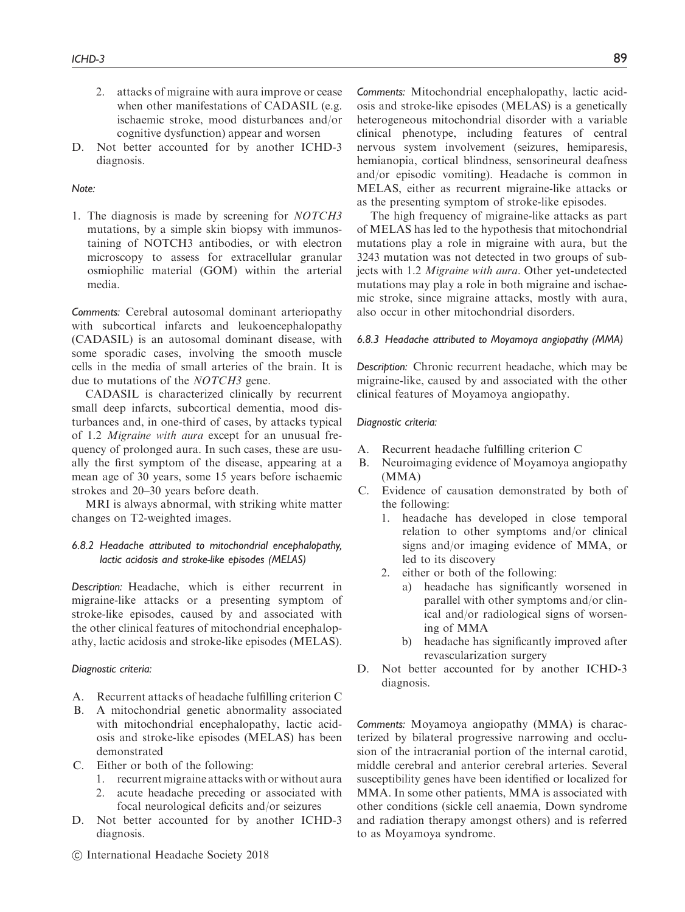- 2. attacks of migraine with aura improve or cease when other manifestations of CADASIL (e.g. ischaemic stroke, mood disturbances and/or cognitive dysfunction) appear and worsen
- D. Not better accounted for by another ICHD-3 diagnosis.

## Note:

1. The diagnosis is made by screening for *NOTCH3* mutations, by a simple skin biopsy with immunostaining of NOTCH3 antibodies, or with electron microscopy to assess for extracellular granular osmiophilic material (GOM) within the arterial media.

Comments: Cerebral autosomal dominant arteriopathy with subcortical infarcts and leukoencephalopathy (CADASIL) is an autosomal dominant disease, with some sporadic cases, involving the smooth muscle cells in the media of small arteries of the brain. It is due to mutations of the *NOTCH3* gene.

CADASIL is characterized clinically by recurrent small deep infarcts, subcortical dementia, mood disturbances and, in one-third of cases, by attacks typical of 1.2 Migraine with aura except for an unusual frequency of prolonged aura. In such cases, these are usually the first symptom of the disease, appearing at a mean age of 30 years, some 15 years before ischaemic strokes and 20–30 years before death.

MRI is always abnormal, with striking white matter changes on T2-weighted images.

## 6.8.2 Headache attributed to mitochondrial encephalopathy, lactic acidosis and stroke-like episodes (MELAS)

Description: Headache, which is either recurrent in migraine-like attacks or a presenting symptom of stroke-like episodes, caused by and associated with the other clinical features of mitochondrial encephalopathy, lactic acidosis and stroke-like episodes (MELAS).

### Diagnostic criteria:

- A. Recurrent attacks of headache fulfilling criterion C
- B. A mitochondrial genetic abnormality associated with mitochondrial encephalopathy, lactic acidosis and stroke-like episodes (MELAS) has been demonstrated
- C. Either or both of the following:
	- 1. recurrent migraine attacks with or without aura
	- 2. acute headache preceding or associated with focal neurological deficits and/or seizures
- D. Not better accounted for by another ICHD-3 diagnosis.
- ! International Headache Society 2018

Comments: Mitochondrial encephalopathy, lactic acidosis and stroke-like episodes (MELAS) is a genetically heterogeneous mitochondrial disorder with a variable clinical phenotype, including features of central nervous system involvement (seizures, hemiparesis, hemianopia, cortical blindness, sensorineural deafness and/or episodic vomiting). Headache is common in MELAS, either as recurrent migraine-like attacks or as the presenting symptom of stroke-like episodes.

The high frequency of migraine-like attacks as part of MELAS has led to the hypothesis that mitochondrial mutations play a role in migraine with aura, but the 3243 mutation was not detected in two groups of subjects with 1.2 Migraine with aura. Other yet-undetected mutations may play a role in both migraine and ischaemic stroke, since migraine attacks, mostly with aura, also occur in other mitochondrial disorders.

#### 6.8.3 Headache attributed to Moyamoya angiopathy (MMA)

Description: Chronic recurrent headache, which may be migraine-like, caused by and associated with the other clinical features of Moyamoya angiopathy.

#### Diagnostic criteria:

- A. Recurrent headache fulfilling criterion C
- B. Neuroimaging evidence of Moyamoya angiopathy (MMA)
- C. Evidence of causation demonstrated by both of the following:
	- 1. headache has developed in close temporal relation to other symptoms and/or clinical signs and/or imaging evidence of MMA, or led to its discovery
	- 2. either or both of the following:
		- a) headache has significantly worsened in parallel with other symptoms and/or clinical and/or radiological signs of worsening of MMA
		- b) headache has significantly improved after revascularization surgery
- D. Not better accounted for by another ICHD-3 diagnosis.

Comments: Moyamoya angiopathy (MMA) is characterized by bilateral progressive narrowing and occlusion of the intracranial portion of the internal carotid, middle cerebral and anterior cerebral arteries. Several susceptibility genes have been identified or localized for MMA. In some other patients, MMA is associated with other conditions (sickle cell anaemia, Down syndrome and radiation therapy amongst others) and is referred to as Moyamoya syndrome.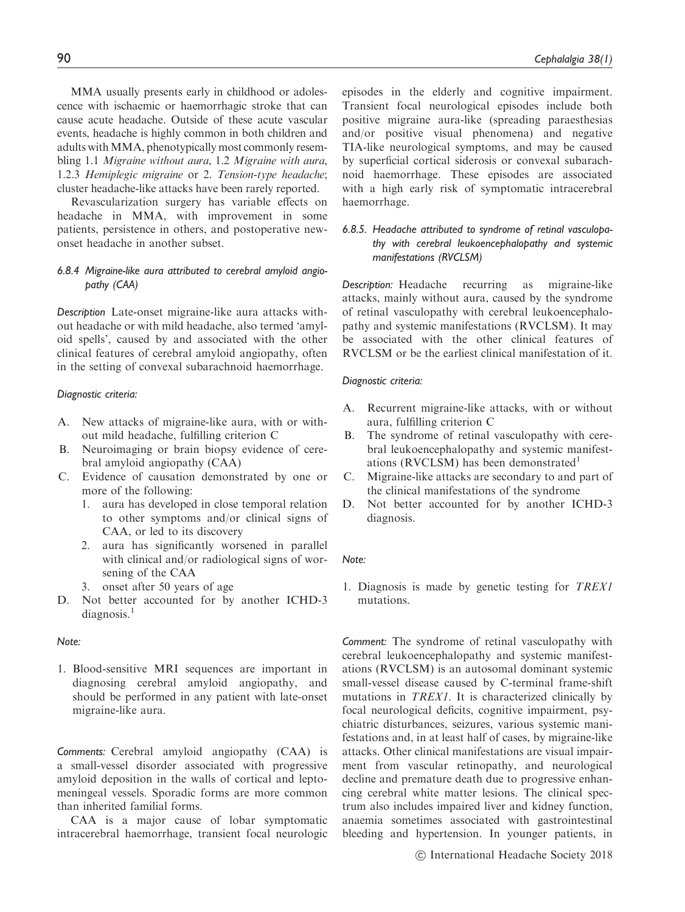MMA usually presents early in childhood or adolescence with ischaemic or haemorrhagic stroke that can cause acute headache. Outside of these acute vascular events, headache is highly common in both children and adults with MMA, phenotypically most commonly resembling 1.1 Migraine without aura, 1.2 Migraine with aura, 1.2.3 Hemiplegic migraine or 2. Tension-type headache; cluster headache-like attacks have been rarely reported.

Revascularization surgery has variable effects on headache in MMA, with improvement in some patients, persistence in others, and postoperative newonset headache in another subset.

## 6.8.4 Migraine-like aura attributed to cerebral amyloid angiopathy (CAA)

Description Late-onset migraine-like aura attacks without headache or with mild headache, also termed 'amyloid spells', caused by and associated with the other clinical features of cerebral amyloid angiopathy, often in the setting of convexal subarachnoid haemorrhage.

### Diagnostic criteria:

- A. New attacks of migraine-like aura, with or without mild headache, fulfilling criterion C
- B. Neuroimaging or brain biopsy evidence of cerebral amyloid angiopathy (CAA)
- C. Evidence of causation demonstrated by one or more of the following:
	- 1. aura has developed in close temporal relation to other symptoms and/or clinical signs of CAA, or led to its discovery
	- 2. aura has significantly worsened in parallel with clinical and/or radiological signs of worsening of the CAA
	- 3. onset after 50 years of age
- D. Not better accounted for by another ICHD-3 diagnosis.<sup>1</sup>

#### Note:

1. Blood-sensitive MRI sequences are important in diagnosing cerebral amyloid angiopathy, and should be performed in any patient with late-onset migraine-like aura.

Comments: Cerebral amyloid angiopathy (CAA) is a small-vessel disorder associated with progressive amyloid deposition in the walls of cortical and leptomeningeal vessels. Sporadic forms are more common than inherited familial forms.

CAA is a major cause of lobar symptomatic intracerebral haemorrhage, transient focal neurologic episodes in the elderly and cognitive impairment. Transient focal neurological episodes include both positive migraine aura-like (spreading paraesthesias and/or positive visual phenomena) and negative TIA-like neurological symptoms, and may be caused by superficial cortical siderosis or convexal subarachnoid haemorrhage. These episodes are associated with a high early risk of symptomatic intracerebral haemorrhage.

# 6.8.5. Headache attributed to syndrome of retinal vasculopathy with cerebral leukoencephalopathy and systemic manifestations (RVCLSM)

Description: Headache recurring as migraine-like attacks, mainly without aura, caused by the syndrome of retinal vasculopathy with cerebral leukoencephalopathy and systemic manifestations (RVCLSM). It may be associated with the other clinical features of RVCLSM or be the earliest clinical manifestation of it.

### Diagnostic criteria:

- A. Recurrent migraine-like attacks, with or without aura, fulfilling criterion C
- B. The syndrome of retinal vasculopathy with cerebral leukoencephalopathy and systemic manifestations (RVCLSM) has been demonstrated<sup>1</sup>
- C. Migraine-like attacks are secondary to and part of the clinical manifestations of the syndrome
- D. Not better accounted for by another ICHD-3 diagnosis.

#### Note:

1. Diagnosis is made by genetic testing for TREX1 mutations.

Comment: The syndrome of retinal vasculopathy with cerebral leukoencephalopathy and systemic manifestations (RVCLSM) is an autosomal dominant systemic small-vessel disease caused by C-terminal frame-shift mutations in TREX1. It is characterized clinically by focal neurological deficits, cognitive impairment, psychiatric disturbances, seizures, various systemic manifestations and, in at least half of cases, by migraine-like attacks. Other clinical manifestations are visual impairment from vascular retinopathy, and neurological decline and premature death due to progressive enhancing cerebral white matter lesions. The clinical spectrum also includes impaired liver and kidney function, anaemia sometimes associated with gastrointestinal bleeding and hypertension. In younger patients, in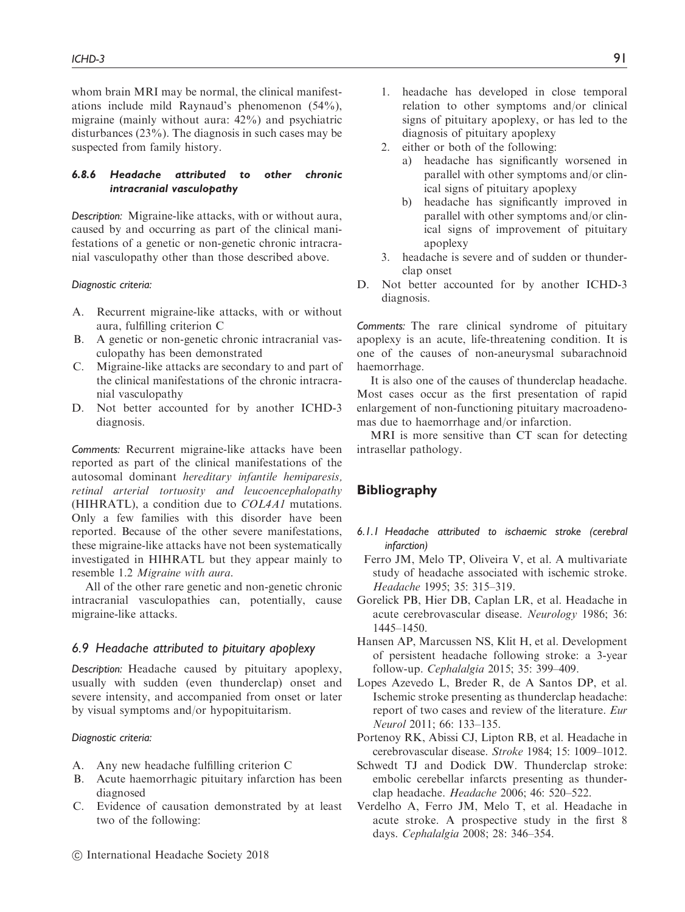whom brain MRI may be normal, the clinical manifestations include mild Raynaud's phenomenon (54%), migraine (mainly without aura: 42%) and psychiatric disturbances (23%). The diagnosis in such cases may be suspected from family history.

# 6.8.6 Headache attributed to other chronic intracranial vasculopathy

Description: Migraine-like attacks, with or without aura, caused by and occurring as part of the clinical manifestations of a genetic or non-genetic chronic intracranial vasculopathy other than those described above.

Diagnostic criteria:

- A. Recurrent migraine-like attacks, with or without aura, fulfilling criterion C
- B. A genetic or non-genetic chronic intracranial vasculopathy has been demonstrated
- C. Migraine-like attacks are secondary to and part of the clinical manifestations of the chronic intracranial vasculopathy
- D. Not better accounted for by another ICHD-3 diagnosis.

Comments: Recurrent migraine-like attacks have been reported as part of the clinical manifestations of the autosomal dominant hereditary infantile hemiparesis, retinal arterial tortuosity and leucoencephalopathy (HIHRATL), a condition due to COL4A1 mutations. Only a few families with this disorder have been reported. Because of the other severe manifestations, these migraine-like attacks have not been systematically investigated in HIHRATL but they appear mainly to resemble 1.2 Migraine with aura.

All of the other rare genetic and non-genetic chronic intracranial vasculopathies can, potentially, cause migraine-like attacks.

# 6.9 Headache attributed to pituitary apoplexy

Description: Headache caused by pituitary apoplexy, usually with sudden (even thunderclap) onset and severe intensity, and accompanied from onset or later by visual symptoms and/or hypopituitarism.

### Diagnostic criteria:

- A. Any new headache fulfilling criterion C
- B. Acute haemorrhagic pituitary infarction has been diagnosed
- C. Evidence of causation demonstrated by at least two of the following:
- ! International Headache Society 2018
- 1. headache has developed in close temporal relation to other symptoms and/or clinical signs of pituitary apoplexy, or has led to the diagnosis of pituitary apoplexy
- 2. either or both of the following:
	- a) headache has significantly worsened in parallel with other symptoms and/or clinical signs of pituitary apoplexy
	- b) headache has significantly improved in parallel with other symptoms and/or clinical signs of improvement of pituitary apoplexy
- 3. headache is severe and of sudden or thunderclap onset
- D. Not better accounted for by another ICHD-3 diagnosis.

Comments: The rare clinical syndrome of pituitary apoplexy is an acute, life-threatening condition. It is one of the causes of non-aneurysmal subarachnoid haemorrhage.

It is also one of the causes of thunderclap headache. Most cases occur as the first presentation of rapid enlargement of non-functioning pituitary macroadenomas due to haemorrhage and/or infarction.

MRI is more sensitive than CT scan for detecting intrasellar pathology.

# **Bibliography**

- 6.1.1 Headache attributed to ischaemic stroke (cerebral infarction)
- Ferro JM, Melo TP, Oliveira V, et al. A multivariate study of headache associated with ischemic stroke. Headache 1995; 35: 315–319.
- Gorelick PB, Hier DB, Caplan LR, et al. Headache in acute cerebrovascular disease. Neurology 1986; 36: 1445–1450.
- Hansen AP, Marcussen NS, Klit H, et al. Development of persistent headache following stroke: a 3-year follow-up. Cephalalgia 2015; 35: 399–409.
- Lopes Azevedo L, Breder R, de A Santos DP, et al. Ischemic stroke presenting as thunderclap headache: report of two cases and review of the literature. Eur Neurol 2011; 66: 133–135.
- Portenoy RK, Abissi CJ, Lipton RB, et al. Headache in cerebrovascular disease. Stroke 1984; 15: 1009–1012.
- Schwedt TJ and Dodick DW. Thunderclap stroke: embolic cerebellar infarcts presenting as thunderclap headache. Headache 2006; 46: 520–522.
- Verdelho A, Ferro JM, Melo T, et al. Headache in acute stroke. A prospective study in the first 8 days. Cephalalgia 2008; 28: 346–354.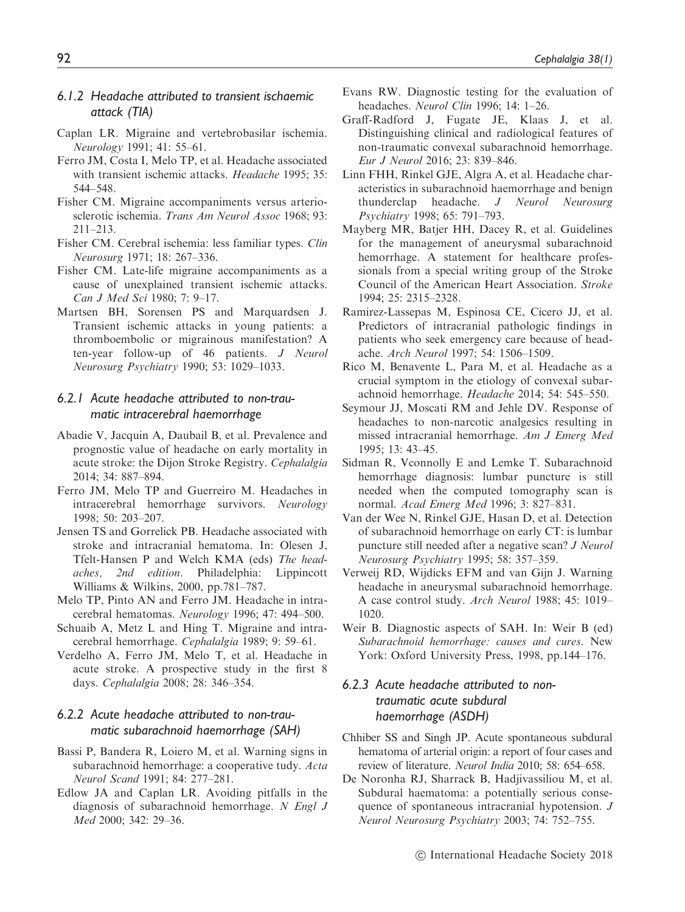# 6.1.2 Headache attributed to transient ischaemic attack (TIA)

- Caplan LR. Migraine and vertebrobasilar ischemia. Neurology 1991; 41: 55–61.
- Ferro JM, Costa I, Melo TP, et al. Headache associated with transient ischemic attacks. Headache 1995; 35: 544–548.
- Fisher CM. Migraine accompaniments versus arteriosclerotic ischemia. Trans Am Neurol Assoc 1968; 93: 211–213.
- Fisher CM. Cerebral ischemia: less familiar types. Clin Neurosurg 1971; 18: 267–336.
- Fisher CM. Late-life migraine accompaniments as a cause of unexplained transient ischemic attacks. Can J Med Sci 1980; 7: 9–17.
- Martsen BH, Sorensen PS and Marquardsen J. Transient ischemic attacks in young patients: a thromboembolic or migrainous manifestation? A ten-year follow-up of 46 patients. J Neurol Neurosurg Psychiatry 1990; 53: 1029–1033.

# 6.2.1 Acute headache attributed to non-traumatic intracerebral haemorrhage

- Abadie V, Jacquin A, Daubail B, et al. Prevalence and prognostic value of headache on early mortality in acute stroke: the Dijon Stroke Registry. Cephalalgia 2014; 34: 887–894.
- Ferro JM, Melo TP and Guerreiro M. Headaches in intracerebral hemorrhage survivors. Neurology 1998; 50: 203–207.
- Jensen TS and Gorrelick PB. Headache associated with stroke and intracranial hematoma. In: Olesen J, Tfelt-Hansen P and Welch KMA (eds) The headaches, 2nd edition. Philadelphia: Lippincott Williams & Wilkins, 2000, pp.781–787.
- Melo TP, Pinto AN and Ferro JM. Headache in intracerebral hematomas. Neurology 1996; 47: 494–500.
- Schuaib A, Metz L and Hing T. Migraine and intracerebral hemorrhage. Cephalalgia 1989; 9: 59–61.
- Verdelho A, Ferro JM, Melo T, et al. Headache in acute stroke. A prospective study in the first 8 days. Cephalalgia 2008; 28: 346–354.

# 6.2.2 Acute headache attributed to non-traumatic subarachnoid haemorrhage (SAH)

- Bassi P, Bandera R, Loiero M, et al. Warning signs in subarachnoid hemorrhage: a cooperative tudy. Acta Neurol Scand 1991; 84: 277–281.
- Edlow JA and Caplan LR. Avoiding pitfalls in the diagnosis of subarachnoid hemorrhage. N Engl J Med 2000; 342: 29–36.
- Evans RW. Diagnostic testing for the evaluation of headaches. Neurol Clin 1996; 14: 1–26.
- Graff-Radford J, Fugate JE, Klaas J, et al. Distinguishing clinical and radiological features of non-traumatic convexal subarachnoid hemorrhage. Eur J Neurol 2016; 23: 839–846.
- Linn FHH, Rinkel GJE, Algra A, et al. Headache characteristics in subarachnoid haemorrhage and benign thunderclap headache. J Neurol Neurosurg Psychiatry 1998; 65: 791–793.
- Mayberg MR, Batjer HH, Dacey R, et al. Guidelines for the management of aneurysmal subarachnoid hemorrhage. A statement for healthcare professionals from a special writing group of the Stroke Council of the American Heart Association. Stroke 1994; 25: 2315–2328.
- Ramirez-Lassepas M, Espinosa CE, Cicero JJ, et al. Predictors of intracranial pathologic findings in patients who seek emergency care because of headache. Arch Neurol 1997; 54: 1506–1509.
- Rico M, Benavente L, Para M, et al. Headache as a crucial symptom in the etiology of convexal subarachnoid hemorrhage. Headache 2014; 54: 545–550.
- Seymour JJ, Moscati RM and Jehle DV. Response of headaches to non-narcotic analgesics resulting in missed intracranial hemorrhage. Am J Emerg Med 1995; 13: 43–45.
- Sidman R, Vconnolly E and Lemke T. Subarachnoid hemorrhage diagnosis: lumbar puncture is still needed when the computed tomography scan is normal. Acad Emerg Med 1996; 3: 827–831.
- Van der Wee N, Rinkel GJE, Hasan D, et al. Detection of subarachnoid hemorrhage on early CT: is lumbar puncture still needed after a negative scan? J Neurol Neurosurg Psychiatry 1995; 58: 357–359.
- Verweij RD, Wijdicks EFM and van Gijn J. Warning headache in aneurysmal subarachnoid hemorrhage. A case control study. Arch Neurol 1988; 45: 1019– 1020.
- Weir B. Diagnostic aspects of SAH. In: Weir B (ed) Subarachnoid hemorrhage: causes and cures. New York: Oxford University Press, 1998, pp.144–176.

# 6.2.3 Acute headache attributed to nontraumatic acute subdural haemorrhage (ASDH)

- Chhiber SS and Singh JP. Acute spontaneous subdural hematoma of arterial origin: a report of four cases and review of literature. Neurol India 2010; 58: 654–658.
- De Noronha RJ, Sharrack B, Hadjivassiliou M, et al. Subdural haematoma: a potentially serious consequence of spontaneous intracranial hypotension. J Neurol Neurosurg Psychiatry 2003; 74: 752–755.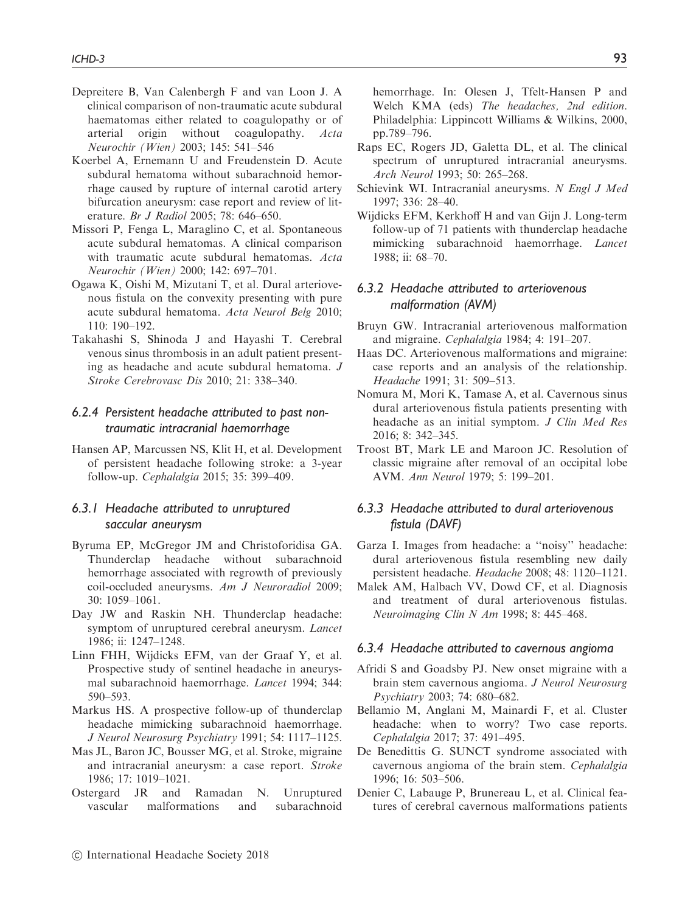- Depreitere B, Van Calenbergh F and van Loon J. A clinical comparison of non-traumatic acute subdural haematomas either related to coagulopathy or of arterial origin without coagulopathy. Acta Neurochir (Wien) 2003; 145: 541–546
- Koerbel A, Ernemann U and Freudenstein D. Acute subdural hematoma without subarachnoid hemorrhage caused by rupture of internal carotid artery bifurcation aneurysm: case report and review of literature. Br J Radiol 2005; 78: 646–650.
- Missori P, Fenga L, Maraglino C, et al. Spontaneous acute subdural hematomas. A clinical comparison with traumatic acute subdural hematomas. Acta Neurochir (Wien) 2000; 142: 697–701.
- Ogawa K, Oishi M, Mizutani T, et al. Dural arteriovenous fistula on the convexity presenting with pure acute subdural hematoma. Acta Neurol Belg 2010; 110: 190–192.
- Takahashi S, Shinoda J and Hayashi T. Cerebral venous sinus thrombosis in an adult patient presenting as headache and acute subdural hematoma. J Stroke Cerebrovasc Dis 2010; 21: 338–340.

# 6.2.4 Persistent headache attributed to past nontraumatic intracranial haemorrhage

Hansen AP, Marcussen NS, Klit H, et al. Development of persistent headache following stroke: a 3-year follow-up. Cephalalgia 2015; 35: 399–409.

# 6.3.1 Headache attributed to unruptured saccular aneurysm

- Byruma EP, McGregor JM and Christoforidisa GA. Thunderclap headache without subarachnoid hemorrhage associated with regrowth of previously coil-occluded aneurysms. Am J Neuroradiol 2009; 30: 1059–1061.
- Day JW and Raskin NH. Thunderclap headache: symptom of unruptured cerebral aneurysm. Lancet 1986; ii: 1247–1248.
- Linn FHH, Wijdicks EFM, van der Graaf Y, et al. Prospective study of sentinel headache in aneurysmal subarachnoid haemorrhage. Lancet 1994; 344: 590–593.
- Markus HS. A prospective follow-up of thunderclap headache mimicking subarachnoid haemorrhage. J Neurol Neurosurg Psychiatry 1991; 54: 1117–1125.
- Mas JL, Baron JC, Bousser MG, et al. Stroke, migraine and intracranial aneurysm: a case report. Stroke 1986; 17: 1019–1021.
- Ostergard JR and Ramadan N. Unruptured vascular malformations and subarachnoid

hemorrhage. In: Olesen J, Tfelt-Hansen P and Welch KMA (eds) The headaches, 2nd edition. Philadelphia: Lippincott Williams & Wilkins, 2000, pp.789–796.

- Raps EC, Rogers JD, Galetta DL, et al. The clinical spectrum of unruptured intracranial aneurysms. Arch Neurol 1993; 50: 265–268.
- Schievink WI. Intracranial aneurysms. N Engl J Med 1997; 336: 28–40.
- Wijdicks EFM, Kerkhoff H and van Gijn J. Long-term follow-up of 71 patients with thunderclap headache mimicking subarachnoid haemorrhage. Lancet 1988; ii: 68–70.

# 6.3.2 Headache attributed to arteriovenous malformation (AVM)

- Bruyn GW. Intracranial arteriovenous malformation and migraine. Cephalalgia 1984; 4: 191–207.
- Haas DC. Arteriovenous malformations and migraine: case reports and an analysis of the relationship. Headache 1991; 31: 509–513.
- Nomura M, Mori K, Tamase A, et al. Cavernous sinus dural arteriovenous fistula patients presenting with headache as an initial symptom. J Clin Med Res 2016; 8: 342–345.
- Troost BT, Mark LE and Maroon JC. Resolution of classic migraine after removal of an occipital lobe AVM. Ann Neurol 1979; 5: 199–201.

# 6.3.3 Headache attributed to dural arteriovenous fistula (DAVF)

- Garza I. Images from headache: a ''noisy'' headache: dural arteriovenous fistula resembling new daily persistent headache. Headache 2008; 48: 1120–1121.
- Malek AM, Halbach VV, Dowd CF, et al. Diagnosis and treatment of dural arteriovenous fistulas. Neuroimaging Clin N Am 1998; 8: 445–468.

# 6.3.4 Headache attributed to cavernous angioma

- Afridi S and Goadsby PJ. New onset migraine with a brain stem cavernous angioma. J Neurol Neurosurg Psychiatry 2003; 74: 680–682.
- Bellamio M, Anglani M, Mainardi F, et al. Cluster headache: when to worry? Two case reports. Cephalalgia 2017; 37: 491–495.
- De Benedittis G. SUNCT syndrome associated with cavernous angioma of the brain stem. Cephalalgia 1996; 16: 503–506.
- Denier C, Labauge P, Brunereau L, et al. Clinical features of cerebral cavernous malformations patients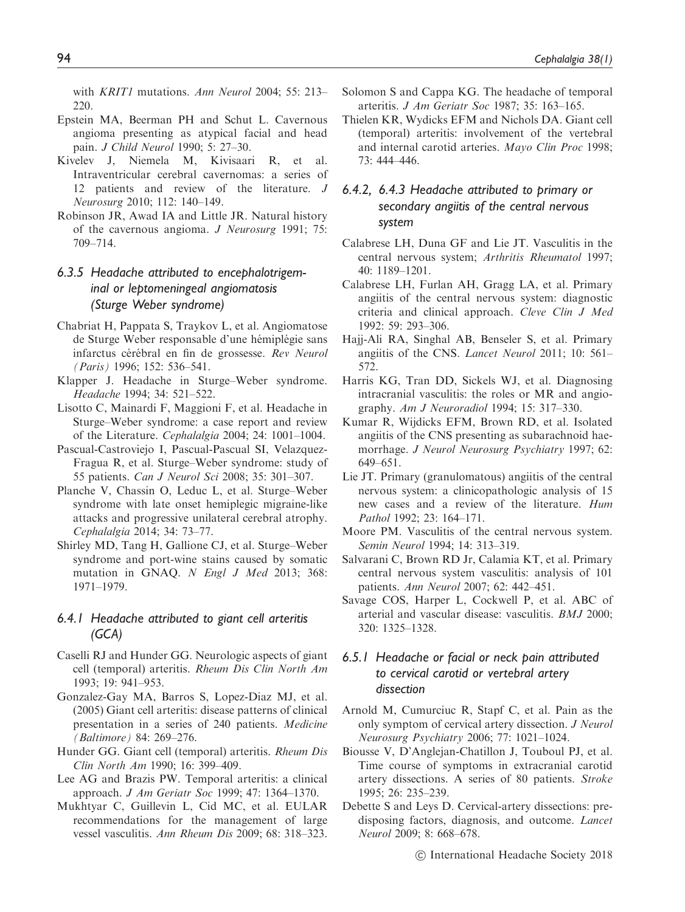with *KRIT1* mutations. Ann Neurol 2004: 55: 213– 220.

- Epstein MA, Beerman PH and Schut L. Cavernous angioma presenting as atypical facial and head pain. J Child Neurol 1990; 5: 27–30.
- Kivelev J, Niemela M, Kivisaari R, et al. Intraventricular cerebral cavernomas: a series of 12 patients and review of the literature. J Neurosurg 2010; 112: 140–149.
- Robinson JR, Awad IA and Little JR. Natural history of the cavernous angioma. J Neurosurg 1991; 75: 709–714.

# 6.3.5 Headache attributed to encephalotrigeminal or leptomeningeal angiomatosis (Sturge Weber syndrome)

- Chabriat H, Pappata S, Traykov L, et al. Angiomatose de Sturge Weber responsable d'une hémiplégie sans infarctus cérébral en fin de grossesse. Rev Neurol (Paris) 1996; 152: 536–541.
- Klapper J. Headache in Sturge–Weber syndrome. Headache 1994; 34: 521–522.
- Lisotto C, Mainardi F, Maggioni F, et al. Headache in Sturge–Weber syndrome: a case report and review of the Literature. Cephalalgia 2004; 24: 1001–1004.
- Pascual-Castroviejo I, Pascual-Pascual SI, Velazquez-Fragua R, et al. Sturge–Weber syndrome: study of 55 patients. Can J Neurol Sci 2008; 35: 301–307.
- Planche V, Chassin O, Leduc L, et al. Sturge–Weber syndrome with late onset hemiplegic migraine-like attacks and progressive unilateral cerebral atrophy. Cephalalgia 2014; 34: 73–77.
- Shirley MD, Tang H, Gallione CJ, et al. Sturge–Weber syndrome and port-wine stains caused by somatic mutation in GNAQ. N Engl J Med 2013; 368: 1971–1979.

# 6.4.1 Headache attributed to giant cell arteritis (GCA)

- Caselli RJ and Hunder GG. Neurologic aspects of giant cell (temporal) arteritis. Rheum Dis Clin North Am 1993; 19: 941–953.
- Gonzalez-Gay MA, Barros S, Lopez-Diaz MJ, et al. (2005) Giant cell arteritis: disease patterns of clinical presentation in a series of 240 patients. Medicine (Baltimore) 84: 269–276.
- Hunder GG. Giant cell (temporal) arteritis. Rheum Dis Clin North Am 1990; 16: 399–409.
- Lee AG and Brazis PW. Temporal arteritis: a clinical approach. J Am Geriatr Soc 1999; 47: 1364–1370.
- Mukhtyar C, Guillevin L, Cid MC, et al. EULAR recommendations for the management of large vessel vasculitis. Ann Rheum Dis 2009; 68: 318–323.
- Solomon S and Cappa KG. The headache of temporal arteritis. J Am Geriatr Soc 1987; 35: 163–165.
- Thielen KR, Wydicks EFM and Nichols DA. Giant cell (temporal) arteritis: involvement of the vertebral and internal carotid arteries. Mayo Clin Proc 1998; 73: 444–446.

# 6.4.2, 6.4.3 Headache attributed to primary or secondary angiitis of the central nervous system

- Calabrese LH, Duna GF and Lie JT. Vasculitis in the central nervous system; Arthritis Rheumatol 1997; 40: 1189–1201.
- Calabrese LH, Furlan AH, Gragg LA, et al. Primary angiitis of the central nervous system: diagnostic criteria and clinical approach. Cleve Clin J Med 1992: 59: 293–306.
- Hajj-Ali RA, Singhal AB, Benseler S, et al. Primary angiitis of the CNS. Lancet Neurol 2011; 10: 561– 572.
- Harris KG, Tran DD, Sickels WJ, et al. Diagnosing intracranial vasculitis: the roles or MR and angiography. Am J Neuroradiol 1994; 15: 317–330.
- Kumar R, Wijdicks EFM, Brown RD, et al. Isolated angiitis of the CNS presenting as subarachnoid haemorrhage. J Neurol Neurosurg Psychiatry 1997; 62: 649–651.
- Lie JT. Primary (granulomatous) angiitis of the central nervous system: a clinicopathologic analysis of 15 new cases and a review of the literature. Hum Pathol 1992; 23: 164–171.
- Moore PM. Vasculitis of the central nervous system. Semin Neurol 1994; 14: 313–319.
- Salvarani C, Brown RD Jr, Calamia KT, et al. Primary central nervous system vasculitis: analysis of 101 patients. Ann Neurol 2007; 62: 442–451.
- Savage COS, Harper L, Cockwell P, et al. ABC of arterial and vascular disease: vasculitis. BMJ 2000; 320: 1325–1328.

# 6.5.1 Headache or facial or neck pain attributed to cervical carotid or vertebral artery dissection

- Arnold M, Cumurciuc R, Stapf C, et al. Pain as the only symptom of cervical artery dissection. J Neurol Neurosurg Psychiatry 2006; 77: 1021–1024.
- Biousse V, D'Anglejan-Chatillon J, Touboul PJ, et al. Time course of symptoms in extracranial carotid artery dissections. A series of 80 patients. Stroke 1995; 26: 235–239.
- Debette S and Leys D. Cervical-artery dissections: predisposing factors, diagnosis, and outcome. Lancet Neurol 2009; 8: 668–678.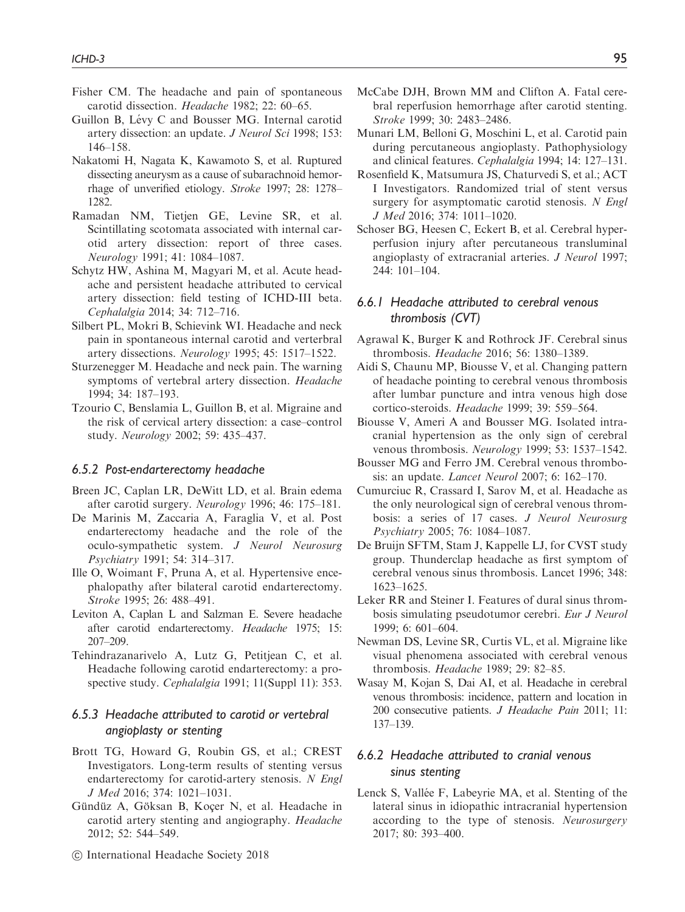- Fisher CM. The headache and pain of spontaneous carotid dissection. Headache 1982; 22: 60–65.
- Guillon B, Lévy C and Bousser MG. Internal carotid artery dissection: an update. J Neurol Sci 1998; 153: 146–158.
- Nakatomi H, Nagata K, Kawamoto S, et al. Ruptured dissecting aneurysm as a cause of subarachnoid hemorrhage of unverified etiology. Stroke 1997; 28: 1278– 1282.
- Ramadan NM, Tietjen GE, Levine SR, et al. Scintillating scotomata associated with internal carotid artery dissection: report of three cases. Neurology 1991; 41: 1084–1087.
- Schytz HW, Ashina M, Magyari M, et al. Acute headache and persistent headache attributed to cervical artery dissection: field testing of ICHD-III beta. Cephalalgia 2014; 34: 712–716.
- Silbert PL, Mokri B, Schievink WI. Headache and neck pain in spontaneous internal carotid and verterbral artery dissections. Neurology 1995; 45: 1517–1522.
- Sturzenegger M. Headache and neck pain. The warning symptoms of vertebral artery dissection. Headache 1994; 34: 187–193.
- Tzourio C, Benslamia L, Guillon B, et al. Migraine and the risk of cervical artery dissection: a case–control study. Neurology 2002; 59: 435–437.

### 6.5.2 Post-endarterectomy headache

- Breen JC, Caplan LR, DeWitt LD, et al. Brain edema after carotid surgery. Neurology 1996; 46: 175–181.
- De Marinis M, Zaccaria A, Faraglia V, et al. Post endarterectomy headache and the role of the oculo-sympathetic system. J Neurol Neurosurg Psychiatry 1991; 54: 314–317.
- Ille O, Woimant F, Pruna A, et al. Hypertensive encephalopathy after bilateral carotid endarterectomy. Stroke 1995; 26: 488–491.
- Leviton A, Caplan L and Salzman E. Severe headache after carotid endarterectomy. Headache 1975; 15: 207–209.
- Tehindrazanarivelo A, Lutz G, Petitjean C, et al. Headache following carotid endarterectomy: a prospective study. Cephalalgia 1991; 11(Suppl 11): 353.

# 6.5.3 Headache attributed to carotid or vertebral angioplasty or stenting

- Brott TG, Howard G, Roubin GS, et al.; CREST Investigators. Long-term results of stenting versus endarterectomy for carotid-artery stenosis. N Engl J Med 2016; 374: 1021–1031.
- Gündüz A, Göksan B, Koçer N, et al. Headache in carotid artery stenting and angiography. Headache 2012; 52: 544–549.
- ! International Headache Society 2018
- McCabe DJH, Brown MM and Clifton A. Fatal cerebral reperfusion hemorrhage after carotid stenting. Stroke 1999; 30: 2483–2486.
- Munari LM, Belloni G, Moschini L, et al. Carotid pain during percutaneous angioplasty. Pathophysiology and clinical features. Cephalalgia 1994; 14: 127–131.
- Rosenfield K, Matsumura JS, Chaturvedi S, et al.; ACT I Investigators. Randomized trial of stent versus surgery for asymptomatic carotid stenosis. N Engl J Med 2016; 374: 1011–1020.
- Schoser BG, Heesen C, Eckert B, et al. Cerebral hyperperfusion injury after percutaneous transluminal angioplasty of extracranial arteries. J Neurol 1997; 244: 101–104.

# 6.6.1 Headache attributed to cerebral venous thrombosis (CVT)

- Agrawal K, Burger K and Rothrock JF. Cerebral sinus thrombosis. Headache 2016; 56: 1380–1389.
- Aidi S, Chaunu MP, Biousse V, et al. Changing pattern of headache pointing to cerebral venous thrombosis after lumbar puncture and intra venous high dose cortico-steroids. Headache 1999; 39: 559–564.
- Biousse V, Ameri A and Bousser MG. Isolated intracranial hypertension as the only sign of cerebral venous thrombosis. Neurology 1999; 53: 1537–1542.
- Bousser MG and Ferro JM. Cerebral venous thrombosis: an update. Lancet Neurol 2007; 6: 162–170.
- Cumurciuc R, Crassard I, Sarov M, et al. Headache as the only neurological sign of cerebral venous thrombosis: a series of 17 cases. J Neurol Neurosurg Psychiatry 2005; 76: 1084–1087.
- De Bruijn SFTM, Stam J, Kappelle LJ, for CVST study group. Thunderclap headache as first symptom of cerebral venous sinus thrombosis. Lancet 1996; 348: 1623–1625.
- Leker RR and Steiner I. Features of dural sinus thrombosis simulating pseudotumor cerebri. Eur J Neurol 1999; 6: 601–604.
- Newman DS, Levine SR, Curtis VL, et al. Migraine like visual phenomena associated with cerebral venous thrombosis. Headache 1989; 29: 82–85.
- Wasay M, Kojan S, Dai AI, et al. Headache in cerebral venous thrombosis: incidence, pattern and location in 200 consecutive patients. J Headache Pain 2011; 11: 137–139.

# 6.6.2 Headache attributed to cranial venous sinus stenting

Lenck S, Vallée F, Labeyrie MA, et al. Stenting of the lateral sinus in idiopathic intracranial hypertension according to the type of stenosis. Neurosurgery 2017; 80: 393–400.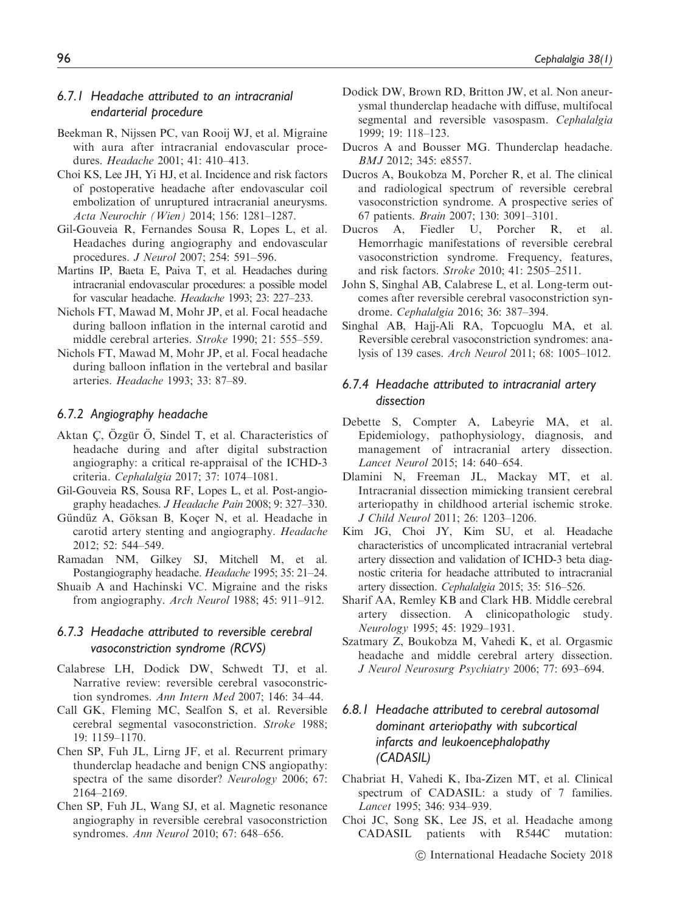# 6.7.1 Headache attributed to an intracranial endarterial procedure

- Beekman R, Nijssen PC, van Rooij WJ, et al. Migraine with aura after intracranial endovascular procedures. Headache 2001; 41: 410–413.
- Choi KS, Lee JH, Yi HJ, et al. Incidence and risk factors of postoperative headache after endovascular coil embolization of unruptured intracranial aneurysms. Acta Neurochir (Wien) 2014; 156: 1281–1287.
- Gil-Gouveia R, Fernandes Sousa R, Lopes L, et al. Headaches during angiography and endovascular procedures. J Neurol 2007; 254: 591–596.
- Martins IP, Baeta E, Paiva T, et al. Headaches during intracranial endovascular procedures: a possible model for vascular headache. Headache 1993; 23: 227–233.
- Nichols FT, Mawad M, Mohr JP, et al. Focal headache during balloon inflation in the internal carotid and middle cerebral arteries. Stroke 1990; 21: 555–559.
- Nichols FT, Mawad M, Mohr JP, et al. Focal headache during balloon inflation in the vertebral and basilar arteries. Headache 1993; 33: 87–89.

# 6.7.2 Angiography headache

- Aktan Ç, Özgür Ö, Sindel T, et al. Characteristics of headache during and after digital substraction angiography: a critical re-appraisal of the ICHD-3 criteria. Cephalalgia 2017; 37: 1074–1081.
- Gil-Gouveia RS, Sousa RF, Lopes L, et al. Post-angiography headaches. J Headache Pain 2008; 9: 327–330.
- Gündüz A, Göksan B, Koçer N, et al. Headache in carotid artery stenting and angiography. Headache 2012; 52: 544–549.
- Ramadan NM, Gilkey SJ, Mitchell M, et al. Postangiography headache. Headache 1995; 35: 21–24.
- Shuaib A and Hachinski VC. Migraine and the risks from angiography. Arch Neurol 1988; 45: 911-912.

# 6.7.3 Headache attributed to reversible cerebral vasoconstriction syndrome (RCVS)

- Calabrese LH, Dodick DW, Schwedt TJ, et al. Narrative review: reversible cerebral vasoconstriction syndromes. Ann Intern Med 2007; 146: 34–44.
- Call GK, Fleming MC, Sealfon S, et al. Reversible cerebral segmental vasoconstriction. Stroke 1988; 19: 1159–1170.
- Chen SP, Fuh JL, Lirng JF, et al. Recurrent primary thunderclap headache and benign CNS angiopathy: spectra of the same disorder? Neurology 2006; 67: 2164–2169.
- Chen SP, Fuh JL, Wang SJ, et al. Magnetic resonance angiography in reversible cerebral vasoconstriction syndromes. Ann Neurol 2010; 67: 648–656.
- Dodick DW, Brown RD, Britton JW, et al. Non aneurysmal thunderclap headache with diffuse, multifocal segmental and reversible vasospasm. Cephalalgia 1999; 19: 118–123.
- Ducros A and Bousser MG. Thunderclap headache. BMJ 2012; 345: e8557.
- Ducros A, Boukobza M, Porcher R, et al. The clinical and radiological spectrum of reversible cerebral vasoconstriction syndrome. A prospective series of 67 patients. Brain 2007; 130: 3091–3101.
- Ducros A, Fiedler U, Porcher R, et al. Hemorrhagic manifestations of reversible cerebral vasoconstriction syndrome. Frequency, features, and risk factors. Stroke 2010; 41: 2505–2511.
- John S, Singhal AB, Calabrese L, et al. Long-term outcomes after reversible cerebral vasoconstriction syndrome. Cephalalgia 2016; 36: 387–394.
- Singhal AB, Hajj-Ali RA, Topcuoglu MA, et al. Reversible cerebral vasoconstriction syndromes: analysis of 139 cases. Arch Neurol 2011; 68: 1005–1012.

# 6.7.4 Headache attributed to intracranial artery dissection

- Debette S, Compter A, Labeyrie MA, et al. Epidemiology, pathophysiology, diagnosis, and management of intracranial artery dissection. Lancet Neurol 2015; 14: 640–654.
- Dlamini N, Freeman JL, Mackay MT, et al. Intracranial dissection mimicking transient cerebral arteriopathy in childhood arterial ischemic stroke. J Child Neurol 2011; 26: 1203–1206.
- Kim JG, Choi JY, Kim SU, et al. Headache characteristics of uncomplicated intracranial vertebral artery dissection and validation of ICHD-3 beta diagnostic criteria for headache attributed to intracranial artery dissection. Cephalalgia 2015; 35: 516–526.
- Sharif AA, Remley KB and Clark HB. Middle cerebral artery dissection. A clinicopathologic study. Neurology 1995; 45: 1929–1931.
- Szatmary Z, Boukobza M, Vahedi K, et al. Orgasmic headache and middle cerebral artery dissection. J Neurol Neurosurg Psychiatry 2006; 77: 693–694.

# 6.8.1 Headache attributed to cerebral autosomal dominant arteriopathy with subcortical infarcts and leukoencephalopathy (CADASIL)

- Chabriat H, Vahedi K, Iba-Zizen MT, et al. Clinical spectrum of CADASIL: a study of 7 families. Lancet 1995; 346: 934–939.
- Choi JC, Song SK, Lee JS, et al. Headache among CADASIL patients with R544C mutation: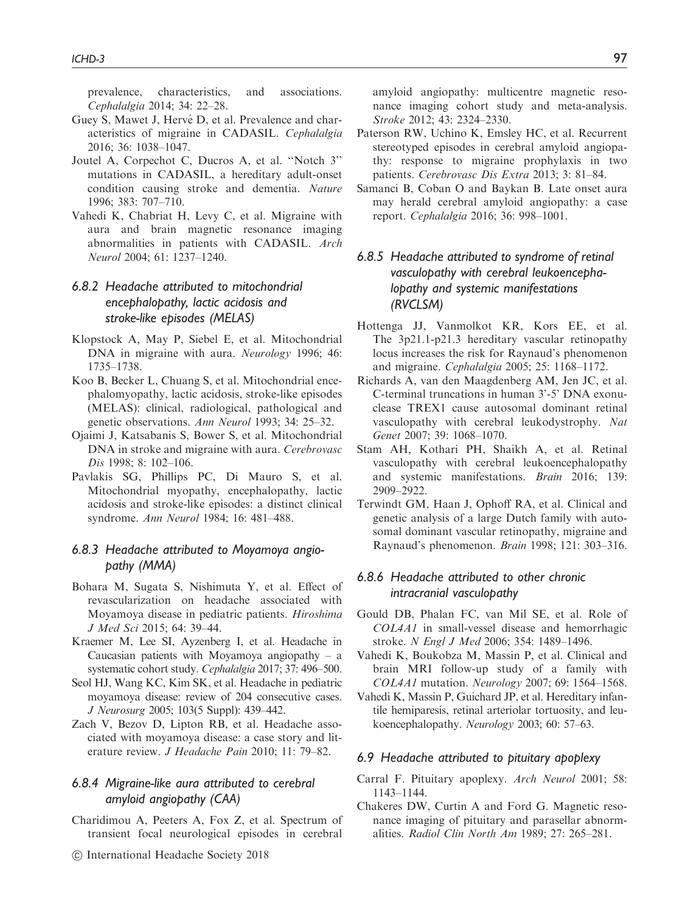prevalence, characteristics, and associations. Cephalalgia 2014; 34: 22–28.

- Guey S, Mawet J, Hervé D, et al. Prevalence and characteristics of migraine in CADASIL. Cephalalgia 2016; 36: 1038–1047.
- Joutel A, Corpechot C, Ducros A, et al. ''Notch 3'' mutations in CADASIL, a hereditary adult-onset condition causing stroke and dementia. Nature 1996; 383: 707–710.
- Vahedi K, Chabriat H, Levy C, et al. Migraine with aura and brain magnetic resonance imaging abnormalities in patients with CADASIL. Arch Neurol 2004; 61: 1237–1240.

# 6.8.2 Headache attributed to mitochondrial encephalopathy, lactic acidosis and stroke-like episodes (MELAS)

- Klopstock A, May P, Siebel E, et al. Mitochondrial DNA in migraine with aura. Neurology 1996; 46: 1735–1738.
- Koo B, Becker L, Chuang S, et al. Mitochondrial encephalomyopathy, lactic acidosis, stroke-like episodes (MELAS): clinical, radiological, pathological and genetic observations. Ann Neurol 1993; 34: 25–32.
- Ojaimi J, Katsabanis S, Bower S, et al. Mitochondrial DNA in stroke and migraine with aura. Cerebrovasc Dis 1998; 8: 102–106.
- Pavlakis SG, Phillips PC, Di Mauro S, et al. Mitochondrial myopathy, encephalopathy, lactic acidosis and stroke-like episodes: a distinct clinical syndrome. Ann Neurol 1984; 16: 481–488.

# 6.8.3 Headache attributed to Moyamoya angiopathy (MMA)

- Bohara M, Sugata S, Nishimuta Y, et al. Effect of revascularization on headache associated with Moyamoya disease in pediatric patients. Hiroshima J Med Sci 2015; 64: 39–44.
- Kraemer M, Lee SI, Ayzenberg I, et al. Headache in Caucasian patients with Moyamoya angiopathy – a systematic cohort study. Cephalalgia 2017; 37: 496–500.
- Seol HJ, Wang KC, Kim SK, et al. Headache in pediatric moyamoya disease: review of 204 consecutive cases. J Neurosurg 2005; 103(5 Suppl): 439–442.
- Zach V, Bezov D, Lipton RB, et al. Headache associated with moyamoya disease: a case story and literature review. J Headache Pain 2010; 11: 79–82.

# 6.8.4 Migraine-like aura attributed to cerebral amyloid angiopathy (CAA)

- Charidimou A, Peeters A, Fox Z, et al. Spectrum of transient focal neurological episodes in cerebral
- ! International Headache Society 2018

amyloid angiopathy: multicentre magnetic resonance imaging cohort study and meta-analysis. Stroke 2012; 43: 2324–2330.

- Paterson RW, Uchino K, Emsley HC, et al. Recurrent stereotyped episodes in cerebral amyloid angiopathy: response to migraine prophylaxis in two patients. Cerebrovasc Dis Extra 2013; 3: 81–84.
- Samanci B, Coban O and Baykan B. Late onset aura may herald cerebral amyloid angiopathy: a case report. Cephalalgia 2016; 36: 998–1001.

# 6.8.5 Headache attributed to syndrome of retinal vasculopathy with cerebral leukoencephalopathy and systemic manifestations (RVCLSM)

- Hottenga JJ, Vanmolkot KR, Kors EE, et al. The 3p21.1-p21.3 hereditary vascular retinopathy locus increases the risk for Raynaud's phenomenon and migraine. Cephalalgia 2005; 25: 1168–1172.
- Richards A, van den Maagdenberg AM, Jen JC, et al. C-terminal truncations in human 3'-5' DNA exonuclease TREX1 cause autosomal dominant retinal vasculopathy with cerebral leukodystrophy. Nat Genet 2007; 39: 1068–1070.
- Stam AH, Kothari PH, Shaikh A, et al. Retinal vasculopathy with cerebral leukoencephalopathy and systemic manifestations. Brain 2016; 139: 2909–2922.
- Terwindt GM, Haan J, Ophoff RA, et al. Clinical and genetic analysis of a large Dutch family with autosomal dominant vascular retinopathy, migraine and Raynaud's phenomenon. Brain 1998; 121: 303–316.

# 6.8.6 Headache attributed to other chronic intracranial vasculopathy

- Gould DB, Phalan FC, van Mil SE, et al. Role of COL4A1 in small-vessel disease and hemorrhagic stroke. N Engl J Med 2006; 354: 1489–1496.
- Vahedi K, Boukobza M, Massin P, et al. Clinical and brain MRI follow-up study of a family with COL4A1 mutation. Neurology 2007; 69: 1564–1568.
- Vahedi K, Massin P, Guichard JP, et al. Hereditary infantile hemiparesis, retinal arteriolar tortuosity, and leukoencephalopathy. Neurology 2003; 60: 57–63.

# 6.9 Headache attributed to pituitary apoplexy

- Carral F. Pituitary apoplexy. Arch Neurol 2001; 58: 1143–1144.
- Chakeres DW, Curtin A and Ford G. Magnetic resonance imaging of pituitary and parasellar abnormalities. Radiol Clin North Am 1989; 27: 265–281.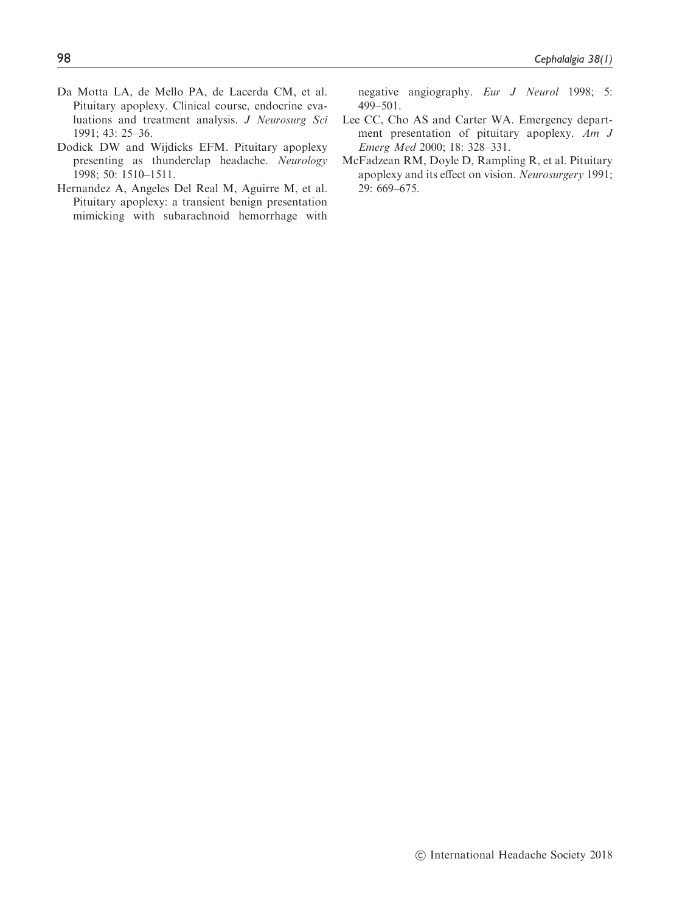- Da Motta LA, de Mello PA, de Lacerda CM, et al. Pituitary apoplexy. Clinical course, endocrine evaluations and treatment analysis. J Neurosurg Sci 1991; 43: 25–36.
- Dodick DW and Wijdicks EFM. Pituitary apoplexy presenting as thunderclap headache. Neurology 1998; 50: 1510–1511.
- Hernandez A, Angeles Del Real M, Aguirre M, et al. Pituitary apoplexy: a transient benign presentation mimicking with subarachnoid hemorrhage with

negative angiography. Eur J Neurol 1998; 5: 499–501.

- Lee CC, Cho AS and Carter WA. Emergency department presentation of pituitary apoplexy. Am J Emerg Med 2000; 18: 328–331.
- McFadzean RM, Doyle D, Rampling R, et al. Pituitary apoplexy and its effect on vision. Neurosurgery 1991; 29: 669–675.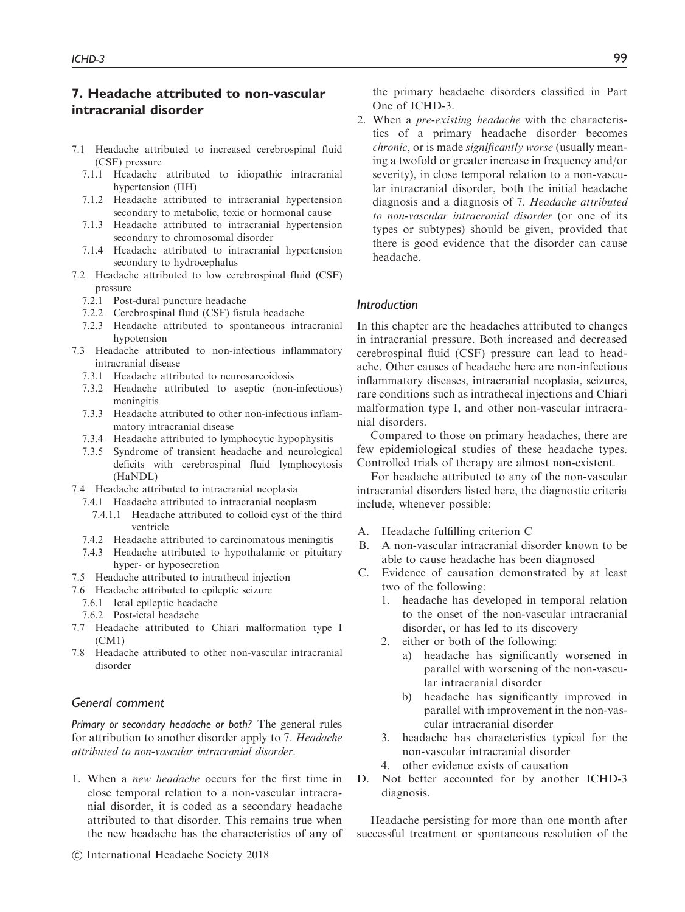# 7. Headache attributed to non-vascular intracranial disorder

- 7.1 Headache attributed to increased cerebrospinal fluid (CSF) pressure
	- 7.1.1 Headache attributed to idiopathic intracranial hypertension (IIH)
	- 7.1.2 Headache attributed to intracranial hypertension secondary to metabolic, toxic or hormonal cause
	- 7.1.3 Headache attributed to intracranial hypertension secondary to chromosomal disorder
	- 7.1.4 Headache attributed to intracranial hypertension secondary to hydrocephalus
- 7.2 Headache attributed to low cerebrospinal fluid (CSF) pressure
	- 7.2.1 Post-dural puncture headache
	- 7.2.2 Cerebrospinal fluid (CSF) fistula headache
	- 7.2.3 Headache attributed to spontaneous intracranial hypotension
- 7.3 Headache attributed to non-infectious inflammatory intracranial disease
	- 7.3.1 Headache attributed to neurosarcoidosis
	- 7.3.2 Headache attributed to aseptic (non-infectious) meningitis
	- 7.3.3 Headache attributed to other non-infectious inflammatory intracranial disease
	- 7.3.4 Headache attributed to lymphocytic hypophysitis
	- 7.3.5 Syndrome of transient headache and neurological deficits with cerebrospinal fluid lymphocytosis (HaNDL)
- 7.4 Headache attributed to intracranial neoplasia
	- 7.4.1 Headache attributed to intracranial neoplasm
		- 7.4.1.1 Headache attributed to colloid cyst of the third ventricle
	- 7.4.2 Headache attributed to carcinomatous meningitis
	- 7.4.3 Headache attributed to hypothalamic or pituitary hyper- or hyposecretion
- 7.5 Headache attributed to intrathecal injection
- 7.6 Headache attributed to epileptic seizure
	- 7.6.1 Ictal epileptic headache
	- 7.6.2 Post-ictal headache
- 7.7 Headache attributed to Chiari malformation type I (CM1)
- 7.8 Headache attributed to other non-vascular intracranial disorder

### General comment

Primary or secondary headache or both? The general rules for attribution to another disorder apply to 7. Headache attributed to non-vascular intracranial disorder.

- 1. When a new headache occurs for the first time in close temporal relation to a non-vascular intracranial disorder, it is coded as a secondary headache attributed to that disorder. This remains true when the new headache has the characteristics of any of
- ! International Headache Society 2018

the primary headache disorders classified in Part One of ICHD-3.

2. When a pre-existing headache with the characteristics of a primary headache disorder becomes chronic, or is made significantly worse (usually meaning a twofold or greater increase in frequency and/or severity), in close temporal relation to a non-vascular intracranial disorder, both the initial headache diagnosis and a diagnosis of 7. Headache attributed to non-vascular intracranial disorder (or one of its types or subtypes) should be given, provided that there is good evidence that the disorder can cause headache.

## Introduction

In this chapter are the headaches attributed to changes in intracranial pressure. Both increased and decreased cerebrospinal fluid (CSF) pressure can lead to headache. Other causes of headache here are non-infectious inflammatory diseases, intracranial neoplasia, seizures, rare conditions such as intrathecal injections and Chiari malformation type I, and other non-vascular intracranial disorders.

Compared to those on primary headaches, there are few epidemiological studies of these headache types. Controlled trials of therapy are almost non-existent.

For headache attributed to any of the non-vascular intracranial disorders listed here, the diagnostic criteria include, whenever possible:

- A. Headache fulfilling criterion C
- B. A non-vascular intracranial disorder known to be able to cause headache has been diagnosed
- C. Evidence of causation demonstrated by at least two of the following:
	- 1. headache has developed in temporal relation to the onset of the non-vascular intracranial disorder, or has led to its discovery
	- 2. either or both of the following:
		- a) headache has significantly worsened in parallel with worsening of the non-vascular intracranial disorder
		- b) headache has significantly improved in parallel with improvement in the non-vascular intracranial disorder
	- 3. headache has characteristics typical for the non-vascular intracranial disorder
	- 4. other evidence exists of causation
- D. Not better accounted for by another ICHD-3 diagnosis.

Headache persisting for more than one month after successful treatment or spontaneous resolution of the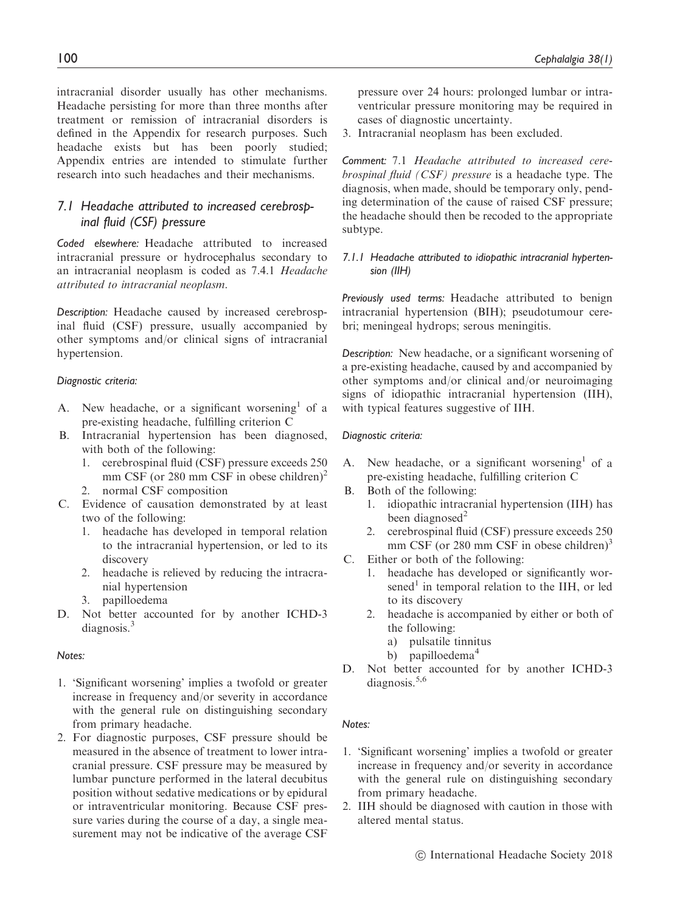intracranial disorder usually has other mechanisms. Headache persisting for more than three months after treatment or remission of intracranial disorders is defined in the Appendix for research purposes. Such headache exists but has been poorly studied; Appendix entries are intended to stimulate further research into such headaches and their mechanisms.

# 7.1 Headache attributed to increased cerebrospinal fluid (CSF) pressure

Coded elsewhere: Headache attributed to increased intracranial pressure or hydrocephalus secondary to an intracranial neoplasm is coded as 7.4.1 Headache attributed to intracranial neoplasm.

Description: Headache caused by increased cerebrospinal fluid (CSF) pressure, usually accompanied by other symptoms and/or clinical signs of intracranial hypertension.

### Diagnostic criteria:

- A. New headache, or a significant worsening<sup>1</sup> of a pre-existing headache, fulfilling criterion C
- B. Intracranial hypertension has been diagnosed, with both of the following:
	- 1. cerebrospinal fluid (CSF) pressure exceeds 250 mm CSF (or 280 mm CSF in obese children)<sup>2</sup>
	- 2. normal CSF composition
- C. Evidence of causation demonstrated by at least two of the following:
	- headache has developed in temporal relation to the intracranial hypertension, or led to its discovery
	- 2. headache is relieved by reducing the intracranial hypertension
	- 3. papilloedema
- D. Not better accounted for by another ICHD-3 diagnosis.<sup>3</sup>

#### Notes:

- 1. 'Significant worsening' implies a twofold or greater increase in frequency and/or severity in accordance with the general rule on distinguishing secondary from primary headache.
- 2. For diagnostic purposes, CSF pressure should be measured in the absence of treatment to lower intracranial pressure. CSF pressure may be measured by lumbar puncture performed in the lateral decubitus position without sedative medications or by epidural or intraventricular monitoring. Because CSF pressure varies during the course of a day, a single measurement may not be indicative of the average CSF

pressure over 24 hours: prolonged lumbar or intraventricular pressure monitoring may be required in cases of diagnostic uncertainty.

3. Intracranial neoplasm has been excluded.

Comment: 7.1 Headache attributed to increased cerebrospinal fluid  $(CSF)$  pressure is a headache type. The diagnosis, when made, should be temporary only, pending determination of the cause of raised CSF pressure; the headache should then be recoded to the appropriate subtype.

## 7.1.1 Headache attributed to idiopathic intracranial hypertension (IIH)

Previously used terms: Headache attributed to benign intracranial hypertension (BIH); pseudotumour cerebri; meningeal hydrops; serous meningitis.

Description: New headache, or a significant worsening of a pre-existing headache, caused by and accompanied by other symptoms and/or clinical and/or neuroimaging signs of idiopathic intracranial hypertension (IIH), with typical features suggestive of IIH.

#### Diagnostic criteria:

- A. New headache, or a significant worsening of a pre-existing headache, fulfilling criterion C
- B. Both of the following:
	- 1. idiopathic intracranial hypertension (IIH) has been diagnosed $2$
	- 2. cerebrospinal fluid (CSF) pressure exceeds 250 mm CSF (or 280 mm CSF in obese children) $3$
- C. Either or both of the following:
	- 1. headache has developed or significantly worsened<sup>1</sup> in temporal relation to the IIH, or led to its discovery
	- 2. headache is accompanied by either or both of the following:
		- a) pulsatile tinnitus
		- b) papilloedema<sup>4</sup>
- D. Not better accounted for by another ICHD-3 diagnosis. $5,6$

#### Notes:

- 1. 'Significant worsening' implies a twofold or greater increase in frequency and/or severity in accordance with the general rule on distinguishing secondary from primary headache.
- 2. IIH should be diagnosed with caution in those with altered mental status.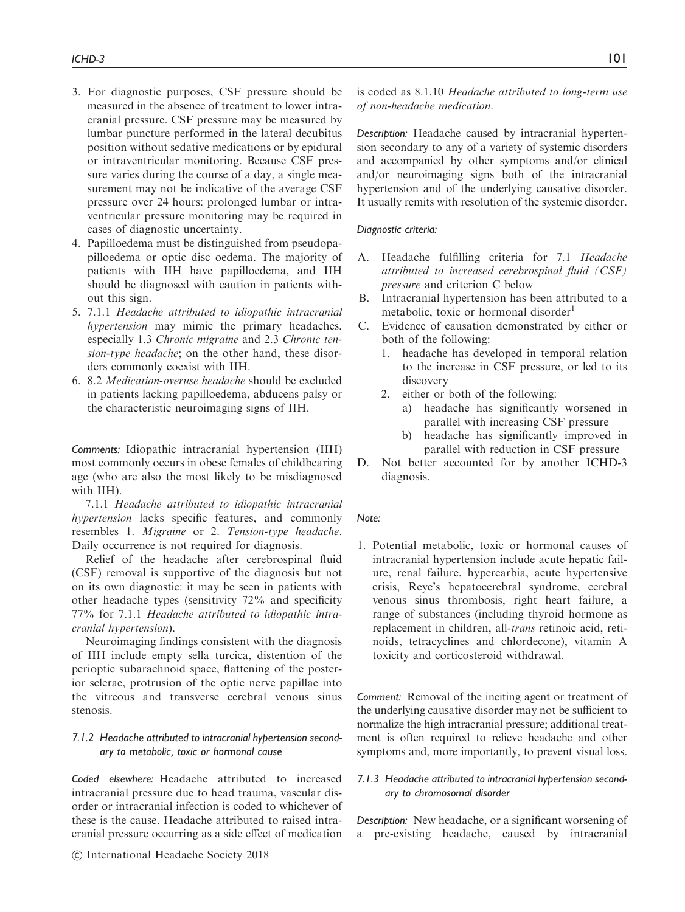- 3. For diagnostic purposes, CSF pressure should be measured in the absence of treatment to lower intracranial pressure. CSF pressure may be measured by lumbar puncture performed in the lateral decubitus position without sedative medications or by epidural or intraventricular monitoring. Because CSF pressure varies during the course of a day, a single measurement may not be indicative of the average CSF pressure over 24 hours: prolonged lumbar or intraventricular pressure monitoring may be required in cases of diagnostic uncertainty.
- 4. Papilloedema must be distinguished from pseudopapilloedema or optic disc oedema. The majority of patients with IIH have papilloedema, and IIH should be diagnosed with caution in patients without this sign.
- 5. 7.1.1 Headache attributed to idiopathic intracranial hypertension may mimic the primary headaches, especially 1.3 Chronic migraine and 2.3 Chronic tension-type headache; on the other hand, these disorders commonly coexist with IIH.
- 6. 8.2 Medication-overuse headache should be excluded in patients lacking papilloedema, abducens palsy or the characteristic neuroimaging signs of IIH.

Comments: Idiopathic intracranial hypertension (IIH) most commonly occurs in obese females of childbearing age (who are also the most likely to be misdiagnosed with IIH).

7.1.1 Headache attributed to idiopathic intracranial hypertension lacks specific features, and commonly resembles 1. Migraine or 2. Tension-type headache. Daily occurrence is not required for diagnosis.

Relief of the headache after cerebrospinal fluid (CSF) removal is supportive of the diagnosis but not on its own diagnostic: it may be seen in patients with other headache types (sensitivity 72% and specificity 77% for 7.1.1 Headache attributed to idiopathic intracranial hypertension).

Neuroimaging findings consistent with the diagnosis of IIH include empty sella turcica, distention of the perioptic subarachnoid space, flattening of the posterior sclerae, protrusion of the optic nerve papillae into the vitreous and transverse cerebral venous sinus stenosis.

## 7.1.2 Headache attributed to intracranial hypertension secondary to metabolic, toxic or hormonal cause

Coded elsewhere: Headache attributed to increased intracranial pressure due to head trauma, vascular disorder or intracranial infection is coded to whichever of these is the cause. Headache attributed to raised intracranial pressure occurring as a side effect of medication

is coded as 8.1.10 Headache attributed to long-term use of non-headache medication.

Description: Headache caused by intracranial hypertension secondary to any of a variety of systemic disorders and accompanied by other symptoms and/or clinical and/or neuroimaging signs both of the intracranial hypertension and of the underlying causative disorder. It usually remits with resolution of the systemic disorder.

#### Diagnostic criteria:

- A. Headache fulfilling criteria for 7.1 Headache attributed to increased cerebrospinal fluid (CSF) pressure and criterion C below
- B. Intracranial hypertension has been attributed to a metabolic, toxic or hormonal disorder<sup>1</sup>
- C. Evidence of causation demonstrated by either or both of the following:
	- 1. headache has developed in temporal relation to the increase in CSF pressure, or led to its discovery
	- 2. either or both of the following:
		- a) headache has significantly worsened in parallel with increasing CSF pressure
		- b) headache has significantly improved in parallel with reduction in CSF pressure
- D. Not better accounted for by another ICHD-3 diagnosis.

#### Note:

1. Potential metabolic, toxic or hormonal causes of intracranial hypertension include acute hepatic failure, renal failure, hypercarbia, acute hypertensive crisis, Reye's hepatocerebral syndrome, cerebral venous sinus thrombosis, right heart failure, a range of substances (including thyroid hormone as replacement in children, all-trans retinoic acid, retinoids, tetracyclines and chlordecone), vitamin A toxicity and corticosteroid withdrawal.

Comment: Removal of the inciting agent or treatment of the underlying causative disorder may not be sufficient to normalize the high intracranial pressure; additional treatment is often required to relieve headache and other symptoms and, more importantly, to prevent visual loss.

## 7.1.3 Headache attributed to intracranial hypertension secondary to chromosomal disorder

Description: New headache, or a significant worsening of a pre-existing headache, caused by intracranial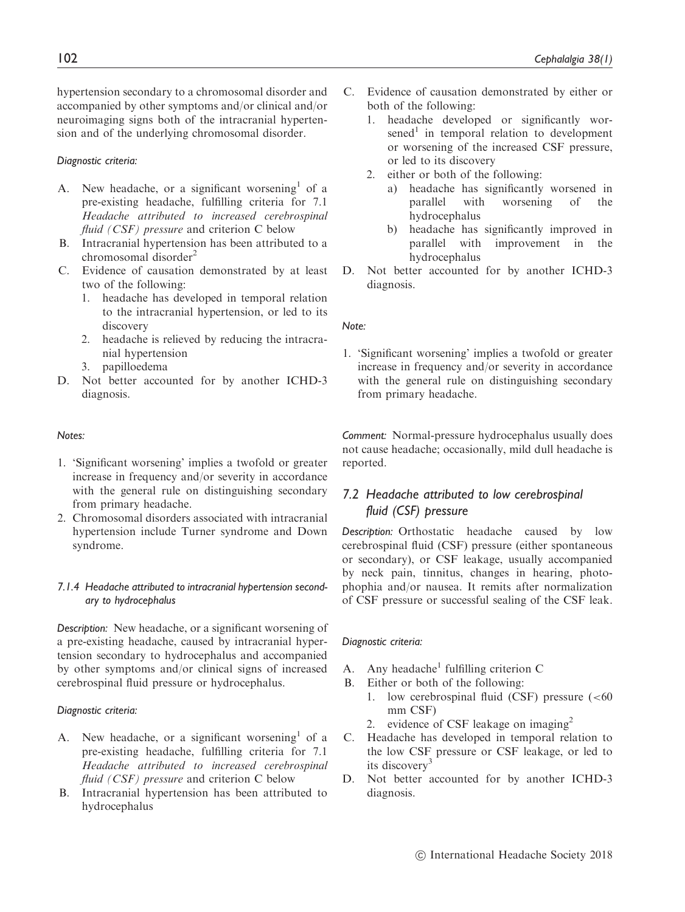hypertension secondary to a chromosomal disorder and accompanied by other symptoms and/or clinical and/or neuroimaging signs both of the intracranial hypertension and of the underlying chromosomal disorder.

# Diagnostic criteria:

- A. New headache, or a significant worsening<sup>1</sup> of a pre-existing headache, fulfilling criteria for 7.1 Headache attributed to increased cerebrospinal fluid  $(CSF)$  pressure and criterion C below
- B. Intracranial hypertension has been attributed to a chromosomal disorder<sup>2</sup>
- C. Evidence of causation demonstrated by at least two of the following:
	- 1. headache has developed in temporal relation to the intracranial hypertension, or led to its discovery
	- 2. headache is relieved by reducing the intracranial hypertension
	- 3. papilloedema
- D. Not better accounted for by another ICHD-3 diagnosis.

# Notes:

- 1. 'Significant worsening' implies a twofold or greater increase in frequency and/or severity in accordance with the general rule on distinguishing secondary from primary headache.
- 2. Chromosomal disorders associated with intracranial hypertension include Turner syndrome and Down syndrome.

# 7.1.4 Headache attributed to intracranial hypertension secondary to hydrocephalus

Description: New headache, or a significant worsening of a pre-existing headache, caused by intracranial hypertension secondary to hydrocephalus and accompanied by other symptoms and/or clinical signs of increased cerebrospinal fluid pressure or hydrocephalus.

# Diagnostic criteria:

- A. New headache, or a significant worsening<sup>1</sup> of a pre-existing headache, fulfilling criteria for 7.1 Headache attributed to increased cerebrospinal fluid  $(CSF)$  pressure and criterion C below
- B. Intracranial hypertension has been attributed to hydrocephalus
- C. Evidence of causation demonstrated by either or both of the following:
	- 1. headache developed or significantly worsened<sup>1</sup> in temporal relation to development or worsening of the increased CSF pressure, or led to its discovery
	- 2. either or both of the following:
		- a) headache has significantly worsened in parallel with worsening of the hydrocephalus
		- b) headache has significantly improved in parallel with improvement in the hydrocephalus
- D. Not better accounted for by another ICHD-3 diagnosis.

# Note:

1. 'Significant worsening' implies a twofold or greater increase in frequency and/or severity in accordance with the general rule on distinguishing secondary from primary headache.

Comment: Normal-pressure hydrocephalus usually does not cause headache; occasionally, mild dull headache is reported.

# 7.2 Headache attributed to low cerebrospinal fluid (CSF) pressure

Description: Orthostatic headache caused by low cerebrospinal fluid (CSF) pressure (either spontaneous or secondary), or CSF leakage, usually accompanied by neck pain, tinnitus, changes in hearing, photophophia and/or nausea. It remits after normalization of CSF pressure or successful sealing of the CSF leak.

- A. Any headache<sup>1</sup> fulfilling criterion  $C$
- B. Either or both of the following:
	- 1. low cerebrospinal fluid (CSF) pressure (<60 mm CSF)
	- 2. evidence of CSF leakage on imaging<sup>2</sup>
- C. Headache has developed in temporal relation to the low CSF pressure or CSF leakage, or led to its discovery<sup>3</sup>
- D. Not better accounted for by another ICHD-3 diagnosis.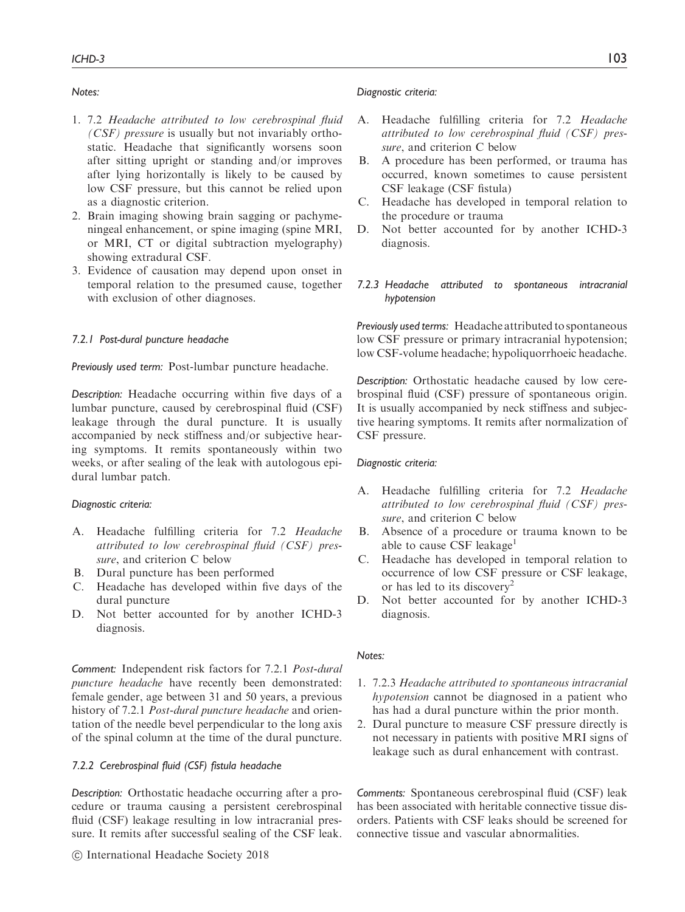## Notes:

- 1. 7.2 Headache attributed to low cerebrospinal fluid (CSF) pressure is usually but not invariably orthostatic. Headache that significantly worsens soon after sitting upright or standing and/or improves after lying horizontally is likely to be caused by low CSF pressure, but this cannot be relied upon as a diagnostic criterion.
- 2. Brain imaging showing brain sagging or pachymeningeal enhancement, or spine imaging (spine MRI, or MRI, CT or digital subtraction myelography) showing extradural CSF.
- 3. Evidence of causation may depend upon onset in temporal relation to the presumed cause, together with exclusion of other diagnoses.

### 7.2.1 Post-dural puncture headache

Previously used term: Post-lumbar puncture headache.

Description: Headache occurring within five days of a lumbar puncture, caused by cerebrospinal fluid (CSF) leakage through the dural puncture. It is usually accompanied by neck stiffness and/or subjective hearing symptoms. It remits spontaneously within two weeks, or after sealing of the leak with autologous epidural lumbar patch.

#### Diagnostic criteria:

- A. Headache fulfilling criteria for 7.2 Headache attributed to low cerebrospinal fluid (CSF) pressure, and criterion C below
- B. Dural puncture has been performed
- C. Headache has developed within five days of the dural puncture
- D. Not better accounted for by another ICHD-3 diagnosis.

Comment: Independent risk factors for 7.2.1 Post-dural puncture headache have recently been demonstrated: female gender, age between 31 and 50 years, a previous history of 7.2.1 Post-dural puncture headache and orientation of the needle bevel perpendicular to the long axis of the spinal column at the time of the dural puncture.

#### 7.2.2 Cerebrospinal fluid (CSF) fistula headache

Description: Orthostatic headache occurring after a procedure or trauma causing a persistent cerebrospinal fluid (CSF) leakage resulting in low intracranial pressure. It remits after successful sealing of the CSF leak.

#### ! International Headache Society 2018

### Diagnostic criteria:

- A. Headache fulfilling criteria for 7.2 Headache attributed to low cerebrospinal fluid (CSF) pressure, and criterion C below
- B. A procedure has been performed, or trauma has occurred, known sometimes to cause persistent CSF leakage (CSF fistula)
- C. Headache has developed in temporal relation to the procedure or trauma
- D. Not better accounted for by another ICHD-3 diagnosis.
- 7.2.3 Headache attributed to spontaneous intracranial hypotension

Previously used terms: Headache attributed to spontaneous low CSF pressure or primary intracranial hypotension; low CSF-volume headache; hypoliquorrhoeic headache.

Description: Orthostatic headache caused by low cerebrospinal fluid (CSF) pressure of spontaneous origin. It is usually accompanied by neck stiffness and subjective hearing symptoms. It remits after normalization of CSF pressure.

### Diagnostic criteria:

- A. Headache fulfilling criteria for 7.2 Headache attributed to low cerebrospinal fluid (CSF) pressure, and criterion C below
- B. Absence of a procedure or trauma known to be able to cause CSF leakage<sup>1</sup>
- C. Headache has developed in temporal relation to occurrence of low CSF pressure or CSF leakage, or has led to its discovery<sup>2</sup>
- D. Not better accounted for by another ICHD-3 diagnosis.

#### Notes:

- 1. 7.2.3 Headache attributed to spontaneous intracranial hypotension cannot be diagnosed in a patient who has had a dural puncture within the prior month.
- 2. Dural puncture to measure CSF pressure directly is not necessary in patients with positive MRI signs of leakage such as dural enhancement with contrast.

Comments: Spontaneous cerebrospinal fluid (CSF) leak has been associated with heritable connective tissue disorders. Patients with CSF leaks should be screened for connective tissue and vascular abnormalities.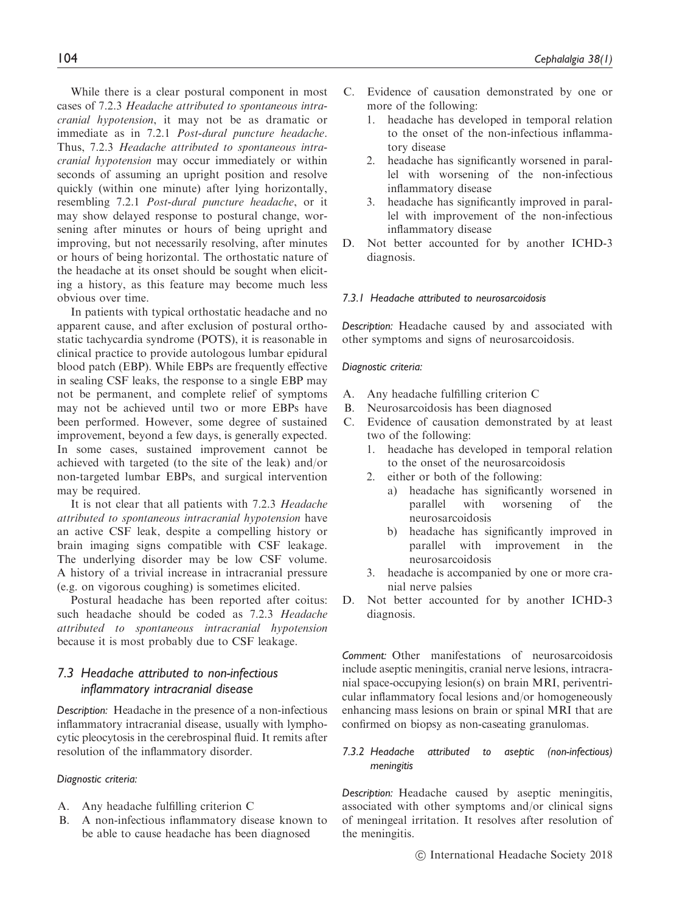While there is a clear postural component in most cases of 7.2.3 Headache attributed to spontaneous intracranial hypotension, it may not be as dramatic or immediate as in 7.2.1 Post-dural puncture headache. Thus, 7.2.3 Headache attributed to spontaneous intracranial hypotension may occur immediately or within seconds of assuming an upright position and resolve quickly (within one minute) after lying horizontally, resembling 7.2.1 Post-dural puncture headache, or it may show delayed response to postural change, worsening after minutes or hours of being upright and improving, but not necessarily resolving, after minutes or hours of being horizontal. The orthostatic nature of the headache at its onset should be sought when eliciting a history, as this feature may become much less obvious over time.

In patients with typical orthostatic headache and no apparent cause, and after exclusion of postural orthostatic tachycardia syndrome (POTS), it is reasonable in clinical practice to provide autologous lumbar epidural blood patch (EBP). While EBPs are frequently effective in sealing CSF leaks, the response to a single EBP may not be permanent, and complete relief of symptoms may not be achieved until two or more EBPs have been performed. However, some degree of sustained improvement, beyond a few days, is generally expected. In some cases, sustained improvement cannot be achieved with targeted (to the site of the leak) and/or non-targeted lumbar EBPs, and surgical intervention may be required.

It is not clear that all patients with 7.2.3 Headache attributed to spontaneous intracranial hypotension have an active CSF leak, despite a compelling history or brain imaging signs compatible with CSF leakage. The underlying disorder may be low CSF volume. A history of a trivial increase in intracranial pressure (e.g. on vigorous coughing) is sometimes elicited.

Postural headache has been reported after coitus: such headache should be coded as 7.2.3 Headache attributed to spontaneous intracranial hypotension because it is most probably due to CSF leakage.

# 7.3 Headache attributed to non-infectious inflammatory intracranial disease

Description: Headache in the presence of a non-infectious inflammatory intracranial disease, usually with lymphocytic pleocytosis in the cerebrospinal fluid. It remits after resolution of the inflammatory disorder.

#### Diagnostic criteria:

- A. Any headache fulfilling criterion C
- B. A non-infectious inflammatory disease known to be able to cause headache has been diagnosed
- C. Evidence of causation demonstrated by one or more of the following:
	- 1. headache has developed in temporal relation to the onset of the non-infectious inflammatory disease
	- 2. headache has significantly worsened in parallel with worsening of the non-infectious inflammatory disease
	- 3. headache has significantly improved in parallel with improvement of the non-infectious inflammatory disease
- D. Not better accounted for by another ICHD-3 diagnosis.

### 7.3.1 Headache attributed to neurosarcoidosis

Description: Headache caused by and associated with other symptoms and signs of neurosarcoidosis.

### Diagnostic criteria:

- A. Any headache fulfilling criterion C
- B. Neurosarcoidosis has been diagnosed
- C. Evidence of causation demonstrated by at least two of the following:
	- 1. headache has developed in temporal relation to the onset of the neurosarcoidosis
	- 2. either or both of the following:
		- a) headache has significantly worsened in parallel with worsening of the neurosarcoidosis
		- b) headache has significantly improved in parallel with improvement in the neurosarcoidosis
	- 3. headache is accompanied by one or more cranial nerve palsies
- D. Not better accounted for by another ICHD-3 diagnosis.

Comment: Other manifestations of neurosarcoidosis include aseptic meningitis, cranial nerve lesions, intracranial space-occupying lesion(s) on brain MRI, periventricular inflammatory focal lesions and/or homogeneously enhancing mass lesions on brain or spinal MRI that are confirmed on biopsy as non-caseating granulomas.

### 7.3.2 Headache attributed to aseptic (non-infectious) meningitis

Description: Headache caused by aseptic meningitis, associated with other symptoms and/or clinical signs of meningeal irritation. It resolves after resolution of the meningitis.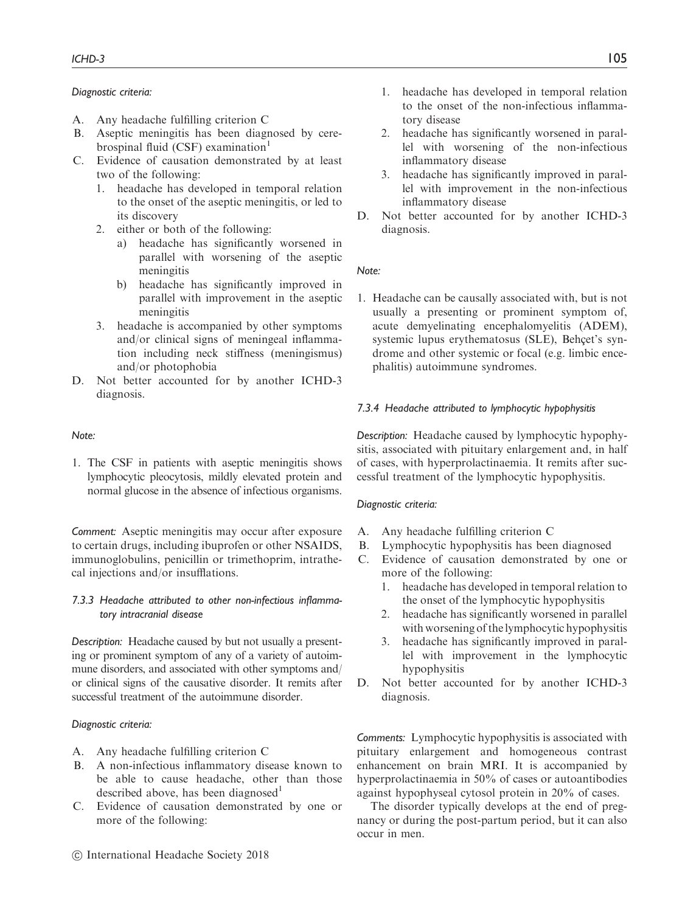- A. Any headache fulfilling criterion C
- B. Aseptic meningitis has been diagnosed by cerebrospinal fluid  $(CSF)$  examination<sup>1</sup>
- C. Evidence of causation demonstrated by at least two of the following:
	- 1. headache has developed in temporal relation to the onset of the aseptic meningitis, or led to its discovery
	- 2. either or both of the following:
		- a) headache has significantly worsened in parallel with worsening of the aseptic meningitis
		- b) headache has significantly improved in parallel with improvement in the aseptic meningitis
	- 3. headache is accompanied by other symptoms and/or clinical signs of meningeal inflammation including neck stiffness (meningismus) and/or photophobia
- D. Not better accounted for by another ICHD-3 diagnosis.

## Note:

1. The CSF in patients with aseptic meningitis shows lymphocytic pleocytosis, mildly elevated protein and normal glucose in the absence of infectious organisms.

Comment: Aseptic meningitis may occur after exposure to certain drugs, including ibuprofen or other NSAIDS, immunoglobulins, penicillin or trimethoprim, intrathecal injections and/or insufflations.

## 7.3.3 Headache attributed to other non-infectious inflammatory intracranial disease

Description: Headache caused by but not usually a presenting or prominent symptom of any of a variety of autoimmune disorders, and associated with other symptoms and/ or clinical signs of the causative disorder. It remits after successful treatment of the autoimmune disorder.

### Diagnostic criteria:

- A. Any headache fulfilling criterion C
- B. A non-infectious inflammatory disease known to be able to cause headache, other than those described above, has been diagnosed
- C. Evidence of causation demonstrated by one or more of the following:
- ! International Headache Society 2018
- 1. headache has developed in temporal relation to the onset of the non-infectious inflammatory disease
- 2. headache has significantly worsened in parallel with worsening of the non-infectious inflammatory disease
- 3. headache has significantly improved in parallel with improvement in the non-infectious inflammatory disease
- D. Not better accounted for by another ICHD-3 diagnosis.

## Note:

1. Headache can be causally associated with, but is not usually a presenting or prominent symptom of, acute demyelinating encephalomyelitis (ADEM), systemic lupus erythematosus (SLE), Behcet's syndrome and other systemic or focal (e.g. limbic encephalitis) autoimmune syndromes.

## 7.3.4 Headache attributed to lymphocytic hypophysitis

Description: Headache caused by lymphocytic hypophysitis, associated with pituitary enlargement and, in half of cases, with hyperprolactinaemia. It remits after successful treatment of the lymphocytic hypophysitis.

### Diagnostic criteria:

- A. Any headache fulfilling criterion C
- B. Lymphocytic hypophysitis has been diagnosed
- C. Evidence of causation demonstrated by one or more of the following:
	- 1. headache has developed in temporal relation to the onset of the lymphocytic hypophysitis
	- 2. headache has significantly worsened in parallel with worsening of the lymphocytic hypophysitis
	- 3. headache has significantly improved in parallel with improvement in the lymphocytic hypophysitis
- D. Not better accounted for by another ICHD-3 diagnosis.

Comments: Lymphocytic hypophysitis is associated with pituitary enlargement and homogeneous contrast enhancement on brain MRI. It is accompanied by hyperprolactinaemia in 50% of cases or autoantibodies against hypophyseal cytosol protein in 20% of cases.

The disorder typically develops at the end of pregnancy or during the post-partum period, but it can also occur in men.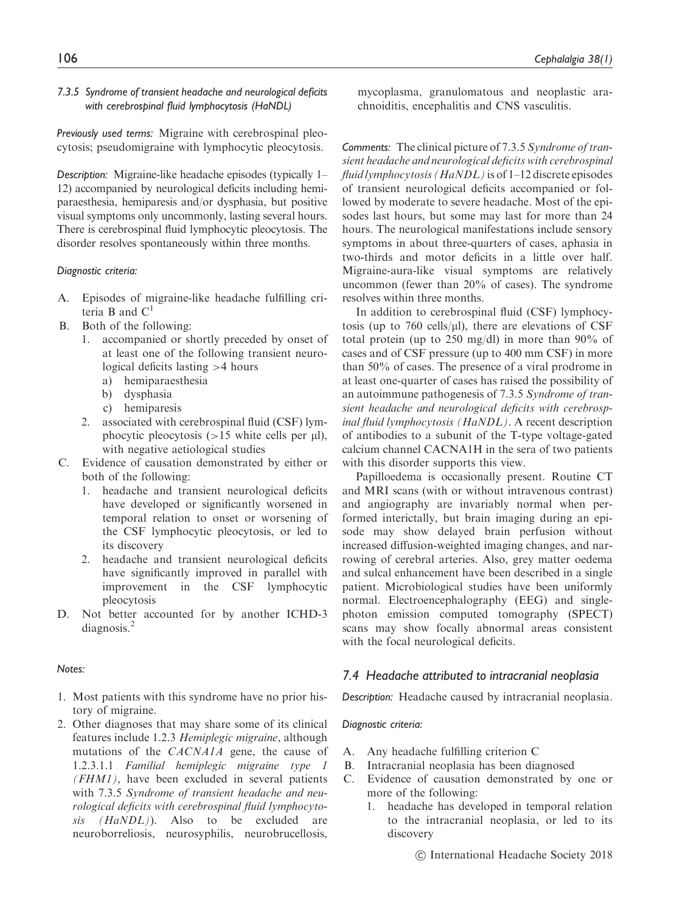# 7.3.5 Syndrome of transient headache and neurological deficits with cerebrospinal fluid lymphocytosis (HaNDL)

Previously used terms: Migraine with cerebrospinal pleocytosis; pseudomigraine with lymphocytic pleocytosis.

Description: Migraine-like headache episodes (typically 1– 12) accompanied by neurological deficits including hemiparaesthesia, hemiparesis and/or dysphasia, but positive visual symptoms only uncommonly, lasting several hours. There is cerebrospinal fluid lymphocytic pleocytosis. The disorder resolves spontaneously within three months.

### Diagnostic criteria:

- A. Episodes of migraine-like headache fulfilling criteria B and  $C<sup>1</sup>$
- B. Both of the following:
	- 1. accompanied or shortly preceded by onset of at least one of the following transient neurological deficits lasting >4 hours
		- a) hemiparaesthesia
		- b) dysphasia
		- c) hemiparesis
	- 2. associated with cerebrospinal fluid (CSF) lymphocytic pleocytosis  $(>15$  white cells per  $\mu$ l), with negative aetiological studies
- C. Evidence of causation demonstrated by either or both of the following:
	- 1. headache and transient neurological deficits have developed or significantly worsened in temporal relation to onset or worsening of the CSF lymphocytic pleocytosis, or led to its discovery
	- 2. headache and transient neurological deficits have significantly improved in parallel with improvement in the CSF lymphocytic pleocytosis
- D. Not better accounted for by another ICHD-3 diagnosis.<sup>2</sup>

### Notes:

- 1. Most patients with this syndrome have no prior history of migraine.
- 2. Other diagnoses that may share some of its clinical features include 1.2.3 Hemiplegic migraine, although mutations of the CACNA1A gene, the cause of 1.2.3.1.1 Familial hemiplegic migraine type 1  $(FHM1)$ , have been excluded in several patients with 7.3.5 Syndrome of transient headache and neurological deficits with cerebrospinal fluid lymphocytosis (HaNDL)). Also to be excluded are neuroborreliosis, neurosyphilis, neurobrucellosis,

mycoplasma, granulomatous and neoplastic arachnoiditis, encephalitis and CNS vasculitis.

Comments: The clinical picture of 7.3.5 Syndrome of transient headache and neurological deficits with cerebrospinal fluid lymphocytosis ( $HaNDL$ ) is of 1-12 discrete episodes of transient neurological deficits accompanied or followed by moderate to severe headache. Most of the episodes last hours, but some may last for more than 24 hours. The neurological manifestations include sensory symptoms in about three-quarters of cases, aphasia in two-thirds and motor deficits in a little over half. Migraine-aura-like visual symptoms are relatively uncommon (fewer than 20% of cases). The syndrome resolves within three months.

In addition to cerebrospinal fluid (CSF) lymphocytosis (up to 760 cells/ $\mu$ l), there are elevations of CSF total protein (up to 250 mg/dl) in more than 90% of cases and of CSF pressure (up to 400 mm CSF) in more than 50% of cases. The presence of a viral prodrome in at least one-quarter of cases has raised the possibility of an autoimmune pathogenesis of 7.3.5 Syndrome of transient headache and neurological deficits with cerebrospinal fluid lymphocytosis (HaNDL). A recent description of antibodies to a subunit of the T-type voltage-gated calcium channel CACNA1H in the sera of two patients with this disorder supports this view.

Papilloedema is occasionally present. Routine CT and MRI scans (with or without intravenous contrast) and angiography are invariably normal when performed interictally, but brain imaging during an episode may show delayed brain perfusion without increased diffusion-weighted imaging changes, and narrowing of cerebral arteries. Also, grey matter oedema and sulcal enhancement have been described in a single patient. Microbiological studies have been uniformly normal. Electroencephalography (EEG) and singlephoton emission computed tomography (SPECT) scans may show focally abnormal areas consistent with the focal neurological deficits.

## 7.4 Headache attributed to intracranial neoplasia

Description: Headache caused by intracranial neoplasia.

### Diagnostic criteria:

- A. Any headache fulfilling criterion C
- B. Intracranial neoplasia has been diagnosed
- C. Evidence of causation demonstrated by one or more of the following:
	- 1. headache has developed in temporal relation to the intracranial neoplasia, or led to its discovery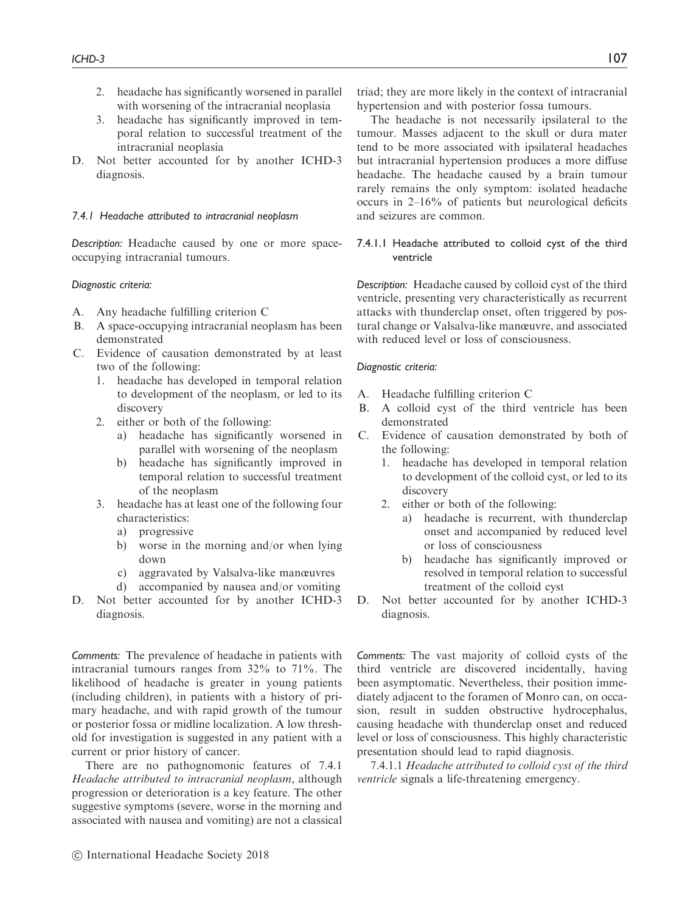- 2. headache has significantly worsened in parallel with worsening of the intracranial neoplasia
- 3. headache has significantly improved in temporal relation to successful treatment of the intracranial neoplasia
- D. Not better accounted for by another ICHD-3 diagnosis.

#### 7.4.1 Headache attributed to intracranial neoplasm

Description: Headache caused by one or more spaceoccupying intracranial tumours.

#### Diagnostic criteria:

- A. Any headache fulfilling criterion C
- B. A space-occupying intracranial neoplasm has been demonstrated
- C. Evidence of causation demonstrated by at least two of the following:
	- 1. headache has developed in temporal relation to development of the neoplasm, or led to its discovery
	- 2. either or both of the following:
		- a) headache has significantly worsened in parallel with worsening of the neoplasm
		- b) headache has significantly improved in temporal relation to successful treatment of the neoplasm
	- 3. headache has at least one of the following four characteristics:
		- a) progressive
		- b) worse in the morning and/or when lying down
		- c) aggravated by Valsalva-like manœuvres
- d) accompanied by nausea and/or vomiting D. Not better accounted for by another ICHD-3 diagnosis.

Comments: The prevalence of headache in patients with intracranial tumours ranges from 32% to 71%. The likelihood of headache is greater in young patients (including children), in patients with a history of primary headache, and with rapid growth of the tumour or posterior fossa or midline localization. A low threshold for investigation is suggested in any patient with a current or prior history of cancer.

There are no pathognomonic features of 7.4.1 Headache attributed to intracranial neoplasm, although progression or deterioration is a key feature. The other suggestive symptoms (severe, worse in the morning and associated with nausea and vomiting) are not a classical triad; they are more likely in the context of intracranial hypertension and with posterior fossa tumours.

The headache is not necessarily ipsilateral to the tumour. Masses adjacent to the skull or dura mater tend to be more associated with ipsilateral headaches but intracranial hypertension produces a more diffuse headache. The headache caused by a brain tumour rarely remains the only symptom: isolated headache occurs in 2–16% of patients but neurological deficits and seizures are common.

## 7.4.1.1 Headache attributed to colloid cyst of the third ventricle

Description: Headache caused by colloid cyst of the third ventricle, presenting very characteristically as recurrent attacks with thunderclap onset, often triggered by postural change or Valsalva-like manœuvre, and associated with reduced level or loss of consciousness.

### Diagnostic criteria:

- A. Headache fulfilling criterion C
- B. A colloid cyst of the third ventricle has been demonstrated
- C. Evidence of causation demonstrated by both of the following:
	- 1. headache has developed in temporal relation to development of the colloid cyst, or led to its discovery
	- 2. either or both of the following:
		- a) headache is recurrent, with thunderclap onset and accompanied by reduced level or loss of consciousness
		- b) headache has significantly improved or resolved in temporal relation to successful treatment of the colloid cyst
- D. Not better accounted for by another ICHD-3 diagnosis.

Comments: The vast majority of colloid cysts of the third ventricle are discovered incidentally, having been asymptomatic. Nevertheless, their position immediately adjacent to the foramen of Monro can, on occasion, result in sudden obstructive hydrocephalus, causing headache with thunderclap onset and reduced level or loss of consciousness. This highly characteristic presentation should lead to rapid diagnosis.

7.4.1.1 Headache attributed to colloid cyst of the third ventricle signals a life-threatening emergency.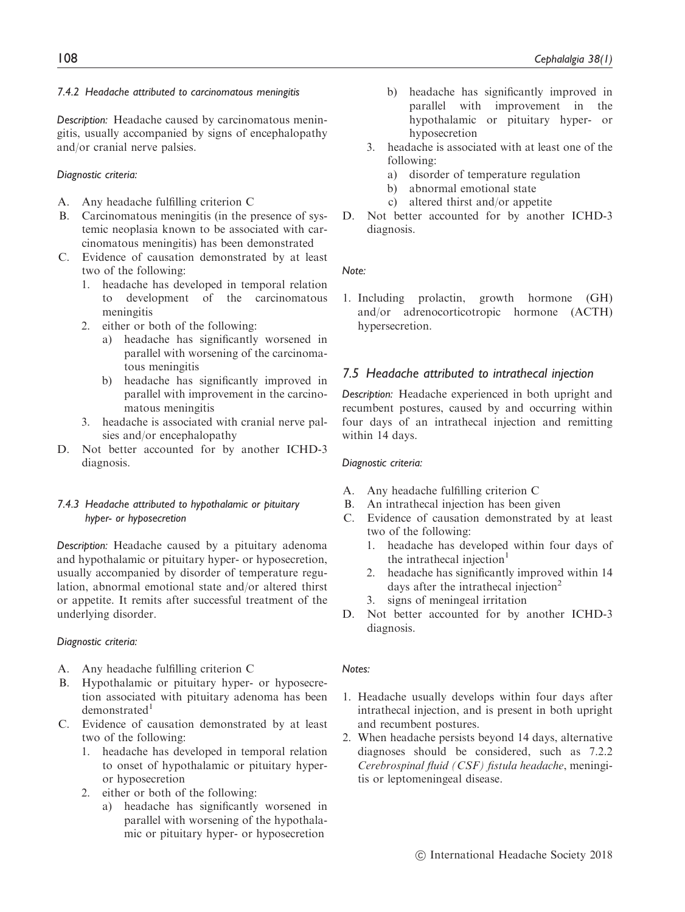# 7.4.2 Headache attributed to carcinomatous meningitis

Description: Headache caused by carcinomatous meningitis, usually accompanied by signs of encephalopathy and/or cranial nerve palsies.

# Diagnostic criteria:

- A. Any headache fulfilling criterion C
- B. Carcinomatous meningitis (in the presence of systemic neoplasia known to be associated with carcinomatous meningitis) has been demonstrated
- C. Evidence of causation demonstrated by at least two of the following:
	- 1. headache has developed in temporal relation to development of the carcinomatous meningitis
	- 2. either or both of the following:
		- a) headache has significantly worsened in parallel with worsening of the carcinomatous meningitis
		- b) headache has significantly improved in parallel with improvement in the carcinomatous meningitis
	- 3. headache is associated with cranial nerve palsies and/or encephalopathy
- D. Not better accounted for by another ICHD-3 diagnosis.

# 7.4.3 Headache attributed to hypothalamic or pituitary hyper- or hyposecretion

Description: Headache caused by a pituitary adenoma and hypothalamic or pituitary hyper- or hyposecretion, usually accompanied by disorder of temperature regulation, abnormal emotional state and/or altered thirst or appetite. It remits after successful treatment of the underlying disorder.

# Diagnostic criteria:

- A. Any headache fulfilling criterion C
- B. Hypothalamic or pituitary hyper- or hyposecretion associated with pituitary adenoma has been  $d$ emonstrated $1$
- C. Evidence of causation demonstrated by at least two of the following:
	- 1. headache has developed in temporal relation to onset of hypothalamic or pituitary hyperor hyposecretion
	- 2. either or both of the following:
		- a) headache has significantly worsened in parallel with worsening of the hypothalamic or pituitary hyper- or hyposecretion
- b) headache has significantly improved in parallel with improvement in the hypothalamic or pituitary hyper- or hyposecretion
- 3. headache is associated with at least one of the following:
	- a) disorder of temperature regulation
	- b) abnormal emotional state
	- c) altered thirst and/or appetite
- D. Not better accounted for by another ICHD-3 diagnosis.

# Note:

1. Including prolactin, growth hormone (GH) and/or adrenocorticotropic hormone (ACTH) hypersecretion.

# 7.5 Headache attributed to intrathecal injection

Description: Headache experienced in both upright and recumbent postures, caused by and occurring within four days of an intrathecal injection and remitting within 14 days.

# Diagnostic criteria:

- A. Any headache fulfilling criterion C
- B. An intrathecal injection has been given
- C. Evidence of causation demonstrated by at least two of the following:
	- 1. headache has developed within four days of the intrathecal injection $<sup>1</sup>$ </sup>
	- 2. headache has significantly improved within 14 days after the intrathecal injection<sup>2</sup>
	- 3. signs of meningeal irritation
- D. Not better accounted for by another ICHD-3 diagnosis.

# Notes:

- 1. Headache usually develops within four days after intrathecal injection, and is present in both upright and recumbent postures.
- 2. When headache persists beyond 14 days, alternative diagnoses should be considered, such as 7.2.2 Cerebrospinal fluid (CSF) fistula headache, meningitis or leptomeningeal disease.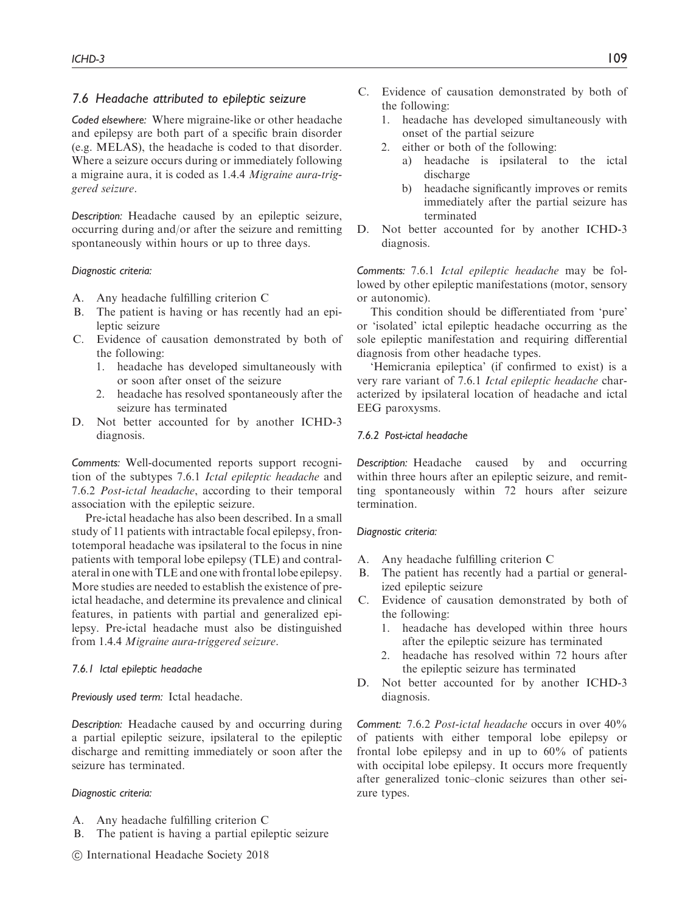## 7.6 Headache attributed to epileptic seizure

Coded elsewhere: Where migraine-like or other headache and epilepsy are both part of a specific brain disorder (e.g. MELAS), the headache is coded to that disorder. Where a seizure occurs during or immediately following a migraine aura, it is coded as 1.4.4 Migraine aura-triggered seizure.

Description: Headache caused by an epileptic seizure, occurring during and/or after the seizure and remitting spontaneously within hours or up to three days.

### Diagnostic criteria:

- A. Any headache fulfilling criterion C
- B. The patient is having or has recently had an epileptic seizure
- C. Evidence of causation demonstrated by both of the following:
	- 1. headache has developed simultaneously with or soon after onset of the seizure
	- 2. headache has resolved spontaneously after the seizure has terminated
- D. Not better accounted for by another ICHD-3 diagnosis.

Comments: Well-documented reports support recognition of the subtypes 7.6.1 Ictal epileptic headache and 7.6.2 Post-ictal headache, according to their temporal association with the epileptic seizure.

Pre-ictal headache has also been described. In a small study of 11 patients with intractable focal epilepsy, frontotemporal headache was ipsilateral to the focus in nine patients with temporal lobe epilepsy (TLE) and contralateral in one with TLE and one with frontal lobe epilepsy. More studies are needed to establish the existence of preictal headache, and determine its prevalence and clinical features, in patients with partial and generalized epilepsy. Pre-ictal headache must also be distinguished from 1.4.4 Migraine aura-triggered seizure.

## 7.6.1 Ictal epileptic headache

## Previously used term: Ictal headache.

Description: Headache caused by and occurring during a partial epileptic seizure, ipsilateral to the epileptic discharge and remitting immediately or soon after the seizure has terminated.

## Diagnostic criteria:

- A. Any headache fulfilling criterion C
- B. The patient is having a partial epileptic seizure
- ! International Headache Society 2018
- C. Evidence of causation demonstrated by both of the following:
	- 1. headache has developed simultaneously with onset of the partial seizure
	- 2. either or both of the following:
		- a) headache is ipsilateral to the ictal discharge
		- b) headache significantly improves or remits immediately after the partial seizure has terminated
- D. Not better accounted for by another ICHD-3 diagnosis.

Comments: 7.6.1 Ictal epileptic headache may be followed by other epileptic manifestations (motor, sensory or autonomic).

This condition should be differentiated from 'pure' or 'isolated' ictal epileptic headache occurring as the sole epileptic manifestation and requiring differential diagnosis from other headache types.

'Hemicrania epileptica' (if confirmed to exist) is a very rare variant of 7.6.1 Ictal epileptic headache characterized by ipsilateral location of headache and ictal EEG paroxysms.

## 7.6.2 Post-ictal headache

Description: Headache caused by and occurring within three hours after an epileptic seizure, and remitting spontaneously within 72 hours after seizure termination.

### Diagnostic criteria:

- A. Any headache fulfilling criterion C
- B. The patient has recently had a partial or generalized epileptic seizure
- C. Evidence of causation demonstrated by both of the following:
	- 1. headache has developed within three hours after the epileptic seizure has terminated
	- 2. headache has resolved within 72 hours after the epileptic seizure has terminated
- D. Not better accounted for by another ICHD-3 diagnosis.

Comment: 7.6.2 Post-ictal headache occurs in over 40% of patients with either temporal lobe epilepsy or frontal lobe epilepsy and in up to 60% of patients with occipital lobe epilepsy. It occurs more frequently after generalized tonic–clonic seizures than other seizure types.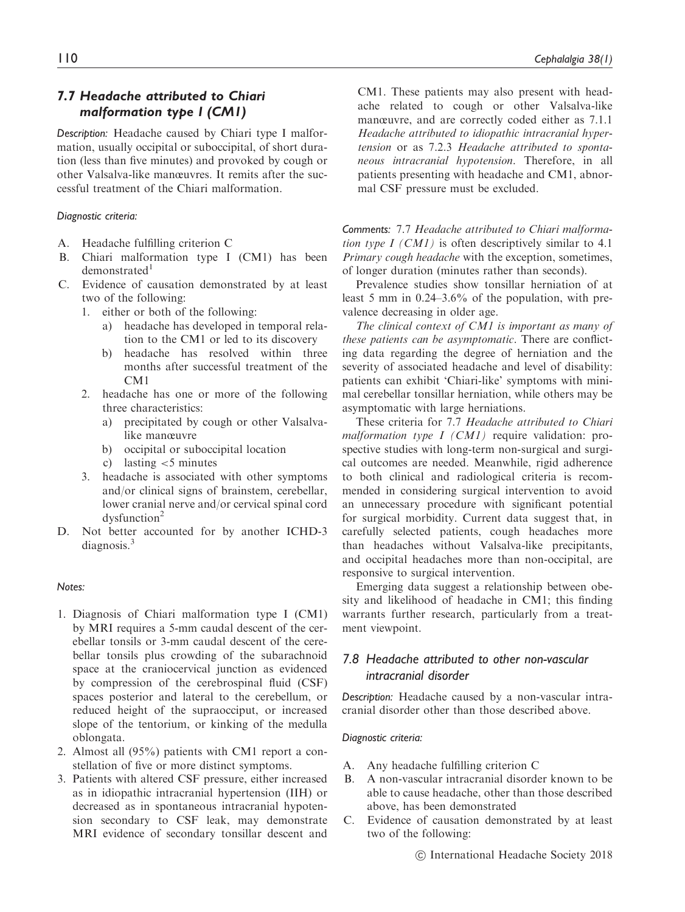Description: Headache caused by Chiari type I malformation, usually occipital or suboccipital, of short duration (less than five minutes) and provoked by cough or other Valsalva-like manœuvres. It remits after the successful treatment of the Chiari malformation.

## Diagnostic criteria:

- A. Headache fulfilling criterion C
- B. Chiari malformation type I (CM1) has been  $demonstrated<sup>1</sup>$
- C. Evidence of causation demonstrated by at least two of the following:
	- 1. either or both of the following:
		- a) headache has developed in temporal relation to the CM1 or led to its discovery
		- b) headache has resolved within three months after successful treatment of the CM1
	- 2. headache has one or more of the following three characteristics:
		- a) precipitated by cough or other Valsalvalike manœuvre
		- b) occipital or suboccipital location
		- c) lasting  $<$  5 minutes
	- 3. headache is associated with other symptoms and/or clinical signs of brainstem, cerebellar, lower cranial nerve and/or cervical spinal cord  $dysfunction<sup>2</sup>$
- D. Not better accounted for by another ICHD-3 diagnosis.<sup>3</sup>

### Notes:

- 1. Diagnosis of Chiari malformation type I (CM1) by MRI requires a 5-mm caudal descent of the cerebellar tonsils or 3-mm caudal descent of the cerebellar tonsils plus crowding of the subarachnoid space at the craniocervical junction as evidenced by compression of the cerebrospinal fluid (CSF) spaces posterior and lateral to the cerebellum, or reduced height of the supraocciput, or increased slope of the tentorium, or kinking of the medulla oblongata.
- 2. Almost all (95%) patients with CM1 report a constellation of five or more distinct symptoms.
- 3. Patients with altered CSF pressure, either increased as in idiopathic intracranial hypertension (IIH) or decreased as in spontaneous intracranial hypotension secondary to CSF leak, may demonstrate MRI evidence of secondary tonsillar descent and

CM1. These patients may also present with headache related to cough or other Valsalva-like manœuvre, and are correctly coded either as 7.1.1 Headache attributed to idiopathic intracranial hypertension or as 7.2.3 Headache attributed to spontaneous intracranial hypotension. Therefore, in all patients presenting with headache and CM1, abnormal CSF pressure must be excluded.

Comments: 7.7 Headache attributed to Chiari malformation type  $I$  (CM1) is often descriptively similar to 4.1 Primary cough headache with the exception, sometimes, of longer duration (minutes rather than seconds).

Prevalence studies show tonsillar herniation of at least 5 mm in 0.24–3.6% of the population, with prevalence decreasing in older age.

The clinical context of CM1 is important as many of these patients can be asymptomatic. There are conflicting data regarding the degree of herniation and the severity of associated headache and level of disability: patients can exhibit 'Chiari-like' symptoms with minimal cerebellar tonsillar herniation, while others may be asymptomatic with large herniations.

These criteria for 7.7 Headache attributed to Chiari malformation type  $I$  (CM1) require validation: prospective studies with long-term non-surgical and surgical outcomes are needed. Meanwhile, rigid adherence to both clinical and radiological criteria is recommended in considering surgical intervention to avoid an unnecessary procedure with significant potential for surgical morbidity. Current data suggest that, in carefully selected patients, cough headaches more than headaches without Valsalva-like precipitants, and occipital headaches more than non-occipital, are responsive to surgical intervention.

Emerging data suggest a relationship between obesity and likelihood of headache in CM1; this finding warrants further research, particularly from a treatment viewpoint.

# 7.8 Headache attributed to other non-vascular intracranial disorder

Description: Headache caused by a non-vascular intracranial disorder other than those described above.

### Diagnostic criteria:

- A. Any headache fulfilling criterion C
- B. A non-vascular intracranial disorder known to be able to cause headache, other than those described above, has been demonstrated
- C. Evidence of causation demonstrated by at least two of the following: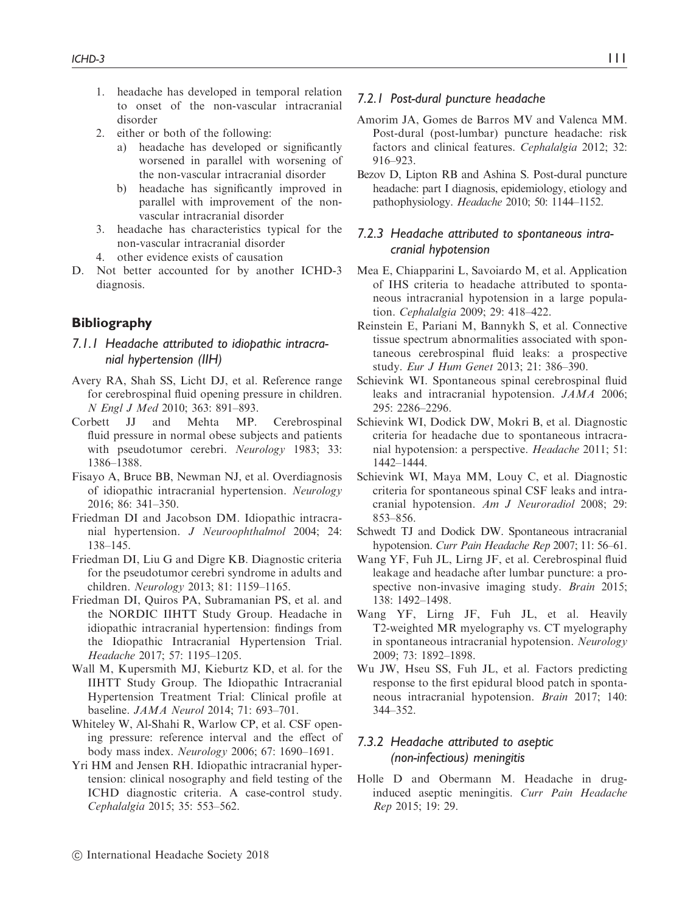- 7.2.1 Post-dural puncture headache
	- Amorim JA, Gomes de Barros MV and Valenca MM. Post-dural (post-lumbar) puncture headache: risk factors and clinical features. Cephalalgia 2012; 32: 916–923.
		- Bezov D, Lipton RB and Ashina S. Post-dural puncture headache: part I diagnosis, epidemiology, etiology and pathophysiology. Headache 2010; 50: 1144–1152.

# 7.2.3 Headache attributed to spontaneous intracranial hypotension

- Mea E, Chiapparini L, Savoiardo M, et al. Application of IHS criteria to headache attributed to spontaneous intracranial hypotension in a large population. Cephalalgia 2009; 29: 418–422.
- Reinstein E, Pariani M, Bannykh S, et al. Connective tissue spectrum abnormalities associated with spontaneous cerebrospinal fluid leaks: a prospective study. Eur J Hum Genet 2013; 21: 386–390.
- Schievink WI. Spontaneous spinal cerebrospinal fluid leaks and intracranial hypotension. JAMA 2006; 295: 2286–2296.
- Schievink WI, Dodick DW, Mokri B, et al. Diagnostic criteria for headache due to spontaneous intracranial hypotension: a perspective. Headache 2011; 51: 1442–1444.
- Schievink WI, Maya MM, Louy C, et al. Diagnostic criteria for spontaneous spinal CSF leaks and intracranial hypotension. Am J Neuroradiol 2008; 29: 853–856.
- Schwedt TJ and Dodick DW. Spontaneous intracranial hypotension. Curr Pain Headache Rep 2007; 11: 56–61.
- Wang YF, Fuh JL, Lirng JF, et al. Cerebrospinal fluid leakage and headache after lumbar puncture: a prospective non-invasive imaging study. Brain 2015; 138: 1492–1498.
- Wang YF, Lirng JF, Fuh JL, et al. Heavily T2-weighted MR myelography vs. CT myelography in spontaneous intracranial hypotension. Neurology 2009; 73: 1892–1898.
- Wu JW, Hseu SS, Fuh JL, et al. Factors predicting response to the first epidural blood patch in spontaneous intracranial hypotension. Brain 2017; 140: 344–352.

# 7.3.2 Headache attributed to aseptic (non-infectious) meningitis

Holle D and Obermann M. Headache in druginduced aseptic meningitis. Curr Pain Headache Rep 2015; 19: 29.

- 1. headache has developed in temporal relation to onset of the non-vascular intracranial disorder
- 2. either or both of the following:
	- a) headache has developed or significantly worsened in parallel with worsening of the non-vascular intracranial disorder
	- b) headache has significantly improved in parallel with improvement of the nonvascular intracranial disorder
- 3. headache has characteristics typical for the non-vascular intracranial disorder
- 4. other evidence exists of causation
- D. Not better accounted for by another ICHD-3 diagnosis.

# **Bibliography**

- 7.1.1 Headache attributed to idiopathic intracranial hypertension (IIH)
- Avery RA, Shah SS, Licht DJ, et al. Reference range for cerebrospinal fluid opening pressure in children. N Engl J Med 2010; 363: 891–893.
- Corbett JJ and Mehta MP. Cerebrospinal fluid pressure in normal obese subjects and patients with pseudotumor cerebri. Neurology 1983; 33: 1386–1388.
- Fisayo A, Bruce BB, Newman NJ, et al. Overdiagnosis of idiopathic intracranial hypertension. Neurology 2016; 86: 341–350.
- Friedman DI and Jacobson DM. Idiopathic intracranial hypertension. J Neuroophthalmol 2004; 24: 138–145.
- Friedman DI, Liu G and Digre KB. Diagnostic criteria for the pseudotumor cerebri syndrome in adults and children. Neurology 2013; 81: 1159–1165.
- Friedman DI, Quiros PA, Subramanian PS, et al. and the NORDIC IIHTT Study Group. Headache in idiopathic intracranial hypertension: findings from the Idiopathic Intracranial Hypertension Trial. Headache 2017; 57: 1195–1205.
- Wall M, Kupersmith MJ, Kieburtz KD, et al. for the IIHTT Study Group. The Idiopathic Intracranial Hypertension Treatment Trial: Clinical profile at baseline. JAMA Neurol 2014; 71: 693–701.
- Whiteley W, Al-Shahi R, Warlow CP, et al. CSF opening pressure: reference interval and the effect of body mass index. Neurology 2006; 67: 1690–1691.
- Yri HM and Jensen RH. Idiopathic intracranial hypertension: clinical nosography and field testing of the ICHD diagnostic criteria. A case-control study. Cephalalgia 2015; 35: 553–562.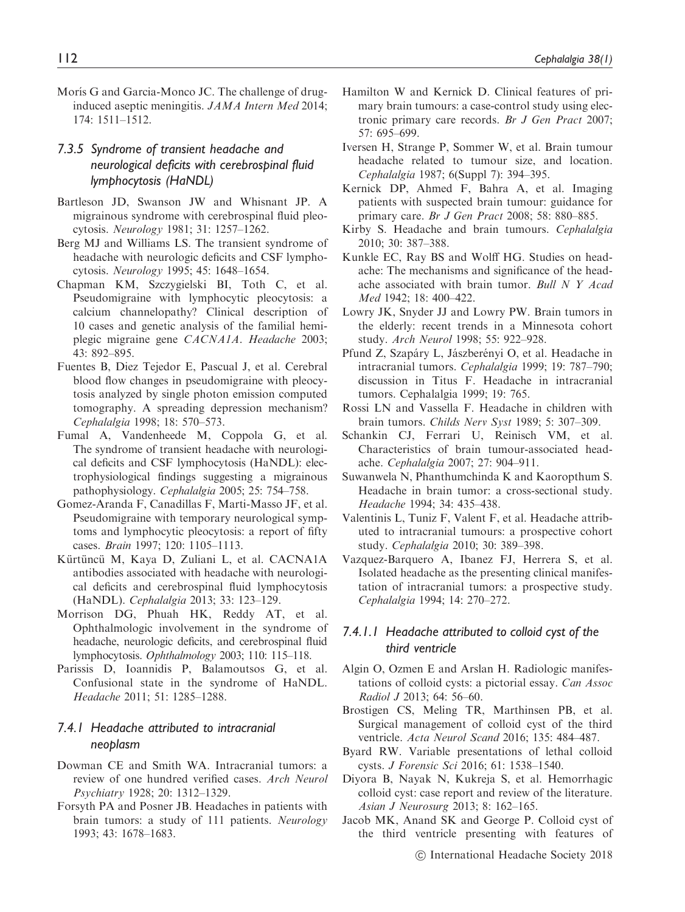Morís G and Garcia-Monco JC. The challenge of druginduced aseptic meningitis. JAMA Intern Med 2014; 174: 1511–1512.

# 7.3.5 Syndrome of transient headache and neurological deficits with cerebrospinal fluid lymphocytosis (HaNDL)

- Bartleson JD, Swanson JW and Whisnant JP. A migrainous syndrome with cerebrospinal fluid pleocytosis. Neurology 1981; 31: 1257–1262.
- Berg MJ and Williams LS. The transient syndrome of headache with neurologic deficits and CSF lymphocytosis. Neurology 1995; 45: 1648–1654.
- Chapman KM, Szczygielski BI, Toth C, et al. Pseudomigraine with lymphocytic pleocytosis: a calcium channelopathy? Clinical description of 10 cases and genetic analysis of the familial hemiplegic migraine gene CACNA1A. Headache 2003; 43: 892–895.
- Fuentes B, Diez Tejedor E, Pascual J, et al. Cerebral blood flow changes in pseudomigraine with pleocytosis analyzed by single photon emission computed tomography. A spreading depression mechanism? Cephalalgia 1998; 18: 570–573.
- Fumal A, Vandenheede M, Coppola G, et al. The syndrome of transient headache with neurological deficits and CSF lymphocytosis (HaNDL): electrophysiological findings suggesting a migrainous pathophysiology. Cephalalgia 2005; 25: 754–758.
- Gomez-Aranda F, Canadillas F, Marti-Masso JF, et al. Pseudomigraine with temporary neurological symptoms and lymphocytic pleocytosis: a report of fifty cases. Brain 1997; 120: 1105–1113.
- Kürtüncü M, Kaya D, Zuliani L, et al. CACNA1A antibodies associated with headache with neurological deficits and cerebrospinal fluid lymphocytosis (HaNDL). Cephalalgia 2013; 33: 123–129.
- Morrison DG, Phuah HK, Reddy AT, et al. Ophthalmologic involvement in the syndrome of headache, neurologic deficits, and cerebrospinal fluid lymphocytosis. Ophthalmology 2003; 110: 115–118.
- Parissis D, Ioannidis P, Balamoutsos G, et al. Confusional state in the syndrome of HaNDL. Headache 2011; 51: 1285–1288.

# 7.4.1 Headache attributed to intracranial neoplasm

- Dowman CE and Smith WA. Intracranial tumors: a review of one hundred verified cases. Arch Neurol Psychiatry 1928; 20: 1312–1329.
- Forsyth PA and Posner JB. Headaches in patients with brain tumors: a study of 111 patients. Neurology 1993; 43: 1678–1683.
- Hamilton W and Kernick D. Clinical features of primary brain tumours: a case-control study using electronic primary care records. Br J Gen Pract 2007; 57: 695–699.
- Iversen H, Strange P, Sommer W, et al. Brain tumour headache related to tumour size, and location. Cephalalgia 1987; 6(Suppl 7): 394–395.
- Kernick DP, Ahmed F, Bahra A, et al. Imaging patients with suspected brain tumour: guidance for primary care. Br J Gen Pract 2008; 58: 880–885.
- Kirby S. Headache and brain tumours. Cephalalgia 2010; 30: 387–388.
- Kunkle EC, Ray BS and Wolff HG. Studies on headache: The mechanisms and significance of the headache associated with brain tumor. Bull N Y Acad Med 1942; 18: 400–422.
- Lowry JK, Snyder JJ and Lowry PW. Brain tumors in the elderly: recent trends in a Minnesota cohort study. Arch Neurol 1998; 55: 922–928.
- Pfund Z, Szapáry L, Jászberényi O, et al. Headache in intracranial tumors. Cephalalgia 1999; 19: 787–790; discussion in Titus F. Headache in intracranial tumors. Cephalalgia 1999; 19: 765.
- Rossi LN and Vassella F. Headache in children with brain tumors. Childs Nerv Syst 1989; 5: 307–309.
- Schankin CJ, Ferrari U, Reinisch VM, et al. Characteristics of brain tumour-associated headache. Cephalalgia 2007; 27: 904–911.
- Suwanwela N, Phanthumchinda K and Kaoropthum S. Headache in brain tumor: a cross-sectional study. Headache 1994; 34: 435–438.
- Valentinis L, Tuniz F, Valent F, et al. Headache attributed to intracranial tumours: a prospective cohort study. Cephalalgia 2010; 30: 389–398.
- Vazquez-Barquero A, Ibanez FJ, Herrera S, et al. Isolated headache as the presenting clinical manifestation of intracranial tumors: a prospective study. Cephalalgia 1994; 14: 270–272.

# 7.4.1.1 Headache attributed to colloid cyst of the third ventricle

- Algin O, Ozmen E and Arslan H. Radiologic manifestations of colloid cysts: a pictorial essay. Can Assoc Radiol J 2013; 64: 56–60.
- Brostigen CS, Meling TR, Marthinsen PB, et al. Surgical management of colloid cyst of the third ventricle. Acta Neurol Scand 2016; 135: 484–487.
- Byard RW. Variable presentations of lethal colloid cysts. J Forensic Sci 2016; 61: 1538–1540.
- Diyora B, Nayak N, Kukreja S, et al. Hemorrhagic colloid cyst: case report and review of the literature. Asian J Neurosurg 2013; 8: 162–165.
- Jacob MK, Anand SK and George P. Colloid cyst of the third ventricle presenting with features of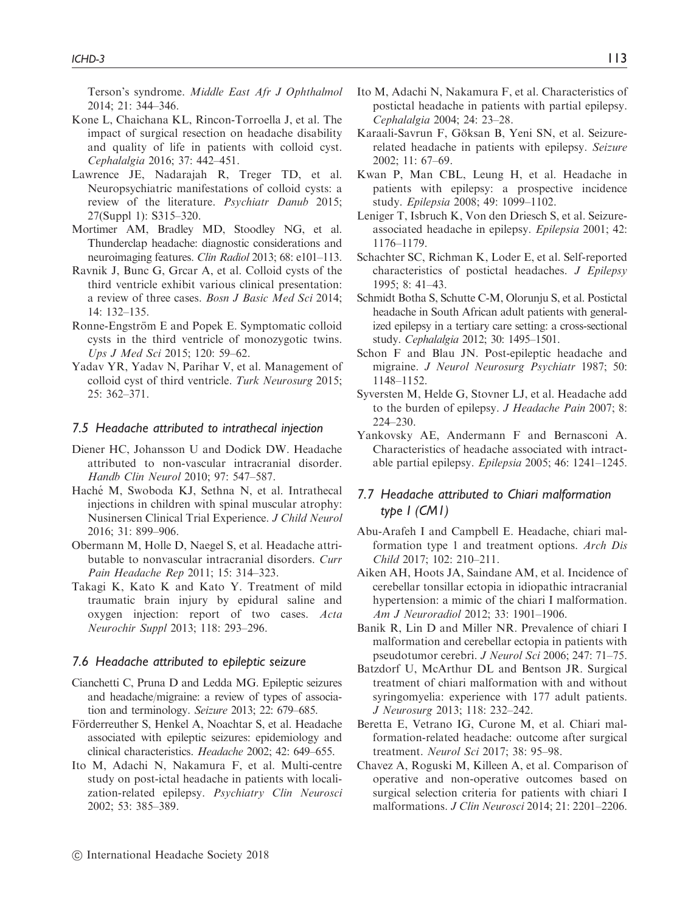Terson's syndrome. Middle East Afr J Ophthalmol 2014; 21: 344–346.

- Kone L, Chaichana KL, Rincon-Torroella J, et al. The impact of surgical resection on headache disability and quality of life in patients with colloid cyst. Cephalalgia 2016; 37: 442–451.
- Lawrence JE, Nadarajah R, Treger TD, et al. Neuropsychiatric manifestations of colloid cysts: a review of the literature. Psychiatr Danub 2015; 27(Suppl 1): S315–320.
- Mortimer AM, Bradley MD, Stoodley NG, et al. Thunderclap headache: diagnostic considerations and neuroimaging features. Clin Radiol 2013; 68: e101–113.
- Ravnik J, Bunc G, Grcar A, et al. Colloid cysts of the third ventricle exhibit various clinical presentation: a review of three cases. Bosn J Basic Med Sci 2014; 14: 132–135.
- Ronne-Engström E and Popek E. Symptomatic colloid cysts in the third ventricle of monozygotic twins. Ups J Med Sci 2015; 120: 59–62.
- Yadav YR, Yadav N, Parihar V, et al. Management of colloid cyst of third ventricle. Turk Neurosurg 2015; 25: 362–371.

## 7.5 Headache attributed to intrathecal injection

- Diener HC, Johansson U and Dodick DW. Headache attributed to non-vascular intracranial disorder. Handb Clin Neurol 2010; 97: 547–587.
- Haché M, Swoboda KJ, Sethna N, et al. Intrathecal injections in children with spinal muscular atrophy: Nusinersen Clinical Trial Experience. J Child Neurol 2016; 31: 899–906.
- Obermann M, Holle D, Naegel S, et al. Headache attributable to nonvascular intracranial disorders. Curr Pain Headache Rep 2011; 15: 314–323.
- Takagi K, Kato K and Kato Y. Treatment of mild traumatic brain injury by epidural saline and oxygen injection: report of two cases. Acta Neurochir Suppl 2013; 118: 293–296.

# 7.6 Headache attributed to epileptic seizure

- Cianchetti C, Pruna D and Ledda MG. Epileptic seizures and headache/migraine: a review of types of association and terminology. Seizure 2013; 22: 679–685.
- Förderreuther S, Henkel A, Noachtar S, et al. Headache associated with epileptic seizures: epidemiology and clinical characteristics. Headache 2002; 42: 649–655.
- Ito M, Adachi N, Nakamura F, et al. Multi-centre study on post-ictal headache in patients with localization-related epilepsy. Psychiatry Clin Neurosci 2002; 53: 385–389.
- Ito M, Adachi N, Nakamura F, et al. Characteristics of postictal headache in patients with partial epilepsy. Cephalalgia 2004; 24: 23–28.
- Karaali-Savrun F, Göksan B, Yeni SN, et al. Seizurerelated headache in patients with epilepsy. Seizure 2002; 11: 67–69.
- Kwan P, Man CBL, Leung H, et al. Headache in patients with epilepsy: a prospective incidence study. Epilepsia 2008; 49: 1099–1102.
- Leniger T, Isbruch K, Von den Driesch S, et al. Seizureassociated headache in epilepsy. Epilepsia 2001; 42: 1176–1179.
- Schachter SC, Richman K, Loder E, et al. Self-reported characteristics of postictal headaches. J Epilepsy 1995; 8: 41–43.
- Schmidt Botha S, Schutte C-M, Olorunju S, et al. Postictal headache in South African adult patients with generalized epilepsy in a tertiary care setting: a cross-sectional study. Cephalalgia 2012; 30: 1495–1501.
- Schon F and Blau JN. Post-epileptic headache and migraine. J Neurol Neurosurg Psychiatr 1987; 50: 1148–1152.
- Syversten M, Helde G, Stovner LJ, et al. Headache add to the burden of epilepsy. J Headache Pain 2007; 8: 224–230.
- Yankovsky AE, Andermann F and Bernasconi A. Characteristics of headache associated with intractable partial epilepsy. Epilepsia 2005; 46: 1241–1245.

# 7.7 Headache attributed to Chiari malformation type I (CM1)

- Abu-Arafeh I and Campbell E. Headache, chiari malformation type 1 and treatment options. Arch Dis Child 2017; 102: 210–211.
- Aiken AH, Hoots JA, Saindane AM, et al. Incidence of cerebellar tonsillar ectopia in idiopathic intracranial hypertension: a mimic of the chiari I malformation. Am J Neuroradiol 2012; 33: 1901–1906.
- Banik R, Lin D and Miller NR. Prevalence of chiari I malformation and cerebellar ectopia in patients with pseudotumor cerebri. J Neurol Sci 2006; 247: 71–75.
- Batzdorf U, McArthur DL and Bentson JR. Surgical treatment of chiari malformation with and without syringomyelia: experience with 177 adult patients. J Neurosurg 2013; 118: 232–242.
- Beretta E, Vetrano IG, Curone M, et al. Chiari malformation-related headache: outcome after surgical treatment. Neurol Sci 2017; 38: 95–98.
- Chavez A, Roguski M, Killeen A, et al. Comparison of operative and non-operative outcomes based on surgical selection criteria for patients with chiari I malformations. J Clin Neurosci 2014; 21: 2201–2206.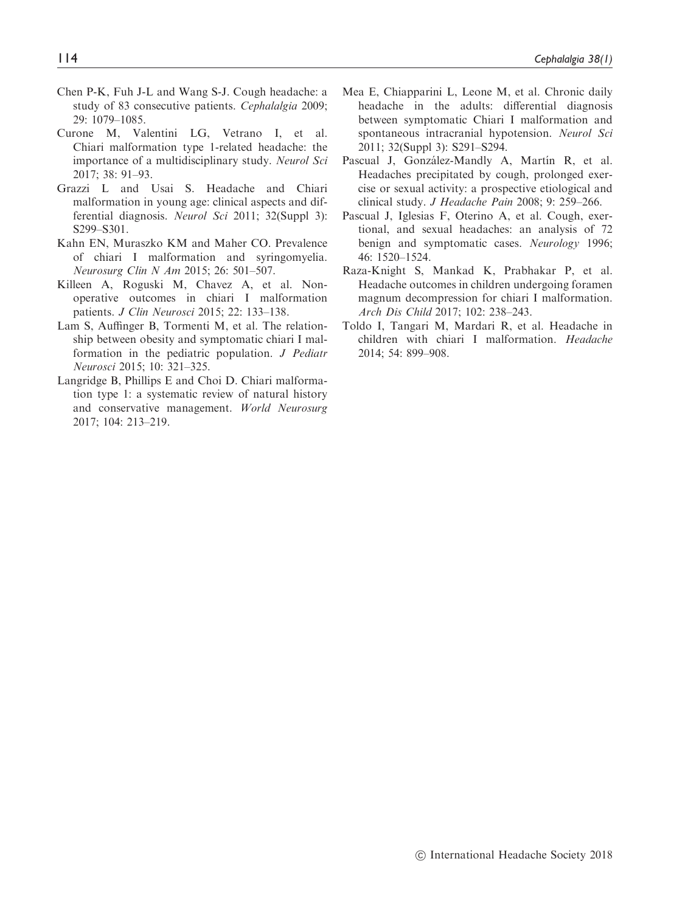- Chen P-K, Fuh J-L and Wang S-J. Cough headache: a study of 83 consecutive patients. Cephalalgia 2009; 29: 1079–1085.
- Curone M, Valentini LG, Vetrano I, et al. Chiari malformation type 1-related headache: the importance of a multidisciplinary study. Neurol Sci 2017; 38: 91–93.
- Grazzi L and Usai S. Headache and Chiari malformation in young age: clinical aspects and differential diagnosis. Neurol Sci 2011; 32(Suppl 3): S299–S301.
- Kahn EN, Muraszko KM and Maher CO. Prevalence of chiari I malformation and syringomyelia. Neurosurg Clin N Am 2015; 26: 501–507.
- Killeen A, Roguski M, Chavez A, et al. Nonoperative outcomes in chiari I malformation patients. J Clin Neurosci 2015; 22: 133–138.
- Lam S, Auffinger B, Tormenti M, et al. The relationship between obesity and symptomatic chiari I malformation in the pediatric population. J Pediatr Neurosci 2015; 10: 321–325.
- Langridge B, Phillips E and Choi D. Chiari malformation type 1: a systematic review of natural history and conservative management. World Neurosurg 2017; 104: 213–219.
- Mea E, Chiapparini L, Leone M, et al. Chronic daily headache in the adults: differential diagnosis between symptomatic Chiari I malformation and spontaneous intracranial hypotension. Neurol Sci 2011; 32(Suppl 3): S291–S294.
- Pascual J, González-Mandly A, Martín R, et al. Headaches precipitated by cough, prolonged exercise or sexual activity: a prospective etiological and clinical study. J Headache Pain 2008; 9: 259–266.
- Pascual J, Iglesias F, Oterino A, et al. Cough, exertional, and sexual headaches: an analysis of 72 benign and symptomatic cases. Neurology 1996; 46: 1520–1524.
- Raza-Knight S, Mankad K, Prabhakar P, et al. Headache outcomes in children undergoing foramen magnum decompression for chiari I malformation. Arch Dis Child 2017; 102: 238–243.
- Toldo I, Tangari M, Mardari R, et al. Headache in children with chiari I malformation. Headache 2014; 54: 899–908.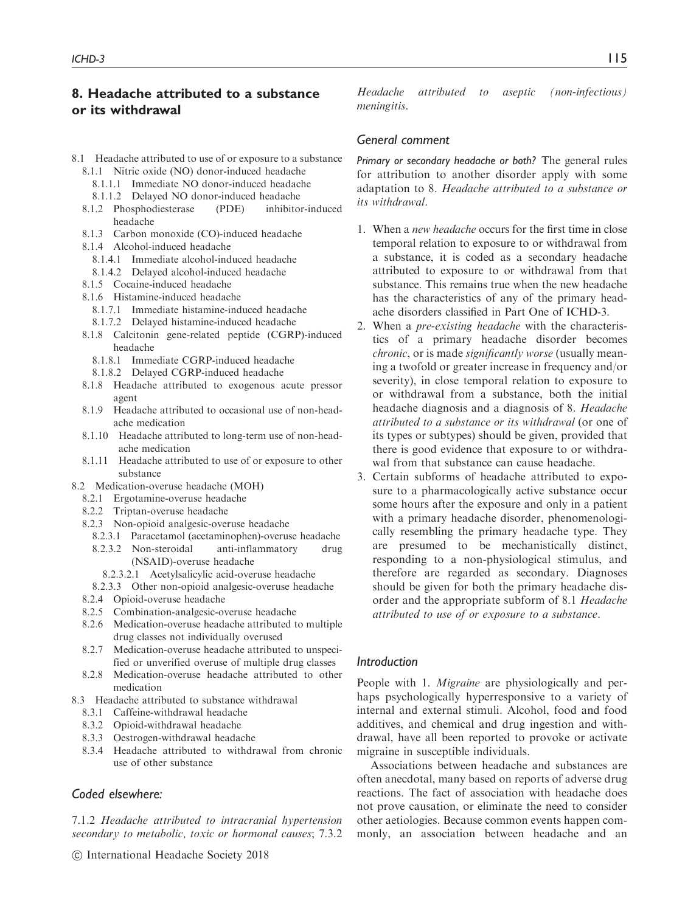# 8. Headache attributed to a substance or its withdrawal

- 8.1 Headache attributed to use of or exposure to a substance 8.1.1 Nitric oxide (NO) donor-induced headache
	- 8.1.1.1 Immediate NO donor-induced headache
	- 8.1.1.2 Delayed NO donor-induced headache
	- 8.1.2 Phosphodiesterase (PDE) inhibitor-induced headache
	- 8.1.3 Carbon monoxide (CO)-induced headache
	- 8.1.4 Alcohol-induced headache
	- 8.1.4.1 Immediate alcohol-induced headache
	- 8.1.4.2 Delayed alcohol-induced headache
	- 8.1.5 Cocaine-induced headache
	- 8.1.6 Histamine-induced headache
		- 8.1.7.1 Immediate histamine-induced headache
		- 8.1.7.2 Delayed histamine-induced headache
	- 8.1.8 Calcitonin gene-related peptide (CGRP)-induced headache
		- 8.1.8.1 Immediate CGRP-induced headache
		- 8.1.8.2 Delayed CGRP-induced headache
	- 8.1.8 Headache attributed to exogenous acute pressor agent
	- 8.1.9 Headache attributed to occasional use of non-headache medication
	- 8.1.10 Headache attributed to long-term use of non-headache medication
	- 8.1.11 Headache attributed to use of or exposure to other substance
- 8.2 Medication-overuse headache (MOH)
	- 8.2.1 Ergotamine-overuse headache
	- 8.2.2 Triptan-overuse headache
	- 8.2.3 Non-opioid analgesic-overuse headache
		- 8.2.3.1 Paracetamol (acetaminophen)-overuse headache
		- 8.2.3.2 Non-steroidal anti-inflammatory drug (NSAID)-overuse headache
			- 8.2.3.2.1 Acetylsalicylic acid-overuse headache
	- 8.2.3.3 Other non-opioid analgesic-overuse headache
	- 8.2.4 Opioid-overuse headache
	- 8.2.5 Combination-analgesic-overuse headache
	- 8.2.6 Medication-overuse headache attributed to multiple drug classes not individually overused
	- 8.2.7 Medication-overuse headache attributed to unspecified or unverified overuse of multiple drug classes
	- 8.2.8 Medication-overuse headache attributed to other medication
- 8.3 Headache attributed to substance withdrawal
	- 8.3.1 Caffeine-withdrawal headache
	- 8.3.2 Opioid-withdrawal headache
	- 8.3.3 Oestrogen-withdrawal headache
	- 8.3.4 Headache attributed to withdrawal from chronic use of other substance

# Coded elsewhere:

7.1.2 Headache attributed to intracranial hypertension secondary to metabolic, toxic or hormonal causes; 7.3.2

! International Headache Society 2018

Headache attributed to aseptic (non-infectious) meningitis.

## General comment

Primary or secondary headache or both? The general rules for attribution to another disorder apply with some adaptation to 8. Headache attributed to a substance or its withdrawal.

- 1. When a new headache occurs for the first time in close temporal relation to exposure to or withdrawal from a substance, it is coded as a secondary headache attributed to exposure to or withdrawal from that substance. This remains true when the new headache has the characteristics of any of the primary headache disorders classified in Part One of ICHD-3.
- 2. When a pre-existing headache with the characteristics of a primary headache disorder becomes chronic, or is made significantly worse (usually meaning a twofold or greater increase in frequency and/or severity), in close temporal relation to exposure to or withdrawal from a substance, both the initial headache diagnosis and a diagnosis of 8. Headache attributed to a substance or its withdrawal (or one of its types or subtypes) should be given, provided that there is good evidence that exposure to or withdrawal from that substance can cause headache.
- 3. Certain subforms of headache attributed to exposure to a pharmacologically active substance occur some hours after the exposure and only in a patient with a primary headache disorder, phenomenologically resembling the primary headache type. They are presumed to be mechanistically distinct, responding to a non-physiological stimulus, and therefore are regarded as secondary. Diagnoses should be given for both the primary headache disorder and the appropriate subform of 8.1 Headache attributed to use of or exposure to a substance.

## Introduction

People with 1. Migraine are physiologically and perhaps psychologically hyperresponsive to a variety of internal and external stimuli. Alcohol, food and food additives, and chemical and drug ingestion and withdrawal, have all been reported to provoke or activate migraine in susceptible individuals.

Associations between headache and substances are often anecdotal, many based on reports of adverse drug reactions. The fact of association with headache does not prove causation, or eliminate the need to consider other aetiologies. Because common events happen commonly, an association between headache and an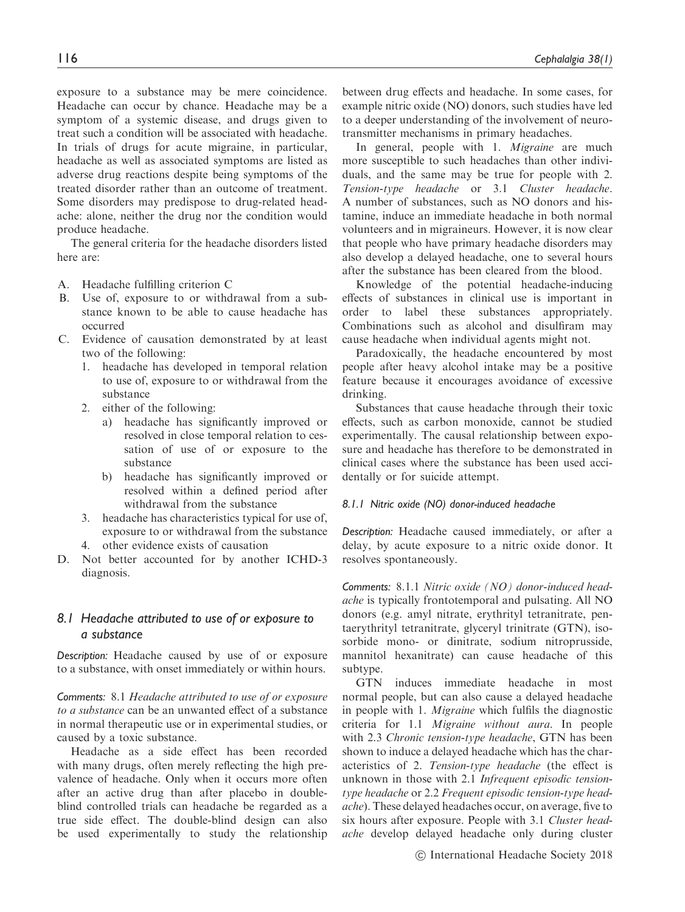exposure to a substance may be mere coincidence. Headache can occur by chance. Headache may be a symptom of a systemic disease, and drugs given to treat such a condition will be associated with headache. In trials of drugs for acute migraine, in particular, headache as well as associated symptoms are listed as adverse drug reactions despite being symptoms of the treated disorder rather than an outcome of treatment. Some disorders may predispose to drug-related headache: alone, neither the drug nor the condition would produce headache.

The general criteria for the headache disorders listed here are:

- A. Headache fulfilling criterion C
- B. Use of, exposure to or withdrawal from a substance known to be able to cause headache has occurred
- C. Evidence of causation demonstrated by at least two of the following:
	- 1. headache has developed in temporal relation to use of, exposure to or withdrawal from the substance
	- 2. either of the following:
		- a) headache has significantly improved or resolved in close temporal relation to cessation of use of or exposure to the substance
		- b) headache has significantly improved or resolved within a defined period after withdrawal from the substance
	- 3. headache has characteristics typical for use of, exposure to or withdrawal from the substance
	- 4. other evidence exists of causation
- D. Not better accounted for by another ICHD-3 diagnosis.

# 8.1 Headache attributed to use of or exposure to a substance

Description: Headache caused by use of or exposure to a substance, with onset immediately or within hours.

Comments: 8.1 Headache attributed to use of or exposure to a substance can be an unwanted effect of a substance in normal therapeutic use or in experimental studies, or caused by a toxic substance.

Headache as a side effect has been recorded with many drugs, often merely reflecting the high prevalence of headache. Only when it occurs more often after an active drug than after placebo in doubleblind controlled trials can headache be regarded as a true side effect. The double-blind design can also be used experimentally to study the relationship between drug effects and headache. In some cases, for example nitric oxide (NO) donors, such studies have led to a deeper understanding of the involvement of neurotransmitter mechanisms in primary headaches.

In general, people with 1. *Migraine* are much more susceptible to such headaches than other individuals, and the same may be true for people with 2. Tension-type headache or 3.1 Cluster headache. A number of substances, such as NO donors and histamine, induce an immediate headache in both normal volunteers and in migraineurs. However, it is now clear that people who have primary headache disorders may also develop a delayed headache, one to several hours after the substance has been cleared from the blood.

Knowledge of the potential headache-inducing effects of substances in clinical use is important in order to label these substances appropriately. Combinations such as alcohol and disulfiram may cause headache when individual agents might not.

Paradoxically, the headache encountered by most people after heavy alcohol intake may be a positive feature because it encourages avoidance of excessive drinking.

Substances that cause headache through their toxic effects, such as carbon monoxide, cannot be studied experimentally. The causal relationship between exposure and headache has therefore to be demonstrated in clinical cases where the substance has been used accidentally or for suicide attempt.

### 8.1.1 Nitric oxide (NO) donor-induced headache

Description: Headache caused immediately, or after a delay, by acute exposure to a nitric oxide donor. It resolves spontaneously.

Comments: 8.1.1 Nitric oxide (NO) donor-induced headache is typically frontotemporal and pulsating. All NO donors (e.g. amyl nitrate, erythrityl tetranitrate, pentaerythrityl tetranitrate, glyceryl trinitrate (GTN), isosorbide mono- or dinitrate, sodium nitroprusside, mannitol hexanitrate) can cause headache of this subtype.

GTN induces immediate headache in most normal people, but can also cause a delayed headache in people with 1. Migraine which fulfils the diagnostic criteria for 1.1 Migraine without aura. In people with 2.3 Chronic tension-type headache, GTN has been shown to induce a delayed headache which has the characteristics of 2. Tension-type headache (the effect is unknown in those with 2.1 Infrequent episodic tensiontype headache or 2.2 Frequent episodic tension-type headache). These delayed headaches occur, on average, five to six hours after exposure. People with 3.1 Cluster headache develop delayed headache only during cluster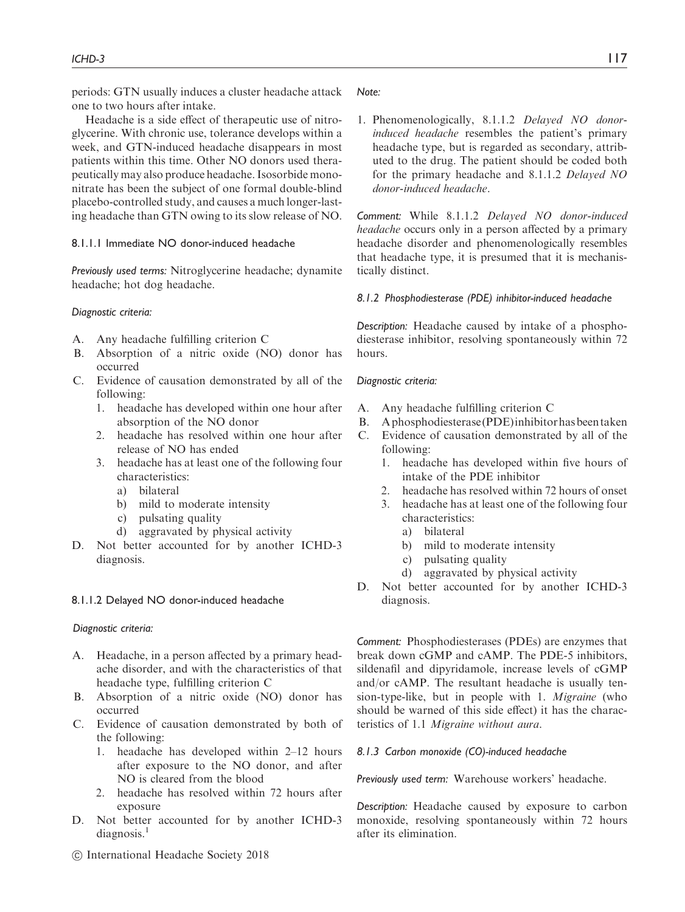periods: GTN usually induces a cluster headache attack one to two hours after intake.

Headache is a side effect of therapeutic use of nitroglycerine. With chronic use, tolerance develops within a week, and GTN-induced headache disappears in most patients within this time. Other NO donors used therapeutically may also produce headache. Isosorbide mononitrate has been the subject of one formal double-blind placebo-controlled study, and causes a much longer-lasting headache than GTN owing to its slow release of NO.

### 8.1.1.1 Immediate NO donor-induced headache

Previously used terms: Nitroglycerine headache; dynamite headache; hot dog headache.

#### Diagnostic criteria:

- A. Any headache fulfilling criterion C
- B. Absorption of a nitric oxide (NO) donor has occurred
- C. Evidence of causation demonstrated by all of the following:
	- 1. headache has developed within one hour after absorption of the NO donor
	- 2. headache has resolved within one hour after release of NO has ended
	- 3. headache has at least one of the following four characteristics:
		- a) bilateral
		- b) mild to moderate intensity
		- c) pulsating quality
		- d) aggravated by physical activity
- D. Not better accounted for by another ICHD-3 diagnosis.

#### 8.1.1.2 Delayed NO donor-induced headache

#### Diagnostic criteria:

- A. Headache, in a person affected by a primary headache disorder, and with the characteristics of that headache type, fulfilling criterion C
- B. Absorption of a nitric oxide (NO) donor has occurred
- C. Evidence of causation demonstrated by both of the following:
	- 1. headache has developed within 2–12 hours after exposure to the NO donor, and after NO is cleared from the blood
	- 2. headache has resolved within 72 hours after exposure
- D. Not better accounted for by another ICHD-3  $diagnosis.<sup>1</sup>$
- ! International Headache Society 2018

### Note:

1. Phenomenologically, 8.1.1.2 Delayed NO donorinduced headache resembles the patient's primary headache type, but is regarded as secondary, attributed to the drug. The patient should be coded both for the primary headache and 8.1.1.2 Delayed NO donor-induced headache.

Comment: While 8.1.1.2 Delayed NO donor-induced headache occurs only in a person affected by a primary headache disorder and phenomenologically resembles that headache type, it is presumed that it is mechanistically distinct.

### 8.1.2 Phosphodiesterase (PDE) inhibitor-induced headache

Description: Headache caused by intake of a phosphodiesterase inhibitor, resolving spontaneously within 72 hours.

### Diagnostic criteria:

- A. Any headache fulfilling criterion C
- B. Aphosphodiesterase (PDE)inhibitorhasbeen taken
- C. Evidence of causation demonstrated by all of the following:
	- 1. headache has developed within five hours of intake of the PDE inhibitor
	- 2. headache has resolved within 72 hours of onset
	- 3. headache has at least one of the following four characteristics:
		- a) bilateral
		- b) mild to moderate intensity
		- c) pulsating quality
		- d) aggravated by physical activity
- D. Not better accounted for by another ICHD-3 diagnosis.

Comment: Phosphodiesterases (PDEs) are enzymes that break down cGMP and cAMP. The PDE-5 inhibitors, sildenafil and dipyridamole, increase levels of cGMP and/or cAMP. The resultant headache is usually tension-type-like, but in people with 1. Migraine (who should be warned of this side effect) it has the characteristics of 1.1 Migraine without aura.

## 8.1.3 Carbon monoxide (CO)-induced headache

Previously used term: Warehouse workers' headache.

Description: Headache caused by exposure to carbon monoxide, resolving spontaneously within 72 hours after its elimination.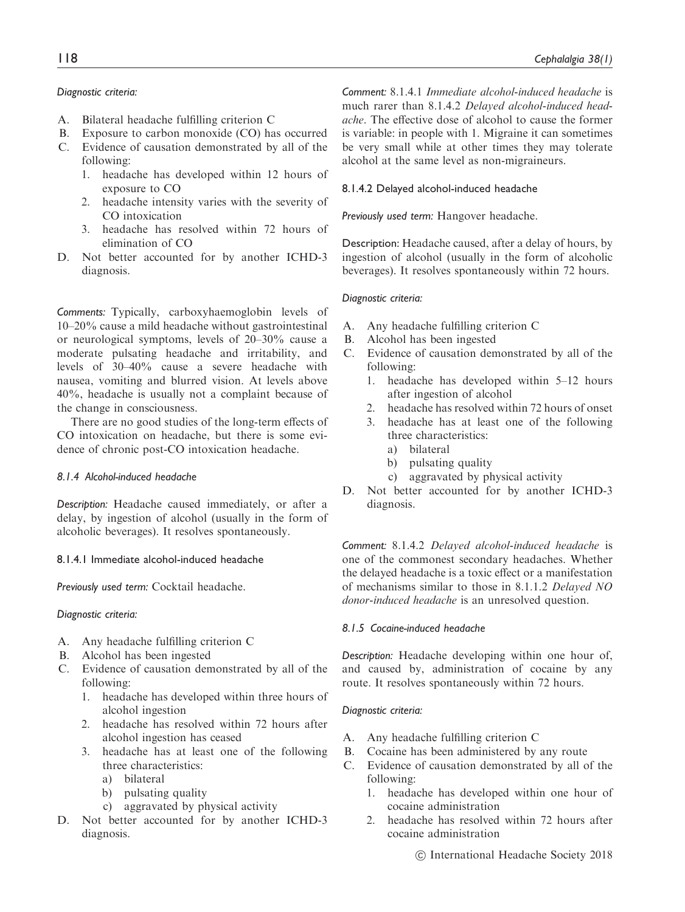## Diagnostic criteria:

- A. Bilateral headache fulfilling criterion C
- B. Exposure to carbon monoxide (CO) has occurred
- C. Evidence of causation demonstrated by all of the following:
	- 1. headache has developed within 12 hours of exposure to CO
	- 2. headache intensity varies with the severity of CO intoxication
	- 3. headache has resolved within 72 hours of elimination of CO
- D. Not better accounted for by another ICHD-3 diagnosis.

Comments: Typically, carboxyhaemoglobin levels of 10–20% cause a mild headache without gastrointestinal or neurological symptoms, levels of 20–30% cause a moderate pulsating headache and irritability, and levels of 30–40% cause a severe headache with nausea, vomiting and blurred vision. At levels above 40%, headache is usually not a complaint because of the change in consciousness.

There are no good studies of the long-term effects of CO intoxication on headache, but there is some evidence of chronic post-CO intoxication headache.

## 8.1.4 Alcohol-induced headache

Description: Headache caused immediately, or after a delay, by ingestion of alcohol (usually in the form of alcoholic beverages). It resolves spontaneously.

## 8.1.4.1 Immediate alcohol-induced headache

Previously used term: Cocktail headache.

## Diagnostic criteria:

- A. Any headache fulfilling criterion C
- B. Alcohol has been ingested
- C. Evidence of causation demonstrated by all of the following:
	- 1. headache has developed within three hours of alcohol ingestion
	- 2. headache has resolved within 72 hours after alcohol ingestion has ceased
	- 3. headache has at least one of the following three characteristics:
		- a) bilateral
		- b) pulsating quality
		- c) aggravated by physical activity
- D. Not better accounted for by another ICHD-3 diagnosis.

Comment: 8.1.4.1 Immediate alcohol-induced headache is much rarer than 8.1.4.2 Delayed alcohol-induced headache. The effective dose of alcohol to cause the former is variable: in people with 1. Migraine it can sometimes be very small while at other times they may tolerate alcohol at the same level as non-migraineurs.

## 8.1.4.2 Delayed alcohol-induced headache

Previously used term: Hangover headache.

Description: Headache caused, after a delay of hours, by ingestion of alcohol (usually in the form of alcoholic beverages). It resolves spontaneously within 72 hours.

## Diagnostic criteria:

- A. Any headache fulfilling criterion C
- B. Alcohol has been ingested
- C. Evidence of causation demonstrated by all of the following:
	- 1. headache has developed within 5–12 hours after ingestion of alcohol
	- 2. headache has resolved within 72 hours of onset
	- 3. headache has at least one of the following three characteristics:
		- a) bilateral
		- b) pulsating quality
		- c) aggravated by physical activity
- D. Not better accounted for by another ICHD-3 diagnosis.

Comment: 8.1.4.2 Delayed alcohol-induced headache is one of the commonest secondary headaches. Whether the delayed headache is a toxic effect or a manifestation of mechanisms similar to those in 8.1.1.2 Delayed NO donor-induced headache is an unresolved question.

## 8.1.5 Cocaine-induced headache

Description: Headache developing within one hour of, and caused by, administration of cocaine by any route. It resolves spontaneously within 72 hours.

## Diagnostic criteria:

- A. Any headache fulfilling criterion C
- B. Cocaine has been administered by any route
- C. Evidence of causation demonstrated by all of the following:
	- 1. headache has developed within one hour of cocaine administration
	- 2. headache has resolved within 72 hours after cocaine administration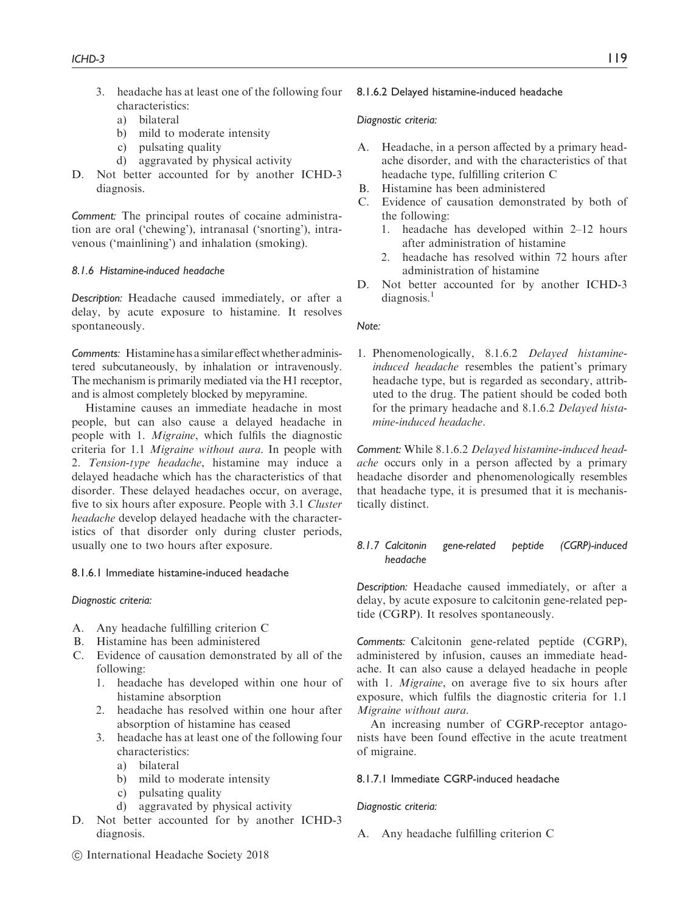- 3. headache has at least one of the following four characteristics:
	- a) bilateral
	- b) mild to moderate intensity
	- c) pulsating quality
	- d) aggravated by physical activity
- D. Not better accounted for by another ICHD-3 diagnosis.

Comment: The principal routes of cocaine administration are oral ('chewing'), intranasal ('snorting'), intravenous ('mainlining') and inhalation (smoking).

## 8.1.6 Histamine-induced headache

Description: Headache caused immediately, or after a delay, by acute exposure to histamine. It resolves spontaneously.

Comments: Histamine has a similar effect whether administered subcutaneously, by inhalation or intravenously. The mechanism is primarily mediated via the H1 receptor, and is almost completely blocked by mepyramine.

Histamine causes an immediate headache in most people, but can also cause a delayed headache in people with 1. Migraine, which fulfils the diagnostic criteria for 1.1 Migraine without aura. In people with 2. Tension-type headache, histamine may induce a delayed headache which has the characteristics of that disorder. These delayed headaches occur, on average, five to six hours after exposure. People with 3.1 Cluster headache develop delayed headache with the characteristics of that disorder only during cluster periods, usually one to two hours after exposure.

## 8.1.6.1 Immediate histamine-induced headache

#### Diagnostic criteria:

- A. Any headache fulfilling criterion C
- B. Histamine has been administered
- C. Evidence of causation demonstrated by all of the following:
	- 1. headache has developed within one hour of histamine absorption
	- 2. headache has resolved within one hour after absorption of histamine has ceased
	- 3. headache has at least one of the following four characteristics:
		- a) bilateral
		- b) mild to moderate intensity
		- c) pulsating quality
		- d) aggravated by physical activity
- D. Not better accounted for by another ICHD-3 diagnosis.
- ! International Headache Society 2018

### 8.1.6.2 Delayed histamine-induced headache

#### Diagnostic criteria:

- A. Headache, in a person affected by a primary headache disorder, and with the characteristics of that headache type, fulfilling criterion C
- B. Histamine has been administered
- C. Evidence of causation demonstrated by both of the following:
	- 1. headache has developed within 2–12 hours after administration of histamine
	- 2. headache has resolved within 72 hours after administration of histamine
- D. Not better accounted for by another ICHD-3 diagnosis.<sup>1</sup>

### Note:

1. Phenomenologically, 8.1.6.2 Delayed histamineinduced headache resembles the patient's primary headache type, but is regarded as secondary, attributed to the drug. The patient should be coded both for the primary headache and 8.1.6.2 Delayed histamine-induced headache.

Comment: While 8.1.6.2 Delayed histamine-induced headache occurs only in a person affected by a primary headache disorder and phenomenologically resembles that headache type, it is presumed that it is mechanistically distinct.

## 8.1.7 Calcitonin gene-related peptide (CGRP)-induced headache

Description: Headache caused immediately, or after a delay, by acute exposure to calcitonin gene-related peptide (CGRP). It resolves spontaneously.

Comments: Calcitonin gene-related peptide (CGRP), administered by infusion, causes an immediate headache. It can also cause a delayed headache in people with 1. *Migraine*, on average five to six hours after exposure, which fulfils the diagnostic criteria for 1.1 Migraine without aura.

An increasing number of CGRP-receptor antagonists have been found effective in the acute treatment of migraine.

### 8.1.7.1 Immediate CGRP-induced headache

## Diagnostic criteria:

A. Any headache fulfilling criterion C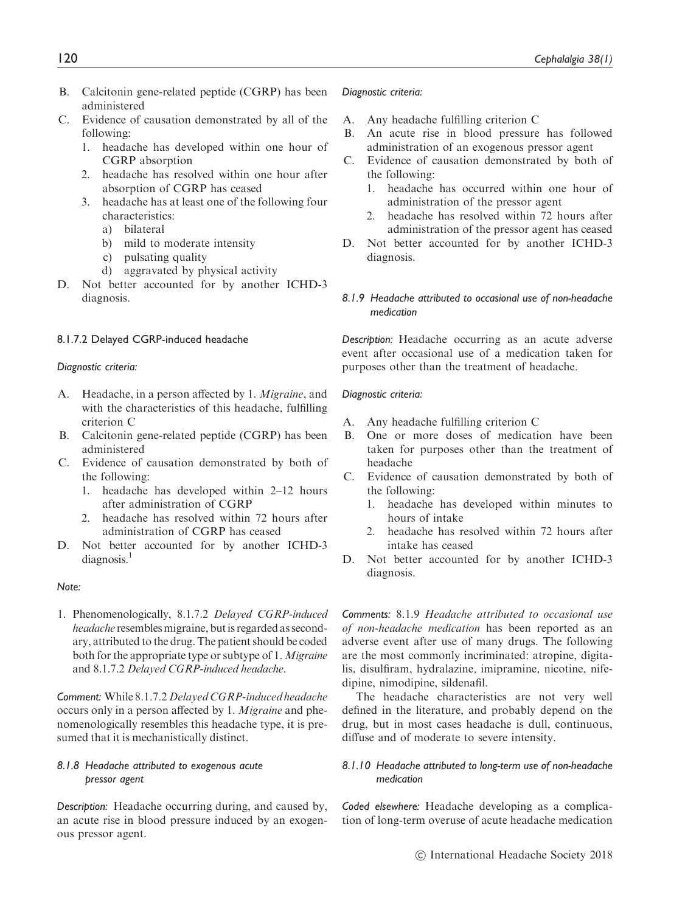- B. Calcitonin gene-related peptide (CGRP) has been administered
- C. Evidence of causation demonstrated by all of the following:
	- 1. headache has developed within one hour of CGRP absorption
	- 2. headache has resolved within one hour after absorption of CGRP has ceased
	- 3. headache has at least one of the following four characteristics:
		- a) bilateral
		- b) mild to moderate intensity
		- c) pulsating quality
		- d) aggravated by physical activity
- D. Not better accounted for by another ICHD-3 diagnosis.

## 8.1.7.2 Delayed CGRP-induced headache

## Diagnostic criteria:

- A. Headache, in a person affected by 1. Migraine, and with the characteristics of this headache, fulfilling criterion C
- B. Calcitonin gene-related peptide (CGRP) has been administered
- C. Evidence of causation demonstrated by both of the following:
	- 1. headache has developed within 2–12 hours after administration of CGRP
	- 2. headache has resolved within 72 hours after administration of CGRP has ceased
- D. Not better accounted for by another ICHD-3 diagnosis.<sup>1</sup>

## Note:

1. Phenomenologically, 8.1.7.2 Delayed CGRP-induced headache resembles migraine, but is regarded as secondary, attributed to the drug. The patient should be coded both for the appropriate type or subtype of 1. Migraine and 8.1.7.2 Delayed CGRP-induced headache.

Comment: While 8.1.7.2 Delayed CGRP-induced headache occurs only in a person affected by 1. Migraine and phenomenologically resembles this headache type, it is presumed that it is mechanistically distinct.

## 8.1.8 Headache attributed to exogenous acute pressor agent

Description: Headache occurring during, and caused by, an acute rise in blood pressure induced by an exogenous pressor agent.

## Diagnostic criteria:

- A. Any headache fulfilling criterion C
- B. An acute rise in blood pressure has followed administration of an exogenous pressor agent
- C. Evidence of causation demonstrated by both of the following:
	- 1. headache has occurred within one hour of administration of the pressor agent
	- 2. headache has resolved within 72 hours after administration of the pressor agent has ceased
- D. Not better accounted for by another ICHD-3 diagnosis.

## 8.1.9 Headache attributed to occasional use of non-headache medication

Description: Headache occurring as an acute adverse event after occasional use of a medication taken for purposes other than the treatment of headache.

## Diagnostic criteria:

- A. Any headache fulfilling criterion C
- B. One or more doses of medication have been taken for purposes other than the treatment of headache
- C. Evidence of causation demonstrated by both of the following:
	- 1. headache has developed within minutes to hours of intake
	- 2. headache has resolved within 72 hours after intake has ceased
- D. Not better accounted for by another ICHD-3 diagnosis.

Comments: 8.1.9 Headache attributed to occasional use of non-headache medication has been reported as an adverse event after use of many drugs. The following are the most commonly incriminated: atropine, digitalis, disulfiram, hydralazine, imipramine, nicotine, nifedipine, nimodipine, sildenafil.

The headache characteristics are not very well defined in the literature, and probably depend on the drug, but in most cases headache is dull, continuous, diffuse and of moderate to severe intensity.

## 8.1.10 Headache attributed to long-term use of non-headache medication

Coded elsewhere: Headache developing as a complication of long-term overuse of acute headache medication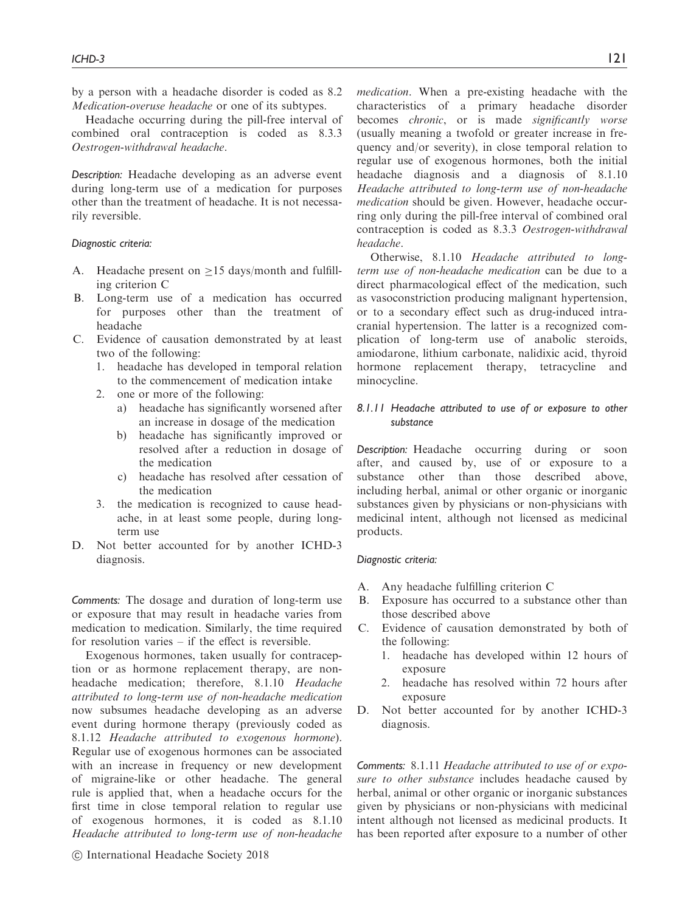by a person with a headache disorder is coded as 8.2 Medication-overuse headache or one of its subtypes.

Headache occurring during the pill-free interval of combined oral contraception is coded as 8.3.3 Oestrogen-withdrawal headache.

Description: Headache developing as an adverse event during long-term use of a medication for purposes other than the treatment of headache. It is not necessarily reversible.

### Diagnostic criteria:

- A. Headache present on  $\geq 15$  days/month and fulfilling criterion C
- B. Long-term use of a medication has occurred for purposes other than the treatment of headache
- C. Evidence of causation demonstrated by at least two of the following:
	- 1. headache has developed in temporal relation to the commencement of medication intake
	- 2. one or more of the following:
		- a) headache has significantly worsened after an increase in dosage of the medication
		- b) headache has significantly improved or resolved after a reduction in dosage of the medication
		- c) headache has resolved after cessation of the medication
	- 3. the medication is recognized to cause headache, in at least some people, during longterm use
- D. Not better accounted for by another ICHD-3 diagnosis.

Comments: The dosage and duration of long-term use or exposure that may result in headache varies from medication to medication. Similarly, the time required for resolution varies – if the effect is reversible.

Exogenous hormones, taken usually for contraception or as hormone replacement therapy, are nonheadache medication; therefore, 8.1.10 Headache attributed to long-term use of non-headache medication now subsumes headache developing as an adverse event during hormone therapy (previously coded as 8.1.12 Headache attributed to exogenous hormone). Regular use of exogenous hormones can be associated with an increase in frequency or new development of migraine-like or other headache. The general rule is applied that, when a headache occurs for the first time in close temporal relation to regular use of exogenous hormones, it is coded as 8.1.10 Headache attributed to long-term use of non-headache

medication. When a pre-existing headache with the characteristics of a primary headache disorder becomes *chronic*, or is made *significantly worse* (usually meaning a twofold or greater increase in frequency and/or severity), in close temporal relation to regular use of exogenous hormones, both the initial headache diagnosis and a diagnosis of 8.1.10 Headache attributed to long-term use of non-headache medication should be given. However, headache occurring only during the pill-free interval of combined oral contraception is coded as 8.3.3 Oestrogen-withdrawal headache.

Otherwise, 8.1.10 Headache attributed to longterm use of non-headache medication can be due to a direct pharmacological effect of the medication, such as vasoconstriction producing malignant hypertension, or to a secondary effect such as drug-induced intracranial hypertension. The latter is a recognized complication of long-term use of anabolic steroids, amiodarone, lithium carbonate, nalidixic acid, thyroid hormone replacement therapy, tetracycline and minocycline.

## 8.1.11 Headache attributed to use of or exposure to other substance

Description: Headache occurring during or soon after, and caused by, use of or exposure to a substance other than those described above, including herbal, animal or other organic or inorganic substances given by physicians or non-physicians with medicinal intent, although not licensed as medicinal products.

### Diagnostic criteria:

- A. Any headache fulfilling criterion C
- B. Exposure has occurred to a substance other than those described above
- C. Evidence of causation demonstrated by both of the following:
	- 1. headache has developed within 12 hours of exposure
	- 2. headache has resolved within 72 hours after exposure
- D. Not better accounted for by another ICHD-3 diagnosis.

Comments: 8.1.11 Headache attributed to use of or exposure to other substance includes headache caused by herbal, animal or other organic or inorganic substances given by physicians or non-physicians with medicinal intent although not licensed as medicinal products. It has been reported after exposure to a number of other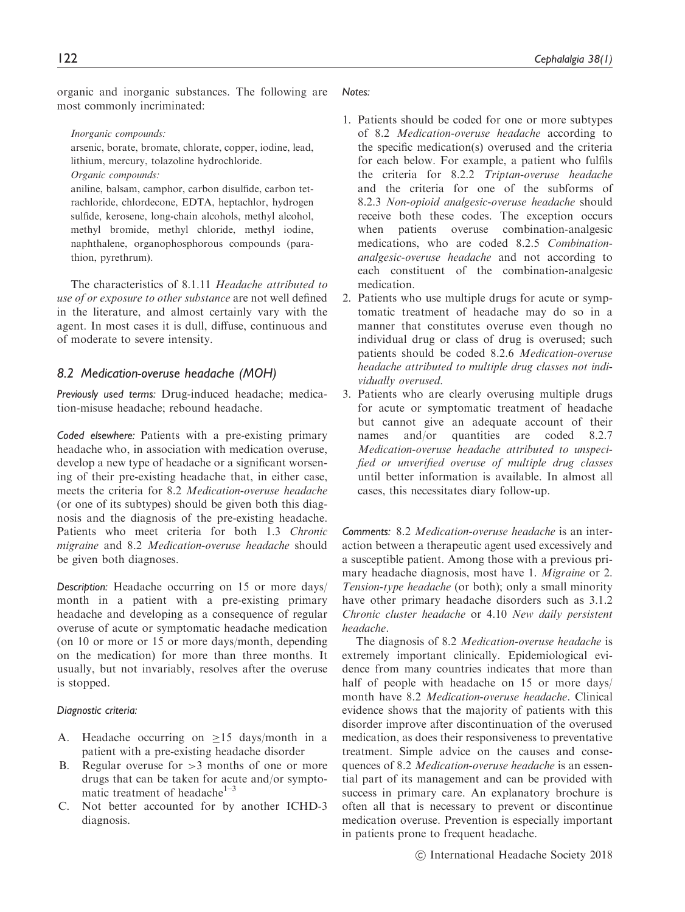organic and inorganic substances. The following are most commonly incriminated:

Inorganic compounds:

arsenic, borate, bromate, chlorate, copper, iodine, lead, lithium, mercury, tolazoline hydrochloride.

Organic compounds:

aniline, balsam, camphor, carbon disulfide, carbon tetrachloride, chlordecone, EDTA, heptachlor, hydrogen sulfide, kerosene, long-chain alcohols, methyl alcohol, methyl bromide, methyl chloride, methyl iodine, naphthalene, organophosphorous compounds (parathion, pyrethrum).

The characteristics of 8.1.11 Headache attributed to use of or exposure to other substance are not well defined in the literature, and almost certainly vary with the agent. In most cases it is dull, diffuse, continuous and of moderate to severe intensity.

## 8.2 Medication-overuse headache (MOH)

Previously used terms: Drug-induced headache; medication-misuse headache; rebound headache.

Coded elsewhere: Patients with a pre-existing primary headache who, in association with medication overuse, develop a new type of headache or a significant worsening of their pre-existing headache that, in either case, meets the criteria for 8.2 Medication-overuse headache (or one of its subtypes) should be given both this diagnosis and the diagnosis of the pre-existing headache. Patients who meet criteria for both 1.3 Chronic migraine and 8.2 Medication-overuse headache should be given both diagnoses.

Description: Headache occurring on 15 or more days/ month in a patient with a pre-existing primary headache and developing as a consequence of regular overuse of acute or symptomatic headache medication (on 10 or more or 15 or more days/month, depending on the medication) for more than three months. It usually, but not invariably, resolves after the overuse is stopped.

### Diagnostic criteria:

- A. Headache occurring on  $\geq 15$  days/month in a patient with a pre-existing headache disorder
- B. Regular overuse for  $>3$  months of one or more drugs that can be taken for acute and/or symptomatic treatment of headache $1-3$
- C. Not better accounted for by another ICHD-3 diagnosis.

### Notes:

- 1. Patients should be coded for one or more subtypes of 8.2 Medication-overuse headache according to the specific medication(s) overused and the criteria for each below. For example, a patient who fulfils the criteria for 8.2.2 Triptan-overuse headache and the criteria for one of the subforms of 8.2.3 Non-opioid analgesic-overuse headache should receive both these codes. The exception occurs when patients overuse combination-analgesic medications, who are coded 8.2.5 Combinationanalgesic-overuse headache and not according to each constituent of the combination-analgesic medication.
- 2. Patients who use multiple drugs for acute or symptomatic treatment of headache may do so in a manner that constitutes overuse even though no individual drug or class of drug is overused; such patients should be coded 8.2.6 Medication-overuse headache attributed to multiple drug classes not individually overused.
- 3. Patients who are clearly overusing multiple drugs for acute or symptomatic treatment of headache but cannot give an adequate account of their names and/or quantities are coded 8.2.7 Medication-overuse headache attributed to unspecified or unverified overuse of multiple drug classes until better information is available. In almost all cases, this necessitates diary follow-up.

Comments: 8.2 Medication-overuse headache is an interaction between a therapeutic agent used excessively and a susceptible patient. Among those with a previous primary headache diagnosis, most have 1. Migraine or 2. Tension-type headache (or both); only a small minority have other primary headache disorders such as 3.1.2 Chronic cluster headache or 4.10 New daily persistent headache.

The diagnosis of 8.2 Medication-overuse headache is extremely important clinically. Epidemiological evidence from many countries indicates that more than half of people with headache on 15 or more days/ month have 8.2 Medication-overuse headache. Clinical evidence shows that the majority of patients with this disorder improve after discontinuation of the overused medication, as does their responsiveness to preventative treatment. Simple advice on the causes and consequences of 8.2 Medication-overuse headache is an essential part of its management and can be provided with success in primary care. An explanatory brochure is often all that is necessary to prevent or discontinue medication overuse. Prevention is especially important in patients prone to frequent headache.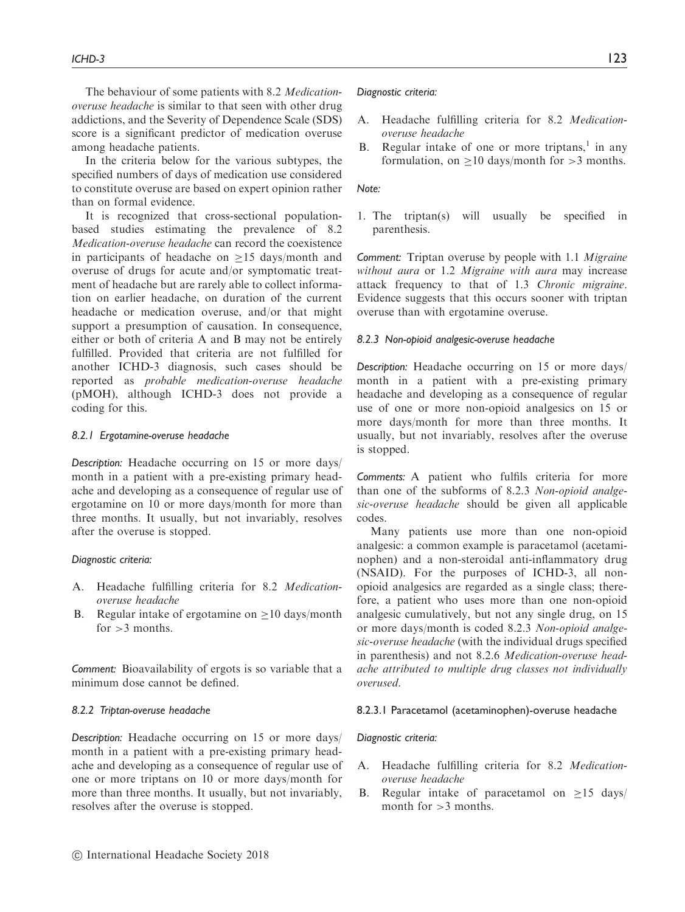The behaviour of some patients with 8.2 Medicationoveruse headache is similar to that seen with other drug addictions, and the Severity of Dependence Scale (SDS) score is a significant predictor of medication overuse among headache patients.

In the criteria below for the various subtypes, the specified numbers of days of medication use considered to constitute overuse are based on expert opinion rather than on formal evidence.

It is recognized that cross-sectional populationbased studies estimating the prevalence of 8.2 Medication-overuse headache can record the coexistence in participants of headache on  $\geq$ 15 days/month and overuse of drugs for acute and/or symptomatic treatment of headache but are rarely able to collect information on earlier headache, on duration of the current headache or medication overuse, and/or that might support a presumption of causation. In consequence, either or both of criteria A and B may not be entirely fulfilled. Provided that criteria are not fulfilled for another ICHD-3 diagnosis, such cases should be reported as probable medication-overuse headache (pMOH), although ICHD-3 does not provide a coding for this.

## 8.2.1 Ergotamine-overuse headache

Description: Headache occurring on 15 or more days/ month in a patient with a pre-existing primary headache and developing as a consequence of regular use of ergotamine on 10 or more days/month for more than three months. It usually, but not invariably, resolves after the overuse is stopped.

## Diagnostic criteria:

- A. Headache fulfilling criteria for 8.2 Medicationoveruse headache
- B. Regular intake of ergotamine on  $\geq 10$  days/month for  $>3$  months.

Comment: Bioavailability of ergots is so variable that a minimum dose cannot be defined.

## 8.2.2 Triptan-overuse headache

Description: Headache occurring on 15 or more days/ month in a patient with a pre-existing primary headache and developing as a consequence of regular use of one or more triptans on 10 or more days/month for more than three months. It usually, but not invariably, resolves after the overuse is stopped.

## Diagnostic criteria:

- A. Headache fulfilling criteria for 8.2 Medicationoveruse headache
- B. Regular intake of one or more triptans, $\frac{1}{1}$  in any formulation, on  $\geq 10$  days/month for  $>3$  months.

## Note:

1. The triptan(s) will usually be specified in parenthesis.

Comment: Triptan overuse by people with 1.1 Migraine without aura or 1.2 Migraine with aura may increase attack frequency to that of 1.3 Chronic migraine. Evidence suggests that this occurs sooner with triptan overuse than with ergotamine overuse.

### 8.2.3 Non-opioid analgesic-overuse headache

Description: Headache occurring on 15 or more days/ month in a patient with a pre-existing primary headache and developing as a consequence of regular use of one or more non-opioid analgesics on 15 or more days/month for more than three months. It usually, but not invariably, resolves after the overuse is stopped.

Comments: A patient who fulfils criteria for more than one of the subforms of 8.2.3 Non-opioid analgesic-overuse headache should be given all applicable codes.

Many patients use more than one non-opioid analgesic: a common example is paracetamol (acetaminophen) and a non-steroidal anti-inflammatory drug (NSAID). For the purposes of ICHD-3, all nonopioid analgesics are regarded as a single class; therefore, a patient who uses more than one non-opioid analgesic cumulatively, but not any single drug, on 15 or more days/month is coded 8.2.3 Non-opioid analgesic-overuse headache (with the individual drugs specified in parenthesis) and not 8.2.6 Medication-overuse headache attributed to multiple drug classes not individually overused.

### 8.2.3.1 Paracetamol (acetaminophen)-overuse headache

- A. Headache fulfilling criteria for 8.2 Medicationoveruse headache
- B. Regular intake of paracetamol on  $\geq$ 15 days/ month for  $>3$  months.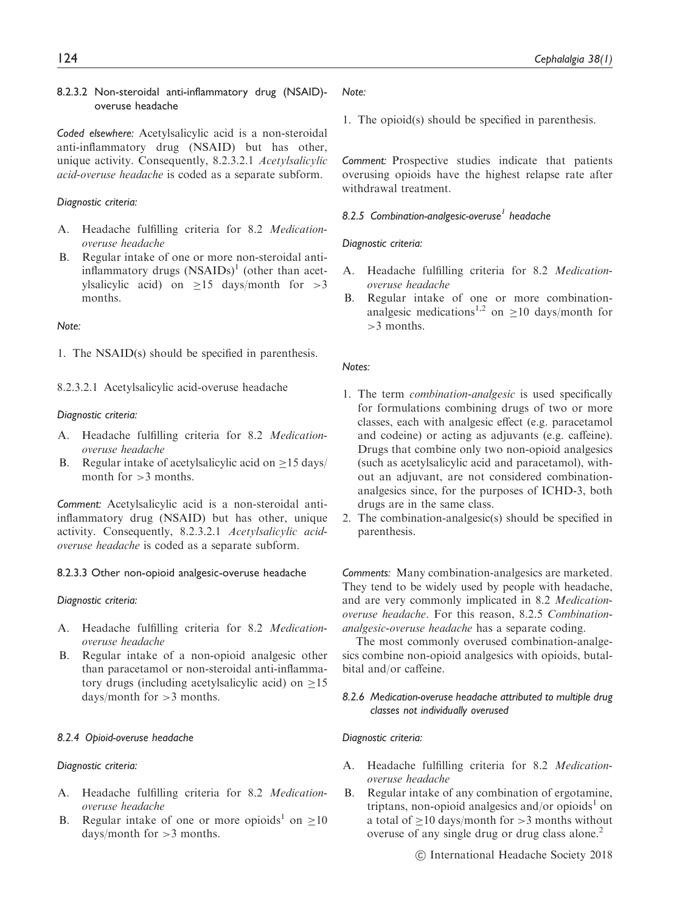8.2.3.2 Non-steroidal anti-inflammatory drug (NSAID) overuse headache

Coded elsewhere: Acetylsalicylic acid is a non-steroidal anti-inflammatory drug (NSAID) but has other, unique activity. Consequently, 8.2.3.2.1 Acetylsalicylic acid-overuse headache is coded as a separate subform.

## Diagnostic criteria:

- A. Headache fulfilling criteria for 8.2 Medicationoveruse headache
- B. Regular intake of one or more non-steroidal antiinflammatory drugs  $(NSAIDS)^1$  (other than acetylsalicylic acid) on  $\geq 15$  days/month for  $>3$ months.

### Note:

- 1. The NSAID(s) should be specified in parenthesis.
- 8.2.3.2.1 Acetylsalicylic acid-overuse headache

### Diagnostic criteria:

- A. Headache fulfilling criteria for 8.2 Medicationoveruse headache
- B. Regular intake of acetylsalicylic acid on  $\geq$ 15 days/ month for  $>3$  months.

Comment: Acetylsalicylic acid is a non-steroidal antiinflammatory drug (NSAID) but has other, unique activity. Consequently, 8.2.3.2.1 Acetylsalicylic acidoveruse headache is coded as a separate subform.

### 8.2.3.3 Other non-opioid analgesic-overuse headache

## Diagnostic criteria:

- A. Headache fulfilling criteria for 8.2 Medicationoveruse headache
- B. Regular intake of a non-opioid analgesic other than paracetamol or non-steroidal anti-inflammatory drugs (including acetylsalicylic acid) on  $\geq$ 15 days/month for  $>3$  months.

### 8.2.4 Opioid-overuse headache

### Diagnostic criteria:

- A. Headache fulfilling criteria for 8.2 Medicationoveruse headache
- B. Regular intake of one or more opioids<sup>1</sup> on  $\geq 10$ days/month for >3 months.

### Note:

1. The opioid(s) should be specified in parenthesis.

Comment: Prospective studies indicate that patients overusing opioids have the highest relapse rate after withdrawal treatment.

## 8.2.5 Combination-analgesic-overuse<sup>1</sup> headache

### Diagnostic criteria:

- A. Headache fulfilling criteria for 8.2 Medicationoveruse headache
- B. Regular intake of one or more combinationanalgesic medications<sup>1,2</sup> on  $\geq$ 10 days/month for >3 months.

### Notes:

- 1. The term combination-analgesic is used specifically for formulations combining drugs of two or more classes, each with analgesic effect (e.g. paracetamol and codeine) or acting as adjuvants (e.g. caffeine). Drugs that combine only two non-opioid analgesics (such as acetylsalicylic acid and paracetamol), without an adjuvant, are not considered combinationanalgesics since, for the purposes of ICHD-3, both drugs are in the same class.
- 2. The combination-analgesic(s) should be specified in parenthesis.

Comments: Many combination-analgesics are marketed. They tend to be widely used by people with headache, and are very commonly implicated in 8.2 Medicationoveruse headache. For this reason, 8.2.5 Combinationanalgesic-overuse headache has a separate coding.

The most commonly overused combination-analgesics combine non-opioid analgesics with opioids, butalbital and/or caffeine.

## 8.2.6 Medication-overuse headache attributed to multiple drug classes not individually overused

### Diagnostic criteria:

- A. Headache fulfilling criteria for 8.2 Medicationoveruse headache
- B. Regular intake of any combination of ergotamine, triptans, non-opioid analgesics and/or opioids<sup>1</sup> on a total of  $\geq$ 10 days/month for  $>$ 3 months without overuse of any single drug or drug class alone.<sup>2</sup>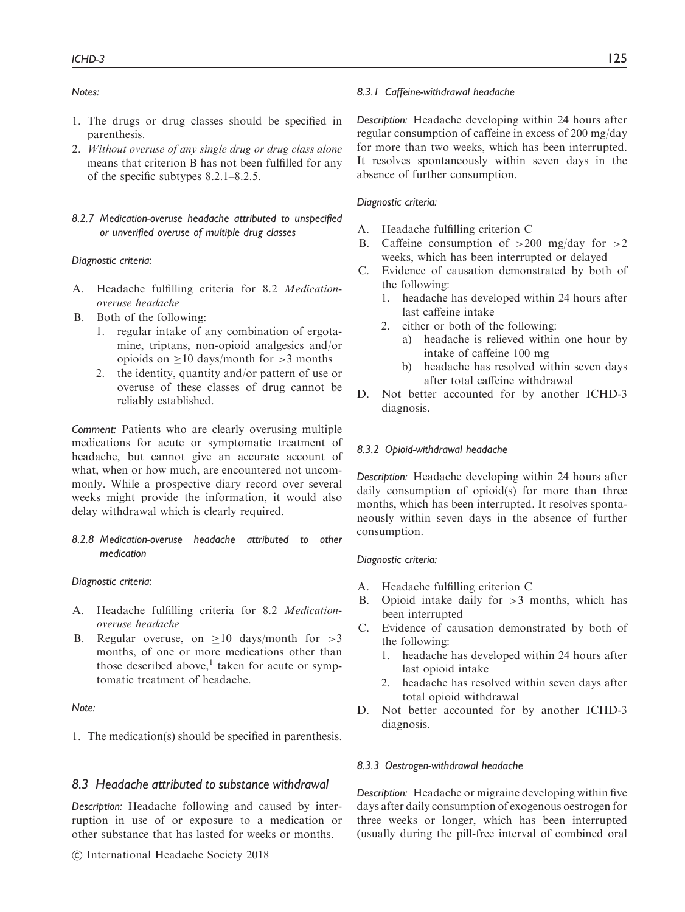Notes:

- 1. The drugs or drug classes should be specified in parenthesis.
- 2. Without overuse of any single drug or drug class alone means that criterion B has not been fulfilled for any of the specific subtypes 8.2.1–8.2.5.
- 8.2.7 Medication-overuse headache attributed to unspecified or unverified overuse of multiple drug classes

### Diagnostic criteria:

- A. Headache fulfilling criteria for 8.2 Medicationoveruse headache
- B. Both of the following:
	- 1. regular intake of any combination of ergotamine, triptans, non-opioid analgesics and/or opioids on  $\geq$ 10 days/month for  $>$ 3 months
	- 2. the identity, quantity and/or pattern of use or overuse of these classes of drug cannot be reliably established.

Comment: Patients who are clearly overusing multiple medications for acute or symptomatic treatment of headache, but cannot give an accurate account of what, when or how much, are encountered not uncommonly. While a prospective diary record over several weeks might provide the information, it would also delay withdrawal which is clearly required.

## 8.2.8 Medication-overuse headache attributed to other medication

Diagnostic criteria:

- A. Headache fulfilling criteria for 8.2 Medicationoveruse headache
- B. Regular overuse, on  $\geq 10$  days/month for  $>3$ months, of one or more medications other than those described above, $\frac{1}{1}$  taken for acute or symptomatic treatment of headache.

### Note:

1. The medication(s) should be specified in parenthesis.

## 8.3 Headache attributed to substance withdrawal

Description: Headache following and caused by interruption in use of or exposure to a medication or other substance that has lasted for weeks or months.

! International Headache Society 2018

### 8.3.1 Caffeine-withdrawal headache

Description: Headache developing within 24 hours after regular consumption of caffeine in excess of 200 mg/day for more than two weeks, which has been interrupted. It resolves spontaneously within seven days in the absence of further consumption.

#### Diagnostic criteria:

- A. Headache fulfilling criterion C
- B. Caffeine consumption of  $>200$  mg/day for  $>2$ weeks, which has been interrupted or delayed
- C. Evidence of causation demonstrated by both of the following:
	- 1. headache has developed within 24 hours after last caffeine intake
	- 2. either or both of the following:
		- a) headache is relieved within one hour by intake of caffeine 100 mg
		- b) headache has resolved within seven days after total caffeine withdrawal
- D. Not better accounted for by another ICHD-3 diagnosis.

#### 8.3.2 Opioid-withdrawal headache

Description: Headache developing within 24 hours after daily consumption of opioid(s) for more than three months, which has been interrupted. It resolves spontaneously within seven days in the absence of further consumption.

#### Diagnostic criteria:

- A. Headache fulfilling criterion C
- B. Opioid intake daily for >3 months, which has been interrupted
- C. Evidence of causation demonstrated by both of the following:
	- 1. headache has developed within 24 hours after last opioid intake
	- 2. headache has resolved within seven days after total opioid withdrawal
- D. Not better accounted for by another ICHD-3 diagnosis.

#### 8.3.3 Oestrogen-withdrawal headache

Description: Headache or migraine developing within five days after daily consumption of exogenous oestrogen for three weeks or longer, which has been interrupted (usually during the pill-free interval of combined oral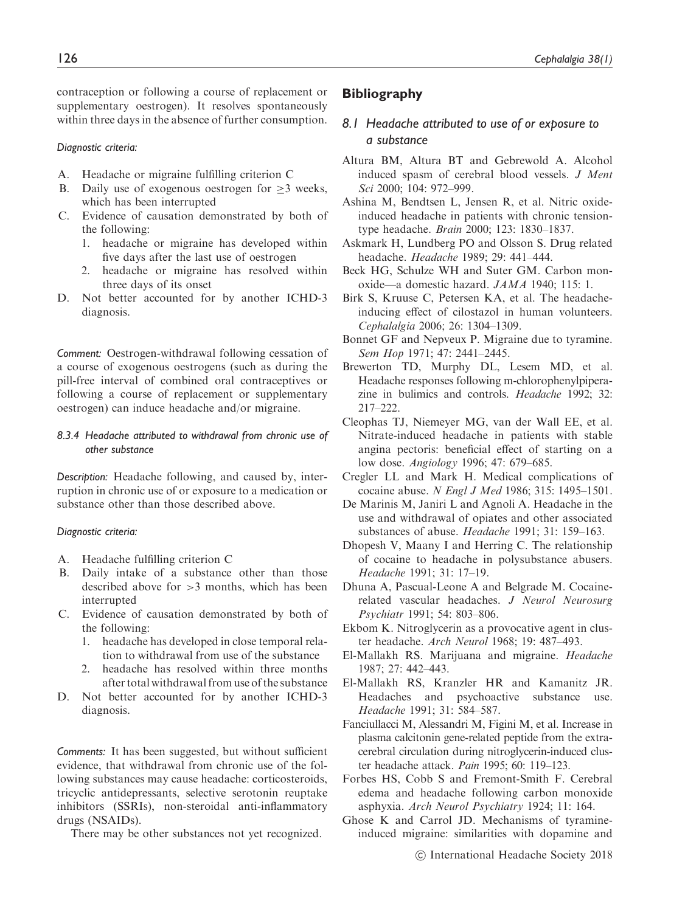contraception or following a course of replacement or supplementary oestrogen). It resolves spontaneously within three days in the absence of further consumption.

### Diagnostic criteria:

- A. Headache or migraine fulfilling criterion C
- B. Daily use of exogenous oestrogen for  $\geq 3$  weeks, which has been interrupted
- C. Evidence of causation demonstrated by both of the following:
	- 1. headache or migraine has developed within five days after the last use of oestrogen
	- 2. headache or migraine has resolved within three days of its onset
- D. Not better accounted for by another ICHD-3 diagnosis.

Comment: Oestrogen-withdrawal following cessation of a course of exogenous oestrogens (such as during the pill-free interval of combined oral contraceptives or following a course of replacement or supplementary oestrogen) can induce headache and/or migraine.

## 8.3.4 Headache attributed to withdrawal from chronic use of other substance

Description: Headache following, and caused by, interruption in chronic use of or exposure to a medication or substance other than those described above.

### Diagnostic criteria:

- A. Headache fulfilling criterion C
- B. Daily intake of a substance other than those described above for  $>3$  months, which has been interrupted
- C. Evidence of causation demonstrated by both of the following:
	- 1. headache has developed in close temporal relation to withdrawal from use of the substance
	- 2. headache has resolved within three months after total withdrawal from use of the substance
- D. Not better accounted for by another ICHD-3 diagnosis.

Comments: It has been suggested, but without sufficient evidence, that withdrawal from chronic use of the following substances may cause headache: corticosteroids, tricyclic antidepressants, selective serotonin reuptake inhibitors (SSRIs), non-steroidal anti-inflammatory drugs (NSAIDs).

There may be other substances not yet recognized.

## **Bibliography**

# 8.1 Headache attributed to use of or exposure to a substance

- Altura BM, Altura BT and Gebrewold A. Alcohol induced spasm of cerebral blood vessels. J Ment Sci 2000; 104: 972–999.
- Ashina M, Bendtsen L, Jensen R, et al. Nitric oxideinduced headache in patients with chronic tensiontype headache. Brain 2000; 123: 1830–1837.
- Askmark H, Lundberg PO and Olsson S. Drug related headache. Headache 1989; 29: 441–444.
- Beck HG, Schulze WH and Suter GM. Carbon monoxide—a domestic hazard. JAMA 1940; 115: 1.
- Birk S, Kruuse C, Petersen KA, et al. The headacheinducing effect of cilostazol in human volunteers. Cephalalgia 2006; 26: 1304–1309.
- Bonnet GF and Nepveux P. Migraine due to tyramine. Sem Hop 1971; 47: 2441–2445.
- Brewerton TD, Murphy DL, Lesem MD, et al. Headache responses following m-chlorophenylpiperazine in bulimics and controls. Headache 1992; 32: 217–222.
- Cleophas TJ, Niemeyer MG, van der Wall EE, et al. Nitrate-induced headache in patients with stable angina pectoris: beneficial effect of starting on a low dose. Angiology 1996; 47: 679–685.
- Cregler LL and Mark H. Medical complications of cocaine abuse. N Engl J Med 1986; 315: 1495–1501.
- De Marinis M, Janiri L and Agnoli A. Headache in the use and withdrawal of opiates and other associated substances of abuse. Headache 1991; 31: 159–163.
- Dhopesh V, Maany I and Herring C. The relationship of cocaine to headache in polysubstance abusers. Headache 1991; 31: 17–19.
- Dhuna A, Pascual-Leone A and Belgrade M. Cocainerelated vascular headaches. J Neurol Neurosurg Psychiatr 1991; 54: 803–806.
- Ekbom K. Nitroglycerin as a provocative agent in cluster headache. Arch Neurol 1968; 19: 487–493.
- El-Mallakh RS. Marijuana and migraine. Headache 1987; 27: 442–443.
- El-Mallakh RS, Kranzler HR and Kamanitz JR. Headaches and psychoactive substance use. Headache 1991; 31: 584–587.
- Fanciullacci M, Alessandri M, Figini M, et al. Increase in plasma calcitonin gene-related peptide from the extracerebral circulation during nitroglycerin-induced cluster headache attack. Pain 1995; 60: 119–123.
- Forbes HS, Cobb S and Fremont-Smith F. Cerebral edema and headache following carbon monoxide asphyxia. Arch Neurol Psychiatry 1924; 11: 164.
- Ghose K and Carrol JD. Mechanisms of tyramineinduced migraine: similarities with dopamine and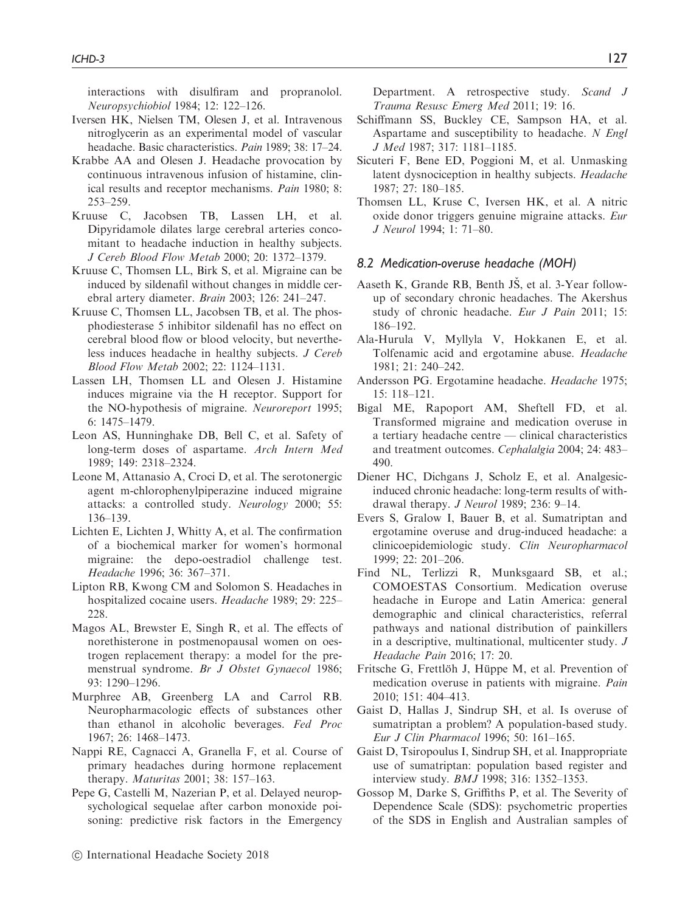interactions with disulfiram and propranolol. Neuropsychiobiol 1984; 12: 122–126.

- Iversen HK, Nielsen TM, Olesen J, et al. Intravenous nitroglycerin as an experimental model of vascular headache. Basic characteristics. Pain 1989; 38: 17–24.
- Krabbe AA and Olesen J. Headache provocation by continuous intravenous infusion of histamine, clinical results and receptor mechanisms. Pain 1980; 8: 253–259.
- Kruuse C, Jacobsen TB, Lassen LH, et al. Dipyridamole dilates large cerebral arteries concomitant to headache induction in healthy subjects. J Cereb Blood Flow Metab 2000; 20: 1372–1379.
- Kruuse C, Thomsen LL, Birk S, et al. Migraine can be induced by sildenafil without changes in middle cerebral artery diameter. Brain 2003; 126: 241–247.
- Kruuse C, Thomsen LL, Jacobsen TB, et al. The phosphodiesterase 5 inhibitor sildenafil has no effect on cerebral blood flow or blood velocity, but nevertheless induces headache in healthy subjects. J Cereb Blood Flow Metab 2002; 22: 1124–1131.
- Lassen LH, Thomsen LL and Olesen J. Histamine induces migraine via the H receptor. Support for the NO-hypothesis of migraine. Neuroreport 1995; 6: 1475–1479.
- Leon AS, Hunninghake DB, Bell C, et al. Safety of long-term doses of aspartame. Arch Intern Med 1989; 149: 2318–2324.
- Leone M, Attanasio A, Croci D, et al. The serotonergic agent m-chlorophenylpiperazine induced migraine attacks: a controlled study. Neurology 2000; 55: 136–139.
- Lichten E, Lichten J, Whitty A, et al. The confirmation of a biochemical marker for women's hormonal migraine: the depo-oestradiol challenge test. Headache 1996; 36: 367–371.
- Lipton RB, Kwong CM and Solomon S. Headaches in hospitalized cocaine users. Headache 1989; 29: 225– 228.
- Magos AL, Brewster E, Singh R, et al. The effects of norethisterone in postmenopausal women on oestrogen replacement therapy: a model for the premenstrual syndrome. Br J Obstet Gynaecol 1986; 93: 1290–1296.
- Murphree AB, Greenberg LA and Carrol RB. Neuropharmacologic effects of substances other than ethanol in alcoholic beverages. Fed Proc 1967; 26: 1468–1473.
- Nappi RE, Cagnacci A, Granella F, et al. Course of primary headaches during hormone replacement therapy. Maturitas 2001; 38: 157–163.
- Pepe G, Castelli M, Nazerian P, et al. Delayed neuropsychological sequelae after carbon monoxide poisoning: predictive risk factors in the Emergency

Department. A retrospective study. Scand J Trauma Resusc Emerg Med 2011; 19: 16. Schiffmann SS, Buckley CE, Sampson HA, et al.

- Aspartame and susceptibility to headache. N Engl J Med 1987; 317: 1181–1185.
- Sicuteri F, Bene ED, Poggioni M, et al. Unmasking latent dysnociception in healthy subjects. Headache 1987; 27: 180–185.
- Thomsen LL, Kruse C, Iversen HK, et al. A nitric oxide donor triggers genuine migraine attacks. Eur J Neurol 1994; 1: 71–80.

## 8.2 Medication-overuse headache (MOH)

- Aaseth K, Grande RB, Benth JS, et al. 3-Year followup of secondary chronic headaches. The Akershus study of chronic headache. Eur J Pain 2011; 15: 186–192.
- Ala-Hurula V, Myllyla V, Hokkanen E, et al. Tolfenamic acid and ergotamine abuse. Headache 1981; 21: 240–242.
- Andersson PG. Ergotamine headache. Headache 1975; 15: 118–121.
- Bigal ME, Rapoport AM, Sheftell FD, et al. Transformed migraine and medication overuse in a tertiary headache centre — clinical characteristics and treatment outcomes. Cephalalgia 2004; 24: 483– 490.
- Diener HC, Dichgans J, Scholz E, et al. Analgesicinduced chronic headache: long-term results of withdrawal therapy. J Neurol 1989; 236: 9–14.
- Evers S, Gralow I, Bauer B, et al. Sumatriptan and ergotamine overuse and drug-induced headache: a clinicoepidemiologic study. Clin Neuropharmacol 1999; 22: 201–206.
- Find NL, Terlizzi R, Munksgaard SB, et al.; COMOESTAS Consortium. Medication overuse headache in Europe and Latin America: general demographic and clinical characteristics, referral pathways and national distribution of painkillers in a descriptive, multinational, multicenter study. J Headache Pain 2016; 17: 20.
- Fritsche G, Frettlöh J, Hüppe M, et al. Prevention of medication overuse in patients with migraine. Pain 2010; 151: 404–413.
- Gaist D, Hallas J, Sindrup SH, et al. Is overuse of sumatriptan a problem? A population-based study. Eur J Clin Pharmacol 1996; 50: 161–165.
- Gaist D, Tsiropoulus I, Sindrup SH, et al. Inappropriate use of sumatriptan: population based register and interview study. BMJ 1998; 316: 1352–1353.
- Gossop M, Darke S, Griffiths P, et al. The Severity of Dependence Scale (SDS): psychometric properties of the SDS in English and Australian samples of

<sup>!</sup> International Headache Society 2018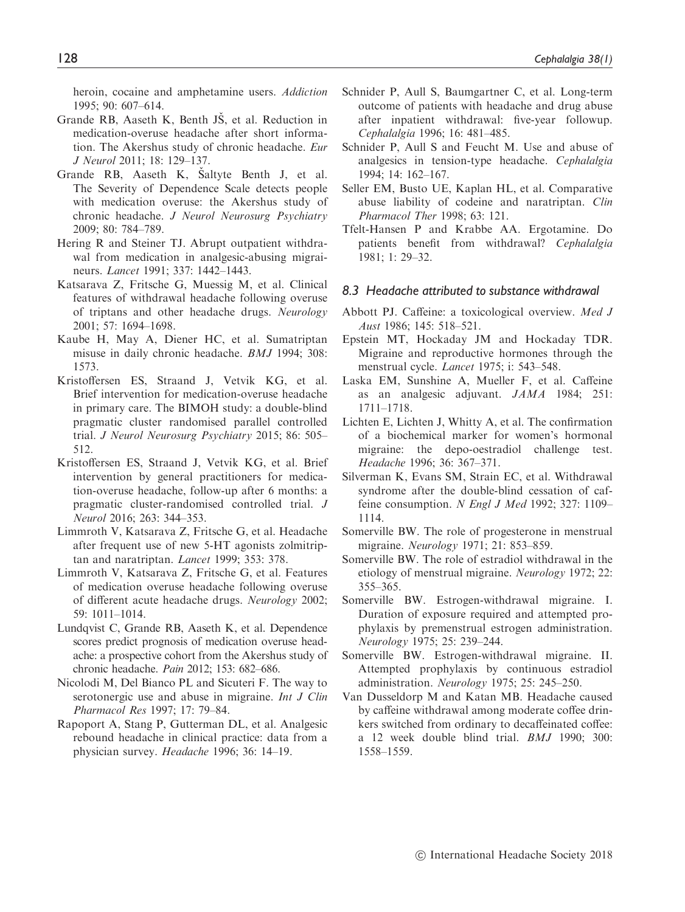heroin, cocaine and amphetamine users. Addiction 1995; 90: 607–614.

- Grande RB, Aaseth K, Benth JS, et al. Reduction in medication-overuse headache after short information. The Akershus study of chronic headache. Eur J Neurol 2011; 18: 129–137.
- Grande RB, Aaseth K, Šaltyte Benth J, et al. The Severity of Dependence Scale detects people with medication overuse: the Akershus study of chronic headache. J Neurol Neurosurg Psychiatry 2009; 80: 784–789.
- Hering R and Steiner TJ. Abrupt outpatient withdrawal from medication in analgesic-abusing migraineurs. Lancet 1991; 337: 1442–1443.
- Katsarava Z, Fritsche G, Muessig M, et al. Clinical features of withdrawal headache following overuse of triptans and other headache drugs. Neurology 2001; 57: 1694–1698.
- Kaube H, May A, Diener HC, et al. Sumatriptan misuse in daily chronic headache. BMJ 1994; 308: 1573.
- Kristoffersen ES, Straand J, Vetvik KG, et al. Brief intervention for medication-overuse headache in primary care. The BIMOH study: a double-blind pragmatic cluster randomised parallel controlled trial. J Neurol Neurosurg Psychiatry 2015; 86: 505– 512.
- Kristoffersen ES, Straand J, Vetvik KG, et al. Brief intervention by general practitioners for medication-overuse headache, follow-up after 6 months: a pragmatic cluster-randomised controlled trial. J Neurol 2016; 263: 344–353.
- Limmroth V, Katsarava Z, Fritsche G, et al. Headache after frequent use of new 5-HT agonists zolmitriptan and naratriptan. Lancet 1999; 353: 378.
- Limmroth V, Katsarava Z, Fritsche G, et al. Features of medication overuse headache following overuse of different acute headache drugs. Neurology 2002; 59: 1011–1014.
- Lundqvist C, Grande RB, Aaseth K, et al. Dependence scores predict prognosis of medication overuse headache: a prospective cohort from the Akershus study of chronic headache. Pain 2012; 153: 682–686.
- Nicolodi M, Del Bianco PL and Sicuteri F. The way to serotonergic use and abuse in migraine. Int J Clin Pharmacol Res 1997; 17: 79–84.
- Rapoport A, Stang P, Gutterman DL, et al. Analgesic rebound headache in clinical practice: data from a physician survey. Headache 1996; 36: 14–19.
- Schnider P, Aull S, Baumgartner C, et al. Long-term outcome of patients with headache and drug abuse after inpatient withdrawal: five-year followup. Cephalalgia 1996; 16: 481–485.
- Schnider P, Aull S and Feucht M. Use and abuse of analgesics in tension-type headache. Cephalalgia 1994; 14: 162–167.
- Seller EM, Busto UE, Kaplan HL, et al. Comparative abuse liability of codeine and naratriptan. Clin Pharmacol Ther 1998; 63: 121.
- Tfelt-Hansen P and Krabbe AA. Ergotamine. Do patients benefit from withdrawal? Cephalalgia 1981; 1: 29–32.

## 8.3 Headache attributed to substance withdrawal

- Abbott PJ. Caffeine: a toxicological overview. Med J Aust 1986; 145: 518–521.
- Epstein MT, Hockaday JM and Hockaday TDR. Migraine and reproductive hormones through the menstrual cycle. Lancet 1975; i: 543–548.
- Laska EM, Sunshine A, Mueller F, et al. Caffeine as an analgesic adjuvant. JAMA 1984; 251: 1711–1718.
- Lichten E, Lichten J, Whitty A, et al. The confirmation of a biochemical marker for women's hormonal migraine: the depo-oestradiol challenge test. Headache 1996; 36: 367–371.
- Silverman K, Evans SM, Strain EC, et al. Withdrawal syndrome after the double-blind cessation of caffeine consumption. N Engl J Med 1992; 327: 1109– 1114.
- Somerville BW. The role of progesterone in menstrual migraine. Neurology 1971; 21: 853–859.
- Somerville BW. The role of estradiol withdrawal in the etiology of menstrual migraine. Neurology 1972; 22: 355–365.
- Somerville BW. Estrogen-withdrawal migraine. I. Duration of exposure required and attempted prophylaxis by premenstrual estrogen administration. Neurology 1975; 25: 239–244.
- Somerville BW. Estrogen-withdrawal migraine. II. Attempted prophylaxis by continuous estradiol administration. Neurology 1975; 25: 245–250.
- Van Dusseldorp M and Katan MB. Headache caused by caffeine withdrawal among moderate coffee drinkers switched from ordinary to decaffeinated coffee: a 12 week double blind trial. BMJ 1990; 300: 1558–1559.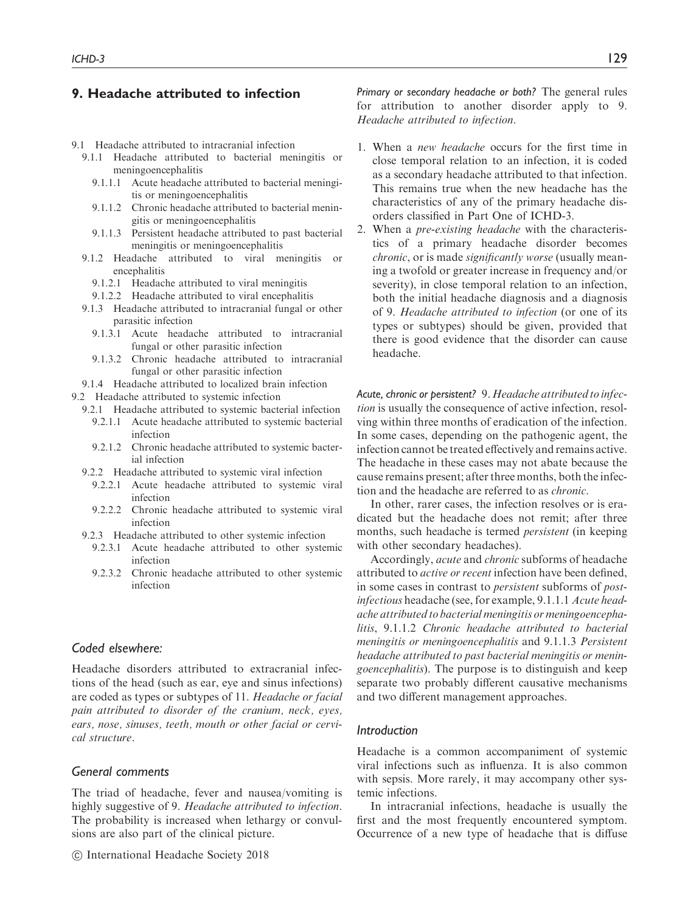# 9. Headache attributed to infection

- 9.1 Headache attributed to intracranial infection
	- 9.1.1 Headache attributed to bacterial meningitis or meningoencephalitis
		- 9.1.1.1 Acute headache attributed to bacterial meningitis or meningoencephalitis
		- 9.1.1.2 Chronic headache attributed to bacterial meningitis or meningoencephalitis
		- 9.1.1.3 Persistent headache attributed to past bacterial meningitis or meningoencephalitis
	- 9.1.2 Headache attributed to viral meningitis or encephalitis
		- 9.1.2.1 Headache attributed to viral meningitis
		- 9.1.2.2 Headache attributed to viral encephalitis
	- 9.1.3 Headache attributed to intracranial fungal or other parasitic infection
		- 9.1.3.1 Acute headache attributed to intracranial fungal or other parasitic infection
		- 9.1.3.2 Chronic headache attributed to intracranial fungal or other parasitic infection
- 9.1.4 Headache attributed to localized brain infection
- 9.2 Headache attributed to systemic infection
- 9.2.1 Headache attributed to systemic bacterial infection
	- 9.2.1.1 Acute headache attributed to systemic bacterial infection
	- 9.2.1.2 Chronic headache attributed to systemic bacterial infection
- 9.2.2 Headache attributed to systemic viral infection
	- 9.2.2.1 Acute headache attributed to systemic viral infection
	- 9.2.2.2 Chronic headache attributed to systemic viral infection
- 9.2.3 Headache attributed to other systemic infection
	- 9.2.3.1 Acute headache attributed to other systemic infection
	- 9.2.3.2 Chronic headache attributed to other systemic infection

## Coded elsewhere:

Headache disorders attributed to extracranial infections of the head (such as ear, eye and sinus infections) are coded as types or subtypes of 11. Headache or facial pain attributed to disorder of the cranium, neck, eyes, ears, nose, sinuses, teeth, mouth or other facial or cervical structure.

## General comments

The triad of headache, fever and nausea/vomiting is highly suggestive of 9. Headache attributed to infection. The probability is increased when lethargy or convulsions are also part of the clinical picture.

! International Headache Society 2018

Primary or secondary headache or both? The general rules for attribution to another disorder apply to 9. Headache attributed to infection.

- 1. When a new headache occurs for the first time in close temporal relation to an infection, it is coded as a secondary headache attributed to that infection. This remains true when the new headache has the characteristics of any of the primary headache disorders classified in Part One of ICHD-3.
- 2. When a pre-existing headache with the characteristics of a primary headache disorder becomes chronic, or is made significantly worse (usually meaning a twofold or greater increase in frequency and/or severity), in close temporal relation to an infection, both the initial headache diagnosis and a diagnosis of 9. Headache attributed to infection (or one of its types or subtypes) should be given, provided that there is good evidence that the disorder can cause headache.

Acute, chronic or persistent? 9. Headache attributed to infection is usually the consequence of active infection, resolving within three months of eradication of the infection. In some cases, depending on the pathogenic agent, the infection cannot be treated effectively and remains active. The headache in these cases may not abate because the cause remains present; after three months, both the infection and the headache are referred to as chronic.

In other, rarer cases, the infection resolves or is eradicated but the headache does not remit; after three months, such headache is termed persistent (in keeping with other secondary headaches).

Accordingly, acute and chronic subforms of headache attributed to active or recent infection have been defined, in some cases in contrast to persistent subforms of postinfectious headache (see, for example, 9.1.1.1 Acute headache attributed to bacterial meningitis or meningoencephalitis, 9.1.1.2 Chronic headache attributed to bacterial meningitis or meningoencephalitis and 9.1.1.3 Persistent headache attributed to past bacterial meningitis or meningoencephalitis). The purpose is to distinguish and keep separate two probably different causative mechanisms and two different management approaches.

## Introduction

Headache is a common accompaniment of systemic viral infections such as influenza. It is also common with sepsis. More rarely, it may accompany other systemic infections.

In intracranial infections, headache is usually the first and the most frequently encountered symptom. Occurrence of a new type of headache that is diffuse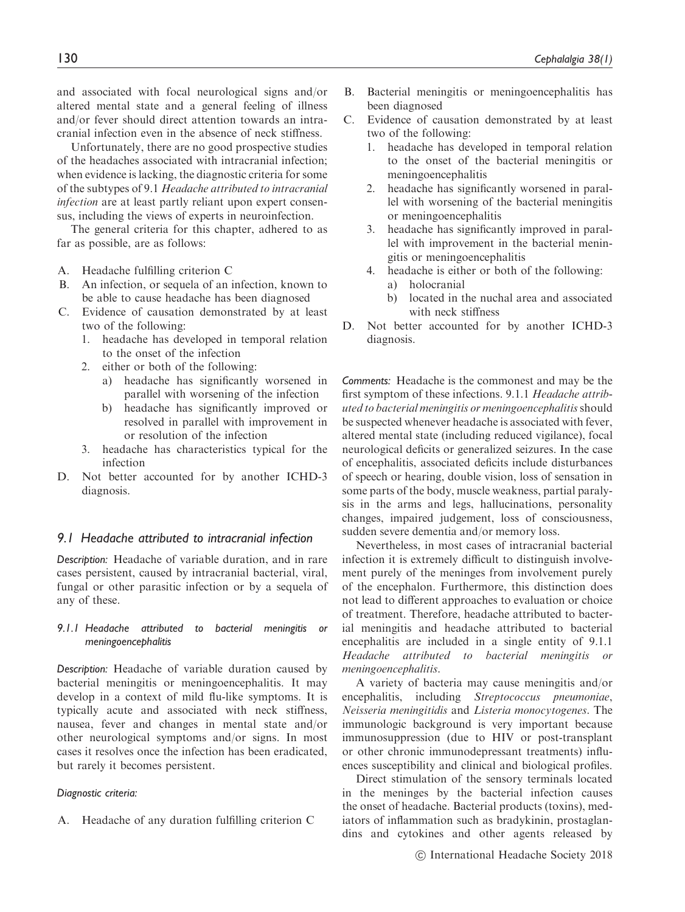and associated with focal neurological signs and/or altered mental state and a general feeling of illness and/or fever should direct attention towards an intracranial infection even in the absence of neck stiffness.

Unfortunately, there are no good prospective studies of the headaches associated with intracranial infection; when evidence is lacking, the diagnostic criteria for some of the subtypes of 9.1 Headache attributed to intracranial infection are at least partly reliant upon expert consensus, including the views of experts in neuroinfection.

The general criteria for this chapter, adhered to as far as possible, are as follows:

- A. Headache fulfilling criterion C
- B. An infection, or sequela of an infection, known to be able to cause headache has been diagnosed
- C. Evidence of causation demonstrated by at least two of the following:
	- 1. headache has developed in temporal relation to the onset of the infection
	- 2. either or both of the following:
		- a) headache has significantly worsened in parallel with worsening of the infection
		- b) headache has significantly improved or resolved in parallel with improvement in or resolution of the infection
	- 3. headache has characteristics typical for the infection
- D. Not better accounted for by another ICHD-3 diagnosis.

## 9.1 Headache attributed to intracranial infection

Description: Headache of variable duration, and in rare cases persistent, caused by intracranial bacterial, viral, fungal or other parasitic infection or by a sequela of any of these.

## 9.1.1 Headache attributed to bacterial meningitis or meningoencephalitis

Description: Headache of variable duration caused by bacterial meningitis or meningoencephalitis. It may develop in a context of mild flu-like symptoms. It is typically acute and associated with neck stiffness, nausea, fever and changes in mental state and/or other neurological symptoms and/or signs. In most cases it resolves once the infection has been eradicated, but rarely it becomes persistent.

### Diagnostic criteria:

A. Headache of any duration fulfilling criterion C

- B. Bacterial meningitis or meningoencephalitis has been diagnosed
- C. Evidence of causation demonstrated by at least two of the following:
	- 1. headache has developed in temporal relation to the onset of the bacterial meningitis or meningoencephalitis
	- 2. headache has significantly worsened in parallel with worsening of the bacterial meningitis or meningoencephalitis
	- 3. headache has significantly improved in parallel with improvement in the bacterial meningitis or meningoencephalitis
	- 4. headache is either or both of the following:
		- a) holocranial
		- b) located in the nuchal area and associated with neck stiffness
- D. Not better accounted for by another ICHD-3 diagnosis.

Comments: Headache is the commonest and may be the first symptom of these infections. 9.1.1 Headache attributed to bacterial meningitis or meningoencephalitis should be suspected whenever headache is associated with fever, altered mental state (including reduced vigilance), focal neurological deficits or generalized seizures. In the case of encephalitis, associated deficits include disturbances of speech or hearing, double vision, loss of sensation in some parts of the body, muscle weakness, partial paralysis in the arms and legs, hallucinations, personality changes, impaired judgement, loss of consciousness, sudden severe dementia and/or memory loss.

Nevertheless, in most cases of intracranial bacterial infection it is extremely difficult to distinguish involvement purely of the meninges from involvement purely of the encephalon. Furthermore, this distinction does not lead to different approaches to evaluation or choice of treatment. Therefore, headache attributed to bacterial meningitis and headache attributed to bacterial encephalitis are included in a single entity of 9.1.1 Headache attributed to bacterial meningitis or meningoencephalitis.

A variety of bacteria may cause meningitis and/or encephalitis, including Streptococcus pneumoniae, Neisseria meningitidis and Listeria monocytogenes. The immunologic background is very important because immunosuppression (due to HIV or post-transplant or other chronic immunodepressant treatments) influences susceptibility and clinical and biological profiles.

Direct stimulation of the sensory terminals located in the meninges by the bacterial infection causes the onset of headache. Bacterial products (toxins), mediators of inflammation such as bradykinin, prostaglandins and cytokines and other agents released by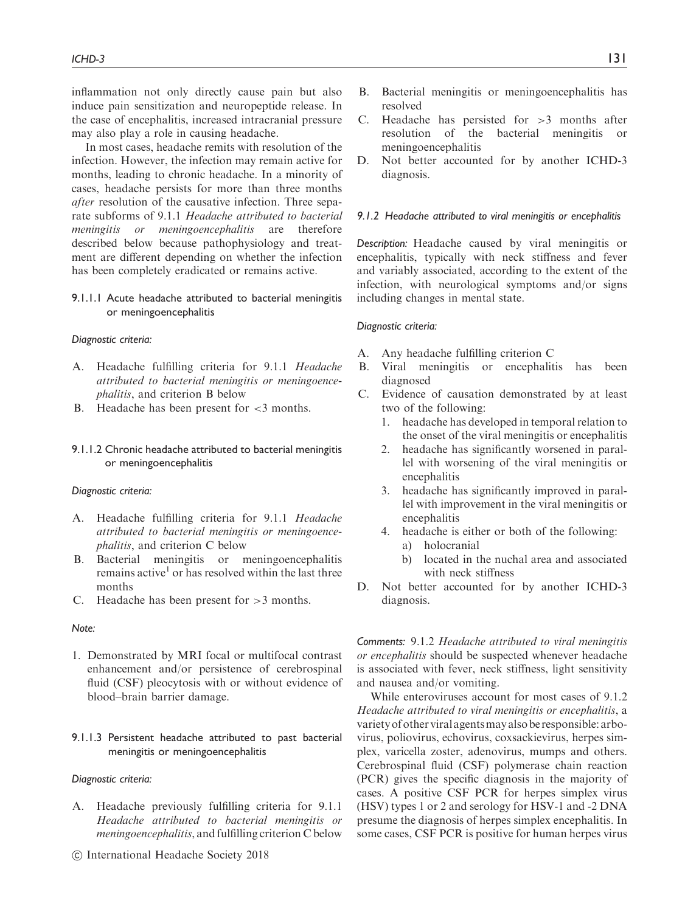inflammation not only directly cause pain but also induce pain sensitization and neuropeptide release. In the case of encephalitis, increased intracranial pressure may also play a role in causing headache.

In most cases, headache remits with resolution of the infection. However, the infection may remain active for months, leading to chronic headache. In a minority of cases, headache persists for more than three months after resolution of the causative infection. Three separate subforms of 9.1.1 Headache attributed to bacterial meningitis or meningoencephalitis are therefore described below because pathophysiology and treatment are different depending on whether the infection has been completely eradicated or remains active.

## 9.1.1.1 Acute headache attributed to bacterial meningitis or meningoencephalitis

#### Diagnostic criteria:

- A. Headache fulfilling criteria for 9.1.1 Headache attributed to bacterial meningitis or meningoencephalitis, and criterion B below
- B. Headache has been present for  $\lt$ 3 months.

### 9.1.1.2 Chronic headache attributed to bacterial meningitis or meningoencephalitis

#### Diagnostic criteria:

- A. Headache fulfilling criteria for 9.1.1 Headache attributed to bacterial meningitis or meningoencephalitis, and criterion C below
- B. Bacterial meningitis or meningoencephalitis remains active<sup>1</sup> or has resolved within the last three months
- C. Headache has been present for >3 months.

#### Note:

1. Demonstrated by MRI focal or multifocal contrast enhancement and/or persistence of cerebrospinal fluid (CSF) pleocytosis with or without evidence of blood–brain barrier damage.

## 9.1.1.3 Persistent headache attributed to past bacterial meningitis or meningoencephalitis

### Diagnostic criteria:

- A. Headache previously fulfilling criteria for 9.1.1 Headache attributed to bacterial meningitis or meningoencephalitis, and fulfilling criterion C below
- ! International Headache Society 2018
- B. Bacterial meningitis or meningoencephalitis has resolved
- C. Headache has persisted for  $>3$  months after resolution of the bacterial meningitis meningoencephalitis
- D. Not better accounted for by another ICHD-3 diagnosis.

### 9.1.2 Headache attributed to viral meningitis or encephalitis

Description: Headache caused by viral meningitis or encephalitis, typically with neck stiffness and fever and variably associated, according to the extent of the infection, with neurological symptoms and/or signs including changes in mental state.

### Diagnostic criteria:

- A. Any headache fulfilling criterion C
- B. Viral meningitis or encephalitis has been diagnosed
- C. Evidence of causation demonstrated by at least two of the following:
	- 1. headache has developed in temporal relation to the onset of the viral meningitis or encephalitis
	- 2. headache has significantly worsened in parallel with worsening of the viral meningitis or encephalitis
	- 3. headache has significantly improved in parallel with improvement in the viral meningitis or encephalitis
	- 4. headache is either or both of the following:
		- a) holocranial
		- b) located in the nuchal area and associated with neck stiffness
- D. Not better accounted for by another ICHD-3 diagnosis.

Comments: 9.1.2 Headache attributed to viral meningitis or encephalitis should be suspected whenever headache is associated with fever, neck stiffness, light sensitivity and nausea and/or vomiting.

While enteroviruses account for most cases of 9.1.2 Headache attributed to viral meningitis or encephalitis, a variety of other viral agentsmay also be responsible: arbovirus, poliovirus, echovirus, coxsackievirus, herpes simplex, varicella zoster, adenovirus, mumps and others. Cerebrospinal fluid (CSF) polymerase chain reaction (PCR) gives the specific diagnosis in the majority of cases. A positive CSF PCR for herpes simplex virus (HSV) types 1 or 2 and serology for HSV-1 and -2 DNA presume the diagnosis of herpes simplex encephalitis. In some cases, CSF PCR is positive for human herpes virus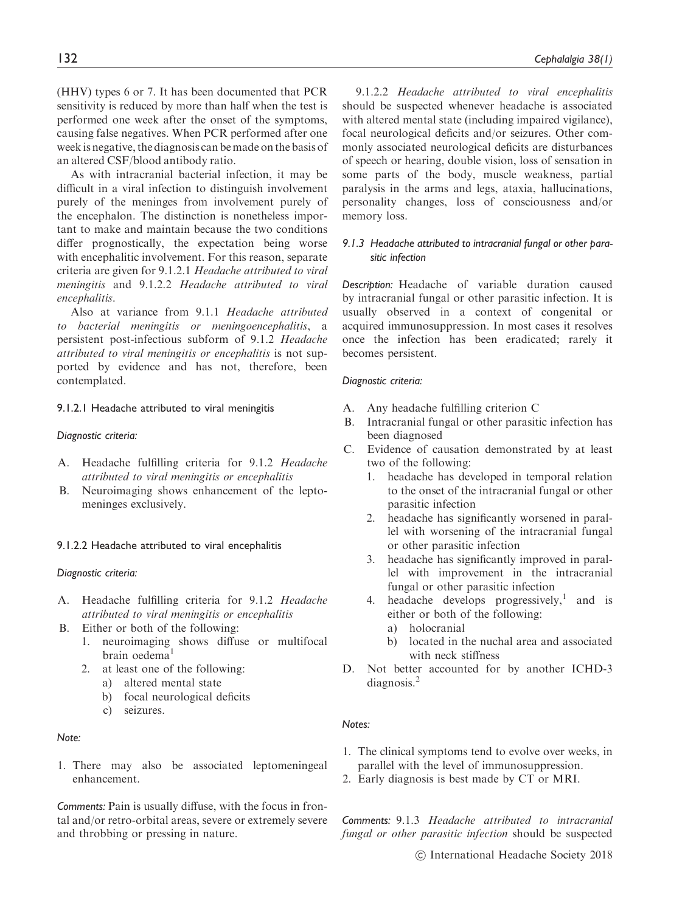(HHV) types 6 or 7. It has been documented that PCR sensitivity is reduced by more than half when the test is performed one week after the onset of the symptoms, causing false negatives. When PCR performed after one week is negative, the diagnosis can be made on the basis of an altered CSF/blood antibody ratio.

As with intracranial bacterial infection, it may be difficult in a viral infection to distinguish involvement purely of the meninges from involvement purely of the encephalon. The distinction is nonetheless important to make and maintain because the two conditions differ prognostically, the expectation being worse with encephalitic involvement. For this reason, separate criteria are given for 9.1.2.1 Headache attributed to viral meningitis and 9.1.2.2 Headache attributed to viral encephalitis.

Also at variance from 9.1.1 Headache attributed to bacterial meningitis or meningoencephalitis, a persistent post-infectious subform of 9.1.2 Headache attributed to viral meningitis or encephalitis is not supported by evidence and has not, therefore, been contemplated.

9.1.2.1 Headache attributed to viral meningitis

## Diagnostic criteria:

- A. Headache fulfilling criteria for 9.1.2 Headache attributed to viral meningitis or encephalitis
- B. Neuroimaging shows enhancement of the leptomeninges exclusively.

## 9.1.2.2 Headache attributed to viral encephalitis

### Diagnostic criteria:

- A. Headache fulfilling criteria for 9.1.2 Headache attributed to viral meningitis or encephalitis
- B. Either or both of the following:
	- 1. neuroimaging shows diffuse or multifocal brain oedema $<sup>1</sup>$ </sup>
	- 2. at least one of the following:
		- a) altered mental state
		- b) focal neurological deficits
		- c) seizures.

### Note:

1. There may also be associated leptomeningeal enhancement.

Comments: Pain is usually diffuse, with the focus in frontal and/or retro-orbital areas, severe or extremely severe and throbbing or pressing in nature.

9.1.2.2 Headache attributed to viral encephalitis should be suspected whenever headache is associated with altered mental state (including impaired vigilance), focal neurological deficits and/or seizures. Other commonly associated neurological deficits are disturbances of speech or hearing, double vision, loss of sensation in some parts of the body, muscle weakness, partial paralysis in the arms and legs, ataxia, hallucinations, personality changes, loss of consciousness and/or memory loss.

## 9.1.3 Headache attributed to intracranial fungal or other parasitic infection

Description: Headache of variable duration caused by intracranial fungal or other parasitic infection. It is usually observed in a context of congenital or acquired immunosuppression. In most cases it resolves once the infection has been eradicated; rarely it becomes persistent.

### Diagnostic criteria:

- A. Any headache fulfilling criterion C
- B. Intracranial fungal or other parasitic infection has been diagnosed
- C. Evidence of causation demonstrated by at least two of the following:
	- 1. headache has developed in temporal relation to the onset of the intracranial fungal or other parasitic infection
	- 2. headache has significantly worsened in parallel with worsening of the intracranial fungal or other parasitic infection
	- 3. headache has significantly improved in parallel with improvement in the intracranial fungal or other parasitic infection
	- 4. headache develops progressively, $\frac{1}{1}$  and is either or both of the following:
		- a) holocranial
		- b) located in the nuchal area and associated with neck stiffness
- D. Not better accounted for by another ICHD-3 diagnosis.<sup>2</sup>

### Notes:

- 1. The clinical symptoms tend to evolve over weeks, in parallel with the level of immunosuppression.
- 2. Early diagnosis is best made by CT or MRI.

Comments: 9.1.3 Headache attributed to intracranial fungal or other parasitic infection should be suspected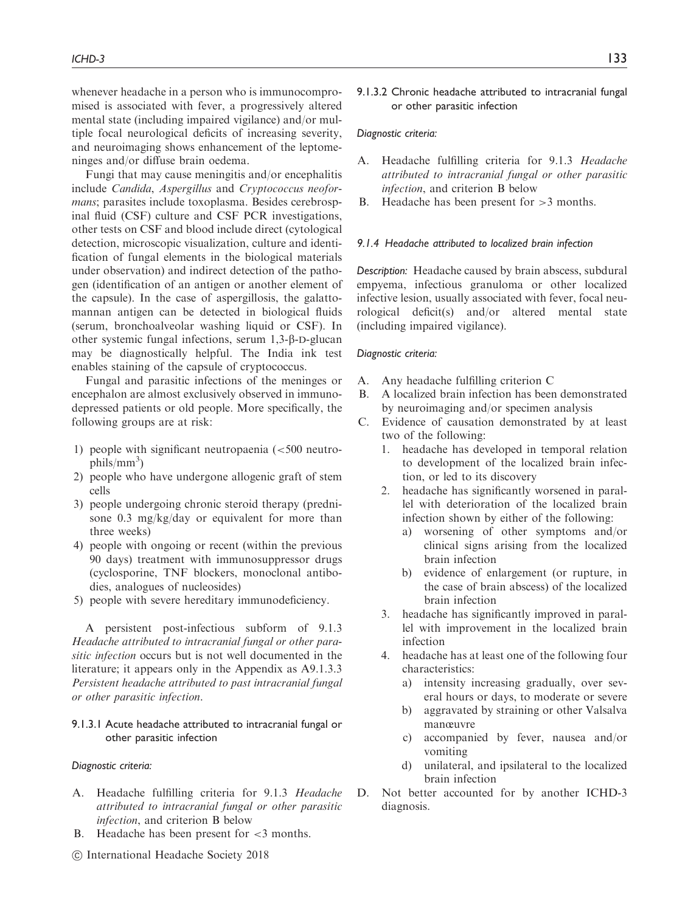whenever headache in a person who is immunocompromised is associated with fever, a progressively altered mental state (including impaired vigilance) and/or multiple focal neurological deficits of increasing severity, and neuroimaging shows enhancement of the leptomeninges and/or diffuse brain oedema.

Fungi that may cause meningitis and/or encephalitis include Candida, Aspergillus and Cryptococcus neoformans; parasites include toxoplasma. Besides cerebrospinal fluid (CSF) culture and CSF PCR investigations, other tests on CSF and blood include direct (cytological detection, microscopic visualization, culture and identification of fungal elements in the biological materials under observation) and indirect detection of the pathogen (identification of an antigen or another element of the capsule). In the case of aspergillosis, the galattomannan antigen can be detected in biological fluids (serum, bronchoalveolar washing liquid or CSF). In other systemic fungal infections, serum 1,3-b-D-glucan may be diagnostically helpful. The India ink test enables staining of the capsule of cryptococcus.

Fungal and parasitic infections of the meninges or encephalon are almost exclusively observed in immunodepressed patients or old people. More specifically, the following groups are at risk:

- 1) people with significant neutropaenia  $\left( < 500 \right)$  neutro $phils/mm^3)$
- 2) people who have undergone allogenic graft of stem cells
- 3) people undergoing chronic steroid therapy (prednisone 0.3 mg/kg/day or equivalent for more than three weeks)
- 4) people with ongoing or recent (within the previous 90 days) treatment with immunosuppressor drugs (cyclosporine, TNF blockers, monoclonal antibodies, analogues of nucleosides)
- 5) people with severe hereditary immunodeficiency.

A persistent post-infectious subform of 9.1.3 Headache attributed to intracranial fungal or other parasitic infection occurs but is not well documented in the literature; it appears only in the Appendix as A9.1.3.3 Persistent headache attributed to past intracranial fungal or other parasitic infection.

## 9.1.3.1 Acute headache attributed to intracranial fungal or other parasitic infection

#### Diagnostic criteria:

- A. Headache fulfilling criteria for 9.1.3 Headache attributed to intracranial fungal or other parasitic infection, and criterion B below
- B. Headache has been present for <3 months.
- ! International Headache Society 2018

## 9.1.3.2 Chronic headache attributed to intracranial fungal or other parasitic infection

#### Diagnostic criteria:

- A. Headache fulfilling criteria for 9.1.3 Headache attributed to intracranial fungal or other parasitic infection, and criterion B below
- B. Headache has been present for  $>3$  months.

### 9.1.4 Headache attributed to localized brain infection

Description: Headache caused by brain abscess, subdural empyema, infectious granuloma or other localized infective lesion, usually associated with fever, focal neurological deficit(s) and/or altered mental state (including impaired vigilance).

- A. Any headache fulfilling criterion C
- B. A localized brain infection has been demonstrated by neuroimaging and/or specimen analysis
- C. Evidence of causation demonstrated by at least two of the following:
	- 1. headache has developed in temporal relation to development of the localized brain infection, or led to its discovery
	- 2. headache has significantly worsened in parallel with deterioration of the localized brain infection shown by either of the following:
		- a) worsening of other symptoms and/or clinical signs arising from the localized brain infection
		- b) evidence of enlargement (or rupture, in the case of brain abscess) of the localized brain infection
	- 3. headache has significantly improved in parallel with improvement in the localized brain infection
	- 4. headache has at least one of the following four characteristics:
		- a) intensity increasing gradually, over several hours or days, to moderate or severe
		- b) aggravated by straining or other Valsalva manœuvre
		- c) accompanied by fever, nausea and/or vomiting
		- d) unilateral, and ipsilateral to the localized brain infection
- D. Not better accounted for by another ICHD-3 diagnosis.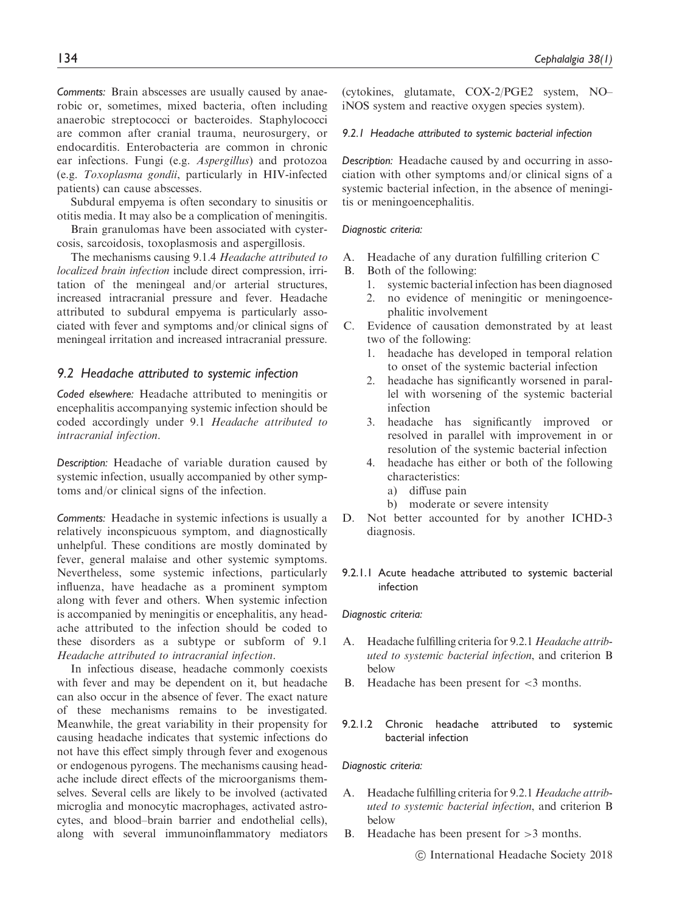Comments: Brain abscesses are usually caused by anaerobic or, sometimes, mixed bacteria, often including anaerobic streptococci or bacteroides. Staphylococci are common after cranial trauma, neurosurgery, or endocarditis. Enterobacteria are common in chronic ear infections. Fungi (e.g. Aspergillus) and protozoa (e.g. Toxoplasma gondii, particularly in HIV-infected patients) can cause abscesses.

Subdural empyema is often secondary to sinusitis or otitis media. It may also be a complication of meningitis.

Brain granulomas have been associated with cystercosis, sarcoidosis, toxoplasmosis and aspergillosis.

The mechanisms causing 9.1.4 Headache attributed to localized brain infection include direct compression, irritation of the meningeal and/or arterial structures, increased intracranial pressure and fever. Headache attributed to subdural empyema is particularly associated with fever and symptoms and/or clinical signs of meningeal irritation and increased intracranial pressure.

## 9.2 Headache attributed to systemic infection

Coded elsewhere: Headache attributed to meningitis or encephalitis accompanying systemic infection should be coded accordingly under 9.1 Headache attributed to intracranial infection.

Description: Headache of variable duration caused by systemic infection, usually accompanied by other symptoms and/or clinical signs of the infection.

Comments: Headache in systemic infections is usually a relatively inconspicuous symptom, and diagnostically unhelpful. These conditions are mostly dominated by fever, general malaise and other systemic symptoms. Nevertheless, some systemic infections, particularly influenza, have headache as a prominent symptom along with fever and others. When systemic infection is accompanied by meningitis or encephalitis, any headache attributed to the infection should be coded to these disorders as a subtype or subform of 9.1 Headache attributed to intracranial infection.

In infectious disease, headache commonly coexists with fever and may be dependent on it, but headache can also occur in the absence of fever. The exact nature of these mechanisms remains to be investigated. Meanwhile, the great variability in their propensity for causing headache indicates that systemic infections do not have this effect simply through fever and exogenous or endogenous pyrogens. The mechanisms causing headache include direct effects of the microorganisms themselves. Several cells are likely to be involved (activated microglia and monocytic macrophages, activated astrocytes, and blood–brain barrier and endothelial cells), along with several immunoinflammatory mediators (cytokines, glutamate, COX-2/PGE2 system, NO– iNOS system and reactive oxygen species system).

#### 9.2.1 Headache attributed to systemic bacterial infection

Description: Headache caused by and occurring in association with other symptoms and/or clinical signs of a systemic bacterial infection, in the absence of meningitis or meningoencephalitis.

### Diagnostic criteria:

- A. Headache of any duration fulfilling criterion C
- B. Both of the following:
	- 1. systemic bacterial infection has been diagnosed
	- 2. no evidence of meningitic or meningoencephalitic involvement
- C. Evidence of causation demonstrated by at least two of the following:
	- 1. headache has developed in temporal relation to onset of the systemic bacterial infection
	- 2. headache has significantly worsened in parallel with worsening of the systemic bacterial infection
	- 3. headache has significantly improved or resolved in parallel with improvement in or resolution of the systemic bacterial infection
	- 4. headache has either or both of the following characteristics:
		- a) diffuse pain
		- b) moderate or severe intensity
- D. Not better accounted for by another ICHD-3 diagnosis.
- 9.2.1.1 Acute headache attributed to systemic bacterial infection

### Diagnostic criteria:

- A. Headache fulfilling criteria for 9.2.1 Headache attributed to systemic bacterial infection, and criterion B below
- B. Headache has been present for  $\lt$ 3 months.
- 9.2.1.2 Chronic headache attributed to systemic bacterial infection

- A. Headache fulfilling criteria for 9.2.1 Headache attributed to systemic bacterial infection, and criterion B below
- B. Headache has been present for  $>3$  months.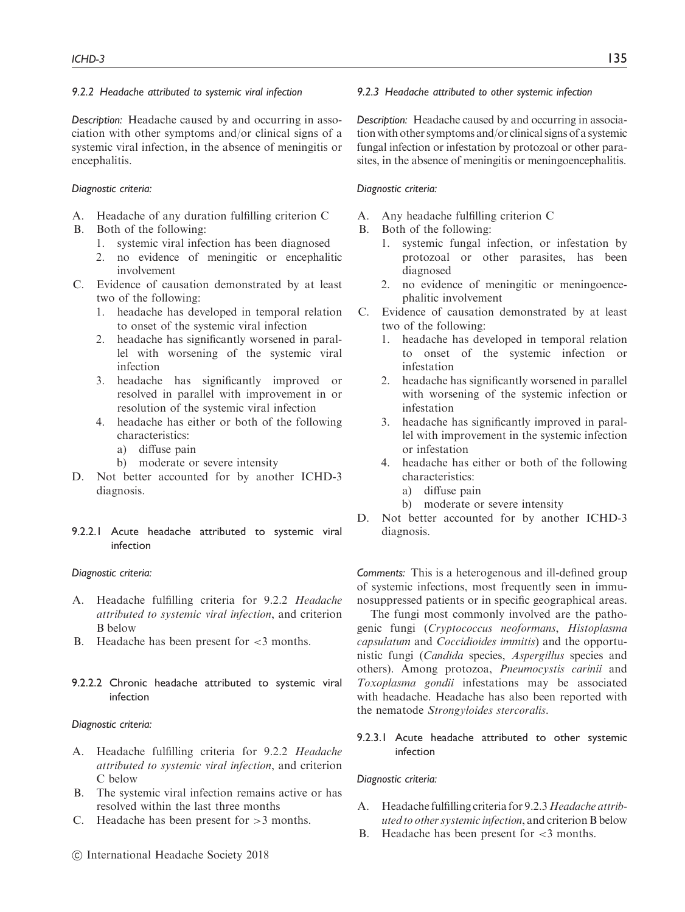## 9.2.2 Headache attributed to systemic viral infection

Description: Headache caused by and occurring in association with other symptoms and/or clinical signs of a systemic viral infection, in the absence of meningitis or encephalitis.

## Diagnostic criteria:

- A. Headache of any duration fulfilling criterion C
- B. Both of the following:
	- 1. systemic viral infection has been diagnosed
	- 2. no evidence of meningitic or encephalitic involvement
- C. Evidence of causation demonstrated by at least two of the following:
	- 1. headache has developed in temporal relation to onset of the systemic viral infection
	- 2. headache has significantly worsened in parallel with worsening of the systemic viral infection
	- 3. headache has significantly improved or resolved in parallel with improvement in or resolution of the systemic viral infection
	- 4. headache has either or both of the following characteristics:
		- a) diffuse pain
		- b) moderate or severe intensity
- D. Not better accounted for by another ICHD-3 diagnosis.
- 9.2.2.1 Acute headache attributed to systemic viral infection

### Diagnostic criteria:

- A. Headache fulfilling criteria for 9.2.2 Headache attributed to systemic viral infection, and criterion B below
- B. Headache has been present for  $\lt$ 3 months.
- 9.2.2.2 Chronic headache attributed to systemic viral infection

## Diagnostic criteria:

- A. Headache fulfilling criteria for 9.2.2 Headache attributed to systemic viral infection, and criterion C below
- B. The systemic viral infection remains active or has resolved within the last three months
- C. Headache has been present for >3 months.
- ! International Headache Society 2018

## 9.2.3 Headache attributed to other systemic infection

Description: Headache caused by and occurring in association with other symptoms and/or clinical signs of a systemic fungal infection or infestation by protozoal or other parasites, in the absence of meningitis or meningoencephalitis.

## Diagnostic criteria:

- A. Any headache fulfilling criterion C
- B. Both of the following:
	- 1. systemic fungal infection, or infestation by protozoal or other parasites, has been diagnosed
	- 2. no evidence of meningitic or meningoencephalitic involvement
- C. Evidence of causation demonstrated by at least two of the following:
	- headache has developed in temporal relation to onset of the systemic infection or infestation
	- 2. headache has significantly worsened in parallel with worsening of the systemic infection or infestation
	- 3. headache has significantly improved in parallel with improvement in the systemic infection or infestation
	- 4. headache has either or both of the following characteristics:
		- a) diffuse pain
		- b) moderate or severe intensity
- D. Not better accounted for by another ICHD-3 diagnosis.

Comments: This is a heterogenous and ill-defined group of systemic infections, most frequently seen in immunosuppressed patients or in specific geographical areas.

The fungi most commonly involved are the pathogenic fungi (Cryptococcus neoformans, Histoplasma capsulatum and Coccidioides immitis) and the opportunistic fungi (Candida species, Aspergillus species and others). Among protozoa, Pneumocystis carinii and Toxoplasma gondii infestations may be associated with headache. Headache has also been reported with the nematode Strongyloides stercoralis.

## 9.2.3.1 Acute headache attributed to other systemic infection

- A. Headache fulfilling criteria for 9.2.3 Headache attributed to other systemic infection, and criterion B below
- B. Headache has been present for <3 months.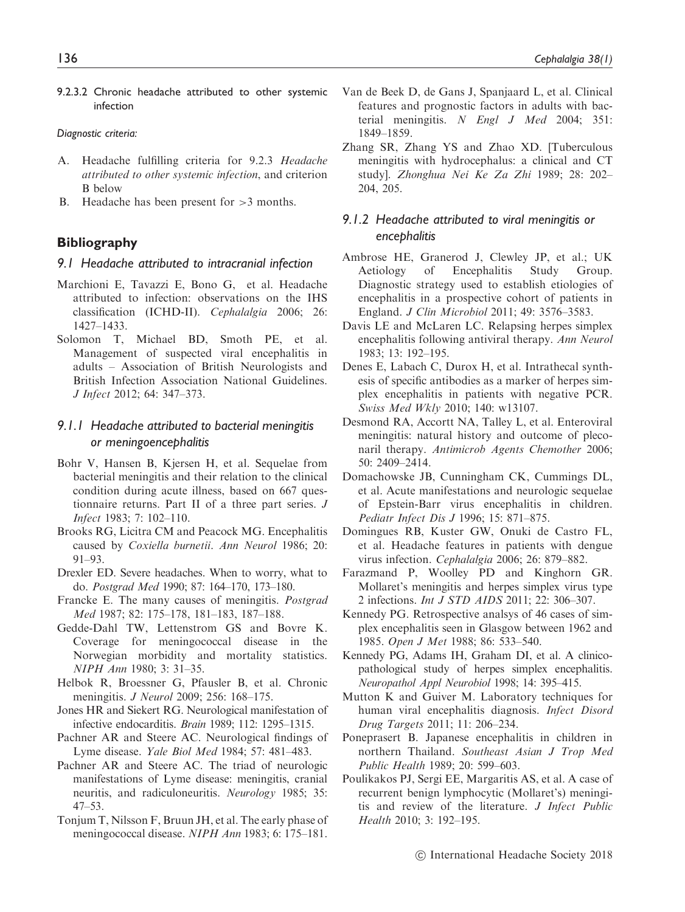9.2.3.2 Chronic headache attributed to other systemic infection

#### Diagnostic criteria:

- A. Headache fulfilling criteria for 9.2.3 Headache attributed to other systemic infection, and criterion B below
- B. Headache has been present for  $>3$  months.

## **Bibliography**

### 9.1 Headache attributed to intracranial infection

- Marchioni E, Tavazzi E, Bono G, et al. Headache attributed to infection: observations on the IHS classification (ICHD-II). Cephalalgia 2006; 26: 1427–1433.
- Solomon T, Michael BD, Smoth PE, et al. Management of suspected viral encephalitis in adults – Association of British Neurologists and British Infection Association National Guidelines. J Infect 2012; 64: 347–373.

# 9.1.1 Headache attributed to bacterial meningitis or meningoencephalitis

- Bohr V, Hansen B, Kjersen H, et al. Sequelae from bacterial meningitis and their relation to the clinical condition during acute illness, based on 667 questionnaire returns. Part II of a three part series. J Infect 1983; 7: 102–110.
- Brooks RG, Licitra CM and Peacock MG. Encephalitis caused by Coxiella burnetii. Ann Neurol 1986; 20: 91–93.
- Drexler ED. Severe headaches. When to worry, what to do. Postgrad Med 1990; 87: 164–170, 173–180.
- Francke E. The many causes of meningitis. Postgrad Med 1987; 82: 175–178, 181–183, 187–188.
- Gedde-Dahl TW, Lettenstrom GS and Bovre K. Coverage for meningococcal disease in the Norwegian morbidity and mortality statistics. NIPH Ann 1980; 3: 31–35.
- Helbok R, Broessner G, Pfausler B, et al. Chronic meningitis. J Neurol 2009; 256: 168–175.
- Jones HR and Siekert RG. Neurological manifestation of infective endocarditis. Brain 1989; 112: 1295–1315.
- Pachner AR and Steere AC. Neurological findings of Lyme disease. Yale Biol Med 1984; 57: 481–483.
- Pachner AR and Steere AC. The triad of neurologic manifestations of Lyme disease: meningitis, cranial neuritis, and radiculoneuritis. Neurology 1985; 35: 47–53.
- Tonjum T, Nilsson F, Bruun JH, et al. The early phase of meningococcal disease. NIPH Ann 1983; 6: 175-181.
- Van de Beek D, de Gans J, Spanjaard L, et al. Clinical features and prognostic factors in adults with bacterial meningitis. N Engl J Med 2004; 351: 1849–1859.
- Zhang SR, Zhang YS and Zhao XD. [Tuberculous meningitis with hydrocephalus: a clinical and CT study]. Zhonghua Nei Ke Za Zhi 1989; 28: 202– 204, 205.

# 9.1.2 Headache attributed to viral meningitis or encephalitis

- Ambrose HE, Granerod J, Clewley JP, et al.; UK Aetiology of Encephalitis Study Group. Diagnostic strategy used to establish etiologies of encephalitis in a prospective cohort of patients in England. J Clin Microbiol 2011; 49: 3576–3583.
- Davis LE and McLaren LC. Relapsing herpes simplex encephalitis following antiviral therapy. Ann Neurol 1983; 13: 192–195.
- Denes E, Labach C, Durox H, et al. Intrathecal synthesis of specific antibodies as a marker of herpes simplex encephalitis in patients with negative PCR. Swiss Med Wkly 2010; 140: w13107.
- Desmond RA, Accortt NA, Talley L, et al. Enteroviral meningitis: natural history and outcome of pleconaril therapy. Antimicrob Agents Chemother 2006; 50: 2409–2414.
- Domachowske JB, Cunningham CK, Cummings DL, et al. Acute manifestations and neurologic sequelae of Epstein-Barr virus encephalitis in children. Pediatr Infect Dis J 1996; 15: 871–875.
- Domingues RB, Kuster GW, Onuki de Castro FL, et al. Headache features in patients with dengue virus infection. Cephalalgia 2006; 26: 879–882.
- Farazmand P, Woolley PD and Kinghorn GR. Mollaret's meningitis and herpes simplex virus type 2 infections. Int J STD AIDS 2011; 22: 306–307.
- Kennedy PG. Retrospective analsys of 46 cases of simplex encephalitis seen in Glasgow between 1962 and 1985. Open J Met 1988; 86: 533–540.
- Kennedy PG, Adams IH, Graham DI, et al. A clinicopathological study of herpes simplex encephalitis. Neuropathol Appl Neurobiol 1998; 14: 395–415.
- Mutton K and Guiver M. Laboratory techniques for human viral encephalitis diagnosis. Infect Disord Drug Targets 2011; 11: 206–234.
- Poneprasert B. Japanese encephalitis in children in northern Thailand. Southeast Asian J Trop Med Public Health 1989; 20: 599–603.
- Poulikakos PJ, Sergi EE, Margaritis AS, et al. A case of recurrent benign lymphocytic (Mollaret's) meningitis and review of the literature. J Infect Public Health 2010; 3: 192–195.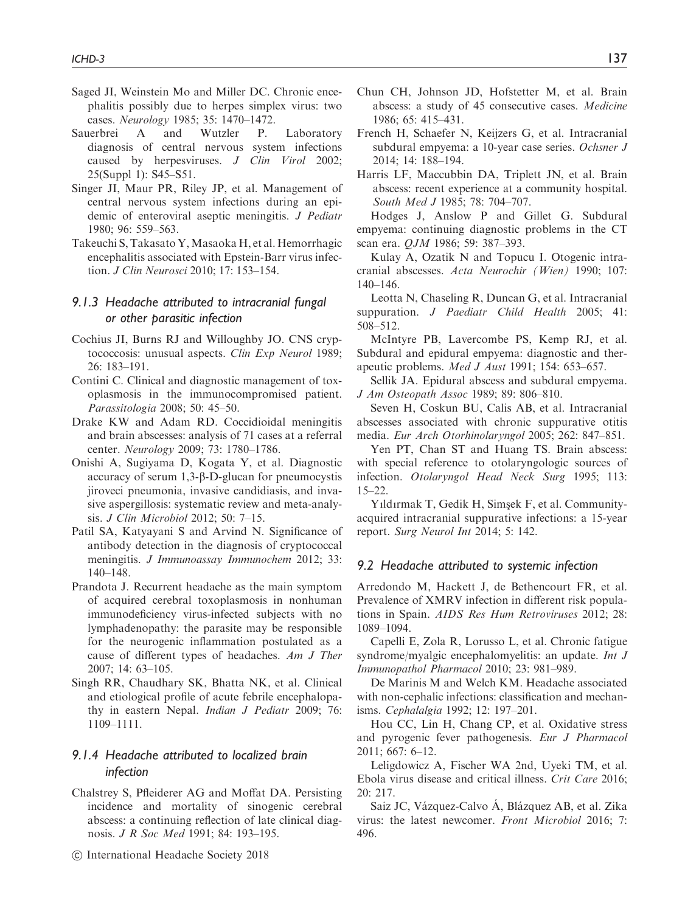- Saged JI, Weinstein Mo and Miller DC. Chronic encephalitis possibly due to herpes simplex virus: two cases. Neurology 1985; 35: 1470–1472.
- Sauerbrei A and Wutzler P. Laboratory diagnosis of central nervous system infections caused by herpesviruses. J Clin Virol 2002; 25(Suppl 1): S45–S51.
- Singer JI, Maur PR, Riley JP, et al. Management of central nervous system infections during an epidemic of enteroviral aseptic meningitis. J Pediatr 1980; 96: 559–563.
- Takeuchi S, Takasato Y, Masaoka H, et al. Hemorrhagic encephalitis associated with Epstein-Barr virus infection. J Clin Neurosci 2010; 17: 153–154.

# 9.1.3 Headache attributed to intracranial fungal or other parasitic infection

- Cochius JI, Burns RJ and Willoughby JO. CNS cryptococcosis: unusual aspects. Clin Exp Neurol 1989; 26: 183–191.
- Contini C. Clinical and diagnostic management of toxoplasmosis in the immunocompromised patient. Parassitologia 2008; 50: 45–50.
- Drake KW and Adam RD. Coccidioidal meningitis and brain abscesses: analysis of 71 cases at a referral center. Neurology 2009; 73: 1780–1786.
- Onishi A, Sugiyama D, Kogata Y, et al. Diagnostic accuracy of serum 1,3-b-D-glucan for pneumocystis jiroveci pneumonia, invasive candidiasis, and invasive aspergillosis: systematic review and meta-analysis. J Clin Microbiol 2012; 50: 7–15.
- Patil SA, Katyayani S and Arvind N. Significance of antibody detection in the diagnosis of cryptococcal meningitis. J Immunoassay Immunochem 2012; 33: 140–148.
- Prandota J. Recurrent headache as the main symptom of acquired cerebral toxoplasmosis in nonhuman immunodeficiency virus-infected subjects with no lymphadenopathy: the parasite may be responsible for the neurogenic inflammation postulated as a cause of different types of headaches. Am J Ther 2007; 14: 63–105.
- Singh RR, Chaudhary SK, Bhatta NK, et al. Clinical and etiological profile of acute febrile encephalopathy in eastern Nepal. Indian J Pediatr 2009; 76: 1109–1111.

# 9.1.4 Headache attributed to localized brain infection

- Chalstrey S, Pfleiderer AG and Moffat DA. Persisting incidence and mortality of sinogenic cerebral abscess: a continuing reflection of late clinical diagnosis. J R Soc Med 1991; 84: 193–195.
- ! International Headache Society 2018
- Chun CH, Johnson JD, Hofstetter M, et al. Brain abscess: a study of 45 consecutive cases. Medicine 1986; 65: 415–431.
- French H, Schaefer N, Keijzers G, et al. Intracranial subdural empyema: a 10-year case series. Ochsner J 2014; 14: 188–194.
- Harris LF, Maccubbin DA, Triplett JN, et al. Brain abscess: recent experience at a community hospital. South Med J 1985; 78: 704–707.

Hodges J, Anslow P and Gillet G. Subdural empyema: continuing diagnostic problems in the CT scan era. QJM 1986; 59: 387–393.

Kulay A, Ozatik N and Topucu I. Otogenic intracranial abscesses. Acta Neurochir (Wien) 1990; 107: 140–146.

Leotta N, Chaseling R, Duncan G, et al. Intracranial suppuration. *J Paediatr Child Health 2005*; 41: 508–512.

McIntyre PB, Lavercombe PS, Kemp RJ, et al. Subdural and epidural empyema: diagnostic and therapeutic problems. Med J Aust 1991; 154: 653–657.

Sellik JA. Epidural abscess and subdural empyema. J Am Osteopath Assoc 1989; 89: 806–810.

Seven H, Coskun BU, Calis AB, et al. Intracranial abscesses associated with chronic suppurative otitis media. Eur Arch Otorhinolaryngol 2005; 262: 847–851.

Yen PT, Chan ST and Huang TS. Brain abscess: with special reference to otolaryngologic sources of infection. Otolaryngol Head Neck Surg 1995; 113: 15–22.

Yıldırmak T, Gedik H, Simşek F, et al. Communityacquired intracranial suppurative infections: a 15-year report. Surg Neurol Int 2014; 5: 142.

## 9.2 Headache attributed to systemic infection

Arredondo M, Hackett J, de Bethencourt FR, et al. Prevalence of XMRV infection in different risk populations in Spain. AIDS Res Hum Retroviruses 2012; 28: 1089–1094.

Capelli E, Zola R, Lorusso L, et al. Chronic fatigue syndrome/myalgic encephalomyelitis: an update. Int J Immunopathol Pharmacol 2010; 23: 981–989.

De Marinis M and Welch KM. Headache associated with non-cephalic infections: classification and mechanisms. Cephalalgia 1992; 12: 197–201.

Hou CC, Lin H, Chang CP, et al. Oxidative stress and pyrogenic fever pathogenesis. Eur J Pharmacol 2011; 667: 6–12.

Leligdowicz A, Fischer WA 2nd, Uyeki TM, et al. Ebola virus disease and critical illness. Crit Care 2016; 20: 217.

Saiz JC, Vázquez-Calvo A, Blázquez AB, et al. Zika virus: the latest newcomer. Front Microbiol 2016; 7: 496.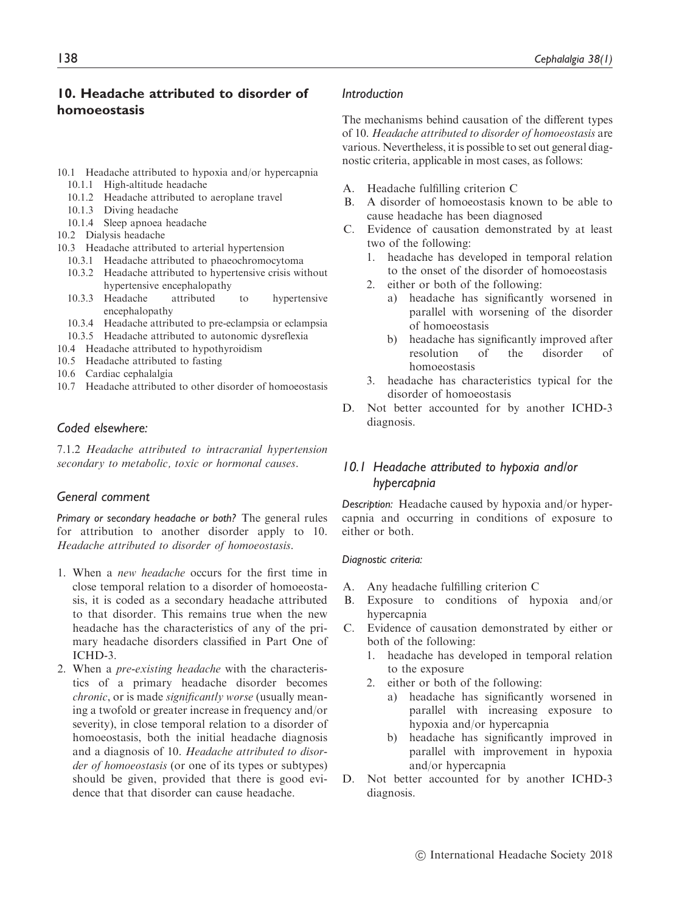# 10. Headache attributed to disorder of homoeostasis

- 10.1 Headache attributed to hypoxia and/or hypercapnia
	- 10.1.1 High-altitude headache
	- 10.1.2 Headache attributed to aeroplane travel
	- 10.1.3 Diving headache
	- 10.1.4 Sleep apnoea headache
- 10.2 Dialysis headache
- 10.3 Headache attributed to arterial hypertension
	- 10.3.1 Headache attributed to phaeochromocytoma
	- 10.3.2 Headache attributed to hypertensive crisis without hypertensive encephalopathy
	- 10.3.3 Headache attributed to hypertensive encephalopathy
	- 10.3.4 Headache attributed to pre-eclampsia or eclampsia
- 10.3.5 Headache attributed to autonomic dysreflexia
- 10.4 Headache attributed to hypothyroidism
- 10.5 Headache attributed to fasting
- 10.6 Cardiac cephalalgia
- 10.7 Headache attributed to other disorder of homoeostasis

# Coded elsewhere:

7.1.2 Headache attributed to intracranial hypertension secondary to metabolic, toxic or hormonal causes.

# General comment

Primary or secondary headache or both? The general rules for attribution to another disorder apply to 10. Headache attributed to disorder of homoeostasis.

- 1. When a new headache occurs for the first time in close temporal relation to a disorder of homoeostasis, it is coded as a secondary headache attributed to that disorder. This remains true when the new headache has the characteristics of any of the primary headache disorders classified in Part One of ICHD-3.
- 2. When a pre-existing headache with the characteristics of a primary headache disorder becomes chronic, or is made significantly worse (usually meaning a twofold or greater increase in frequency and/or severity), in close temporal relation to a disorder of homoeostasis, both the initial headache diagnosis and a diagnosis of 10. Headache attributed to disorder of homoeostasis (or one of its types or subtypes) should be given, provided that there is good evidence that that disorder can cause headache.

# Introduction

The mechanisms behind causation of the different types of 10. Headache attributed to disorder of homoeostasis are various. Nevertheless, it is possible to set out general diagnostic criteria, applicable in most cases, as follows:

- A. Headache fulfilling criterion C
- B. A disorder of homoeostasis known to be able to cause headache has been diagnosed
- C. Evidence of causation demonstrated by at least two of the following:
	- 1. headache has developed in temporal relation to the onset of the disorder of homoeostasis
	- 2. either or both of the following:
		- a) headache has significantly worsened in parallel with worsening of the disorder of homoeostasis
		- b) headache has significantly improved after resolution of the disorder of homoeostasis
	- 3. headache has characteristics typical for the disorder of homoeostasis
- D. Not better accounted for by another ICHD-3 diagnosis.

# 10.1 Headache attributed to hypoxia and/or hypercapnia

Description: Headache caused by hypoxia and/or hypercapnia and occurring in conditions of exposure to either or both.

- A. Any headache fulfilling criterion C
- B. Exposure to conditions of hypoxia and/or hypercapnia
- C. Evidence of causation demonstrated by either or both of the following:
	- 1. headache has developed in temporal relation to the exposure
	- 2. either or both of the following:
		- a) headache has significantly worsened in parallel with increasing exposure to hypoxia and/or hypercapnia
		- b) headache has significantly improved in parallel with improvement in hypoxia and/or hypercapnia
- D. Not better accounted for by another ICHD-3 diagnosis.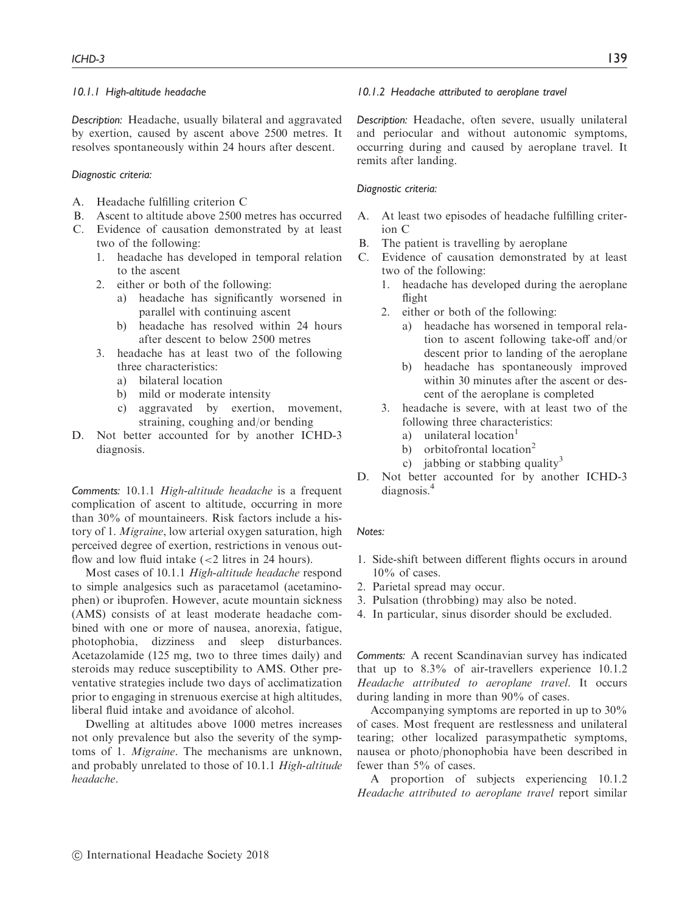## 10.1.1 High-altitude headache

Description: Headache, usually bilateral and aggravated by exertion, caused by ascent above 2500 metres. It resolves spontaneously within 24 hours after descent.

### Diagnostic criteria:

- A. Headache fulfilling criterion C
- B. Ascent to altitude above 2500 metres has occurred
- C. Evidence of causation demonstrated by at least two of the following:
	- 1. headache has developed in temporal relation to the ascent
	- 2. either or both of the following:
		- a) headache has significantly worsened in parallel with continuing ascent
		- b) headache has resolved within 24 hours after descent to below 2500 metres
	- 3. headache has at least two of the following three characteristics:
		- a) bilateral location
		- b) mild or moderate intensity
		- c) aggravated by exertion, movement, straining, coughing and/or bending
- D. Not better accounted for by another ICHD-3 diagnosis.

Comments: 10.1.1 High-altitude headache is a frequent complication of ascent to altitude, occurring in more than 30% of mountaineers. Risk factors include a history of 1. Migraine, low arterial oxygen saturation, high perceived degree of exertion, restrictions in venous outflow and low fluid intake  $\left( \langle 2 \rangle \right)$  litres in 24 hours).

Most cases of 10.1.1 High-altitude headache respond to simple analgesics such as paracetamol (acetaminophen) or ibuprofen. However, acute mountain sickness (AMS) consists of at least moderate headache combined with one or more of nausea, anorexia, fatigue, photophobia, dizziness and sleep disturbances. Acetazolamide (125 mg, two to three times daily) and steroids may reduce susceptibility to AMS. Other preventative strategies include two days of acclimatization prior to engaging in strenuous exercise at high altitudes, liberal fluid intake and avoidance of alcohol.

Dwelling at altitudes above 1000 metres increases not only prevalence but also the severity of the symptoms of 1. Migraine. The mechanisms are unknown, and probably unrelated to those of 10.1.1 High-altitude headache.

## 10.1.2 Headache attributed to aeroplane travel

Description: Headache, often severe, usually unilateral and periocular and without autonomic symptoms, occurring during and caused by aeroplane travel. It remits after landing.

## Diagnostic criteria:

- A. At least two episodes of headache fulfilling criterion C
- B. The patient is travelling by aeroplane
- C. Evidence of causation demonstrated by at least two of the following:
	- 1. headache has developed during the aeroplane flight
	- 2. either or both of the following:
		- a) headache has worsened in temporal relation to ascent following take-off and/or descent prior to landing of the aeroplane
		- b) headache has spontaneously improved within 30 minutes after the ascent or descent of the aeroplane is completed
	- 3. headache is severe, with at least two of the following three characteristics:
		- a) unilateral location $<sup>1</sup>$ </sup>
		- b) orbitofrontal location<sup>2</sup>
		- c) jabbing or stabbing quality<sup>3</sup>
- D. Not better accounted for by another ICHD-3 diagnosis.<sup>4</sup>

### Notes:

- 1. Side-shift between different flights occurs in around  $10\%$  of cases.
- 2. Parietal spread may occur.
- 3. Pulsation (throbbing) may also be noted.
- 4. In particular, sinus disorder should be excluded.

Comments: A recent Scandinavian survey has indicated that up to 8.3% of air-travellers experience 10.1.2 Headache attributed to aeroplane travel. It occurs during landing in more than 90% of cases.

Accompanying symptoms are reported in up to 30% of cases. Most frequent are restlessness and unilateral tearing; other localized parasympathetic symptoms, nausea or photo/phonophobia have been described in fewer than 5% of cases.

A proportion of subjects experiencing 10.1.2 Headache attributed to aeroplane travel report similar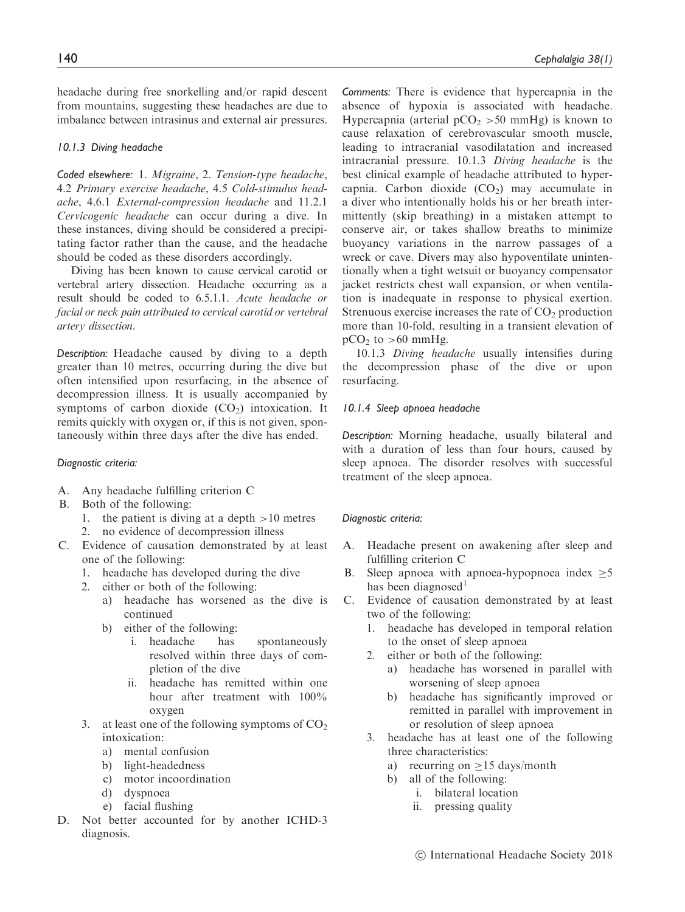headache during free snorkelling and/or rapid descent from mountains, suggesting these headaches are due to imbalance between intrasinus and external air pressures.

### 10.1.3 Diving headache

Coded elsewhere: 1. Migraine, 2. Tension-type headache, 4.2 Primary exercise headache, 4.5 Cold-stimulus headache, 4.6.1 External-compression headache and 11.2.1 Cervicogenic headache can occur during a dive. In these instances, diving should be considered a precipitating factor rather than the cause, and the headache should be coded as these disorders accordingly.

Diving has been known to cause cervical carotid or vertebral artery dissection. Headache occurring as a result should be coded to 6.5.1.1. Acute headache or facial or neck pain attributed to cervical carotid or vertebral artery dissection.

Description: Headache caused by diving to a depth greater than 10 metres, occurring during the dive but often intensified upon resurfacing, in the absence of decompression illness. It is usually accompanied by symptoms of carbon dioxide  $(CO<sub>2</sub>)$  intoxication. It remits quickly with oxygen or, if this is not given, spontaneously within three days after the dive has ended.

#### Diagnostic criteria:

- A. Any headache fulfilling criterion C
- B. Both of the following:
	- 1. the patient is diving at a depth  $>10$  metres 2. no evidence of decompression illness
- C. Evidence of causation demonstrated by at least one of the following:
	- 1. headache has developed during the dive
	- 2. either or both of the following:
		- a) headache has worsened as the dive is continued
			- b) either of the following:
				- i. headache has spontaneously resolved within three days of completion of the dive
				- ii. headache has remitted within one hour after treatment with  $100\%$ oxygen
	- 3. at least one of the following symptoms of  $CO<sub>2</sub>$ intoxication:
		- a) mental confusion
		- b) light-headedness
		- c) motor incoordination
		- d) dyspnoea
		- e) facial flushing
- D. Not better accounted for by another ICHD-3 diagnosis.

Comments: There is evidence that hypercapnia in the absence of hypoxia is associated with headache. Hypercapnia (arterial  $pCO<sub>2</sub> > 50$  mmHg) is known to cause relaxation of cerebrovascular smooth muscle, leading to intracranial vasodilatation and increased intracranial pressure. 10.1.3 Diving headache is the best clinical example of headache attributed to hypercapnia. Carbon dioxide  $(CO<sub>2</sub>)$  may accumulate in a diver who intentionally holds his or her breath intermittently (skip breathing) in a mistaken attempt to conserve air, or takes shallow breaths to minimize buoyancy variations in the narrow passages of a wreck or cave. Divers may also hypoventilate unintentionally when a tight wetsuit or buoyancy compensator jacket restricts chest wall expansion, or when ventilation is inadequate in response to physical exertion. Strenuous exercise increases the rate of  $CO<sub>2</sub>$  production more than 10-fold, resulting in a transient elevation of  $pCO<sub>2</sub>$  to  $>60$  mmHg.

10.1.3 Diving headache usually intensifies during the decompression phase of the dive or upon resurfacing.

### 10.1.4 Sleep apnoea headache

Description: Morning headache, usually bilateral and with a duration of less than four hours, caused by sleep apnoea. The disorder resolves with successful treatment of the sleep apnoea.

- A. Headache present on awakening after sleep and fulfilling criterion C
- B. Sleep apnoea with apnoea-hypopnoea index  $\geq 5$ has been diagnosed $<sup>1</sup>$ </sup>
- C. Evidence of causation demonstrated by at least two of the following:
	- 1. headache has developed in temporal relation to the onset of sleep apnoea
	- 2. either or both of the following:
		- a) headache has worsened in parallel with worsening of sleep apnoea
		- b) headache has significantly improved or remitted in parallel with improvement in or resolution of sleep apnoea
	- 3. headache has at least one of the following three characteristics:
		- a) recurring on  $\geq$ 15 days/month
		- b) all of the following:
			- i. bilateral location
				- ii. pressing quality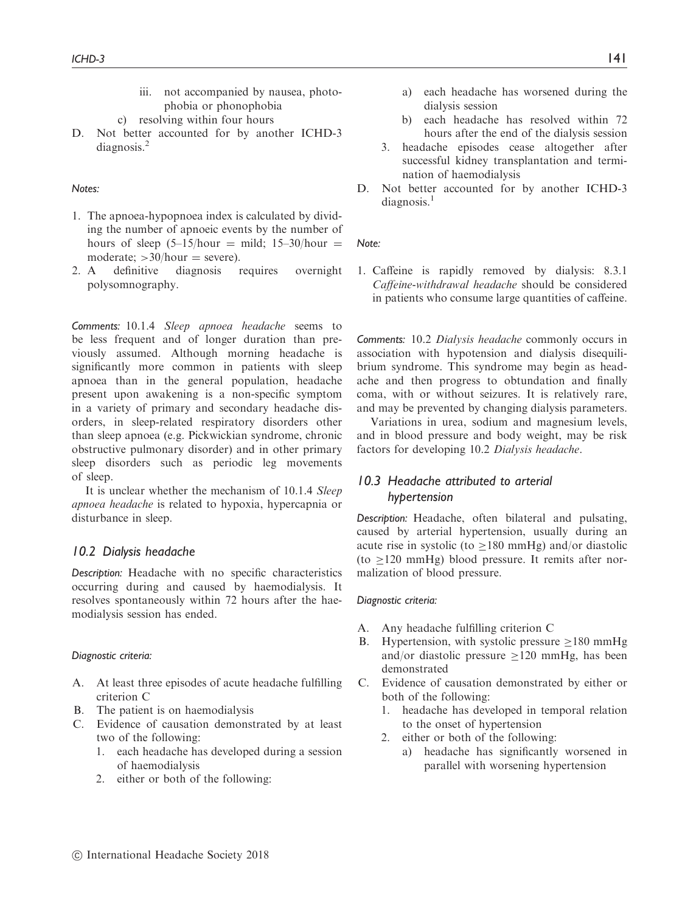- iii. not accompanied by nausea, photophobia or phonophobia
- c) resolving within four hours
- D. Not better accounted for by another ICHD-3 diagnosis.<sup>2</sup>

## Notes:

- 1. The apnoea-hypopnoea index is calculated by dividing the number of apnoeic events by the number of hours of sleep  $(5-15/hour = mild; 15-30/hour =$ moderate;  $>30/h$ our  $=$  severe).
- 2. A definitive diagnosis requires overnight polysomnography.

Comments: 10.1.4 Sleep apnoea headache seems to be less frequent and of longer duration than previously assumed. Although morning headache is significantly more common in patients with sleep apnoea than in the general population, headache present upon awakening is a non-specific symptom in a variety of primary and secondary headache disorders, in sleep-related respiratory disorders other than sleep apnoea (e.g. Pickwickian syndrome, chronic obstructive pulmonary disorder) and in other primary sleep disorders such as periodic leg movements of sleep.

It is unclear whether the mechanism of 10.1.4 Sleep apnoea headache is related to hypoxia, hypercapnia or disturbance in sleep.

## 10.2 Dialysis headache

Description: Headache with no specific characteristics occurring during and caused by haemodialysis. It resolves spontaneously within 72 hours after the haemodialysis session has ended.

### Diagnostic criteria:

- A. At least three episodes of acute headache fulfilling criterion C
- B. The patient is on haemodialysis
- C. Evidence of causation demonstrated by at least two of the following:
	- 1. each headache has developed during a session of haemodialysis
	- 2. either or both of the following:
- a) each headache has worsened during the dialysis session
- b) each headache has resolved within 72 hours after the end of the dialysis session
- 3. headache episodes cease altogether after successful kidney transplantation and termination of haemodialysis
- D. Not better accounted for by another ICHD-3 diagnosis.<sup>1</sup>

### Note:

1. Caffeine is rapidly removed by dialysis: 8.3.1 Caffeine-withdrawal headache should be considered in patients who consume large quantities of caffeine.

Comments: 10.2 Dialysis headache commonly occurs in association with hypotension and dialysis disequilibrium syndrome. This syndrome may begin as headache and then progress to obtundation and finally coma, with or without seizures. It is relatively rare, and may be prevented by changing dialysis parameters.

Variations in urea, sodium and magnesium levels, and in blood pressure and body weight, may be risk factors for developing 10.2 Dialysis headache.

# 10.3 Headache attributed to arterial hypertension

Description: Headache, often bilateral and pulsating, caused by arterial hypertension, usually during an acute rise in systolic (to  $\geq$ 180 mmHg) and/or diastolic  $(to \geq 120 \text{ mmHg})$  blood pressure. It remits after normalization of blood pressure.

- A. Any headache fulfilling criterion C
- B. Hypertension, with systolic pressure  $\geq$ 180 mmHg and/or diastolic pressure  $\geq$ 120 mmHg, has been demonstrated
- C. Evidence of causation demonstrated by either or both of the following:
	- headache has developed in temporal relation to the onset of hypertension
	- 2. either or both of the following:
		- a) headache has significantly worsened in parallel with worsening hypertension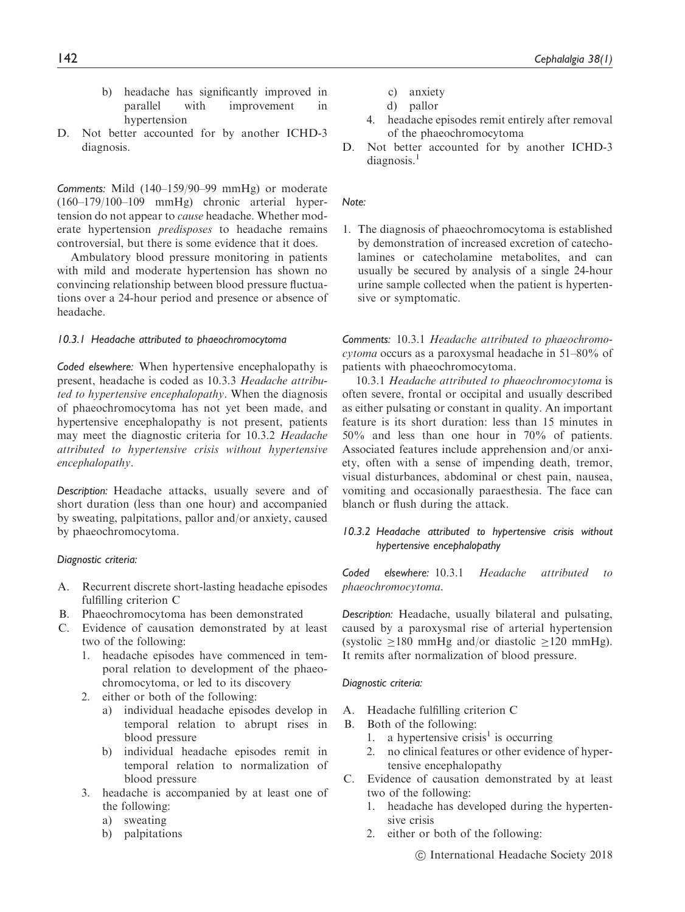- b) headache has significantly improved in parallel with improvement in hypertension
- D. Not better accounted for by another ICHD-3 diagnosis.

Comments: Mild (140–159/90–99 mmHg) or moderate (160–179/100–109 mmHg) chronic arterial hypertension do not appear to cause headache. Whether moderate hypertension predisposes to headache remains controversial, but there is some evidence that it does.

Ambulatory blood pressure monitoring in patients with mild and moderate hypertension has shown no convincing relationship between blood pressure fluctuations over a 24-hour period and presence or absence of headache.

#### 10.3.1 Headache attributed to phaeochromocytoma

Coded elsewhere: When hypertensive encephalopathy is present, headache is coded as 10.3.3 Headache attributed to hypertensive encephalopathy. When the diagnosis of phaeochromocytoma has not yet been made, and hypertensive encephalopathy is not present, patients may meet the diagnostic criteria for 10.3.2 Headache attributed to hypertensive crisis without hypertensive encephalopathy.

Description: Headache attacks, usually severe and of short duration (less than one hour) and accompanied by sweating, palpitations, pallor and/or anxiety, caused by phaeochromocytoma.

#### Diagnostic criteria:

- A. Recurrent discrete short-lasting headache episodes fulfilling criterion C
- B. Phaeochromocytoma has been demonstrated
- C. Evidence of causation demonstrated by at least two of the following:
	- 1. headache episodes have commenced in temporal relation to development of the phaeochromocytoma, or led to its discovery
	- 2. either or both of the following:
		- a) individual headache episodes develop in temporal relation to abrupt rises in blood pressure
		- b) individual headache episodes remit in temporal relation to normalization of blood pressure
	- 3. headache is accompanied by at least one of the following:
		- a) sweating
		- b) palpitations
- c) anxiety
- d) pallor
- 4. headache episodes remit entirely after removal of the phaeochromocytoma
- D. Not better accounted for by another ICHD-3  $diagonosis.<sup>1</sup>$

## Note:

1. The diagnosis of phaeochromocytoma is established by demonstration of increased excretion of catecholamines or catecholamine metabolites, and can usually be secured by analysis of a single 24-hour urine sample collected when the patient is hypertensive or symptomatic.

Comments: 10.3.1 Headache attributed to phaeochromocytoma occurs as a paroxysmal headache in 51–80% of patients with phaeochromocytoma.

10.3.1 Headache attributed to phaeochromocytoma is often severe, frontal or occipital and usually described as either pulsating or constant in quality. An important feature is its short duration: less than 15 minutes in 50% and less than one hour in 70% of patients. Associated features include apprehension and/or anxiety, often with a sense of impending death, tremor, visual disturbances, abdominal or chest pain, nausea, vomiting and occasionally paraesthesia. The face can blanch or flush during the attack.

## 10.3.2 Headache attributed to hypertensive crisis without hypertensive encephalopathy

Coded elsewhere: 10.3.1 Headache attributed to phaeochromocytoma.

Description: Headache, usually bilateral and pulsating, caused by a paroxysmal rise of arterial hypertension (systolic  $\geq$ 180 mmHg and/or diastolic  $\geq$ 120 mmHg). It remits after normalization of blood pressure.

#### Diagnostic criteria:

- A. Headache fulfilling criterion C
- B. Both of the following:
	- 1. a hypertensive crisis<sup>1</sup> is occurring
	- 2. no clinical features or other evidence of hypertensive encephalopathy
- C. Evidence of causation demonstrated by at least two of the following:
	- 1. headache has developed during the hypertensive crisis
	- 2. either or both of the following: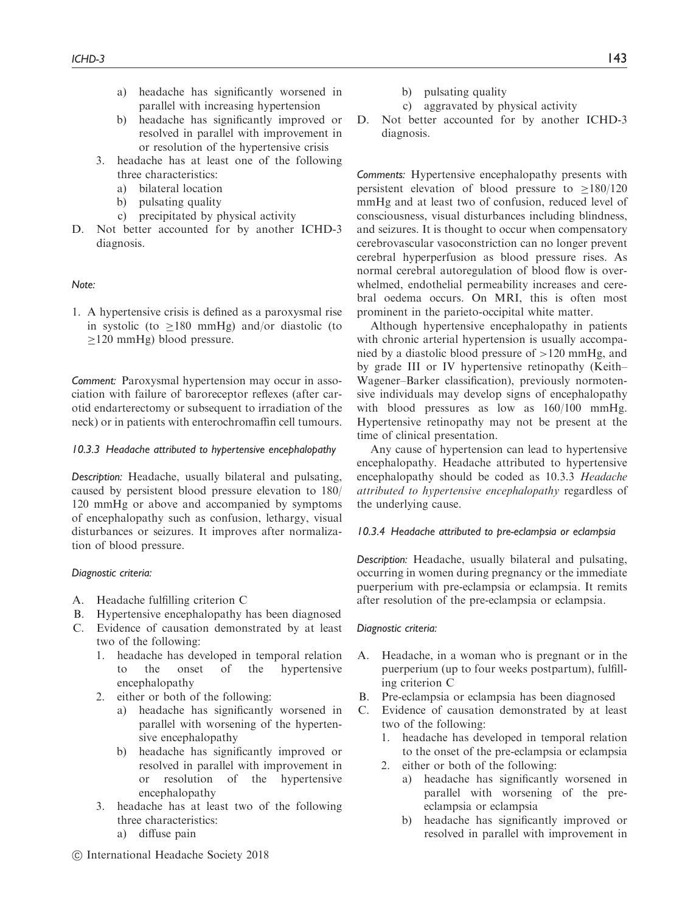- a) headache has significantly worsened in parallel with increasing hypertension
- b) headache has significantly improved or resolved in parallel with improvement in or resolution of the hypertensive crisis
- 3. headache has at least one of the following three characteristics:
	- a) bilateral location
	- b) pulsating quality
	- c) precipitated by physical activity
- D. Not better accounted for by another ICHD-3 diagnosis.

### Note:

1. A hypertensive crisis is defined as a paroxysmal rise in systolic (to  $\geq$ 180 mmHg) and/or diastolic (to  $\geq$ 120 mmHg) blood pressure.

Comment: Paroxysmal hypertension may occur in association with failure of baroreceptor reflexes (after carotid endarterectomy or subsequent to irradiation of the neck) or in patients with enterochromaffin cell tumours.

### 10.3.3 Headache attributed to hypertensive encephalopathy

Description: Headache, usually bilateral and pulsating, caused by persistent blood pressure elevation to 180/ 120 mmHg or above and accompanied by symptoms of encephalopathy such as confusion, lethargy, visual disturbances or seizures. It improves after normalization of blood pressure.

### Diagnostic criteria:

- A. Headache fulfilling criterion C
- B. Hypertensive encephalopathy has been diagnosed
- C. Evidence of causation demonstrated by at least two of the following:
	- 1. headache has developed in temporal relation to the onset of the hypertensive encephalopathy
	- 2. either or both of the following:
		- a) headache has significantly worsened in parallel with worsening of the hypertensive encephalopathy
		- b) headache has significantly improved or resolved in parallel with improvement in or resolution of the hypertensive encephalopathy
	- 3. headache has at least two of the following three characteristics:
		- a) diffuse pain
- b) pulsating quality
- c) aggravated by physical activity
- D. Not better accounted for by another ICHD-3 diagnosis.

Comments: Hypertensive encephalopathy presents with persistent elevation of blood pressure to  $\geq 180/120$ mmHg and at least two of confusion, reduced level of consciousness, visual disturbances including blindness, and seizures. It is thought to occur when compensatory cerebrovascular vasoconstriction can no longer prevent cerebral hyperperfusion as blood pressure rises. As normal cerebral autoregulation of blood flow is overwhelmed, endothelial permeability increases and cerebral oedema occurs. On MRI, this is often most prominent in the parieto-occipital white matter.

Although hypertensive encephalopathy in patients with chronic arterial hypertension is usually accompanied by a diastolic blood pressure of >120 mmHg, and by grade III or IV hypertensive retinopathy (Keith– Wagener–Barker classification), previously normotensive individuals may develop signs of encephalopathy with blood pressures as low as 160/100 mmHg. Hypertensive retinopathy may not be present at the time of clinical presentation.

Any cause of hypertension can lead to hypertensive encephalopathy. Headache attributed to hypertensive encephalopathy should be coded as 10.3.3 Headache attributed to hypertensive encephalopathy regardless of the underlying cause.

## 10.3.4 Headache attributed to pre-eclampsia or eclampsia

Description: Headache, usually bilateral and pulsating, occurring in women during pregnancy or the immediate puerperium with pre-eclampsia or eclampsia. It remits after resolution of the pre-eclampsia or eclampsia.

#### Diagnostic criteria:

- A. Headache, in a woman who is pregnant or in the puerperium (up to four weeks postpartum), fulfilling criterion C
- B. Pre-eclampsia or eclampsia has been diagnosed
- C. Evidence of causation demonstrated by at least two of the following:
	- 1. headache has developed in temporal relation to the onset of the pre-eclampsia or eclampsia
	- 2. either or both of the following:
		- a) headache has significantly worsened in parallel with worsening of the preeclampsia or eclampsia
		- b) headache has significantly improved or resolved in parallel with improvement in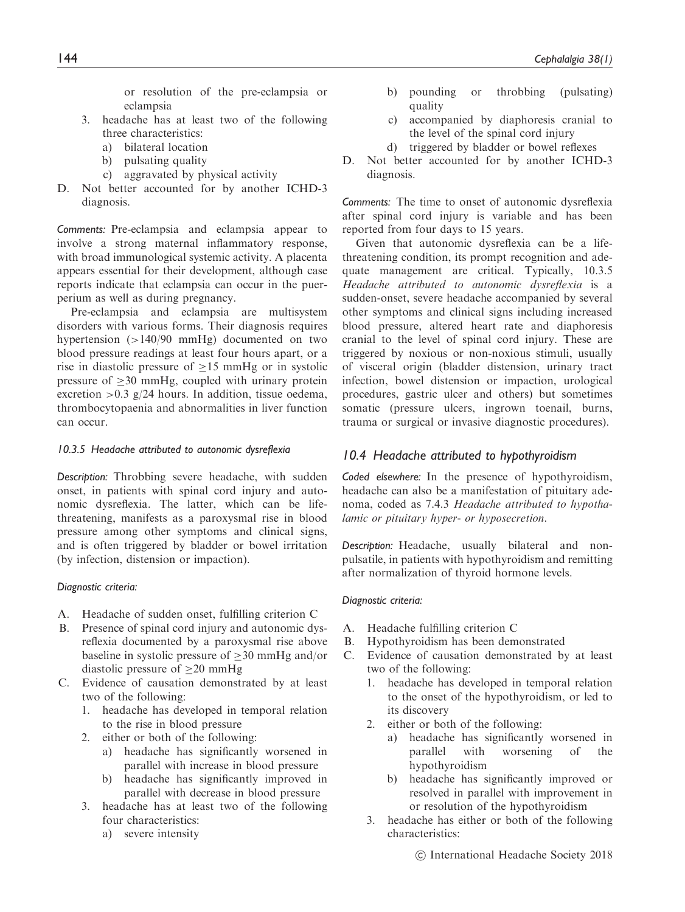or resolution of the pre-eclampsia or eclampsia

- 3. headache has at least two of the following three characteristics:
	- a) bilateral location
	- b) pulsating quality
	- c) aggravated by physical activity
- D. Not better accounted for by another ICHD-3 diagnosis.

Comments: Pre-eclampsia and eclampsia appear to involve a strong maternal inflammatory response, with broad immunological systemic activity. A placenta appears essential for their development, although case reports indicate that eclampsia can occur in the puerperium as well as during pregnancy.

Pre-eclampsia and eclampsia are multisystem disorders with various forms. Their diagnosis requires hypertension (>140/90 mmHg) documented on two blood pressure readings at least four hours apart, or a rise in diastolic pressure of  $\geq$ 15 mmHg or in systolic pressure of  $\geq$ 30 mmHg, coupled with urinary protein excretion  $>0.3$  g/24 hours. In addition, tissue oedema, thrombocytopaenia and abnormalities in liver function can occur.

### 10.3.5 Headache attributed to autonomic dysreflexia

Description: Throbbing severe headache, with sudden onset, in patients with spinal cord injury and autonomic dysreflexia. The latter, which can be lifethreatening, manifests as a paroxysmal rise in blood pressure among other symptoms and clinical signs, and is often triggered by bladder or bowel irritation (by infection, distension or impaction).

## Diagnostic criteria:

- A. Headache of sudden onset, fulfilling criterion C
- B. Presence of spinal cord injury and autonomic dysreflexia documented by a paroxysmal rise above baseline in systolic pressure of  $\geq$ 30 mmHg and/or diastolic pressure of  $\geq$ 20 mmHg
- C. Evidence of causation demonstrated by at least two of the following:
	- 1. headache has developed in temporal relation to the rise in blood pressure
	- 2. either or both of the following:
		- a) headache has significantly worsened in parallel with increase in blood pressure
		- b) headache has significantly improved in parallel with decrease in blood pressure
	- 3. headache has at least two of the following four characteristics:
		- a) severe intensity
- b) pounding or throbbing (pulsating) quality
- c) accompanied by diaphoresis cranial to the level of the spinal cord injury
- d) triggered by bladder or bowel reflexes
- D. Not better accounted for by another ICHD-3 diagnosis.

Comments: The time to onset of autonomic dysreflexia after spinal cord injury is variable and has been reported from four days to 15 years.

Given that autonomic dysreflexia can be a lifethreatening condition, its prompt recognition and adequate management are critical. Typically, 10.3.5 Headache attributed to autonomic dysreflexia is a sudden-onset, severe headache accompanied by several other symptoms and clinical signs including increased blood pressure, altered heart rate and diaphoresis cranial to the level of spinal cord injury. These are triggered by noxious or non-noxious stimuli, usually of visceral origin (bladder distension, urinary tract infection, bowel distension or impaction, urological procedures, gastric ulcer and others) but sometimes somatic (pressure ulcers, ingrown toenail, burns, trauma or surgical or invasive diagnostic procedures).

## 10.4 Headache attributed to hypothyroidism

Coded elsewhere: In the presence of hypothyroidism, headache can also be a manifestation of pituitary adenoma, coded as 7.4.3 Headache attributed to hypothalamic or pituitary hyper- or hyposecretion.

Description: Headache, usually bilateral and nonpulsatile, in patients with hypothyroidism and remitting after normalization of thyroid hormone levels.

### Diagnostic criteria:

- A. Headache fulfilling criterion C
- B. Hypothyroidism has been demonstrated
- C. Evidence of causation demonstrated by at least two of the following:
	- 1. headache has developed in temporal relation to the onset of the hypothyroidism, or led to its discovery
	- 2. either or both of the following:
		- a) headache has significantly worsened in parallel with worsening of the hypothyroidism
		- b) headache has significantly improved or resolved in parallel with improvement in or resolution of the hypothyroidism
	- 3. headache has either or both of the following characteristics: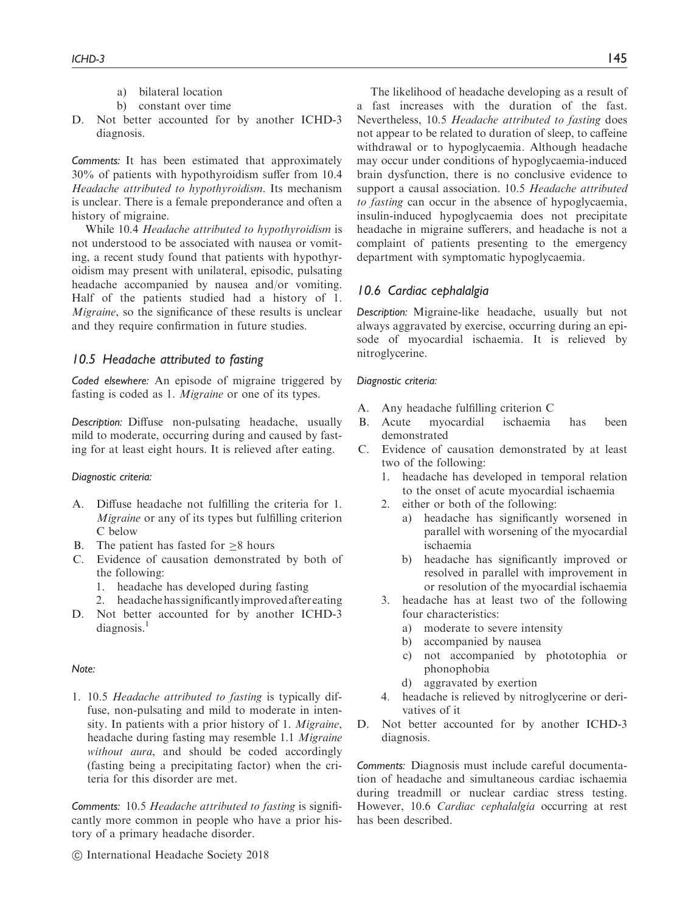- a) bilateral location
- b) constant over time
- D. Not better accounted for by another ICHD-3 diagnosis.

Comments: It has been estimated that approximately 30% of patients with hypothyroidism suffer from 10.4 Headache attributed to hypothyroidism. Its mechanism is unclear. There is a female preponderance and often a history of migraine.

While 10.4 Headache attributed to hypothyroidism is not understood to be associated with nausea or vomiting, a recent study found that patients with hypothyroidism may present with unilateral, episodic, pulsating headache accompanied by nausea and/or vomiting. Half of the patients studied had a history of 1. Migraine, so the significance of these results is unclear and they require confirmation in future studies.

# 10.5 Headache attributed to fasting

Coded elsewhere: An episode of migraine triggered by fasting is coded as 1. Migraine or one of its types.

Description: Diffuse non-pulsating headache, usually mild to moderate, occurring during and caused by fasting for at least eight hours. It is relieved after eating.

## Diagnostic criteria:

- A. Diffuse headache not fulfilling the criteria for 1. Migraine or any of its types but fulfilling criterion C below
- B. The patient has fasted for  $\geq 8$  hours
- C. Evidence of causation demonstrated by both of the following:
	- 1. headache has developed during fasting
	- 2. headachehas significantlyimprovedaftereating
- D. Not better accounted for by another ICHD-3 diagnosis.<sup>1</sup>

## Note:

1. 10.5 Headache attributed to fasting is typically diffuse, non-pulsating and mild to moderate in intensity. In patients with a prior history of 1. Migraine, headache during fasting may resemble 1.1 Migraine without aura, and should be coded accordingly (fasting being a precipitating factor) when the criteria for this disorder are met.

Comments: 10.5 Headache attributed to fasting is significantly more common in people who have a prior history of a primary headache disorder.

! International Headache Society 2018

The likelihood of headache developing as a result of a fast increases with the duration of the fast. Nevertheless, 10.5 Headache attributed to fasting does not appear to be related to duration of sleep, to caffeine withdrawal or to hypoglycaemia. Although headache may occur under conditions of hypoglycaemia-induced brain dysfunction, there is no conclusive evidence to support a causal association. 10.5 Headache attributed to fasting can occur in the absence of hypoglycaemia, insulin-induced hypoglycaemia does not precipitate headache in migraine sufferers, and headache is not a complaint of patients presenting to the emergency department with symptomatic hypoglycaemia.

# 10.6 Cardiac cephalalgia

Description: Migraine-like headache, usually but not always aggravated by exercise, occurring during an episode of myocardial ischaemia. It is relieved by nitroglycerine.

## Diagnostic criteria:

- A. Any headache fulfilling criterion C
- B. Acute myocardial ischaemia has been demonstrated
- C. Evidence of causation demonstrated by at least two of the following:
	- 1. headache has developed in temporal relation to the onset of acute myocardial ischaemia
	- 2. either or both of the following:
		- a) headache has significantly worsened in parallel with worsening of the myocardial ischaemia
		- b) headache has significantly improved or resolved in parallel with improvement in or resolution of the myocardial ischaemia
	- 3. headache has at least two of the following four characteristics:
		- a) moderate to severe intensity
		- b) accompanied by nausea
		- c) not accompanied by phototophia or phonophobia
		- d) aggravated by exertion
	- 4. headache is relieved by nitroglycerine or derivatives of it
- D. Not better accounted for by another ICHD-3 diagnosis.

Comments: Diagnosis must include careful documentation of headache and simultaneous cardiac ischaemia during treadmill or nuclear cardiac stress testing. However, 10.6 Cardiac cephalalgia occurring at rest has been described.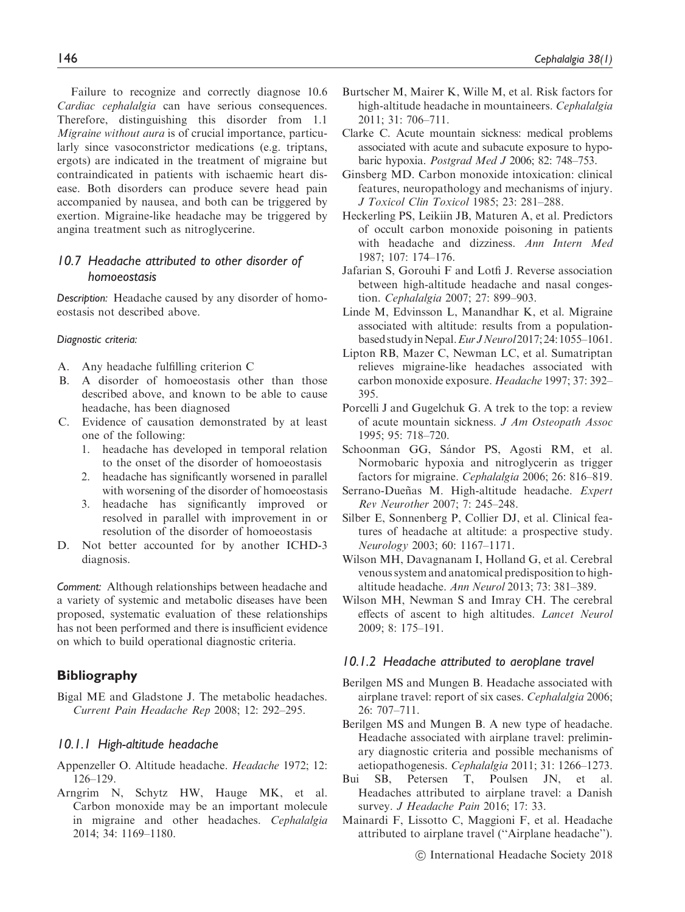Failure to recognize and correctly diagnose 10.6 Cardiac cephalalgia can have serious consequences. Therefore, distinguishing this disorder from 1.1 Migraine without aura is of crucial importance, particularly since vasoconstrictor medications (e.g. triptans, ergots) are indicated in the treatment of migraine but contraindicated in patients with ischaemic heart disease. Both disorders can produce severe head pain accompanied by nausea, and both can be triggered by exertion. Migraine-like headache may be triggered by angina treatment such as nitroglycerine.

# 10.7 Headache attributed to other disorder of homoeostasis

Description: Headache caused by any disorder of homoeostasis not described above.

#### Diagnostic criteria:

- A. Any headache fulfilling criterion C
- B. A disorder of homoeostasis other than those described above, and known to be able to cause headache, has been diagnosed
- C. Evidence of causation demonstrated by at least one of the following:
	- 1. headache has developed in temporal relation to the onset of the disorder of homoeostasis
	- 2. headache has significantly worsened in parallel with worsening of the disorder of homoeostasis
	- 3. headache has significantly improved or resolved in parallel with improvement in or resolution of the disorder of homoeostasis
- D. Not better accounted for by another ICHD-3 diagnosis.

Comment: Although relationships between headache and a variety of systemic and metabolic diseases have been proposed, systematic evaluation of these relationships has not been performed and there is insufficient evidence on which to build operational diagnostic criteria.

# **Bibliography**

Bigal ME and Gladstone J. The metabolic headaches. Current Pain Headache Rep 2008; 12: 292–295.

## 10.1.1 High-altitude headache

- Appenzeller O. Altitude headache. Headache 1972; 12: 126–129.
- Arngrim N, Schytz HW, Hauge MK, et al. Carbon monoxide may be an important molecule in migraine and other headaches. Cephalalgia 2014; 34: 1169–1180.
- Burtscher M, Mairer K, Wille M, et al. Risk factors for high-altitude headache in mountaineers. Cephalalgia 2011; 31: 706–711.
- Clarke C. Acute mountain sickness: medical problems associated with acute and subacute exposure to hypobaric hypoxia. Postgrad Med J 2006; 82: 748–753.
- Ginsberg MD. Carbon monoxide intoxication: clinical features, neuropathology and mechanisms of injury. J Toxicol Clin Toxicol 1985; 23: 281–288.
- Heckerling PS, Leikiin JB, Maturen A, et al. Predictors of occult carbon monoxide poisoning in patients with headache and dizziness. Ann Intern Med 1987; 107: 174–176.
- Jafarian S, Gorouhi F and Lotfi J. Reverse association between high-altitude headache and nasal congestion. Cephalalgia 2007; 27: 899–903.
- Linde M, Edvinsson L, Manandhar K, et al. Migraine associated with altitude: results from a populationbased study in Nepal. Eur J Neurol 2017; 24: 1055–1061.
- Lipton RB, Mazer C, Newman LC, et al. Sumatriptan relieves migraine-like headaches associated with carbon monoxide exposure. Headache 1997; 37: 392– 395.
- Porcelli J and Gugelchuk G. A trek to the top: a review of acute mountain sickness. J Am Osteopath Assoc 1995; 95: 718–720.
- Schoonman GG, Sándor PS, Agosti RM, et al. Normobaric hypoxia and nitroglycerin as trigger factors for migraine. Cephalalgia 2006; 26: 816–819.
- Serrano-Dueñas M. High-altitude headache. Expert Rev Neurother 2007; 7: 245–248.
- Silber E, Sonnenberg P, Collier DJ, et al. Clinical features of headache at altitude: a prospective study. Neurology 2003; 60: 1167–1171.
- Wilson MH, Davagnanam I, Holland G, et al. Cerebral venous system and anatomical predisposition to highaltitude headache. Ann Neurol 2013; 73: 381–389.
- Wilson MH, Newman S and Imray CH. The cerebral effects of ascent to high altitudes. Lancet Neurol 2009; 8: 175–191.

#### 10.1.2 Headache attributed to aeroplane travel

- Berilgen MS and Mungen B. Headache associated with airplane travel: report of six cases. Cephalalgia 2006; 26: 707–711.
- Berilgen MS and Mungen B. A new type of headache. Headache associated with airplane travel: preliminary diagnostic criteria and possible mechanisms of aetiopathogenesis. Cephalalgia 2011; 31: 1266–1273.
- Bui SB, Petersen T, Poulsen JN, et al. Headaches attributed to airplane travel: a Danish survey. J Headache Pain 2016; 17: 33.
- Mainardi F, Lissotto C, Maggioni F, et al. Headache attributed to airplane travel (''Airplane headache'').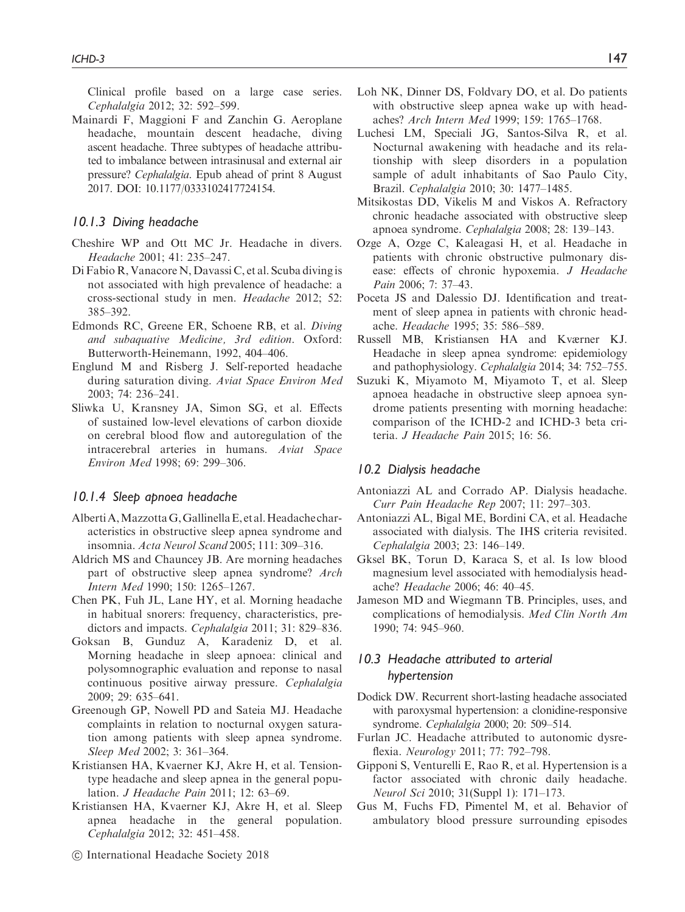Clinical profile based on a large case series. Cephalalgia 2012; 32: 592–599.

Mainardi F, Maggioni F and Zanchin G. Aeroplane headache, mountain descent headache, diving ascent headache. Three subtypes of headache attributed to imbalance between intrasinusal and external air pressure? Cephalalgia. Epub ahead of print 8 August 2017. DOI: 10.1177/0333102417724154.

## 10.1.3 Diving headache

- Cheshire WP and Ott MC Jr. Headache in divers. Headache 2001; 41: 235–247.
- Di Fabio R, Vanacore N, Davassi C, et al. Scuba diving is not associated with high prevalence of headache: a cross-sectional study in men. Headache 2012; 52: 385–392.
- Edmonds RC, Greene ER, Schoene RB, et al. Diving and subaquative Medicine, 3rd edition. Oxford: Butterworth-Heinemann, 1992, 404–406.
- Englund M and Risberg J. Self-reported headache during saturation diving. Aviat Space Environ Med 2003; 74: 236–241.
- Sliwka U, Kransney JA, Simon SG, et al. Effects of sustained low-level elevations of carbon dioxide on cerebral blood flow and autoregulation of the intracerebral arteries in humans. Aviat Space Environ Med 1998; 69: 299–306.

### 10.1.4 Sleep apnoea headache

- AlbertiA,MazzottaG,GallinellaE, et al.Headache characteristics in obstructive sleep apnea syndrome and insomnia. Acta Neurol Scand 2005; 111: 309–316.
- Aldrich MS and Chauncey JB. Are morning headaches part of obstructive sleep apnea syndrome? Arch Intern Med 1990; 150: 1265–1267.
- Chen PK, Fuh JL, Lane HY, et al. Morning headache in habitual snorers: frequency, characteristics, predictors and impacts. Cephalalgia 2011; 31: 829–836.
- Goksan B, Gunduz A, Karadeniz D, et al. Morning headache in sleep apnoea: clinical and polysomnographic evaluation and reponse to nasal continuous positive airway pressure. Cephalalgia 2009; 29: 635–641.
- Greenough GP, Nowell PD and Sateia MJ. Headache complaints in relation to nocturnal oxygen saturation among patients with sleep apnea syndrome. Sleep Med 2002; 3: 361–364.
- Kristiansen HA, Kvaerner KJ, Akre H, et al. Tensiontype headache and sleep apnea in the general population. J Headache Pain 2011; 12: 63–69.
- Kristiansen HA, Kvaerner KJ, Akre H, et al. Sleep apnea headache in the general population. Cephalalgia 2012; 32: 451–458.
- ! International Headache Society 2018
- Loh NK, Dinner DS, Foldvary DO, et al. Do patients with obstructive sleep apnea wake up with headaches? Arch Intern Med 1999; 159: 1765–1768.
- Luchesi LM, Speciali JG, Santos-Silva R, et al. Nocturnal awakening with headache and its relationship with sleep disorders in a population sample of adult inhabitants of Sao Paulo City, Brazil. Cephalalgia 2010; 30: 1477–1485.
- Mitsikostas DD, Vikelis M and Viskos A. Refractory chronic headache associated with obstructive sleep apnoea syndrome. Cephalalgia 2008; 28: 139–143.
- Ozge A, Ozge C, Kaleagasi H, et al. Headache in patients with chronic obstructive pulmonary disease: effects of chronic hypoxemia. J Headache Pain 2006; 7: 37–43.
- Poceta JS and Dalessio DJ. Identification and treatment of sleep apnea in patients with chronic headache. Headache 1995; 35: 586–589.
- Russell MB, Kristiansen HA and Kværner KJ. Headache in sleep apnea syndrome: epidemiology and pathophysiology. Cephalalgia 2014; 34: 752–755.
- Suzuki K, Miyamoto M, Miyamoto T, et al. Sleep apnoea headache in obstructive sleep apnoea syndrome patients presenting with morning headache: comparison of the ICHD-2 and ICHD-3 beta criteria. J Headache Pain 2015; 16: 56.

# 10.2 Dialysis headache

- Antoniazzi AL and Corrado AP. Dialysis headache. Curr Pain Headache Rep 2007; 11: 297–303.
- Antoniazzi AL, Bigal ME, Bordini CA, et al. Headache associated with dialysis. The IHS criteria revisited. Cephalalgia 2003; 23: 146–149.
- Gksel BK, Torun D, Karaca S, et al. Is low blood magnesium level associated with hemodialysis headache? Headache 2006; 46: 40–45.
- Jameson MD and Wiegmann TB. Principles, uses, and complications of hemodialysis. Med Clin North Am 1990; 74: 945–960.

# 10.3 Headache attributed to arterial hypertension

- Dodick DW. Recurrent short-lasting headache associated with paroxysmal hypertension: a clonidine-responsive syndrome. Cephalalgia 2000; 20: 509–514.
- Furlan JC. Headache attributed to autonomic dysreflexia. Neurology 2011; 77: 792–798.
- Gipponi S, Venturelli E, Rao R, et al. Hypertension is a factor associated with chronic daily headache. Neurol Sci 2010; 31(Suppl 1): 171–173.
- Gus M, Fuchs FD, Pimentel M, et al. Behavior of ambulatory blood pressure surrounding episodes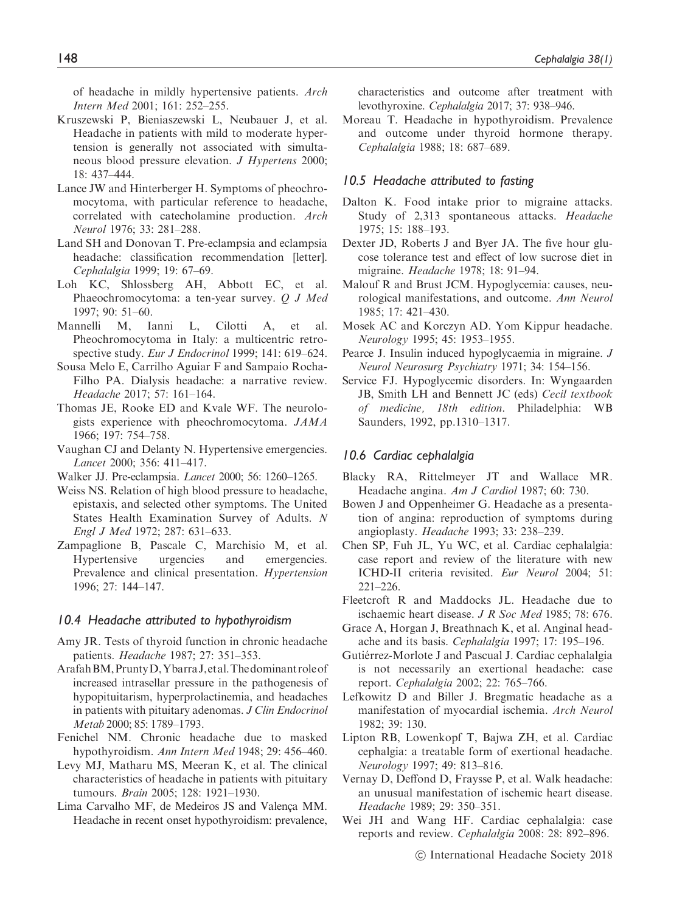of headache in mildly hypertensive patients. Arch Intern Med 2001; 161: 252–255.

- Kruszewski P, Bieniaszewski L, Neubauer J, et al. Headache in patients with mild to moderate hypertension is generally not associated with simultaneous blood pressure elevation. J Hypertens 2000; 18: 437–444.
- Lance JW and Hinterberger H. Symptoms of pheochromocytoma, with particular reference to headache, correlated with catecholamine production. Arch Neurol 1976; 33: 281–288.
- Land SH and Donovan T. Pre-eclampsia and eclampsia headache: classification recommendation [letter]. Cephalalgia 1999; 19: 67–69.
- Loh KC, Shlossberg AH, Abbott EC, et al. Phaeochromocytoma: a ten-year survey. Q J Med 1997; 90: 51–60.
- Mannelli M, Ianni L, Cilotti A, et al. Pheochromocytoma in Italy: a multicentric retrospective study. Eur J Endocrinol 1999; 141: 619-624.
- Sousa Melo E, Carrilho Aguiar F and Sampaio Rocha-Filho PA. Dialysis headache: a narrative review. Headache 2017; 57: 161–164.
- Thomas JE, Rooke ED and Kvale WF. The neurologists experience with pheochromocytoma. JAMA 1966; 197: 754–758.
- Vaughan CJ and Delanty N. Hypertensive emergencies. Lancet 2000; 356: 411–417.
- Walker JJ. Pre-eclampsia. Lancet 2000; 56: 1260–1265.
- Weiss NS. Relation of high blood pressure to headache, epistaxis, and selected other symptoms. The United States Health Examination Survey of Adults. N Engl J Med 1972; 287: 631–633.
- Zampaglione B, Pascale C, Marchisio M, et al. Hypertensive urgencies and emergencies. Prevalence and clinical presentation. Hypertension 1996; 27: 144–147.

## 10.4 Headache attributed to hypothyroidism

- Amy JR. Tests of thyroid function in chronic headache patients. Headache 1987; 27: 351–353.
- ArafahBM,PruntyD,YbarraJ,etal.Thedominant roleof increased intrasellar pressure in the pathogenesis of hypopituitarism, hyperprolactinemia, and headaches in patients with pituitary adenomas. J Clin Endocrinol Metab 2000; 85: 1789–1793.
- Fenichel NM. Chronic headache due to masked hypothyroidism. Ann Intern Med 1948; 29: 456–460.
- Levy MJ, Matharu MS, Meeran K, et al. The clinical characteristics of headache in patients with pituitary tumours. Brain 2005; 128: 1921–1930.
- Lima Carvalho MF, de Medeiros JS and Valença MM. Headache in recent onset hypothyroidism: prevalence,

characteristics and outcome after treatment with levothyroxine. Cephalalgia 2017; 37: 938–946.

Moreau T. Headache in hypothyroidism. Prevalence and outcome under thyroid hormone therapy. Cephalalgia 1988; 18: 687–689.

## 10.5 Headache attributed to fasting

- Dalton K. Food intake prior to migraine attacks. Study of 2,313 spontaneous attacks. Headache 1975; 15: 188–193.
- Dexter JD, Roberts J and Byer JA. The five hour glucose tolerance test and effect of low sucrose diet in migraine. Headache 1978; 18: 91–94.
- Malouf R and Brust JCM. Hypoglycemia: causes, neurological manifestations, and outcome. Ann Neurol 1985; 17: 421–430.
- Mosek AC and Korczyn AD. Yom Kippur headache. Neurology 1995; 45: 1953–1955.
- Pearce J. Insulin induced hypoglycaemia in migraine. J Neurol Neurosurg Psychiatry 1971; 34: 154–156.
- Service FJ. Hypoglycemic disorders. In: Wyngaarden JB, Smith LH and Bennett JC (eds) Cecil textbook of medicine, 18th edition. Philadelphia: WB Saunders, 1992, pp.1310–1317.

# 10.6 Cardiac cephalalgia

- Blacky RA, Rittelmeyer JT and Wallace MR. Headache angina. Am J Cardiol 1987; 60: 730.
- Bowen J and Oppenheimer G. Headache as a presentation of angina: reproduction of symptoms during angioplasty. Headache 1993; 33: 238–239.
- Chen SP, Fuh JL, Yu WC, et al. Cardiac cephalalgia: case report and review of the literature with new ICHD-II criteria revisited. Eur Neurol 2004; 51: 221–226.
- Fleetcroft R and Maddocks JL. Headache due to ischaemic heart disease. J R Soc Med 1985; 78: 676.
- Grace A, Horgan J, Breathnach K, et al. Anginal headache and its basis. Cephalalgia 1997; 17: 195–196.
- Gutiérrez-Morlote J and Pascual J. Cardiac cephalalgia is not necessarily an exertional headache: case report. Cephalalgia 2002; 22: 765–766.
- Lefkowitz D and Biller J. Bregmatic headache as a manifestation of myocardial ischemia. Arch Neurol 1982; 39: 130.
- Lipton RB, Lowenkopf T, Bajwa ZH, et al. Cardiac cephalgia: a treatable form of exertional headache. Neurology 1997; 49: 813–816.
- Vernay D, Deffond D, Fraysse P, et al. Walk headache: an unusual manifestation of ischemic heart disease. Headache 1989; 29: 350–351.
- Wei JH and Wang HF. Cardiac cephalalgia: case reports and review. Cephalalgia 2008: 28: 892–896.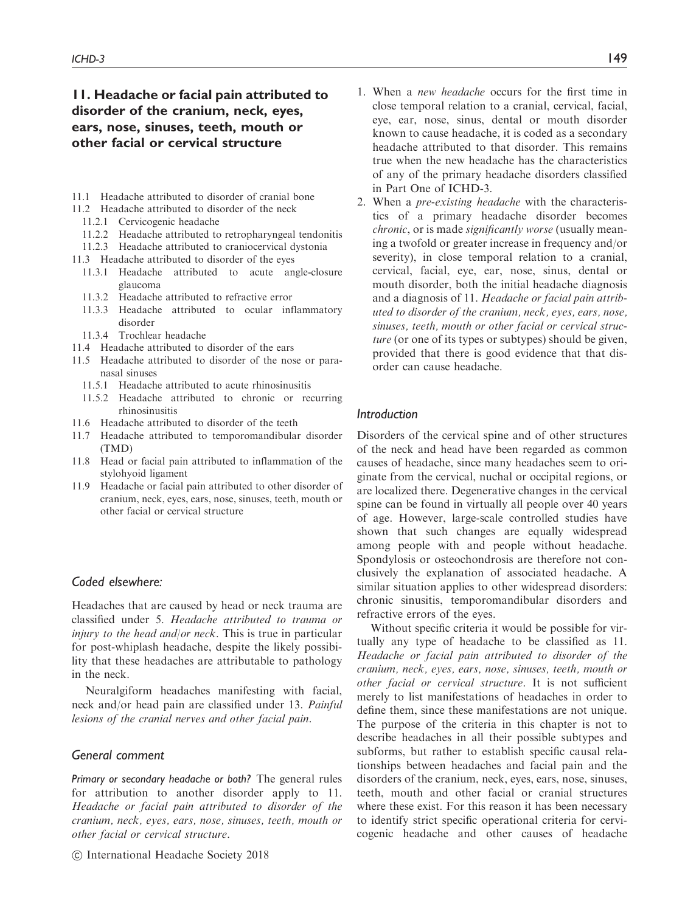# 11. Headache or facial pain attributed to disorder of the cranium, neck, eyes, ears, nose, sinuses, teeth, mouth or other facial or cervical structure

- 11.1 Headache attributed to disorder of cranial bone
- 11.2 Headache attributed to disorder of the neck
- 11.2.1 Cervicogenic headache
- 11.2.2 Headache attributed to retropharyngeal tendonitis
- 11.2.3 Headache attributed to craniocervical dystonia
- 11.3 Headache attributed to disorder of the eyes
- 11.3.1 Headache attributed to acute angle-closure glaucoma
- 11.3.2 Headache attributed to refractive error
- 11.3.3 Headache attributed to ocular inflammatory disorder
- 11.3.4 Trochlear headache
- 11.4 Headache attributed to disorder of the ears
- 11.5 Headache attributed to disorder of the nose or paranasal sinuses
	- 11.5.1 Headache attributed to acute rhinosinusitis
	- 11.5.2 Headache attributed to chronic or recurring rhinosinusitis
- 11.6 Headache attributed to disorder of the teeth
- 11.7 Headache attributed to temporomandibular disorder (TMD)
- 11.8 Head or facial pain attributed to inflammation of the stylohyoid ligament
- 11.9 Headache or facial pain attributed to other disorder of cranium, neck, eyes, ears, nose, sinuses, teeth, mouth or other facial or cervical structure

# Coded elsewhere:

Headaches that are caused by head or neck trauma are classified under 5. Headache attributed to trauma or injury to the head and/or neck. This is true in particular for post-whiplash headache, despite the likely possibility that these headaches are attributable to pathology in the neck.

Neuralgiform headaches manifesting with facial, neck and/or head pain are classified under 13. Painful lesions of the cranial nerves and other facial pain.

## General comment

Primary or secondary headache or both? The general rules for attribution to another disorder apply to 11. Headache or facial pain attributed to disorder of the cranium, neck, eyes, ears, nose, sinuses, teeth, mouth or other facial or cervical structure.

- 1. When a new headache occurs for the first time in close temporal relation to a cranial, cervical, facial, eye, ear, nose, sinus, dental or mouth disorder known to cause headache, it is coded as a secondary headache attributed to that disorder. This remains true when the new headache has the characteristics of any of the primary headache disorders classified in Part One of ICHD-3.
- 2. When a pre-existing headache with the characteristics of a primary headache disorder becomes chronic, or is made significantly worse (usually meaning a twofold or greater increase in frequency and/or severity), in close temporal relation to a cranial, cervical, facial, eye, ear, nose, sinus, dental or mouth disorder, both the initial headache diagnosis and a diagnosis of 11. Headache or facial pain attributed to disorder of the cranium, neck, eyes, ears, nose, sinuses, teeth, mouth or other facial or cervical structure (or one of its types or subtypes) should be given, provided that there is good evidence that that disorder can cause headache.

## Introduction

Disorders of the cervical spine and of other structures of the neck and head have been regarded as common causes of headache, since many headaches seem to originate from the cervical, nuchal or occipital regions, or are localized there. Degenerative changes in the cervical spine can be found in virtually all people over 40 years of age. However, large-scale controlled studies have shown that such changes are equally widespread among people with and people without headache. Spondylosis or osteochondrosis are therefore not conclusively the explanation of associated headache. A similar situation applies to other widespread disorders: chronic sinusitis, temporomandibular disorders and refractive errors of the eyes.

Without specific criteria it would be possible for virtually any type of headache to be classified as 11. Headache or facial pain attributed to disorder of the cranium, neck, eyes, ears, nose, sinuses, teeth, mouth or other facial or cervical structure. It is not sufficient merely to list manifestations of headaches in order to define them, since these manifestations are not unique. The purpose of the criteria in this chapter is not to describe headaches in all their possible subtypes and subforms, but rather to establish specific causal relationships between headaches and facial pain and the disorders of the cranium, neck, eyes, ears, nose, sinuses, teeth, mouth and other facial or cranial structures where these exist. For this reason it has been necessary to identify strict specific operational criteria for cervicogenic headache and other causes of headache

<sup>!</sup> International Headache Society 2018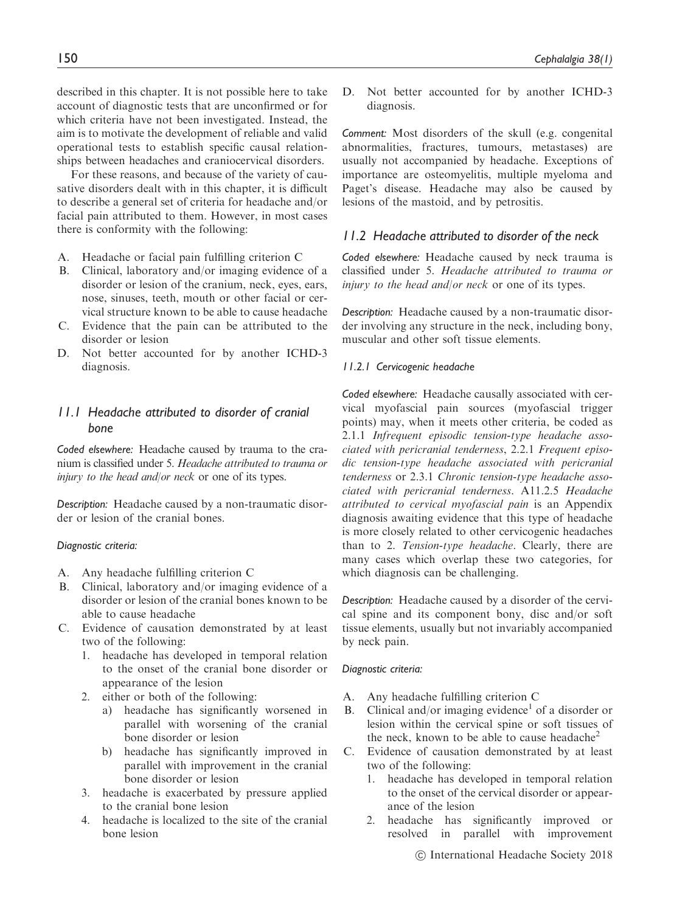described in this chapter. It is not possible here to take account of diagnostic tests that are unconfirmed or for which criteria have not been investigated. Instead, the aim is to motivate the development of reliable and valid operational tests to establish specific causal relationships between headaches and craniocervical disorders.

For these reasons, and because of the variety of causative disorders dealt with in this chapter, it is difficult to describe a general set of criteria for headache and/or facial pain attributed to them. However, in most cases there is conformity with the following:

- A. Headache or facial pain fulfilling criterion C
- B. Clinical, laboratory and/or imaging evidence of a disorder or lesion of the cranium, neck, eyes, ears, nose, sinuses, teeth, mouth or other facial or cervical structure known to be able to cause headache
- C. Evidence that the pain can be attributed to the disorder or lesion
- D. Not better accounted for by another ICHD-3 diagnosis.

# 11.1 Headache attributed to disorder of cranial bone

Coded elsewhere: Headache caused by trauma to the cranium is classified under 5. Headache attributed to trauma or injury to the head and/or neck or one of its types.

Description: Headache caused by a non-traumatic disorder or lesion of the cranial bones.

### Diagnostic criteria:

- A. Any headache fulfilling criterion C
- B. Clinical, laboratory and/or imaging evidence of a disorder or lesion of the cranial bones known to be able to cause headache
- C. Evidence of causation demonstrated by at least two of the following:
	- 1. headache has developed in temporal relation to the onset of the cranial bone disorder or appearance of the lesion
	- 2. either or both of the following:
		- a) headache has significantly worsened in parallel with worsening of the cranial bone disorder or lesion
		- b) headache has significantly improved in parallel with improvement in the cranial bone disorder or lesion
	- 3. headache is exacerbated by pressure applied to the cranial bone lesion
	- 4. headache is localized to the site of the cranial bone lesion

D. Not better accounted for by another ICHD-3 diagnosis.

Comment: Most disorders of the skull (e.g. congenital abnormalities, fractures, tumours, metastases) are usually not accompanied by headache. Exceptions of importance are osteomyelitis, multiple myeloma and Paget's disease. Headache may also be caused by lesions of the mastoid, and by petrositis.

## 11.2 Headache attributed to disorder of the neck

Coded elsewhere: Headache caused by neck trauma is classified under 5. Headache attributed to trauma or injury to the head and/or neck or one of its types.

Description: Headache caused by a non-traumatic disorder involving any structure in the neck, including bony, muscular and other soft tissue elements.

## 11.2.1 Cervicogenic headache

Coded elsewhere: Headache causally associated with cervical myofascial pain sources (myofascial trigger points) may, when it meets other criteria, be coded as 2.1.1 Infrequent episodic tension-type headache associated with pericranial tenderness, 2.2.1 Frequent episodic tension-type headache associated with pericranial tenderness or 2.3.1 Chronic tension-type headache associated with pericranial tenderness. A11.2.5 Headache attributed to cervical myofascial pain is an Appendix diagnosis awaiting evidence that this type of headache is more closely related to other cervicogenic headaches than to 2. Tension-type headache. Clearly, there are many cases which overlap these two categories, for which diagnosis can be challenging.

Description: Headache caused by a disorder of the cervical spine and its component bony, disc and/or soft tissue elements, usually but not invariably accompanied by neck pain.

#### Diagnostic criteria:

- A. Any headache fulfilling criterion C
- B. Clinical and/or imaging evidence<sup>1</sup> of a disorder or lesion within the cervical spine or soft tissues of the neck, known to be able to cause headache<sup>2</sup>
- C. Evidence of causation demonstrated by at least two of the following:
	- 1. headache has developed in temporal relation to the onset of the cervical disorder or appearance of the lesion
	- 2. headache has significantly improved or resolved in parallel with improvement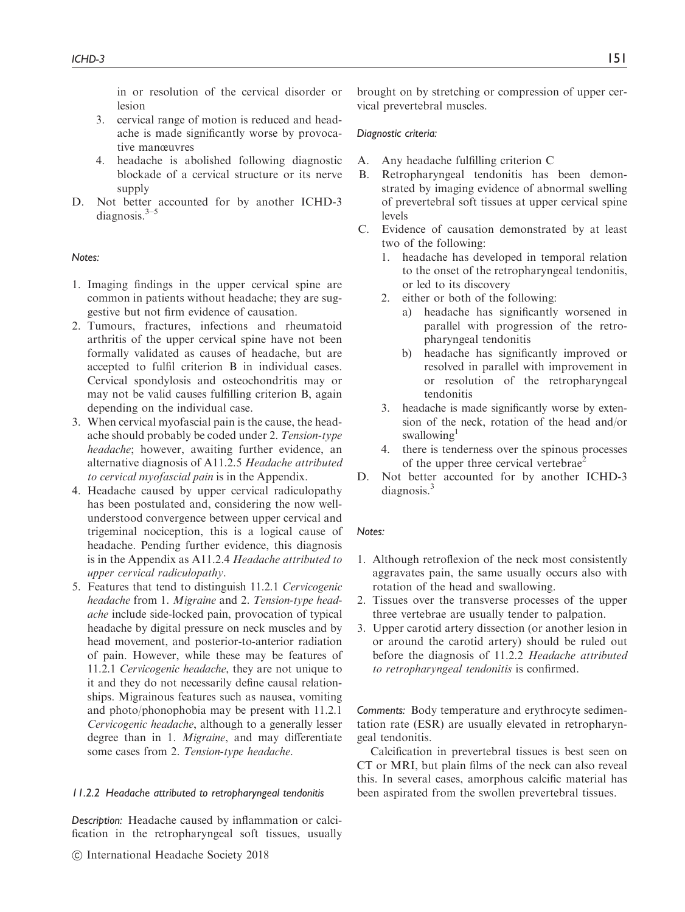in or resolution of the cervical disorder or lesion

- 3. cervical range of motion is reduced and headache is made significantly worse by provocative manœuvres
- 4. headache is abolished following diagnostic blockade of a cervical structure or its nerve supply
- D. Not better accounted for by another ICHD-3 diagnosis.3–5

#### Notes:

- 1. Imaging findings in the upper cervical spine are common in patients without headache; they are suggestive but not firm evidence of causation.
- 2. Tumours, fractures, infections and rheumatoid arthritis of the upper cervical spine have not been formally validated as causes of headache, but are accepted to fulfil criterion B in individual cases. Cervical spondylosis and osteochondritis may or may not be valid causes fulfilling criterion B, again depending on the individual case.
- 3. When cervical myofascial pain is the cause, the headache should probably be coded under 2. Tension-type headache; however, awaiting further evidence, an alternative diagnosis of A11.2.5 Headache attributed to cervical myofascial pain is in the Appendix.
- 4. Headache caused by upper cervical radiculopathy has been postulated and, considering the now wellunderstood convergence between upper cervical and trigeminal nociception, this is a logical cause of headache. Pending further evidence, this diagnosis is in the Appendix as A11.2.4 Headache attributed to upper cervical radiculopathy.
- 5. Features that tend to distinguish 11.2.1 Cervicogenic headache from 1. Migraine and 2. Tension-type headache include side-locked pain, provocation of typical headache by digital pressure on neck muscles and by head movement, and posterior-to-anterior radiation of pain. However, while these may be features of 11.2.1 Cervicogenic headache, they are not unique to it and they do not necessarily define causal relationships. Migrainous features such as nausea, vomiting and photo/phonophobia may be present with 11.2.1 Cervicogenic headache, although to a generally lesser degree than in 1. Migraine, and may differentiate some cases from 2. Tension-type headache.

#### 11.2.2 Headache attributed to retropharyngeal tendonitis

Description: Headache caused by inflammation or calcification in the retropharyngeal soft tissues, usually brought on by stretching or compression of upper cervical prevertebral muscles.

#### Diagnostic criteria:

- A. Any headache fulfilling criterion C
- B. Retropharyngeal tendonitis has been demonstrated by imaging evidence of abnormal swelling of prevertebral soft tissues at upper cervical spine levels
- C. Evidence of causation demonstrated by at least two of the following:
	- 1. headache has developed in temporal relation to the onset of the retropharyngeal tendonitis, or led to its discovery
	- 2. either or both of the following:
		- a) headache has significantly worsened in parallel with progression of the retropharyngeal tendonitis
		- b) headache has significantly improved or resolved in parallel with improvement in or resolution of the retropharyngeal tendonitis
	- 3. headache is made significantly worse by extension of the neck, rotation of the head and/or swallowing<sup>1</sup>
	- 4. there is tenderness over the spinous processes of the upper three cervical vertebrae<sup>2</sup>
- D. Not better accounted for by another ICHD-3 diagnosis.<sup>3</sup>

#### Notes:

- 1. Although retroflexion of the neck most consistently aggravates pain, the same usually occurs also with rotation of the head and swallowing.
- 2. Tissues over the transverse processes of the upper three vertebrae are usually tender to palpation.
- 3. Upper carotid artery dissection (or another lesion in or around the carotid artery) should be ruled out before the diagnosis of 11.2.2 Headache attributed to retropharyngeal tendonitis is confirmed.

Comments: Body temperature and erythrocyte sedimentation rate (ESR) are usually elevated in retropharyngeal tendonitis.

Calcification in prevertebral tissues is best seen on CT or MRI, but plain films of the neck can also reveal this. In several cases, amorphous calcific material has been aspirated from the swollen prevertebral tissues.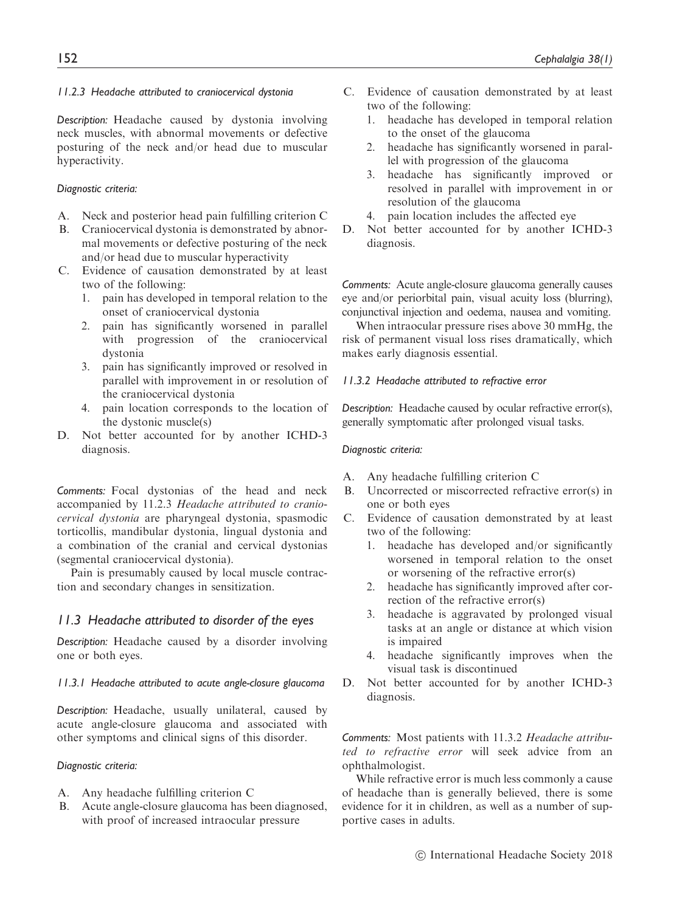## 11.2.3 Headache attributed to craniocervical dystonia

Description: Headache caused by dystonia involving neck muscles, with abnormal movements or defective posturing of the neck and/or head due to muscular hyperactivity.

## Diagnostic criteria:

- A. Neck and posterior head pain fulfilling criterion C
- B. Craniocervical dystonia is demonstrated by abnormal movements or defective posturing of the neck and/or head due to muscular hyperactivity
- C. Evidence of causation demonstrated by at least two of the following:
	- 1. pain has developed in temporal relation to the onset of craniocervical dystonia
	- 2. pain has significantly worsened in parallel with progression of the craniocervical dystonia
	- 3. pain has significantly improved or resolved in parallel with improvement in or resolution of the craniocervical dystonia
	- 4. pain location corresponds to the location of the dystonic muscle(s)
- D. Not better accounted for by another ICHD-3 diagnosis.

Comments: Focal dystonias of the head and neck accompanied by 11.2.3 Headache attributed to craniocervical dystonia are pharyngeal dystonia, spasmodic torticollis, mandibular dystonia, lingual dystonia and a combination of the cranial and cervical dystonias (segmental craniocervical dystonia).

Pain is presumably caused by local muscle contraction and secondary changes in sensitization.

# 11.3 Headache attributed to disorder of the eyes

Description: Headache caused by a disorder involving one or both eyes.

#### 11.3.1 Headache attributed to acute angle-closure glaucoma

Description: Headache, usually unilateral, caused by acute angle-closure glaucoma and associated with other symptoms and clinical signs of this disorder.

### Diagnostic criteria:

- A. Any headache fulfilling criterion C
- B. Acute angle-closure glaucoma has been diagnosed, with proof of increased intraocular pressure
- C. Evidence of causation demonstrated by at least two of the following:
	- 1. headache has developed in temporal relation to the onset of the glaucoma
	- 2. headache has significantly worsened in parallel with progression of the glaucoma
	- 3. headache has significantly improved or resolved in parallel with improvement in or resolution of the glaucoma
	- 4. pain location includes the affected eye
- D. Not better accounted for by another ICHD-3 diagnosis.

Comments: Acute angle-closure glaucoma generally causes eye and/or periorbital pain, visual acuity loss (blurring), conjunctival injection and oedema, nausea and vomiting.

When intraocular pressure rises above 30 mmHg, the risk of permanent visual loss rises dramatically, which makes early diagnosis essential.

## 11.3.2 Headache attributed to refractive error

Description: Headache caused by ocular refractive error(s), generally symptomatic after prolonged visual tasks.

#### Diagnostic criteria:

- A. Any headache fulfilling criterion C
- B. Uncorrected or miscorrected refractive error(s) in one or both eyes
- C. Evidence of causation demonstrated by at least two of the following:
	- 1. headache has developed and/or significantly worsened in temporal relation to the onset or worsening of the refractive error(s)
	- 2. headache has significantly improved after correction of the refractive error(s)
	- 3. headache is aggravated by prolonged visual tasks at an angle or distance at which vision is impaired
	- 4. headache significantly improves when the visual task is discontinued
- D. Not better accounted for by another ICHD-3 diagnosis.

Comments: Most patients with 11.3.2 Headache attributed to refractive error will seek advice from an ophthalmologist.

While refractive error is much less commonly a cause of headache than is generally believed, there is some evidence for it in children, as well as a number of supportive cases in adults.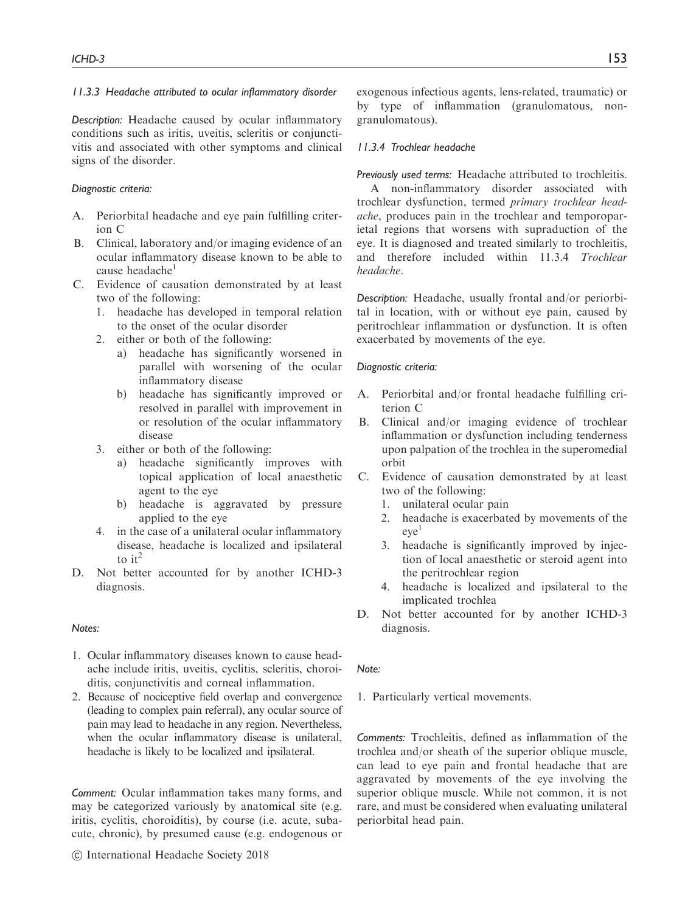## 11.3.3 Headache attributed to ocular inflammatory disorder

Description: Headache caused by ocular inflammatory conditions such as iritis, uveitis, scleritis or conjunctivitis and associated with other symptoms and clinical signs of the disorder.

## Diagnostic criteria:

- A. Periorbital headache and eye pain fulfilling criterion C
- B. Clinical, laboratory and/or imaging evidence of an ocular inflammatory disease known to be able to cause headache<sup>1</sup>
- C. Evidence of causation demonstrated by at least two of the following:
	- 1. headache has developed in temporal relation to the onset of the ocular disorder
	- 2. either or both of the following:
		- a) headache has significantly worsened in parallel with worsening of the ocular inflammatory disease
		- b) headache has significantly improved or resolved in parallel with improvement in or resolution of the ocular inflammatory disease
	- 3. either or both of the following:
		- a) headache significantly improves with topical application of local anaesthetic agent to the eye
		- b) headache is aggravated by pressure applied to the eye
	- 4. in the case of a unilateral ocular inflammatory disease, headache is localized and ipsilateral to  $it^2$
- D. Not better accounted for by another ICHD-3 diagnosis.

#### Notes:

- 1. Ocular inflammatory diseases known to cause headache include iritis, uveitis, cyclitis, scleritis, choroiditis, conjunctivitis and corneal inflammation.
- 2. Because of nociceptive field overlap and convergence (leading to complex pain referral), any ocular source of pain may lead to headache in any region. Nevertheless, when the ocular inflammatory disease is unilateral, headache is likely to be localized and ipsilateral.

Comment: Ocular inflammation takes many forms, and may be categorized variously by anatomical site (e.g. iritis, cyclitis, choroiditis), by course (i.e. acute, subacute, chronic), by presumed cause (e.g. endogenous or

! International Headache Society 2018

exogenous infectious agents, lens-related, traumatic) or by type of inflammation (granulomatous, nongranulomatous).

#### 11.3.4 Trochlear headache

Previously used terms: Headache attributed to trochleitis.

A non-inflammatory disorder associated with trochlear dysfunction, termed primary trochlear headache, produces pain in the trochlear and temporoparietal regions that worsens with supraduction of the eye. It is diagnosed and treated similarly to trochleitis, and therefore included within 11.3.4 Trochlear headache.

Description: Headache, usually frontal and/or periorbital in location, with or without eye pain, caused by peritrochlear inflammation or dysfunction. It is often exacerbated by movements of the eye.

#### Diagnostic criteria:

- A. Periorbital and/or frontal headache fulfilling criterion C
- B. Clinical and/or imaging evidence of trochlear inflammation or dysfunction including tenderness upon palpation of the trochlea in the superomedial orbit
- C. Evidence of causation demonstrated by at least two of the following:
	- 1. unilateral ocular pain
	- 2. headache is exacerbated by movements of the  $eye<sup>1</sup>$
	- 3. headache is significantly improved by injection of local anaesthetic or steroid agent into the peritrochlear region
	- 4. headache is localized and ipsilateral to the implicated trochlea
- D. Not better accounted for by another ICHD-3 diagnosis.

#### Note:

1. Particularly vertical movements.

Comments: Trochleitis, defined as inflammation of the trochlea and/or sheath of the superior oblique muscle, can lead to eye pain and frontal headache that are aggravated by movements of the eye involving the superior oblique muscle. While not common, it is not rare, and must be considered when evaluating unilateral periorbital head pain.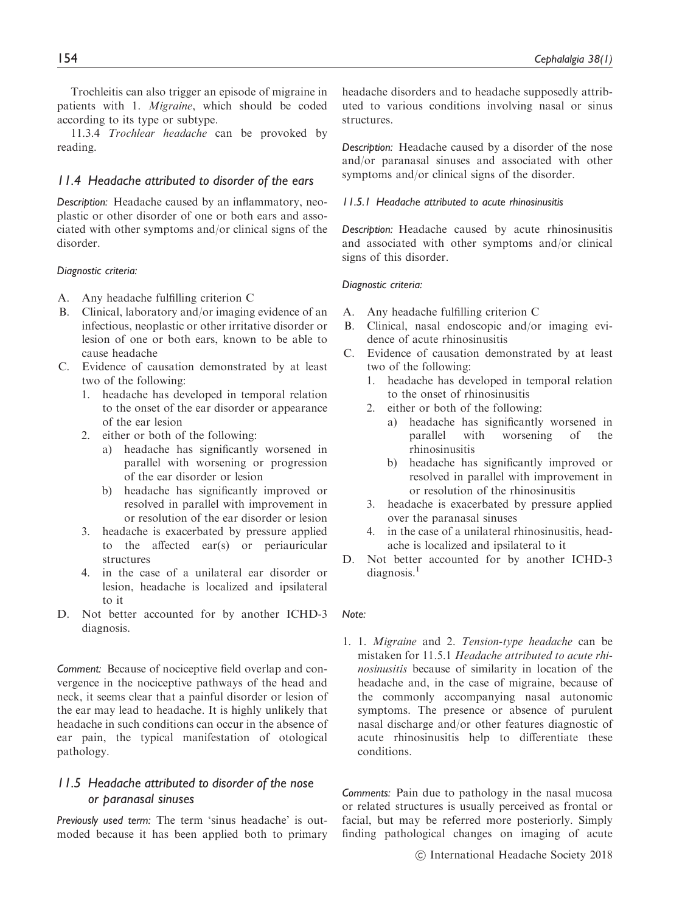Trochleitis can also trigger an episode of migraine in patients with 1. Migraine, which should be coded according to its type or subtype.

11.3.4 Trochlear headache can be provoked by reading.

# 11.4 Headache attributed to disorder of the ears

Description: Headache caused by an inflammatory, neoplastic or other disorder of one or both ears and associated with other symptoms and/or clinical signs of the disorder.

#### Diagnostic criteria:

- A. Any headache fulfilling criterion C
- B. Clinical, laboratory and/or imaging evidence of an infectious, neoplastic or other irritative disorder or lesion of one or both ears, known to be able to cause headache
- C. Evidence of causation demonstrated by at least two of the following:
	- 1. headache has developed in temporal relation to the onset of the ear disorder or appearance of the ear lesion
	- 2. either or both of the following:
		- a) headache has significantly worsened in parallel with worsening or progression of the ear disorder or lesion
		- b) headache has significantly improved or resolved in parallel with improvement in or resolution of the ear disorder or lesion
	- 3. headache is exacerbated by pressure applied to the affected ear(s) or periauricular structures
	- 4. in the case of a unilateral ear disorder or lesion, headache is localized and ipsilateral to it
- D. Not better accounted for by another ICHD-3 diagnosis.

Comment: Because of nociceptive field overlap and convergence in the nociceptive pathways of the head and neck, it seems clear that a painful disorder or lesion of the ear may lead to headache. It is highly unlikely that headache in such conditions can occur in the absence of ear pain, the typical manifestation of otological pathology.

# 11.5 Headache attributed to disorder of the nose or paranasal sinuses

Previously used term: The term 'sinus headache' is outmoded because it has been applied both to primary headache disorders and to headache supposedly attributed to various conditions involving nasal or sinus structures.

Description: Headache caused by a disorder of the nose and/or paranasal sinuses and associated with other symptoms and/or clinical signs of the disorder.

## 11.5.1 Headache attributed to acute rhinosinusitis

Description: Headache caused by acute rhinosinusitis and associated with other symptoms and/or clinical signs of this disorder.

#### Diagnostic criteria:

- A. Any headache fulfilling criterion C
- B. Clinical, nasal endoscopic and/or imaging evidence of acute rhinosinusitis
- C. Evidence of causation demonstrated by at least two of the following:
	- 1. headache has developed in temporal relation to the onset of rhinosinusitis
	- 2. either or both of the following:
		- a) headache has significantly worsened in parallel with worsening of the rhinosinusitis
		- b) headache has significantly improved or resolved in parallel with improvement in or resolution of the rhinosinusitis
	- 3. headache is exacerbated by pressure applied over the paranasal sinuses
	- 4. in the case of a unilateral rhinosinusitis, headache is localized and ipsilateral to it
- D. Not better accounted for by another ICHD-3 diagnosis.<sup>1</sup>

## Note:

1. 1. Migraine and 2. Tension-type headache can be mistaken for 11.5.1 Headache attributed to acute rhinosinusitis because of similarity in location of the headache and, in the case of migraine, because of the commonly accompanying nasal autonomic symptoms. The presence or absence of purulent nasal discharge and/or other features diagnostic of acute rhinosinusitis help to differentiate these conditions.

Comments: Pain due to pathology in the nasal mucosa or related structures is usually perceived as frontal or facial, but may be referred more posteriorly. Simply finding pathological changes on imaging of acute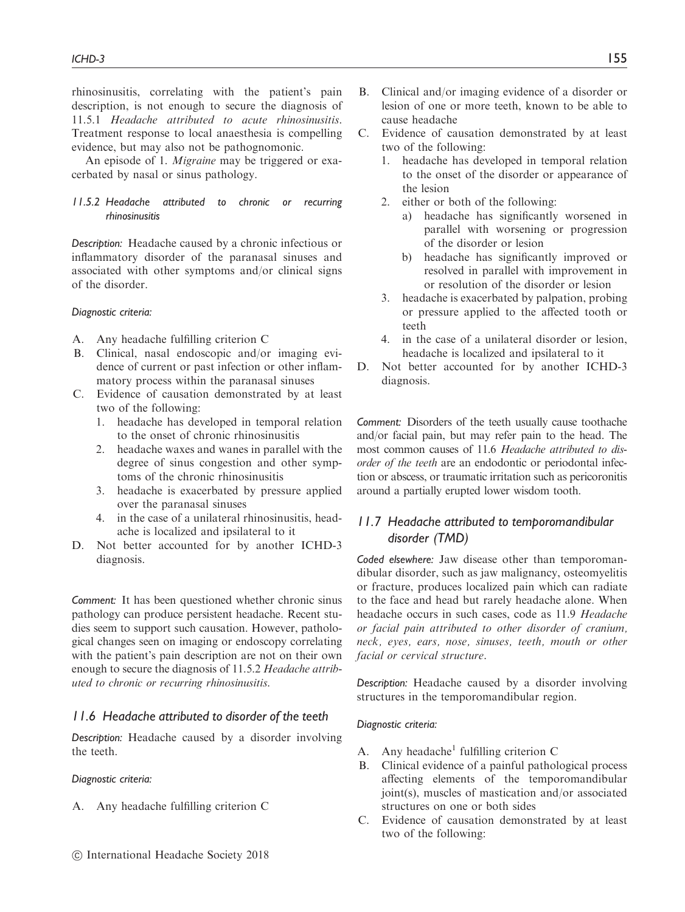rhinosinusitis, correlating with the patient's pain description, is not enough to secure the diagnosis of 11.5.1 Headache attributed to acute rhinosinusitis. Treatment response to local anaesthesia is compelling evidence, but may also not be pathognomonic.

An episode of 1. Migraine may be triggered or exacerbated by nasal or sinus pathology.

## 11.5.2 Headache attributed to chronic or recurring rhinosinusitis

Description: Headache caused by a chronic infectious or inflammatory disorder of the paranasal sinuses and associated with other symptoms and/or clinical signs of the disorder.

#### Diagnostic criteria:

- A. Any headache fulfilling criterion C
- B. Clinical, nasal endoscopic and/or imaging evidence of current or past infection or other inflammatory process within the paranasal sinuses
- C. Evidence of causation demonstrated by at least two of the following:
	- 1. headache has developed in temporal relation to the onset of chronic rhinosinusitis
	- 2. headache waxes and wanes in parallel with the degree of sinus congestion and other symptoms of the chronic rhinosinusitis
	- 3. headache is exacerbated by pressure applied over the paranasal sinuses
	- 4. in the case of a unilateral rhinosinusitis, headache is localized and ipsilateral to it
- D. Not better accounted for by another ICHD-3 diagnosis.

Comment: It has been questioned whether chronic sinus pathology can produce persistent headache. Recent studies seem to support such causation. However, pathological changes seen on imaging or endoscopy correlating with the patient's pain description are not on their own enough to secure the diagnosis of 11.5.2 Headache attributed to chronic or recurring rhinosinusitis.

# 11.6 Headache attributed to disorder of the teeth

Description: Headache caused by a disorder involving the teeth.

## Diagnostic criteria:

- A. Any headache fulfilling criterion C
- ! International Headache Society 2018
- B. Clinical and/or imaging evidence of a disorder or lesion of one or more teeth, known to be able to cause headache
- C. Evidence of causation demonstrated by at least two of the following:
	- 1. headache has developed in temporal relation to the onset of the disorder or appearance of the lesion
	- 2. either or both of the following:
		- a) headache has significantly worsened in parallel with worsening or progression of the disorder or lesion
		- b) headache has significantly improved or resolved in parallel with improvement in or resolution of the disorder or lesion
	- 3. headache is exacerbated by palpation, probing or pressure applied to the affected tooth or teeth
	- 4. in the case of a unilateral disorder or lesion, headache is localized and ipsilateral to it
- D. Not better accounted for by another ICHD-3 diagnosis.

Comment: Disorders of the teeth usually cause toothache and/or facial pain, but may refer pain to the head. The most common causes of 11.6 Headache attributed to disorder of the teeth are an endodontic or periodontal infection or abscess, or traumatic irritation such as pericoronitis around a partially erupted lower wisdom tooth.

# 11.7 Headache attributed to temporomandibular disorder (TMD)

Coded elsewhere: Jaw disease other than temporomandibular disorder, such as jaw malignancy, osteomyelitis or fracture, produces localized pain which can radiate to the face and head but rarely headache alone. When headache occurs in such cases, code as 11.9 Headache or facial pain attributed to other disorder of cranium, neck, eyes, ears, nose, sinuses, teeth, mouth or other facial or cervical structure.

Description: Headache caused by a disorder involving structures in the temporomandibular region.

- A. Any headache<sup>1</sup> fulfilling criterion  $C$
- B. Clinical evidence of a painful pathological process affecting elements of the temporomandibular joint(s), muscles of mastication and/or associated structures on one or both sides
- C. Evidence of causation demonstrated by at least two of the following: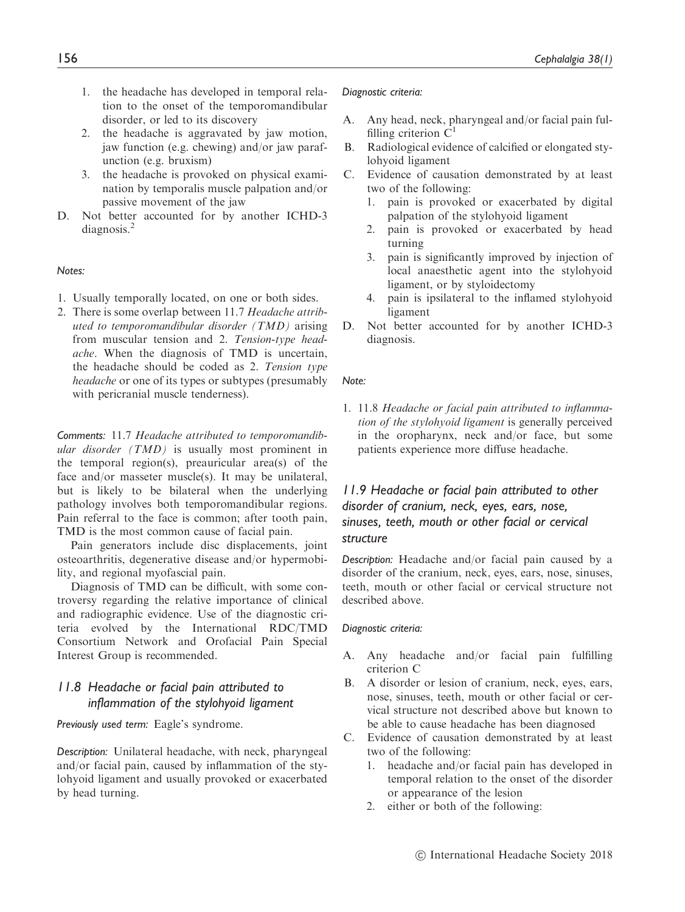- 1. the headache has developed in temporal relation to the onset of the temporomandibular disorder, or led to its discovery
- 2. the headache is aggravated by jaw motion, jaw function (e.g. chewing) and/or jaw parafunction (e.g. bruxism)
- 3. the headache is provoked on physical examination by temporalis muscle palpation and/or passive movement of the jaw
- D. Not better accounted for by another ICHD-3 diagnosis.<sup>2</sup>

#### Notes:

- 1. Usually temporally located, on one or both sides.
- 2. There is some overlap between 11.7 Headache attributed to temporomandibular disorder (TMD) arising from muscular tension and 2. Tension-type headache. When the diagnosis of TMD is uncertain, the headache should be coded as 2. Tension type headache or one of its types or subtypes (presumably with pericranial muscle tenderness).

Comments: 11.7 Headache attributed to temporomandibular disorder  $(TMD)$  is usually most prominent in the temporal region(s), preauricular area(s) of the face and/or masseter muscle(s). It may be unilateral, but is likely to be bilateral when the underlying pathology involves both temporomandibular regions. Pain referral to the face is common; after tooth pain, TMD is the most common cause of facial pain.

Pain generators include disc displacements, joint osteoarthritis, degenerative disease and/or hypermobility, and regional myofascial pain.

Diagnosis of TMD can be difficult, with some controversy regarding the relative importance of clinical and radiographic evidence. Use of the diagnostic criteria evolved by the International RDC/TMD Consortium Network and Orofacial Pain Special Interest Group is recommended.

# 11.8 Headache or facial pain attributed to inflammation of the stylohyoid ligament

Previously used term: Eagle's syndrome.

Description: Unilateral headache, with neck, pharyngeal and/or facial pain, caused by inflammation of the stylohyoid ligament and usually provoked or exacerbated by head turning.

#### Diagnostic criteria:

- A. Any head, neck, pharyngeal and/or facial pain fulfilling criterion  $C<sup>1</sup>$
- B. Radiological evidence of calcified or elongated stylohyoid ligament
- C. Evidence of causation demonstrated by at least two of the following:
	- 1. pain is provoked or exacerbated by digital palpation of the stylohyoid ligament
	- 2. pain is provoked or exacerbated by head turning
	- 3. pain is significantly improved by injection of local anaesthetic agent into the stylohyoid ligament, or by styloidectomy
	- 4. pain is ipsilateral to the inflamed stylohyoid ligament
- D. Not better accounted for by another ICHD-3 diagnosis.

#### Note:

1. 11.8 Headache or facial pain attributed to inflammation of the stylohyoid ligament is generally perceived in the oropharynx, neck and/or face, but some patients experience more diffuse headache.

# 11.9 Headache or facial pain attributed to other disorder of cranium, neck, eyes, ears, nose, sinuses, teeth, mouth or other facial or cervical structure

Description: Headache and/or facial pain caused by a disorder of the cranium, neck, eyes, ears, nose, sinuses, teeth, mouth or other facial or cervical structure not described above.

- A. Any headache and/or facial pain fulfilling criterion C
- B. A disorder or lesion of cranium, neck, eyes, ears, nose, sinuses, teeth, mouth or other facial or cervical structure not described above but known to be able to cause headache has been diagnosed
- C. Evidence of causation demonstrated by at least two of the following:
	- 1. headache and/or facial pain has developed in temporal relation to the onset of the disorder or appearance of the lesion
	- 2. either or both of the following: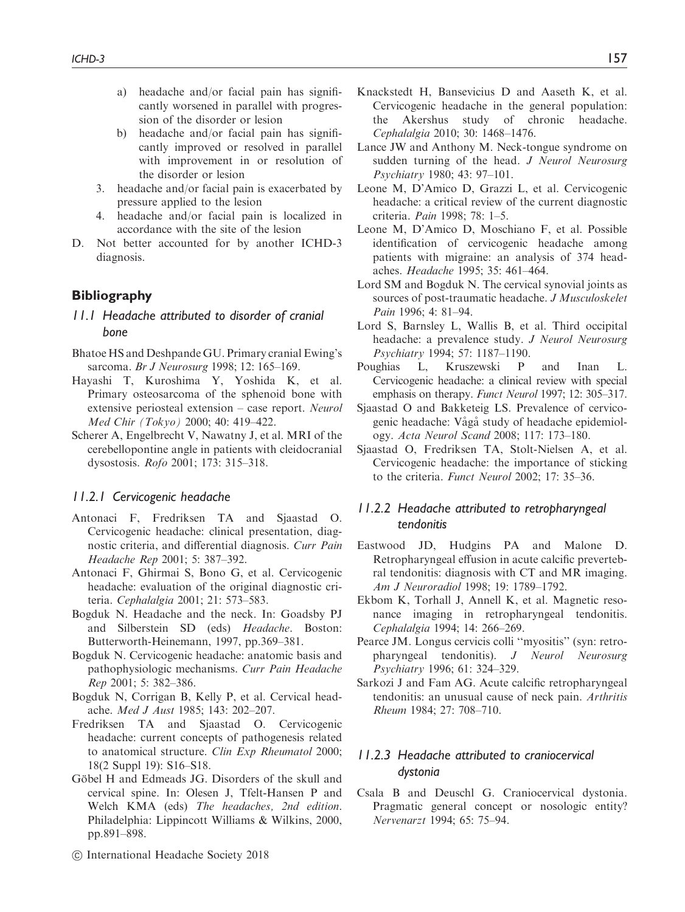- a) headache and/or facial pain has significantly worsened in parallel with progression of the disorder or lesion
- b) headache and/or facial pain has significantly improved or resolved in parallel with improvement in or resolution of the disorder or lesion
- 3. headache and/or facial pain is exacerbated by pressure applied to the lesion
- 4. headache and/or facial pain is localized in accordance with the site of the lesion
- D. Not better accounted for by another ICHD-3 diagnosis.

# **Bibliography**

- 11.1 Headache attributed to disorder of cranial bone
- Bhatoe HS and Deshpande GU. Primary cranial Ewing's sarcoma. Br J Neurosurg 1998; 12: 165–169.
- Hayashi T, Kuroshima Y, Yoshida K, et al. Primary osteosarcoma of the sphenoid bone with extensive periosteal extension – case report. Neurol Med Chir (Tokyo) 2000; 40: 419–422.
- Scherer A, Engelbrecht V, Nawatny J, et al. MRI of the cerebellopontine angle in patients with cleidocranial dysostosis. Rofo 2001; 173: 315–318.

# 11.2.1 Cervicogenic headache

- Antonaci F, Fredriksen TA and Sjaastad O. Cervicogenic headache: clinical presentation, diagnostic criteria, and differential diagnosis. Curr Pain Headache Rep 2001; 5: 387–392.
- Antonaci F, Ghirmai S, Bono G, et al. Cervicogenic headache: evaluation of the original diagnostic criteria. Cephalalgia 2001; 21: 573–583.
- Bogduk N. Headache and the neck. In: Goadsby PJ and Silberstein SD (eds) Headache. Boston: Butterworth-Heinemann, 1997, pp.369–381.
- Bogduk N. Cervicogenic headache: anatomic basis and pathophysiologic mechanisms. Curr Pain Headache Rep 2001; 5: 382–386.
- Bogduk N, Corrigan B, Kelly P, et al. Cervical headache. Med J Aust 1985; 143: 202–207.
- Fredriksen TA and Sjaastad O. Cervicogenic headache: current concepts of pathogenesis related to anatomical structure. Clin Exp Rheumatol 2000; 18(2 Suppl 19): S16–S18.
- Göbel H and Edmeads JG. Disorders of the skull and cervical spine. In: Olesen J, Tfelt-Hansen P and Welch KMA (eds) The headaches, 2nd edition. Philadelphia: Lippincott Williams & Wilkins, 2000, pp.891–898.
- ! International Headache Society 2018
- Knackstedt H, Bansevicius D and Aaseth K, et al. Cervicogenic headache in the general population: the Akershus study of chronic headache. Cephalalgia 2010; 30: 1468–1476.
- Lance JW and Anthony M. Neck-tongue syndrome on sudden turning of the head. J Neurol Neurosurg Psychiatry 1980; 43: 97–101.
- Leone M, D'Amico D, Grazzi L, et al. Cervicogenic headache: a critical review of the current diagnostic criteria. Pain 1998; 78: 1–5.
- Leone M, D'Amico D, Moschiano F, et al. Possible identification of cervicogenic headache among patients with migraine: an analysis of 374 headaches. Headache 1995; 35: 461–464.
- Lord SM and Bogduk N. The cervical synovial joints as sources of post-traumatic headache. J Musculoskelet Pain 1996; 4: 81–94.
- Lord S, Barnsley L, Wallis B, et al. Third occipital headache: a prevalence study. J Neurol Neurosurg Psychiatry 1994; 57: 1187–1190.
- Poughias L, Kruszewski P and Inan L. Cervicogenic headache: a clinical review with special emphasis on therapy. Funct Neurol 1997; 12: 305–317.
- Sjaastad O and Bakketeig LS. Prevalence of cervicogenic headache: Vågå study of headache epidemiology. Acta Neurol Scand 2008; 117: 173–180.
- Sjaastad O, Fredriksen TA, Stolt-Nielsen A, et al. Cervicogenic headache: the importance of sticking to the criteria. Funct Neurol 2002; 17: 35–36.

# 11.2.2 Headache attributed to retropharyngeal tendonitis

- Eastwood JD, Hudgins PA and Malone D. Retropharyngeal effusion in acute calcific prevertebral tendonitis: diagnosis with CT and MR imaging. Am J Neuroradiol 1998; 19: 1789–1792.
- Ekbom K, Torhall J, Annell K, et al. Magnetic resonance imaging in retropharyngeal tendonitis. Cephalalgia 1994; 14: 266–269.
- Pearce JM. Longus cervicis colli ''myositis'' (syn: retropharyngeal tendonitis). J Neurol Neurosurg Psychiatry 1996; 61: 324–329.
- Sarkozi J and Fam AG. Acute calcific retropharyngeal tendonitis: an unusual cause of neck pain. Arthritis Rheum 1984; 27: 708–710.

# 11.2.3 Headache attributed to craniocervical dystonia

Csala B and Deuschl G. Craniocervical dystonia. Pragmatic general concept or nosologic entity? Nervenarzt 1994; 65: 75–94.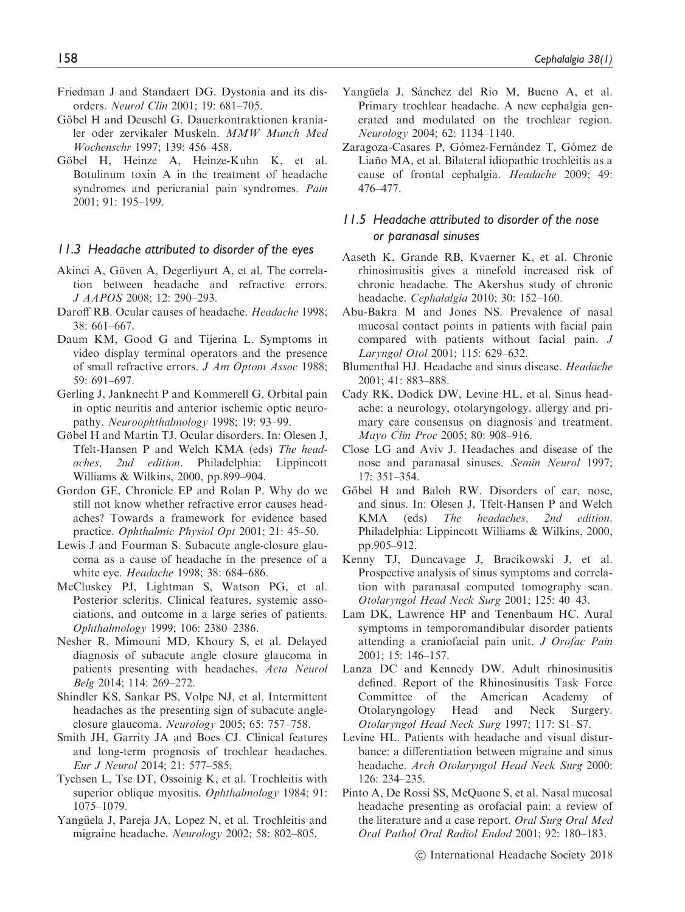- Friedman J and Standaert DG. Dystonia and its disorders. Neurol Clin 2001; 19: 681–705.
- Göbel H and Deuschl G. Dauerkontraktionen kranialer oder zervikaler Muskeln. MMW Munch Med Wochenschr 1997; 139: 456–458.
- Göbel H, Heinze A, Heinze-Kuhn K, et al. Botulinum toxin A in the treatment of headache syndromes and pericranial pain syndromes. Pain 2001; 91: 195–199.

## 11.3 Headache attributed to disorder of the eyes

- Akinci A, Güven A, Degerliyurt A, et al. The correlation between headache and refractive errors. J AAPOS 2008; 12: 290–293.
- Daroff RB. Ocular causes of headache. Headache 1998; 38: 661–667.
- Daum KM, Good G and Tijerina L. Symptoms in video display terminal operators and the presence of small refractive errors. J Am Optom Assoc 1988; 59: 691–697.
- Gerling J, Janknecht P and Kommerell G. Orbital pain in optic neuritis and anterior ischemic optic neuropathy. Neuroophthalmology 1998; 19: 93–99.
- Göbel H and Martin TJ. Ocular disorders. In: Olesen J, Tfelt-Hansen P and Welch KMA (eds) The headaches, 2nd edition. Philadelphia: Lippincott Williams & Wilkins, 2000, pp.899–904.
- Gordon GE, Chronicle EP and Rolan P. Why do we still not know whether refractive error causes headaches? Towards a framework for evidence based practice. Ophthalmic Physiol Opt 2001; 21: 45–50.
- Lewis J and Fourman S. Subacute angle-closure glaucoma as a cause of headache in the presence of a white eye. Headache 1998; 38: 684–686.
- McCluskey PJ, Lightman S, Watson PG, et al. Posterior scleritis. Clinical features, systemic associations, and outcome in a large series of patients. Ophthalmology 1999; 106: 2380–2386.
- Nesher R, Mimouni MD, Khoury S, et al. Delayed diagnosis of subacute angle closure glaucoma in patients presenting with headaches. Acta Neurol Belg 2014; 114: 269–272.
- Shindler KS, Sankar PS, Volpe NJ, et al. Intermittent headaches as the presenting sign of subacute angleclosure glaucoma. Neurology 2005; 65: 757–758.
- Smith JH, Garrity JA and Boes CJ. Clinical features and long-term prognosis of trochlear headaches. Eur J Neurol 2014; 21: 577–585.
- Tychsen L, Tse DT, Ossoinig K, et al. Trochleitis with superior oblique myositis. Ophthalmology 1984; 91: 1075–1079.
- Yangüela J, Pareja JA, Lopez N, et al. Trochleitis and migraine headache. Neurology 2002; 58: 802–805.
- Yangüela J, Sánchez del Rio M, Bueno A, et al. Primary trochlear headache. A new cephalgia generated and modulated on the trochlear region. Neurology 2004; 62: 1134–1140.
- Zaragoza-Casares P, Gómez-Fernández T, Gómez de Liaño MA, et al. Bilateral idiopathic trochleitis as a cause of frontal cephalgia. Headache 2009; 49: 476–477.

# 11.5 Headache attributed to disorder of the nose or paranasal sinuses

- Aaseth K, Grande RB, Kvaerner K, et al. Chronic rhinosinusitis gives a ninefold increased risk of chronic headache. The Akershus study of chronic headache. Cephalalgia 2010; 30: 152–160.
- Abu-Bakra M and Jones NS. Prevalence of nasal mucosal contact points in patients with facial pain compared with patients without facial pain. J Laryngol Otol 2001; 115: 629–632.
- Blumenthal HJ. Headache and sinus disease. Headache 2001; 41: 883–888.
- Cady RK, Dodick DW, Levine HL, et al. Sinus headache: a neurology, otolaryngology, allergy and primary care consensus on diagnosis and treatment. Mayo Clin Proc 2005; 80: 908–916.
- Close LG and Aviv J. Headaches and disease of the nose and paranasal sinuses. Semin Neurol 1997; 17: 351–354.
- Göbel H and Baloh RW. Disorders of ear, nose, and sinus. In: Olesen J, Tfelt-Hansen P and Welch KMA (eds) The headaches, 2nd edition. Philadelphia: Lippincott Williams & Wilkins, 2000, pp.905–912.
- Kenny TJ, Duncavage J, Bracikowski J, et al. Prospective analysis of sinus symptoms and correlation with paranasal computed tomography scan. Otolaryngol Head Neck Surg 2001; 125: 40–43.
- Lam DK, Lawrence HP and Tenenbaum HC. Aural symptoms in temporomandibular disorder patients attending a craniofacial pain unit. J Orofac Pain 2001; 15: 146–157.
- Lanza DC and Kennedy DW. Adult rhinosinusitis defined. Report of the Rhinosinusitis Task Force Committee of the American Academy of Otolaryngology Head and Neck Surgery. Otolaryngol Head Neck Surg 1997; 117: S1–S7.
- Levine HL. Patients with headache and visual disturbance: a differentiation between migraine and sinus headache. Arch Otolaryngol Head Neck Surg 2000: 126: 234–235.
- Pinto A, De Rossi SS, McQuone S, et al. Nasal mucosal headache presenting as orofacial pain: a review of the literature and a case report. Oral Surg Oral Med Oral Pathol Oral Radiol Endod 2001; 92: 180–183.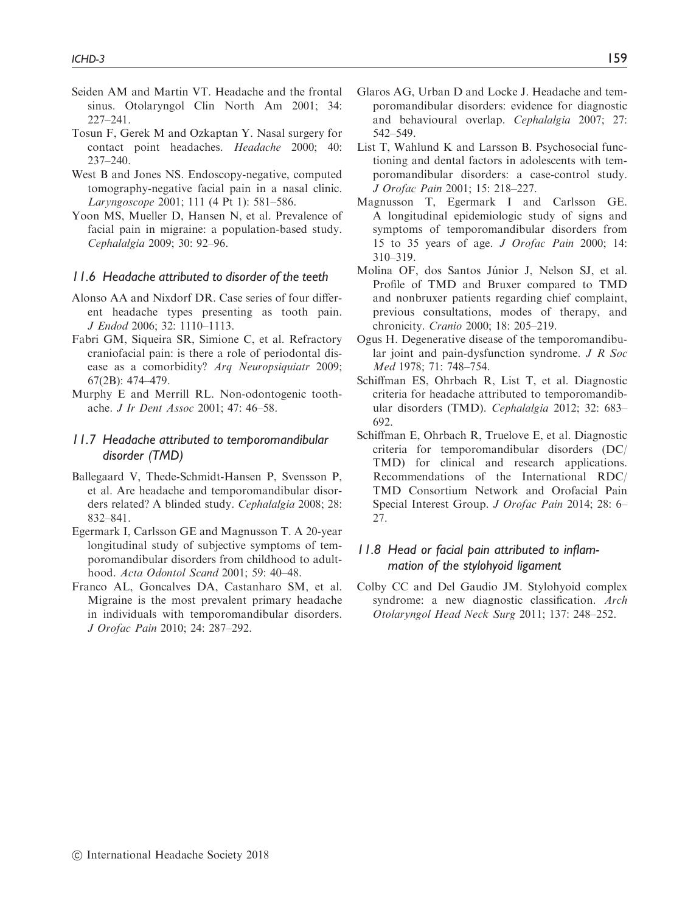- Seiden AM and Martin VT. Headache and the frontal sinus. Otolaryngol Clin North Am 2001; 34: 227–241.
- Tosun F, Gerek M and Ozkaptan Y. Nasal surgery for contact point headaches. Headache 2000; 40: 237–240.
- West B and Jones NS. Endoscopy-negative, computed tomography-negative facial pain in a nasal clinic. Laryngoscope 2001; 111 (4 Pt 1): 581–586.
- Yoon MS, Mueller D, Hansen N, et al. Prevalence of facial pain in migraine: a population-based study. Cephalalgia 2009; 30: 92–96.

## 11.6 Headache attributed to disorder of the teeth

- Alonso AA and Nixdorf DR. Case series of four different headache types presenting as tooth pain. J Endod 2006; 32: 1110–1113.
- Fabri GM, Siqueira SR, Simione C, et al. Refractory craniofacial pain: is there a role of periodontal disease as a comorbidity? Arq Neuropsiquiatr 2009; 67(2B): 474–479.
- Murphy E and Merrill RL. Non-odontogenic toothache. J Ir Dent Assoc 2001; 47: 46–58.

## 11.7 Headache attributed to temporomandibular disorder (TMD)

- Ballegaard V, Thede-Schmidt-Hansen P, Svensson P, et al. Are headache and temporomandibular disorders related? A blinded study. Cephalalgia 2008; 28: 832–841.
- Egermark I, Carlsson GE and Magnusson T. A 20-year longitudinal study of subjective symptoms of temporomandibular disorders from childhood to adulthood. Acta Odontol Scand 2001; 59: 40–48.
- Franco AL, Goncalves DA, Castanharo SM, et al. Migraine is the most prevalent primary headache in individuals with temporomandibular disorders. J Orofac Pain 2010; 24: 287–292.
- Glaros AG, Urban D and Locke J. Headache and temporomandibular disorders: evidence for diagnostic and behavioural overlap. Cephalalgia 2007; 27: 542–549.
- List T, Wahlund K and Larsson B. Psychosocial functioning and dental factors in adolescents with temporomandibular disorders: a case-control study. J Orofac Pain 2001; 15: 218–227.
- Magnusson T, Egermark I and Carlsson GE. A longitudinal epidemiologic study of signs and symptoms of temporomandibular disorders from 15 to 35 years of age. J Orofac Pain 2000; 14: 310–319.
- Molina OF, dos Santos Júnior J, Nelson SJ, et al. Profile of TMD and Bruxer compared to TMD and nonbruxer patients regarding chief complaint, previous consultations, modes of therapy, and chronicity. Cranio 2000; 18: 205–219.
- Ogus H. Degenerative disease of the temporomandibular joint and pain-dysfunction syndrome. J R Soc Med 1978; 71: 748–754.
- Schiffman ES, Ohrbach R, List T, et al. Diagnostic criteria for headache attributed to temporomandibular disorders (TMD). Cephalalgia 2012; 32: 683– 692.
- Schiffman E, Ohrbach R, Truelove E, et al. Diagnostic criteria for temporomandibular disorders (DC/ TMD) for clinical and research applications. Recommendations of the International RDC/ TMD Consortium Network and Orofacial Pain Special Interest Group. J Orofac Pain 2014; 28: 6– 27.

# 11.8 Head or facial pain attributed to inflammation of the stylohyoid ligament

Colby CC and Del Gaudio JM. Stylohyoid complex syndrome: a new diagnostic classification. Arch Otolaryngol Head Neck Surg 2011; 137: 248–252.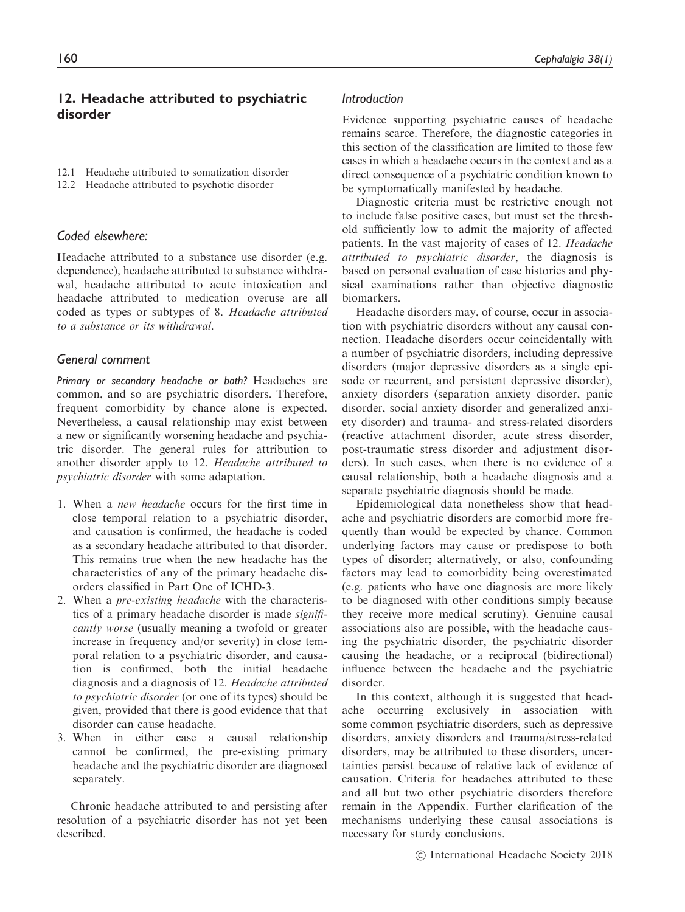# 12. Headache attributed to psychiatric disorder

- 12.1 Headache attributed to somatization disorder
- 12.2 Headache attributed to psychotic disorder

# Coded elsewhere:

Headache attributed to a substance use disorder (e.g. dependence), headache attributed to substance withdrawal, headache attributed to acute intoxication and headache attributed to medication overuse are all coded as types or subtypes of 8. Headache attributed to a substance or its withdrawal.

# General comment

Primary or secondary headache or both? Headaches are common, and so are psychiatric disorders. Therefore, frequent comorbidity by chance alone is expected. Nevertheless, a causal relationship may exist between a new or significantly worsening headache and psychiatric disorder. The general rules for attribution to another disorder apply to 12. Headache attributed to psychiatric disorder with some adaptation.

- 1. When a new headache occurs for the first time in close temporal relation to a psychiatric disorder, and causation is confirmed, the headache is coded as a secondary headache attributed to that disorder. This remains true when the new headache has the characteristics of any of the primary headache disorders classified in Part One of ICHD-3.
- 2. When a pre-existing headache with the characteristics of a primary headache disorder is made significantly worse (usually meaning a twofold or greater increase in frequency and/or severity) in close temporal relation to a psychiatric disorder, and causation is confirmed, both the initial headache diagnosis and a diagnosis of 12. Headache attributed to psychiatric disorder (or one of its types) should be given, provided that there is good evidence that that disorder can cause headache.
- 3. When in either case a causal relationship cannot be confirmed, the pre-existing primary headache and the psychiatric disorder are diagnosed separately.

Chronic headache attributed to and persisting after resolution of a psychiatric disorder has not yet been described.

# Introduction

Evidence supporting psychiatric causes of headache remains scarce. Therefore, the diagnostic categories in this section of the classification are limited to those few cases in which a headache occurs in the context and as a direct consequence of a psychiatric condition known to be symptomatically manifested by headache.

Diagnostic criteria must be restrictive enough not to include false positive cases, but must set the threshold sufficiently low to admit the majority of affected patients. In the vast majority of cases of 12. Headache attributed to psychiatric disorder, the diagnosis is based on personal evaluation of case histories and physical examinations rather than objective diagnostic biomarkers.

Headache disorders may, of course, occur in association with psychiatric disorders without any causal connection. Headache disorders occur coincidentally with a number of psychiatric disorders, including depressive disorders (major depressive disorders as a single episode or recurrent, and persistent depressive disorder), anxiety disorders (separation anxiety disorder, panic disorder, social anxiety disorder and generalized anxiety disorder) and trauma- and stress-related disorders (reactive attachment disorder, acute stress disorder, post-traumatic stress disorder and adjustment disorders). In such cases, when there is no evidence of a causal relationship, both a headache diagnosis and a separate psychiatric diagnosis should be made.

Epidemiological data nonetheless show that headache and psychiatric disorders are comorbid more frequently than would be expected by chance. Common underlying factors may cause or predispose to both types of disorder; alternatively, or also, confounding factors may lead to comorbidity being overestimated (e.g. patients who have one diagnosis are more likely to be diagnosed with other conditions simply because they receive more medical scrutiny). Genuine causal associations also are possible, with the headache causing the psychiatric disorder, the psychiatric disorder causing the headache, or a reciprocal (bidirectional) influence between the headache and the psychiatric disorder.

In this context, although it is suggested that headache occurring exclusively in association with some common psychiatric disorders, such as depressive disorders, anxiety disorders and trauma/stress-related disorders, may be attributed to these disorders, uncertainties persist because of relative lack of evidence of causation. Criteria for headaches attributed to these and all but two other psychiatric disorders therefore remain in the Appendix. Further clarification of the mechanisms underlying these causal associations is necessary for sturdy conclusions.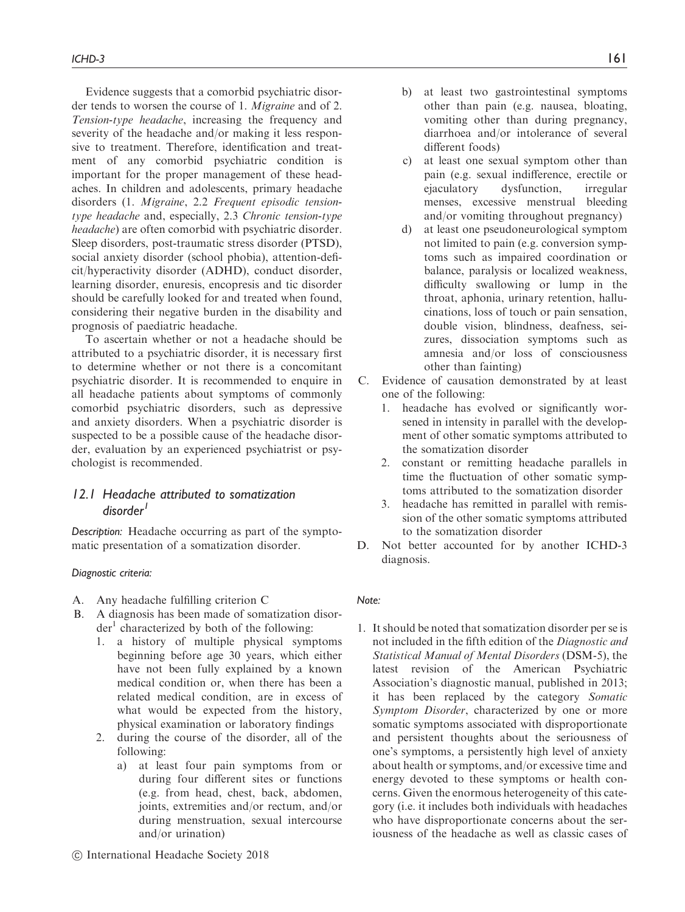Evidence suggests that a comorbid psychiatric disorder tends to worsen the course of 1. Migraine and of 2. Tension-type headache, increasing the frequency and severity of the headache and/or making it less responsive to treatment. Therefore, identification and treatment of any comorbid psychiatric condition is important for the proper management of these headaches. In children and adolescents, primary headache disorders (1. Migraine, 2.2 Frequent episodic tensiontype headache and, especially, 2.3 Chronic tension-type headache) are often comorbid with psychiatric disorder. Sleep disorders, post-traumatic stress disorder (PTSD), social anxiety disorder (school phobia), attention-deficit/hyperactivity disorder (ADHD), conduct disorder, learning disorder, enuresis, encopresis and tic disorder should be carefully looked for and treated when found, considering their negative burden in the disability and prognosis of paediatric headache.

To ascertain whether or not a headache should be attributed to a psychiatric disorder, it is necessary first to determine whether or not there is a concomitant psychiatric disorder. It is recommended to enquire in all headache patients about symptoms of commonly comorbid psychiatric disorders, such as depressive and anxiety disorders. When a psychiatric disorder is suspected to be a possible cause of the headache disorder, evaluation by an experienced psychiatrist or psychologist is recommended.

# 12.1 Headache attributed to somatization disorder<sup>1</sup>

Description: Headache occurring as part of the symptomatic presentation of a somatization disorder.

## Diagnostic criteria:

- A. Any headache fulfilling criterion C
- B. A diagnosis has been made of somatization disor $der<sup>1</sup> characterized by both of the following:$ 
	- 1. a history of multiple physical symptoms beginning before age 30 years, which either have not been fully explained by a known medical condition or, when there has been a related medical condition, are in excess of what would be expected from the history, physical examination or laboratory findings
	- 2. during the course of the disorder, all of the following:
		- a) at least four pain symptoms from or during four different sites or functions (e.g. from head, chest, back, abdomen, joints, extremities and/or rectum, and/or during menstruation, sexual intercourse and/or urination)
- ! International Headache Society 2018
- b) at least two gastrointestinal symptoms other than pain (e.g. nausea, bloating, vomiting other than during pregnancy, diarrhoea and/or intolerance of several different foods)
- c) at least one sexual symptom other than pain (e.g. sexual indifference, erectile or ejaculatory dysfunction, irregular menses, excessive menstrual bleeding and/or vomiting throughout pregnancy)
- d) at least one pseudoneurological symptom not limited to pain (e.g. conversion symptoms such as impaired coordination or balance, paralysis or localized weakness, difficulty swallowing or lump in the throat, aphonia, urinary retention, hallucinations, loss of touch or pain sensation, double vision, blindness, deafness, seizures, dissociation symptoms such as amnesia and/or loss of consciousness other than fainting)
- C. Evidence of causation demonstrated by at least one of the following:
	- 1. headache has evolved or significantly worsened in intensity in parallel with the development of other somatic symptoms attributed to the somatization disorder
	- 2. constant or remitting headache parallels in time the fluctuation of other somatic symptoms attributed to the somatization disorder
	- 3. headache has remitted in parallel with remission of the other somatic symptoms attributed to the somatization disorder
- D. Not better accounted for by another ICHD-3 diagnosis.

#### Note:

1. It should be noted that somatization disorder per se is not included in the fifth edition of the Diagnostic and Statistical Manual of Mental Disorders (DSM-5), the latest revision of the American Psychiatric Association's diagnostic manual, published in 2013; it has been replaced by the category Somatic Symptom Disorder, characterized by one or more somatic symptoms associated with disproportionate and persistent thoughts about the seriousness of one's symptoms, a persistently high level of anxiety about health or symptoms, and/or excessive time and energy devoted to these symptoms or health concerns. Given the enormous heterogeneity of this category (i.e. it includes both individuals with headaches who have disproportionate concerns about the seriousness of the headache as well as classic cases of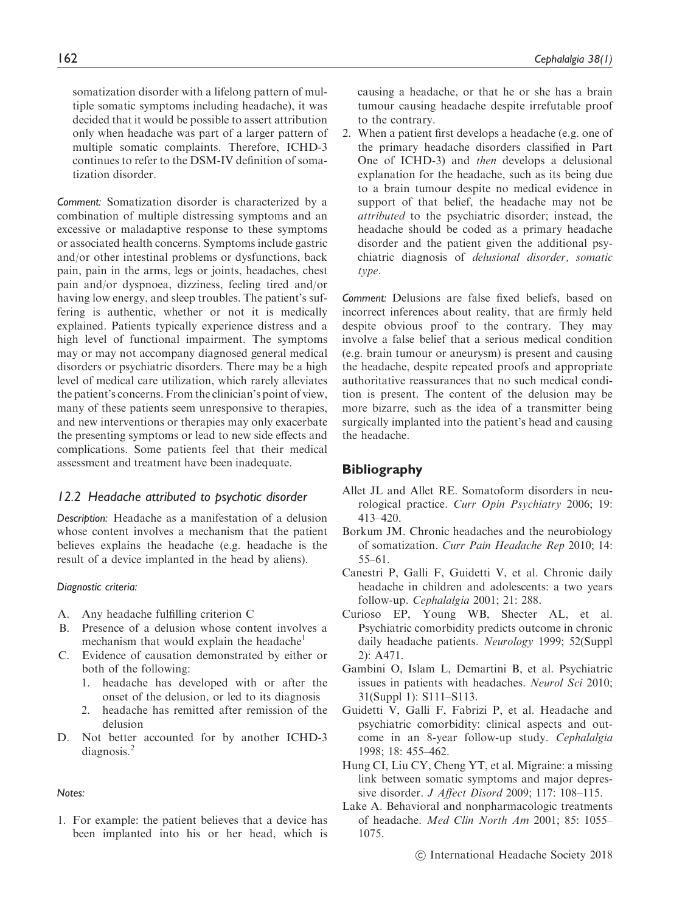somatization disorder with a lifelong pattern of multiple somatic symptoms including headache), it was decided that it would be possible to assert attribution only when headache was part of a larger pattern of multiple somatic complaints. Therefore, ICHD-3 continues to refer to the DSM-IV definition of somatization disorder.

Comment: Somatization disorder is characterized by a combination of multiple distressing symptoms and an excessive or maladaptive response to these symptoms or associated health concerns. Symptoms include gastric and/or other intestinal problems or dysfunctions, back pain, pain in the arms, legs or joints, headaches, chest pain and/or dyspnoea, dizziness, feeling tired and/or having low energy, and sleep troubles. The patient's suffering is authentic, whether or not it is medically explained. Patients typically experience distress and a high level of functional impairment. The symptoms may or may not accompany diagnosed general medical disorders or psychiatric disorders. There may be a high level of medical care utilization, which rarely alleviates the patient's concerns. From the clinician's point of view, many of these patients seem unresponsive to therapies, and new interventions or therapies may only exacerbate the presenting symptoms or lead to new side effects and complications. Some patients feel that their medical assessment and treatment have been inadequate.

# 12.2 Headache attributed to psychotic disorder

Description: Headache as a manifestation of a delusion whose content involves a mechanism that the patient believes explains the headache (e.g. headache is the result of a device implanted in the head by aliens).

## Diagnostic criteria:

- A. Any headache fulfilling criterion C
- B. Presence of a delusion whose content involves a mechanism that would explain the headache<sup>1</sup>
- C. Evidence of causation demonstrated by either or both of the following:
	- 1. headache has developed with or after the onset of the delusion, or led to its diagnosis
	- 2. headache has remitted after remission of the delusion
- D. Not better accounted for by another ICHD-3 diagnosis.<sup>2</sup>

## Notes:

1. For example: the patient believes that a device has been implanted into his or her head, which is causing a headache, or that he or she has a brain tumour causing headache despite irrefutable proof to the contrary.

2. When a patient first develops a headache (e.g. one of the primary headache disorders classified in Part One of ICHD-3) and then develops a delusional explanation for the headache, such as its being due to a brain tumour despite no medical evidence in support of that belief, the headache may not be attributed to the psychiatric disorder; instead, the headache should be coded as a primary headache disorder and the patient given the additional psychiatric diagnosis of delusional disorder, somatic type.

Comment: Delusions are false fixed beliefs, based on incorrect inferences about reality, that are firmly held despite obvious proof to the contrary. They may involve a false belief that a serious medical condition (e.g. brain tumour or aneurysm) is present and causing the headache, despite repeated proofs and appropriate authoritative reassurances that no such medical condition is present. The content of the delusion may be more bizarre, such as the idea of a transmitter being surgically implanted into the patient's head and causing the headache.

# **Bibliography**

- Allet JL and Allet RE. Somatoform disorders in neurological practice. Curr Opin Psychiatry 2006; 19: 413–420.
- Borkum JM. Chronic headaches and the neurobiology of somatization. Curr Pain Headache Rep 2010; 14: 55–61.
- Canestri P, Galli F, Guidetti V, et al. Chronic daily headache in children and adolescents: a two years follow-up. Cephalalgia 2001; 21: 288.
- Curioso EP, Young WB, Shecter AL, et al. Psychiatric comorbidity predicts outcome in chronic daily headache patients. Neurology 1999; 52(Suppl 2): A471.
- Gambini O, Islam L, Demartini B, et al. Psychiatric issues in patients with headaches. Neurol Sci 2010; 31(Suppl 1): S111–S113.
- Guidetti V, Galli F, Fabrizi P, et al. Headache and psychiatric comorbidity: clinical aspects and outcome in an 8-year follow-up study. Cephalalgia 1998; 18: 455–462.
- Hung CI, Liu CY, Cheng YT, et al. Migraine: a missing link between somatic symptoms and major depressive disorder. J Affect Disord 2009; 117: 108–115.
- Lake A. Behavioral and nonpharmacologic treatments of headache. Med Clin North Am 2001; 85: 1055– 1075.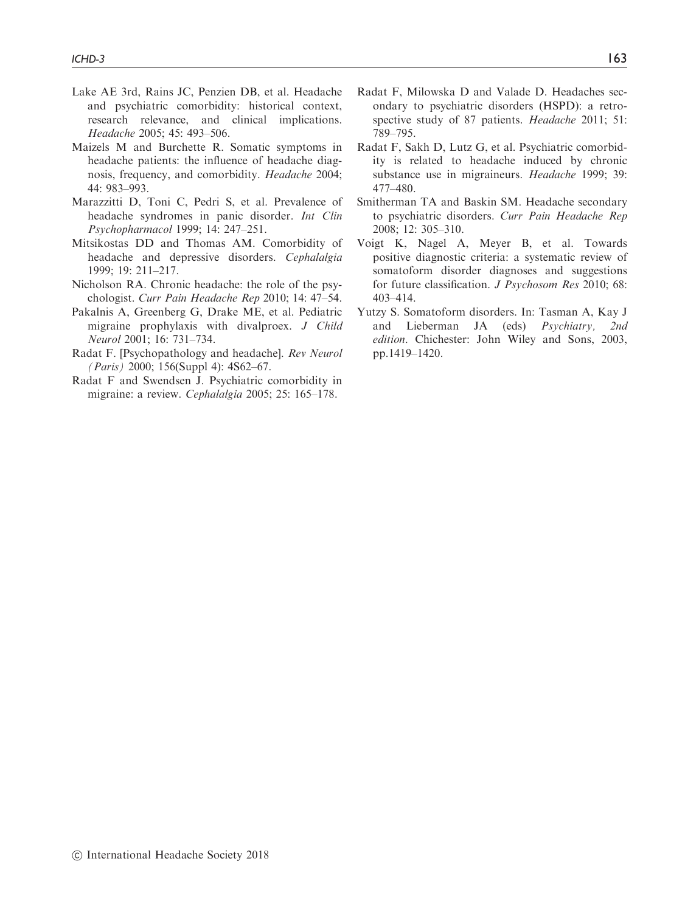- Lake AE 3rd, Rains JC, Penzien DB, et al. Headache and psychiatric comorbidity: historical context, research relevance, and clinical implications. Headache 2005; 45: 493–506.
- Maizels M and Burchette R. Somatic symptoms in headache patients: the influence of headache diagnosis, frequency, and comorbidity. Headache 2004; 44: 983–993.
- Marazzitti D, Toni C, Pedri S, et al. Prevalence of headache syndromes in panic disorder. Int Clin Psychopharmacol 1999; 14: 247–251.
- Mitsikostas DD and Thomas AM. Comorbidity of headache and depressive disorders. Cephalalgia 1999; 19: 211–217.
- Nicholson RA. Chronic headache: the role of the psychologist. Curr Pain Headache Rep 2010; 14: 47–54.
- Pakalnis A, Greenberg G, Drake ME, et al. Pediatric migraine prophylaxis with divalproex. J Child Neurol 2001; 16: 731–734.
- Radat F. [Psychopathology and headache]. Rev Neurol (Paris) 2000; 156(Suppl 4): 4S62–67.
- Radat F and Swendsen J. Psychiatric comorbidity in migraine: a review. Cephalalgia 2005; 25: 165–178.
- Radat F, Milowska D and Valade D. Headaches secondary to psychiatric disorders (HSPD): a retrospective study of 87 patients. Headache 2011; 51: 789–795.
- Radat F, Sakh D, Lutz G, et al. Psychiatric comorbidity is related to headache induced by chronic substance use in migraineurs. Headache 1999; 39: 477–480.
- Smitherman TA and Baskin SM. Headache secondary to psychiatric disorders. Curr Pain Headache Rep 2008; 12: 305–310.
- Voigt K, Nagel A, Meyer B, et al. Towards positive diagnostic criteria: a systematic review of somatoform disorder diagnoses and suggestions for future classification. J Psychosom Res 2010; 68: 403–414.
- Yutzy S. Somatoform disorders. In: Tasman A, Kay J and Lieberman JA (eds) Psychiatry, 2nd edition. Chichester: John Wiley and Sons, 2003, pp.1419–1420.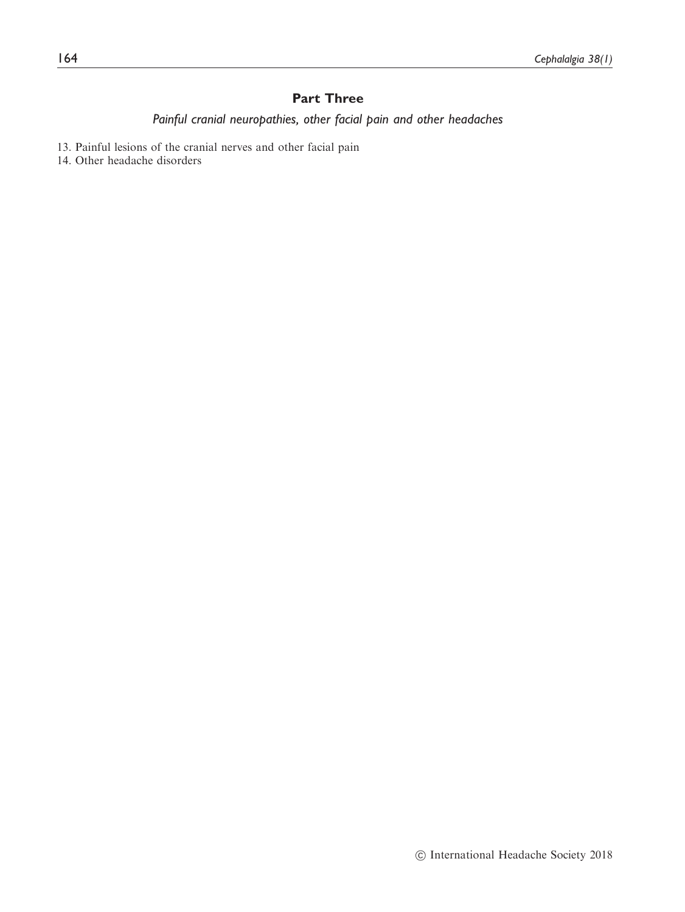# Part Three

Painful cranial neuropathies, other facial pain and other headaches

13. Painful lesions of the cranial nerves and other facial pain

14. Other headache disorders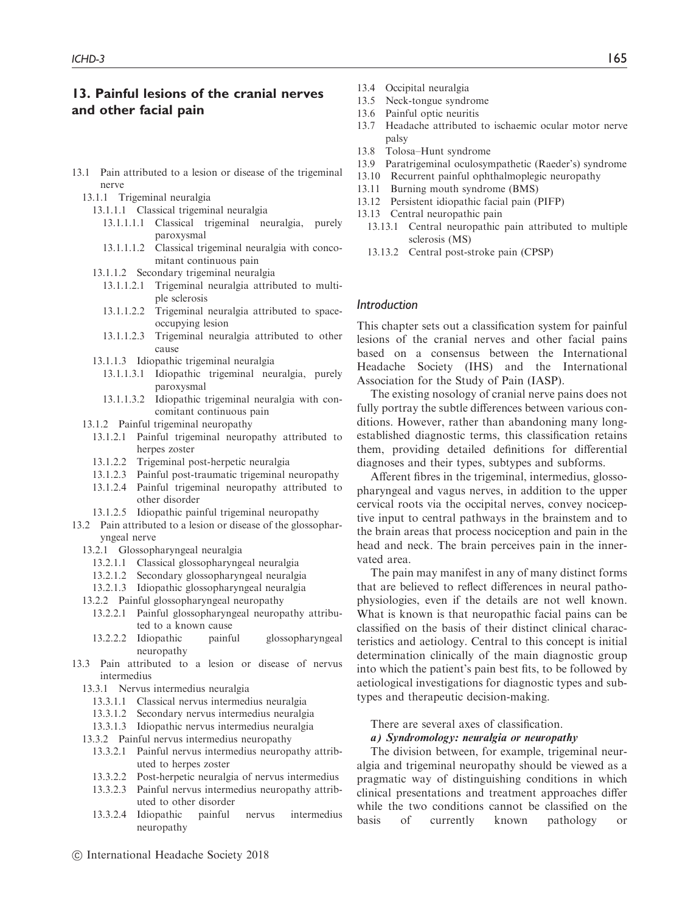# 13. Painful lesions of the cranial nerves and other facial pain

- 13.1 Pain attributed to a lesion or disease of the trigeminal nerve
	- 13.1.1 Trigeminal neuralgia
		- 13.1.1.1 Classical trigeminal neuralgia
			- 13.1.1.1.1 Classical trigeminal neuralgia, purely paroxysmal
			- 13.1.1.1.2 Classical trigeminal neuralgia with concomitant continuous pain
		- 13.1.1.2 Secondary trigeminal neuralgia
			- 13.1.1.2.1 Trigeminal neuralgia attributed to multiple sclerosis
			- 13.1.1.2.2 Trigeminal neuralgia attributed to spaceoccupying lesion
			- 13.1.1.2.3 Trigeminal neuralgia attributed to other cause
		- 13.1.1.3 Idiopathic trigeminal neuralgia
		- 13.1.1.3.1 Idiopathic trigeminal neuralgia, purely paroxysmal
		- 13.1.1.3.2 Idiopathic trigeminal neuralgia with concomitant continuous pain
	- 13.1.2 Painful trigeminal neuropathy
		- 13.1.2.1 Painful trigeminal neuropathy attributed to herpes zoster
		- 13.1.2.2 Trigeminal post-herpetic neuralgia
		- 13.1.2.3 Painful post-traumatic trigeminal neuropathy
		- 13.1.2.4 Painful trigeminal neuropathy attributed to other disorder
		- 13.1.2.5 Idiopathic painful trigeminal neuropathy
- 13.2 Pain attributed to a lesion or disease of the glossopharyngeal nerve
	- 13.2.1 Glossopharyngeal neuralgia
		- 13.2.1.1 Classical glossopharyngeal neuralgia
		- 13.2.1.2 Secondary glossopharyngeal neuralgia
		- 13.2.1.3 Idiopathic glossopharyngeal neuralgia
	- 13.2.2 Painful glossopharyngeal neuropathy
		- 13.2.2.1 Painful glossopharyngeal neuropathy attributed to a known cause
	- 13.2.2.2 Idiopathic painful glossopharyngeal neuropathy
- 13.3 Pain attributed to a lesion or disease of nervus intermedius
	- 13.3.1 Nervus intermedius neuralgia
		- 13.3.1.1 Classical nervus intermedius neuralgia
		- 13.3.1.2 Secondary nervus intermedius neuralgia
		- 13.3.1.3 Idiopathic nervus intermedius neuralgia
	- 13.3.2 Painful nervus intermedius neuropathy
		- 13.3.2.1 Painful nervus intermedius neuropathy attributed to herpes zoster
		- 13.3.2.2 Post-herpetic neuralgia of nervus intermedius
		- 13.3.2.3 Painful nervus intermedius neuropathy attributed to other disorder
		- 13.3.2.4 Idiopathic painful nervus intermedius neuropathy
- 13.4 Occipital neuralgia
- 13.5 Neck-tongue syndrome
- 13.6 Painful optic neuritis
- 13.7 Headache attributed to ischaemic ocular motor nerve palsy
- 13.8 Tolosa–Hunt syndrome
- 13.9 Paratrigeminal oculosympathetic (Raeder's) syndrome
- 13.10 Recurrent painful ophthalmoplegic neuropathy
- 13.11 Burning mouth syndrome (BMS)
- 13.12 Persistent idiopathic facial pain (PIFP)
- 13.13 Central neuropathic pain
	- 13.13.1 Central neuropathic pain attributed to multiple sclerosis (MS)
	- 13.13.2 Central post-stroke pain (CPSP)

## Introduction

This chapter sets out a classification system for painful lesions of the cranial nerves and other facial pains based on a consensus between the International Headache Society (IHS) and the International Association for the Study of Pain (IASP).

The existing nosology of cranial nerve pains does not fully portray the subtle differences between various conditions. However, rather than abandoning many longestablished diagnostic terms, this classification retains them, providing detailed definitions for differential diagnoses and their types, subtypes and subforms.

Afferent fibres in the trigeminal, intermedius, glossopharyngeal and vagus nerves, in addition to the upper cervical roots via the occipital nerves, convey nociceptive input to central pathways in the brainstem and to the brain areas that process nociception and pain in the head and neck. The brain perceives pain in the innervated area.

The pain may manifest in any of many distinct forms that are believed to reflect differences in neural pathophysiologies, even if the details are not well known. What is known is that neuropathic facial pains can be classified on the basis of their distinct clinical characteristics and aetiology. Central to this concept is initial determination clinically of the main diagnostic group into which the patient's pain best fits, to be followed by aetiological investigations for diagnostic types and subtypes and therapeutic decision-making.

## There are several axes of classification.

#### a) Syndromology: neuralgia or neuropathy

The division between, for example, trigeminal neuralgia and trigeminal neuropathy should be viewed as a pragmatic way of distinguishing conditions in which clinical presentations and treatment approaches differ while the two conditions cannot be classified on the basis of currently known pathology or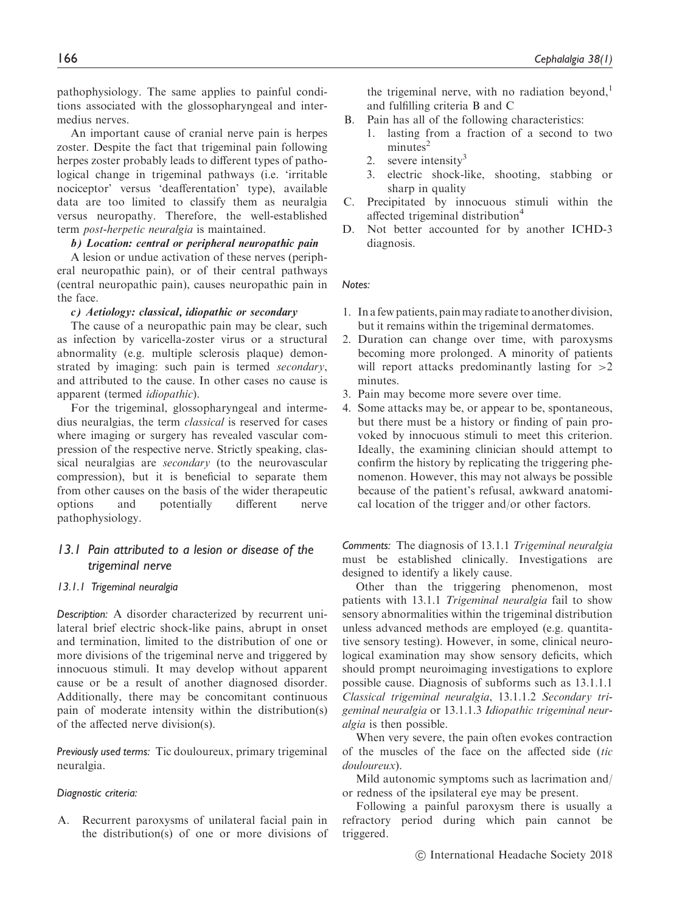pathophysiology. The same applies to painful conditions associated with the glossopharyngeal and intermedius nerves.

An important cause of cranial nerve pain is herpes zoster. Despite the fact that trigeminal pain following herpes zoster probably leads to different types of pathological change in trigeminal pathways (i.e. 'irritable nociceptor' versus 'deafferentation' type), available data are too limited to classify them as neuralgia versus neuropathy. Therefore, the well-established term post-herpetic neuralgia is maintained.

## b) Location: central or peripheral neuropathic pain

A lesion or undue activation of these nerves (peripheral neuropathic pain), or of their central pathways (central neuropathic pain), causes neuropathic pain in the face.

#### c) Aetiology: classical, idiopathic or secondary

The cause of a neuropathic pain may be clear, such as infection by varicella-zoster virus or a structural abnormality (e.g. multiple sclerosis plaque) demonstrated by imaging: such pain is termed secondary, and attributed to the cause. In other cases no cause is apparent (termed idiopathic).

For the trigeminal, glossopharyngeal and intermedius neuralgias, the term classical is reserved for cases where imaging or surgery has revealed vascular compression of the respective nerve. Strictly speaking, classical neuralgias are secondary (to the neurovascular compression), but it is beneficial to separate them from other causes on the basis of the wider therapeutic options and potentially different nerve pathophysiology.

# 13.1 Pain attributed to a lesion or disease of the trigeminal nerve

#### 13.1.1 Trigeminal neuralgia

Description: A disorder characterized by recurrent unilateral brief electric shock-like pains, abrupt in onset and termination, limited to the distribution of one or more divisions of the trigeminal nerve and triggered by innocuous stimuli. It may develop without apparent cause or be a result of another diagnosed disorder. Additionally, there may be concomitant continuous pain of moderate intensity within the distribution(s) of the affected nerve division(s).

Previously used terms: Tic douloureux, primary trigeminal neuralgia.

#### Diagnostic criteria:

A. Recurrent paroxysms of unilateral facial pain in the distribution(s) of one or more divisions of the trigeminal nerve, with no radiation beyond.<sup>1</sup> and fulfilling criteria B and C

- B. Pain has all of the following characteristics:
	- 1. lasting from a fraction of a second to two  $minutes<sup>2</sup>$
	- 2. severe intensity $3$
	- 3. electric shock-like, shooting, stabbing or sharp in quality
- C. Precipitated by innocuous stimuli within the affected trigeminal distribution<sup>4</sup>
- D. Not better accounted for by another ICHD-3 diagnosis.

#### Notes:

- 1. In a few patients, painmay radiate to another division, but it remains within the trigeminal dermatomes.
- 2. Duration can change over time, with paroxysms becoming more prolonged. A minority of patients will report attacks predominantly lasting for  $>2$ minutes.
- 3. Pain may become more severe over time.
- 4. Some attacks may be, or appear to be, spontaneous, but there must be a history or finding of pain provoked by innocuous stimuli to meet this criterion. Ideally, the examining clinician should attempt to confirm the history by replicating the triggering phenomenon. However, this may not always be possible because of the patient's refusal, awkward anatomical location of the trigger and/or other factors.

Comments: The diagnosis of 13.1.1 Trigeminal neuralgia must be established clinically. Investigations are designed to identify a likely cause.

Other than the triggering phenomenon, most patients with 13.1.1 Trigeminal neuralgia fail to show sensory abnormalities within the trigeminal distribution unless advanced methods are employed (e.g. quantitative sensory testing). However, in some, clinical neurological examination may show sensory deficits, which should prompt neuroimaging investigations to explore possible cause. Diagnosis of subforms such as 13.1.1.1 Classical trigeminal neuralgia, 13.1.1.2 Secondary trigeminal neuralgia or 13.1.1.3 Idiopathic trigeminal neuralgia is then possible.

When very severe, the pain often evokes contraction of the muscles of the face on the affected side (tic douloureux).

Mild autonomic symptoms such as lacrimation and/ or redness of the ipsilateral eye may be present.

Following a painful paroxysm there is usually a refractory period during which pain cannot be triggered.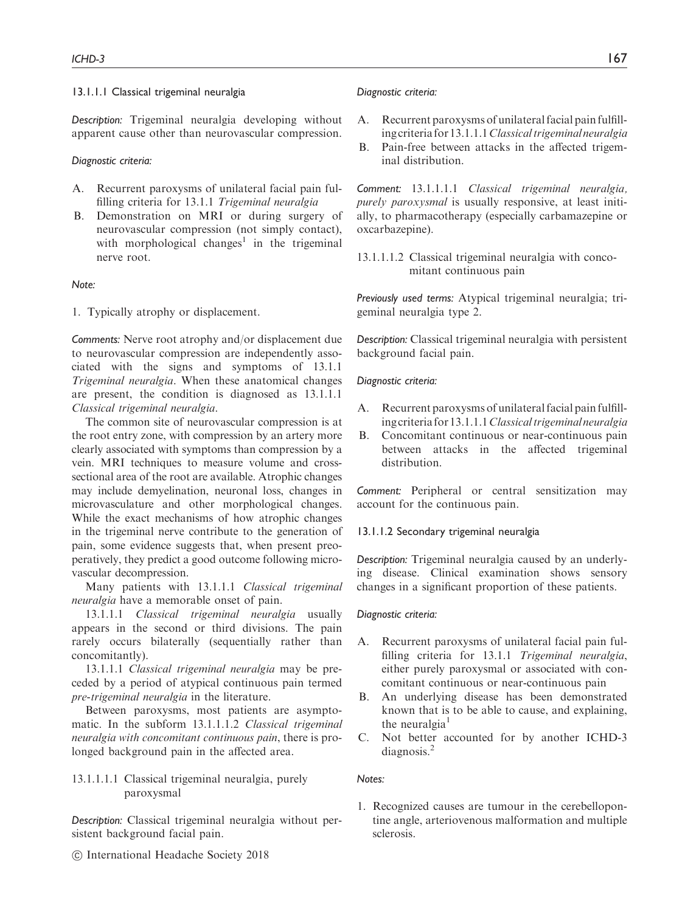## 13.1.1.1 Classical trigeminal neuralgia

Description: Trigeminal neuralgia developing without apparent cause other than neurovascular compression.

Diagnostic criteria:

- A. Recurrent paroxysms of unilateral facial pain fulfilling criteria for 13.1.1 Trigeminal neuralgia
- B. Demonstration on MRI or during surgery of neurovascular compression (not simply contact), with morphological changes<sup>1</sup> in the trigeminal nerve root.

#### Note:

1. Typically atrophy or displacement.

Comments: Nerve root atrophy and/or displacement due to neurovascular compression are independently associated with the signs and symptoms of 13.1.1 Trigeminal neuralgia. When these anatomical changes are present, the condition is diagnosed as 13.1.1.1 Classical trigeminal neuralgia.

The common site of neurovascular compression is at the root entry zone, with compression by an artery more clearly associated with symptoms than compression by a vein. MRI techniques to measure volume and crosssectional area of the root are available. Atrophic changes may include demyelination, neuronal loss, changes in microvasculature and other morphological changes. While the exact mechanisms of how atrophic changes in the trigeminal nerve contribute to the generation of pain, some evidence suggests that, when present preoperatively, they predict a good outcome following microvascular decompression.

Many patients with 13.1.1.1 Classical trigeminal neuralgia have a memorable onset of pain.

13.1.1.1 Classical trigeminal neuralgia usually appears in the second or third divisions. The pain rarely occurs bilaterally (sequentially rather than concomitantly).

13.1.1.1 Classical trigeminal neuralgia may be preceded by a period of atypical continuous pain termed pre-trigeminal neuralgia in the literature.

Between paroxysms, most patients are asymptomatic. In the subform 13.1.1.1.2 Classical trigeminal neuralgia with concomitant continuous pain, there is prolonged background pain in the affected area.

13.1.1.1.1 Classical trigeminal neuralgia, purely paroxysmal

Description: Classical trigeminal neuralgia without persistent background facial pain.

! International Headache Society 2018

## Diagnostic criteria:

- A. Recurrent paroxysms of unilateral facial pain fulfilling criteria for 13.1.1.1Classical trigeminal neuralgia
- B. Pain-free between attacks in the affected trigeminal distribution.

Comment: 13.1.1.1.1 Classical trigeminal neuralgia, purely paroxysmal is usually responsive, at least initially, to pharmacotherapy (especially carbamazepine or oxcarbazepine).

13.1.1.1.2 Classical trigeminal neuralgia with concomitant continuous pain

Previously used terms: Atypical trigeminal neuralgia; trigeminal neuralgia type 2.

Description: Classical trigeminal neuralgia with persistent background facial pain.

#### Diagnostic criteria:

- A. Recurrent paroxysms of unilateral facial pain fulfilling criteria for 13.1.1.1Classical trigeminal neuralgia
- B. Concomitant continuous or near-continuous pain between attacks in the affected trigeminal distribution.

Comment: Peripheral or central sensitization may account for the continuous pain.

### 13.1.1.2 Secondary trigeminal neuralgia

Description: Trigeminal neuralgia caused by an underlying disease. Clinical examination shows sensory changes in a significant proportion of these patients.

#### Diagnostic criteria:

- A. Recurrent paroxysms of unilateral facial pain fulfilling criteria for 13.1.1 Trigeminal neuralgia, either purely paroxysmal or associated with concomitant continuous or near-continuous pain
- B. An underlying disease has been demonstrated known that is to be able to cause, and explaining, the neuralgia $<sup>1</sup>$ </sup>
- C. Not better accounted for by another ICHD-3 diagnosis.<sup>2</sup>

#### Notes:

1. Recognized causes are tumour in the cerebellopontine angle, arteriovenous malformation and multiple sclerosis.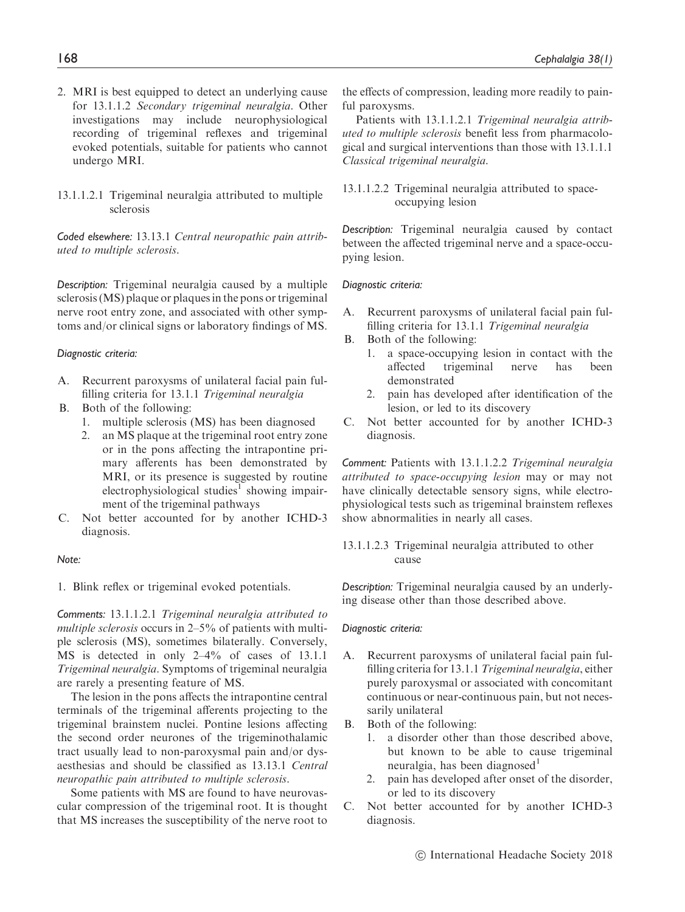- 2. MRI is best equipped to detect an underlying cause for 13.1.1.2 Secondary trigeminal neuralgia. Other investigations may include neurophysiological recording of trigeminal reflexes and trigeminal evoked potentials, suitable for patients who cannot undergo MRI.
- 13.1.1.2.1 Trigeminal neuralgia attributed to multiple sclerosis

Coded elsewhere: 13.13.1 Central neuropathic pain attributed to multiple sclerosis.

Description: Trigeminal neuralgia caused by a multiple sclerosis (MS) plaque or plaques in the pons or trigeminal nerve root entry zone, and associated with other symptoms and/or clinical signs or laboratory findings of MS.

## Diagnostic criteria:

- A. Recurrent paroxysms of unilateral facial pain fulfilling criteria for 13.1.1 Trigeminal neuralgia
- B. Both of the following:
	- 1. multiple sclerosis (MS) has been diagnosed
	- 2. an MS plaque at the trigeminal root entry zone or in the pons affecting the intrapontine primary afferents has been demonstrated by MRI, or its presence is suggested by routine  $electrophysiological studies<sup>1</sup> showing impair$ ment of the trigeminal pathways
- C. Not better accounted for by another ICHD-3 diagnosis.

## Note:

1. Blink reflex or trigeminal evoked potentials.

Comments: 13.1.1.2.1 Trigeminal neuralgia attributed to multiple sclerosis occurs in 2–5% of patients with multiple sclerosis (MS), sometimes bilaterally. Conversely, MS is detected in only 2–4% of cases of 13.1.1 Trigeminal neuralgia. Symptoms of trigeminal neuralgia are rarely a presenting feature of MS.

The lesion in the pons affects the intrapontine central terminals of the trigeminal afferents projecting to the trigeminal brainstem nuclei. Pontine lesions affecting the second order neurones of the trigeminothalamic tract usually lead to non-paroxysmal pain and/or dysaesthesias and should be classified as 13.13.1 Central neuropathic pain attributed to multiple sclerosis.

Some patients with MS are found to have neurovascular compression of the trigeminal root. It is thought that MS increases the susceptibility of the nerve root to the effects of compression, leading more readily to painful paroxysms.

Patients with 13.1.1.2.1 Trigeminal neuralgia attributed to multiple sclerosis benefit less from pharmacological and surgical interventions than those with 13.1.1.1 Classical trigeminal neuralgia.

13.1.1.2.2 Trigeminal neuralgia attributed to spaceoccupying lesion

Description: Trigeminal neuralgia caused by contact between the affected trigeminal nerve and a space-occupying lesion.

### Diagnostic criteria:

- A. Recurrent paroxysms of unilateral facial pain fulfilling criteria for 13.1.1 Trigeminal neuralgia
- B. Both of the following:
	- 1. a space-occupying lesion in contact with the affected trigeminal nerve has been demonstrated
	- 2. pain has developed after identification of the lesion, or led to its discovery
- C. Not better accounted for by another ICHD-3 diagnosis.

Comment: Patients with 13.1.1.2.2 Trigeminal neuralgia attributed to space-occupying lesion may or may not have clinically detectable sensory signs, while electrophysiological tests such as trigeminal brainstem reflexes show abnormalities in nearly all cases.

## 13.1.1.2.3 Trigeminal neuralgia attributed to other cause

Description: Trigeminal neuralgia caused by an underlying disease other than those described above.

- A. Recurrent paroxysms of unilateral facial pain fulfilling criteria for 13.1.1 Trigeminal neuralgia, either purely paroxysmal or associated with concomitant continuous or near-continuous pain, but not necessarily unilateral
- B. Both of the following:
	- 1. a disorder other than those described above, but known to be able to cause trigeminal neuralgia, has been diagnosed $<sup>1</sup>$ </sup>
	- 2. pain has developed after onset of the disorder, or led to its discovery
- C. Not better accounted for by another ICHD-3 diagnosis.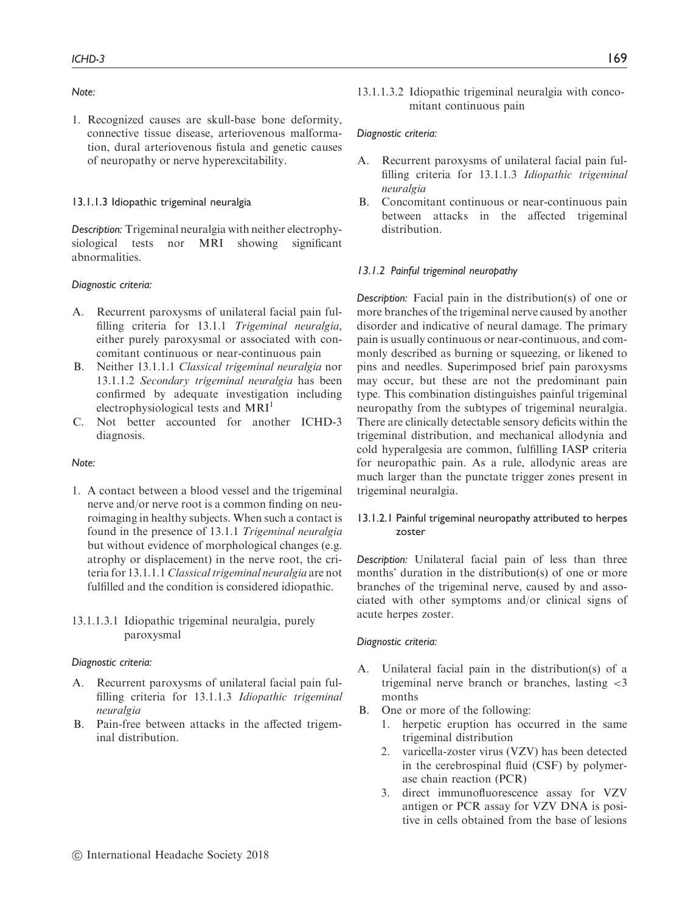## Note:

1. Recognized causes are skull-base bone deformity, connective tissue disease, arteriovenous malformation, dural arteriovenous fistula and genetic causes of neuropathy or nerve hyperexcitability.

## 13.1.1.3 Idiopathic trigeminal neuralgia

Description: Trigeminal neuralgia with neither electrophysiological tests nor MRI showing significant abnormalities.

## Diagnostic criteria:

- A. Recurrent paroxysms of unilateral facial pain fulfilling criteria for 13.1.1 Trigeminal neuralgia, either purely paroxysmal or associated with concomitant continuous or near-continuous pain
- B. Neither 13.1.1.1 Classical trigeminal neuralgia nor 13.1.1.2 Secondary trigeminal neuralgia has been confirmed by adequate investigation including electrophysiological tests and  $MRI<sup>1</sup>$
- C. Not better accounted for another ICHD-3 diagnosis.

## Note:

- 1. A contact between a blood vessel and the trigeminal nerve and/or nerve root is a common finding on neuroimaging in healthy subjects. When such a contact is found in the presence of 13.1.1 Trigeminal neuralgia but without evidence of morphological changes (e.g. atrophy or displacement) in the nerve root, the criteria for 13.1.1.1 Classical trigeminal neuralgia are not fulfilled and the condition is considered idiopathic.
- 13.1.1.3.1 Idiopathic trigeminal neuralgia, purely paroxysmal

## Diagnostic criteria:

- A. Recurrent paroxysms of unilateral facial pain fulfilling criteria for 13.1.1.3 Idiopathic trigeminal neuralgia
- B. Pain-free between attacks in the affected trigeminal distribution.

13.1.1.3.2 Idiopathic trigeminal neuralgia with concomitant continuous pain

## Diagnostic criteria:

- A. Recurrent paroxysms of unilateral facial pain fulfilling criteria for 13.1.1.3 Idiopathic trigeminal neuralgia
- B. Concomitant continuous or near-continuous pain between attacks in the affected trigeminal distribution.

## 13.1.2 Painful trigeminal neuropathy

Description: Facial pain in the distribution(s) of one or more branches of the trigeminal nerve caused by another disorder and indicative of neural damage. The primary pain is usually continuous or near-continuous, and commonly described as burning or squeezing, or likened to pins and needles. Superimposed brief pain paroxysms may occur, but these are not the predominant pain type. This combination distinguishes painful trigeminal neuropathy from the subtypes of trigeminal neuralgia. There are clinically detectable sensory deficits within the trigeminal distribution, and mechanical allodynia and cold hyperalgesia are common, fulfilling IASP criteria for neuropathic pain. As a rule, allodynic areas are much larger than the punctate trigger zones present in trigeminal neuralgia.

## 13.1.2.1 Painful trigeminal neuropathy attributed to herpes zoster

Description: Unilateral facial pain of less than three months' duration in the distribution(s) of one or more branches of the trigeminal nerve, caused by and associated with other symptoms and/or clinical signs of acute herpes zoster.

- A. Unilateral facial pain in the distribution(s) of a trigeminal nerve branch or branches, lasting  $\lt$ 3 months
- B. One or more of the following:
	- 1. herpetic eruption has occurred in the same trigeminal distribution
	- 2. varicella-zoster virus (VZV) has been detected in the cerebrospinal fluid (CSF) by polymerase chain reaction (PCR)
	- 3. direct immunofluorescence assay for VZV antigen or PCR assay for VZV DNA is positive in cells obtained from the base of lesions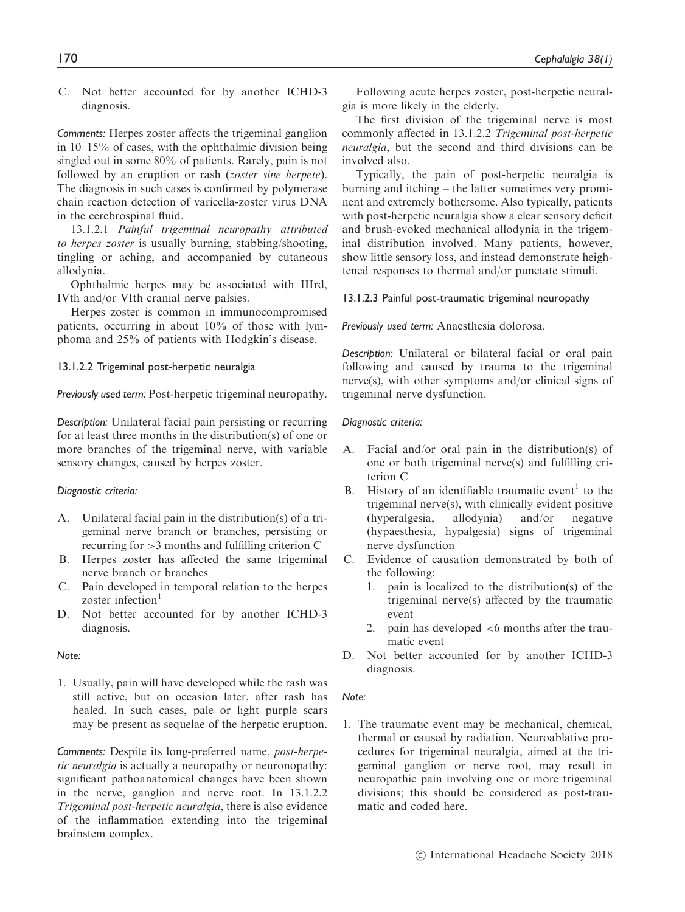C. Not better accounted for by another ICHD-3 diagnosis.

Comments: Herpes zoster affects the trigeminal ganglion in 10–15% of cases, with the ophthalmic division being singled out in some 80% of patients. Rarely, pain is not followed by an eruption or rash (zoster sine herpete). The diagnosis in such cases is confirmed by polymerase chain reaction detection of varicella-zoster virus DNA in the cerebrospinal fluid.

13.1.2.1 Painful trigeminal neuropathy attributed to herpes zoster is usually burning, stabbing/shooting, tingling or aching, and accompanied by cutaneous allodynia.

Ophthalmic herpes may be associated with IIIrd, IVth and/or VIth cranial nerve palsies.

Herpes zoster is common in immunocompromised patients, occurring in about 10% of those with lymphoma and 25% of patients with Hodgkin's disease.

## 13.1.2.2 Trigeminal post-herpetic neuralgia

Previously used term: Post-herpetic trigeminal neuropathy.

Description: Unilateral facial pain persisting or recurring for at least three months in the distribution(s) of one or more branches of the trigeminal nerve, with variable sensory changes, caused by herpes zoster.

### Diagnostic criteria:

- A. Unilateral facial pain in the distribution(s) of a trigeminal nerve branch or branches, persisting or recurring for >3 months and fulfilling criterion C
- B. Herpes zoster has affected the same trigeminal nerve branch or branches
- C. Pain developed in temporal relation to the herpes zoster infection<sup>1</sup>
- D. Not better accounted for by another ICHD-3 diagnosis.

#### Note:

1. Usually, pain will have developed while the rash was still active, but on occasion later, after rash has healed. In such cases, pale or light purple scars may be present as sequelae of the herpetic eruption.

Comments: Despite its long-preferred name, post-herpetic neuralgia is actually a neuropathy or neuronopathy: significant pathoanatomical changes have been shown in the nerve, ganglion and nerve root. In 13.1.2.2 Trigeminal post-herpetic neuralgia, there is also evidence of the inflammation extending into the trigeminal brainstem complex.

Following acute herpes zoster, post-herpetic neuralgia is more likely in the elderly.

The first division of the trigeminal nerve is most commonly affected in 13.1.2.2 Trigeminal post-herpetic neuralgia, but the second and third divisions can be involved also.

Typically, the pain of post-herpetic neuralgia is burning and itching – the latter sometimes very prominent and extremely bothersome. Also typically, patients with post-herpetic neuralgia show a clear sensory deficit and brush-evoked mechanical allodynia in the trigeminal distribution involved. Many patients, however, show little sensory loss, and instead demonstrate heightened responses to thermal and/or punctate stimuli.

#### 13.1.2.3 Painful post-traumatic trigeminal neuropathy

Previously used term: Anaesthesia dolorosa.

Description: Unilateral or bilateral facial or oral pain following and caused by trauma to the trigeminal nerve(s), with other symptoms and/or clinical signs of trigeminal nerve dysfunction.

#### Diagnostic criteria:

- A. Facial and/or oral pain in the distribution(s) of one or both trigeminal nerve(s) and fulfilling criterion C
- B. History of an identifiable traumatic event<sup>1</sup> to the trigeminal nerve(s), with clinically evident positive (hyperalgesia, allodynia) and/or negative (hypaesthesia, hypalgesia) signs of trigeminal nerve dysfunction
- C. Evidence of causation demonstrated by both of the following:
	- 1. pain is localized to the distribution(s) of the trigeminal nerve(s) affected by the traumatic event
	- 2. pain has developed <6 months after the traumatic event
- D. Not better accounted for by another ICHD-3 diagnosis.

#### Note:

1. The traumatic event may be mechanical, chemical, thermal or caused by radiation. Neuroablative procedures for trigeminal neuralgia, aimed at the trigeminal ganglion or nerve root, may result in neuropathic pain involving one or more trigeminal divisions; this should be considered as post-traumatic and coded here.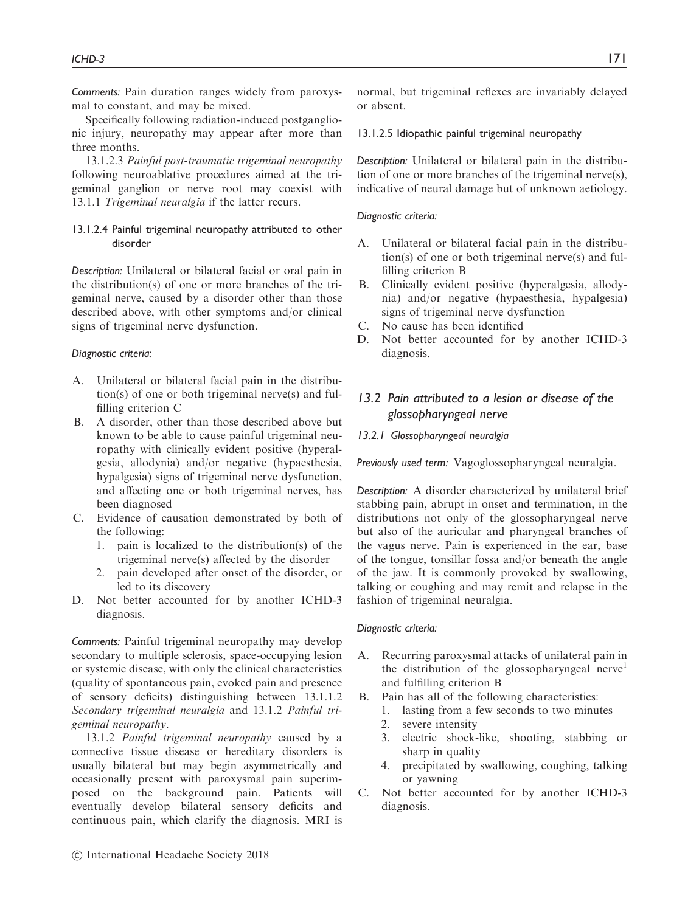Comments: Pain duration ranges widely from paroxysmal to constant, and may be mixed.

Specifically following radiation-induced postganglionic injury, neuropathy may appear after more than three months.

13.1.2.3 Painful post-traumatic trigeminal neuropathy following neuroablative procedures aimed at the trigeminal ganglion or nerve root may coexist with 13.1.1 Trigeminal neuralgia if the latter recurs.

## 13.1.2.4 Painful trigeminal neuropathy attributed to other disorder

Description: Unilateral or bilateral facial or oral pain in the distribution(s) of one or more branches of the trigeminal nerve, caused by a disorder other than those described above, with other symptoms and/or clinical signs of trigeminal nerve dysfunction.

## Diagnostic criteria:

- A. Unilateral or bilateral facial pain in the distribution(s) of one or both trigeminal nerve(s) and fulfilling criterion C
- B. A disorder, other than those described above but known to be able to cause painful trigeminal neuropathy with clinically evident positive (hyperalgesia, allodynia) and/or negative (hypaesthesia, hypalgesia) signs of trigeminal nerve dysfunction, and affecting one or both trigeminal nerves, has been diagnosed
- C. Evidence of causation demonstrated by both of the following:
	- 1. pain is localized to the distribution(s) of the trigeminal nerve(s) affected by the disorder
	- 2. pain developed after onset of the disorder, or led to its discovery
- D. Not better accounted for by another ICHD-3 diagnosis.

Comments: Painful trigeminal neuropathy may develop secondary to multiple sclerosis, space-occupying lesion or systemic disease, with only the clinical characteristics (quality of spontaneous pain, evoked pain and presence of sensory deficits) distinguishing between 13.1.1.2 Secondary trigeminal neuralgia and 13.1.2 Painful trigeminal neuropathy.

13.1.2 Painful trigeminal neuropathy caused by a connective tissue disease or hereditary disorders is usually bilateral but may begin asymmetrically and occasionally present with paroxysmal pain superimposed on the background pain. Patients will eventually develop bilateral sensory deficits and continuous pain, which clarify the diagnosis. MRI is normal, but trigeminal reflexes are invariably delayed or absent.

## 13.1.2.5 Idiopathic painful trigeminal neuropathy

Description: Unilateral or bilateral pain in the distribution of one or more branches of the trigeminal nerve(s), indicative of neural damage but of unknown aetiology.

## Diagnostic criteria:

- A. Unilateral or bilateral facial pain in the distribution(s) of one or both trigeminal nerve(s) and fulfilling criterion B
- B. Clinically evident positive (hyperalgesia, allodynia) and/or negative (hypaesthesia, hypalgesia) signs of trigeminal nerve dysfunction
- C. No cause has been identified
- D. Not better accounted for by another ICHD-3 diagnosis.

# 13.2 Pain attributed to a lesion or disease of the glossopharyngeal nerve

13.2.1 Glossopharyngeal neuralgia

Previously used term: Vagoglossopharyngeal neuralgia.

Description: A disorder characterized by unilateral brief stabbing pain, abrupt in onset and termination, in the distributions not only of the glossopharyngeal nerve but also of the auricular and pharyngeal branches of the vagus nerve. Pain is experienced in the ear, base of the tongue, tonsillar fossa and/or beneath the angle of the jaw. It is commonly provoked by swallowing, talking or coughing and may remit and relapse in the fashion of trigeminal neuralgia.

- A. Recurring paroxysmal attacks of unilateral pain in the distribution of the glossopharyngeal nerve<sup>1</sup> and fulfilling criterion B
- B. Pain has all of the following characteristics:
	- 1. lasting from a few seconds to two minutes
	- 2. severe intensity
	- 3. electric shock-like, shooting, stabbing or sharp in quality
	- 4. precipitated by swallowing, coughing, talking or yawning
- C. Not better accounted for by another ICHD-3 diagnosis.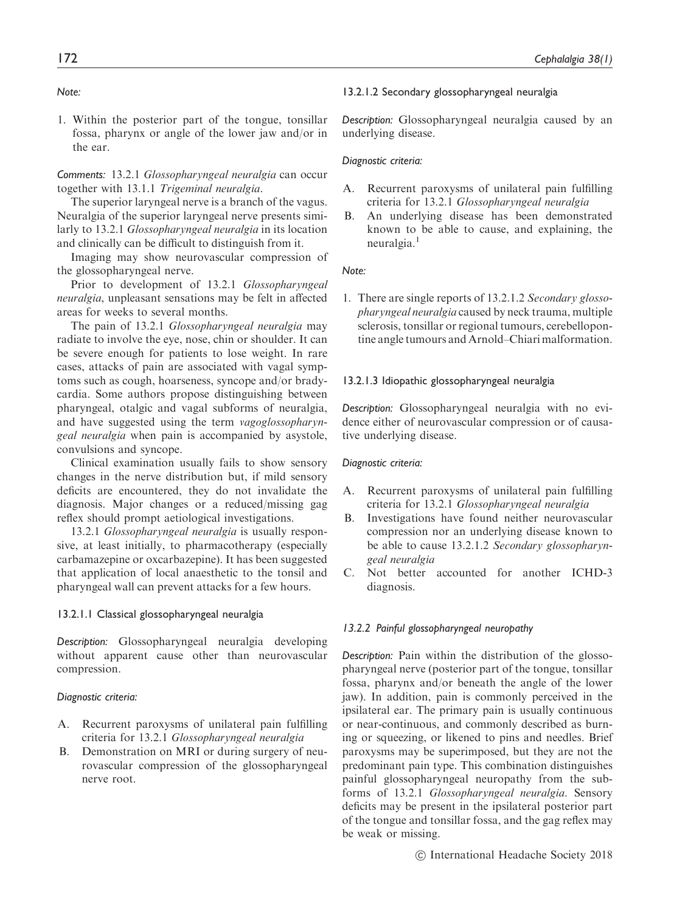# 1. Within the posterior part of the tongue, tonsillar fossa, pharynx or angle of the lower jaw and/or in the ear.

Comments: 13.2.1 Glossopharyngeal neuralgia can occur together with 13.1.1 Trigeminal neuralgia.

The superior laryngeal nerve is a branch of the vagus. Neuralgia of the superior laryngeal nerve presents similarly to 13.2.1 Glossopharyngeal neuralgia in its location and clinically can be difficult to distinguish from it.

Imaging may show neurovascular compression of the glossopharyngeal nerve.

Prior to development of 13.2.1 Glossopharyngeal neuralgia, unpleasant sensations may be felt in affected areas for weeks to several months.

The pain of 13.2.1 Glossopharyngeal neuralgia may radiate to involve the eye, nose, chin or shoulder. It can be severe enough for patients to lose weight. In rare cases, attacks of pain are associated with vagal symptoms such as cough, hoarseness, syncope and/or bradycardia. Some authors propose distinguishing between pharyngeal, otalgic and vagal subforms of neuralgia, and have suggested using the term vagoglossopharyngeal neuralgia when pain is accompanied by asystole, convulsions and syncope.

Clinical examination usually fails to show sensory changes in the nerve distribution but, if mild sensory deficits are encountered, they do not invalidate the diagnosis. Major changes or a reduced/missing gag reflex should prompt aetiological investigations.

13.2.1 Glossopharyngeal neuralgia is usually responsive, at least initially, to pharmacotherapy (especially carbamazepine or oxcarbazepine). It has been suggested that application of local anaesthetic to the tonsil and pharyngeal wall can prevent attacks for a few hours.

# 13.2.1.1 Classical glossopharyngeal neuralgia

Description: Glossopharyngeal neuralgia developing without apparent cause other than neurovascular compression.

## Diagnostic criteria:

- A. Recurrent paroxysms of unilateral pain fulfilling criteria for 13.2.1 Glossopharyngeal neuralgia
- B. Demonstration on MRI or during surgery of neurovascular compression of the glossopharyngeal nerve root.

## 13.2.1.2 Secondary glossopharyngeal neuralgia

Description: Glossopharyngeal neuralgia caused by an underlying disease.

### Diagnostic criteria:

- A. Recurrent paroxysms of unilateral pain fulfilling criteria for 13.2.1 Glossopharyngeal neuralgia
- B. An underlying disease has been demonstrated known to be able to cause, and explaining, the neuralgia.<sup>1</sup>

#### Note:

1. There are single reports of 13.2.1.2 Secondary glossopharyngeal neuralgia caused by neck trauma, multiple sclerosis, tonsillar or regional tumours, cerebellopontine angle tumours and Arnold–Chiari malformation.

## 13.2.1.3 Idiopathic glossopharyngeal neuralgia

Description: Glossopharyngeal neuralgia with no evidence either of neurovascular compression or of causative underlying disease.

#### Diagnostic criteria:

- A. Recurrent paroxysms of unilateral pain fulfilling criteria for 13.2.1 Glossopharyngeal neuralgia
- B. Investigations have found neither neurovascular compression nor an underlying disease known to be able to cause 13.2.1.2 Secondary glossopharyngeal neuralgia
- C. Not better accounted for another ICHD-3 diagnosis.

## 13.2.2 Painful glossopharyngeal neuropathy

Description: Pain within the distribution of the glossopharyngeal nerve (posterior part of the tongue, tonsillar fossa, pharynx and/or beneath the angle of the lower jaw). In addition, pain is commonly perceived in the ipsilateral ear. The primary pain is usually continuous or near-continuous, and commonly described as burning or squeezing, or likened to pins and needles. Brief paroxysms may be superimposed, but they are not the predominant pain type. This combination distinguishes painful glossopharyngeal neuropathy from the subforms of 13.2.1 Glossopharyngeal neuralgia. Sensory deficits may be present in the ipsilateral posterior part of the tongue and tonsillar fossa, and the gag reflex may be weak or missing.

Note: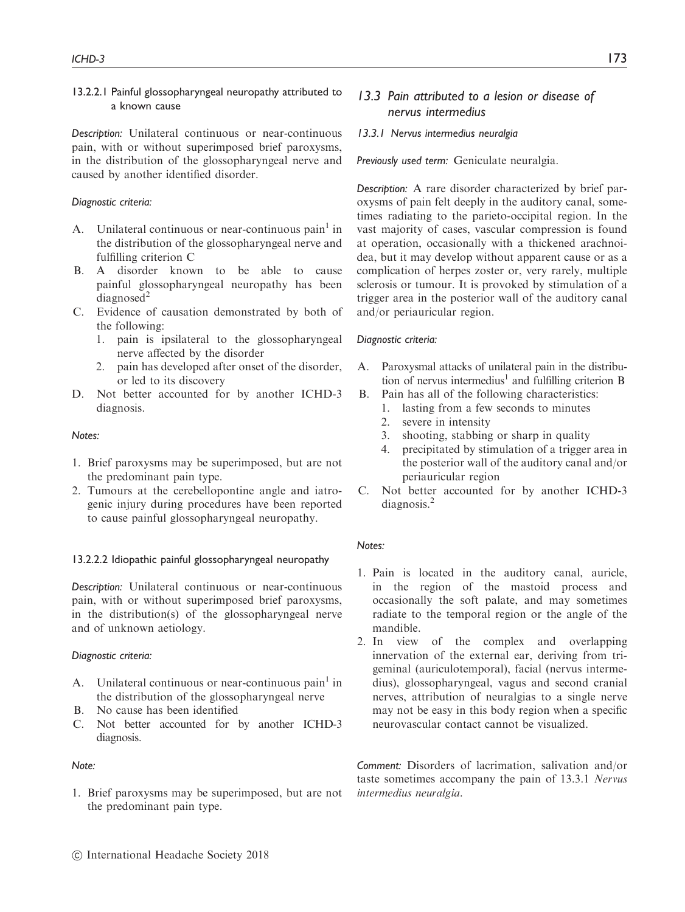# 13.2.2.1 Painful glossopharyngeal neuropathy attributed to a known cause

Description: Unilateral continuous or near-continuous pain, with or without superimposed brief paroxysms, in the distribution of the glossopharyngeal nerve and caused by another identified disorder.

## Diagnostic criteria:

- A. Unilateral continuous or near-continuous pain<sup>1</sup> in the distribution of the glossopharyngeal nerve and fulfilling criterion C
- B. A disorder known to be able to cause painful glossopharyngeal neuropathy has been  $diagnosed<sup>2</sup>$
- C. Evidence of causation demonstrated by both of the following:
	- 1. pain is ipsilateral to the glossopharyngeal nerve affected by the disorder
	- 2. pain has developed after onset of the disorder, or led to its discovery
- D. Not better accounted for by another ICHD-3 diagnosis.

## Notes:

- 1. Brief paroxysms may be superimposed, but are not the predominant pain type.
- 2. Tumours at the cerebellopontine angle and iatrogenic injury during procedures have been reported to cause painful glossopharyngeal neuropathy.

# 13.2.2.2 Idiopathic painful glossopharyngeal neuropathy

Description: Unilateral continuous or near-continuous pain, with or without superimposed brief paroxysms, in the distribution(s) of the glossopharyngeal nerve and of unknown aetiology.

## Diagnostic criteria:

- A. Unilateral continuous or near-continuous pain<sup>1</sup> in the distribution of the glossopharyngeal nerve
- B. No cause has been identified
- C. Not better accounted for by another ICHD-3 diagnosis.

## Note:

1. Brief paroxysms may be superimposed, but are not the predominant pain type.

# 13.3 Pain attributed to a lesion or disease of nervus intermedius

13.3.1 Nervus intermedius neuralgia

Previously used term: Geniculate neuralgia.

Description: A rare disorder characterized by brief paroxysms of pain felt deeply in the auditory canal, sometimes radiating to the parieto-occipital region. In the vast majority of cases, vascular compression is found at operation, occasionally with a thickened arachnoidea, but it may develop without apparent cause or as a complication of herpes zoster or, very rarely, multiple sclerosis or tumour. It is provoked by stimulation of a trigger area in the posterior wall of the auditory canal and/or periauricular region.

## Diagnostic criteria:

- A. Paroxysmal attacks of unilateral pain in the distribution of nervus intermedius<sup>1</sup> and fulfilling criterion B
- B. Pain has all of the following characteristics:
	- 1. lasting from a few seconds to minutes
	- 2. severe in intensity
	- 3. shooting, stabbing or sharp in quality
	- 4. precipitated by stimulation of a trigger area in the posterior wall of the auditory canal and/or periauricular region
- C. Not better accounted for by another ICHD-3 diagnosis.<sup>2</sup>

# Notes:

- 1. Pain is located in the auditory canal, auricle, in the region of the mastoid process and occasionally the soft palate, and may sometimes radiate to the temporal region or the angle of the mandible.
- 2. In view of the complex and overlapping innervation of the external ear, deriving from trigeminal (auriculotemporal), facial (nervus intermedius), glossopharyngeal, vagus and second cranial nerves, attribution of neuralgias to a single nerve may not be easy in this body region when a specific neurovascular contact cannot be visualized.

Comment: Disorders of lacrimation, salivation and/or taste sometimes accompany the pain of 13.3.1 Nervus intermedius neuralgia.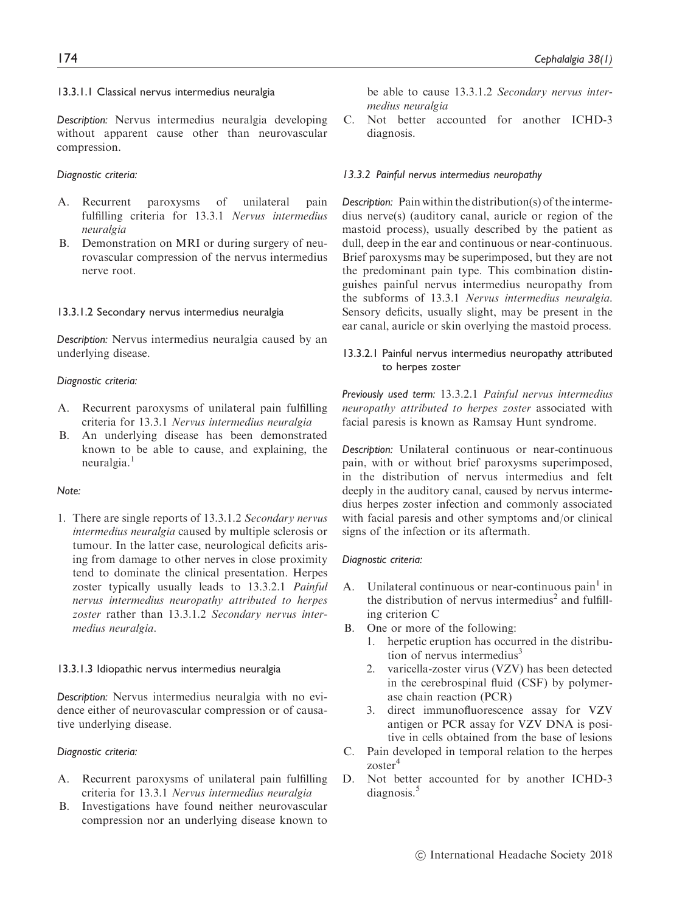# 13.3.1.1 Classical nervus intermedius neuralgia

Description: Nervus intermedius neuralgia developing without apparent cause other than neurovascular compression.

## Diagnostic criteria:

- A. Recurrent paroxysms of unilateral pain fulfilling criteria for 13.3.1 Nervus intermedius neuralgia
- B. Demonstration on MRI or during surgery of neurovascular compression of the nervus intermedius nerve root.

#### 13.3.1.2 Secondary nervus intermedius neuralgia

Description: Nervus intermedius neuralgia caused by an underlying disease.

#### Diagnostic criteria:

- A. Recurrent paroxysms of unilateral pain fulfilling criteria for 13.3.1 Nervus intermedius neuralgia
- B. An underlying disease has been demonstrated known to be able to cause, and explaining, the neuralgia.<sup>1</sup>

#### Note:

1. There are single reports of 13.3.1.2 Secondary nervus intermedius neuralgia caused by multiple sclerosis or tumour. In the latter case, neurological deficits arising from damage to other nerves in close proximity tend to dominate the clinical presentation. Herpes zoster typically usually leads to 13.3.2.1 Painful nervus intermedius neuropathy attributed to herpes zoster rather than 13.3.1.2 Secondary nervus intermedius neuralgia.

#### 13.3.1.3 Idiopathic nervus intermedius neuralgia

Description: Nervus intermedius neuralgia with no evidence either of neurovascular compression or of causative underlying disease.

#### Diagnostic criteria:

- A. Recurrent paroxysms of unilateral pain fulfilling criteria for 13.3.1 Nervus intermedius neuralgia
- B. Investigations have found neither neurovascular compression nor an underlying disease known to

be able to cause 13.3.1.2 Secondary nervus intermedius neuralgia

C. Not better accounted for another ICHD-3 diagnosis.

#### 13.3.2 Painful nervus intermedius neuropathy

Description: Pain within the distribution(s) of the intermedius nerve(s) (auditory canal, auricle or region of the mastoid process), usually described by the patient as dull, deep in the ear and continuous or near-continuous. Brief paroxysms may be superimposed, but they are not the predominant pain type. This combination distinguishes painful nervus intermedius neuropathy from the subforms of 13.3.1 Nervus intermedius neuralgia. Sensory deficits, usually slight, may be present in the ear canal, auricle or skin overlying the mastoid process.

## 13.3.2.1 Painful nervus intermedius neuropathy attributed to herpes zoster

Previously used term: 13.3.2.1 Painful nervus intermedius neuropathy attributed to herpes zoster associated with facial paresis is known as Ramsay Hunt syndrome.

Description: Unilateral continuous or near-continuous pain, with or without brief paroxysms superimposed, in the distribution of nervus intermedius and felt deeply in the auditory canal, caused by nervus intermedius herpes zoster infection and commonly associated with facial paresis and other symptoms and/or clinical signs of the infection or its aftermath.

- A. Unilateral continuous or near-continuous pain<sup>1</sup> in the distribution of nervus intermedius<sup>2</sup> and fulfilling criterion C
- B. One or more of the following:
	- 1. herpetic eruption has occurred in the distribution of nervus intermedius<sup>3</sup>
	- 2. varicella-zoster virus (VZV) has been detected in the cerebrospinal fluid (CSF) by polymerase chain reaction (PCR)
	- 3. direct immunofluorescence assay for VZV antigen or PCR assay for VZV DNA is positive in cells obtained from the base of lesions
- C. Pain developed in temporal relation to the herpes zoster<sup>4</sup>
- D. Not better accounted for by another ICHD-3 diagnosis.<sup>5</sup>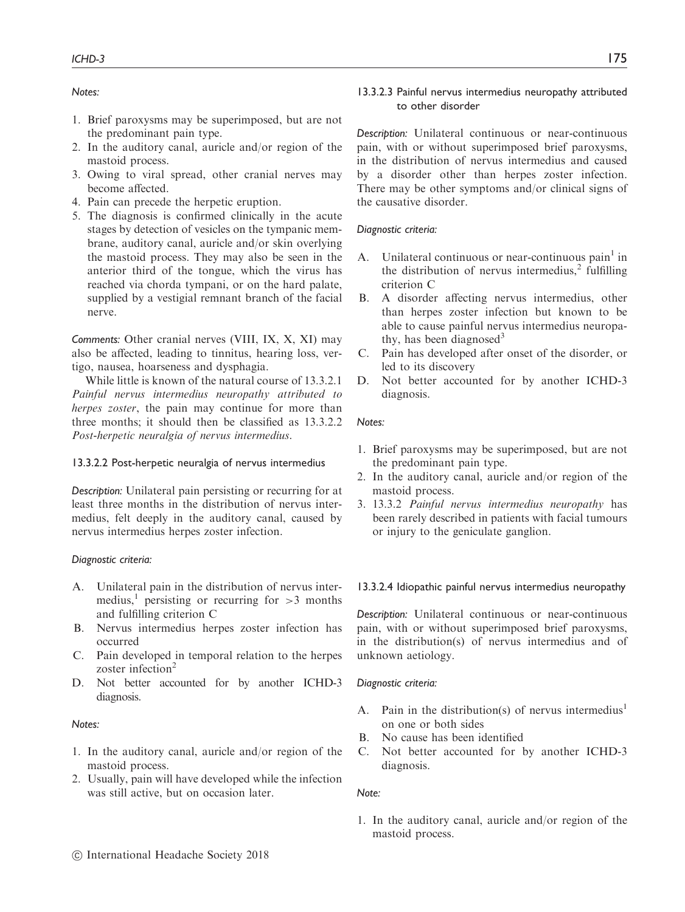## Notes:

- 1. Brief paroxysms may be superimposed, but are not the predominant pain type.
- 2. In the auditory canal, auricle and/or region of the mastoid process.
- 3. Owing to viral spread, other cranial nerves may become affected.
- 4. Pain can precede the herpetic eruption.
- 5. The diagnosis is confirmed clinically in the acute stages by detection of vesicles on the tympanic membrane, auditory canal, auricle and/or skin overlying the mastoid process. They may also be seen in the anterior third of the tongue, which the virus has reached via chorda tympani, or on the hard palate, supplied by a vestigial remnant branch of the facial nerve.

Comments: Other cranial nerves (VIII, IX, X, XI) may also be affected, leading to tinnitus, hearing loss, vertigo, nausea, hoarseness and dysphagia.

While little is known of the natural course of 13.3.2.1 Painful nervus intermedius neuropathy attributed to herpes zoster, the pain may continue for more than three months; it should then be classified as 13.3.2.2 Post-herpetic neuralgia of nervus intermedius.

#### 13.3.2.2 Post-herpetic neuralgia of nervus intermedius

Description: Unilateral pain persisting or recurring for at least three months in the distribution of nervus intermedius, felt deeply in the auditory canal, caused by nervus intermedius herpes zoster infection.

#### Diagnostic criteria:

- A. Unilateral pain in the distribution of nervus intermedius,<sup>1</sup> persisting or recurring for  $>3$  months and fulfilling criterion C
- B. Nervus intermedius herpes zoster infection has occurred
- C. Pain developed in temporal relation to the herpes zoster infection<sup>2</sup>
- D. Not better accounted for by another ICHD-3 diagnosis.

#### Notes:

- 1. In the auditory canal, auricle and/or region of the mastoid process.
- 2. Usually, pain will have developed while the infection was still active, but on occasion later.

## 13.3.2.3 Painful nervus intermedius neuropathy attributed to other disorder

Description: Unilateral continuous or near-continuous pain, with or without superimposed brief paroxysms, in the distribution of nervus intermedius and caused by a disorder other than herpes zoster infection. There may be other symptoms and/or clinical signs of the causative disorder.

#### Diagnostic criteria:

- A. Unilateral continuous or near-continuous pain<sup>1</sup> in the distribution of nervus intermedius, $\frac{2}{3}$  fulfilling criterion C
- B. A disorder affecting nervus intermedius, other than herpes zoster infection but known to be able to cause painful nervus intermedius neuropathy, has been diagnosed $3$
- C. Pain has developed after onset of the disorder, or led to its discovery
- D. Not better accounted for by another ICHD-3 diagnosis.

#### Notes:

- 1. Brief paroxysms may be superimposed, but are not the predominant pain type.
- 2. In the auditory canal, auricle and/or region of the mastoid process.
- 3. 13.3.2 Painful nervus intermedius neuropathy has been rarely described in patients with facial tumours or injury to the geniculate ganglion.

#### 13.3.2.4 Idiopathic painful nervus intermedius neuropathy

Description: Unilateral continuous or near-continuous pain, with or without superimposed brief paroxysms, in the distribution(s) of nervus intermedius and of unknown aetiology.

#### Diagnostic criteria:

- A. Pain in the distribution(s) of nervus intermedius<sup>1</sup> on one or both sides
- B. No cause has been identified
- C. Not better accounted for by another ICHD-3 diagnosis.

#### Note:

- 1. In the auditory canal, auricle and/or region of the mastoid process.
- ! International Headache Society 2018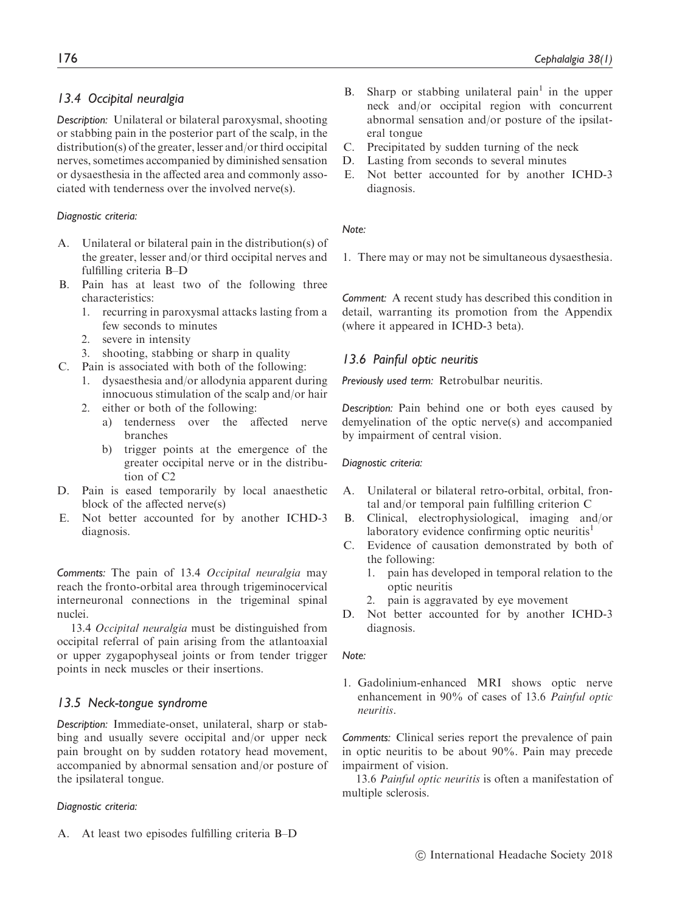# 13.4 Occipital neuralgia

Description: Unilateral or bilateral paroxysmal, shooting or stabbing pain in the posterior part of the scalp, in the distribution(s) of the greater, lesser and/or third occipital nerves, sometimes accompanied by diminished sensation or dysaesthesia in the affected area and commonly associated with tenderness over the involved nerve(s).

# Diagnostic criteria:

- A. Unilateral or bilateral pain in the distribution(s) of the greater, lesser and/or third occipital nerves and fulfilling criteria B–D
- B. Pain has at least two of the following three characteristics:
	- 1. recurring in paroxysmal attacks lasting from a few seconds to minutes
	- 2. severe in intensity
	- 3. shooting, stabbing or sharp in quality
- C. Pain is associated with both of the following:
	- 1. dysaesthesia and/or allodynia apparent during innocuous stimulation of the scalp and/or hair
	- 2. either or both of the following:
		- a) tenderness over the affected nerve branches
		- b) trigger points at the emergence of the greater occipital nerve or in the distribution of C2
- D. Pain is eased temporarily by local anaesthetic block of the affected nerve(s)
- E. Not better accounted for by another ICHD-3 diagnosis.

Comments: The pain of 13.4 Occipital neuralgia may reach the fronto-orbital area through trigeminocervical interneuronal connections in the trigeminal spinal nuclei.

13.4 Occipital neuralgia must be distinguished from occipital referral of pain arising from the atlantoaxial or upper zygapophyseal joints or from tender trigger points in neck muscles or their insertions.

# 13.5 Neck-tongue syndrome

Description: Immediate-onset, unilateral, sharp or stabbing and usually severe occipital and/or upper neck pain brought on by sudden rotatory head movement, accompanied by abnormal sensation and/or posture of the ipsilateral tongue.

# Diagnostic criteria:

A. At least two episodes fulfilling criteria B–D

- B. Sharp or stabbing unilateral pain<sup>1</sup> in the upper neck and/or occipital region with concurrent abnormal sensation and/or posture of the ipsilateral tongue
- C. Precipitated by sudden turning of the neck
- D. Lasting from seconds to several minutes
- E. Not better accounted for by another ICHD-3 diagnosis.

# Note:

1. There may or may not be simultaneous dysaesthesia.

Comment: A recent study has described this condition in detail, warranting its promotion from the Appendix (where it appeared in ICHD-3 beta).

# 13.6 Painful optic neuritis

Previously used term: Retrobulbar neuritis.

Description: Pain behind one or both eyes caused by demyelination of the optic nerve(s) and accompanied by impairment of central vision.

# Diagnostic criteria:

- A. Unilateral or bilateral retro-orbital, orbital, frontal and/or temporal pain fulfilling criterion C
- B. Clinical, electrophysiological, imaging and/or laboratory evidence confirming optic neuritis $<sup>1</sup>$ </sup>
- C. Evidence of causation demonstrated by both of the following:
	- 1. pain has developed in temporal relation to the optic neuritis
	- 2. pain is aggravated by eye movement
- D. Not better accounted for by another ICHD-3 diagnosis.

# Note:

1. Gadolinium-enhanced MRI shows optic nerve enhancement in 90% of cases of 13.6 Painful optic neuritis.

Comments: Clinical series report the prevalence of pain in optic neuritis to be about 90%. Pain may precede impairment of vision.

13.6 *Painful optic neuritis* is often a manifestation of multiple sclerosis.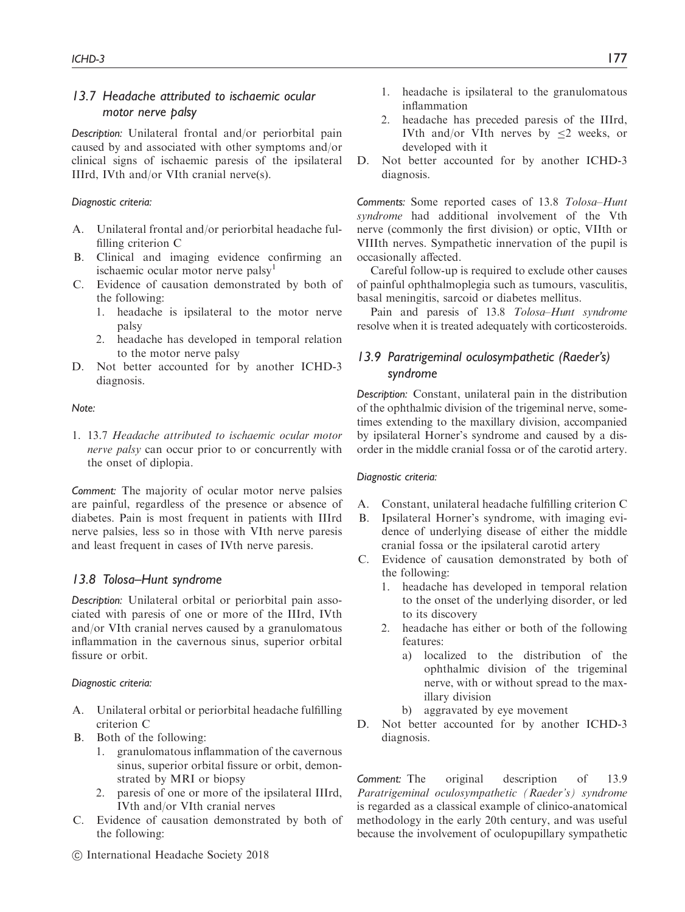# 13.7 Headache attributed to ischaemic ocular motor nerve balsy

Description: Unilateral frontal and/or periorbital pain caused by and associated with other symptoms and/or clinical signs of ischaemic paresis of the ipsilateral IIIrd, IVth and/or VIth cranial nerve(s).

## Diagnostic criteria:

- A. Unilateral frontal and/or periorbital headache fulfilling criterion C
- B. Clinical and imaging evidence confirming an ischaemic ocular motor nerve palsy<sup>1</sup>
- C. Evidence of causation demonstrated by both of the following:
	- 1. headache is ipsilateral to the motor nerve palsy
	- 2. headache has developed in temporal relation to the motor nerve palsy
- D. Not better accounted for by another ICHD-3 diagnosis.

## Note:

1. 13.7 Headache attributed to ischaemic ocular motor nerve palsy can occur prior to or concurrently with the onset of diplopia.

Comment: The majority of ocular motor nerve palsies are painful, regardless of the presence or absence of diabetes. Pain is most frequent in patients with IIIrd nerve palsies, less so in those with VIth nerve paresis and least frequent in cases of IVth nerve paresis.

# 13.8 Tolosa–Hunt syndrome

Description: Unilateral orbital or periorbital pain associated with paresis of one or more of the IIIrd, IVth and/or VIth cranial nerves caused by a granulomatous inflammation in the cavernous sinus, superior orbital fissure or orbit.

# Diagnostic criteria:

- A. Unilateral orbital or periorbital headache fulfilling criterion C
- B. Both of the following:
	- 1. granulomatous inflammation of the cavernous sinus, superior orbital fissure or orbit, demonstrated by MRI or biopsy
	- 2. paresis of one or more of the ipsilateral IIIrd, IVth and/or VIth cranial nerves
- C. Evidence of causation demonstrated by both of the following:
- ! International Headache Society 2018
- 1. headache is ipsilateral to the granulomatous inflammation
- 2. headache has preceded paresis of the IIIrd, IVth and/or VIth nerves by  $\leq 2$  weeks, or developed with it
- D. Not better accounted for by another ICHD-3 diagnosis.

Comments: Some reported cases of 13.8 Tolosa–Hunt syndrome had additional involvement of the Vth nerve (commonly the first division) or optic, VIIth or VIIIth nerves. Sympathetic innervation of the pupil is occasionally affected.

Careful follow-up is required to exclude other causes of painful ophthalmoplegia such as tumours, vasculitis, basal meningitis, sarcoid or diabetes mellitus.

Pain and paresis of 13.8 Tolosa–Hunt syndrome resolve when it is treated adequately with corticosteroids.

# 13.9 Paratrigeminal oculosympathetic (Raeder's) syndrome

Description: Constant, unilateral pain in the distribution of the ophthalmic division of the trigeminal nerve, sometimes extending to the maxillary division, accompanied by ipsilateral Horner's syndrome and caused by a disorder in the middle cranial fossa or of the carotid artery.

## Diagnostic criteria:

- A. Constant, unilateral headache fulfilling criterion C
- B. Ipsilateral Horner's syndrome, with imaging evidence of underlying disease of either the middle cranial fossa or the ipsilateral carotid artery
- C. Evidence of causation demonstrated by both of the following:
	- 1. headache has developed in temporal relation to the onset of the underlying disorder, or led to its discovery
	- 2. headache has either or both of the following features:
		- a) localized to the distribution of the ophthalmic division of the trigeminal nerve, with or without spread to the maxillary division
		- b) aggravated by eye movement
- D. Not better accounted for by another ICHD-3 diagnosis.

Comment: The original description of 13.9 Paratrigeminal oculosympathetic (Raeder's) syndrome is regarded as a classical example of clinico-anatomical methodology in the early 20th century, and was useful because the involvement of oculopupillary sympathetic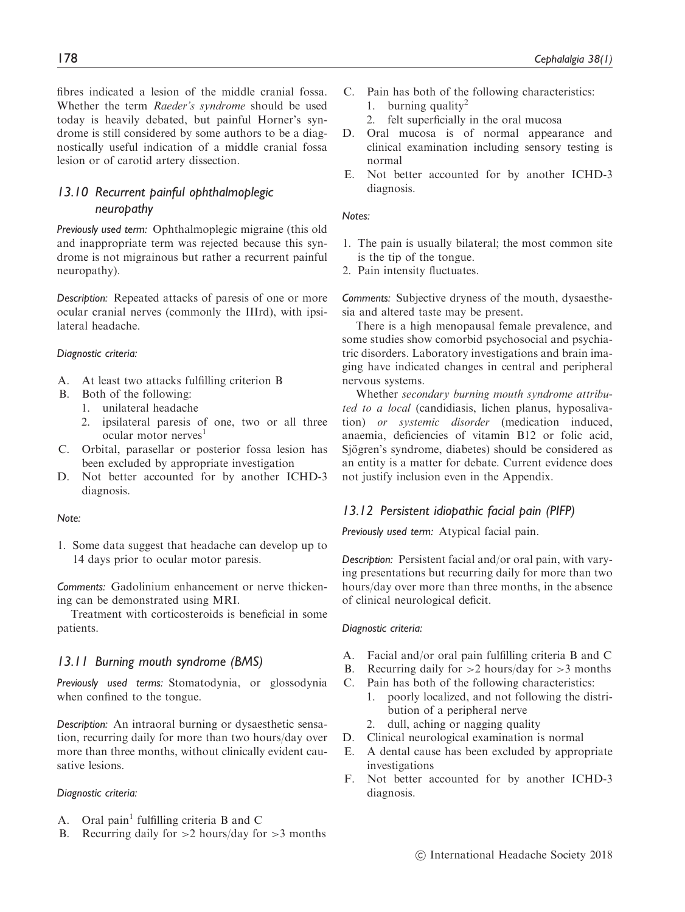fibres indicated a lesion of the middle cranial fossa. Whether the term Raeder's syndrome should be used today is heavily debated, but painful Horner's syndrome is still considered by some authors to be a diagnostically useful indication of a middle cranial fossa lesion or of carotid artery dissection.

# 13.10 Recurrent painful ophthalmoplegic neuropathy

Previously used term: Ophthalmoplegic migraine (this old and inappropriate term was rejected because this syndrome is not migrainous but rather a recurrent painful neuropathy).

Description: Repeated attacks of paresis of one or more ocular cranial nerves (commonly the IIIrd), with ipsilateral headache.

## Diagnostic criteria:

- A. At least two attacks fulfilling criterion B
- B. Both of the following:
	- 1. unilateral headache
		- 2. ipsilateral paresis of one, two or all three ocular motor nerves<sup>1</sup>
- C. Orbital, parasellar or posterior fossa lesion has been excluded by appropriate investigation
- D. Not better accounted for by another ICHD-3 diagnosis.

## Note:

1. Some data suggest that headache can develop up to 14 days prior to ocular motor paresis.

Comments: Gadolinium enhancement or nerve thickening can be demonstrated using MRI.

Treatment with corticosteroids is beneficial in some patients.

# 13.11 Burning mouth syndrome (BMS)

Previously used terms: Stomatodynia, or glossodynia when confined to the tongue.

Description: An intraoral burning or dysaesthetic sensation, recurring daily for more than two hours/day over more than three months, without clinically evident causative lesions.

# Diagnostic criteria:

- A. Oral pain<sup>1</sup> fulfilling criteria B and C
- B. Recurring daily for  $>2$  hours/day for  $>3$  months
- C. Pain has both of the following characteristics: 1. burning quality<sup>2</sup>
	- 2. felt superficially in the oral mucosa
- D. Oral mucosa is of normal appearance and clinical examination including sensory testing is normal
- E. Not better accounted for by another ICHD-3 diagnosis.

## Notes:

- 1. The pain is usually bilateral; the most common site is the tip of the tongue.
- 2. Pain intensity fluctuates.

Comments: Subjective dryness of the mouth, dysaesthesia and altered taste may be present.

There is a high menopausal female prevalence, and some studies show comorbid psychosocial and psychiatric disorders. Laboratory investigations and brain imaging have indicated changes in central and peripheral nervous systems.

Whether secondary burning mouth syndrome attributed to a local (candidiasis, lichen planus, hyposalivation) or systemic disorder (medication induced, anaemia, deficiencies of vitamin B12 or folic acid, Sjögren's syndrome, diabetes) should be considered as an entity is a matter for debate. Current evidence does not justify inclusion even in the Appendix.

# 13.12 Persistent idiopathic facial pain (PIFP)

Previously used term: Atypical facial pain.

Description: Persistent facial and/or oral pain, with varying presentations but recurring daily for more than two hours/day over more than three months, in the absence of clinical neurological deficit.

- A. Facial and/or oral pain fulfilling criteria B and C
- B. Recurring daily for  $>2$  hours/day for  $>3$  months
- C. Pain has both of the following characteristics:
	- 1. poorly localized, and not following the distribution of a peripheral nerve
	- 2. dull, aching or nagging quality
- D. Clinical neurological examination is normal
- E. A dental cause has been excluded by appropriate investigations
- F. Not better accounted for by another ICHD-3 diagnosis.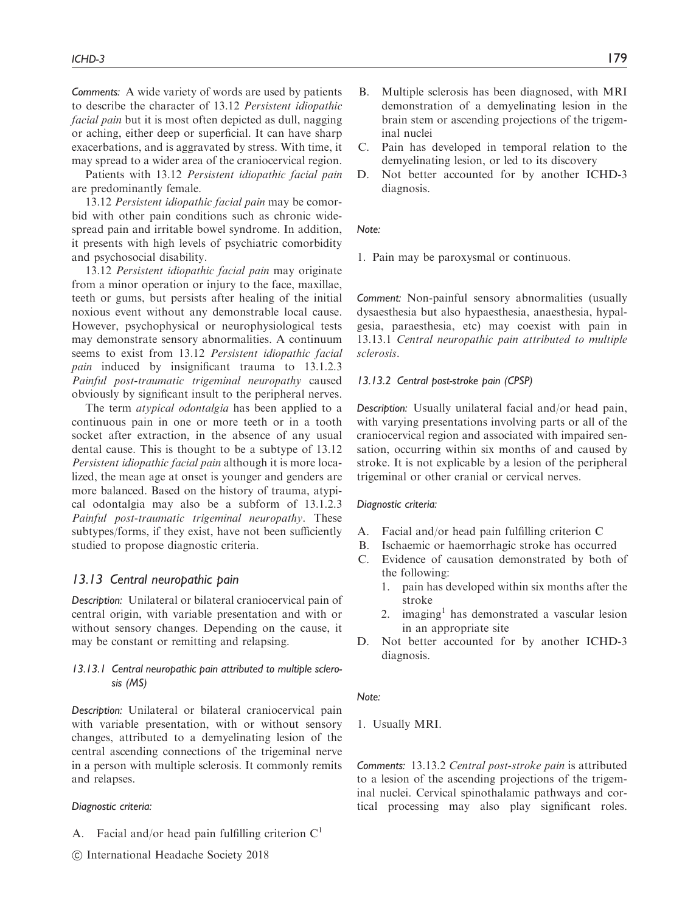Comments: A wide variety of words are used by patients to describe the character of 13.12 Persistent idiopathic facial pain but it is most often depicted as dull, nagging or aching, either deep or superficial. It can have sharp exacerbations, and is aggravated by stress. With time, it may spread to a wider area of the craniocervical region.

Patients with 13.12 Persistent idiopathic facial pain are predominantly female.

13.12 Persistent idiopathic facial pain may be comorbid with other pain conditions such as chronic widespread pain and irritable bowel syndrome. In addition, it presents with high levels of psychiatric comorbidity and psychosocial disability.

13.12 Persistent idiopathic facial pain may originate from a minor operation or injury to the face, maxillae, teeth or gums, but persists after healing of the initial noxious event without any demonstrable local cause. However, psychophysical or neurophysiological tests may demonstrate sensory abnormalities. A continuum seems to exist from 13.12 Persistent idiopathic facial pain induced by insignificant trauma to 13.1.2.3 Painful post-traumatic trigeminal neuropathy caused obviously by significant insult to the peripheral nerves.

The term *atypical odontalgia* has been applied to a continuous pain in one or more teeth or in a tooth socket after extraction, in the absence of any usual dental cause. This is thought to be a subtype of 13.12 Persistent idiopathic facial pain although it is more localized, the mean age at onset is younger and genders are more balanced. Based on the history of trauma, atypical odontalgia may also be a subform of 13.1.2.3 Painful post-traumatic trigeminal neuropathy. These subtypes/forms, if they exist, have not been sufficiently studied to propose diagnostic criteria.

## 13.13 Central neuropathic pain

Description: Unilateral or bilateral craniocervical pain of central origin, with variable presentation and with or without sensory changes. Depending on the cause, it may be constant or remitting and relapsing.

## 13.13.1 Central neuropathic pain attributed to multiple sclerosis (MS)

Description: Unilateral or bilateral craniocervical pain with variable presentation, with or without sensory changes, attributed to a demyelinating lesion of the central ascending connections of the trigeminal nerve in a person with multiple sclerosis. It commonly remits and relapses.

#### Diagnostic criteria:

- A. Facial and/or head pain fulfilling criterion  $C<sup>1</sup>$
- ! International Headache Society 2018
- B. Multiple sclerosis has been diagnosed, with MRI demonstration of a demyelinating lesion in the brain stem or ascending projections of the trigeminal nuclei
- C. Pain has developed in temporal relation to the demyelinating lesion, or led to its discovery
- D. Not better accounted for by another ICHD-3 diagnosis.

#### Note:

1. Pain may be paroxysmal or continuous.

Comment: Non-painful sensory abnormalities (usually dysaesthesia but also hypaesthesia, anaesthesia, hypalgesia, paraesthesia, etc) may coexist with pain in 13.13.1 Central neuropathic pain attributed to multiple sclerosis.

### 13.13.2 Central post-stroke pain (CPSP)

Description: Usually unilateral facial and/or head pain, with varying presentations involving parts or all of the craniocervical region and associated with impaired sensation, occurring within six months of and caused by stroke. It is not explicable by a lesion of the peripheral trigeminal or other cranial or cervical nerves.

#### Diagnostic criteria:

- A. Facial and/or head pain fulfilling criterion C
- B. Ischaemic or haemorrhagic stroke has occurred
- C. Evidence of causation demonstrated by both of the following:
	- 1. pain has developed within six months after the stroke
	- 2. imaging<sup>1</sup> has demonstrated a vascular lesion in an appropriate site
- D. Not better accounted for by another ICHD-3 diagnosis.

#### Note:

1. Usually MRI.

Comments: 13.13.2 Central post-stroke pain is attributed to a lesion of the ascending projections of the trigeminal nuclei. Cervical spinothalamic pathways and cortical processing may also play significant roles.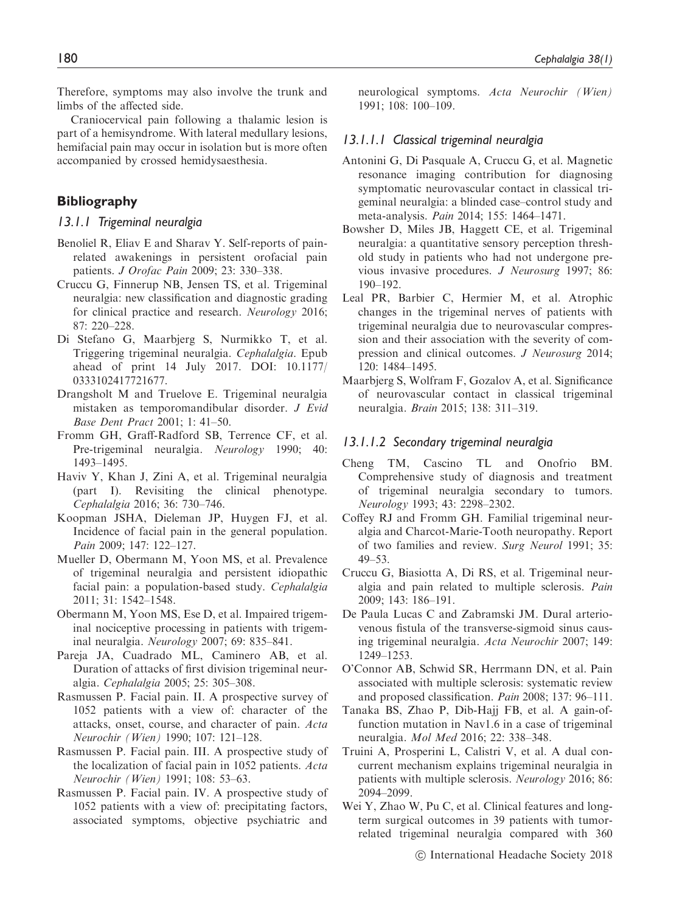Therefore, symptoms may also involve the trunk and limbs of the affected side.

Craniocervical pain following a thalamic lesion is part of a hemisyndrome. With lateral medullary lesions, hemifacial pain may occur in isolation but is more often accompanied by crossed hemidysaesthesia.

# **Bibliography**

## 13.1.1 Trigeminal neuralgia

- Benoliel R, Eliav E and Sharav Y. Self-reports of painrelated awakenings in persistent orofacial pain patients. J Orofac Pain 2009; 23: 330–338.
- Cruccu G, Finnerup NB, Jensen TS, et al. Trigeminal neuralgia: new classification and diagnostic grading for clinical practice and research. Neurology 2016; 87: 220–228.
- Di Stefano G, Maarbjerg S, Nurmikko T, et al. Triggering trigeminal neuralgia. Cephalalgia. Epub ahead of print 14 July 2017. DOI: 10.1177/ 0333102417721677.
- Drangsholt M and Truelove E. Trigeminal neuralgia mistaken as temporomandibular disorder. J Evid Base Dent Pract 2001; 1: 41–50.
- Fromm GH, Graff-Radford SB, Terrence CF, et al. Pre-trigeminal neuralgia. Neurology 1990; 40: 1493–1495.
- Haviv Y, Khan J, Zini A, et al. Trigeminal neuralgia (part I). Revisiting the clinical phenotype. Cephalalgia 2016; 36: 730–746.
- Koopman JSHA, Dieleman JP, Huygen FJ, et al. Incidence of facial pain in the general population. Pain 2009; 147: 122–127.
- Mueller D, Obermann M, Yoon MS, et al. Prevalence of trigeminal neuralgia and persistent idiopathic facial pain: a population-based study. Cephalalgia 2011; 31: 1542–1548.
- Obermann M, Yoon MS, Ese D, et al. Impaired trigeminal nociceptive processing in patients with trigeminal neuralgia. Neurology 2007; 69: 835–841.
- Pareja JA, Cuadrado ML, Caminero AB, et al. Duration of attacks of first division trigeminal neuralgia. Cephalalgia 2005; 25: 305–308.
- Rasmussen P. Facial pain. II. A prospective survey of 1052 patients with a view of: character of the attacks, onset, course, and character of pain. Acta Neurochir (Wien) 1990; 107: 121–128.
- Rasmussen P. Facial pain. III. A prospective study of the localization of facial pain in 1052 patients. Acta Neurochir (Wien) 1991; 108: 53–63.
- Rasmussen P. Facial pain. IV. A prospective study of 1052 patients with a view of: precipitating factors, associated symptoms, objective psychiatric and

neurological symptoms. Acta Neurochir (Wien) 1991; 108: 100–109.

## 13.1.1.1 Classical trigeminal neuralgia

- Antonini G, Di Pasquale A, Cruccu G, et al. Magnetic resonance imaging contribution for diagnosing symptomatic neurovascular contact in classical trigeminal neuralgia: a blinded case–control study and meta-analysis. Pain 2014; 155: 1464–1471.
- Bowsher D, Miles JB, Haggett CE, et al. Trigeminal neuralgia: a quantitative sensory perception threshold study in patients who had not undergone previous invasive procedures. J Neurosurg 1997; 86: 190–192.
- Leal PR, Barbier C, Hermier M, et al. Atrophic changes in the trigeminal nerves of patients with trigeminal neuralgia due to neurovascular compression and their association with the severity of compression and clinical outcomes. J Neurosurg 2014; 120: 1484–1495.
- Maarbjerg S, Wolfram F, Gozalov A, et al. Significance of neurovascular contact in classical trigeminal neuralgia. Brain 2015; 138: 311–319.

## 13.1.1.2 Secondary trigeminal neuralgia

- Cheng TM, Cascino TL and Onofrio BM. Comprehensive study of diagnosis and treatment of trigeminal neuralgia secondary to tumors. Neurology 1993; 43: 2298–2302.
- Coffey RJ and Fromm GH. Familial trigeminal neuralgia and Charcot-Marie-Tooth neuropathy. Report of two families and review. Surg Neurol 1991; 35: 49–53.
- Cruccu G, Biasiotta A, Di RS, et al. Trigeminal neuralgia and pain related to multiple sclerosis. Pain 2009; 143: 186–191.
- De Paula Lucas C and Zabramski JM. Dural arteriovenous fistula of the transverse-sigmoid sinus causing trigeminal neuralgia. Acta Neurochir 2007; 149: 1249–1253.
- O'Connor AB, Schwid SR, Herrmann DN, et al. Pain associated with multiple sclerosis: systematic review and proposed classification. Pain 2008; 137: 96–111.
- Tanaka BS, Zhao P, Dib-Hajj FB, et al. A gain-offunction mutation in Nav1.6 in a case of trigeminal neuralgia. Mol Med 2016; 22: 338–348.
- Truini A, Prosperini L, Calistri V, et al. A dual concurrent mechanism explains trigeminal neuralgia in patients with multiple sclerosis. Neurology 2016; 86: 2094–2099.
- Wei Y, Zhao W, Pu C, et al. Clinical features and longterm surgical outcomes in 39 patients with tumorrelated trigeminal neuralgia compared with 360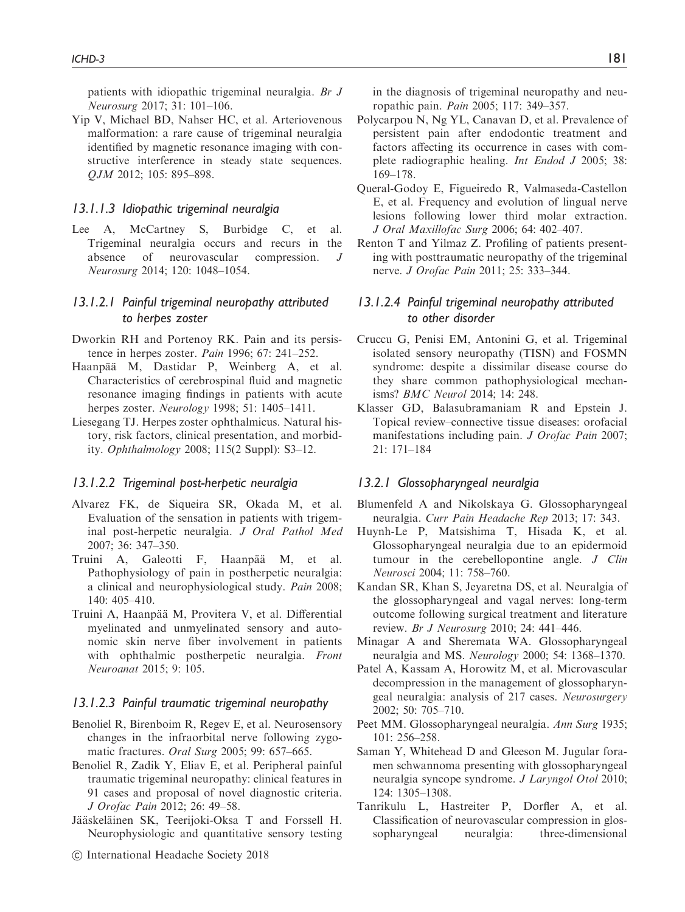patients with idiopathic trigeminal neuralgia. Br J Neurosurg 2017; 31: 101–106.

Yip V, Michael BD, Nahser HC, et al. Arteriovenous malformation: a rare cause of trigeminal neuralgia identified by magnetic resonance imaging with constructive interference in steady state sequences. QJM 2012; 105: 895–898.

### 13.1.1.3 Idiopathic trigeminal neuralgia

Lee A, McCartney S, Burbidge C, et al. Trigeminal neuralgia occurs and recurs in the absence of neurovascular compression. J Neurosurg 2014; 120: 1048–1054.

## 13.1.2.1 Painful trigeminal neuropathy attributed to herpes zoster

- Dworkin RH and Portenoy RK. Pain and its persistence in herpes zoster. Pain 1996; 67: 241–252.
- Haanpää M, Dastidar P, Weinberg A, et al. Characteristics of cerebrospinal fluid and magnetic resonance imaging findings in patients with acute herpes zoster. Neurology 1998; 51: 1405–1411.
- Liesegang TJ. Herpes zoster ophthalmicus. Natural history, risk factors, clinical presentation, and morbidity. Ophthalmology 2008; 115(2 Suppl): S3–12.

### 13.1.2.2 Trigeminal post-herpetic neuralgia

- Alvarez FK, de Siqueira SR, Okada M, et al. Evaluation of the sensation in patients with trigeminal post-herpetic neuralgia. J Oral Pathol Med 2007; 36: 347–350.
- Truini A, Galeotti F, Haanpää M, et al. Pathophysiology of pain in postherpetic neuralgia: a clinical and neurophysiological study. Pain 2008; 140: 405–410.
- Truini A, Haanpää M, Provitera V, et al. Differential myelinated and unmyelinated sensory and autonomic skin nerve fiber involvement in patients with ophthalmic postherpetic neuralgia. Front Neuroanat 2015; 9: 105.

#### 13.1.2.3 Painful traumatic trigeminal neuropathy

- Benoliel R, Birenboim R, Regev E, et al. Neurosensory changes in the infraorbital nerve following zygomatic fractures. Oral Surg 2005; 99: 657–665.
- Benoliel R, Zadik Y, Eliav E, et al. Peripheral painful traumatic trigeminal neuropathy: clinical features in 91 cases and proposal of novel diagnostic criteria. J Orofac Pain 2012; 26: 49–58.
- Jääskeläinen SK, Teerijoki-Oksa T and Forssell H. Neurophysiologic and quantitative sensory testing
- ! International Headache Society 2018

in the diagnosis of trigeminal neuropathy and neuropathic pain. Pain 2005; 117: 349–357.

- Polycarpou N, Ng YL, Canavan D, et al. Prevalence of persistent pain after endodontic treatment and factors affecting its occurrence in cases with complete radiographic healing. Int Endod J 2005; 38: 169–178.
- Queral-Godoy E, Figueiredo R, Valmaseda-Castellon E, et al. Frequency and evolution of lingual nerve lesions following lower third molar extraction. J Oral Maxillofac Surg 2006; 64: 402–407.
- Renton T and Yilmaz Z. Profiling of patients presenting with posttraumatic neuropathy of the trigeminal nerve. J Orofac Pain 2011; 25: 333–344.

## 13.1.2.4 Painful trigeminal neuropathy attributed to other disorder

- Cruccu G, Penisi EM, Antonini G, et al. Trigeminal isolated sensory neuropathy (TISN) and FOSMN syndrome: despite a dissimilar disease course do they share common pathophysiological mechanisms? BMC Neurol 2014; 14: 248.
- Klasser GD, Balasubramaniam R and Epstein J. Topical review–connective tissue diseases: orofacial manifestations including pain. J Orofac Pain 2007; 21: 171–184

### 13.2.1 Glossopharyngeal neuralgia

- Blumenfeld A and Nikolskaya G. Glossopharyngeal neuralgia. Curr Pain Headache Rep 2013; 17: 343.
- Huynh-Le P, Matsishima T, Hisada K, et al. Glossopharyngeal neuralgia due to an epidermoid tumour in the cerebellopontine angle. *J Clin* Neurosci 2004; 11: 758–760.
- Kandan SR, Khan S, Jeyaretna DS, et al. Neuralgia of the glossopharyngeal and vagal nerves: long-term outcome following surgical treatment and literature review. Br J Neurosurg 2010; 24: 441–446.
- Minagar A and Sheremata WA. Glossopharyngeal neuralgia and MS. Neurology 2000; 54: 1368–1370.
- Patel A, Kassam A, Horowitz M, et al. Microvascular decompression in the management of glossopharyngeal neuralgia: analysis of 217 cases. Neurosurgery 2002; 50: 705–710.
- Peet MM. Glossopharyngeal neuralgia. Ann Surg 1935; 101: 256–258.
- Saman Y, Whitehead D and Gleeson M. Jugular foramen schwannoma presenting with glossopharyngeal neuralgia syncope syndrome. J Laryngol Otol 2010; 124: 1305–1308.
- Tanrikulu L, Hastreiter P, Dorfler A, et al. Classification of neurovascular compression in glossopharyngeal neuralgia: three-dimensional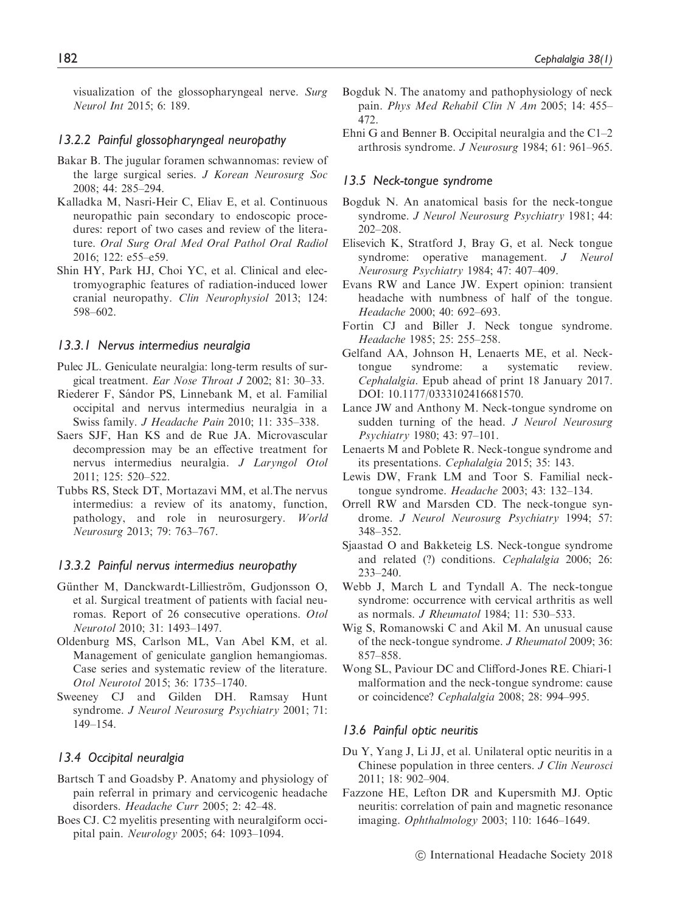visualization of the glossopharyngeal nerve. Surg Neurol Int 2015; 6: 189.

#### 13.2.2 Painful glossopharyngeal neuropathy

- Bakar B. The jugular foramen schwannomas: review of the large surgical series. J Korean Neurosurg Soc 2008; 44: 285–294.
- Kalladka M, Nasri-Heir C, Eliav E, et al. Continuous neuropathic pain secondary to endoscopic procedures: report of two cases and review of the literature. Oral Surg Oral Med Oral Pathol Oral Radiol 2016; 122: e55–e59.
- Shin HY, Park HJ, Choi YC, et al. Clinical and electromyographic features of radiation-induced lower cranial neuropathy. Clin Neurophysiol 2013; 124: 598–602.

#### 13.3.1 Nervus intermedius neuralgia

- Pulec JL. Geniculate neuralgia: long-term results of surgical treatment. Ear Nose Throat J 2002; 81: 30–33.
- Riederer F, Sándor PS, Linnebank M, et al. Familial occipital and nervus intermedius neuralgia in a Swiss family. J Headache Pain 2010; 11: 335–338.
- Saers SJF, Han KS and de Rue JA. Microvascular decompression may be an effective treatment for nervus intermedius neuralgia. J Laryngol Otol 2011; 125: 520–522.
- Tubbs RS, Steck DT, Mortazavi MM, et al.The nervus intermedius: a review of its anatomy, function, pathology, and role in neurosurgery. World Neurosurg 2013; 79: 763–767.

### 13.3.2 Painful nervus intermedius neuropathy

- Günther M, Danckwardt-Lillieström, Gudjonsson O, et al. Surgical treatment of patients with facial neuromas. Report of 26 consecutive operations. Otol Neurotol 2010; 31: 1493–1497.
- Oldenburg MS, Carlson ML, Van Abel KM, et al. Management of geniculate ganglion hemangiomas. Case series and systematic review of the literature. Otol Neurotol 2015; 36: 1735–1740.
- Sweeney CJ and Gilden DH. Ramsay Hunt syndrome. J Neurol Neurosurg Psychiatry 2001; 71: 149–154.

### 13.4 Occipital neuralgia

- Bartsch T and Goadsby P. Anatomy and physiology of pain referral in primary and cervicogenic headache disorders. Headache Curr 2005; 2: 42–48.
- Boes CJ. C2 myelitis presenting with neuralgiform occipital pain. Neurology 2005; 64: 1093–1094.
- Bogduk N. The anatomy and pathophysiology of neck pain. Phys Med Rehabil Clin N Am 2005; 14: 455– 472.
- Ehni G and Benner B. Occipital neuralgia and the C1–2 arthrosis syndrome. J Neurosurg 1984; 61: 961–965.

#### 13.5 Neck-tongue syndrome

- Bogduk N. An anatomical basis for the neck-tongue syndrome. J Neurol Neurosurg Psychiatry 1981; 44: 202–208.
- Elisevich K, Stratford J, Bray G, et al. Neck tongue syndrome: operative management. J Neurol Neurosurg Psychiatry 1984; 47: 407–409.
- Evans RW and Lance JW. Expert opinion: transient headache with numbness of half of the tongue. Headache 2000; 40: 692–693.
- Fortin CJ and Biller J. Neck tongue syndrome. Headache 1985; 25: 255–258.
- Gelfand AA, Johnson H, Lenaerts ME, et al. Necktongue syndrome: a systematic review. Cephalalgia. Epub ahead of print 18 January 2017. DOI: 10.1177/0333102416681570.
- Lance JW and Anthony M. Neck-tongue syndrome on sudden turning of the head. *J Neurol Neurosurg* Psychiatry 1980; 43: 97–101.
- Lenaerts M and Poblete R. Neck-tongue syndrome and its presentations. Cephalalgia 2015; 35: 143.
- Lewis DW, Frank LM and Toor S. Familial necktongue syndrome. Headache 2003; 43: 132–134.
- Orrell RW and Marsden CD. The neck-tongue syndrome. J Neurol Neurosurg Psychiatry 1994; 57: 348–352.
- Sjaastad O and Bakketeig LS. Neck-tongue syndrome and related (?) conditions. Cephalalgia 2006; 26: 233–240.
- Webb J, March L and Tyndall A. The neck-tongue syndrome: occurrence with cervical arthritis as well as normals. J Rheumatol 1984; 11: 530–533.
- Wig S, Romanowski C and Akil M. An unusual cause of the neck-tongue syndrome. J Rheumatol 2009; 36: 857–858.
- Wong SL, Paviour DC and Clifford-Jones RE. Chiari-1 malformation and the neck-tongue syndrome: cause or coincidence? Cephalalgia 2008; 28: 994–995.

### 13.6 Painful optic neuritis

- Du Y, Yang J, Li JJ, et al. Unilateral optic neuritis in a Chinese population in three centers. J Clin Neurosci 2011; 18: 902–904.
- Fazzone HE, Lefton DR and Kupersmith MJ. Optic neuritis: correlation of pain and magnetic resonance imaging. Ophthalmology 2003; 110: 1646–1649.

! International Headache Society 2018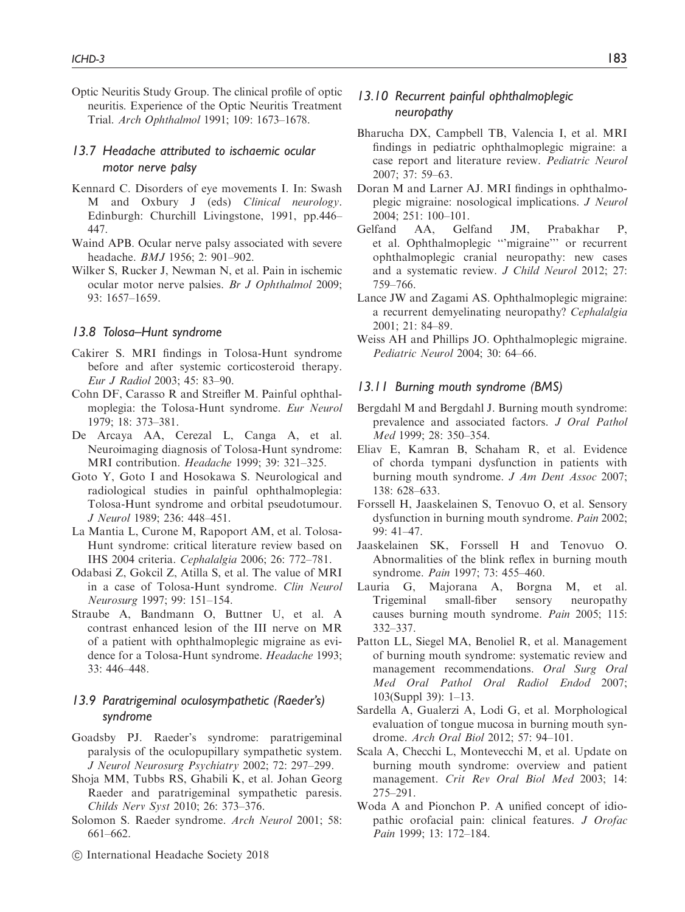Optic Neuritis Study Group. The clinical profile of optic neuritis. Experience of the Optic Neuritis Treatment Trial. Arch Ophthalmol 1991; 109: 1673–1678.

## 13.7 Headache attributed to ischaemic ocular motor nerve palsy

- Kennard C. Disorders of eye movements I. In: Swash M and Oxbury J (eds) Clinical neurology. Edinburgh: Churchill Livingstone, 1991, pp.446– 447.
- Waind APB. Ocular nerve palsy associated with severe headache. BMJ 1956; 2: 901–902.
- Wilker S, Rucker J, Newman N, et al. Pain in ischemic ocular motor nerve palsies. Br J Ophthalmol 2009; 93: 1657–1659.

### 13.8 Tolosa–Hunt syndrome

- Cakirer S. MRI findings in Tolosa-Hunt syndrome before and after systemic corticosteroid therapy. Eur J Radiol 2003; 45: 83–90.
- Cohn DF, Carasso R and Streifler M. Painful ophthalmoplegia: the Tolosa-Hunt syndrome. Eur Neurol 1979; 18: 373–381.
- De Arcaya AA, Cerezal L, Canga A, et al. Neuroimaging diagnosis of Tolosa-Hunt syndrome: MRI contribution. Headache 1999; 39: 321–325.
- Goto Y, Goto I and Hosokawa S. Neurological and radiological studies in painful ophthalmoplegia: Tolosa-Hunt syndrome and orbital pseudotumour. J Neurol 1989; 236: 448–451.
- La Mantia L, Curone M, Rapoport AM, et al. Tolosa-Hunt syndrome: critical literature review based on IHS 2004 criteria. Cephalalgia 2006; 26: 772–781.
- Odabasi Z, Gokcil Z, Atilla S, et al. The value of MRI in a case of Tolosa-Hunt syndrome. Clin Neurol Neurosurg 1997; 99: 151–154.
- Straube A, Bandmann O, Buttner U, et al. A contrast enhanced lesion of the III nerve on MR of a patient with ophthalmoplegic migraine as evidence for a Tolosa-Hunt syndrome. Headache 1993; 33: 446–448.

## 13.9 Paratrigeminal oculosympathetic (Raeder's) syndrome

- Goadsby PJ. Raeder's syndrome: paratrigeminal paralysis of the oculopupillary sympathetic system. J Neurol Neurosurg Psychiatry 2002; 72: 297–299.
- Shoja MM, Tubbs RS, Ghabili K, et al. Johan Georg Raeder and paratrigeminal sympathetic paresis. Childs Nerv Syst 2010; 26: 373–376.
- Solomon S. Raeder syndrome. Arch Neurol 2001; 58: 661–662.
- ! International Headache Society 2018

## 13.10 Recurrent painful ophthalmoplegic neuropathy

- Bharucha DX, Campbell TB, Valencia I, et al. MRI findings in pediatric ophthalmoplegic migraine: a case report and literature review. Pediatric Neurol 2007; 37: 59–63.
- Doran M and Larner AJ. MRI findings in ophthalmoplegic migraine: nosological implications. J Neurol 2004; 251: 100–101.
- Gelfand AA, Gelfand JM, Prabakhar P, et al. Ophthalmoplegic '''migraine''' or recurrent ophthalmoplegic cranial neuropathy: new cases and a systematic review. J Child Neurol 2012; 27: 759–766.
- Lance JW and Zagami AS. Ophthalmoplegic migraine: a recurrent demyelinating neuropathy? Cephalalgia 2001; 21: 84–89.
- Weiss AH and Phillips JO. Ophthalmoplegic migraine. Pediatric Neurol 2004; 30: 64–66.

### 13.11 Burning mouth syndrome (BMS)

- Bergdahl M and Bergdahl J. Burning mouth syndrome: prevalence and associated factors. J Oral Pathol Med 1999; 28: 350–354.
- Eliav E, Kamran B, Schaham R, et al. Evidence of chorda tympani dysfunction in patients with burning mouth syndrome. J Am Dent Assoc 2007; 138: 628–633.
- Forssell H, Jaaskelainen S, Tenovuo O, et al. Sensory dysfunction in burning mouth syndrome. Pain 2002; 99: 41–47.
- Jaaskelainen SK, Forssell H and Tenovuo O. Abnormalities of the blink reflex in burning mouth syndrome. Pain 1997; 73: 455–460.
- Lauria G, Majorana A, Borgna M, et al. Trigeminal small-fiber sensory neuropathy causes burning mouth syndrome. Pain 2005; 115: 332–337.
- Patton LL, Siegel MA, Benoliel R, et al. Management of burning mouth syndrome: systematic review and management recommendations. Oral Surg Oral Med Oral Pathol Oral Radiol Endod 2007; 103(Suppl 39): 1–13.
- Sardella A, Gualerzi A, Lodi G, et al. Morphological evaluation of tongue mucosa in burning mouth syndrome. Arch Oral Biol 2012; 57: 94–101.
- Scala A, Checchi L, Montevecchi M, et al. Update on burning mouth syndrome: overview and patient management. Crit Rev Oral Biol Med 2003; 14: 275–291.
- Woda A and Pionchon P. A unified concept of idiopathic orofacial pain: clinical features. J Orofac Pain 1999; 13: 172–184.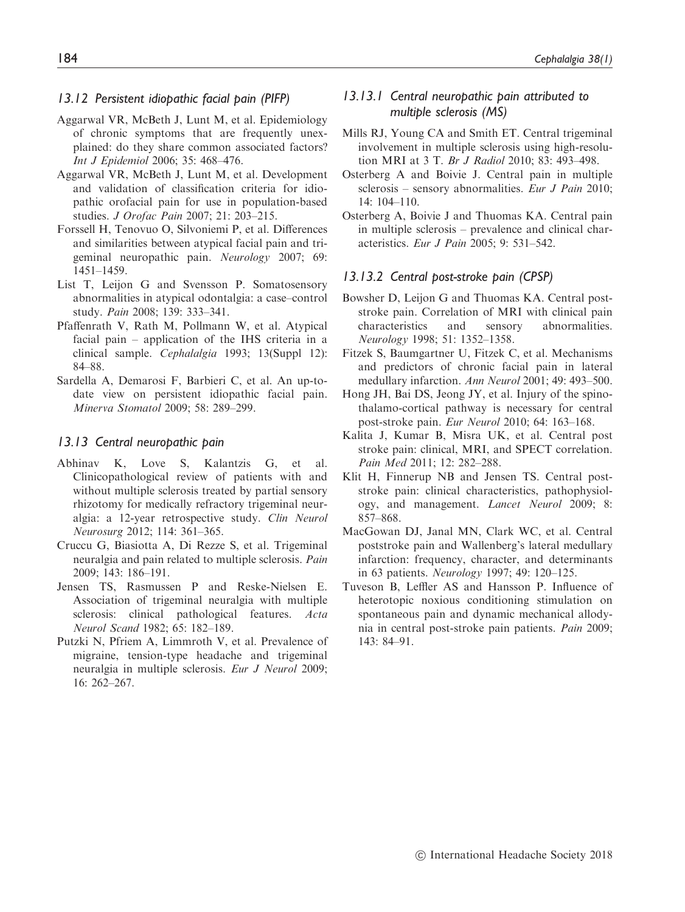## 13.12 Persistent idiopathic facial pain (PIFP)

- Aggarwal VR, McBeth J, Lunt M, et al. Epidemiology of chronic symptoms that are frequently unexplained: do they share common associated factors? Int J Epidemiol 2006; 35: 468–476.
- Aggarwal VR, McBeth J, Lunt M, et al. Development and validation of classification criteria for idiopathic orofacial pain for use in population-based studies. J Orofac Pain 2007; 21: 203–215.
- Forssell H, Tenovuo O, Silvoniemi P, et al. Differences and similarities between atypical facial pain and trigeminal neuropathic pain. Neurology 2007; 69: 1451–1459.
- List T, Leijon G and Svensson P. Somatosensory abnormalities in atypical odontalgia: a case–control study. Pain 2008; 139: 333–341.
- Pfaffenrath V, Rath M, Pollmann W, et al. Atypical facial pain – application of the IHS criteria in a clinical sample. Cephalalgia 1993; 13(Suppl 12): 84–88.
- Sardella A, Demarosi F, Barbieri C, et al. An up-todate view on persistent idiopathic facial pain. Minerva Stomatol 2009; 58: 289–299.

### 13.13 Central neuropathic pain

- Abhinav K, Love S, Kalantzis G, et al. Clinicopathological review of patients with and without multiple sclerosis treated by partial sensory rhizotomy for medically refractory trigeminal neuralgia: a 12-year retrospective study. Clin Neurol Neurosurg 2012; 114: 361–365.
- Cruccu G, Biasiotta A, Di Rezze S, et al. Trigeminal neuralgia and pain related to multiple sclerosis. Pain 2009; 143: 186–191.
- Jensen TS, Rasmussen P and Reske-Nielsen E. Association of trigeminal neuralgia with multiple sclerosis: clinical pathological features. Acta Neurol Scand 1982; 65: 182–189.
- Putzki N, Pfriem A, Limmroth V, et al. Prevalence of migraine, tension-type headache and trigeminal neuralgia in multiple sclerosis. Eur J Neurol 2009; 16: 262–267.

## 13.13.1 Central neuropathic pain attributed to multiple sclerosis (MS)

- Mills RJ, Young CA and Smith ET. Central trigeminal involvement in multiple sclerosis using high-resolution MRI at 3 T. Br J Radiol 2010; 83: 493–498.
- Osterberg A and Boivie J. Central pain in multiple sclerosis – sensory abnormalities. Eur J Pain 2010; 14: 104–110.
- Osterberg A, Boivie J and Thuomas KA. Central pain in multiple sclerosis – prevalence and clinical characteristics. Eur J Pain 2005; 9: 531–542.

### 13.13.2 Central post-stroke pain (CPSP)

- Bowsher D, Leijon G and Thuomas KA. Central poststroke pain. Correlation of MRI with clinical pain characteristics and sensory abnormalities. Neurology 1998; 51: 1352–1358.
- Fitzek S, Baumgartner U, Fitzek C, et al. Mechanisms and predictors of chronic facial pain in lateral medullary infarction. Ann Neurol 2001; 49: 493–500.
- Hong JH, Bai DS, Jeong JY, et al. Injury of the spinothalamo-cortical pathway is necessary for central post-stroke pain. Eur Neurol 2010; 64: 163–168.
- Kalita J, Kumar B, Misra UK, et al. Central post stroke pain: clinical, MRI, and SPECT correlation. Pain Med 2011; 12: 282–288.
- Klit H, Finnerup NB and Jensen TS. Central poststroke pain: clinical characteristics, pathophysiology, and management. Lancet Neurol 2009; 8: 857–868.
- MacGowan DJ, Janal MN, Clark WC, et al. Central poststroke pain and Wallenberg's lateral medullary infarction: frequency, character, and determinants in 63 patients. Neurology 1997; 49: 120–125.
- Tuveson B, Leffler AS and Hansson P. Influence of heterotopic noxious conditioning stimulation on spontaneous pain and dynamic mechanical allodynia in central post-stroke pain patients. Pain 2009; 143: 84–91.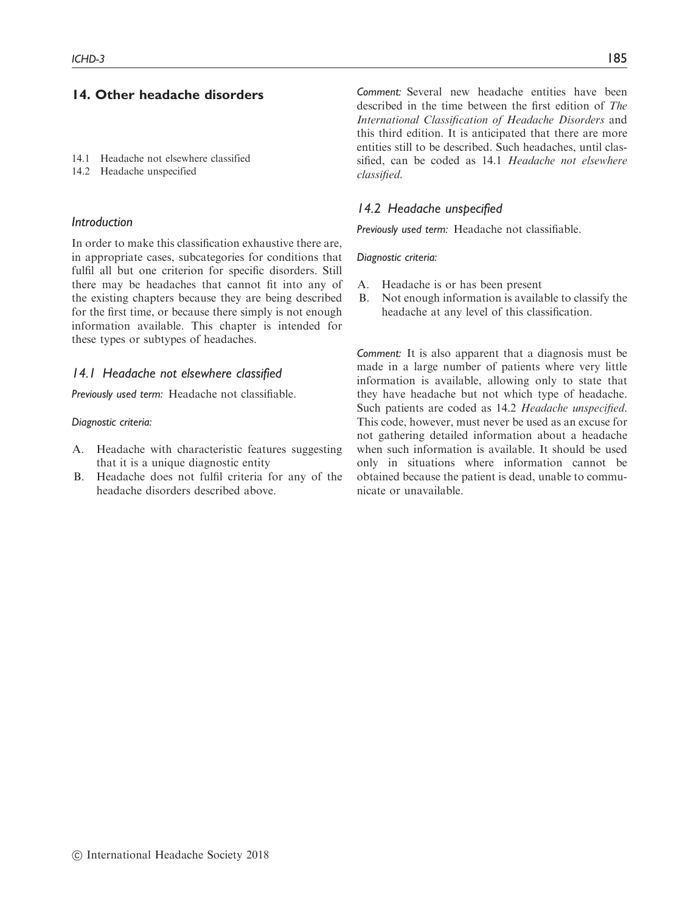14.2 Headache unspecified

### Introduction

In order to make this classification exhaustive there are, in appropriate cases, subcategories for conditions that fulfil all but one criterion for specific disorders. Still there may be headaches that cannot fit into any of the existing chapters because they are being described for the first time, or because there simply is not enough information available. This chapter is intended for these types or subtypes of headaches.

## 14.1 Headache not elsewhere classified

Previously used term: Headache not classifiable.

### Diagnostic criteria:

- A. Headache with characteristic features suggesting that it is a unique diagnostic entity
- B. Headache does not fulfil criteria for any of the headache disorders described above.

## 14.2 Headache unspecified

Previously used term: Headache not classifiable.

### Diagnostic criteria:

- A. Headache is or has been present
- B. Not enough information is available to classify the headache at any level of this classification.

Comment: It is also apparent that a diagnosis must be made in a large number of patients where very little information is available, allowing only to state that they have headache but not which type of headache. Such patients are coded as 14.2 Headache unspecified. This code, however, must never be used as an excuse for not gathering detailed information about a headache when such information is available. It should be used only in situations where information cannot be obtained because the patient is dead, unable to communicate or unavailable.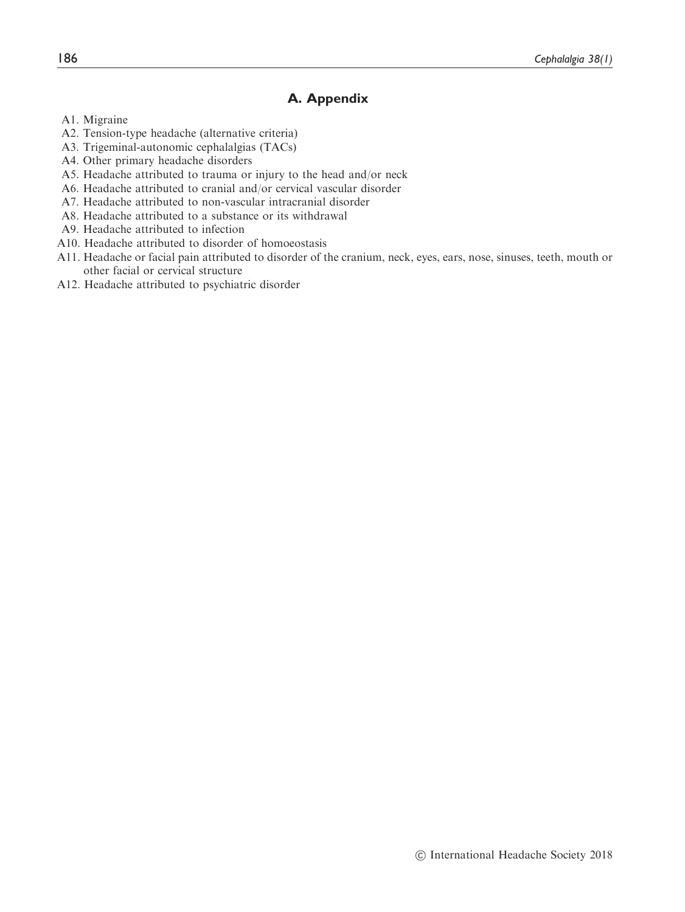# A. Appendix

- A1. Migraine
- A2. Tension-type headache (alternative criteria)
- A3. Trigeminal-autonomic cephalalgias (TACs)
- A4. Other primary headache disorders
- A5. Headache attributed to trauma or injury to the head and/or neck
- A6. Headache attributed to cranial and/or cervical vascular disorder
- A7. Headache attributed to non-vascular intracranial disorder
- A8. Headache attributed to a substance or its withdrawal
- A9. Headache attributed to infection
- A10. Headache attributed to disorder of homoeostasis
- A11. Headache or facial pain attributed to disorder of the cranium, neck, eyes, ears, nose, sinuses, teeth, mouth or other facial or cervical structure
- A12. Headache attributed to psychiatric disorder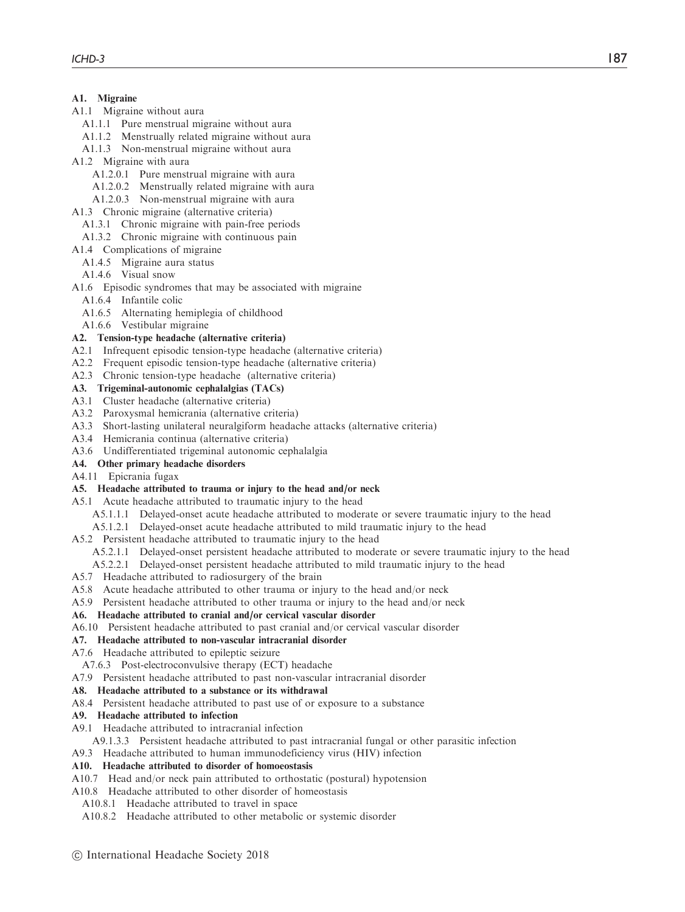### A1. Migraine

- A1.1 Migraine without aura
	- A1.1.1 Pure menstrual migraine without aura
	- A1.1.2 Menstrually related migraine without aura
	- A1.1.3 Non-menstrual migraine without aura
- A1.2 Migraine with aura
	- A1.2.0.1 Pure menstrual migraine with aura
	- A1.2.0.2 Menstrually related migraine with aura
	- A1.2.0.3 Non-menstrual migraine with aura
- A1.3 Chronic migraine (alternative criteria)
	- A1.3.1 Chronic migraine with pain-free periods
	- A1.3.2 Chronic migraine with continuous pain
- A1.4 Complications of migraine
	- A1.4.5 Migraine aura status
	- A1.4.6 Visual snow
- A1.6 Episodic syndromes that may be associated with migraine
	- A1.6.4 Infantile colic
	- A1.6.5 Alternating hemiplegia of childhood
	- A1.6.6 Vestibular migraine

### A2. Tension-type headache (alternative criteria)

- A2.1 Infrequent episodic tension-type headache (alternative criteria)
- A2.2 Frequent episodic tension-type headache (alternative criteria)
- A2.3 Chronic tension-type headache (alternative criteria)

### A3. Trigeminal-autonomic cephalalgias (TACs)

- A3.1 Cluster headache (alternative criteria)
- A3.2 Paroxysmal hemicrania (alternative criteria)
- A3.3 Short-lasting unilateral neuralgiform headache attacks (alternative criteria)
- A3.4 Hemicrania continua (alternative criteria)
- A3.6 Undifferentiated trigeminal autonomic cephalalgia

### A4. Other primary headache disorders

A4.11 Epicrania fugax

### A5. Headache attributed to trauma or injury to the head and/or neck

- A5.1 Acute headache attributed to traumatic injury to the head
	- A5.1.1.1 Delayed-onset acute headache attributed to moderate or severe traumatic injury to the head
	- A5.1.2.1 Delayed-onset acute headache attributed to mild traumatic injury to the head
- A5.2 Persistent headache attributed to traumatic injury to the head
	- A5.2.1.1 Delayed-onset persistent headache attributed to moderate or severe traumatic injury to the head
	- A5.2.2.1 Delayed-onset persistent headache attributed to mild traumatic injury to the head
- A5.7 Headache attributed to radiosurgery of the brain
- A5.8 Acute headache attributed to other trauma or injury to the head and/or neck
- A5.9 Persistent headache attributed to other trauma or injury to the head and/or neck

## A6. Headache attributed to cranial and/or cervical vascular disorder

A6.10 Persistent headache attributed to past cranial and/or cervical vascular disorder

## A7. Headache attributed to non-vascular intracranial disorder

- A7.6 Headache attributed to epileptic seizure
- A7.6.3 Post-electroconvulsive therapy (ECT) headache
- A7.9 Persistent headache attributed to past non-vascular intracranial disorder

### A8. Headache attributed to a substance or its withdrawal

A8.4 Persistent headache attributed to past use of or exposure to a substance

## A9. Headache attributed to infection

- A9.1 Headache attributed to intracranial infection
- A9.1.3.3 Persistent headache attributed to past intracranial fungal or other parasitic infection
- A9.3 Headache attributed to human immunodeficiency virus (HIV) infection

### A10. Headache attributed to disorder of homoeostasis

- A10.7 Head and/or neck pain attributed to orthostatic (postural) hypotension
- A10.8 Headache attributed to other disorder of homeostasis
	- A10.8.1 Headache attributed to travel in space
	- A10.8.2 Headache attributed to other metabolic or systemic disorder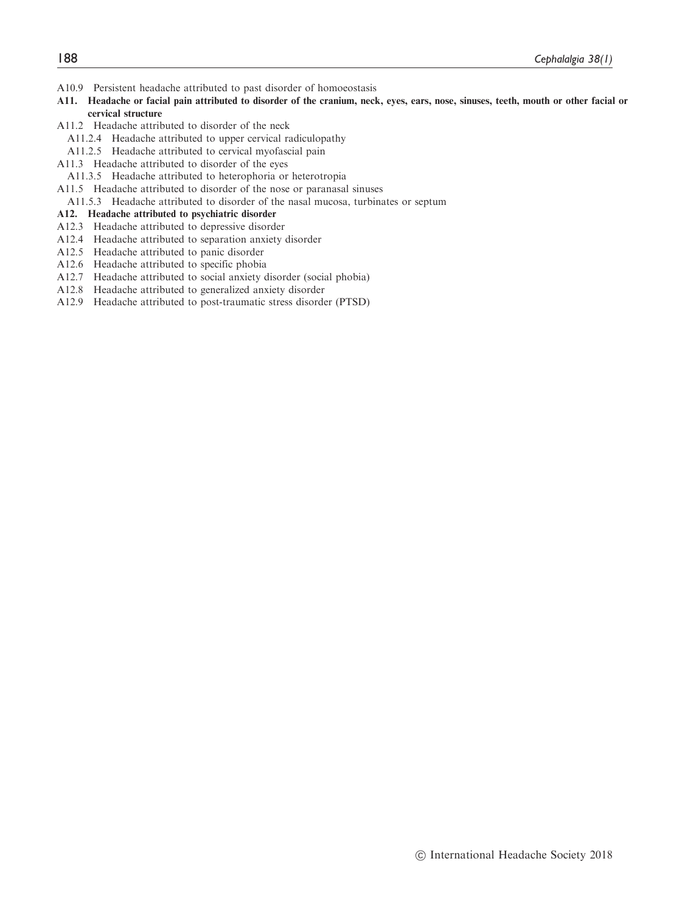A10.9 Persistent headache attributed to past disorder of homoeostasis

### A11. Headache or facial pain attributed to disorder of the cranium, neck, eyes, ears, nose, sinuses, teeth, mouth or other facial or cervical structure

- A11.2 Headache attributed to disorder of the neck
- A11.2.4 Headache attributed to upper cervical radiculopathy
- A11.2.5 Headache attributed to cervical myofascial pain
- A11.3 Headache attributed to disorder of the eyes
- A11.3.5 Headache attributed to heterophoria or heterotropia
- A11.5 Headache attributed to disorder of the nose or paranasal sinuses
- A11.5.3 Headache attributed to disorder of the nasal mucosa, turbinates or septum

## A12. Headache attributed to psychiatric disorder

- A12.3 Headache attributed to depressive disorder
- A12.4 Headache attributed to separation anxiety disorder
- A12.5 Headache attributed to panic disorder
- A12.6 Headache attributed to specific phobia
- A12.7 Headache attributed to social anxiety disorder (social phobia)
- A12.8 Headache attributed to generalized anxiety disorder
- A12.9 Headache attributed to post-traumatic stress disorder (PTSD)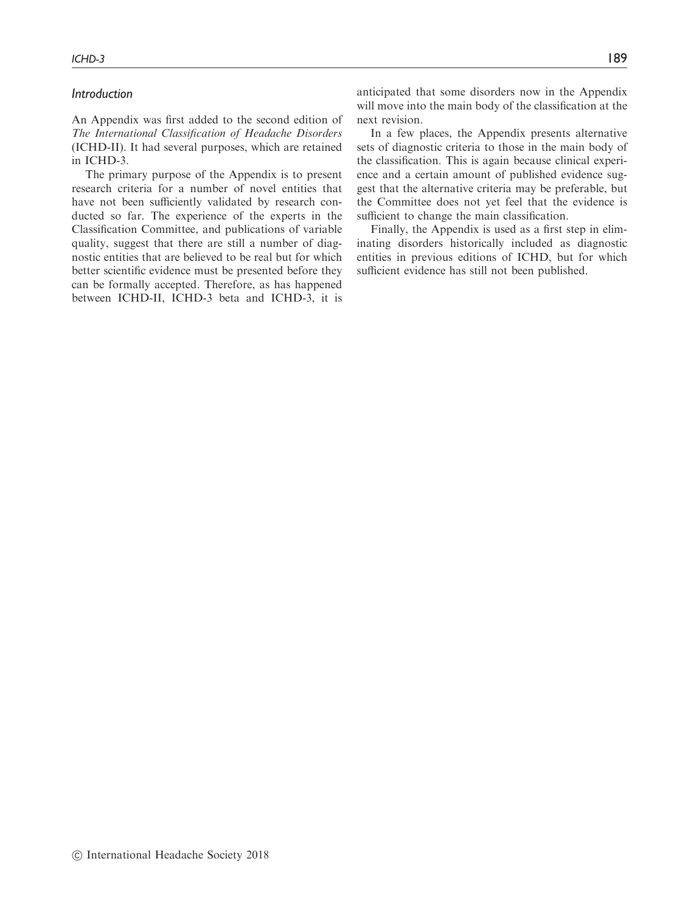### Introduction

An Appendix was first added to the second edition of The International Classification of Headache Disorders (ICHD-II). It had several purposes, which are retained in ICHD-3.

The primary purpose of the Appendix is to present research criteria for a number of novel entities that have not been sufficiently validated by research conducted so far. The experience of the experts in the Classification Committee, and publications of variable quality, suggest that there are still a number of diagnostic entities that are believed to be real but for which better scientific evidence must be presented before they can be formally accepted. Therefore, as has happened between ICHD-II, ICHD-3 beta and ICHD-3, it is anticipated that some disorders now in the Appendix will move into the main body of the classification at the next revision.

In a few places, the Appendix presents alternative sets of diagnostic criteria to those in the main body of the classification. This is again because clinical experience and a certain amount of published evidence suggest that the alternative criteria may be preferable, but the Committee does not yet feel that the evidence is sufficient to change the main classification.

Finally, the Appendix is used as a first step in eliminating disorders historically included as diagnostic entities in previous editions of ICHD, but for which sufficient evidence has still not been published.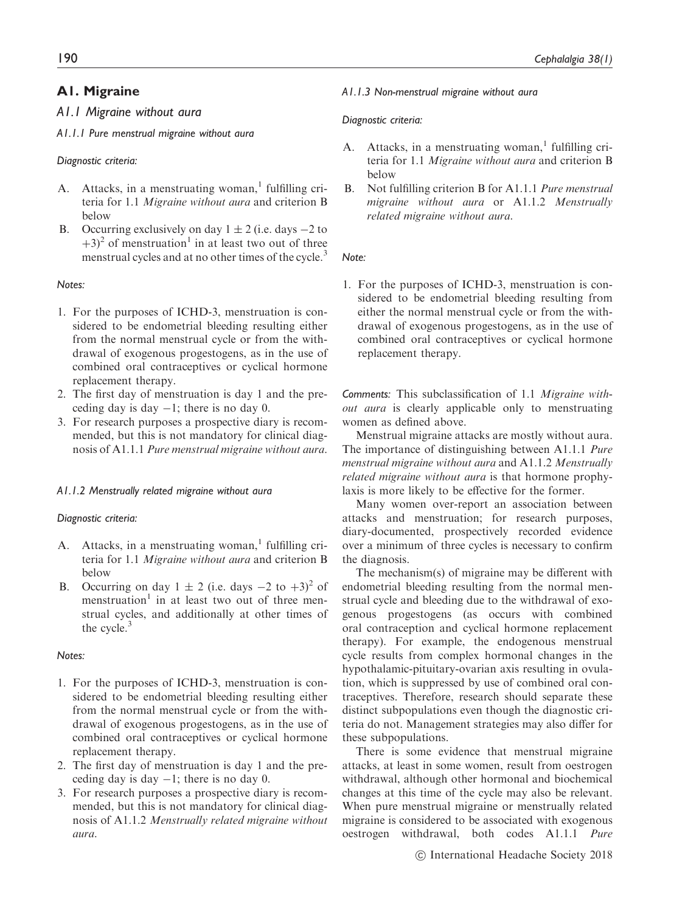# A1. Migraine

## A1.1 Migraine without aura

A1.1.1 Pure menstrual migraine without aura

## Diagnostic criteria:

- A. Attacks, in a menstruating woman, $<sup>1</sup>$  fulfilling cri-</sup> teria for 1.1 Migraine without aura and criterion B below
- B. Occurring exclusively on day  $1 \pm 2$  (i.e. days  $-2$  to  $(1+3)^2$  of menstruation<sup>1</sup> in at least two out of three menstrual cycles and at no other times of the cycle.<sup>3</sup>

### Notes:

- 1. For the purposes of ICHD-3, menstruation is considered to be endometrial bleeding resulting either from the normal menstrual cycle or from the withdrawal of exogenous progestogens, as in the use of combined oral contraceptives or cyclical hormone replacement therapy.
- 2. The first day of menstruation is day 1 and the preceding day is day  $-1$ ; there is no day 0.
- 3. For research purposes a prospective diary is recommended, but this is not mandatory for clinical diagnosis of A1.1.1 Pure menstrual migraine without aura.

## A1.1.2 Menstrually related migraine without aura

## Diagnostic criteria:

- A. Attacks, in a menstruating woman, $\frac{1}{1}$  fulfilling criteria for 1.1 Migraine without aura and criterion B below
- B. Occurring on day  $1 \pm 2$  (i.e. days  $-2$  to  $+3$ )<sup>2</sup> of menstruation<sup>1</sup> in at least two out of three menstrual cycles, and additionally at other times of the cycle.<sup>3</sup>

## Notes:

- 1. For the purposes of ICHD-3, menstruation is considered to be endometrial bleeding resulting either from the normal menstrual cycle or from the withdrawal of exogenous progestogens, as in the use of combined oral contraceptives or cyclical hormone replacement therapy.
- 2. The first day of menstruation is day 1 and the preceding day is day  $-1$ ; there is no day 0.
- 3. For research purposes a prospective diary is recommended, but this is not mandatory for clinical diagnosis of A1.1.2 Menstrually related migraine without aura.

### A1.1.3 Non-menstrual migraine without aura

### Diagnostic criteria:

- A. Attacks, in a menstruating woman, $<sup>1</sup>$  fulfilling cri-</sup> teria for 1.1 Migraine without aura and criterion B below
- B. Not fulfilling criterion B for A1.1.1 Pure menstrual migraine without aura or A1.1.2 Menstrually related migraine without aura.

### Note:

1. For the purposes of ICHD-3, menstruation is considered to be endometrial bleeding resulting from either the normal menstrual cycle or from the withdrawal of exogenous progestogens, as in the use of combined oral contraceptives or cyclical hormone replacement therapy.

Comments: This subclassification of 1.1 Migraine without aura is clearly applicable only to menstruating women as defined above.

Menstrual migraine attacks are mostly without aura. The importance of distinguishing between A1.1.1 Pure menstrual migraine without aura and A1.1.2 Menstrually related migraine without aura is that hormone prophylaxis is more likely to be effective for the former.

Many women over-report an association between attacks and menstruation; for research purposes, diary-documented, prospectively recorded evidence over a minimum of three cycles is necessary to confirm the diagnosis.

The mechanism(s) of migraine may be different with endometrial bleeding resulting from the normal menstrual cycle and bleeding due to the withdrawal of exogenous progestogens (as occurs with combined oral contraception and cyclical hormone replacement therapy). For example, the endogenous menstrual cycle results from complex hormonal changes in the hypothalamic-pituitary-ovarian axis resulting in ovulation, which is suppressed by use of combined oral contraceptives. Therefore, research should separate these distinct subpopulations even though the diagnostic criteria do not. Management strategies may also differ for these subpopulations.

There is some evidence that menstrual migraine attacks, at least in some women, result from oestrogen withdrawal, although other hormonal and biochemical changes at this time of the cycle may also be relevant. When pure menstrual migraine or menstrually related migraine is considered to be associated with exogenous oestrogen withdrawal, both codes A1.1.1 Pure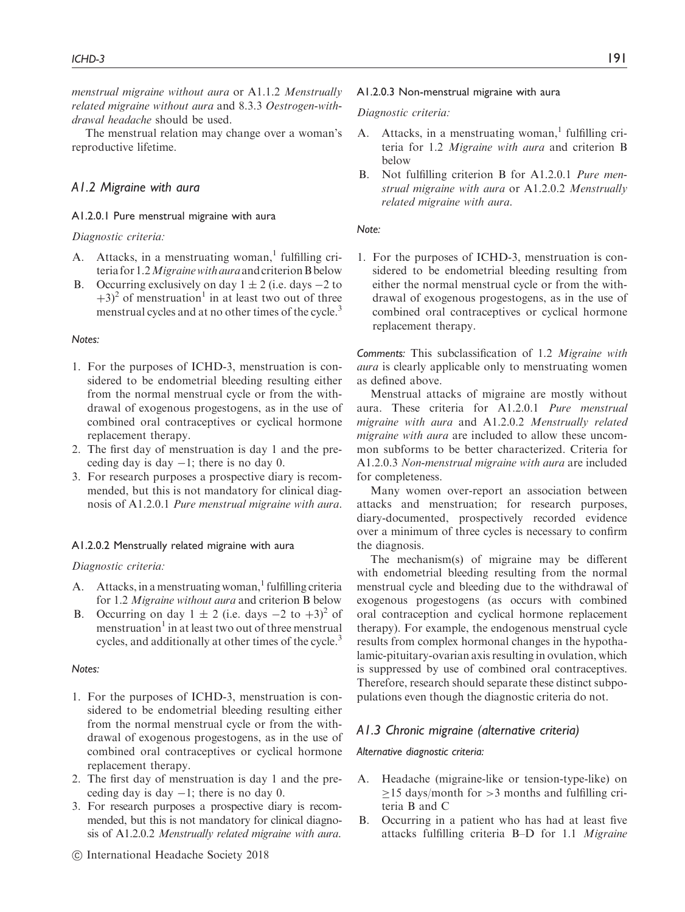menstrual migraine without aura or A1.1.2 Menstrually related migraine without aura and 8.3.3 Oestrogen-withdrawal headache should be used.

The menstrual relation may change over a woman's reproductive lifetime.

### A1.2 Migraine with aura

### A1.2.0.1 Pure menstrual migraine with aura

#### Diagnostic criteria:

- A. Attacks, in a menstruating woman,<sup>1</sup> fulfilling criteria for  $1.2$  Migraine with aura and criterion B below
- B. Occurring exclusively on day  $1 \pm 2$  (i.e. days  $-2$  to  $(1+3)^2$  of menstruation<sup>1</sup> in at least two out of three menstrual cycles and at no other times of the cycle.<sup>3</sup>

#### Notes:

- 1. For the purposes of ICHD-3, menstruation is considered to be endometrial bleeding resulting either from the normal menstrual cycle or from the withdrawal of exogenous progestogens, as in the use of combined oral contraceptives or cyclical hormone replacement therapy.
- 2. The first day of menstruation is day 1 and the preceding day is day  $-1$ ; there is no day 0.
- 3. For research purposes a prospective diary is recommended, but this is not mandatory for clinical diagnosis of A1.2.0.1 Pure menstrual migraine with aura.

### A1.2.0.2 Menstrually related migraine with aura

### Diagnostic criteria:

- A. Attacks, in a menstruating woman,<sup>1</sup> fulfilling criteria for 1.2 Migraine without aura and criterion B below
- B. Occurring on day  $1 \pm 2$  (i.e. days  $-2$  to  $+3$ )<sup>2</sup> of menstruation<sup>1</sup> in at least two out of three menstrual cycles, and additionally at other times of the cycle.<sup>3</sup>

### Notes:

- 1. For the purposes of ICHD-3, menstruation is considered to be endometrial bleeding resulting either from the normal menstrual cycle or from the withdrawal of exogenous progestogens, as in the use of combined oral contraceptives or cyclical hormone replacement therapy.
- 2. The first day of menstruation is day 1 and the preceding day is day  $-1$ ; there is no day 0.
- 3. For research purposes a prospective diary is recommended, but this is not mandatory for clinical diagnosis of A1.2.0.2 Menstrually related migraine with aura.
- ! International Headache Society 2018

### A1.2.0.3 Non-menstrual migraine with aura

#### Diagnostic criteria:

- A. Attacks, in a menstruating woman, $<sup>1</sup>$  fulfilling cri-</sup> teria for 1.2 Migraine with aura and criterion B below
- B. Not fulfilling criterion B for A1.2.0.1 Pure menstrual migraine with aura or A1.2.0.2 Menstrually related migraine with aura.

#### Note:

1. For the purposes of ICHD-3, menstruation is considered to be endometrial bleeding resulting from either the normal menstrual cycle or from the withdrawal of exogenous progestogens, as in the use of combined oral contraceptives or cyclical hormone replacement therapy.

Comments: This subclassification of 1.2 Migraine with aura is clearly applicable only to menstruating women as defined above.

Menstrual attacks of migraine are mostly without aura. These criteria for A1.2.0.1 Pure menstrual migraine with aura and A1.2.0.2 Menstrually related migraine with aura are included to allow these uncommon subforms to be better characterized. Criteria for A1.2.0.3 Non-menstrual migraine with aura are included for completeness.

Many women over-report an association between attacks and menstruation; for research purposes, diary-documented, prospectively recorded evidence over a minimum of three cycles is necessary to confirm the diagnosis.

The mechanism(s) of migraine may be different with endometrial bleeding resulting from the normal menstrual cycle and bleeding due to the withdrawal of exogenous progestogens (as occurs with combined oral contraception and cyclical hormone replacement therapy). For example, the endogenous menstrual cycle results from complex hormonal changes in the hypothalamic-pituitary-ovarian axis resulting in ovulation, which is suppressed by use of combined oral contraceptives. Therefore, research should separate these distinct subpopulations even though the diagnostic criteria do not.

### A1.3 Chronic migraine (alternative criteria)

### Alternative diagnostic criteria:

- A. Headache (migraine-like or tension-type-like) on  $\geq$ 15 days/month for >3 months and fulfilling criteria B and C
- B. Occurring in a patient who has had at least five attacks fulfilling criteria B–D for 1.1 Migraine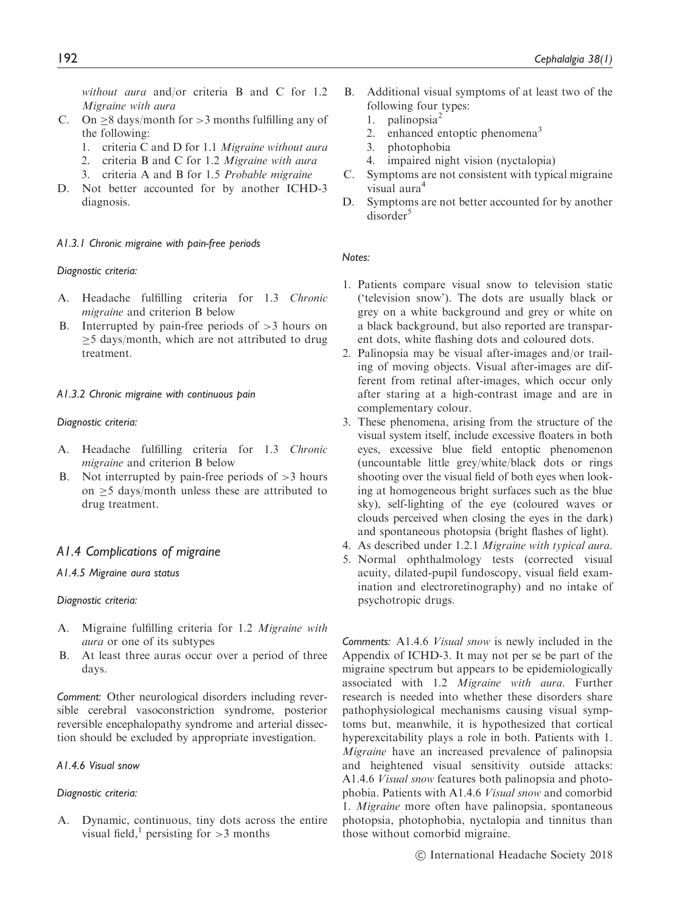without aura and/or criteria B and C for 1.2 Migraine with aura

- C. On  $\geq$ 8 days/month for  $>$ 3 months fulfilling any of the following:
	- 1. criteria C and D for 1.1 Migraine without aura
	- 2. criteria B and C for 1.2 Migraine with aura
	- 3. criteria A and B for 1.5 Probable migraine
- D. Not better accounted for by another ICHD-3 diagnosis.

### A1.3.1 Chronic migraine with pain-free periods

### Diagnostic criteria:

- A. Headache fulfilling criteria for 1.3 Chronic migraine and criterion B below
- B. Interrupted by pain-free periods of  $>3$  hours on  $\geq$ 5 days/month, which are not attributed to drug treatment.

### A1.3.2 Chronic migraine with continuous pain

### Diagnostic criteria:

- A. Headache fulfilling criteria for 1.3 Chronic migraine and criterion B below
- B. Not interrupted by pain-free periods of  $>3$  hours on  $\geq$ 5 days/month unless these are attributed to drug treatment.

## A1.4 Complications of migraine

### A1.4.5 Migraine aura status

### Diagnostic criteria:

- A. Migraine fulfilling criteria for 1.2 Migraine with aura or one of its subtypes
- B. At least three auras occur over a period of three days.

Comment: Other neurological disorders including reversible cerebral vasoconstriction syndrome, posterior reversible encephalopathy syndrome and arterial dissection should be excluded by appropriate investigation.

#### A1.4.6 Visual snow

### Diagnostic criteria:

A. Dynamic, continuous, tiny dots across the entire visual field,<sup>1</sup> persisting for  $>$ 3 months

- B. Additional visual symptoms of at least two of the following four types:
	- 1. palinopsia $<sup>2</sup>$ </sup>
	- 2. enhanced entoptic phenomena<sup>3</sup>
	- 3. photophobia
	- 4. impaired night vision (nyctalopia)
- C. Symptoms are not consistent with typical migraine visual aura<sup>4</sup>
- D. Symptoms are not better accounted for by another  $disorder<sup>5</sup>$

### Notes:

- 1. Patients compare visual snow to television static ('television snow'). The dots are usually black or grey on a white background and grey or white on a black background, but also reported are transparent dots, white flashing dots and coloured dots.
- 2. Palinopsia may be visual after-images and/or trailing of moving objects. Visual after-images are different from retinal after-images, which occur only after staring at a high-contrast image and are in complementary colour.
- 3. These phenomena, arising from the structure of the visual system itself, include excessive floaters in both eyes, excessive blue field entoptic phenomenon (uncountable little grey/white/black dots or rings shooting over the visual field of both eyes when looking at homogeneous bright surfaces such as the blue sky), self-lighting of the eye (coloured waves or clouds perceived when closing the eyes in the dark) and spontaneous photopsia (bright flashes of light).
- 4. As described under 1.2.1 Migraine with typical aura.
- 5. Normal ophthalmology tests (corrected visual acuity, dilated-pupil fundoscopy, visual field examination and electroretinography) and no intake of psychotropic drugs.

Comments: A1.4.6 Visual snow is newly included in the Appendix of ICHD-3. It may not per se be part of the migraine spectrum but appears to be epidemiologically associated with 1.2 Migraine with aura. Further research is needed into whether these disorders share pathophysiological mechanisms causing visual symptoms but, meanwhile, it is hypothesized that cortical hyperexcitability plays a role in both. Patients with 1. Migraine have an increased prevalence of palinopsia and heightened visual sensitivity outside attacks: A1.4.6 Visual snow features both palinopsia and photophobia. Patients with A1.4.6 Visual snow and comorbid 1. Migraine more often have palinopsia, spontaneous photopsia, photophobia, nyctalopia and tinnitus than those without comorbid migraine.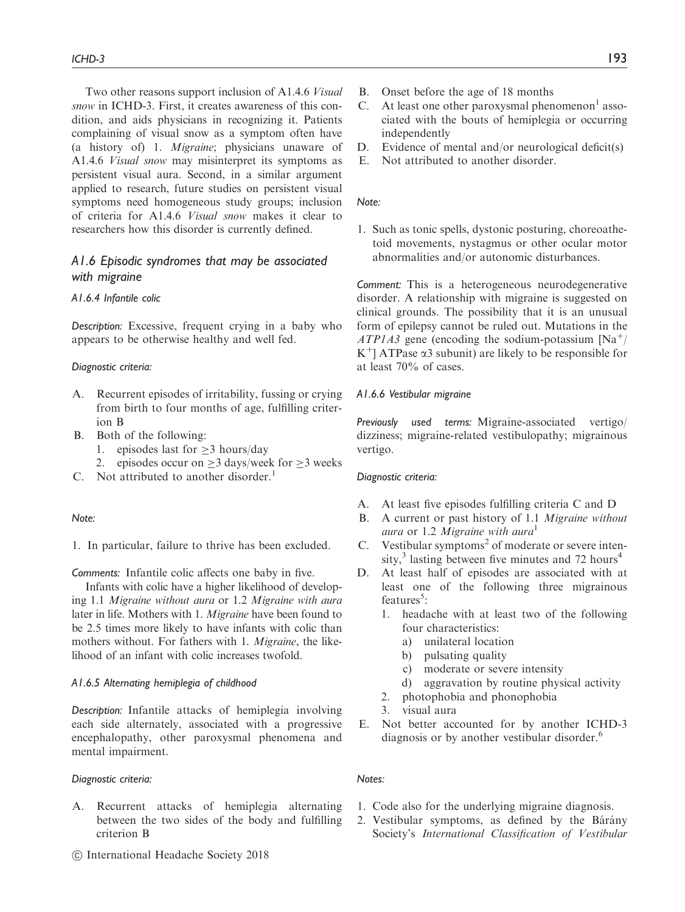Two other reasons support inclusion of A1.4.6 Visual snow in ICHD-3. First, it creates awareness of this condition, and aids physicians in recognizing it. Patients complaining of visual snow as a symptom often have (a history of) 1. Migraine; physicians unaware of A1.4.6 Visual snow may misinterpret its symptoms as persistent visual aura. Second, in a similar argument applied to research, future studies on persistent visual symptoms need homogeneous study groups; inclusion of criteria for A1.4.6 Visual snow makes it clear to researchers how this disorder is currently defined.

## A1.6 Episodic syndromes that may be associated with migraine

### A1.6.4 Infantile colic

Description: Excessive, frequent crying in a baby who appears to be otherwise healthy and well fed.

### Diagnostic criteria:

- A. Recurrent episodes of irritability, fussing or crying from birth to four months of age, fulfilling criterion B
- B. Both of the following:
	- 1. episodes last for  $\geq$ 3 hours/day
	- 2. episodes occur on  $\geq$ 3 days/week for  $\geq$ 3 weeks
- C. Not attributed to another disorder.<sup>1</sup>

### Note:

1. In particular, failure to thrive has been excluded.

Comments: Infantile colic affects one baby in five.

Infants with colic have a higher likelihood of developing 1.1 Migraine without aura or 1.2 Migraine with aura later in life. Mothers with 1. Migraine have been found to be 2.5 times more likely to have infants with colic than mothers without. For fathers with 1. Migraine, the likelihood of an infant with colic increases twofold.

#### A1.6.5 Alternating hemiplegia of childhood

Description: Infantile attacks of hemiplegia involving each side alternately, associated with a progressive encephalopathy, other paroxysmal phenomena and mental impairment.

### Diagnostic criteria:

- A. Recurrent attacks of hemiplegia alternating between the two sides of the body and fulfilling criterion B
- ! International Headache Society 2018
- B. Onset before the age of 18 months
- C. At least one other paroxysmal phenomenon associated with the bouts of hemiplegia or occurring independently
- D. Evidence of mental and/or neurological deficit(s)
- E. Not attributed to another disorder.

### Note:

1. Such as tonic spells, dystonic posturing, choreoathetoid movements, nystagmus or other ocular motor abnormalities and/or autonomic disturbances.

Comment: This is a heterogeneous neurodegenerative disorder. A relationship with migraine is suggested on clinical grounds. The possibility that it is an unusual form of epilepsy cannot be ruled out. Mutations in the  $ATPIA3$  gene (encoding the sodium-potassium [Na<sup>+</sup>/  $K^+$ ] ATPase  $\alpha$ 3 subunit) are likely to be responsible for at least 70% of cases.

#### A1.6.6 Vestibular migraine

Previously used terms: Migraine-associated vertigo/ dizziness; migraine-related vestibulopathy; migrainous vertigo.

### Diagnostic criteria:

- A. At least five episodes fulfilling criteria C and D
- B. A current or past history of 1.1 Migraine without aura or 1.2 Migraine with aura<sup>1</sup>
- C. Vestibular symptoms<sup>2</sup> of moderate or severe intensity, $3$  lasting between five minutes and 72 hours<sup>4</sup>
- D. At least half of episodes are associated with at least one of the following three migrainous features<sup>5</sup>:
	- 1. headache with at least two of the following four characteristics:
		- a) unilateral location
		- b) pulsating quality
		- c) moderate or severe intensity
		- d) aggravation by routine physical activity
	- 2. photophobia and phonophobia
	- 3. visual aura
- E. Not better accounted for by another ICHD-3 diagnosis or by another vestibular disorder.<sup>6</sup>

#### Notes:

- 1. Code also for the underlying migraine diagnosis.
- 2. Vestibular symptoms, as defined by the Bárány Society's International Classification of Vestibular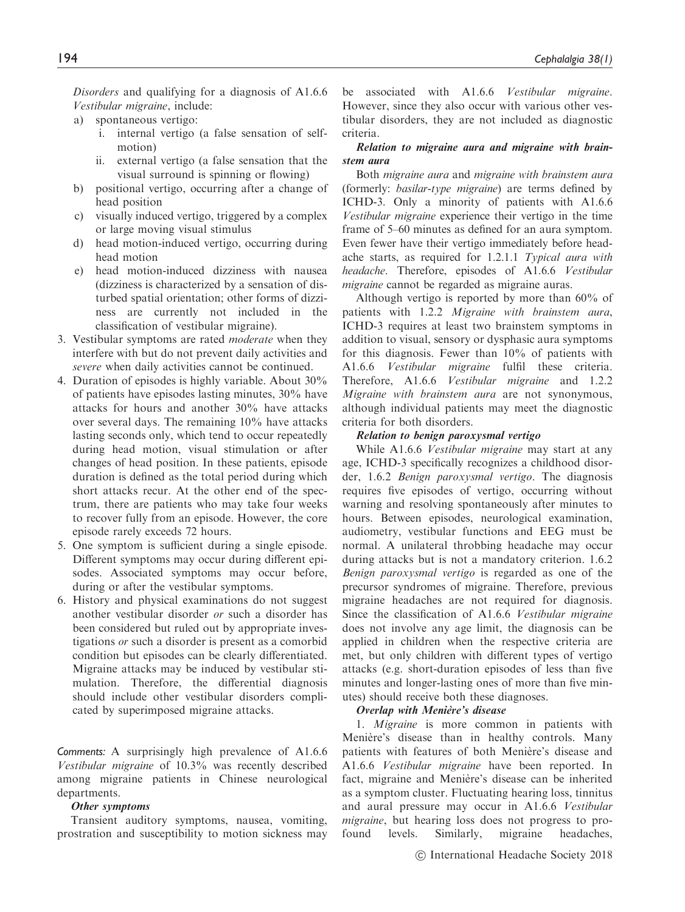Disorders and qualifying for a diagnosis of A1.6.6 Vestibular migraine, include:

- a) spontaneous vertigo:
	- i. internal vertigo (a false sensation of selfmotion)
	- ii. external vertigo (a false sensation that the visual surround is spinning or flowing)
- b) positional vertigo, occurring after a change of head position
- c) visually induced vertigo, triggered by a complex or large moving visual stimulus
- d) head motion-induced vertigo, occurring during head motion
- e) head motion-induced dizziness with nausea (dizziness is characterized by a sensation of disturbed spatial orientation; other forms of dizziness are currently not included in the classification of vestibular migraine).
- 3. Vestibular symptoms are rated moderate when they interfere with but do not prevent daily activities and severe when daily activities cannot be continued.
- 4. Duration of episodes is highly variable. About 30% of patients have episodes lasting minutes, 30% have attacks for hours and another 30% have attacks over several days. The remaining 10% have attacks lasting seconds only, which tend to occur repeatedly during head motion, visual stimulation or after changes of head position. In these patients, episode duration is defined as the total period during which short attacks recur. At the other end of the spectrum, there are patients who may take four weeks to recover fully from an episode. However, the core episode rarely exceeds 72 hours.
- 5. One symptom is sufficient during a single episode. Different symptoms may occur during different episodes. Associated symptoms may occur before, during or after the vestibular symptoms.
- 6. History and physical examinations do not suggest another vestibular disorder or such a disorder has been considered but ruled out by appropriate investigations or such a disorder is present as a comorbid condition but episodes can be clearly differentiated. Migraine attacks may be induced by vestibular stimulation. Therefore, the differential diagnosis should include other vestibular disorders complicated by superimposed migraine attacks.

Comments: A surprisingly high prevalence of A1.6.6 Vestibular migraine of 10.3% was recently described among migraine patients in Chinese neurological departments.

### Other symptoms

Transient auditory symptoms, nausea, vomiting, prostration and susceptibility to motion sickness may be associated with A1.6.6 Vestibular migraine. However, since they also occur with various other vestibular disorders, they are not included as diagnostic criteria.

### Relation to migraine aura and migraine with brainstem aura

Both migraine aura and migraine with brainstem aura (formerly: basilar-type migraine) are terms defined by ICHD-3. Only a minority of patients with A1.6.6 Vestibular migraine experience their vertigo in the time frame of 5–60 minutes as defined for an aura symptom. Even fewer have their vertigo immediately before headache starts, as required for 1.2.1.1 Typical aura with headache. Therefore, episodes of A1.6.6 Vestibular migraine cannot be regarded as migraine auras.

Although vertigo is reported by more than 60% of patients with 1.2.2 Migraine with brainstem aura, ICHD-3 requires at least two brainstem symptoms in addition to visual, sensory or dysphasic aura symptoms for this diagnosis. Fewer than 10% of patients with A1.6.6 Vestibular migraine fulfil these criteria. Therefore, A1.6.6 Vestibular migraine and 1.2.2 Migraine with brainstem aura are not synonymous, although individual patients may meet the diagnostic criteria for both disorders.

### Relation to benign paroxysmal vertigo

While A1.6.6 *Vestibular migraine* may start at any age, ICHD-3 specifically recognizes a childhood disorder, 1.6.2 Benign paroxysmal vertigo. The diagnosis requires five episodes of vertigo, occurring without warning and resolving spontaneously after minutes to hours. Between episodes, neurological examination, audiometry, vestibular functions and EEG must be normal. A unilateral throbbing headache may occur during attacks but is not a mandatory criterion. 1.6.2 Benign paroxysmal vertigo is regarded as one of the precursor syndromes of migraine. Therefore, previous migraine headaches are not required for diagnosis. Since the classification of A1.6.6 Vestibular migraine does not involve any age limit, the diagnosis can be applied in children when the respective criteria are met, but only children with different types of vertigo attacks (e.g. short-duration episodes of less than five minutes and longer-lasting ones of more than five minutes) should receive both these diagnoses.

#### Overlap with Menière's disease

1. Migraine is more common in patients with Menière's disease than in healthy controls. Many patients with features of both Menière's disease and A1.6.6 Vestibular migraine have been reported. In fact, migraine and Menière's disease can be inherited as a symptom cluster. Fluctuating hearing loss, tinnitus and aural pressure may occur in A1.6.6 Vestibular migraine, but hearing loss does not progress to profound levels. Similarly, migraine headaches,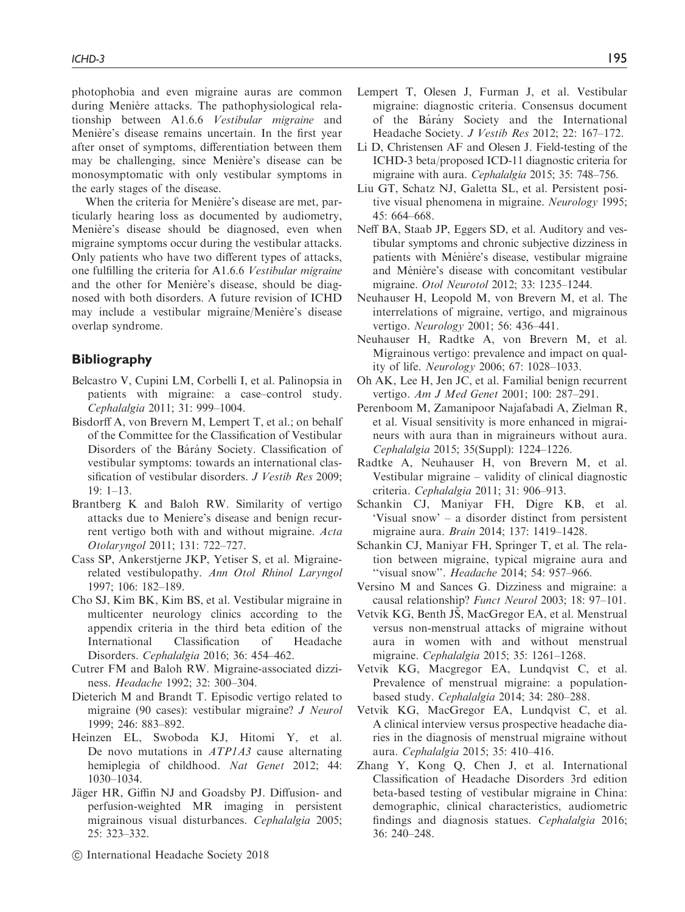photophobia and even migraine auras are common during Menière attacks. The pathophysiological relationship between A1.6.6 Vestibular migraine and Menière's disease remains uncertain. In the first year after onset of symptoms, differentiation between them may be challenging, since Menière's disease can be monosymptomatic with only vestibular symptoms in the early stages of the disease.

When the criteria for Menière's disease are met, particularly hearing loss as documented by audiometry, Menière's disease should be diagnosed, even when migraine symptoms occur during the vestibular attacks. Only patients who have two different types of attacks, one fulfilling the criteria for A1.6.6 Vestibular migraine and the other for Menière's disease, should be diagnosed with both disorders. A future revision of ICHD may include a vestibular migraine/Menière's disease overlap syndrome.

## **Bibliography**

- Belcastro V, Cupini LM, Corbelli I, et al. Palinopsia in patients with migraine: a case–control study. Cephalalgia 2011; 31: 999–1004.
- Bisdorff A, von Brevern M, Lempert T, et al.; on behalf of the Committee for the Classification of Vestibular Disorders of the Bárány Society. Classification of vestibular symptoms: towards an international classification of vestibular disorders. J Vestib Res 2009; 19: 1–13.
- Brantberg K and Baloh RW. Similarity of vertigo attacks due to Meniere's disease and benign recurrent vertigo both with and without migraine. Acta Otolaryngol 2011; 131: 722–727.
- Cass SP, Ankerstjerne JKP, Yetiser S, et al. Migrainerelated vestibulopathy. Ann Otol Rhinol Laryngol 1997; 106: 182–189.
- Cho SJ, Kim BK, Kim BS, et al. Vestibular migraine in multicenter neurology clinics according to the appendix criteria in the third beta edition of the International Classification of Headache Disorders. Cephalalgia 2016; 36: 454–462.
- Cutrer FM and Baloh RW. Migraine-associated dizziness. Headache 1992; 32: 300–304.
- Dieterich M and Brandt T. Episodic vertigo related to migraine (90 cases): vestibular migraine? J Neurol 1999; 246: 883–892.
- Heinzen EL, Swoboda KJ, Hitomi Y, et al. De novo mutations in *ATP1A3* cause alternating hemiplegia of childhood. Nat Genet 2012; 44: 1030–1034.
- Jäger HR, Giffin NJ and Goadsby PJ. Diffusion- and perfusion-weighted MR imaging in persistent migrainous visual disturbances. Cephalalgia 2005; 25: 323–332.
- ! International Headache Society 2018
- Lempert T, Olesen J, Furman J, et al. Vestibular migraine: diagnostic criteria. Consensus document of the Bárány Society and the International Headache Society. J Vestib Res 2012; 22: 167–172.
- Li D, Christensen AF and Olesen J. Field-testing of the ICHD-3 beta/proposed ICD-11 diagnostic criteria for migraine with aura. Cephalalgia 2015; 35: 748–756.
- Liu GT, Schatz NJ, Galetta SL, et al. Persistent positive visual phenomena in migraine. Neurology 1995; 45: 664–668.
- Neff BA, Staab JP, Eggers SD, et al. Auditory and vestibular symptoms and chronic subjective dizziness in patients with Ménière's disease, vestibular migraine and Ménière's disease with concomitant vestibular migraine. Otol Neurotol 2012; 33: 1235–1244.
- Neuhauser H, Leopold M, von Brevern M, et al. The interrelations of migraine, vertigo, and migrainous vertigo. Neurology 2001; 56: 436–441.
- Neuhauser H, Radtke A, von Brevern M, et al. Migrainous vertigo: prevalence and impact on quality of life. Neurology 2006; 67: 1028–1033.
- Oh AK, Lee H, Jen JC, et al. Familial benign recurrent vertigo. Am J Med Genet 2001; 100: 287–291.
- Perenboom M, Zamanipoor Najafabadi A, Zielman R, et al. Visual sensitivity is more enhanced in migraineurs with aura than in migraineurs without aura. Cephalalgia 2015; 35(Suppl): 1224–1226.
- Radtke A, Neuhauser H, von Brevern M, et al. Vestibular migraine – validity of clinical diagnostic criteria. Cephalalgia 2011; 31: 906–913.
- Schankin CJ, Maniyar FH, Digre KB, et al. 'Visual snow' – a disorder distinct from persistent migraine aura. Brain 2014; 137: 1419–1428.
- Schankin CJ, Maniyar FH, Springer T, et al. The relation between migraine, typical migraine aura and "visual snow". Headache 2014; 54: 957-966.
- Versino M and Sances G. Dizziness and migraine: a causal relationship? Funct Neurol 2003; 18: 97–101.
- Vetvik KG, Benth JS, MacGregor EA, et al. Menstrual versus non-menstrual attacks of migraine without aura in women with and without menstrual migraine. Cephalalgia 2015; 35: 1261–1268.
- Vetvik KG, Macgregor EA, Lundqvist C, et al. Prevalence of menstrual migraine: a populationbased study. Cephalalgia 2014; 34: 280–288.
- Vetvik KG, MacGregor EA, Lundqvist C, et al. A clinical interview versus prospective headache diaries in the diagnosis of menstrual migraine without aura. Cephalalgia 2015; 35: 410–416.
- Zhang Y, Kong Q, Chen J, et al. International Classification of Headache Disorders 3rd edition beta-based testing of vestibular migraine in China: demographic, clinical characteristics, audiometric findings and diagnosis statues. Cephalalgia 2016; 36: 240–248.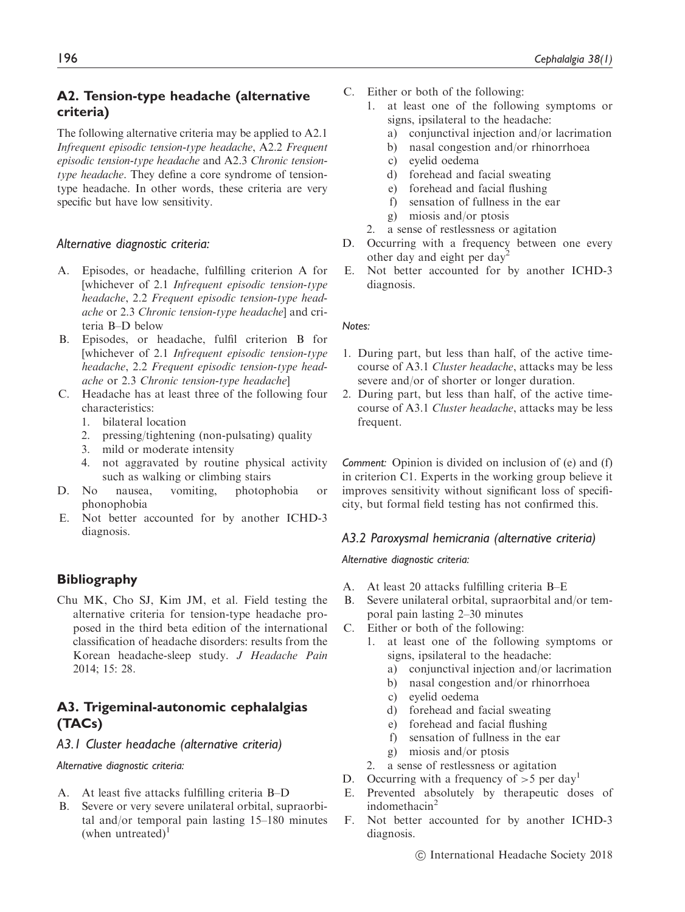# A2. Tension-type headache (alternative criteria)

The following alternative criteria may be applied to A2.1 Infrequent episodic tension-type headache, A2.2 Frequent episodic tension-type headache and A2.3 Chronic tensiontype headache. They define a core syndrome of tensiontype headache. In other words, these criteria are very specific but have low sensitivity.

## Alternative diagnostic criteria:

- A. Episodes, or headache, fulfilling criterion A for [whichever of 2.1 Infrequent episodic tension-type headache, 2.2 Frequent episodic tension-type headache or 2.3 Chronic tension-type headache] and criteria B–D below
- B. Episodes, or headache, fulfil criterion B for [whichever of 2.1 Infrequent episodic tension-type headache, 2.2 Frequent episodic tension-type headache or 2.3 Chronic tension-type headache]
- C. Headache has at least three of the following four characteristics:
	- 1. bilateral location
	- 2. pressing/tightening (non-pulsating) quality
	- 3. mild or moderate intensity
	- 4. not aggravated by routine physical activity such as walking or climbing stairs
- D. No nausea, vomiting, photophobia or phonophobia
- E. Not better accounted for by another ICHD-3 diagnosis.

# **Bibliography**

Chu MK, Cho SJ, Kim JM, et al. Field testing the alternative criteria for tension-type headache proposed in the third beta edition of the international classification of headache disorders: results from the Korean headache-sleep study. J Headache Pain 2014; 15: 28.

# A3. Trigeminal-autonomic cephalalgias (TACs)

## A3.1 Cluster headache (alternative criteria)

Alternative diagnostic criteria:

- A. At least five attacks fulfilling criteria B–D
- B. Severe or very severe unilateral orbital, supraorbital and/or temporal pain lasting 15–180 minutes (when untreated) $<sup>1</sup>$ </sup>
- C. Either or both of the following:
	- 1. at least one of the following symptoms or signs, ipsilateral to the headache:
		- a) conjunctival injection and/or lacrimation
		- b) nasal congestion and/or rhinorrhoea
		- c) eyelid oedema
		- d) forehead and facial sweating
		- e) forehead and facial flushing
		- f) sensation of fullness in the ear
		- g) miosis and/or ptosis
	- 2. a sense of restlessness or agitation
- D. Occurring with a frequency between one every other day and eight per day<sup>2</sup>
- E. Not better accounted for by another ICHD-3 diagnosis.

## Notes:

- 1. During part, but less than half, of the active timecourse of A3.1 Cluster headache, attacks may be less severe and/or of shorter or longer duration.
- 2. During part, but less than half, of the active timecourse of A3.1 Cluster headache, attacks may be less frequent.

Comment: Opinion is divided on inclusion of (e) and (f) in criterion C1. Experts in the working group believe it improves sensitivity without significant loss of specificity, but formal field testing has not confirmed this.

## A3.2 Paroxysmal hemicrania (alternative criteria)

## Alternative diagnostic criteria:

- A. At least 20 attacks fulfilling criteria B–E
- B. Severe unilateral orbital, supraorbital and/or temporal pain lasting 2–30 minutes
- C. Either or both of the following:
	- 1. at least one of the following symptoms or signs, ipsilateral to the headache:
		- a) conjunctival injection and/or lacrimation
		- b) nasal congestion and/or rhinorrhoea
		- c) eyelid oedema
		- d) forehead and facial sweating
		- e) forehead and facial flushing
		- f) sensation of fullness in the ear
		- g) miosis and/or ptosis
	- 2. a sense of restlessness or agitation
- D. Occurring with a frequency of  $>5$  per day<sup>1</sup>
- E. Prevented absolutely by therapeutic doses of indomethacin<sup>2</sup>
- F. Not better accounted for by another ICHD-3 diagnosis.

! International Headache Society 2018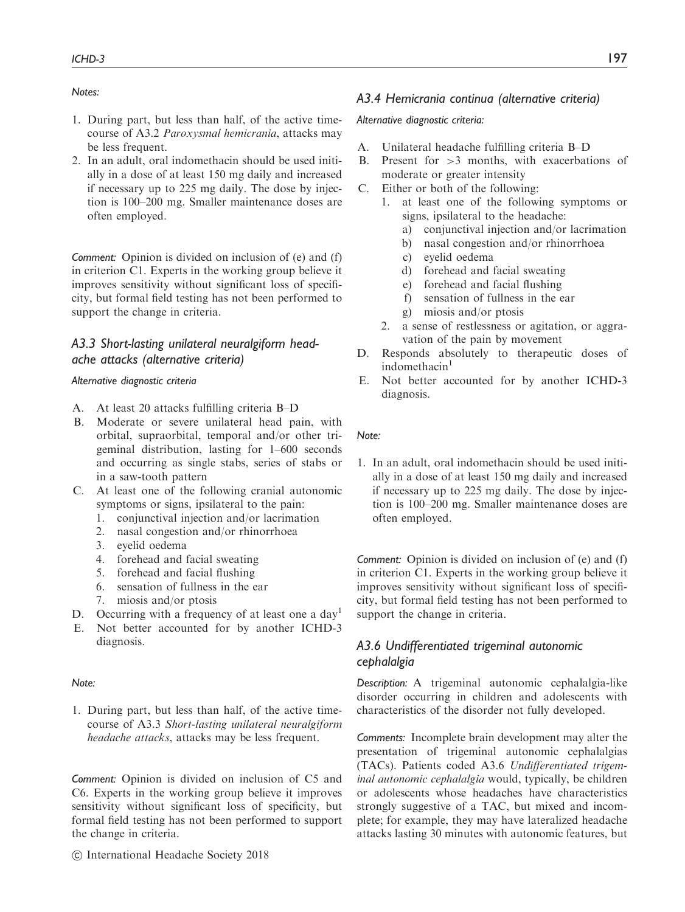### Notes:

- 1. During part, but less than half, of the active timecourse of A3.2 Paroxysmal hemicrania, attacks may be less frequent.
- 2. In an adult, oral indomethacin should be used initially in a dose of at least 150 mg daily and increased if necessary up to 225 mg daily. The dose by injection is 100–200 mg. Smaller maintenance doses are often employed.

Comment: Opinion is divided on inclusion of (e) and (f) in criterion C1. Experts in the working group believe it improves sensitivity without significant loss of specificity, but formal field testing has not been performed to support the change in criteria.

## A3.3 Short-lasting unilateral neuralgiform headache attacks (alternative criteria)

### Alternative diagnostic criteria

- A. At least 20 attacks fulfilling criteria B–D
- B. Moderate or severe unilateral head pain, with orbital, supraorbital, temporal and/or other trigeminal distribution, lasting for 1–600 seconds and occurring as single stabs, series of stabs or in a saw-tooth pattern
- C. At least one of the following cranial autonomic symptoms or signs, ipsilateral to the pain:
	- 1. conjunctival injection and/or lacrimation
	- 2. nasal congestion and/or rhinorrhoea
	- 3. eyelid oedema
	- 4. forehead and facial sweating
	- 5. forehead and facial flushing
	- 6. sensation of fullness in the ear
	- 7. miosis and/or ptosis
- D. Occurring with a frequency of at least one a  $day<sup>1</sup>$
- E. Not better accounted for by another ICHD-3 diagnosis.

#### Note:

1. During part, but less than half, of the active timecourse of A3.3 Short-lasting unilateral neuralgiform headache attacks, attacks may be less frequent.

Comment: Opinion is divided on inclusion of C5 and C6. Experts in the working group believe it improves sensitivity without significant loss of specificity, but formal field testing has not been performed to support the change in criteria.

! International Headache Society 2018

## A3.4 Hemicrania continua (alternative criteria)

#### Alternative diagnostic criteria:

- A. Unilateral headache fulfilling criteria B–D
- B. Present for >3 months, with exacerbations of moderate or greater intensity
- C. Either or both of the following:
	- 1. at least one of the following symptoms or signs, ipsilateral to the headache:
		- a) conjunctival injection and/or lacrimation
		- b) nasal congestion and/or rhinorrhoea
		- c) eyelid oedema
		- d) forehead and facial sweating
		- e) forehead and facial flushing
		- f) sensation of fullness in the ear
		- g) miosis and/or ptosis
	- 2. a sense of restlessness or agitation, or aggravation of the pain by movement
- D. Responds absolutely to therapeutic doses of indomethacin<sup>1</sup>
- E. Not better accounted for by another ICHD-3 diagnosis.

#### Note:

1. In an adult, oral indomethacin should be used initially in a dose of at least 150 mg daily and increased if necessary up to 225 mg daily. The dose by injection is 100–200 mg. Smaller maintenance doses are often employed.

Comment: Opinion is divided on inclusion of (e) and (f) in criterion C1. Experts in the working group believe it improves sensitivity without significant loss of specificity, but formal field testing has not been performed to support the change in criteria.

# A3.6 Undifferentiated trigeminal autonomic cephalalgia

Description: A trigeminal autonomic cephalalgia-like disorder occurring in children and adolescents with characteristics of the disorder not fully developed.

Comments: Incomplete brain development may alter the presentation of trigeminal autonomic cephalalgias (TACs). Patients coded A3.6 Undifferentiated trigeminal autonomic cephalalgia would, typically, be children or adolescents whose headaches have characteristics strongly suggestive of a TAC, but mixed and incomplete; for example, they may have lateralized headache attacks lasting 30 minutes with autonomic features, but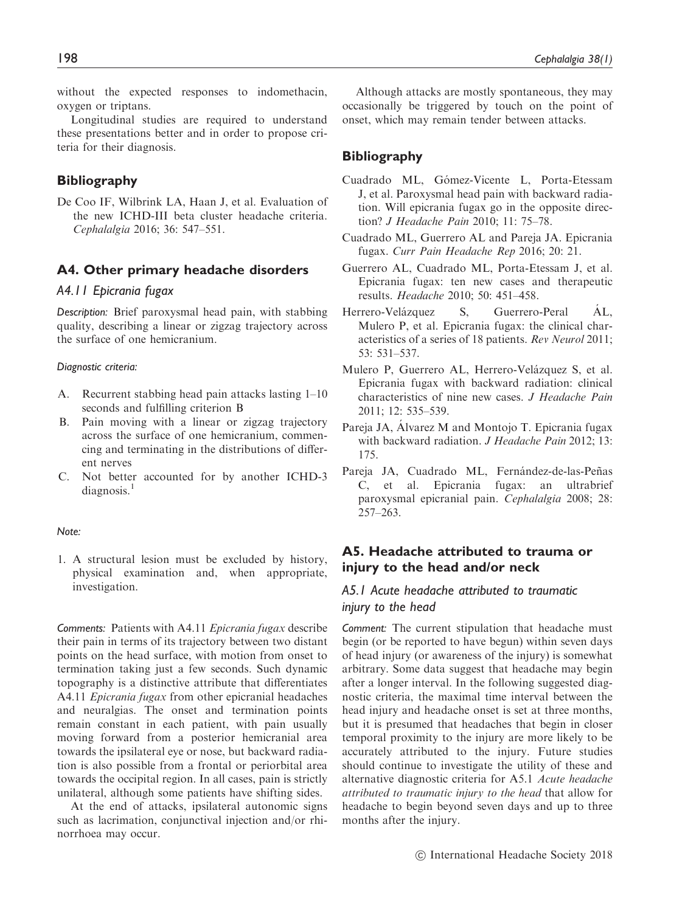without the expected responses to indomethacin, oxygen or triptans.

Longitudinal studies are required to understand these presentations better and in order to propose criteria for their diagnosis.

## **Bibliography**

De Coo IF, Wilbrink LA, Haan J, et al. Evaluation of the new ICHD-III beta cluster headache criteria. Cephalalgia 2016; 36: 547–551.

### A4. Other primary headache disorders

#### A4.11 Epicrania fugax

Description: Brief paroxysmal head pain, with stabbing quality, describing a linear or zigzag trajectory across the surface of one hemicranium.

### Diagnostic criteria:

- A. Recurrent stabbing head pain attacks lasting 1–10 seconds and fulfilling criterion B
- B. Pain moving with a linear or zigzag trajectory across the surface of one hemicranium, commencing and terminating in the distributions of different nerves
- C. Not better accounted for by another ICHD-3  $diagonosis.<sup>1</sup>$

#### Note:

1. A structural lesion must be excluded by history, physical examination and, when appropriate, investigation.

Comments: Patients with A4.11 Epicrania fugax describe their pain in terms of its trajectory between two distant points on the head surface, with motion from onset to termination taking just a few seconds. Such dynamic topography is a distinctive attribute that differentiates A4.11 Epicrania fugax from other epicranial headaches and neuralgias. The onset and termination points remain constant in each patient, with pain usually moving forward from a posterior hemicranial area towards the ipsilateral eye or nose, but backward radiation is also possible from a frontal or periorbital area towards the occipital region. In all cases, pain is strictly unilateral, although some patients have shifting sides.

At the end of attacks, ipsilateral autonomic signs such as lacrimation, conjunctival injection and/or rhinorrhoea may occur.

Although attacks are mostly spontaneous, they may occasionally be triggered by touch on the point of onset, which may remain tender between attacks.

## **Bibliography**

- Cuadrado ML, Gómez-Vicente L, Porta-Etessam J, et al. Paroxysmal head pain with backward radiation. Will epicrania fugax go in the opposite direction? J Headache Pain 2010; 11: 75–78.
- Cuadrado ML, Guerrero AL and Pareja JA. Epicrania fugax. Curr Pain Headache Rep 2016; 20: 21.
- Guerrero AL, Cuadrado ML, Porta-Etessam J, et al. Epicrania fugax: ten new cases and therapeutic results. Headache 2010; 50: 451–458.
- Herrero-Velázquez S, Guerrero-Peral AL, Mulero P, et al. Epicrania fugax: the clinical characteristics of a series of 18 patients. Rev Neurol 2011; 53: 531–537.
- Mulero P, Guerrero AL, Herrero-Velázquez S, et al. Epicrania fugax with backward radiation: clinical characteristics of nine new cases. J Headache Pain 2011; 12: 535–539.
- Pareja JA, Álvarez M and Montojo T. Epicrania fugax with backward radiation. J Headache Pain 2012; 13: 175.
- Pareja JA, Cuadrado ML, Fernández-de-las-Peñas C, et al. Epicrania fugax: an ultrabrief paroxysmal epicranial pain. Cephalalgia 2008; 28: 257–263.

## A5. Headache attributed to trauma or injury to the head and/or neck

# A5.1 Acute headache attributed to traumatic injury to the head

Comment: The current stipulation that headache must begin (or be reported to have begun) within seven days of head injury (or awareness of the injury) is somewhat arbitrary. Some data suggest that headache may begin after a longer interval. In the following suggested diagnostic criteria, the maximal time interval between the head injury and headache onset is set at three months, but it is presumed that headaches that begin in closer temporal proximity to the injury are more likely to be accurately attributed to the injury. Future studies should continue to investigate the utility of these and alternative diagnostic criteria for A5.1 Acute headache attributed to traumatic injury to the head that allow for headache to begin beyond seven days and up to three months after the injury.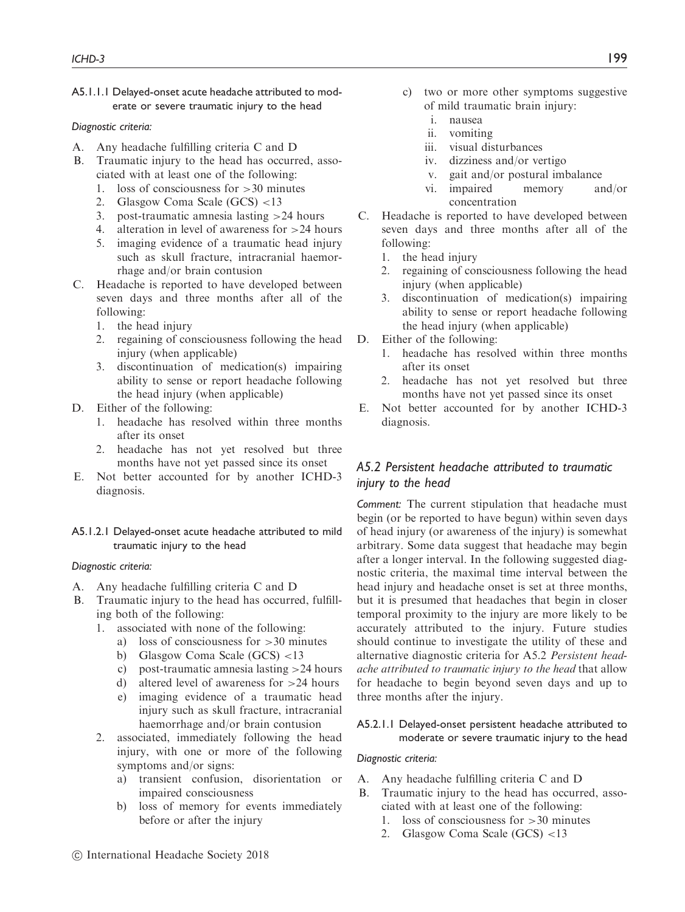A5.1.1.1 Delayed-onset acute headache attributed to moderate or severe traumatic injury to the head

### Diagnostic criteria:

- A. Any headache fulfilling criteria C and D
- B. Traumatic injury to the head has occurred, associated with at least one of the following:
	- 1. loss of consciousness for >30 minutes
	- 2. Glasgow Coma Scale (GCS) <13
	- 3. post-traumatic amnesia lasting >24 hours
	- 4. alteration in level of awareness for >24 hours
	- 5. imaging evidence of a traumatic head injury such as skull fracture, intracranial haemorrhage and/or brain contusion
- C. Headache is reported to have developed between seven days and three months after all of the following:
	- 1. the head injury
	- 2. regaining of consciousness following the head injury (when applicable)
	- 3. discontinuation of medication(s) impairing ability to sense or report headache following the head injury (when applicable)
- D. Either of the following:
	- 1. headache has resolved within three months after its onset
	- 2. headache has not yet resolved but three months have not yet passed since its onset
- E. Not better accounted for by another ICHD-3 diagnosis.

A5.1.2.1 Delayed-onset acute headache attributed to mild traumatic injury to the head

#### Diagnostic criteria:

- A. Any headache fulfilling criteria C and D
- B. Traumatic injury to the head has occurred, fulfilling both of the following:
	- 1. associated with none of the following:
		- a) loss of consciousness for >30 minutes
			- b) Glasgow Coma Scale (GCS) <13
			- c) post-traumatic amnesia lasting  $>24$  hours
			- d) altered level of awareness for >24 hours
			- e) imaging evidence of a traumatic head injury such as skull fracture, intracranial haemorrhage and/or brain contusion
	- 2. associated, immediately following the head injury, with one or more of the following symptoms and/or signs:
		- a) transient confusion, disorientation or impaired consciousness
		- b) loss of memory for events immediately before or after the injury
- c) two or more other symptoms suggestive of mild traumatic brain injury:
	- i. nausea
	- ii. vomiting
	- iii. visual disturbances
	- iv. dizziness and/or vertigo
	- v. gait and/or postural imbalance
	- vi. impaired memory and/or concentration
- C. Headache is reported to have developed between seven days and three months after all of the following:
	- 1. the head injury
	- 2. regaining of consciousness following the head injury (when applicable)
	- 3. discontinuation of medication(s) impairing ability to sense or report headache following the head injury (when applicable)
- D. Either of the following:
	- 1. headache has resolved within three months after its onset
	- 2. headache has not yet resolved but three months have not yet passed since its onset
- E. Not better accounted for by another ICHD-3 diagnosis.

# A5.2 Persistent headache attributed to traumatic injury to the head

Comment: The current stipulation that headache must begin (or be reported to have begun) within seven days of head injury (or awareness of the injury) is somewhat arbitrary. Some data suggest that headache may begin after a longer interval. In the following suggested diagnostic criteria, the maximal time interval between the head injury and headache onset is set at three months, but it is presumed that headaches that begin in closer temporal proximity to the injury are more likely to be accurately attributed to the injury. Future studies should continue to investigate the utility of these and alternative diagnostic criteria for A5.2 Persistent headache attributed to traumatic injury to the head that allow for headache to begin beyond seven days and up to three months after the injury.

## A5.2.1.1 Delayed-onset persistent headache attributed to moderate or severe traumatic injury to the head

## Diagnostic criteria:

- A. Any headache fulfilling criteria C and D
- B. Traumatic injury to the head has occurred, associated with at least one of the following:
	- 1. loss of consciousness for >30 minutes
	- 2. Glasgow Coma Scale (GCS) <13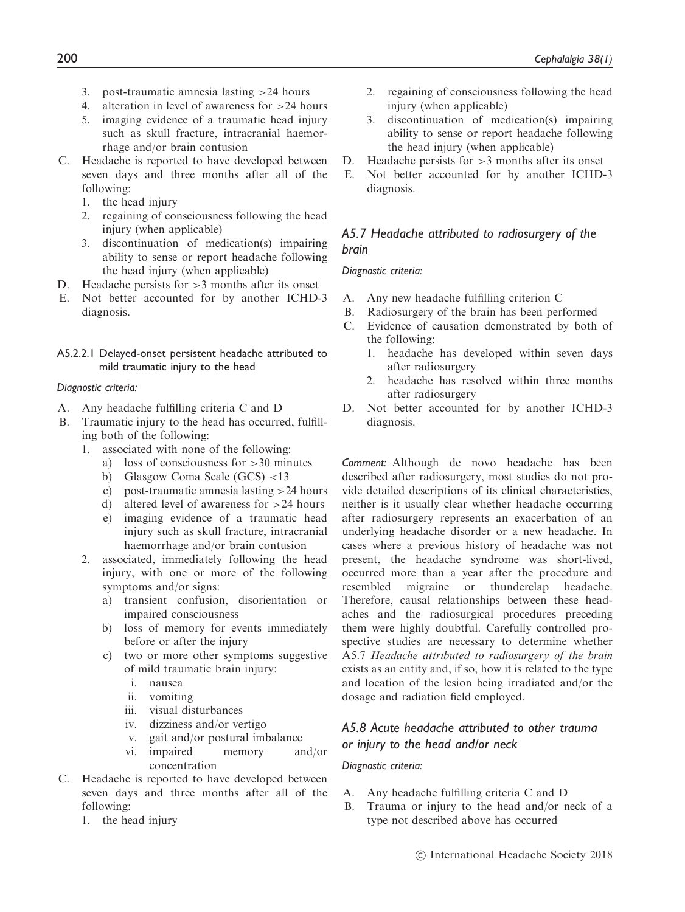- 3. post-traumatic amnesia lasting >24 hours
- 4. alteration in level of awareness for >24 hours
- 5. imaging evidence of a traumatic head injury such as skull fracture, intracranial haemorrhage and/or brain contusion
- C. Headache is reported to have developed between seven days and three months after all of the following:
	- 1. the head injury
	- 2. regaining of consciousness following the head injury (when applicable)
	- 3. discontinuation of medication(s) impairing ability to sense or report headache following the head injury (when applicable)
- D. Headache persists for  $>3$  months after its onset
- E. Not better accounted for by another ICHD-3 diagnosis.
- A5.2.2.1 Delayed-onset persistent headache attributed to mild traumatic injury to the head

### Diagnostic criteria:

- A. Any headache fulfilling criteria C and D
- B. Traumatic injury to the head has occurred, fulfilling both of the following:
	- 1. associated with none of the following:
		- a) loss of consciousness for  $>30$  minutes
		- b) Glasgow Coma Scale (GCS) <13
		- c) post-traumatic amnesia lasting >24 hours
		- d) altered level of awareness for >24 hours
		- e) imaging evidence of a traumatic head injury such as skull fracture, intracranial haemorrhage and/or brain contusion
	- 2. associated, immediately following the head injury, with one or more of the following symptoms and/or signs:
		- a) transient confusion, disorientation or impaired consciousness
		- b) loss of memory for events immediately before or after the injury
		- c) two or more other symptoms suggestive of mild traumatic brain injury:
			- i. nausea
			- ii. vomiting
			- iii. visual disturbances
			- iv. dizziness and/or vertigo
			- v. gait and/or postural imbalance
			- vi. impaired memory and/or concentration
- C. Headache is reported to have developed between seven days and three months after all of the following:
	- 1. the head injury
- 2. regaining of consciousness following the head injury (when applicable)
- 3. discontinuation of medication(s) impairing ability to sense or report headache following the head injury (when applicable)
- D. Headache persists for  $>3$  months after its onset
- E. Not better accounted for by another ICHD-3 diagnosis.

## A5.7 Headache attributed to radiosurgery of the brain

#### Diagnostic criteria:

- A. Any new headache fulfilling criterion C
- B. Radiosurgery of the brain has been performed
- C. Evidence of causation demonstrated by both of the following:
	- 1. headache has developed within seven days after radiosurgery
	- 2. headache has resolved within three months after radiosurgery
- D. Not better accounted for by another ICHD-3 diagnosis.

Comment: Although de novo headache has been described after radiosurgery, most studies do not provide detailed descriptions of its clinical characteristics, neither is it usually clear whether headache occurring after radiosurgery represents an exacerbation of an underlying headache disorder or a new headache. In cases where a previous history of headache was not present, the headache syndrome was short-lived, occurred more than a year after the procedure and resembled migraine or thunderclap headache. Therefore, causal relationships between these headaches and the radiosurgical procedures preceding them were highly doubtful. Carefully controlled prospective studies are necessary to determine whether A5.7 Headache attributed to radiosurgery of the brain exists as an entity and, if so, how it is related to the type and location of the lesion being irradiated and/or the dosage and radiation field employed.

## A5.8 Acute headache attributed to other trauma or injury to the head and/or neck

### Diagnostic criteria:

- A. Any headache fulfilling criteria C and D
- B. Trauma or injury to the head and/or neck of a type not described above has occurred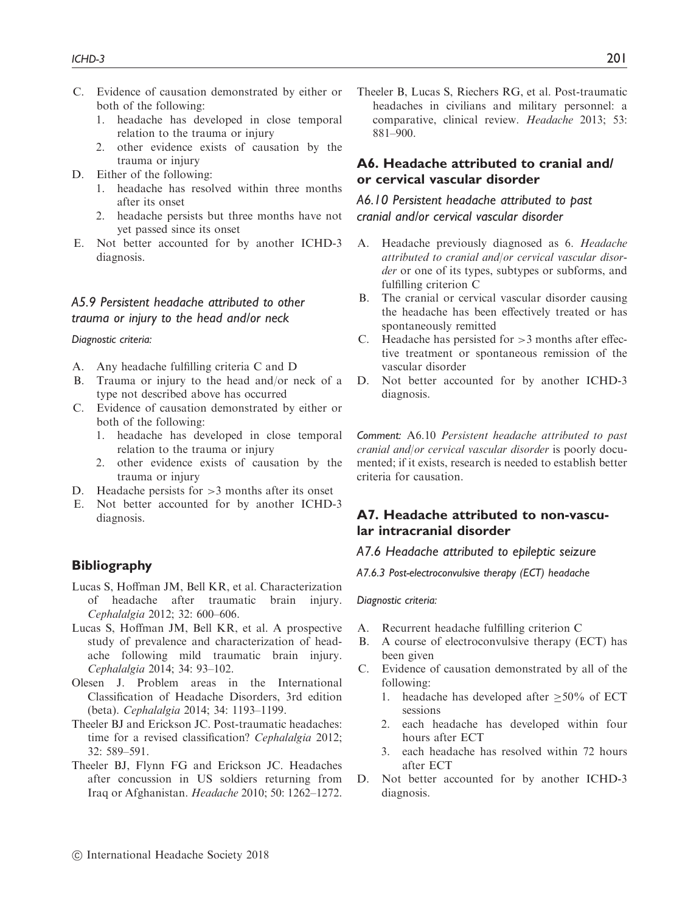- C. Evidence of causation demonstrated by either or both of the following:
	- 1. headache has developed in close temporal relation to the trauma or injury
	- 2. other evidence exists of causation by the trauma or injury
- D. Either of the following:
	- 1. headache has resolved within three months after its onset
	- 2. headache persists but three months have not yet passed since its onset
- E. Not better accounted for by another ICHD-3 diagnosis.

# A5.9 Persistent headache attributed to other trauma or injury to the head and/or neck

### Diagnostic criteria:

- A. Any headache fulfilling criteria C and D
- B. Trauma or injury to the head and/or neck of a type not described above has occurred
- C. Evidence of causation demonstrated by either or both of the following:
	- 1. headache has developed in close temporal relation to the trauma or injury
	- 2. other evidence exists of causation by the trauma or injury
- D. Headache persists for  $>3$  months after its onset
- E. Not better accounted for by another ICHD-3 diagnosis.

## Bibliography

- Lucas S, Hoffman JM, Bell KR, et al. Characterization of headache after traumatic brain injury. Cephalalgia 2012; 32: 600–606.
- Lucas S, Hoffman JM, Bell KR, et al. A prospective study of prevalence and characterization of headache following mild traumatic brain injury. Cephalalgia 2014; 34: 93–102.
- Olesen J. Problem areas in the International Classification of Headache Disorders, 3rd edition (beta). Cephalalgia 2014; 34: 1193–1199.
- Theeler BJ and Erickson JC. Post-traumatic headaches: time for a revised classification? Cephalalgia 2012; 32: 589–591.
- Theeler BJ, Flynn FG and Erickson JC. Headaches after concussion in US soldiers returning from Iraq or Afghanistan. Headache 2010; 50: 1262–1272.

Theeler B, Lucas S, Riechers RG, et al. Post-traumatic headaches in civilians and military personnel: a comparative, clinical review. Headache 2013; 53: 881–900.

# A6. Headache attributed to cranial and/ or cervical vascular disorder

## A6.10 Persistent headache attributed to past cranial and/or cervical vascular disorder

- A. Headache previously diagnosed as 6. Headache attributed to cranial and/or cervical vascular disorder or one of its types, subtypes or subforms, and fulfilling criterion C
- B. The cranial or cervical vascular disorder causing the headache has been effectively treated or has spontaneously remitted
- C. Headache has persisted for  $>3$  months after effective treatment or spontaneous remission of the vascular disorder
- D. Not better accounted for by another ICHD-3 diagnosis.

Comment: A6.10 Persistent headache attributed to past cranial and/or cervical vascular disorder is poorly documented; if it exists, research is needed to establish better criteria for causation.

# A7. Headache attributed to non-vascular intracranial disorder

### A7.6 Headache attributed to epileptic seizure

A7.6.3 Post-electroconvulsive therapy (ECT) headache

### Diagnostic criteria:

- A. Recurrent headache fulfilling criterion C
- B. A course of electroconvulsive therapy (ECT) has been given
- C. Evidence of causation demonstrated by all of the following:
	- 1. headache has developed after  $\geq 50\%$  of ECT sessions
	- 2. each headache has developed within four hours after ECT
	- 3. each headache has resolved within 72 hours after ECT
- D. Not better accounted for by another ICHD-3 diagnosis.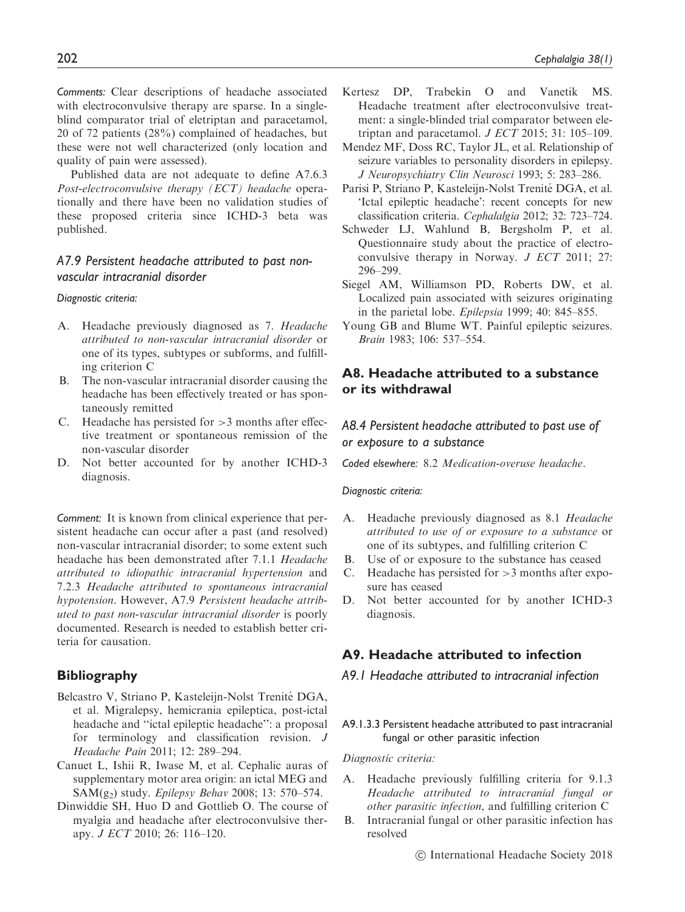Comments: Clear descriptions of headache associated with electroconvulsive therapy are sparse. In a singleblind comparator trial of eletriptan and paracetamol, 20 of 72 patients (28%) complained of headaches, but these were not well characterized (only location and quality of pain were assessed).

Published data are not adequate to define A7.6.3 Post-electroconvulsive therapy (ECT) headache operationally and there have been no validation studies of these proposed criteria since ICHD-3 beta was published.

## A7.9 Persistent headache attributed to past nonvascular intracranial disorder

#### Diagnostic criteria:

- A. Headache previously diagnosed as 7. Headache attributed to non-vascular intracranial disorder or one of its types, subtypes or subforms, and fulfilling criterion C
- B. The non-vascular intracranial disorder causing the headache has been effectively treated or has spontaneously remitted
- C. Headache has persisted for  $>3$  months after effective treatment or spontaneous remission of the non-vascular disorder
- D. Not better accounted for by another ICHD-3 diagnosis.

Comment: It is known from clinical experience that persistent headache can occur after a past (and resolved) non-vascular intracranial disorder; to some extent such headache has been demonstrated after 7.1.1 Headache attributed to idiopathic intracranial hypertension and 7.2.3 Headache attributed to spontaneous intracranial hypotension. However, A7.9 Persistent headache attributed to past non-vascular intracranial disorder is poorly documented. Research is needed to establish better criteria for causation.

## **Bibliography**

- Belcastro V, Striano P, Kasteleijn-Nolst Trenité DGA, et al. Migralepsy, hemicrania epileptica, post-ictal headache and ''ictal epileptic headache'': a proposal for terminology and classification revision. J Headache Pain 2011; 12: 289–294.
- Canuet L, Ishii R, Iwase M, et al. Cephalic auras of supplementary motor area origin: an ictal MEG and  $SAM(g<sub>2</sub>)$  study. Epilepsy Behav 2008; 13: 570–574.
- Dinwiddie SH, Huo D and Gottlieb O. The course of myalgia and headache after electroconvulsive therapy. J ECT 2010; 26: 116–120.
- Kertesz DP, Trabekin O and Vanetik MS. Headache treatment after electroconvulsive treatment: a single-blinded trial comparator between eletriptan and paracetamol.  $J ECT$  2015; 31: 105–109.
- Mendez MF, Doss RC, Taylor JL, et al. Relationship of seizure variables to personality disorders in epilepsy. J Neuropsychiatry Clin Neurosci 1993; 5: 283–286.
- Parisi P, Striano P, Kasteleijn-Nolst Trenité DGA, et al. 'Ictal epileptic headache': recent concepts for new classification criteria. Cephalalgia 2012; 32: 723–724.
- Schweder LJ, Wahlund B, Bergsholm P, et al. Questionnaire study about the practice of electroconvulsive therapy in Norway. J ECT 2011; 27: 296–299.
- Siegel AM, Williamson PD, Roberts DW, et al. Localized pain associated with seizures originating in the parietal lobe. Epilepsia 1999; 40: 845–855.
- Young GB and Blume WT. Painful epileptic seizures. Brain 1983; 106: 537–554.

## A8. Headache attributed to a substance or its withdrawal

A8.4 Persistent headache attributed to past use of or exposure to a substance

Coded elsewhere: 8.2 Medication-overuse headache.

### Diagnostic criteria:

- A. Headache previously diagnosed as 8.1 Headache attributed to use of or exposure to a substance or one of its subtypes, and fulfilling criterion C
- B. Use of or exposure to the substance has ceased
- C. Headache has persisted for >3 months after exposure has ceased
- D. Not better accounted for by another ICHD-3 diagnosis.

## A9. Headache attributed to infection

A9.1 Headache attributed to intracranial infection

A9.1.3.3 Persistent headache attributed to past intracranial fungal or other parasitic infection

### Diagnostic criteria:

- A. Headache previously fulfilling criteria for 9.1.3 Headache attributed to intracranial fungal or other parasitic infection, and fulfilling criterion C
- B. Intracranial fungal or other parasitic infection has resolved

! International Headache Society 2018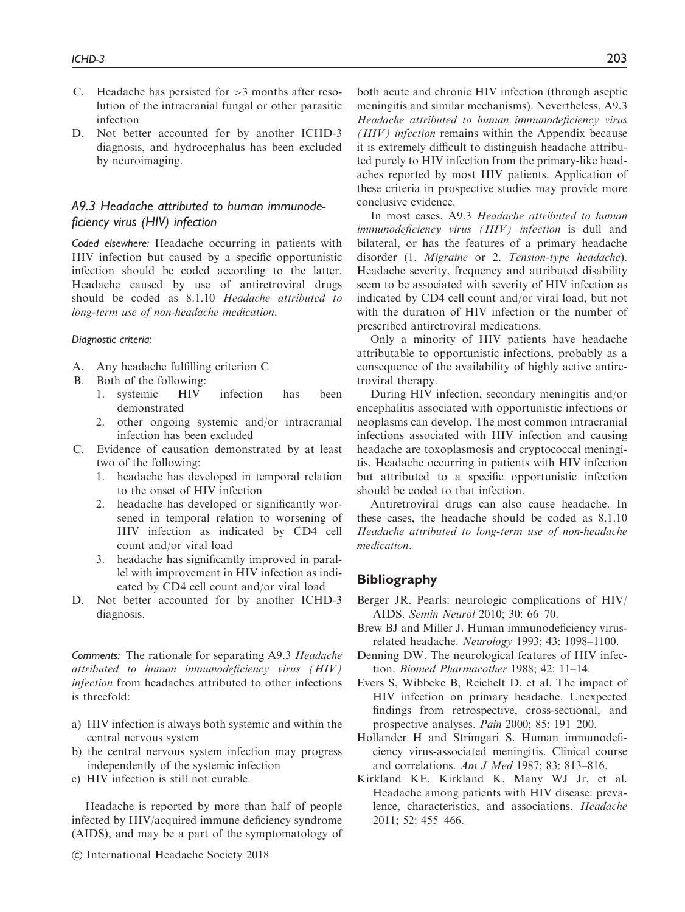- C. Headache has persisted for  $>3$  months after resolution of the intracranial fungal or other parasitic infection
- D. Not better accounted for by another ICHD-3 diagnosis, and hydrocephalus has been excluded by neuroimaging.

# A9.3 Headache attributed to human immunodeficiency virus (HIV) infection

Coded elsewhere: Headache occurring in patients with HIV infection but caused by a specific opportunistic infection should be coded according to the latter. Headache caused by use of antiretroviral drugs should be coded as 8.1.10 Headache attributed to long-term use of non-headache medication.

#### Diagnostic criteria:

- A. Any headache fulfilling criterion C
- B. Both of the following:
	- 1. systemic HIV infection has been demonstrated
	- 2. other ongoing systemic and/or intracranial infection has been excluded
- C. Evidence of causation demonstrated by at least two of the following:
	- 1. headache has developed in temporal relation to the onset of HIV infection
	- 2. headache has developed or significantly worsened in temporal relation to worsening of HIV infection as indicated by CD4 cell count and/or viral load
	- 3. headache has significantly improved in parallel with improvement in HIV infection as indicated by CD4 cell count and/or viral load
- D. Not better accounted for by another ICHD-3 diagnosis.

Comments: The rationale for separating A9.3 Headache attributed to human immunodeficiency virus (HIV) infection from headaches attributed to other infections is threefold:

- a) HIV infection is always both systemic and within the central nervous system
- b) the central nervous system infection may progress independently of the systemic infection
- c) HIV infection is still not curable.

Headache is reported by more than half of people infected by HIV/acquired immune deficiency syndrome (AIDS), and may be a part of the symptomatology of

! International Headache Society 2018

both acute and chronic HIV infection (through aseptic meningitis and similar mechanisms). Nevertheless, A9.3 Headache attributed to human immunodeficiency virus  $(HIV)$  infection remains within the Appendix because it is extremely difficult to distinguish headache attributed purely to HIV infection from the primary-like headaches reported by most HIV patients. Application of these criteria in prospective studies may provide more conclusive evidence.

In most cases, A9.3 Headache attributed to human immunodeficiency virus (HIV) infection is dull and bilateral, or has the features of a primary headache disorder (1. Migraine or 2. Tension-type headache). Headache severity, frequency and attributed disability seem to be associated with severity of HIV infection as indicated by CD4 cell count and/or viral load, but not with the duration of HIV infection or the number of prescribed antiretroviral medications.

Only a minority of HIV patients have headache attributable to opportunistic infections, probably as a consequence of the availability of highly active antiretroviral therapy.

During HIV infection, secondary meningitis and/or encephalitis associated with opportunistic infections or neoplasms can develop. The most common intracranial infections associated with HIV infection and causing headache are toxoplasmosis and cryptococcal meningitis. Headache occurring in patients with HIV infection but attributed to a specific opportunistic infection should be coded to that infection.

Antiretroviral drugs can also cause headache. In these cases, the headache should be coded as 8.1.10 Headache attributed to long-term use of non-headache medication.

## **Bibliography**

- Berger JR. Pearls: neurologic complications of HIV/ AIDS. Semin Neurol 2010; 30: 66–70.
- Brew BJ and Miller J. Human immunodeficiency virusrelated headache. Neurology 1993; 43: 1098–1100.
- Denning DW. The neurological features of HIV infection. Biomed Pharmacother 1988; 42: 11–14.
- Evers S, Wibbeke B, Reichelt D, et al. The impact of HIV infection on primary headache. Unexpected findings from retrospective, cross-sectional, and prospective analyses. Pain 2000; 85: 191–200.
- Hollander H and Strimgari S. Human immunodeficiency virus-associated meningitis. Clinical course and correlations. Am J Med 1987; 83: 813–816.
- Kirkland KE, Kirkland K, Many WJ Jr, et al. Headache among patients with HIV disease: prevalence, characteristics, and associations. Headache 2011; 52: 455–466.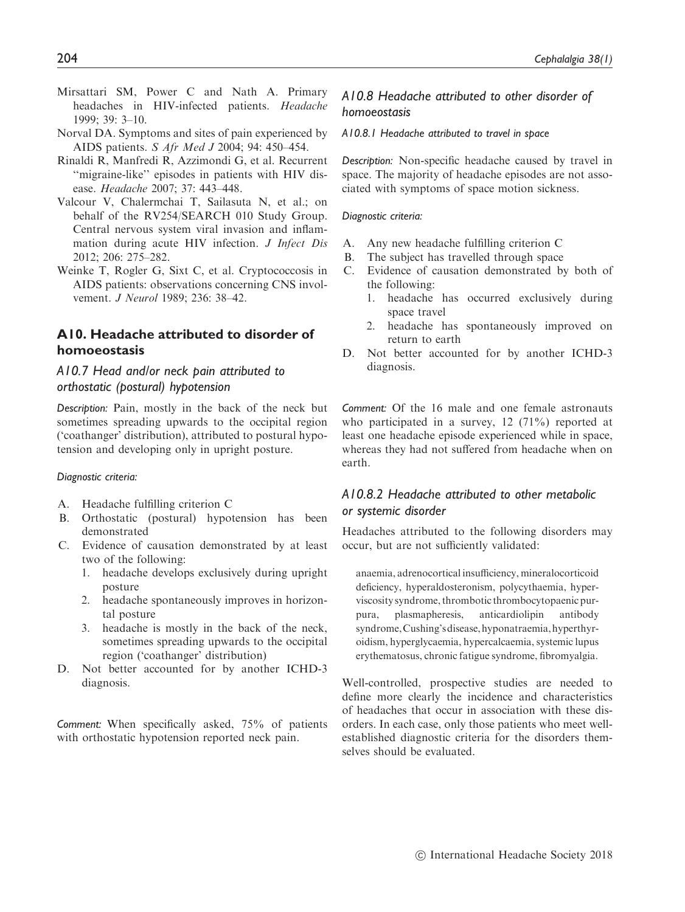- Mirsattari SM, Power C and Nath A. Primary headaches in HIV-infected patients. Headache 1999; 39: 3–10.
- Norval DA. Symptoms and sites of pain experienced by AIDS patients. S Afr Med J 2004; 94: 450–454.
- Rinaldi R, Manfredi R, Azzimondi G, et al. Recurrent ''migraine-like'' episodes in patients with HIV disease. Headache 2007; 37: 443–448.
- Valcour V, Chalermchai T, Sailasuta N, et al.; on behalf of the RV254/SEARCH 010 Study Group. Central nervous system viral invasion and inflammation during acute HIV infection. J Infect Dis 2012; 206: 275–282.
- Weinke T, Rogler G, Sixt C, et al. Cryptococcosis in AIDS patients: observations concerning CNS involvement. J Neurol 1989; 236: 38–42.

# A10. Headache attributed to disorder of homoeostasis

## A10.7 Head and/or neck pain attributed to orthostatic (postural) hypotension

Description: Pain, mostly in the back of the neck but sometimes spreading upwards to the occipital region ('coathanger' distribution), attributed to postural hypotension and developing only in upright posture.

## Diagnostic criteria:

- A. Headache fulfilling criterion C
- B. Orthostatic (postural) hypotension has been demonstrated
- C. Evidence of causation demonstrated by at least two of the following:
	- 1. headache develops exclusively during upright posture
	- 2. headache spontaneously improves in horizontal posture
	- 3. headache is mostly in the back of the neck, sometimes spreading upwards to the occipital region ('coathanger' distribution)
- D. Not better accounted for by another ICHD-3 diagnosis.

Comment: When specifically asked, 75% of patients with orthostatic hypotension reported neck pain.

## A10.8 Headache attributed to other disorder of homoeostasis

### A10.8.1 Headache attributed to travel in space

Description: Non-specific headache caused by travel in space. The majority of headache episodes are not associated with symptoms of space motion sickness.

### Diagnostic criteria:

- A. Any new headache fulfilling criterion C
- B. The subject has travelled through space
- C. Evidence of causation demonstrated by both of the following:
	- 1. headache has occurred exclusively during space travel
	- 2. headache has spontaneously improved on return to earth
- D. Not better accounted for by another ICHD-3 diagnosis.

Comment: Of the 16 male and one female astronauts who participated in a survey, 12 (71%) reported at least one headache episode experienced while in space, whereas they had not suffered from headache when on earth.

# A10.8.2 Headache attributed to other metabolic or systemic disorder

Headaches attributed to the following disorders may occur, but are not sufficiently validated:

anaemia, adrenocortical insufficiency, mineralocorticoid deficiency, hyperaldosteronism, polycythaemia, hyperviscosity syndrome, thrombotic thrombocytopaenic purpura, plasmapheresis, anticardiolipin antibody syndrome,Cushing'sdisease,hyponatraemia,hyperthyroidism, hyperglycaemia, hypercalcaemia, systemic lupus erythematosus, chronic fatigue syndrome, fibromyalgia.

Well-controlled, prospective studies are needed to define more clearly the incidence and characteristics of headaches that occur in association with these disorders. In each case, only those patients who meet wellestablished diagnostic criteria for the disorders themselves should be evaluated.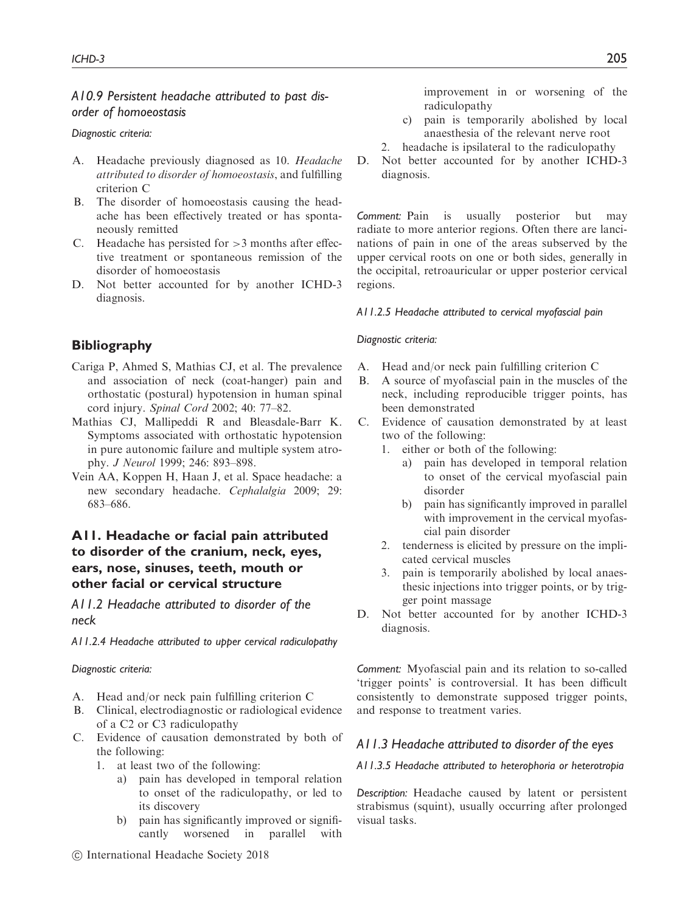## A10.9 Persistent headache attributed to past disorder of homoeostasis

### Diagnostic criteria:

- A. Headache previously diagnosed as 10. Headache attributed to disorder of homoeostasis, and fulfilling criterion C
- B. The disorder of homoeostasis causing the headache has been effectively treated or has spontaneously remitted
- C. Headache has persisted for  $>3$  months after effective treatment or spontaneous remission of the disorder of homoeostasis
- D. Not better accounted for by another ICHD-3 diagnosis.

# Bibliography

- Cariga P, Ahmed S, Mathias CJ, et al. The prevalence and association of neck (coat-hanger) pain and orthostatic (postural) hypotension in human spinal cord injury. Spinal Cord 2002; 40: 77–82.
- Mathias CJ, Mallipeddi R and Bleasdale-Barr K. Symptoms associated with orthostatic hypotension in pure autonomic failure and multiple system atrophy. J Neurol 1999; 246: 893–898.
- Vein AA, Koppen H, Haan J, et al. Space headache: a new secondary headache. Cephalalgia 2009; 29: 683–686.

# A11. Headache or facial pain attributed to disorder of the cranium, neck, eyes, ears, nose, sinuses, teeth, mouth or other facial or cervical structure

A11.2 Headache attributed to disorder of the neck

A11.2.4 Headache attributed to upper cervical radiculopathy

#### Diagnostic criteria:

- A. Head and/or neck pain fulfilling criterion C
- B. Clinical, electrodiagnostic or radiological evidence of a C2 or C3 radiculopathy
- C. Evidence of causation demonstrated by both of the following:
	- 1. at least two of the following:
		- a) pain has developed in temporal relation to onset of the radiculopathy, or led to its discovery
		- b) pain has significantly improved or significantly worsened in parallel with
- ! International Headache Society 2018

improvement in or worsening of the radiculopathy

- c) pain is temporarily abolished by local anaesthesia of the relevant nerve root
- 2. headache is ipsilateral to the radiculopathy
- D. Not better accounted for by another ICHD-3 diagnosis.

Comment: Pain is usually posterior but may radiate to more anterior regions. Often there are lancinations of pain in one of the areas subserved by the upper cervical roots on one or both sides, generally in the occipital, retroauricular or upper posterior cervical regions.

### A11.2.5 Headache attributed to cervical myofascial pain

#### Diagnostic criteria:

- A. Head and/or neck pain fulfilling criterion C
- B. A source of myofascial pain in the muscles of the neck, including reproducible trigger points, has been demonstrated
- C. Evidence of causation demonstrated by at least two of the following:
	- either or both of the following:
		- a) pain has developed in temporal relation to onset of the cervical myofascial pain disorder
		- b) pain has significantly improved in parallel with improvement in the cervical myofascial pain disorder
	- 2. tenderness is elicited by pressure on the implicated cervical muscles
	- 3. pain is temporarily abolished by local anaesthesic injections into trigger points, or by trigger point massage
- D. Not better accounted for by another ICHD-3 diagnosis.

Comment: Myofascial pain and its relation to so-called 'trigger points' is controversial. It has been difficult consistently to demonstrate supposed trigger points, and response to treatment varies.

## A11.3 Headache attributed to disorder of the eyes

### A11.3.5 Headache attributed to heterophoria or heterotropia

Description: Headache caused by latent or persistent strabismus (squint), usually occurring after prolonged visual tasks.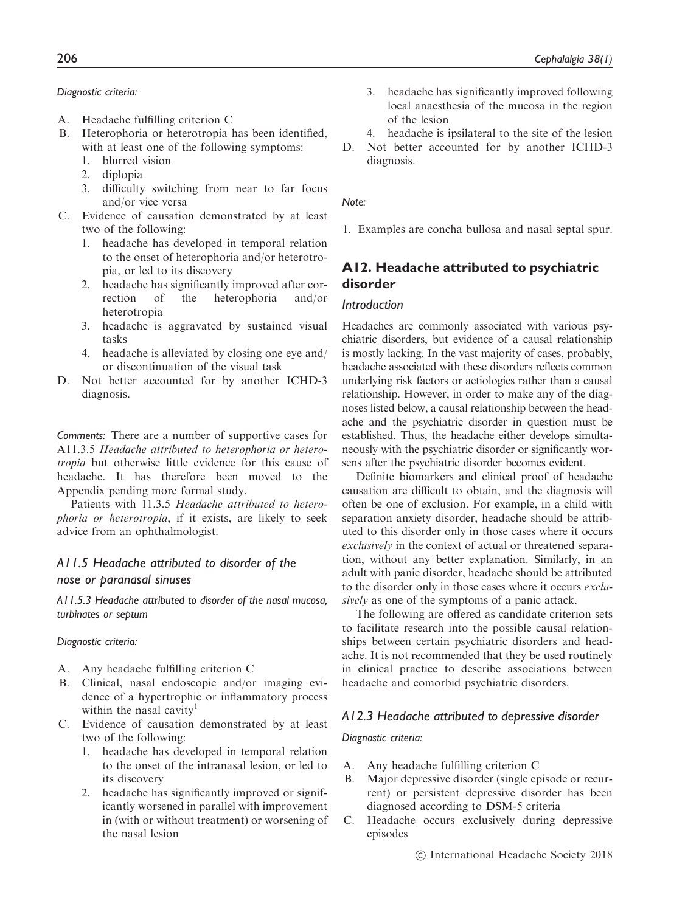### Diagnostic criteria:

- A. Headache fulfilling criterion C
- B. Heterophoria or heterotropia has been identified, with at least one of the following symptoms:
	- 1. blurred vision
	- 2. diplopia
	- 3. difficulty switching from near to far focus and/or vice versa
- C. Evidence of causation demonstrated by at least two of the following:
	- 1. headache has developed in temporal relation to the onset of heterophoria and/or heterotropia, or led to its discovery
	- 2. headache has significantly improved after correction of the heterophoria and/or heterotropia
	- 3. headache is aggravated by sustained visual tasks
	- 4. headache is alleviated by closing one eye and/ or discontinuation of the visual task
- D. Not better accounted for by another ICHD-3 diagnosis.

Comments: There are a number of supportive cases for A11.3.5 Headache attributed to heterophoria or heterotropia but otherwise little evidence for this cause of headache. It has therefore been moved to the Appendix pending more formal study.

Patients with 11.3.5 Headache attributed to heterophoria or heterotropia, if it exists, are likely to seek advice from an ophthalmologist.

# A11.5 Headache attributed to disorder of the nose or paranasal sinuses

A11.5.3 Headache attributed to disorder of the nasal mucosa, turbinates or septum

### Diagnostic criteria:

- A. Any headache fulfilling criterion C
- B. Clinical, nasal endoscopic and/or imaging evidence of a hypertrophic or inflammatory process within the nasal cavity<sup>1</sup>
- C. Evidence of causation demonstrated by at least two of the following:
	- 1. headache has developed in temporal relation to the onset of the intranasal lesion, or led to its discovery
	- 2. headache has significantly improved or significantly worsened in parallel with improvement in (with or without treatment) or worsening of the nasal lesion
- 3. headache has significantly improved following local anaesthesia of the mucosa in the region of the lesion
- 4. headache is ipsilateral to the site of the lesion
- D. Not better accounted for by another ICHD-3 diagnosis.

Note:

1. Examples are concha bullosa and nasal septal spur.

# A12. Headache attributed to psychiatric disorder

### Introduction

Headaches are commonly associated with various psychiatric disorders, but evidence of a causal relationship is mostly lacking. In the vast majority of cases, probably, headache associated with these disorders reflects common underlying risk factors or aetiologies rather than a causal relationship. However, in order to make any of the diagnoses listed below, a causal relationship between the headache and the psychiatric disorder in question must be established. Thus, the headache either develops simultaneously with the psychiatric disorder or significantly worsens after the psychiatric disorder becomes evident.

Definite biomarkers and clinical proof of headache causation are difficult to obtain, and the diagnosis will often be one of exclusion. For example, in a child with separation anxiety disorder, headache should be attributed to this disorder only in those cases where it occurs exclusively in the context of actual or threatened separation, without any better explanation. Similarly, in an adult with panic disorder, headache should be attributed to the disorder only in those cases where it occurs exclusively as one of the symptoms of a panic attack.

The following are offered as candidate criterion sets to facilitate research into the possible causal relationships between certain psychiatric disorders and headache. It is not recommended that they be used routinely in clinical practice to describe associations between headache and comorbid psychiatric disorders.

## A12.3 Headache attributed to depressive disorder

### Diagnostic criteria:

- A. Any headache fulfilling criterion C
- B. Major depressive disorder (single episode or recurrent) or persistent depressive disorder has been diagnosed according to DSM-5 criteria
- C. Headache occurs exclusively during depressive episodes

! International Headache Society 2018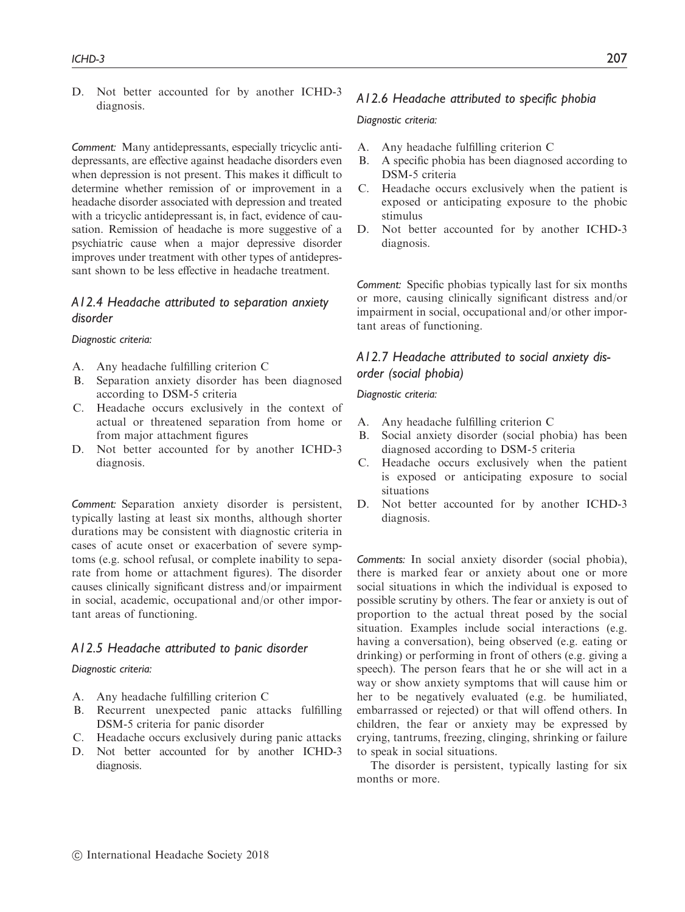D. Not better accounted for by another ICHD-3 diagnosis.

Comment: Many antidepressants, especially tricyclic antidepressants, are effective against headache disorders even when depression is not present. This makes it difficult to determine whether remission of or improvement in a headache disorder associated with depression and treated with a tricyclic antidepressant is, in fact, evidence of causation. Remission of headache is more suggestive of a psychiatric cause when a major depressive disorder improves under treatment with other types of antidepressant shown to be less effective in headache treatment.

## A12.4 Headache attributed to separation anxiety disorder

#### Diagnostic criteria:

- A. Any headache fulfilling criterion C
- B. Separation anxiety disorder has been diagnosed according to DSM-5 criteria
- C. Headache occurs exclusively in the context of actual or threatened separation from home or from major attachment figures
- D. Not better accounted for by another ICHD-3 diagnosis.

Comment: Separation anxiety disorder is persistent, typically lasting at least six months, although shorter durations may be consistent with diagnostic criteria in cases of acute onset or exacerbation of severe symptoms (e.g. school refusal, or complete inability to separate from home or attachment figures). The disorder causes clinically significant distress and/or impairment in social, academic, occupational and/or other important areas of functioning.

## A12.5 Headache attributed to panic disorder

#### Diagnostic criteria:

- A. Any headache fulfilling criterion C
- B. Recurrent unexpected panic attacks fulfilling DSM-5 criteria for panic disorder
- C. Headache occurs exclusively during panic attacks
- D. Not better accounted for by another ICHD-3 diagnosis.

## A12.6 Headache attributed to specific phobia

#### Diagnostic criteria:

- A. Any headache fulfilling criterion C
- B. A specific phobia has been diagnosed according to DSM-5 criteria
- C. Headache occurs exclusively when the patient is exposed or anticipating exposure to the phobic stimulus
- D. Not better accounted for by another ICHD-3 diagnosis.

Comment: Specific phobias typically last for six months or more, causing clinically significant distress and/or impairment in social, occupational and/or other important areas of functioning.

# A12.7 Headache attributed to social anxiety disorder (social phobia)

#### Diagnostic criteria:

- A. Any headache fulfilling criterion C
- B. Social anxiety disorder (social phobia) has been diagnosed according to DSM-5 criteria
- C. Headache occurs exclusively when the patient is exposed or anticipating exposure to social situations
- D. Not better accounted for by another ICHD-3 diagnosis.

Comments: In social anxiety disorder (social phobia), there is marked fear or anxiety about one or more social situations in which the individual is exposed to possible scrutiny by others. The fear or anxiety is out of proportion to the actual threat posed by the social situation. Examples include social interactions (e.g. having a conversation), being observed (e.g. eating or drinking) or performing in front of others (e.g. giving a speech). The person fears that he or she will act in a way or show anxiety symptoms that will cause him or her to be negatively evaluated (e.g. be humiliated, embarrassed or rejected) or that will offend others. In children, the fear or anxiety may be expressed by crying, tantrums, freezing, clinging, shrinking or failure to speak in social situations.

The disorder is persistent, typically lasting for six months or more.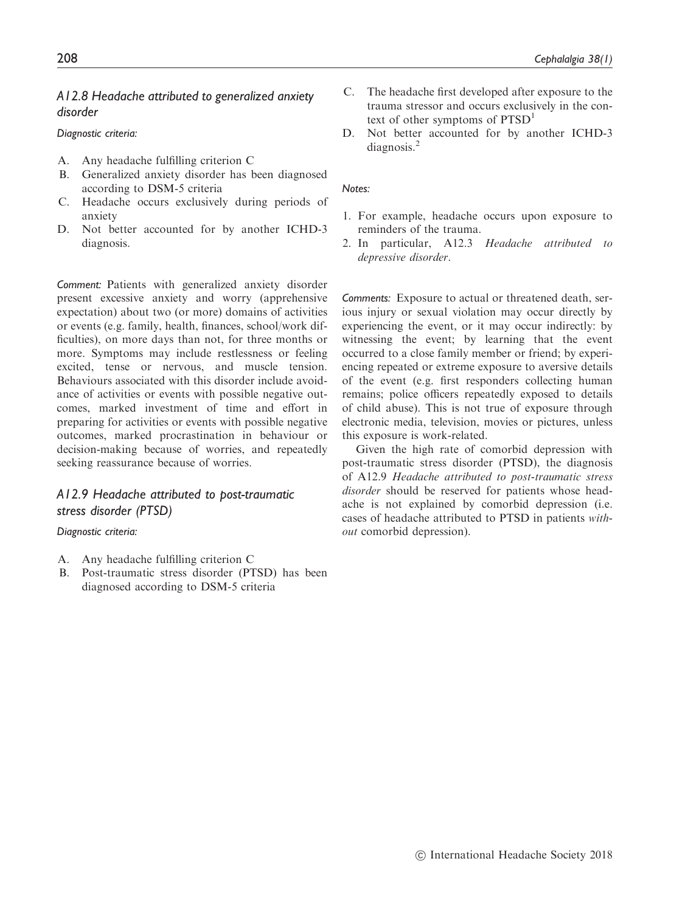## A12.8 Headache attributed to generalized anxiety disorder

### Diagnostic criteria:

- A. Any headache fulfilling criterion C
- B. Generalized anxiety disorder has been diagnosed according to DSM-5 criteria
- C. Headache occurs exclusively during periods of anxiety
- D. Not better accounted for by another ICHD-3 diagnosis.

Comment: Patients with generalized anxiety disorder present excessive anxiety and worry (apprehensive expectation) about two (or more) domains of activities or events (e.g. family, health, finances, school/work difficulties), on more days than not, for three months or more. Symptoms may include restlessness or feeling excited, tense or nervous, and muscle tension. Behaviours associated with this disorder include avoidance of activities or events with possible negative outcomes, marked investment of time and effort in preparing for activities or events with possible negative outcomes, marked procrastination in behaviour or decision-making because of worries, and repeatedly seeking reassurance because of worries.

## A12.9 Headache attributed to post-traumatic stress disorder (PTSD)

#### Diagnostic criteria:

- A. Any headache fulfilling criterion C
- B. Post-traumatic stress disorder (PTSD) has been diagnosed according to DSM-5 criteria
- C. The headache first developed after exposure to the trauma stressor and occurs exclusively in the context of other symptoms of  $PTSD<sup>1</sup>$
- D. Not better accounted for by another ICHD-3 diagnosis.<sup>2</sup>

#### Notes:

- 1. For example, headache occurs upon exposure to reminders of the trauma.
- 2. In particular, A12.3 Headache attributed to depressive disorder.

Comments: Exposure to actual or threatened death, serious injury or sexual violation may occur directly by experiencing the event, or it may occur indirectly: by witnessing the event; by learning that the event occurred to a close family member or friend; by experiencing repeated or extreme exposure to aversive details of the event (e.g. first responders collecting human remains; police officers repeatedly exposed to details of child abuse). This is not true of exposure through electronic media, television, movies or pictures, unless this exposure is work-related.

Given the high rate of comorbid depression with post-traumatic stress disorder (PTSD), the diagnosis of A12.9 Headache attributed to post-traumatic stress disorder should be reserved for patients whose headache is not explained by comorbid depression (i.e. cases of headache attributed to PTSD in patients without comorbid depression).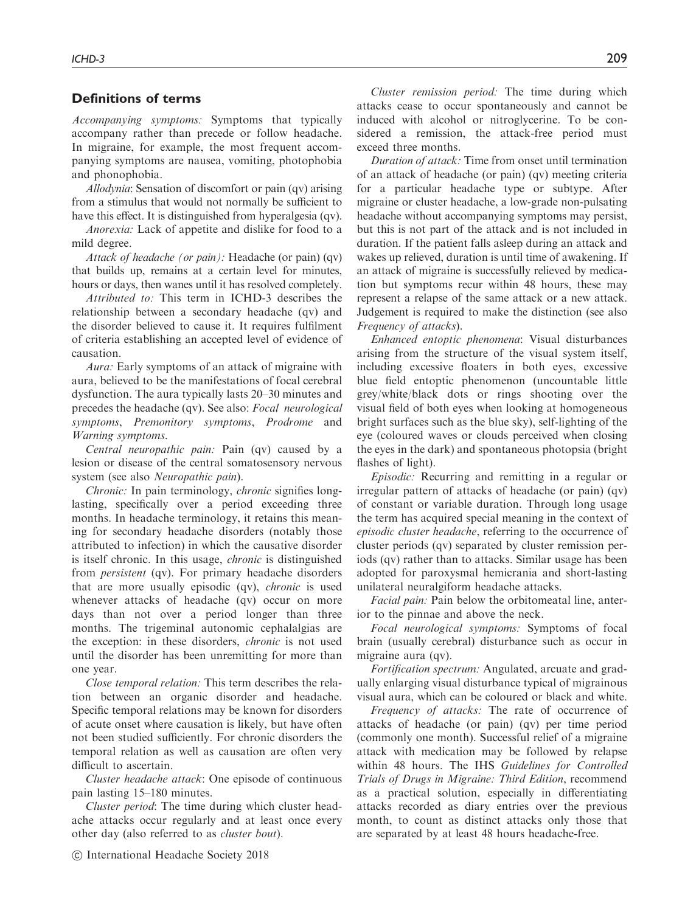## Definitions of terms

Accompanying symptoms: Symptoms that typically accompany rather than precede or follow headache. In migraine, for example, the most frequent accompanying symptoms are nausea, vomiting, photophobia and phonophobia.

Allodynia: Sensation of discomfort or pain (qv) arising from a stimulus that would not normally be sufficient to have this effect. It is distinguished from hyperalgesia (qv).

Anorexia: Lack of appetite and dislike for food to a mild degree.

Attack of headache (or pain): Headache (or pain) (qv) that builds up, remains at a certain level for minutes, hours or days, then wanes until it has resolved completely.

Attributed to: This term in ICHD-3 describes the relationship between a secondary headache (qv) and the disorder believed to cause it. It requires fulfilment of criteria establishing an accepted level of evidence of causation.

Aura: Early symptoms of an attack of migraine with aura, believed to be the manifestations of focal cerebral dysfunction. The aura typically lasts 20–30 minutes and precedes the headache (qv). See also: Focal neurological symptoms, Premonitory symptoms, Prodrome and Warning symptoms.

Central neuropathic pain: Pain (qv) caused by a lesion or disease of the central somatosensory nervous system (see also Neuropathic pain).

Chronic: In pain terminology, chronic signifies longlasting, specifically over a period exceeding three months. In headache terminology, it retains this meaning for secondary headache disorders (notably those attributed to infection) in which the causative disorder is itself chronic. In this usage, chronic is distinguished from persistent (qv). For primary headache disorders that are more usually episodic (qv), chronic is used whenever attacks of headache (qv) occur on more days than not over a period longer than three months. The trigeminal autonomic cephalalgias are the exception: in these disorders, chronic is not used until the disorder has been unremitting for more than one year.

Close temporal relation: This term describes the relation between an organic disorder and headache. Specific temporal relations may be known for disorders of acute onset where causation is likely, but have often not been studied sufficiently. For chronic disorders the temporal relation as well as causation are often very difficult to ascertain.

Cluster headache attack: One episode of continuous pain lasting 15–180 minutes.

Cluster period: The time during which cluster headache attacks occur regularly and at least once every other day (also referred to as cluster bout).

! International Headache Society 2018

Cluster remission period: The time during which attacks cease to occur spontaneously and cannot be induced with alcohol or nitroglycerine. To be considered a remission, the attack-free period must exceed three months.

Duration of attack: Time from onset until termination of an attack of headache (or pain) (qv) meeting criteria for a particular headache type or subtype. After migraine or cluster headache, a low-grade non-pulsating headache without accompanying symptoms may persist, but this is not part of the attack and is not included in duration. If the patient falls asleep during an attack and wakes up relieved, duration is until time of awakening. If an attack of migraine is successfully relieved by medication but symptoms recur within 48 hours, these may represent a relapse of the same attack or a new attack. Judgement is required to make the distinction (see also Frequency of attacks).

Enhanced entoptic phenomena: Visual disturbances arising from the structure of the visual system itself, including excessive floaters in both eyes, excessive blue field entoptic phenomenon (uncountable little grey/white/black dots or rings shooting over the visual field of both eyes when looking at homogeneous bright surfaces such as the blue sky), self-lighting of the eye (coloured waves or clouds perceived when closing the eyes in the dark) and spontaneous photopsia (bright flashes of light).

Episodic: Recurring and remitting in a regular or irregular pattern of attacks of headache (or pain) (qv) of constant or variable duration. Through long usage the term has acquired special meaning in the context of episodic cluster headache, referring to the occurrence of cluster periods (qv) separated by cluster remission periods (qv) rather than to attacks. Similar usage has been adopted for paroxysmal hemicrania and short-lasting unilateral neuralgiform headache attacks.

Facial pain: Pain below the orbitomeatal line, anterior to the pinnae and above the neck.

Focal neurological symptoms: Symptoms of focal brain (usually cerebral) disturbance such as occur in migraine aura (qv).

Fortification spectrum: Angulated, arcuate and gradually enlarging visual disturbance typical of migrainous visual aura, which can be coloured or black and white.

Frequency of attacks: The rate of occurrence of attacks of headache (or pain) (qv) per time period (commonly one month). Successful relief of a migraine attack with medication may be followed by relapse within 48 hours. The IHS Guidelines for Controlled Trials of Drugs in Migraine: Third Edition, recommend as a practical solution, especially in differentiating attacks recorded as diary entries over the previous month, to count as distinct attacks only those that are separated by at least 48 hours headache-free.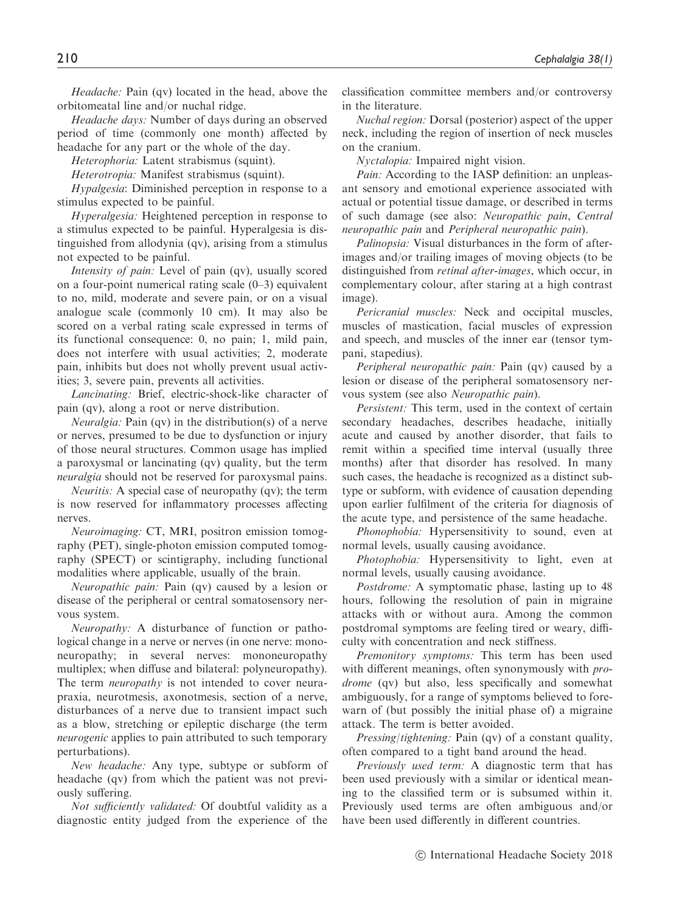Headache: Pain (qv) located in the head, above the orbitomeatal line and/or nuchal ridge.

Headache days: Number of days during an observed period of time (commonly one month) affected by headache for any part or the whole of the day.

Heterophoria: Latent strabismus (squint).

Heterotropia: Manifest strabismus (squint).

Hypalgesia: Diminished perception in response to a stimulus expected to be painful.

Hyperalgesia: Heightened perception in response to a stimulus expected to be painful. Hyperalgesia is distinguished from allodynia (qv), arising from a stimulus not expected to be painful.

Intensity of pain: Level of pain (qv), usually scored on a four-point numerical rating scale  $(0-3)$  equivalent to no, mild, moderate and severe pain, or on a visual analogue scale (commonly 10 cm). It may also be scored on a verbal rating scale expressed in terms of its functional consequence: 0, no pain; 1, mild pain, does not interfere with usual activities; 2, moderate pain, inhibits but does not wholly prevent usual activities; 3, severe pain, prevents all activities.

Lancinating: Brief, electric-shock-like character of pain (qv), along a root or nerve distribution.

Neuralgia: Pain (qv) in the distribution(s) of a nerve or nerves, presumed to be due to dysfunction or injury of those neural structures. Common usage has implied a paroxysmal or lancinating (qv) quality, but the term neuralgia should not be reserved for paroxysmal pains.

Neuritis: A special case of neuropathy (qv); the term is now reserved for inflammatory processes affecting nerves.

Neuroimaging: CT, MRI, positron emission tomography (PET), single-photon emission computed tomography (SPECT) or scintigraphy, including functional modalities where applicable, usually of the brain.

Neuropathic pain: Pain (qv) caused by a lesion or disease of the peripheral or central somatosensory nervous system.

Neuropathy: A disturbance of function or pathological change in a nerve or nerves (in one nerve: mononeuropathy; in several nerves: mononeuropathy multiplex; when diffuse and bilateral: polyneuropathy). The term *neuropathy* is not intended to cover neurapraxia, neurotmesis, axonotmesis, section of a nerve, disturbances of a nerve due to transient impact such as a blow, stretching or epileptic discharge (the term neurogenic applies to pain attributed to such temporary perturbations).

New headache: Any type, subtype or subform of headache (qv) from which the patient was not previously suffering.

Not sufficiently validated: Of doubtful validity as a diagnostic entity judged from the experience of the classification committee members and/or controversy in the literature.

Nuchal region: Dorsal (posterior) aspect of the upper neck, including the region of insertion of neck muscles on the cranium.

Nyctalopia: Impaired night vision.

Pain: According to the IASP definition: an unpleasant sensory and emotional experience associated with actual or potential tissue damage, or described in terms of such damage (see also: Neuropathic pain, Central neuropathic pain and Peripheral neuropathic pain).

Palinopsia: Visual disturbances in the form of afterimages and/or trailing images of moving objects (to be distinguished from retinal after-images, which occur, in complementary colour, after staring at a high contrast image).

Pericranial muscles: Neck and occipital muscles, muscles of mastication, facial muscles of expression and speech, and muscles of the inner ear (tensor tympani, stapedius).

Peripheral neuropathic pain: Pain (qv) caused by a lesion or disease of the peripheral somatosensory nervous system (see also Neuropathic pain).

Persistent: This term, used in the context of certain secondary headaches, describes headache, initially acute and caused by another disorder, that fails to remit within a specified time interval (usually three months) after that disorder has resolved. In many such cases, the headache is recognized as a distinct subtype or subform, with evidence of causation depending upon earlier fulfilment of the criteria for diagnosis of the acute type, and persistence of the same headache.

Phonophobia: Hypersensitivity to sound, even at normal levels, usually causing avoidance.

Photophobia: Hypersensitivity to light, even at normal levels, usually causing avoidance.

Postdrome: A symptomatic phase, lasting up to 48 hours, following the resolution of pain in migraine attacks with or without aura. Among the common postdromal symptoms are feeling tired or weary, difficulty with concentration and neck stiffness.

Premonitory symptoms: This term has been used with different meanings, often synonymously with *pro*drome (qv) but also, less specifically and somewhat ambiguously, for a range of symptoms believed to forewarn of (but possibly the initial phase of) a migraine attack. The term is better avoided.

Pressing/tightening: Pain (qv) of a constant quality, often compared to a tight band around the head.

Previously used term: A diagnostic term that has been used previously with a similar or identical meaning to the classified term or is subsumed within it. Previously used terms are often ambiguous and/or have been used differently in different countries.